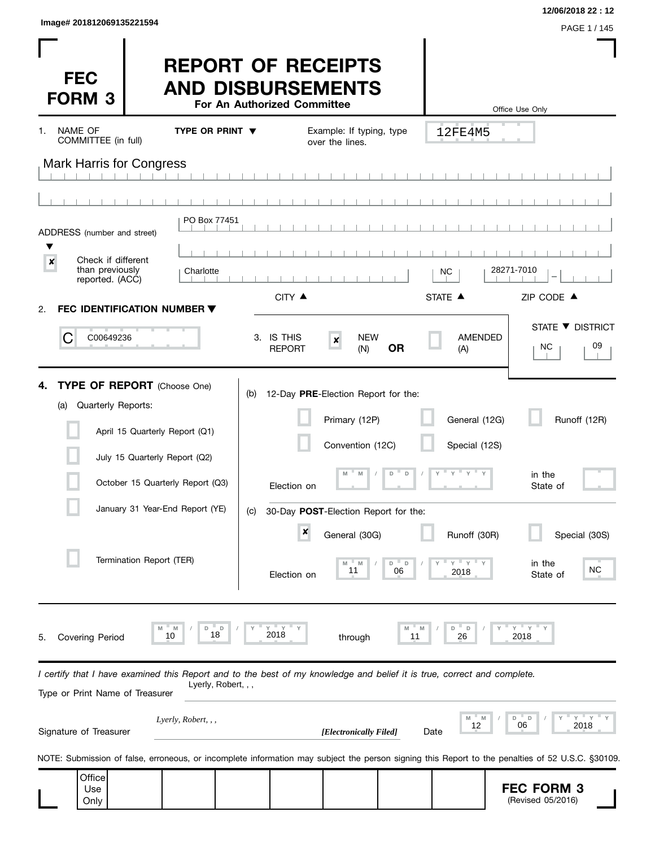| Image# 201812069135221594 |              |
|---------------------------|--------------|
|                           | PAGE 1 / 145 |

**12/06/2018 22 : 12**

| <b>FEC</b><br><b>FORM 3</b>                                                                                                                                |                                                                 | <b>REPORT OF RECEIPTS</b><br><b>AND DISBURSEMENTS</b> | For An Authorized Committee     |                                                                                    |                  |                                                       | Office Use Only                                                                                                                                  |
|------------------------------------------------------------------------------------------------------------------------------------------------------------|-----------------------------------------------------------------|-------------------------------------------------------|---------------------------------|------------------------------------------------------------------------------------|------------------|-------------------------------------------------------|--------------------------------------------------------------------------------------------------------------------------------------------------|
| NAME OF<br>1.<br>COMMITTEE (in full)                                                                                                                       |                                                                 | TYPE OR PRINT $\blacktriangledown$                    |                                 | Example: If typing, type<br>over the lines.                                        |                  | 12FE4M5                                               |                                                                                                                                                  |
| <b>Mark Harris for Congress</b>                                                                                                                            |                                                                 |                                                       |                                 |                                                                                    |                  |                                                       |                                                                                                                                                  |
|                                                                                                                                                            |                                                                 |                                                       |                                 |                                                                                    |                  |                                                       |                                                                                                                                                  |
| ADDRESS (number and street)                                                                                                                                |                                                                 | PO Box 77451                                          |                                 |                                                                                    |                  |                                                       |                                                                                                                                                  |
| Check if different<br>×                                                                                                                                    |                                                                 |                                                       |                                 |                                                                                    |                  |                                                       |                                                                                                                                                  |
| than previously<br>reported. (ACC)                                                                                                                         |                                                                 | Charlotte                                             |                                 |                                                                                    |                  | NC                                                    | 28271-7010                                                                                                                                       |
| <b>FEC IDENTIFICATION NUMBER ▼</b><br>2.                                                                                                                   |                                                                 |                                                       | CITY ▲                          |                                                                                    |                  | STATE <b>A</b>                                        | ZIP CODE ▲                                                                                                                                       |
| C<br>C00649236                                                                                                                                             |                                                                 |                                                       | 3. IS THIS<br><b>REPORT</b>     | <b>NEW</b><br>$\pmb{\times}$<br>(N)                                                | <b>OR</b>        | <b>AMENDED</b><br>(A)                                 | STATE ▼ DISTRICT<br>09<br>NC.                                                                                                                    |
| <b>TYPE OF REPORT</b> (Choose One)<br>4.<br>Quarterly Reports:<br>(a)                                                                                      | April 15 Quarterly Report (Q1)<br>July 15 Quarterly Report (Q2) | October 15 Quarterly Report (Q3)                      | (b)<br>Election on              | 12-Day PRE-Election Report for the:<br>Primary (12P)<br>Convention (12C)<br>M<br>M | $\mathsf D$<br>D | General (12G)<br>Special (12S)<br>$Y$ $Y$ $Y$ $Y$ $Y$ | Runoff (12R)<br>in the<br>State of                                                                                                               |
|                                                                                                                                                            |                                                                 | January 31 Year-End Report (YE)                       | (C)                             | 30-Day POST-Election Report for the:                                               |                  |                                                       |                                                                                                                                                  |
|                                                                                                                                                            | Termination Report (TER)                                        |                                                       | $\boldsymbol{x}$<br>Election on | General (30G)<br>11                                                                | D<br>D<br>06     | Runoff (30R)<br>$Y$ $Y$<br>2018                       | Special (30S)<br>in the<br>NC.<br>State of                                                                                                       |
| Covering Period<br>5.                                                                                                                                      | Μ<br>10                                                         | M<br>D<br>D<br>18                                     | $Y = Y$<br>2018                 | through                                                                            | M<br>M<br>11     | D<br>D<br>26                                          | $Y = Y$<br>2018                                                                                                                                  |
| I certify that I have examined this Report and to the best of my knowledge and belief it is true, correct and complete.<br>Type or Print Name of Treasurer |                                                                 | Lyerly, Robert, , ,                                   |                                 |                                                                                    |                  |                                                       |                                                                                                                                                  |
| Signature of Treasurer                                                                                                                                     |                                                                 | Lyerly, Robert, , ,                                   |                                 | [Electronically Filed]                                                             |                  | $M -$<br>M<br>12<br>Date                              | $Y = Y$<br>D<br>D<br>06<br>2018                                                                                                                  |
|                                                                                                                                                            |                                                                 |                                                       |                                 |                                                                                    |                  |                                                       | NOTE: Submission of false, erroneous, or incomplete information may subject the person signing this Report to the penalties of 52 U.S.C. §30109. |
| Office<br>Use<br>Only                                                                                                                                      |                                                                 |                                                       |                                 |                                                                                    |                  |                                                       | <b>FEC FORM 3</b><br>(Revised 05/2016)                                                                                                           |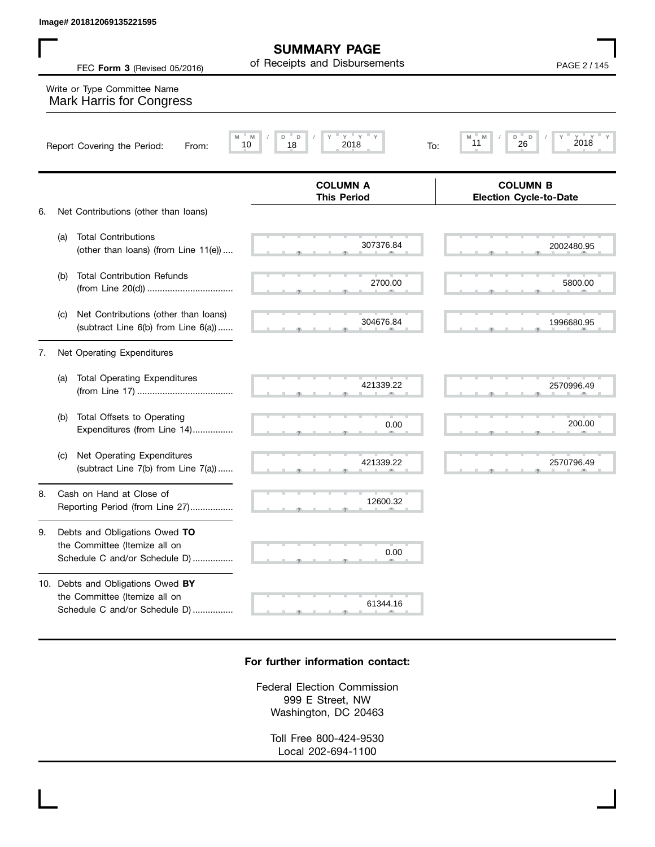**SUMMARY PAGE** of Receipts and Disbursements

**This Period**

 $\frac{2700.00}{27.5}$  ,  $\frac{5800.0}{27.5}$  ,  $\frac{5800.0}{27.5}$  ,  $\frac{5800.0}{27.5}$  ,  $\frac{5800.0}{27.5}$ 

2700.00 5800.00

304676.84 1996680.95

0.00 200.00

421339.22 2570796.49

 $304676.84$  .  $1996680.9$ 

, , . , , .

FEC **Form 3** (Revised 05/2016) **PAGE 2** / 145

**COLUMN B Election Cycle-to-Date**

## **M M / D D / Y Y Y Y M M / D D / Y Y Y Y COLUMN A** Report Covering the Period: From: 10 18 2018 To: Write or Type Committee Name Mark Harris for Congress Image# 201812069135221595<br>
FEC Form 3 (Revised 05/2016) of Receipts and Disbursements<br>
Write or Type Committee Name<br>
Mark Harris for Congress<br>
Report Covering the Period: From: Mark 10 18 2018<br>
PAGE 2 / 145<br>
PAGE 2 / 145<br>

6. Net Contributions (other than loans)

(b) Total Contribution Refunds

- $307376.84$   $2002480.9$  (a) Total Contributions (other than loans) (from Line 11(e)) .... 307376.84 2002480.95
- (c) Net Contributions (other than loans) (subtract Line 6(b) from Line 6(a)) ......

(from Line 20(d)) ..................................

#### 7. Net Operating Expenditures

- $421339.22$   $2570996.4$  , , . , , . (a) Total Operating Expenditures (from Line 17) ...................................... (b) Total Offsets to Operating 421339.22 2570996.49
	- (c) Net Operating Expenditures (subtract Line 7(b) from Line 7(a)) ......

Expenditures (from Line 14)................

8. Cash on Hand at Close of Reporting Period (from Line 27).................

### 9. Debts and Obligations Owed **TO** the Committee (Itemize all on Schedule C and/or Schedule D) ................

10. Debts and Obligations Owed **BY** the Committee (Itemize all on Schedule C and/or Schedule D) ................

# $\frac{61344.16}{2}$

 $\frac{12600.32}{2}$ 

 $\sim$  0.0

0.00

### **For further information contact:**

Federal Election Commission 999 E Street, NW Washington, DC 20463

Toll Free 800-424-9530 Local 202-694-1100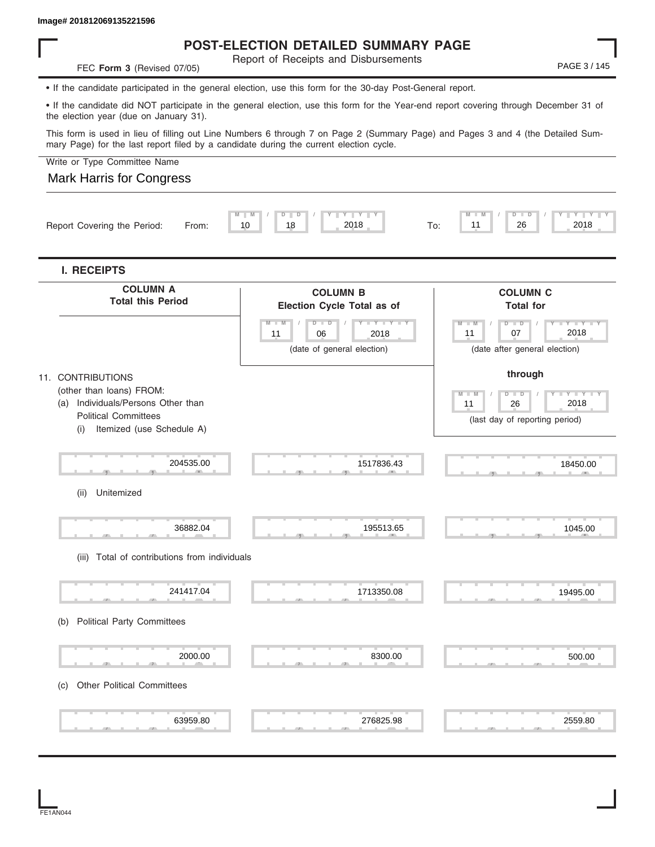### **POST-ELECTION DETAILED SUMMARY PAGE**

Report of Receipts and Disbursements

• If the candidate participated in the general election, use this form for the 30-day Post-General report.

• If the candidate did NOT participate in the general election, use this form for the Year-end report covering through December 31 of the election year (due on January 31).

This form is used in lieu of filling out Line Numbers 6 through 7 on Page 2 (Summary Page) and Pages 3 and 4 (the Detailed Summary Page) for the last report filed by a candidate during the current election cycle.

Write or Type Committee Name

### Mark Harris for Congress

**FEC Form 3** (Revised 07/05)

| <b>COLUMN C</b><br><b>Total for</b><br>$D$ $\Box$ $D$<br>$Y - I - Y - I - Y - I - Y$<br>2018<br>07<br>(date after general election)<br>through<br>$D - D$<br>Y I Y<br>т<br>2018<br>26<br>(last day of reporting period)<br>18450.00 |
|-------------------------------------------------------------------------------------------------------------------------------------------------------------------------------------------------------------------------------------|
|                                                                                                                                                                                                                                     |
|                                                                                                                                                                                                                                     |
|                                                                                                                                                                                                                                     |
|                                                                                                                                                                                                                                     |
| 1045.00                                                                                                                                                                                                                             |
| 19495.00                                                                                                                                                                                                                            |
| 500.00                                                                                                                                                                                                                              |
|                                                                                                                                                                                                                                     |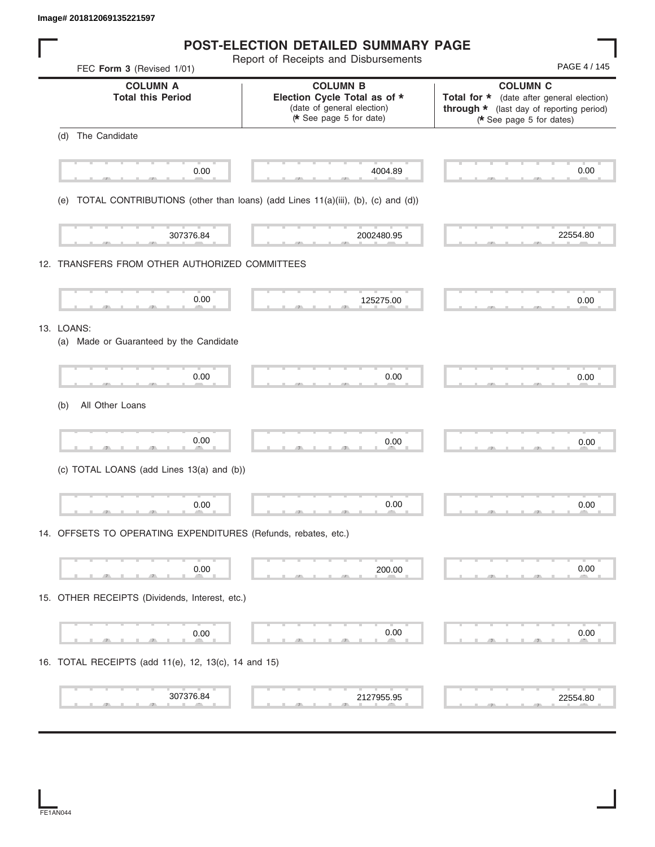**Image# 201812069135221597**

| <b>POST-ELECTION DETAILED SUMMARY PAGE</b> |  |
|--------------------------------------------|--|
|--------------------------------------------|--|

Report of Receipts and Disbursements

| FEC Form 3 (Revised 1/01)                                                           | report of receipts and pispursements                                                                    | PAGE 4 / 145                                                                                                                         |
|-------------------------------------------------------------------------------------|---------------------------------------------------------------------------------------------------------|--------------------------------------------------------------------------------------------------------------------------------------|
| <b>COLUMN A</b><br><b>Total this Period</b>                                         | <b>COLUMN B</b><br>Election Cycle Total as of *<br>(date of general election)<br>* See page 5 for date) | <b>COLUMN C</b><br>Total for * (date after general election)<br>through * (last day of reporting period)<br>(* See page 5 for dates) |
| The Candidate<br>(d)                                                                |                                                                                                         |                                                                                                                                      |
| т<br>0.00                                                                           | 4004.89                                                                                                 | 0.00                                                                                                                                 |
| (e) TOTAL CONTRIBUTIONS (other than loans) (add Lines 11(a)(iii), (b), (c) and (d)) |                                                                                                         |                                                                                                                                      |
| 307376.84                                                                           | 2002480.95                                                                                              | 22554.80                                                                                                                             |
| 12. TRANSFERS FROM OTHER AUTHORIZED COMMITTEES                                      |                                                                                                         |                                                                                                                                      |
| 0.00                                                                                | 125275.00                                                                                               | 0.00                                                                                                                                 |
| 13. LOANS:<br>(a) Made or Guaranteed by the Candidate                               |                                                                                                         |                                                                                                                                      |
| 0.00                                                                                | 0.00                                                                                                    | 0.00                                                                                                                                 |
| All Other Loans<br>(b)                                                              |                                                                                                         |                                                                                                                                      |
| 0.00                                                                                | 0.00                                                                                                    | 0.00                                                                                                                                 |
| (c) TOTAL LOANS (add Lines 13(a) and (b))                                           |                                                                                                         |                                                                                                                                      |
| 0.00                                                                                | 0.00                                                                                                    | 0.00                                                                                                                                 |
| 14. OFFSETS TO OPERATING EXPENDITURES (Refunds, rebates, etc.)                      |                                                                                                         |                                                                                                                                      |
| 0.00                                                                                | 200.00                                                                                                  | 0.00                                                                                                                                 |
| 15. OTHER RECEIPTS (Dividends, Interest, etc.)                                      |                                                                                                         |                                                                                                                                      |
| 0.00                                                                                | 0.00                                                                                                    | 0.00                                                                                                                                 |
| 16. TOTAL RECEIPTS (add 11(e), 12, 13(c), 14 and 15)                                |                                                                                                         |                                                                                                                                      |
| 307376.84                                                                           | 2127955.95                                                                                              | 22554.80                                                                                                                             |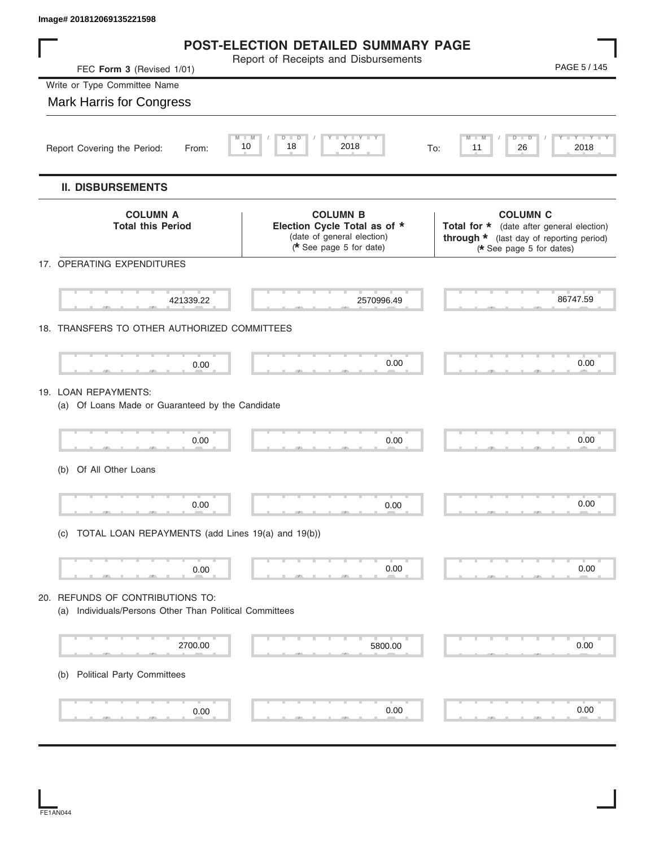| Image# 201812069135221598                                                                   |                                                                                                          |                                                                                                                                      |
|---------------------------------------------------------------------------------------------|----------------------------------------------------------------------------------------------------------|--------------------------------------------------------------------------------------------------------------------------------------|
|                                                                                             | <b>POST-ELECTION DETAILED SUMMARY PAGE</b>                                                               |                                                                                                                                      |
| FEC Form 3 (Revised 1/01)                                                                   | Report of Receipts and Disbursements                                                                     | PAGE 5 / 145                                                                                                                         |
| Write or Type Committee Name                                                                |                                                                                                          |                                                                                                                                      |
| <b>Mark Harris for Congress</b>                                                             |                                                                                                          |                                                                                                                                      |
| 10<br>Report Covering the Period:<br>From:                                                  | Y I Y I<br>D<br>D<br>2018<br>18                                                                          | Y I Y I<br>D<br>D<br>2018<br>26<br>11<br>To:                                                                                         |
| <b>II. DISBURSEMENTS</b>                                                                    |                                                                                                          |                                                                                                                                      |
| <b>COLUMN A</b><br><b>Total this Period</b>                                                 | <b>COLUMN B</b><br>Election Cycle Total as of *<br>(date of general election)<br>(* See page 5 for date) | <b>COLUMN C</b><br>Total for * (date after general election)<br>through * (last day of reporting period)<br>(* See page 5 for dates) |
| 17. OPERATING EXPENDITURES                                                                  |                                                                                                          |                                                                                                                                      |
| 421339.22                                                                                   | 2570996.49                                                                                               | 86747.59                                                                                                                             |
| 18. TRANSFERS TO OTHER AUTHORIZED COMMITTEES                                                |                                                                                                          |                                                                                                                                      |
| 0.00                                                                                        | 0.00                                                                                                     | 0.00                                                                                                                                 |
| 19. LOAN REPAYMENTS:<br>(a) Of Loans Made or Guaranteed by the Candidate                    |                                                                                                          |                                                                                                                                      |
| 0.00                                                                                        | 0.00                                                                                                     | 0.00                                                                                                                                 |
| Of All Other Loans<br>(b)                                                                   |                                                                                                          |                                                                                                                                      |
| 0.00                                                                                        | 0.00                                                                                                     | 0.00                                                                                                                                 |
| (c) TOTAL LOAN REPAYMENTS (add Lines 19(a) and 19(b))                                       |                                                                                                          |                                                                                                                                      |
| 0.00                                                                                        | 0.00                                                                                                     | 0.00                                                                                                                                 |
| 20. REFUNDS OF CONTRIBUTIONS TO:<br>(a) Individuals/Persons Other Than Political Committees |                                                                                                          |                                                                                                                                      |
| 2700.00                                                                                     | 5800.00                                                                                                  | 0.00                                                                                                                                 |
| <b>Political Party Committees</b><br>(b)                                                    |                                                                                                          |                                                                                                                                      |
| 0.00                                                                                        | 0.00                                                                                                     | 0.00                                                                                                                                 |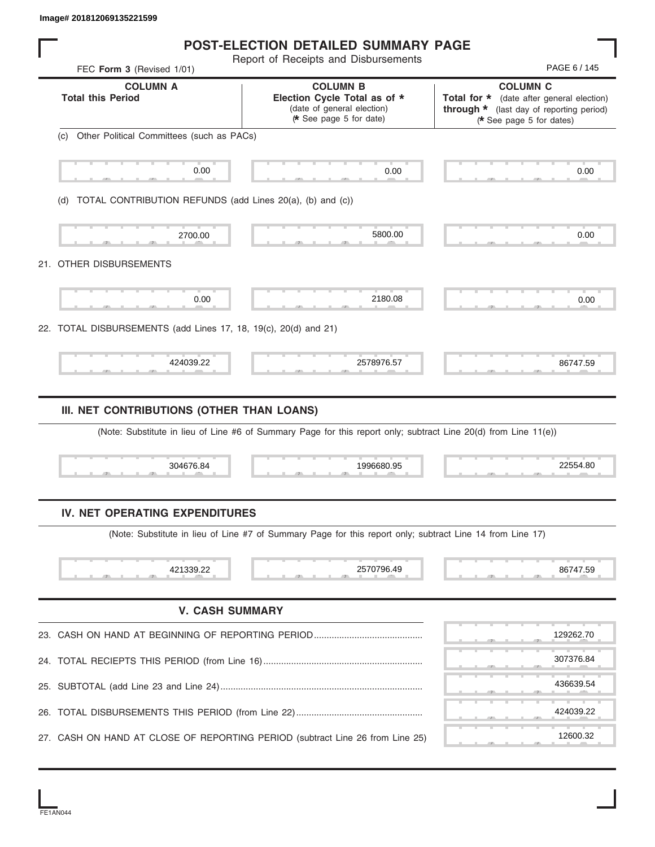|                                                                  | <b>POST-ELECTION DETAILED SUMMARY PAGE</b><br>Report of Receipts and Disbursements                                            |                                                                                                                                      |
|------------------------------------------------------------------|-------------------------------------------------------------------------------------------------------------------------------|--------------------------------------------------------------------------------------------------------------------------------------|
| FEC Form 3 (Revised 1/01)                                        |                                                                                                                               | PAGE 6 / 145                                                                                                                         |
| <b>COLUMN A</b><br><b>Total this Period</b>                      | <b>COLUMN B</b><br>Election Cycle Total as of *<br>(date of general election)<br>* See page 5 for date)                       | <b>COLUMN C</b><br>Total for * (date after general election)<br>through * (last day of reporting period)<br>(* See page 5 for dates) |
| Other Political Committees (such as PACs)<br>(C)                 |                                                                                                                               |                                                                                                                                      |
| 0.00                                                             | 0.00                                                                                                                          | 0.00                                                                                                                                 |
| TOTAL CONTRIBUTION REFUNDS (add Lines 20(a), (b) and (c))<br>(d) |                                                                                                                               |                                                                                                                                      |
| 2700.00                                                          | 5800.00                                                                                                                       | 0.00                                                                                                                                 |
| 21. OTHER DISBURSEMENTS                                          |                                                                                                                               |                                                                                                                                      |
| 0.00                                                             | 2180.08                                                                                                                       | 0.00                                                                                                                                 |
| 22. TOTAL DISBURSEMENTS (add Lines 17, 18, 19(c), 20(d) and 21)  |                                                                                                                               |                                                                                                                                      |
|                                                                  |                                                                                                                               |                                                                                                                                      |
| 424039.22<br>III. NET CONTRIBUTIONS (OTHER THAN LOANS)           | 2578976.57                                                                                                                    | 86747.59                                                                                                                             |
| 304676.84                                                        | (Note: Substitute in lieu of Line #6 of Summary Page for this report only; subtract Line 20(d) from Line 11(e))<br>1996680.95 | 22554.80                                                                                                                             |
| IV. NET OPERATING EXPENDITURES                                   |                                                                                                                               |                                                                                                                                      |
|                                                                  | (Note: Substitute in lieu of Line #7 of Summary Page for this report only; subtract Line 14 from Line 17)                     |                                                                                                                                      |
| 421339.22                                                        | 2570796.49                                                                                                                    | 86747.59                                                                                                                             |
|                                                                  | <b>V. CASH SUMMARY</b>                                                                                                        |                                                                                                                                      |
|                                                                  |                                                                                                                               | 129262.70                                                                                                                            |
| 23. CASH ON HAND AT BEGINNING OF REPORTING PERIOD                |                                                                                                                               | 307376.84                                                                                                                            |
|                                                                  |                                                                                                                               | 436639.54                                                                                                                            |
| 25.                                                              |                                                                                                                               | 424039.22                                                                                                                            |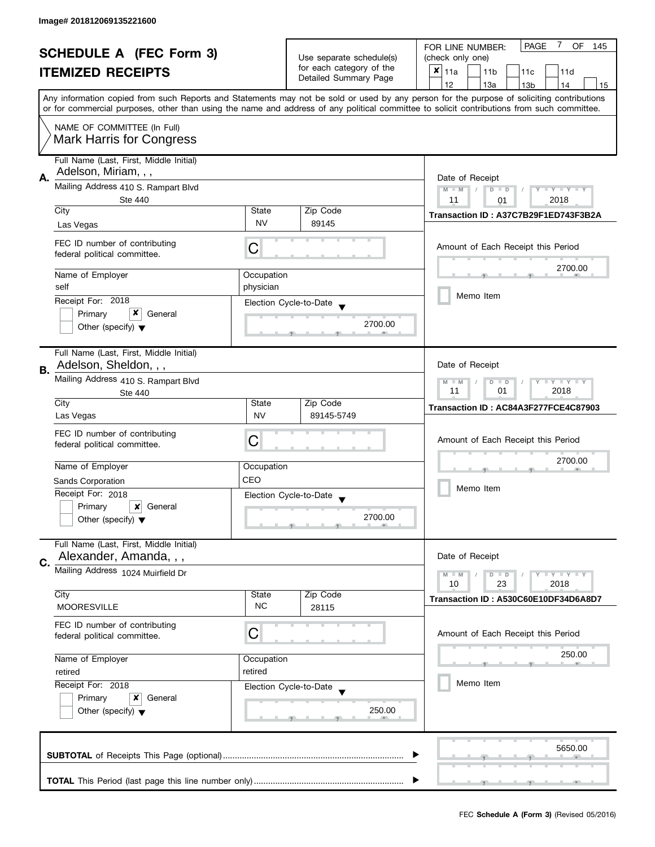| <b>SCHEDULE A (FEC Form 3)</b> |                                                                                                                                            | Use separate schedule(s) | <b>PAGE</b><br>7<br>OF<br>FOR LINE NUMBER:<br>145<br>(check only one) |                                                                                                                                           |  |
|--------------------------------|--------------------------------------------------------------------------------------------------------------------------------------------|--------------------------|-----------------------------------------------------------------------|-------------------------------------------------------------------------------------------------------------------------------------------|--|
|                                | <b>ITEMIZED RECEIPTS</b>                                                                                                                   |                          | for each category of the                                              | $\pmb{\times}$                                                                                                                            |  |
|                                |                                                                                                                                            |                          | Detailed Summary Page                                                 | 11a<br>11 <sub>b</sub><br>11c<br>11d                                                                                                      |  |
|                                |                                                                                                                                            |                          |                                                                       | 12<br>13a<br>13 <sub>b</sub><br>14<br>15                                                                                                  |  |
|                                | or for commercial purposes, other than using the name and address of any political committee to solicit contributions from such committee. |                          |                                                                       | Any information copied from such Reports and Statements may not be sold or used by any person for the purpose of soliciting contributions |  |
|                                | NAME OF COMMITTEE (In Full)                                                                                                                |                          |                                                                       |                                                                                                                                           |  |
|                                | <b>Mark Harris for Congress</b>                                                                                                            |                          |                                                                       |                                                                                                                                           |  |
| А.                             | Full Name (Last, First, Middle Initial)<br>Adelson, Miriam, , ,                                                                            |                          |                                                                       | Date of Receipt                                                                                                                           |  |
|                                | Mailing Address 410 S. Rampart Blvd<br>Ste 440                                                                                             |                          |                                                                       | $M - M$<br>$D$ $D$<br>$T - Y = T - Y$<br>11<br>2018<br>01                                                                                 |  |
|                                | City                                                                                                                                       | State                    | Zip Code                                                              | Transaction ID: A37C7B29F1ED743F3B2A                                                                                                      |  |
|                                | Las Vegas                                                                                                                                  | <b>NV</b>                | 89145                                                                 |                                                                                                                                           |  |
|                                | FEC ID number of contributing<br>federal political committee.                                                                              | С                        |                                                                       | Amount of Each Receipt this Period                                                                                                        |  |
|                                | Name of Employer                                                                                                                           | Occupation               |                                                                       | 2700.00                                                                                                                                   |  |
|                                | self                                                                                                                                       | physician                |                                                                       |                                                                                                                                           |  |
|                                | Receipt For: 2018                                                                                                                          |                          | Election Cycle-to-Date                                                | Memo Item                                                                                                                                 |  |
|                                | x<br>Primary<br>General                                                                                                                    |                          |                                                                       |                                                                                                                                           |  |
|                                | Other (specify) $\blacktriangledown$                                                                                                       |                          | 2700.00                                                               |                                                                                                                                           |  |
| В.                             | Full Name (Last, First, Middle Initial)<br>Adelson, Sheldon, , ,                                                                           |                          |                                                                       | Date of Receipt                                                                                                                           |  |
|                                | Mailing Address 410 S. Rampart Blvd<br><b>Ste 440</b>                                                                                      |                          |                                                                       | $Y = Y + Y$<br>D<br>$\Box$<br>$-M$<br>01<br>2018<br>11                                                                                    |  |
|                                | City                                                                                                                                       | State                    | Zip Code                                                              | Transaction ID: AC84A3F277FCE4C87903                                                                                                      |  |
|                                | Las Vegas                                                                                                                                  | <b>NV</b>                | 89145-5749                                                            |                                                                                                                                           |  |
|                                | FEC ID number of contributing<br>federal political committee.                                                                              | С                        |                                                                       | Amount of Each Receipt this Period                                                                                                        |  |
|                                | Name of Employer                                                                                                                           | Occupation               |                                                                       | 2700.00                                                                                                                                   |  |
|                                | Sands Corporation                                                                                                                          | CEO                      |                                                                       |                                                                                                                                           |  |
|                                | Receipt For: 2018                                                                                                                          |                          | Election Cycle-to-Date                                                | Memo Item                                                                                                                                 |  |
|                                | Primary<br>x<br>General                                                                                                                    |                          |                                                                       |                                                                                                                                           |  |
|                                | Other (specify) $\blacktriangledown$                                                                                                       |                          | 2700.00                                                               |                                                                                                                                           |  |
|                                | Full Name (Last, First, Middle Initial)<br>Alexander, Amanda, , ,                                                                          |                          |                                                                       | Date of Receipt                                                                                                                           |  |
| C.                             | Mailing Address 1024 Muirfield Dr                                                                                                          |                          |                                                                       |                                                                                                                                           |  |
|                                |                                                                                                                                            |                          |                                                                       | $M - M$<br>$Y - Y - Y$<br>$D$ $D$<br>10<br>23<br>2018                                                                                     |  |
|                                | City                                                                                                                                       | State                    | Zip Code                                                              | Transaction ID: A530C60E10DF34D6A8D7                                                                                                      |  |
|                                | <b>MOORESVILLE</b>                                                                                                                         | NC.                      | 28115                                                                 |                                                                                                                                           |  |
|                                | FEC ID number of contributing<br>С<br>federal political committee.                                                                         |                          |                                                                       | Amount of Each Receipt this Period                                                                                                        |  |
|                                | Name of Employer                                                                                                                           | Occupation               |                                                                       | 250.00                                                                                                                                    |  |
|                                | retired                                                                                                                                    | retired                  |                                                                       |                                                                                                                                           |  |
|                                | Receipt For: 2018                                                                                                                          |                          | Election Cycle-to-Date                                                | Memo Item                                                                                                                                 |  |
|                                | Primary<br>x<br>General                                                                                                                    |                          |                                                                       |                                                                                                                                           |  |
|                                | Other (specify) $\blacktriangledown$                                                                                                       |                          | 250.00                                                                |                                                                                                                                           |  |
|                                |                                                                                                                                            |                          |                                                                       | 5650.00                                                                                                                                   |  |
|                                |                                                                                                                                            |                          |                                                                       |                                                                                                                                           |  |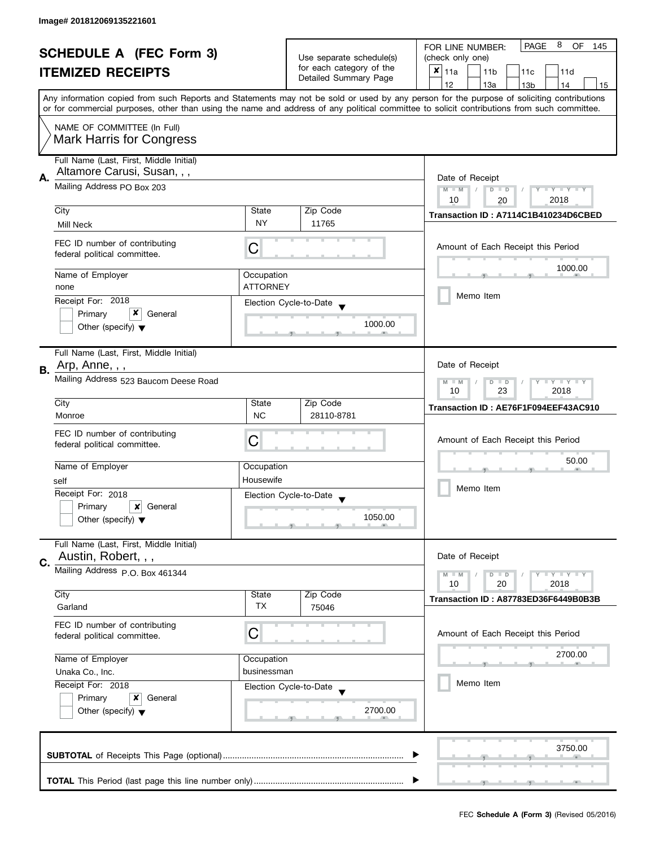|    | <b>SCHEDULE A (FEC Form 3)</b>                                 |                 | Use separate schedule(s)                           | 8<br><b>PAGE</b><br>OF<br>FOR LINE NUMBER:<br>145                                                                                                                                                                                                                                       |  |  |
|----|----------------------------------------------------------------|-----------------|----------------------------------------------------|-----------------------------------------------------------------------------------------------------------------------------------------------------------------------------------------------------------------------------------------------------------------------------------------|--|--|
|    |                                                                |                 |                                                    | (check only one)                                                                                                                                                                                                                                                                        |  |  |
|    | <b>ITEMIZED RECEIPTS</b>                                       |                 | for each category of the<br>Detailed Summary Page  | ×<br>11a<br>11 <sub>b</sub><br>11c<br>11d                                                                                                                                                                                                                                               |  |  |
|    |                                                                |                 |                                                    | 12<br>13a<br>13 <sub>b</sub><br>14<br>15                                                                                                                                                                                                                                                |  |  |
|    |                                                                |                 |                                                    | Any information copied from such Reports and Statements may not be sold or used by any person for the purpose of soliciting contributions<br>or for commercial purposes, other than using the name and address of any political committee to solicit contributions from such committee. |  |  |
|    |                                                                |                 |                                                    |                                                                                                                                                                                                                                                                                         |  |  |
|    | NAME OF COMMITTEE (In Full)<br><b>Mark Harris for Congress</b> |                 |                                                    |                                                                                                                                                                                                                                                                                         |  |  |
|    | Full Name (Last, First, Middle Initial)                        |                 |                                                    |                                                                                                                                                                                                                                                                                         |  |  |
| Α. | Altamore Carusi, Susan, , ,                                    | Date of Receipt |                                                    |                                                                                                                                                                                                                                                                                         |  |  |
|    | Mailing Address PO Box 203                                     |                 |                                                    | $M - M$<br>$Y - Y - Y - Y - Y$<br>$D$ $D$                                                                                                                                                                                                                                               |  |  |
|    | City                                                           | State           | Zip Code                                           | 2018<br>10<br>20                                                                                                                                                                                                                                                                        |  |  |
|    |                                                                | <b>NY</b>       | 11765                                              | Transaction ID: A7114C1B410234D6CBED                                                                                                                                                                                                                                                    |  |  |
|    | Mill Neck                                                      |                 |                                                    |                                                                                                                                                                                                                                                                                         |  |  |
|    | FEC ID number of contributing<br>federal political committee.  | C               |                                                    | Amount of Each Receipt this Period                                                                                                                                                                                                                                                      |  |  |
|    | Name of Employer                                               | Occupation      |                                                    | 1000.00                                                                                                                                                                                                                                                                                 |  |  |
|    | none                                                           | <b>ATTORNEY</b> |                                                    |                                                                                                                                                                                                                                                                                         |  |  |
|    | Receipt For: 2018                                              |                 |                                                    | Memo Item                                                                                                                                                                                                                                                                               |  |  |
|    | x<br>Primary<br>General                                        |                 | Election Cycle-to-Date                             |                                                                                                                                                                                                                                                                                         |  |  |
|    | Other (specify) $\blacktriangledown$                           |                 | 1000.00                                            |                                                                                                                                                                                                                                                                                         |  |  |
|    |                                                                |                 |                                                    |                                                                                                                                                                                                                                                                                         |  |  |
|    | Full Name (Last, First, Middle Initial)                        |                 |                                                    |                                                                                                                                                                                                                                                                                         |  |  |
| В. | Arp, Anne, , ,                                                 |                 |                                                    | Date of Receipt                                                                                                                                                                                                                                                                         |  |  |
|    | Mailing Address 523 Baucom Deese Road                          |                 |                                                    | Y LY LY<br>$M - M$<br>D<br>$\Box$                                                                                                                                                                                                                                                       |  |  |
|    |                                                                | State           | Zip Code                                           | 23<br>2018<br>10                                                                                                                                                                                                                                                                        |  |  |
|    | City<br>Monroe                                                 | <b>NC</b>       | 28110-8781                                         | Transaction ID: AE76F1F094EEF43AC910                                                                                                                                                                                                                                                    |  |  |
|    |                                                                |                 |                                                    |                                                                                                                                                                                                                                                                                         |  |  |
|    | FEC ID number of contributing<br>federal political committee.  | С               |                                                    | Amount of Each Receipt this Period                                                                                                                                                                                                                                                      |  |  |
|    |                                                                |                 |                                                    |                                                                                                                                                                                                                                                                                         |  |  |
|    | Name of Employer                                               | Occupation      |                                                    | 50.00                                                                                                                                                                                                                                                                                   |  |  |
|    | self                                                           | Housewife       |                                                    |                                                                                                                                                                                                                                                                                         |  |  |
|    | Receipt For: 2018                                              |                 | Election Cycle-to-Date<br>$\overline{\phantom{a}}$ | Memo Item                                                                                                                                                                                                                                                                               |  |  |
|    | Primary<br>x<br>General                                        |                 |                                                    |                                                                                                                                                                                                                                                                                         |  |  |
|    | Other (specify) $\blacktriangledown$                           |                 | 1050.00                                            |                                                                                                                                                                                                                                                                                         |  |  |
|    | Full Name (Last, First, Middle Initial)                        |                 |                                                    |                                                                                                                                                                                                                                                                                         |  |  |
| C. | Austin, Robert, , ,                                            |                 |                                                    | Date of Receipt                                                                                                                                                                                                                                                                         |  |  |
|    | Mailing Address P.O. Box 461344                                |                 |                                                    | <b>LYLYLY</b><br>$M - M$<br>$D$ $D$                                                                                                                                                                                                                                                     |  |  |
|    | City                                                           | State           | Zip Code                                           | 10<br>20<br>2018                                                                                                                                                                                                                                                                        |  |  |
|    | Garland                                                        | TX              | 75046                                              | Transaction ID: A87783ED36F6449B0B3B                                                                                                                                                                                                                                                    |  |  |
|    | FEC ID number of contributing                                  |                 |                                                    |                                                                                                                                                                                                                                                                                         |  |  |
|    | federal political committee.                                   | С               |                                                    | Amount of Each Receipt this Period                                                                                                                                                                                                                                                      |  |  |
|    |                                                                |                 |                                                    |                                                                                                                                                                                                                                                                                         |  |  |
|    | Name of Employer                                               | Occupation      |                                                    | 2700.00                                                                                                                                                                                                                                                                                 |  |  |
|    | Unaka Co., Inc.                                                | businessman     |                                                    |                                                                                                                                                                                                                                                                                         |  |  |
|    | Receipt For: 2018                                              |                 | Election Cycle-to-Date                             | Memo Item                                                                                                                                                                                                                                                                               |  |  |
|    | Primary<br>x<br>General                                        |                 |                                                    |                                                                                                                                                                                                                                                                                         |  |  |
|    | Other (specify) $\blacktriangledown$                           |                 | 2700.00                                            |                                                                                                                                                                                                                                                                                         |  |  |
|    |                                                                |                 |                                                    |                                                                                                                                                                                                                                                                                         |  |  |
|    |                                                                |                 |                                                    | 3750.00                                                                                                                                                                                                                                                                                 |  |  |
|    |                                                                |                 |                                                    |                                                                                                                                                                                                                                                                                         |  |  |
|    |                                                                |                 |                                                    |                                                                                                                                                                                                                                                                                         |  |  |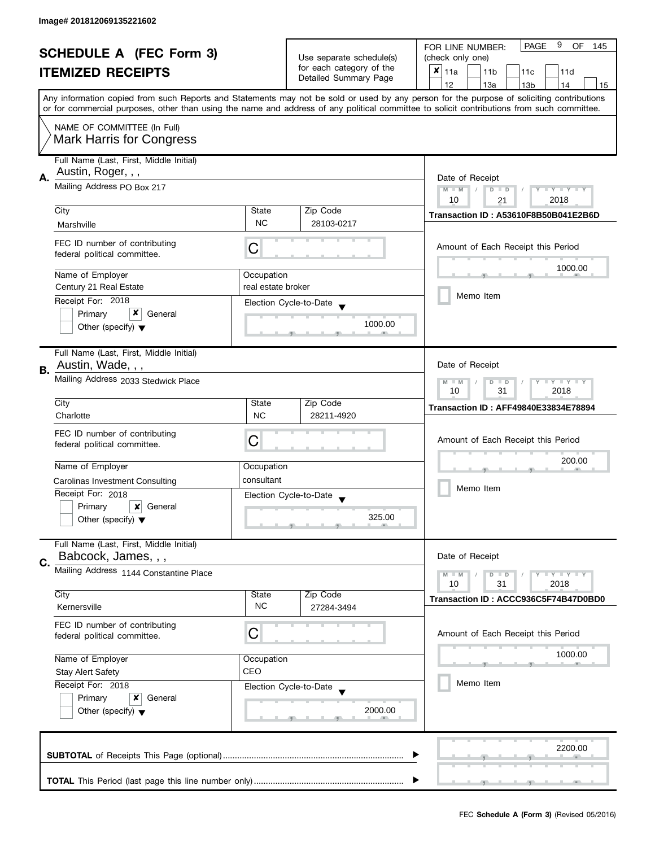| <b>SCHEDULE A (FEC Form 3)</b> |                                                      |                          | 9<br><b>PAGE</b><br>OF<br>FOR LINE NUMBER:<br>145 |                                                                                                                                            |  |
|--------------------------------|------------------------------------------------------|--------------------------|---------------------------------------------------|--------------------------------------------------------------------------------------------------------------------------------------------|--|
|                                |                                                      | Use separate schedule(s) | (check only one)                                  |                                                                                                                                            |  |
|                                | <b>ITEMIZED RECEIPTS</b>                             |                          | for each category of the                          | $x _{11a}$<br>11 <sub>b</sub><br>11c<br>11d                                                                                                |  |
|                                |                                                      |                          | Detailed Summary Page                             | 12<br>13a<br>13 <sub>b</sub><br>14<br>15                                                                                                   |  |
|                                |                                                      |                          |                                                   | Any information copied from such Reports and Statements may not be sold or used by any person for the purpose of soliciting contributions  |  |
|                                |                                                      |                          |                                                   | or for commercial purposes, other than using the name and address of any political committee to solicit contributions from such committee. |  |
|                                | NAME OF COMMITTEE (In Full)                          |                          |                                                   |                                                                                                                                            |  |
|                                | <b>Mark Harris for Congress</b>                      |                          |                                                   |                                                                                                                                            |  |
|                                |                                                      |                          |                                                   |                                                                                                                                            |  |
|                                | Full Name (Last, First, Middle Initial)              |                          |                                                   |                                                                                                                                            |  |
| Α.                             | Austin, Roger, , ,                                   | Date of Receipt          |                                                   |                                                                                                                                            |  |
|                                | Mailing Address PO Box 217                           |                          |                                                   | $M - M$<br>$T - Y = Y - T Y$<br>$D$ $D$<br>Ÿ.                                                                                              |  |
|                                |                                                      |                          |                                                   | 10<br>2018<br>21                                                                                                                           |  |
|                                | City                                                 | State                    | Zip Code                                          | Transaction ID: A53610F8B50B041E2B6D                                                                                                       |  |
|                                | Marshville                                           | <b>NC</b>                | 28103-0217                                        |                                                                                                                                            |  |
|                                | FEC ID number of contributing                        |                          |                                                   | Amount of Each Receipt this Period                                                                                                         |  |
|                                | federal political committee.                         | C                        |                                                   |                                                                                                                                            |  |
|                                |                                                      |                          |                                                   | 1000.00                                                                                                                                    |  |
|                                | Name of Employer<br>Century 21 Real Estate           | Occupation               |                                                   |                                                                                                                                            |  |
|                                |                                                      | real estate broker       |                                                   | Memo Item                                                                                                                                  |  |
|                                | Receipt For: 2018                                    |                          | Election Cycle-to-Date                            |                                                                                                                                            |  |
|                                | x<br>Primary<br>General                              |                          | 1000.00                                           |                                                                                                                                            |  |
|                                | Other (specify) $\blacktriangledown$                 |                          |                                                   |                                                                                                                                            |  |
|                                |                                                      |                          |                                                   |                                                                                                                                            |  |
|                                | Full Name (Last, First, Middle Initial)              |                          |                                                   |                                                                                                                                            |  |
| В.                             | Austin, Wade, , ,                                    |                          |                                                   | Date of Receipt                                                                                                                            |  |
|                                | Mailing Address 2033 Stedwick Place                  |                          |                                                   | Y LY LY<br>$M - M$<br>$\overline{D}$<br>$\Box$                                                                                             |  |
|                                | City                                                 | State                    | Zip Code                                          | 31<br>2018<br>10                                                                                                                           |  |
|                                | Charlotte                                            | <b>NC</b>                | 28211-4920                                        | <b>Transaction ID: AFF49840E33834E78894</b>                                                                                                |  |
|                                |                                                      |                          |                                                   |                                                                                                                                            |  |
|                                | FEC ID number of contributing                        | C                        |                                                   | Amount of Each Receipt this Period                                                                                                         |  |
|                                | federal political committee.                         |                          |                                                   |                                                                                                                                            |  |
|                                | Name of Employer                                     | Occupation               |                                                   | 200.00                                                                                                                                     |  |
|                                |                                                      | consultant               |                                                   | Memo Item                                                                                                                                  |  |
|                                | Carolinas Investment Consulting<br>Receipt For: 2018 |                          |                                                   |                                                                                                                                            |  |
|                                | Primary<br>$\boldsymbol{x}$<br>General               |                          | Election Cycle-to-Date                            |                                                                                                                                            |  |
|                                | Other (specify) $\blacktriangledown$                 |                          | 325.00                                            |                                                                                                                                            |  |
|                                |                                                      |                          |                                                   |                                                                                                                                            |  |
|                                | Full Name (Last, First, Middle Initial)              |                          |                                                   |                                                                                                                                            |  |
|                                | Babcock, James, , ,                                  |                          |                                                   | Date of Receipt                                                                                                                            |  |
| C.                             | Mailing Address 1144 Constantine Place               |                          |                                                   | Y LY LY<br>$M - M$<br>$D$ $D$                                                                                                              |  |
|                                |                                                      |                          |                                                   | 31<br>2018<br>10                                                                                                                           |  |
|                                | City                                                 | State                    | Zip Code                                          | Transaction ID: ACCC936C5F74B47D0BD0                                                                                                       |  |
|                                | Kernersville                                         | <b>NC</b>                | 27284-3494                                        |                                                                                                                                            |  |
|                                | FEC ID number of contributing                        |                          |                                                   |                                                                                                                                            |  |
|                                | federal political committee.                         | С                        |                                                   | Amount of Each Receipt this Period                                                                                                         |  |
|                                |                                                      |                          |                                                   |                                                                                                                                            |  |
|                                | Name of Employer                                     | Occupation               |                                                   | 1000.00                                                                                                                                    |  |
|                                | <b>Stay Alert Safety</b>                             | CEO                      |                                                   |                                                                                                                                            |  |
|                                | Receipt For: 2018                                    |                          | Election Cycle-to-Date                            | Memo Item                                                                                                                                  |  |
|                                | Primary<br>General<br>x                              |                          |                                                   |                                                                                                                                            |  |
|                                | Other (specify) $\blacktriangledown$                 |                          | 2000.00                                           |                                                                                                                                            |  |
|                                |                                                      |                          |                                                   |                                                                                                                                            |  |
|                                |                                                      |                          |                                                   |                                                                                                                                            |  |
|                                |                                                      |                          |                                                   | 2200.00                                                                                                                                    |  |
|                                |                                                      |                          |                                                   |                                                                                                                                            |  |
|                                |                                                      |                          |                                                   |                                                                                                                                            |  |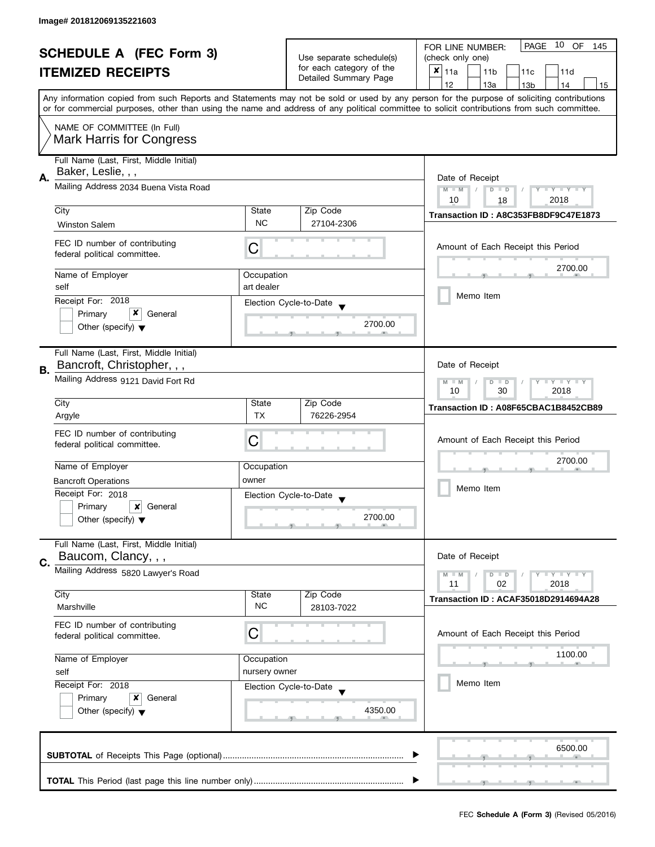|                                |                                                                       |                          | 10<br><b>PAGE</b><br>OF<br>FOR LINE NUMBER:<br>145 |                                                                                                                                            |  |
|--------------------------------|-----------------------------------------------------------------------|--------------------------|----------------------------------------------------|--------------------------------------------------------------------------------------------------------------------------------------------|--|
| <b>SCHEDULE A (FEC Form 3)</b> |                                                                       | Use separate schedule(s) | (check only one)                                   |                                                                                                                                            |  |
|                                | <b>ITEMIZED RECEIPTS</b>                                              |                          | for each category of the                           | $x _{11a}$<br>11 <sub>b</sub><br>11c<br>11d                                                                                                |  |
|                                |                                                                       |                          | Detailed Summary Page                              | 12<br>13a<br>14<br>13 <sub>b</sub><br>15                                                                                                   |  |
|                                |                                                                       |                          |                                                    | Any information copied from such Reports and Statements may not be sold or used by any person for the purpose of soliciting contributions  |  |
|                                |                                                                       |                          |                                                    | or for commercial purposes, other than using the name and address of any political committee to solicit contributions from such committee. |  |
|                                | NAME OF COMMITTEE (In Full)                                           |                          |                                                    |                                                                                                                                            |  |
|                                | <b>Mark Harris for Congress</b>                                       |                          |                                                    |                                                                                                                                            |  |
|                                | Full Name (Last, First, Middle Initial)                               |                          |                                                    |                                                                                                                                            |  |
|                                | Baker, Leslie, , ,                                                    |                          |                                                    |                                                                                                                                            |  |
| А.                             | Mailing Address 2034 Buena Vista Road                                 | Date of Receipt          |                                                    |                                                                                                                                            |  |
|                                |                                                                       |                          |                                                    | $M - M$<br>Y TY TY TY<br>$D$ $D$<br>10<br>2018<br>18                                                                                       |  |
|                                | City                                                                  | State                    | Zip Code                                           | Transaction ID: A8C353FB8DF9C47E1873                                                                                                       |  |
|                                | <b>Winston Salem</b>                                                  | <b>NC</b>                | 27104-2306                                         |                                                                                                                                            |  |
|                                |                                                                       |                          |                                                    |                                                                                                                                            |  |
|                                | FEC ID number of contributing<br>federal political committee.         | C                        |                                                    | Amount of Each Receipt this Period                                                                                                         |  |
|                                |                                                                       |                          |                                                    | 2700.00                                                                                                                                    |  |
|                                | Name of Employer                                                      | Occupation               |                                                    |                                                                                                                                            |  |
|                                | self                                                                  | art dealer               |                                                    | Memo Item                                                                                                                                  |  |
|                                | Receipt For: 2018                                                     |                          | Election Cycle-to-Date                             |                                                                                                                                            |  |
|                                | x<br>Primary<br>General                                               |                          | 2700.00                                            |                                                                                                                                            |  |
|                                | Other (specify) $\blacktriangledown$                                  |                          |                                                    |                                                                                                                                            |  |
|                                |                                                                       |                          |                                                    |                                                                                                                                            |  |
|                                | Full Name (Last, First, Middle Initial)<br>Bancroft, Christopher, , , |                          |                                                    | Date of Receipt                                                                                                                            |  |
| В.                             |                                                                       |                          |                                                    |                                                                                                                                            |  |
|                                | Mailing Address 9121 David Fort Rd                                    |                          |                                                    | $Y = Y + Y$<br>D<br>$\Box$<br>$M - M$<br>30<br>10<br>2018                                                                                  |  |
|                                | City                                                                  | State                    | Zip Code                                           |                                                                                                                                            |  |
|                                | Argyle                                                                | <b>TX</b>                | 76226-2954                                         | Transaction ID: A08F65CBAC1B8452CB89                                                                                                       |  |
|                                |                                                                       |                          |                                                    |                                                                                                                                            |  |
|                                | FEC ID number of contributing<br>federal political committee.         | С                        |                                                    | Amount of Each Receipt this Period                                                                                                         |  |
|                                |                                                                       |                          |                                                    |                                                                                                                                            |  |
|                                | Name of Employer                                                      | Occupation               |                                                    | 2700.00<br>Memo Item                                                                                                                       |  |
|                                | <b>Bancroft Operations</b>                                            | owner                    |                                                    |                                                                                                                                            |  |
|                                | Receipt For: 2018                                                     |                          | Election Cycle-to-Date                             |                                                                                                                                            |  |
|                                | Primary<br>×<br>General                                               |                          |                                                    |                                                                                                                                            |  |
|                                | Other (specify) $\blacktriangledown$                                  |                          | 2700.00                                            |                                                                                                                                            |  |
|                                | Full Name (Last, First, Middle Initial)                               |                          |                                                    |                                                                                                                                            |  |
|                                | Baucom, Clancy, , ,                                                   |                          |                                                    | Date of Receipt                                                                                                                            |  |
| C.                             | Mailing Address 5820 Lawyer's Road                                    |                          |                                                    |                                                                                                                                            |  |
|                                |                                                                       |                          |                                                    | $Y = Y = Y$<br>$M - M$<br>$D$ $D$<br>02<br>2018<br>11                                                                                      |  |
|                                | City                                                                  | State                    | Zip Code                                           | <b>Transaction ID: ACAF35018D2914694A28</b>                                                                                                |  |
|                                | Marshville                                                            | <b>NC</b>                | 28103-7022                                         |                                                                                                                                            |  |
|                                | FEC ID number of contributing                                         |                          |                                                    |                                                                                                                                            |  |
|                                | federal political committee.                                          | С                        |                                                    | Amount of Each Receipt this Period                                                                                                         |  |
|                                |                                                                       |                          |                                                    | 1100.00                                                                                                                                    |  |
|                                | Name of Employer                                                      | Occupation               |                                                    |                                                                                                                                            |  |
|                                | self                                                                  | nursery owner            |                                                    | Memo Item                                                                                                                                  |  |
|                                | Receipt For: 2018                                                     |                          | Election Cycle-to-Date                             |                                                                                                                                            |  |
|                                | Primary<br>x<br>General<br>Other (specify) $\blacktriangledown$       |                          | 4350.00                                            |                                                                                                                                            |  |
|                                |                                                                       |                          |                                                    |                                                                                                                                            |  |
|                                |                                                                       |                          |                                                    |                                                                                                                                            |  |
|                                |                                                                       |                          |                                                    | 6500.00                                                                                                                                    |  |
|                                |                                                                       |                          |                                                    |                                                                                                                                            |  |
|                                |                                                                       |                          |                                                    |                                                                                                                                            |  |
|                                |                                                                       |                          |                                                    |                                                                                                                                            |  |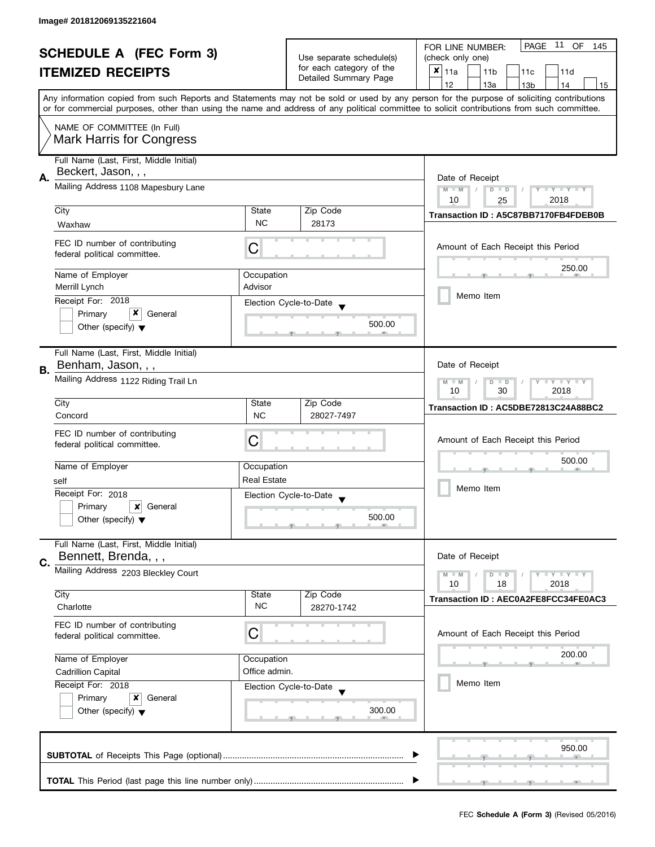| <b>SCHEDULE A (FEC Form 3)</b> |                                                                |                                                      | PAGE<br>11 OF<br>FOR LINE NUMBER:<br>145 |                                                                                                                                                                                                                                                                                         |  |  |
|--------------------------------|----------------------------------------------------------------|------------------------------------------------------|------------------------------------------|-----------------------------------------------------------------------------------------------------------------------------------------------------------------------------------------------------------------------------------------------------------------------------------------|--|--|
|                                |                                                                | Use separate schedule(s)<br>for each category of the | (check only one)                         |                                                                                                                                                                                                                                                                                         |  |  |
|                                | <b>ITEMIZED RECEIPTS</b>                                       |                                                      | Detailed Summary Page                    | $x _{11a}$<br>11 <sub>b</sub><br>11c<br>11d                                                                                                                                                                                                                                             |  |  |
|                                |                                                                |                                                      |                                          | 12<br>13a<br>14<br>13 <sub>b</sub><br>15                                                                                                                                                                                                                                                |  |  |
|                                |                                                                |                                                      |                                          | Any information copied from such Reports and Statements may not be sold or used by any person for the purpose of soliciting contributions<br>or for commercial purposes, other than using the name and address of any political committee to solicit contributions from such committee. |  |  |
|                                | NAME OF COMMITTEE (In Full)                                    |                                                      |                                          |                                                                                                                                                                                                                                                                                         |  |  |
|                                | <b>Mark Harris for Congress</b>                                |                                                      |                                          |                                                                                                                                                                                                                                                                                         |  |  |
|                                | Full Name (Last, First, Middle Initial)<br>Beckert, Jason, , , |                                                      |                                          |                                                                                                                                                                                                                                                                                         |  |  |
| А.                             | Mailing Address 1108 Mapesbury Lane                            | Date of Receipt<br>$M - M$<br>Y TY TY TY             |                                          |                                                                                                                                                                                                                                                                                         |  |  |
|                                |                                                                |                                                      |                                          | $D$ $D$<br>10<br>2018<br>25                                                                                                                                                                                                                                                             |  |  |
|                                | City                                                           | State                                                | Zip Code                                 | Transaction ID: A5C87BB7170FB4FDEB0B                                                                                                                                                                                                                                                    |  |  |
|                                | Waxhaw                                                         | <b>NC</b>                                            | 28173                                    |                                                                                                                                                                                                                                                                                         |  |  |
|                                | FEC ID number of contributing                                  |                                                      |                                          |                                                                                                                                                                                                                                                                                         |  |  |
|                                | federal political committee.                                   | С                                                    |                                          | Amount of Each Receipt this Period                                                                                                                                                                                                                                                      |  |  |
|                                | Name of Employer                                               | Occupation                                           |                                          | 250.00                                                                                                                                                                                                                                                                                  |  |  |
|                                | Merrill Lynch                                                  | Advisor                                              |                                          |                                                                                                                                                                                                                                                                                         |  |  |
|                                | Receipt For: 2018                                              |                                                      | Election Cycle-to-Date                   | Memo Item                                                                                                                                                                                                                                                                               |  |  |
|                                | x<br>Primary<br>General                                        |                                                      |                                          |                                                                                                                                                                                                                                                                                         |  |  |
|                                | Other (specify) $\blacktriangledown$                           |                                                      | 500.00                                   |                                                                                                                                                                                                                                                                                         |  |  |
|                                |                                                                |                                                      |                                          |                                                                                                                                                                                                                                                                                         |  |  |
|                                | Full Name (Last, First, Middle Initial)                        |                                                      |                                          |                                                                                                                                                                                                                                                                                         |  |  |
| В.                             | Benham, Jason, , ,                                             |                                                      |                                          | Date of Receipt<br>$Y = Y + Y$<br>$M - M$                                                                                                                                                                                                                                               |  |  |
|                                | Mailing Address 1122 Riding Trail Ln                           |                                                      |                                          |                                                                                                                                                                                                                                                                                         |  |  |
|                                | City                                                           | State                                                | Zip Code                                 | 2018<br>10<br>30<br>Transaction ID: AC5DBE72813C24A88BC2                                                                                                                                                                                                                                |  |  |
|                                | Concord                                                        | <b>NC</b>                                            | 28027-7497                               |                                                                                                                                                                                                                                                                                         |  |  |
|                                | FEC ID number of contributing                                  |                                                      |                                          |                                                                                                                                                                                                                                                                                         |  |  |
|                                | federal political committee.                                   | С                                                    |                                          | Amount of Each Receipt this Period                                                                                                                                                                                                                                                      |  |  |
|                                | Name of Employer                                               | Occupation                                           |                                          | 500.00                                                                                                                                                                                                                                                                                  |  |  |
|                                | self                                                           | <b>Real Estate</b>                                   |                                          | Memo Item                                                                                                                                                                                                                                                                               |  |  |
|                                | Receipt For: 2018                                              |                                                      | Election Cycle-to-Date                   |                                                                                                                                                                                                                                                                                         |  |  |
|                                | Primary<br>×<br>General                                        |                                                      |                                          |                                                                                                                                                                                                                                                                                         |  |  |
|                                | Other (specify) $\blacktriangledown$                           |                                                      | 500.00                                   |                                                                                                                                                                                                                                                                                         |  |  |
|                                |                                                                |                                                      |                                          |                                                                                                                                                                                                                                                                                         |  |  |
|                                | Full Name (Last, First, Middle Initial)                        |                                                      |                                          |                                                                                                                                                                                                                                                                                         |  |  |
| C.                             | Bennett, Brenda, , ,                                           |                                                      |                                          | Date of Receipt                                                                                                                                                                                                                                                                         |  |  |
|                                | Mailing Address 2203 Bleckley Court                            |                                                      |                                          | $Y = Y + Y$<br>$M - M$<br>$D$ $D$<br>10<br>18<br>2018                                                                                                                                                                                                                                   |  |  |
|                                | City                                                           | State                                                | Zip Code                                 | Transaction ID: AEC0A2FE8FCC34FE0AC3                                                                                                                                                                                                                                                    |  |  |
|                                | Charlotte                                                      | <b>NC</b>                                            | 28270-1742                               |                                                                                                                                                                                                                                                                                         |  |  |
|                                | FEC ID number of contributing                                  |                                                      |                                          |                                                                                                                                                                                                                                                                                         |  |  |
|                                | federal political committee.                                   | C                                                    |                                          | Amount of Each Receipt this Period                                                                                                                                                                                                                                                      |  |  |
|                                | Name of Employer                                               | Occupation                                           |                                          | 200.00                                                                                                                                                                                                                                                                                  |  |  |
|                                | <b>Cadrillion Capital</b>                                      | Office admin.                                        |                                          |                                                                                                                                                                                                                                                                                         |  |  |
|                                | Receipt For: 2018                                              |                                                      | Election Cycle-to-Date                   | Memo Item                                                                                                                                                                                                                                                                               |  |  |
|                                | Primary<br>x<br>General                                        |                                                      |                                          |                                                                                                                                                                                                                                                                                         |  |  |
|                                | Other (specify) $\blacktriangledown$                           |                                                      | 300.00                                   |                                                                                                                                                                                                                                                                                         |  |  |
|                                |                                                                |                                                      |                                          |                                                                                                                                                                                                                                                                                         |  |  |
|                                |                                                                |                                                      |                                          |                                                                                                                                                                                                                                                                                         |  |  |
|                                |                                                                |                                                      |                                          | 950.00                                                                                                                                                                                                                                                                                  |  |  |
|                                |                                                                |                                                      |                                          |                                                                                                                                                                                                                                                                                         |  |  |
|                                |                                                                |                                                      |                                          |                                                                                                                                                                                                                                                                                         |  |  |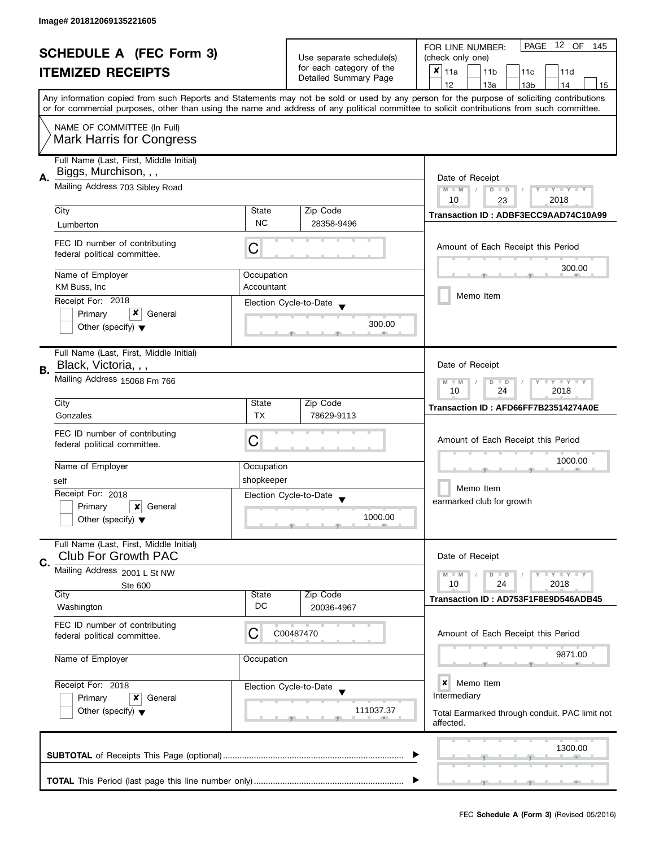| <b>SCHEDULE A (FEC Form 3)</b><br><b>ITEMIZED RECEIPTS</b> |                                                                       | Use separate schedule(s)                                                         | 12 OF<br>PAGE<br>FOR LINE NUMBER:<br>145  |                                                                                                                                                                                                                                                                                         |
|------------------------------------------------------------|-----------------------------------------------------------------------|----------------------------------------------------------------------------------|-------------------------------------------|-----------------------------------------------------------------------------------------------------------------------------------------------------------------------------------------------------------------------------------------------------------------------------------------|
|                                                            |                                                                       |                                                                                  | (check only one)                          |                                                                                                                                                                                                                                                                                         |
|                                                            |                                                                       | for each category of the<br>Detailed Summary Page                                | ×<br>11a<br>11 <sub>b</sub><br>11c<br>11d |                                                                                                                                                                                                                                                                                         |
|                                                            |                                                                       |                                                                                  |                                           | 12<br>13a<br>13 <sub>b</sub><br>14<br>15                                                                                                                                                                                                                                                |
|                                                            |                                                                       |                                                                                  |                                           | Any information copied from such Reports and Statements may not be sold or used by any person for the purpose of soliciting contributions<br>or for commercial purposes, other than using the name and address of any political committee to solicit contributions from such committee. |
|                                                            | NAME OF COMMITTEE (In Full)                                           |                                                                                  |                                           |                                                                                                                                                                                                                                                                                         |
|                                                            | <b>Mark Harris for Congress</b>                                       |                                                                                  |                                           |                                                                                                                                                                                                                                                                                         |
|                                                            | Full Name (Last, First, Middle Initial)<br>Biggs, Murchison, , ,      |                                                                                  |                                           |                                                                                                                                                                                                                                                                                         |
| А.                                                         | Mailing Address 703 Sibley Road                                       | Date of Receipt<br>$M - M$<br>$Y - Y - Y - Y - Y$<br>$D$ $D$<br>2018<br>10<br>23 |                                           |                                                                                                                                                                                                                                                                                         |
|                                                            | City                                                                  | State                                                                            | Zip Code                                  |                                                                                                                                                                                                                                                                                         |
|                                                            | Lumberton                                                             | <b>NC</b>                                                                        | 28358-9496                                | Transaction ID: ADBF3ECC9AAD74C10A99                                                                                                                                                                                                                                                    |
|                                                            |                                                                       |                                                                                  |                                           |                                                                                                                                                                                                                                                                                         |
|                                                            | FEC ID number of contributing<br>federal political committee.         | С                                                                                |                                           | Amount of Each Receipt this Period                                                                                                                                                                                                                                                      |
|                                                            | Name of Employer                                                      | Occupation                                                                       |                                           | 300.00                                                                                                                                                                                                                                                                                  |
|                                                            | KM Buss, Inc.                                                         | Accountant                                                                       |                                           |                                                                                                                                                                                                                                                                                         |
|                                                            | Receipt For: 2018                                                     |                                                                                  | Election Cycle-to-Date                    | Memo Item                                                                                                                                                                                                                                                                               |
|                                                            | x<br>Primary<br>General                                               |                                                                                  |                                           |                                                                                                                                                                                                                                                                                         |
|                                                            | Other (specify) $\blacktriangledown$                                  |                                                                                  | 300.00                                    |                                                                                                                                                                                                                                                                                         |
|                                                            | Full Name (Last, First, Middle Initial)                               |                                                                                  |                                           |                                                                                                                                                                                                                                                                                         |
|                                                            | Black, Victoria, , ,                                                  |                                                                                  |                                           | Date of Receipt                                                                                                                                                                                                                                                                         |
| В.                                                         | Mailing Address 15068 Fm 766                                          |                                                                                  |                                           |                                                                                                                                                                                                                                                                                         |
|                                                            |                                                                       |                                                                                  |                                           | $Y = Y + Y$<br>$M - M$<br>D<br>$\blacksquare$<br>24<br>2018<br>10                                                                                                                                                                                                                       |
|                                                            | City                                                                  | State                                                                            | Zip Code                                  |                                                                                                                                                                                                                                                                                         |
|                                                            | Gonzales                                                              | <b>TX</b>                                                                        | 78629-9113                                | Transaction ID: AFD66FF7B23514274A0E                                                                                                                                                                                                                                                    |
|                                                            |                                                                       |                                                                                  |                                           |                                                                                                                                                                                                                                                                                         |
|                                                            | FEC ID number of contributing<br>federal political committee.         | C                                                                                |                                           | Amount of Each Receipt this Period                                                                                                                                                                                                                                                      |
|                                                            |                                                                       |                                                                                  |                                           |                                                                                                                                                                                                                                                                                         |
|                                                            | Name of Employer                                                      | Occupation                                                                       |                                           | 1000.00                                                                                                                                                                                                                                                                                 |
|                                                            | self                                                                  | shopkeeper                                                                       |                                           |                                                                                                                                                                                                                                                                                         |
|                                                            | Receipt For: 2018                                                     |                                                                                  | Election Cycle-to-Date                    | Memo Item                                                                                                                                                                                                                                                                               |
|                                                            | Primary<br>×<br>General                                               |                                                                                  | $\overline{\mathbf{v}}$                   | earmarked club for growth                                                                                                                                                                                                                                                               |
|                                                            | Other (specify) $\blacktriangledown$                                  |                                                                                  | 1000.00                                   |                                                                                                                                                                                                                                                                                         |
|                                                            |                                                                       |                                                                                  |                                           |                                                                                                                                                                                                                                                                                         |
|                                                            | Full Name (Last, First, Middle Initial)<br><b>Club For Growth PAC</b> |                                                                                  |                                           | Date of Receipt                                                                                                                                                                                                                                                                         |
| C.                                                         | Mailing Address 2001 L St NW                                          |                                                                                  |                                           |                                                                                                                                                                                                                                                                                         |
|                                                            |                                                                       |                                                                                  |                                           | $Y = Y = Y$<br>$M - M$<br>$D$ $D$<br>10<br>24<br>2018                                                                                                                                                                                                                                   |
|                                                            | Ste 600<br>City                                                       | State                                                                            | Zip Code                                  |                                                                                                                                                                                                                                                                                         |
|                                                            | Washington                                                            | DC                                                                               | 20036-4967                                | Transaction ID: AD753F1F8E9D546ADB45                                                                                                                                                                                                                                                    |
|                                                            | FEC ID number of contributing                                         | C                                                                                | C00487470                                 | Amount of Each Receipt this Period                                                                                                                                                                                                                                                      |
|                                                            | federal political committee.                                          |                                                                                  |                                           |                                                                                                                                                                                                                                                                                         |
|                                                            | Name of Employer                                                      | Occupation                                                                       |                                           | 9871.00                                                                                                                                                                                                                                                                                 |
|                                                            |                                                                       |                                                                                  |                                           |                                                                                                                                                                                                                                                                                         |
|                                                            | Receipt For: 2018                                                     |                                                                                  | Election Cycle-to-Date                    | ×<br>Memo Item                                                                                                                                                                                                                                                                          |
|                                                            | Primary<br>x<br>General                                               |                                                                                  |                                           | Intermediary                                                                                                                                                                                                                                                                            |
|                                                            | Other (specify) $\blacktriangledown$                                  |                                                                                  | 111037.37                                 | Total Earmarked through conduit. PAC limit not                                                                                                                                                                                                                                          |
|                                                            |                                                                       |                                                                                  |                                           | affected.                                                                                                                                                                                                                                                                               |
|                                                            |                                                                       |                                                                                  |                                           | 1300.00                                                                                                                                                                                                                                                                                 |
|                                                            |                                                                       |                                                                                  |                                           |                                                                                                                                                                                                                                                                                         |
|                                                            |                                                                       |                                                                                  |                                           |                                                                                                                                                                                                                                                                                         |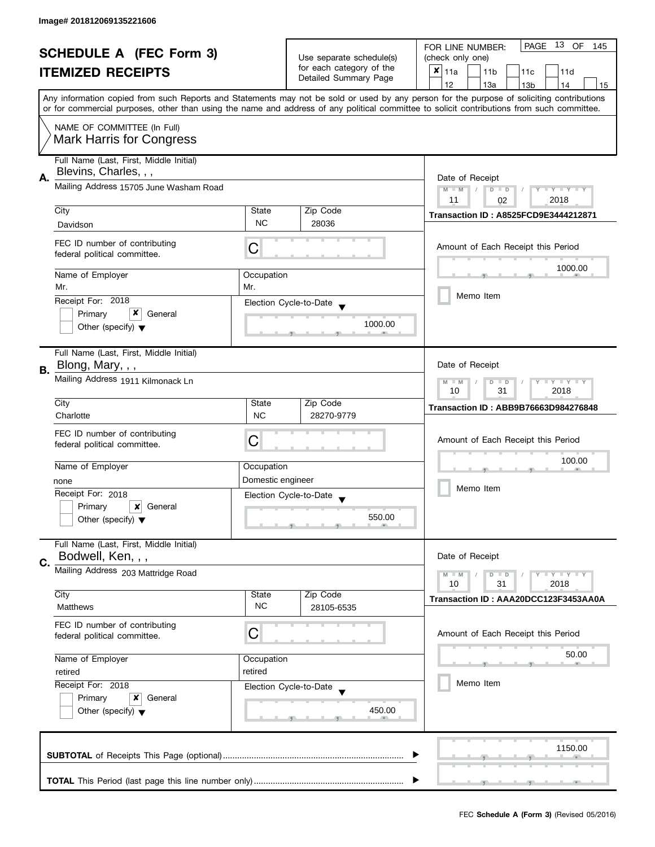| <b>SCHEDULE A (FEC Form 3)</b> |                                                                  |                                                                              |                                                   | PAGE 13 OF<br>FOR LINE NUMBER:<br>145                                                                                                                                                                                                                                                   |  |  |
|--------------------------------|------------------------------------------------------------------|------------------------------------------------------------------------------|---------------------------------------------------|-----------------------------------------------------------------------------------------------------------------------------------------------------------------------------------------------------------------------------------------------------------------------------------------|--|--|
| <b>ITEMIZED RECEIPTS</b>       |                                                                  |                                                                              | Use separate schedule(s)                          | (check only one)                                                                                                                                                                                                                                                                        |  |  |
|                                |                                                                  |                                                                              | for each category of the<br>Detailed Summary Page | $x _{11a}$<br>11 <sub>b</sub><br>11c<br>11d                                                                                                                                                                                                                                             |  |  |
|                                |                                                                  |                                                                              |                                                   | 12<br>13a<br>14<br>13 <sub>b</sub><br>15                                                                                                                                                                                                                                                |  |  |
|                                |                                                                  |                                                                              |                                                   | Any information copied from such Reports and Statements may not be sold or used by any person for the purpose of soliciting contributions<br>or for commercial purposes, other than using the name and address of any political committee to solicit contributions from such committee. |  |  |
|                                | NAME OF COMMITTEE (In Full)                                      |                                                                              |                                                   |                                                                                                                                                                                                                                                                                         |  |  |
|                                | <b>Mark Harris for Congress</b>                                  |                                                                              |                                                   |                                                                                                                                                                                                                                                                                         |  |  |
|                                | Full Name (Last, First, Middle Initial)<br>Blevins, Charles, , , |                                                                              |                                                   |                                                                                                                                                                                                                                                                                         |  |  |
| А.                             | Mailing Address 15705 June Washam Road                           | Date of Receipt<br>$Y - Y - Y - Y$<br>$M - M$<br>$D$ $D$<br>2018<br>11<br>02 |                                                   |                                                                                                                                                                                                                                                                                         |  |  |
|                                | City                                                             | State                                                                        | Zip Code                                          |                                                                                                                                                                                                                                                                                         |  |  |
|                                | Davidson                                                         | <b>NC</b>                                                                    | 28036                                             | <b>Transaction ID: A8525FCD9E3444212871</b>                                                                                                                                                                                                                                             |  |  |
|                                |                                                                  |                                                                              |                                                   |                                                                                                                                                                                                                                                                                         |  |  |
|                                | FEC ID number of contributing<br>federal political committee.    | C                                                                            |                                                   | Amount of Each Receipt this Period                                                                                                                                                                                                                                                      |  |  |
|                                | Name of Employer<br>Mr.                                          | Occupation<br>Mr.                                                            |                                                   | 1000.00                                                                                                                                                                                                                                                                                 |  |  |
|                                | Receipt For: 2018                                                |                                                                              | Election Cycle-to-Date                            | Memo Item                                                                                                                                                                                                                                                                               |  |  |
|                                | x<br>Primary<br>General                                          |                                                                              |                                                   |                                                                                                                                                                                                                                                                                         |  |  |
|                                | Other (specify) $\blacktriangledown$                             |                                                                              | 1000.00                                           |                                                                                                                                                                                                                                                                                         |  |  |
|                                | Full Name (Last, First, Middle Initial)                          |                                                                              |                                                   |                                                                                                                                                                                                                                                                                         |  |  |
| В.                             | Blong, Mary, , ,                                                 |                                                                              |                                                   | Date of Receipt                                                                                                                                                                                                                                                                         |  |  |
|                                | Mailing Address 1911 Kilmonack Ln                                | Y LY LY<br>$M - M$<br>$\overline{D}$<br>$\Box$<br>31<br>2018<br>10           |                                                   |                                                                                                                                                                                                                                                                                         |  |  |
|                                | City                                                             | State                                                                        | Zip Code                                          | <b>Transaction ID: ABB9B76663D984276848</b>                                                                                                                                                                                                                                             |  |  |
|                                | Charlotte                                                        | <b>NC</b>                                                                    | 28270-9779                                        |                                                                                                                                                                                                                                                                                         |  |  |
|                                | FEC ID number of contributing                                    |                                                                              |                                                   |                                                                                                                                                                                                                                                                                         |  |  |
|                                | federal political committee.                                     | С                                                                            |                                                   | Amount of Each Receipt this Period                                                                                                                                                                                                                                                      |  |  |
|                                |                                                                  |                                                                              |                                                   | 100.00                                                                                                                                                                                                                                                                                  |  |  |
|                                | Name of Employer                                                 | Occupation                                                                   |                                                   |                                                                                                                                                                                                                                                                                         |  |  |
|                                | none                                                             | Domestic engineer                                                            |                                                   | Memo Item                                                                                                                                                                                                                                                                               |  |  |
|                                | Receipt For: 2018                                                |                                                                              | Election Cycle-to-Date                            |                                                                                                                                                                                                                                                                                         |  |  |
|                                | Primary<br>×<br>General                                          |                                                                              |                                                   |                                                                                                                                                                                                                                                                                         |  |  |
|                                | Other (specify) $\blacktriangledown$                             |                                                                              | 550.00                                            |                                                                                                                                                                                                                                                                                         |  |  |
|                                | Full Name (Last, First, Middle Initial)                          |                                                                              |                                                   |                                                                                                                                                                                                                                                                                         |  |  |
| C.                             | Bodwell, Ken, , ,                                                |                                                                              |                                                   | Date of Receipt                                                                                                                                                                                                                                                                         |  |  |
|                                | Mailing Address 203 Mattridge Road                               |                                                                              |                                                   | Y LY LY<br>$M - M$<br>$D$ $D$                                                                                                                                                                                                                                                           |  |  |
|                                | City                                                             | State                                                                        | Zip Code                                          | 10<br>31<br>2018                                                                                                                                                                                                                                                                        |  |  |
|                                | Matthews                                                         | <b>NC</b>                                                                    | 28105-6535                                        | Transaction ID: AAA20DCC123F3453AA0A                                                                                                                                                                                                                                                    |  |  |
|                                | FEC ID number of contributing                                    |                                                                              |                                                   |                                                                                                                                                                                                                                                                                         |  |  |
|                                | federal political committee.                                     | С                                                                            |                                                   | Amount of Each Receipt this Period                                                                                                                                                                                                                                                      |  |  |
|                                | Name of Employer                                                 | Occupation                                                                   |                                                   | 50.00                                                                                                                                                                                                                                                                                   |  |  |
|                                | retired<br>retired                                               |                                                                              |                                                   |                                                                                                                                                                                                                                                                                         |  |  |
|                                | Receipt For: 2018                                                |                                                                              | Election Cycle-to-Date                            | Memo Item                                                                                                                                                                                                                                                                               |  |  |
|                                | Primary<br>x<br>General                                          |                                                                              |                                                   |                                                                                                                                                                                                                                                                                         |  |  |
|                                | Other (specify) $\blacktriangledown$                             |                                                                              | 450.00                                            |                                                                                                                                                                                                                                                                                         |  |  |
|                                |                                                                  |                                                                              |                                                   |                                                                                                                                                                                                                                                                                         |  |  |
|                                |                                                                  |                                                                              |                                                   | 1150.00                                                                                                                                                                                                                                                                                 |  |  |
|                                |                                                                  |                                                                              |                                                   |                                                                                                                                                                                                                                                                                         |  |  |
|                                |                                                                  |                                                                              |                                                   |                                                                                                                                                                                                                                                                                         |  |  |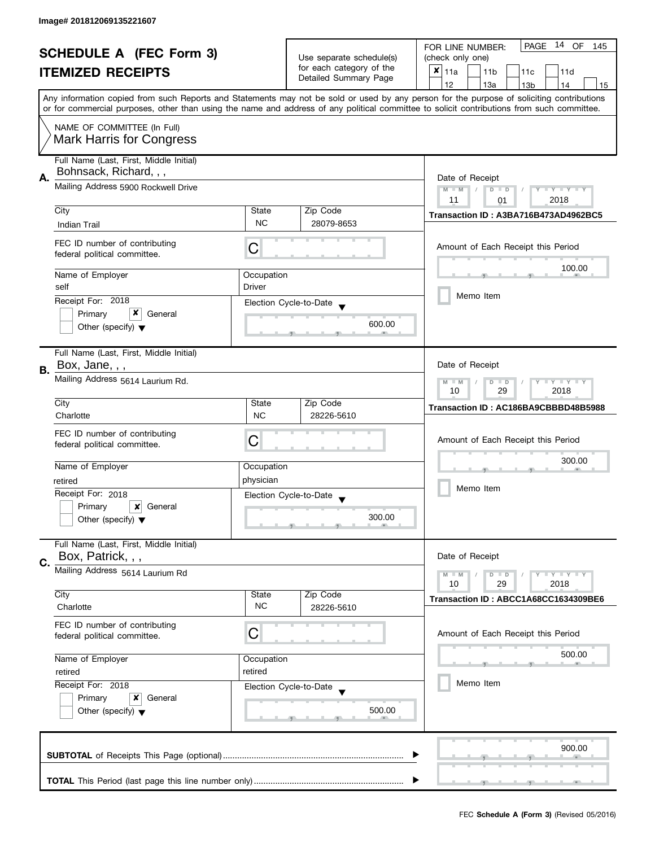| <b>SCHEDULE A (FEC Form 3)</b> |                                                                   |                                                                         | 14 OF<br><b>PAGE</b><br>FOR LINE NUMBER:<br>145    |                                                                                                                                                                                                                                                                                         |  |
|--------------------------------|-------------------------------------------------------------------|-------------------------------------------------------------------------|----------------------------------------------------|-----------------------------------------------------------------------------------------------------------------------------------------------------------------------------------------------------------------------------------------------------------------------------------------|--|
|                                |                                                                   |                                                                         | Use separate schedule(s)                           | (check only one)                                                                                                                                                                                                                                                                        |  |
|                                | <b>ITEMIZED RECEIPTS</b>                                          |                                                                         | for each category of the                           | $x _{11a}$<br>11 <sub>b</sub><br>11d<br>11c                                                                                                                                                                                                                                             |  |
|                                |                                                                   |                                                                         | Detailed Summary Page                              | 12<br>13a<br>13 <sub>b</sub><br>14<br>15                                                                                                                                                                                                                                                |  |
|                                |                                                                   |                                                                         |                                                    | Any information copied from such Reports and Statements may not be sold or used by any person for the purpose of soliciting contributions<br>or for commercial purposes, other than using the name and address of any political committee to solicit contributions from such committee. |  |
|                                |                                                                   |                                                                         |                                                    |                                                                                                                                                                                                                                                                                         |  |
|                                | NAME OF COMMITTEE (In Full)<br><b>Mark Harris for Congress</b>    |                                                                         |                                                    |                                                                                                                                                                                                                                                                                         |  |
| А.                             | Full Name (Last, First, Middle Initial)<br>Bohnsack, Richard, , , |                                                                         |                                                    |                                                                                                                                                                                                                                                                                         |  |
|                                | Mailing Address 5900 Rockwell Drive                               | Date of Receipt<br>Y TY TY TY<br>$M - M$<br>$D$ $D$<br>2018<br>11<br>01 |                                                    |                                                                                                                                                                                                                                                                                         |  |
|                                | City                                                              | State                                                                   | Zip Code                                           | Transaction ID: A3BA716B473AD4962BC5                                                                                                                                                                                                                                                    |  |
|                                | <b>Indian Trail</b>                                               | <b>NC</b>                                                               | 28079-8653                                         |                                                                                                                                                                                                                                                                                         |  |
|                                | FEC ID number of contributing<br>federal political committee.     | С                                                                       |                                                    | Amount of Each Receipt this Period                                                                                                                                                                                                                                                      |  |
|                                | Name of Employer                                                  | Occupation                                                              |                                                    | 100.00                                                                                                                                                                                                                                                                                  |  |
|                                | self                                                              | Driver                                                                  |                                                    |                                                                                                                                                                                                                                                                                         |  |
|                                | Receipt For: 2018                                                 |                                                                         |                                                    | Memo Item                                                                                                                                                                                                                                                                               |  |
|                                | x<br>Primary<br>General                                           |                                                                         | Election Cycle-to-Date                             |                                                                                                                                                                                                                                                                                         |  |
|                                | Other (specify) $\blacktriangledown$                              |                                                                         | 600.00                                             |                                                                                                                                                                                                                                                                                         |  |
|                                | Full Name (Last, First, Middle Initial)                           |                                                                         |                                                    |                                                                                                                                                                                                                                                                                         |  |
|                                | Box, Jane, , ,                                                    |                                                                         |                                                    | Date of Receipt                                                                                                                                                                                                                                                                         |  |
| В.                             | Mailing Address 5614 Laurium Rd.                                  |                                                                         |                                                    | $Y - Y - Y - Y - Y$<br>$M - M$<br>$D$ $D$<br>29<br>2018<br>10                                                                                                                                                                                                                           |  |
|                                | City                                                              | State                                                                   | Zip Code                                           | Transaction ID: AC186BA9CBBBD48B5988                                                                                                                                                                                                                                                    |  |
|                                | Charlotte                                                         | <b>NC</b>                                                               | 28226-5610                                         |                                                                                                                                                                                                                                                                                         |  |
|                                |                                                                   |                                                                         |                                                    |                                                                                                                                                                                                                                                                                         |  |
|                                | FEC ID number of contributing<br>federal political committee.     | С                                                                       |                                                    | Amount of Each Receipt this Period                                                                                                                                                                                                                                                      |  |
|                                |                                                                   |                                                                         |                                                    |                                                                                                                                                                                                                                                                                         |  |
|                                | Name of Employer                                                  | Occupation                                                              |                                                    | 300.00                                                                                                                                                                                                                                                                                  |  |
|                                | retired                                                           | physician                                                               |                                                    |                                                                                                                                                                                                                                                                                         |  |
|                                | Receipt For: 2018                                                 |                                                                         |                                                    | Memo Item                                                                                                                                                                                                                                                                               |  |
|                                |                                                                   |                                                                         | Election Cycle-to-Date<br>$\overline{\phantom{a}}$ |                                                                                                                                                                                                                                                                                         |  |
|                                | Primary<br>×<br>General                                           |                                                                         | 300.00                                             |                                                                                                                                                                                                                                                                                         |  |
|                                | Other (specify) $\blacktriangledown$                              |                                                                         |                                                    |                                                                                                                                                                                                                                                                                         |  |
| C.                             | Full Name (Last, First, Middle Initial)<br>Box, Patrick, , ,      |                                                                         |                                                    | Date of Receipt                                                                                                                                                                                                                                                                         |  |
|                                | Mailing Address 5614 Laurium Rd                                   |                                                                         |                                                    | <b>LYLYLY</b><br>$M - M$<br>$D$ $D$<br>10<br>29<br>2018                                                                                                                                                                                                                                 |  |
|                                | City                                                              | State                                                                   | Zip Code                                           |                                                                                                                                                                                                                                                                                         |  |
|                                | Charlotte                                                         | <b>NC</b>                                                               | 28226-5610                                         | Transaction ID: ABCC1A68CC1634309BE6                                                                                                                                                                                                                                                    |  |
|                                | FEC ID number of contributing<br>federal political committee.     | С                                                                       |                                                    | Amount of Each Receipt this Period                                                                                                                                                                                                                                                      |  |
|                                | Name of Employer                                                  | Occupation                                                              |                                                    | 500.00                                                                                                                                                                                                                                                                                  |  |
|                                | retired                                                           | retired                                                                 |                                                    |                                                                                                                                                                                                                                                                                         |  |
|                                | Receipt For: 2018<br>Election Cycle-to-Date                       |                                                                         |                                                    | Memo Item                                                                                                                                                                                                                                                                               |  |
|                                |                                                                   |                                                                         |                                                    |                                                                                                                                                                                                                                                                                         |  |
|                                | Primary<br>x<br>General                                           |                                                                         |                                                    |                                                                                                                                                                                                                                                                                         |  |
|                                | Other (specify) $\blacktriangledown$                              |                                                                         | 500.00                                             |                                                                                                                                                                                                                                                                                         |  |
|                                |                                                                   |                                                                         |                                                    | 900.00                                                                                                                                                                                                                                                                                  |  |
|                                |                                                                   |                                                                         |                                                    |                                                                                                                                                                                                                                                                                         |  |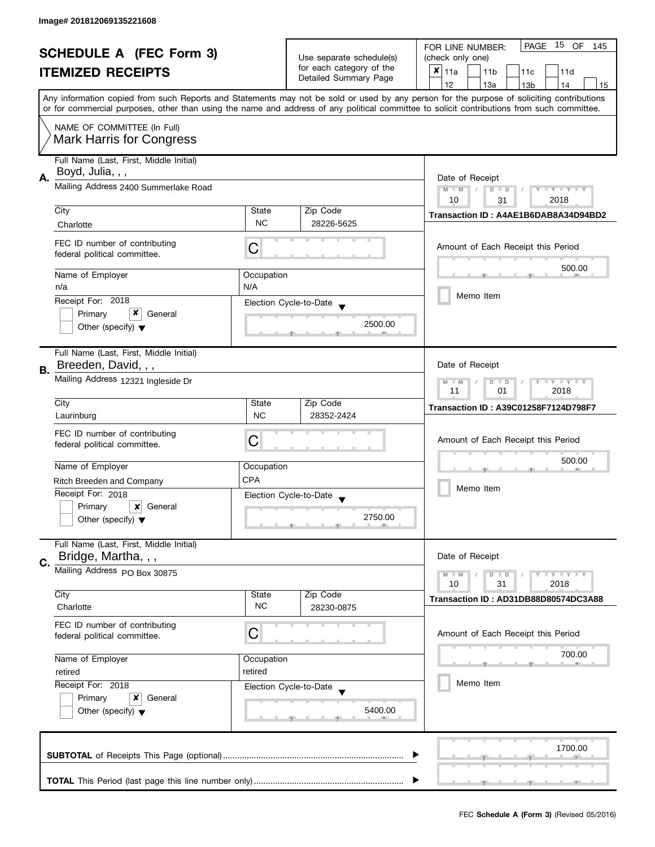| <b>SCHEDULE A (FEC Form 3)</b> |                                                                                                                                            |                          | PAGE<br>15 OF<br>FOR LINE NUMBER:<br>145 |                                                                                                                                           |  |
|--------------------------------|--------------------------------------------------------------------------------------------------------------------------------------------|--------------------------|------------------------------------------|-------------------------------------------------------------------------------------------------------------------------------------------|--|
|                                |                                                                                                                                            | Use separate schedule(s) | (check only one)                         |                                                                                                                                           |  |
|                                | <b>ITEMIZED RECEIPTS</b>                                                                                                                   |                          | for each category of the                 | $x _{11a}$<br>11 <sub>b</sub><br>11c<br>11d                                                                                               |  |
|                                |                                                                                                                                            |                          | Detailed Summary Page                    | 12<br>13a<br>14<br>13 <sub>b</sub><br>15                                                                                                  |  |
|                                |                                                                                                                                            |                          |                                          | Any information copied from such Reports and Statements may not be sold or used by any person for the purpose of soliciting contributions |  |
|                                | or for commercial purposes, other than using the name and address of any political committee to solicit contributions from such committee. |                          |                                          |                                                                                                                                           |  |
|                                | NAME OF COMMITTEE (In Full)                                                                                                                |                          |                                          |                                                                                                                                           |  |
|                                | Mark Harris for Congress                                                                                                                   |                          |                                          |                                                                                                                                           |  |
|                                | Full Name (Last, First, Middle Initial)                                                                                                    |                          |                                          |                                                                                                                                           |  |
|                                | Boyd, Julia, , ,                                                                                                                           |                          |                                          |                                                                                                                                           |  |
| Α.                             | Mailing Address 2400 Summerlake Road                                                                                                       |                          |                                          | Date of Receipt<br>$M - M$<br>$Y - Y - Y - Y - Y$<br>$D$ $D$                                                                              |  |
|                                |                                                                                                                                            |                          |                                          | 10<br>2018<br>31                                                                                                                          |  |
|                                | City                                                                                                                                       | State                    | Zip Code                                 | Transaction ID: A4AE1B6DAB8A34D94BD2                                                                                                      |  |
|                                | Charlotte                                                                                                                                  | <b>NC</b>                | 28226-5625                               |                                                                                                                                           |  |
|                                | FEC ID number of contributing                                                                                                              |                          |                                          |                                                                                                                                           |  |
|                                | federal political committee.                                                                                                               | С                        |                                          | Amount of Each Receipt this Period                                                                                                        |  |
|                                |                                                                                                                                            |                          |                                          | 500.00                                                                                                                                    |  |
|                                | Name of Employer<br>n/a                                                                                                                    | Occupation<br>N/A        |                                          |                                                                                                                                           |  |
|                                | Receipt For: 2018                                                                                                                          |                          |                                          | Memo Item                                                                                                                                 |  |
|                                | x<br>Primary<br>General                                                                                                                    |                          | Election Cycle-to-Date                   |                                                                                                                                           |  |
|                                | Other (specify) $\blacktriangledown$                                                                                                       |                          | 2500.00                                  |                                                                                                                                           |  |
|                                |                                                                                                                                            |                          |                                          |                                                                                                                                           |  |
|                                | Full Name (Last, First, Middle Initial)                                                                                                    |                          |                                          |                                                                                                                                           |  |
| В.                             | Breeden, David, , ,                                                                                                                        |                          |                                          | Date of Receipt                                                                                                                           |  |
|                                | Mailing Address 12321 Ingleside Dr                                                                                                         |                          | <b>LY LY LY</b><br>$M - M$<br>$D$ $D$    |                                                                                                                                           |  |
|                                |                                                                                                                                            |                          |                                          |                                                                                                                                           |  |
|                                | City                                                                                                                                       | State                    | Zip Code                                 | Transaction ID: A39C01258F7124D798F7                                                                                                      |  |
|                                | Laurinburg                                                                                                                                 | <b>NC</b>                | 28352-2424                               |                                                                                                                                           |  |
|                                | FEC ID number of contributing                                                                                                              |                          |                                          | Amount of Each Receipt this Period                                                                                                        |  |
|                                | federal political committee.                                                                                                               | С                        |                                          |                                                                                                                                           |  |
|                                | Name of Employer                                                                                                                           | Occupation               |                                          | 500.00                                                                                                                                    |  |
|                                | Ritch Breeden and Company                                                                                                                  | <b>CPA</b>               |                                          |                                                                                                                                           |  |
|                                | Receipt For: 2018                                                                                                                          |                          |                                          | Memo Item                                                                                                                                 |  |
|                                | Primary<br>$\boldsymbol{\mathsf{x}}$<br>General                                                                                            |                          | Election Cycle-to-Date                   |                                                                                                                                           |  |
|                                | Other (specify) $\blacktriangledown$                                                                                                       |                          | 2750.00                                  |                                                                                                                                           |  |
|                                |                                                                                                                                            |                          |                                          |                                                                                                                                           |  |
|                                | Full Name (Last, First, Middle Initial)                                                                                                    |                          |                                          |                                                                                                                                           |  |
| C.                             | Bridge, Martha, , ,                                                                                                                        |                          |                                          | Date of Receipt                                                                                                                           |  |
|                                | Mailing Address PO Box 30875                                                                                                               |                          |                                          | $- Y - Y - Y$<br>$M - M$<br>$D$ $D$                                                                                                       |  |
|                                | City                                                                                                                                       | State                    | Zip Code                                 | 10<br>31<br>2018                                                                                                                          |  |
|                                | Charlotte                                                                                                                                  | <b>NC</b>                | 28230-0875                               | Transaction ID: AD31DB88D80574DC3A88                                                                                                      |  |
|                                |                                                                                                                                            |                          |                                          |                                                                                                                                           |  |
|                                | FEC ID number of contributing<br>federal political committee.                                                                              | С                        |                                          | Amount of Each Receipt this Period                                                                                                        |  |
|                                |                                                                                                                                            |                          |                                          |                                                                                                                                           |  |
|                                | Name of Employer                                                                                                                           | Occupation               |                                          | 700.00                                                                                                                                    |  |
|                                | retired<br>retired                                                                                                                         |                          |                                          |                                                                                                                                           |  |
|                                | Receipt For: 2018                                                                                                                          |                          | Election Cycle-to-Date                   | Memo Item                                                                                                                                 |  |
|                                | Primary<br>x<br>General                                                                                                                    |                          |                                          |                                                                                                                                           |  |
|                                | Other (specify) $\blacktriangledown$                                                                                                       |                          | 5400.00                                  |                                                                                                                                           |  |
|                                |                                                                                                                                            |                          |                                          |                                                                                                                                           |  |
|                                |                                                                                                                                            |                          |                                          | 1700.00                                                                                                                                   |  |
|                                |                                                                                                                                            |                          |                                          |                                                                                                                                           |  |
|                                |                                                                                                                                            |                          |                                          |                                                                                                                                           |  |
|                                |                                                                                                                                            |                          |                                          |                                                                                                                                           |  |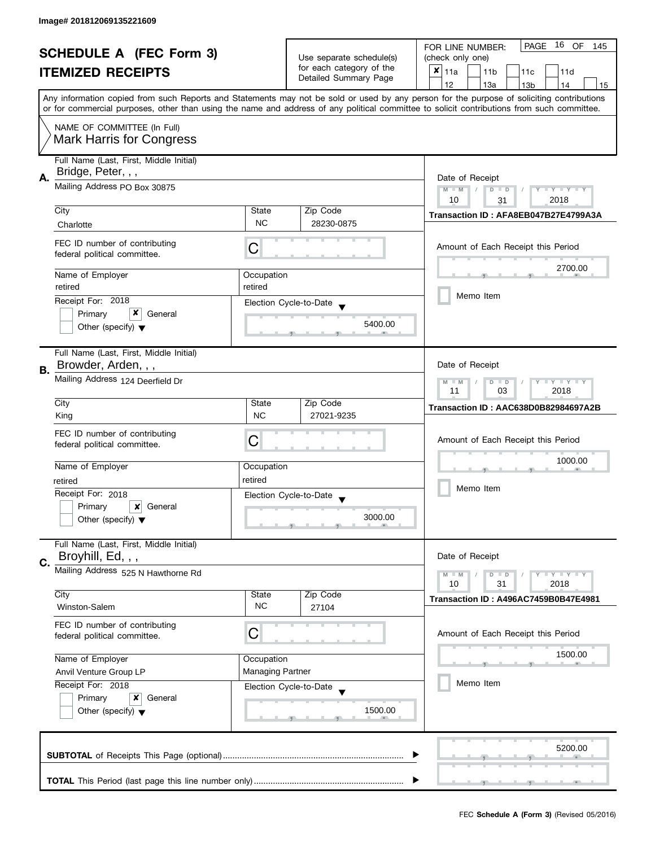| <b>SCHEDULE A (FEC Form 3)</b><br><b>ITEMIZED RECEIPTS</b> |                                                                                     | Use separate schedule(s)<br>for each category of the      | 16 OF<br>PAGE<br>FOR LINE NUMBER:<br>145                |                                                                                                                                            |  |
|------------------------------------------------------------|-------------------------------------------------------------------------------------|-----------------------------------------------------------|---------------------------------------------------------|--------------------------------------------------------------------------------------------------------------------------------------------|--|
|                                                            |                                                                                     |                                                           | (check only one)                                        |                                                                                                                                            |  |
|                                                            |                                                                                     |                                                           | $x _{11a}$<br>11 <sub>b</sub><br>11 <sub>c</sub><br>11d |                                                                                                                                            |  |
|                                                            |                                                                                     |                                                           | Detailed Summary Page                                   | 12<br>13a<br>13 <sub>b</sub><br>14<br>15                                                                                                   |  |
|                                                            |                                                                                     |                                                           |                                                         | Any information copied from such Reports and Statements may not be sold or used by any person for the purpose of soliciting contributions  |  |
|                                                            |                                                                                     |                                                           |                                                         | or for commercial purposes, other than using the name and address of any political committee to solicit contributions from such committee. |  |
|                                                            | NAME OF COMMITTEE (In Full)                                                         |                                                           |                                                         |                                                                                                                                            |  |
|                                                            | <b>Mark Harris for Congress</b>                                                     |                                                           |                                                         |                                                                                                                                            |  |
|                                                            |                                                                                     |                                                           |                                                         |                                                                                                                                            |  |
|                                                            | Full Name (Last, First, Middle Initial)<br>Bridge, Peter, , ,                       |                                                           |                                                         |                                                                                                                                            |  |
| А.                                                         |                                                                                     | Date of Receipt                                           |                                                         |                                                                                                                                            |  |
|                                                            | Mailing Address PO Box 30875                                                        |                                                           |                                                         | $M - M$<br>$Y - Y - Y - Y - Y$<br>$\overline{D}$<br>$\Box$                                                                                 |  |
|                                                            | City                                                                                | State                                                     | Zip Code                                                | 10<br>2018<br>31                                                                                                                           |  |
|                                                            |                                                                                     | <b>NC</b>                                                 | 28230-0875                                              | Transaction ID: AFA8EB047B27E4799A3A                                                                                                       |  |
|                                                            | Charlotte                                                                           |                                                           |                                                         |                                                                                                                                            |  |
|                                                            | FEC ID number of contributing                                                       | С                                                         |                                                         | Amount of Each Receipt this Period                                                                                                         |  |
|                                                            | federal political committee.                                                        |                                                           |                                                         |                                                                                                                                            |  |
|                                                            | Name of Employer                                                                    | Occupation                                                |                                                         | 2700.00                                                                                                                                    |  |
|                                                            | retired                                                                             | retired                                                   |                                                         |                                                                                                                                            |  |
|                                                            | Receipt For: 2018                                                                   |                                                           |                                                         | Memo Item                                                                                                                                  |  |
|                                                            | x<br>Primary<br>General                                                             |                                                           | Election Cycle-to-Date                                  |                                                                                                                                            |  |
|                                                            | Other (specify) $\blacktriangledown$                                                |                                                           | 5400.00                                                 |                                                                                                                                            |  |
|                                                            |                                                                                     |                                                           |                                                         |                                                                                                                                            |  |
|                                                            | Full Name (Last, First, Middle Initial)                                             |                                                           |                                                         |                                                                                                                                            |  |
|                                                            | Browder, Arden, , ,                                                                 |                                                           |                                                         | Date of Receipt                                                                                                                            |  |
| В.                                                         | Mailing Address 124 Deerfield Dr                                                    |                                                           |                                                         |                                                                                                                                            |  |
|                                                            |                                                                                     | $Y = Y = Y$<br>$M - M$<br>D<br>$\Box$<br>03<br>2018<br>11 |                                                         |                                                                                                                                            |  |
|                                                            | City                                                                                | State                                                     | Zip Code                                                |                                                                                                                                            |  |
|                                                            | King                                                                                | <b>NC</b>                                                 | 27021-9235                                              | Transaction ID: AAC638D0B82984697A2B                                                                                                       |  |
|                                                            |                                                                                     |                                                           |                                                         |                                                                                                                                            |  |
|                                                            | FEC ID number of contributing<br>federal political committee.                       | С                                                         |                                                         | Amount of Each Receipt this Period                                                                                                         |  |
|                                                            |                                                                                     |                                                           |                                                         |                                                                                                                                            |  |
|                                                            | Name of Employer                                                                    | Occupation                                                |                                                         | 1000.00                                                                                                                                    |  |
|                                                            | retired                                                                             | retired                                                   |                                                         |                                                                                                                                            |  |
|                                                            | Receipt For: 2018                                                                   |                                                           | Election Cycle-to-Date                                  | Memo Item                                                                                                                                  |  |
|                                                            | Primary<br>$\boldsymbol{\mathsf{x}}$<br>General                                     |                                                           |                                                         |                                                                                                                                            |  |
|                                                            | Other (specify) $\blacktriangledown$                                                |                                                           | 3000.00                                                 |                                                                                                                                            |  |
|                                                            |                                                                                     |                                                           |                                                         |                                                                                                                                            |  |
|                                                            | Full Name (Last, First, Middle Initial)                                             |                                                           |                                                         |                                                                                                                                            |  |
| C.                                                         | Broyhill, Ed, , ,                                                                   |                                                           |                                                         | Date of Receipt                                                                                                                            |  |
|                                                            | Mailing Address 525 N Hawthorne Rd                                                  |                                                           |                                                         | $Y = Y = Y$<br>$M - M$<br>D<br>$\Box$                                                                                                      |  |
|                                                            |                                                                                     |                                                           |                                                         | 10<br>31<br>2018                                                                                                                           |  |
|                                                            | City                                                                                | State                                                     | Zip Code                                                | Transaction ID: A496AC7459B0B47E4981                                                                                                       |  |
|                                                            | Winston-Salem                                                                       | <b>NC</b>                                                 | 27104                                                   |                                                                                                                                            |  |
|                                                            | FEC ID number of contributing                                                       |                                                           |                                                         |                                                                                                                                            |  |
|                                                            | federal political committee.                                                        | C                                                         |                                                         | Amount of Each Receipt this Period                                                                                                         |  |
|                                                            | Name of Employer<br>Occupation<br><b>Managing Partner</b><br>Anvil Venture Group LP |                                                           |                                                         | 1500.00                                                                                                                                    |  |
|                                                            |                                                                                     |                                                           |                                                         |                                                                                                                                            |  |
|                                                            |                                                                                     |                                                           |                                                         | Memo Item                                                                                                                                  |  |
|                                                            | Receipt For: 2018                                                                   |                                                           | Election Cycle-to-Date                                  |                                                                                                                                            |  |
|                                                            | Primary<br>General<br>x                                                             |                                                           |                                                         |                                                                                                                                            |  |
|                                                            | Other (specify) $\blacktriangledown$                                                |                                                           | 1500.00                                                 |                                                                                                                                            |  |
|                                                            |                                                                                     |                                                           |                                                         |                                                                                                                                            |  |
|                                                            |                                                                                     |                                                           |                                                         |                                                                                                                                            |  |
|                                                            |                                                                                     |                                                           |                                                         | 5200.00                                                                                                                                    |  |
|                                                            |                                                                                     |                                                           |                                                         |                                                                                                                                            |  |
|                                                            |                                                                                     |                                                           |                                                         |                                                                                                                                            |  |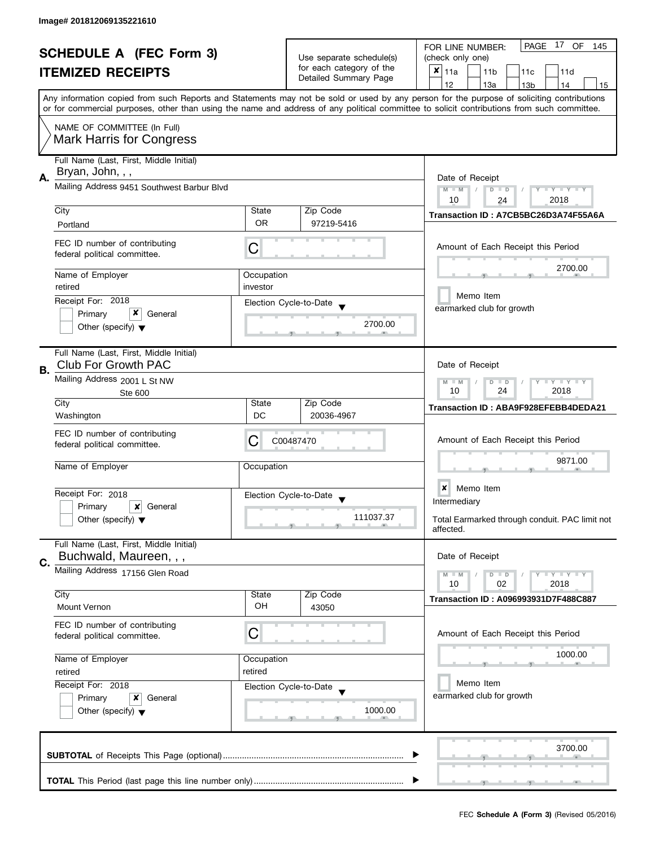| <b>SCHEDULE A (FEC Form 3)</b><br><b>ITEMIZED RECEIPTS</b> |                                                                       |                                                                       | 17 OF<br><b>PAGE</b><br>FOR LINE NUMBER:<br>145 |                                                                                                                                                                                                                                                                                         |  |
|------------------------------------------------------------|-----------------------------------------------------------------------|-----------------------------------------------------------------------|-------------------------------------------------|-----------------------------------------------------------------------------------------------------------------------------------------------------------------------------------------------------------------------------------------------------------------------------------------|--|
|                                                            |                                                                       | Use separate schedule(s)                                              | (check only one)                                |                                                                                                                                                                                                                                                                                         |  |
|                                                            |                                                                       | for each category of the<br>Detailed Summary Page                     | $x _{11a}$<br>11 <sub>b</sub><br>11c<br>11d     |                                                                                                                                                                                                                                                                                         |  |
|                                                            |                                                                       |                                                                       |                                                 | 12<br>13a<br>13 <sub>b</sub><br>14<br>15                                                                                                                                                                                                                                                |  |
|                                                            |                                                                       |                                                                       |                                                 | Any information copied from such Reports and Statements may not be sold or used by any person for the purpose of soliciting contributions<br>or for commercial purposes, other than using the name and address of any political committee to solicit contributions from such committee. |  |
|                                                            | NAME OF COMMITTEE (In Full)                                           |                                                                       |                                                 |                                                                                                                                                                                                                                                                                         |  |
|                                                            | <b>Mark Harris for Congress</b>                                       |                                                                       |                                                 |                                                                                                                                                                                                                                                                                         |  |
| А.                                                         | Full Name (Last, First, Middle Initial)<br>Bryan, John, , ,           |                                                                       |                                                 | Date of Receipt                                                                                                                                                                                                                                                                         |  |
|                                                            | Mailing Address 9451 Southwest Barbur Blvd                            | Y TY TY TY<br>$M - M$<br>$D$ $D$<br>2018<br>10<br>24                  |                                                 |                                                                                                                                                                                                                                                                                         |  |
|                                                            | City                                                                  | State                                                                 | Zip Code                                        | Transaction ID: A7CB5BC26D3A74F55A6A                                                                                                                                                                                                                                                    |  |
|                                                            | Portland                                                              | <b>OR</b>                                                             | 97219-5416                                      |                                                                                                                                                                                                                                                                                         |  |
|                                                            | FEC ID number of contributing<br>federal political committee.         | С                                                                     |                                                 | Amount of Each Receipt this Period                                                                                                                                                                                                                                                      |  |
|                                                            | Name of Employer                                                      | Occupation                                                            |                                                 | 2700.00                                                                                                                                                                                                                                                                                 |  |
|                                                            | retired                                                               | investor                                                              |                                                 |                                                                                                                                                                                                                                                                                         |  |
|                                                            | Receipt For: 2018                                                     |                                                                       | Election Cycle-to-Date                          | Memo Item                                                                                                                                                                                                                                                                               |  |
|                                                            | x<br>Primary<br>General                                               |                                                                       |                                                 | earmarked club for growth                                                                                                                                                                                                                                                               |  |
|                                                            | Other (specify) $\blacktriangledown$                                  |                                                                       | 2700.00                                         |                                                                                                                                                                                                                                                                                         |  |
| В.                                                         | Full Name (Last, First, Middle Initial)<br><b>Club For Growth PAC</b> |                                                                       |                                                 | Date of Receipt                                                                                                                                                                                                                                                                         |  |
|                                                            | Mailing Address 2001 L St NW<br>Ste 600                               | $T$ $Y$ $T$ $Y$ $T$ $Y$<br>$M - M$<br>$\Box$<br>D<br>24<br>10<br>2018 |                                                 |                                                                                                                                                                                                                                                                                         |  |
|                                                            | City                                                                  | State                                                                 | Zip Code                                        | Transaction ID: ABA9F928EFEBB4DEDA21                                                                                                                                                                                                                                                    |  |
|                                                            | Washington                                                            | DC                                                                    | 20036-4967                                      |                                                                                                                                                                                                                                                                                         |  |
|                                                            | FEC ID number of contributing<br>federal political committee.         | С                                                                     | C00487470                                       | Amount of Each Receipt this Period                                                                                                                                                                                                                                                      |  |
|                                                            | Name of Employer                                                      | Occupation                                                            |                                                 | 9871.00                                                                                                                                                                                                                                                                                 |  |
|                                                            |                                                                       |                                                                       |                                                 |                                                                                                                                                                                                                                                                                         |  |
|                                                            | Receipt For: 2018                                                     |                                                                       | Election Cycle-to-Date<br>$\blacktriangledown$  | Memo Item<br>×                                                                                                                                                                                                                                                                          |  |
|                                                            | Primary<br>×<br>General                                               |                                                                       |                                                 | Intermediary                                                                                                                                                                                                                                                                            |  |
|                                                            | Other (specify) $\blacktriangledown$                                  |                                                                       | 111037.37                                       | Total Earmarked through conduit. PAC limit not<br>affected.                                                                                                                                                                                                                             |  |
| C.                                                         | Full Name (Last, First, Middle Initial)<br>Buchwald, Maureen, , ,     |                                                                       |                                                 | Date of Receipt                                                                                                                                                                                                                                                                         |  |
|                                                            | Mailing Address 17156 Glen Road                                       |                                                                       |                                                 | <b>LEY LEY LEY</b><br>$M - M$<br>$D$ $D$<br>10<br>02<br>2018                                                                                                                                                                                                                            |  |
|                                                            | City                                                                  | State                                                                 | Zip Code                                        | Transaction ID: A096993931D7F488C887                                                                                                                                                                                                                                                    |  |
|                                                            | Mount Vernon                                                          | OH                                                                    | 43050                                           |                                                                                                                                                                                                                                                                                         |  |
|                                                            | FEC ID number of contributing<br>federal political committee.         | C                                                                     |                                                 | Amount of Each Receipt this Period                                                                                                                                                                                                                                                      |  |
|                                                            | Name of Employer                                                      | Occupation                                                            |                                                 | 1000.00                                                                                                                                                                                                                                                                                 |  |
|                                                            | retired                                                               | retired                                                               |                                                 |                                                                                                                                                                                                                                                                                         |  |
|                                                            | Receipt For: 2018                                                     |                                                                       | Election Cycle-to-Date                          | Memo Item                                                                                                                                                                                                                                                                               |  |
|                                                            | Primary<br>x<br>General                                               |                                                                       |                                                 | earmarked club for growth                                                                                                                                                                                                                                                               |  |
|                                                            | Other (specify) $\blacktriangledown$                                  |                                                                       | 1000.00                                         |                                                                                                                                                                                                                                                                                         |  |
|                                                            |                                                                       |                                                                       |                                                 | 3700.00                                                                                                                                                                                                                                                                                 |  |
|                                                            |                                                                       |                                                                       |                                                 |                                                                                                                                                                                                                                                                                         |  |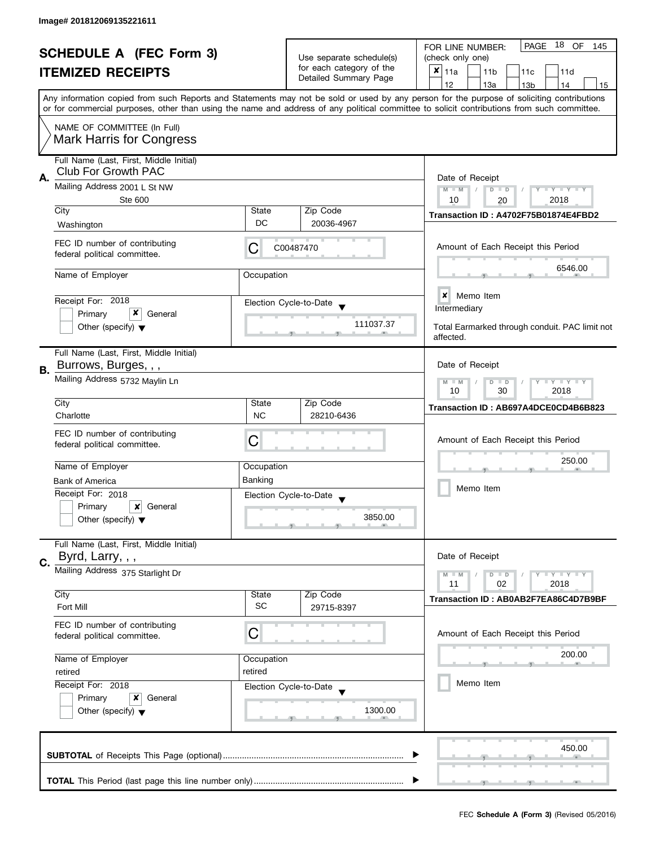| <b>SCHEDULE A (FEC Form 3)</b><br><b>ITEMIZED RECEIPTS</b> |                                                                                      |                                                               | Use separate schedule(s)<br>for each category of the | PAGE 18 OF<br>FOR LINE NUMBER:<br>145<br>(check only one)<br>×<br>11a<br>11 <sub>b</sub><br>11c<br>11d                                                                                                                                                                                  |  |  |
|------------------------------------------------------------|--------------------------------------------------------------------------------------|---------------------------------------------------------------|------------------------------------------------------|-----------------------------------------------------------------------------------------------------------------------------------------------------------------------------------------------------------------------------------------------------------------------------------------|--|--|
|                                                            |                                                                                      |                                                               | Detailed Summary Page                                | 12<br>13a<br>13 <sub>b</sub><br>14<br>15                                                                                                                                                                                                                                                |  |  |
|                                                            |                                                                                      |                                                               |                                                      | Any information copied from such Reports and Statements may not be sold or used by any person for the purpose of soliciting contributions<br>or for commercial purposes, other than using the name and address of any political committee to solicit contributions from such committee. |  |  |
|                                                            | NAME OF COMMITTEE (In Full)<br><b>Mark Harris for Congress</b>                       |                                                               |                                                      |                                                                                                                                                                                                                                                                                         |  |  |
| А.                                                         | Full Name (Last, First, Middle Initial)<br>Club For Growth PAC                       |                                                               |                                                      | Date of Receipt                                                                                                                                                                                                                                                                         |  |  |
|                                                            | Mailing Address 2001 L St NW<br><b>Ste 600</b>                                       | $M - M$<br>Y TY TY TY<br>$D$ $D$<br>10<br>2018<br>20          |                                                      |                                                                                                                                                                                                                                                                                         |  |  |
|                                                            | City<br>Washington                                                                   | State<br>DC                                                   | Zip Code<br>20036-4967                               | Transaction ID: A4702F75B01874E4FBD2                                                                                                                                                                                                                                                    |  |  |
|                                                            | FEC ID number of contributing<br>federal political committee.                        | С                                                             | C00487470                                            | Amount of Each Receipt this Period                                                                                                                                                                                                                                                      |  |  |
|                                                            | Name of Employer                                                                     | Occupation                                                    |                                                      | 6546.00                                                                                                                                                                                                                                                                                 |  |  |
|                                                            | Receipt For: 2018                                                                    |                                                               | Election Cycle-to-Date                               | <b>x</b> Memo Item<br>Intermediary                                                                                                                                                                                                                                                      |  |  |
|                                                            | x<br>Primary<br>General<br>Other (specify) $\blacktriangledown$                      |                                                               | 111037.37                                            | Total Earmarked through conduit. PAC limit not<br>affected.                                                                                                                                                                                                                             |  |  |
| В.                                                         | Full Name (Last, First, Middle Initial)<br>Burrows, Burges, , ,                      |                                                               |                                                      | Date of Receipt                                                                                                                                                                                                                                                                         |  |  |
|                                                            | Mailing Address 5732 Maylin Ln                                                       | $T - Y = T - Y$<br>$M - M$<br>D<br>$\Box$<br>10<br>30<br>2018 |                                                      |                                                                                                                                                                                                                                                                                         |  |  |
|                                                            | City                                                                                 | State                                                         | Zip Code                                             | Transaction ID: AB697A4DCE0CD4B6B823                                                                                                                                                                                                                                                    |  |  |
|                                                            | Charlotte                                                                            | <b>NC</b>                                                     | 28210-6436                                           |                                                                                                                                                                                                                                                                                         |  |  |
|                                                            | FEC ID number of contributing<br>federal political committee.                        | C                                                             |                                                      | Amount of Each Receipt this Period<br>250.00                                                                                                                                                                                                                                            |  |  |
|                                                            | Name of Employer                                                                     | Occupation                                                    |                                                      |                                                                                                                                                                                                                                                                                         |  |  |
|                                                            | <b>Bank of America</b><br>Receipt For: 2018                                          | Banking                                                       |                                                      | Memo Item                                                                                                                                                                                                                                                                               |  |  |
|                                                            | Primary<br>x<br>General                                                              |                                                               | Election Cycle-to-Date<br>$\overline{\mathbf{v}}$    |                                                                                                                                                                                                                                                                                         |  |  |
|                                                            | Other (specify) $\blacktriangledown$                                                 |                                                               | 3850.00                                              |                                                                                                                                                                                                                                                                                         |  |  |
|                                                            | Full Name (Last, First, Middle Initial)<br>Byrd, Larry, , ,                          |                                                               |                                                      | Date of Receipt                                                                                                                                                                                                                                                                         |  |  |
| C.                                                         | Mailing Address 375 Starlight Dr                                                     |                                                               |                                                      | $T - Y = T - Y$<br>$M - M$<br>$D$ $D$                                                                                                                                                                                                                                                   |  |  |
|                                                            | City                                                                                 | State                                                         | Zip Code                                             | 11<br>02<br>2018                                                                                                                                                                                                                                                                        |  |  |
|                                                            | <b>Fort Mill</b>                                                                     | <b>SC</b>                                                     | 29715-8397                                           | Transaction ID: AB0AB2F7EA86C4D7B9BF                                                                                                                                                                                                                                                    |  |  |
|                                                            | FEC ID number of contributing<br>federal political committee.                        | C                                                             |                                                      | Amount of Each Receipt this Period                                                                                                                                                                                                                                                      |  |  |
|                                                            | Name of Employer                                                                     | Occupation                                                    |                                                      | 200.00                                                                                                                                                                                                                                                                                  |  |  |
|                                                            | retired                                                                              | retired                                                       |                                                      |                                                                                                                                                                                                                                                                                         |  |  |
|                                                            | Receipt For: 2018<br>Primary<br>x<br>General<br>Other (specify) $\blacktriangledown$ |                                                               | Election Cycle-to-Date<br>1300.00                    | Memo Item                                                                                                                                                                                                                                                                               |  |  |
|                                                            |                                                                                      |                                                               |                                                      | 450.00                                                                                                                                                                                                                                                                                  |  |  |
|                                                            |                                                                                      |                                                               |                                                      |                                                                                                                                                                                                                                                                                         |  |  |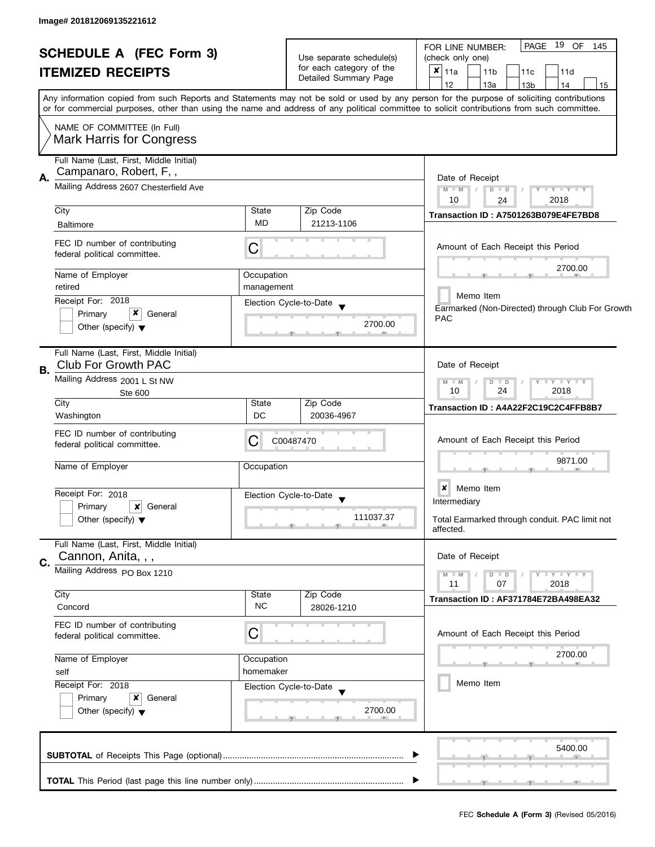|    | <b>SCHEDULE A (FEC Form 3)</b><br><b>ITEMIZED RECEIPTS</b>                                                 |                           | Use separate schedule(s)<br>for each category of the<br>Detailed Summary Page | PAGE 19 OF<br>145<br>FOR LINE NUMBER:<br>(check only one)<br>×<br>11a<br>11 <sub>b</sub><br>11c<br>11d<br>12<br>13a<br>14<br>13 <sub>b</sub><br>15                                                                                                                                      |
|----|------------------------------------------------------------------------------------------------------------|---------------------------|-------------------------------------------------------------------------------|-----------------------------------------------------------------------------------------------------------------------------------------------------------------------------------------------------------------------------------------------------------------------------------------|
|    |                                                                                                            |                           |                                                                               | Any information copied from such Reports and Statements may not be sold or used by any person for the purpose of soliciting contributions<br>or for commercial purposes, other than using the name and address of any political committee to solicit contributions from such committee. |
|    | NAME OF COMMITTEE (In Full)<br>Mark Harris for Congress                                                    |                           |                                                                               |                                                                                                                                                                                                                                                                                         |
| Α. | Full Name (Last, First, Middle Initial)<br>Campanaro, Robert, F,,<br>Mailing Address 2607 Chesterfield Ave |                           |                                                                               | Date of Receipt<br>$M - M$<br>$Y - Y - Y - Y - Y$<br>$D$ $D$                                                                                                                                                                                                                            |
|    |                                                                                                            |                           |                                                                               | 10<br>2018<br>24                                                                                                                                                                                                                                                                        |
|    | City<br><b>Baltimore</b>                                                                                   | State<br><b>MD</b>        | Zip Code<br>21213-1106                                                        | Transaction ID: A7501263B079E4FE7BD8                                                                                                                                                                                                                                                    |
|    | FEC ID number of contributing<br>federal political committee.                                              | C                         |                                                                               | Amount of Each Receipt this Period                                                                                                                                                                                                                                                      |
|    | Name of Employer                                                                                           | Occupation                |                                                                               | 2700.00                                                                                                                                                                                                                                                                                 |
|    | retired                                                                                                    | management                |                                                                               |                                                                                                                                                                                                                                                                                         |
|    | Receipt For: 2018                                                                                          |                           | Election Cycle-to-Date                                                        | Memo Item<br>Earmarked (Non-Directed) through Club For Growth                                                                                                                                                                                                                           |
|    | x<br>Primary<br>General<br>Other (specify) $\blacktriangledown$                                            |                           | 2700.00                                                                       | PAC                                                                                                                                                                                                                                                                                     |
| В. | Full Name (Last, First, Middle Initial)<br><b>Club For Growth PAC</b>                                      |                           |                                                                               | Date of Receipt                                                                                                                                                                                                                                                                         |
|    | Mailing Address 2001 L St NW<br>Ste 600                                                                    |                           |                                                                               | $Y - Y - Y - Y - Y$<br>$M - M$<br>$D$ $D$<br>10<br>24<br>2018                                                                                                                                                                                                                           |
|    | City                                                                                                       | State                     | Zip Code                                                                      | Transaction ID: A4A22F2C19C2C4FFB8B7                                                                                                                                                                                                                                                    |
|    | Washington                                                                                                 | DC                        | 20036-4967                                                                    |                                                                                                                                                                                                                                                                                         |
|    | FEC ID number of contributing<br>federal political committee.                                              | С                         | C00487470                                                                     | Amount of Each Receipt this Period                                                                                                                                                                                                                                                      |
|    | Name of Employer                                                                                           | Occupation                |                                                                               | 9871.00                                                                                                                                                                                                                                                                                 |
|    | Receipt For: 2018                                                                                          |                           |                                                                               | ×<br>Memo Item                                                                                                                                                                                                                                                                          |
|    | Primary<br>$\boldsymbol{x}$<br>General                                                                     |                           | Election Cycle-to-Date                                                        | Intermediary                                                                                                                                                                                                                                                                            |
|    | Other (specify) $\blacktriangledown$                                                                       |                           | 111037.37                                                                     | Total Earmarked through conduit. PAC limit not<br>affected.                                                                                                                                                                                                                             |
| C. | Full Name (Last, First, Middle Initial)<br>Cannon, Anita, , ,                                              |                           |                                                                               | Date of Receipt                                                                                                                                                                                                                                                                         |
|    | Mailing Address PO Box 1210                                                                                |                           |                                                                               | $Y - Y - Y - Y - Y$<br>$M - M$<br>$D$ $D$<br>11<br>07<br>2018                                                                                                                                                                                                                           |
|    | City<br>Concord                                                                                            | <b>State</b><br><b>NC</b> | Zip Code<br>28026-1210                                                        | Transaction ID: AF371784E72BA498EA32                                                                                                                                                                                                                                                    |
|    | FEC ID number of contributing<br>federal political committee.                                              | C                         |                                                                               | Amount of Each Receipt this Period                                                                                                                                                                                                                                                      |
|    | Name of Employer                                                                                           | Occupation                |                                                                               | 2700.00                                                                                                                                                                                                                                                                                 |
|    | self                                                                                                       | homemaker                 |                                                                               |                                                                                                                                                                                                                                                                                         |
|    | Receipt For: 2018<br>Primary<br>x<br>General<br>Other (specify) $\blacktriangledown$                       |                           | Election Cycle-to-Date<br>2700.00                                             | Memo Item                                                                                                                                                                                                                                                                               |
|    |                                                                                                            |                           |                                                                               | 5400.00                                                                                                                                                                                                                                                                                 |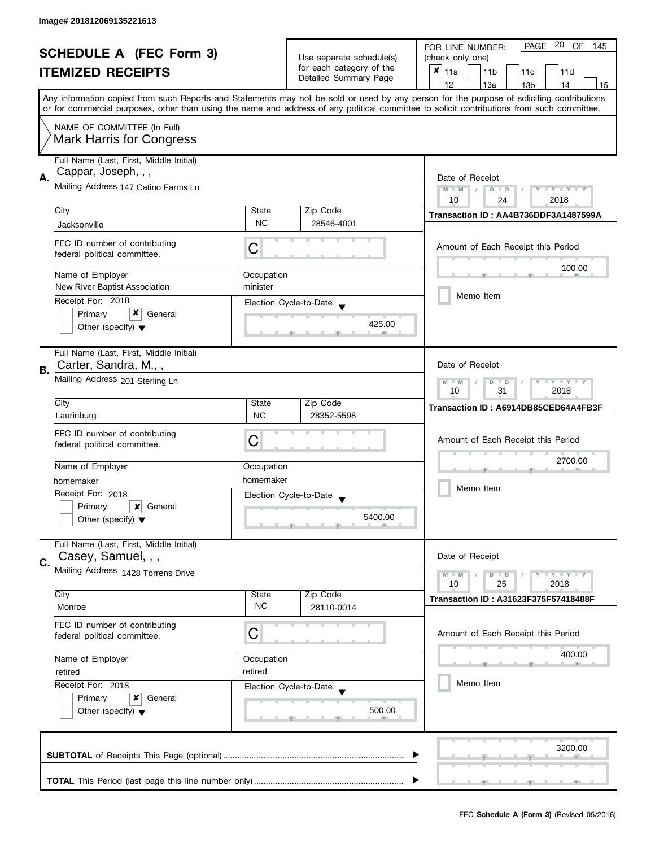| <b>SCHEDULE A (FEC Form 3)</b> |                                                                                                                                            |                                                             | PAGE 20 OF<br>FOR LINE NUMBER:<br>145 |                                                                                                                                           |  |  |
|--------------------------------|--------------------------------------------------------------------------------------------------------------------------------------------|-------------------------------------------------------------|---------------------------------------|-------------------------------------------------------------------------------------------------------------------------------------------|--|--|
|                                |                                                                                                                                            | Use separate schedule(s)<br>for each category of the        | (check only one)                      |                                                                                                                                           |  |  |
|                                | <b>ITEMIZED RECEIPTS</b>                                                                                                                   |                                                             | Detailed Summary Page                 | $x _{11a}$<br>11 <sub>b</sub><br>11c<br>11d                                                                                               |  |  |
|                                |                                                                                                                                            |                                                             |                                       | 12<br>13a<br>14<br>13 <sub>b</sub><br>15                                                                                                  |  |  |
|                                | or for commercial purposes, other than using the name and address of any political committee to solicit contributions from such committee. |                                                             |                                       | Any information copied from such Reports and Statements may not be sold or used by any person for the purpose of soliciting contributions |  |  |
|                                | NAME OF COMMITTEE (In Full)                                                                                                                |                                                             |                                       |                                                                                                                                           |  |  |
|                                | <b>Mark Harris for Congress</b>                                                                                                            |                                                             |                                       |                                                                                                                                           |  |  |
|                                | Full Name (Last, First, Middle Initial)                                                                                                    |                                                             |                                       |                                                                                                                                           |  |  |
| А.                             | Cappar, Joseph, , ,                                                                                                                        |                                                             |                                       | Date of Receipt                                                                                                                           |  |  |
|                                | Mailing Address 147 Catino Farms Ln                                                                                                        | Y TY TY TY<br>$M - M$<br>$D$ $D$<br>2018<br>10<br>24        |                                       |                                                                                                                                           |  |  |
|                                | City                                                                                                                                       | State                                                       | Zip Code                              |                                                                                                                                           |  |  |
|                                | Jacksonville                                                                                                                               | <b>NC</b>                                                   | 28546-4001                            | Transaction ID: AA4B736DDF3A1487599A                                                                                                      |  |  |
|                                |                                                                                                                                            |                                                             |                                       |                                                                                                                                           |  |  |
|                                | FEC ID number of contributing<br>federal political committee.                                                                              | С                                                           |                                       | Amount of Each Receipt this Period                                                                                                        |  |  |
|                                | Name of Employer                                                                                                                           | Occupation                                                  |                                       | 100.00                                                                                                                                    |  |  |
|                                | New River Baptist Association                                                                                                              | minister                                                    |                                       |                                                                                                                                           |  |  |
|                                | Receipt For: 2018                                                                                                                          |                                                             | Election Cycle-to-Date                | Memo Item                                                                                                                                 |  |  |
|                                | x<br>Primary<br>General                                                                                                                    |                                                             |                                       |                                                                                                                                           |  |  |
|                                | Other (specify) $\blacktriangledown$                                                                                                       |                                                             | 425.00                                |                                                                                                                                           |  |  |
|                                | Full Name (Last, First, Middle Initial)                                                                                                    |                                                             |                                       |                                                                                                                                           |  |  |
|                                | Carter, Sandra, M.,,                                                                                                                       |                                                             |                                       | Date of Receipt                                                                                                                           |  |  |
| В.                             | Mailing Address 201 Sterling Ln                                                                                                            | <b>LYLYLY</b><br>$M - M$<br>D<br>$\Box$<br>2018<br>10<br>31 |                                       |                                                                                                                                           |  |  |
|                                | City                                                                                                                                       | State                                                       | Zip Code                              |                                                                                                                                           |  |  |
|                                | Laurinburg                                                                                                                                 | <b>NC</b>                                                   | 28352-5598                            | Transaction ID: A6914DB85CED64A4FB3F                                                                                                      |  |  |
|                                |                                                                                                                                            |                                                             |                                       |                                                                                                                                           |  |  |
|                                | FEC ID number of contributing<br>federal political committee.                                                                              | C                                                           |                                       | Amount of Each Receipt this Period                                                                                                        |  |  |
|                                |                                                                                                                                            |                                                             |                                       |                                                                                                                                           |  |  |
|                                | Name of Employer                                                                                                                           | Occupation                                                  |                                       | 2700.00                                                                                                                                   |  |  |
|                                | homemaker                                                                                                                                  | homemaker                                                   |                                       |                                                                                                                                           |  |  |
|                                | Receipt For: 2018                                                                                                                          |                                                             | Election Cycle-to-Date                | Memo Item                                                                                                                                 |  |  |
|                                | Primary<br>General<br>x                                                                                                                    |                                                             |                                       |                                                                                                                                           |  |  |
|                                | Other (specify) $\blacktriangledown$                                                                                                       |                                                             | 5400.00                               |                                                                                                                                           |  |  |
|                                | Full Name (Last, First, Middle Initial)                                                                                                    |                                                             |                                       |                                                                                                                                           |  |  |
| C.                             | Casey, Samuel, , ,                                                                                                                         |                                                             |                                       | Date of Receipt                                                                                                                           |  |  |
|                                | Mailing Address 1428 Torrens Drive                                                                                                         |                                                             |                                       | $\bot$ $\gamma$ $\bot$ $\gamma$ $\bot$ $\gamma$<br>$M - M$<br>$D$ $D$                                                                     |  |  |
|                                | City                                                                                                                                       | State                                                       | Zip Code                              | 10<br>25<br>2018                                                                                                                          |  |  |
|                                | Monroe                                                                                                                                     | <b>NC</b>                                                   | 28110-0014                            | Transaction ID: A31623F375F57418488F                                                                                                      |  |  |
|                                | FEC ID number of contributing                                                                                                              | С                                                           |                                       | Amount of Each Receipt this Period                                                                                                        |  |  |
|                                | federal political committee.                                                                                                               |                                                             |                                       |                                                                                                                                           |  |  |
|                                | Name of Employer                                                                                                                           | Occupation                                                  |                                       | 400.00                                                                                                                                    |  |  |
|                                | retired                                                                                                                                    | retired                                                     |                                       |                                                                                                                                           |  |  |
|                                | Receipt For: 2018                                                                                                                          |                                                             | Election Cycle-to-Date                | Memo Item                                                                                                                                 |  |  |
|                                | Primary<br>x<br>General                                                                                                                    |                                                             |                                       |                                                                                                                                           |  |  |
|                                | Other (specify) $\blacktriangledown$                                                                                                       |                                                             | 500.00                                |                                                                                                                                           |  |  |
|                                |                                                                                                                                            |                                                             |                                       | 3200.00                                                                                                                                   |  |  |
|                                |                                                                                                                                            |                                                             |                                       |                                                                                                                                           |  |  |
|                                |                                                                                                                                            |                                                             |                                       |                                                                                                                                           |  |  |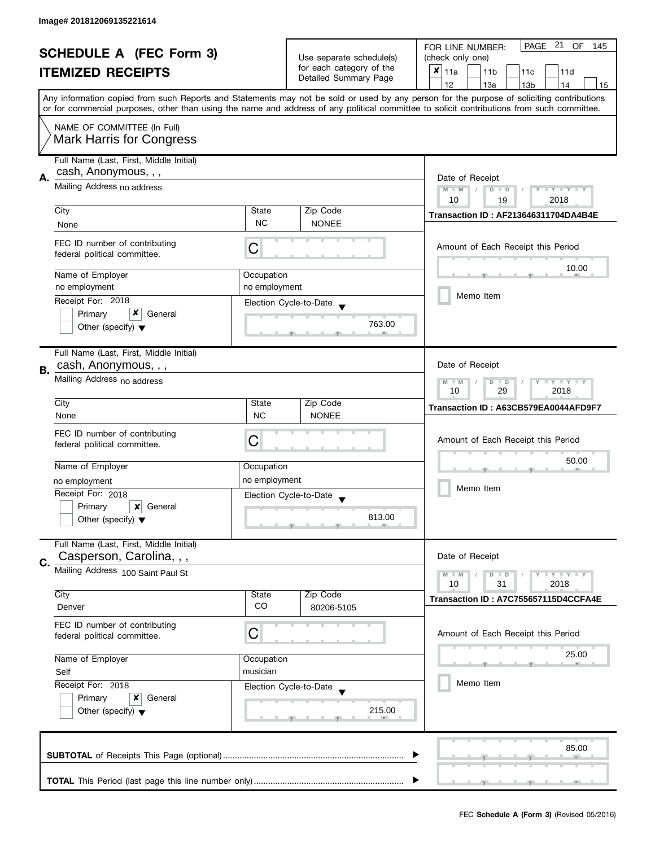| <b>SCHEDULE A (FEC Form 3)</b> |                                         |                                   | PAGE 21<br>OF<br>FOR LINE NUMBER:<br>145 |                                                                                                                                            |  |  |
|--------------------------------|-----------------------------------------|-----------------------------------|------------------------------------------|--------------------------------------------------------------------------------------------------------------------------------------------|--|--|
|                                |                                         |                                   | Use separate schedule(s)                 | (check only one)                                                                                                                           |  |  |
|                                | <b>ITEMIZED RECEIPTS</b>                |                                   | for each category of the                 | $x _{11a}$<br>11 <sub>b</sub><br>11c<br>11d                                                                                                |  |  |
|                                |                                         |                                   | Detailed Summary Page                    | 12<br>13a<br>14<br>13 <sub>b</sub><br>15                                                                                                   |  |  |
|                                |                                         |                                   |                                          | Any information copied from such Reports and Statements may not be sold or used by any person for the purpose of soliciting contributions  |  |  |
|                                |                                         |                                   |                                          | or for commercial purposes, other than using the name and address of any political committee to solicit contributions from such committee. |  |  |
|                                | NAME OF COMMITTEE (In Full)             |                                   |                                          |                                                                                                                                            |  |  |
|                                |                                         |                                   |                                          |                                                                                                                                            |  |  |
|                                | <b>Mark Harris for Congress</b>         |                                   |                                          |                                                                                                                                            |  |  |
|                                | Full Name (Last, First, Middle Initial) |                                   |                                          |                                                                                                                                            |  |  |
|                                | cash, Anonymous, , ,                    |                                   |                                          |                                                                                                                                            |  |  |
| А.                             | Mailing Address no address              |                                   |                                          | Date of Receipt                                                                                                                            |  |  |
|                                |                                         |                                   |                                          | Y TY TY TY<br>$M - M$<br>$D$ $D$<br>2018<br>10<br>19                                                                                       |  |  |
|                                | City                                    | State                             | Zip Code                                 |                                                                                                                                            |  |  |
|                                | None                                    | <b>NC</b>                         | <b>NONEE</b>                             | <b>Transaction ID: AF213646311704DA4B4E</b>                                                                                                |  |  |
|                                |                                         |                                   |                                          |                                                                                                                                            |  |  |
|                                | FEC ID number of contributing           | С                                 |                                          | Amount of Each Receipt this Period                                                                                                         |  |  |
|                                | federal political committee.            |                                   |                                          |                                                                                                                                            |  |  |
|                                | Name of Employer                        |                                   |                                          | 10.00                                                                                                                                      |  |  |
|                                | no employment                           | Occupation<br>no employment       |                                          |                                                                                                                                            |  |  |
|                                |                                         |                                   |                                          | Memo Item                                                                                                                                  |  |  |
|                                | Receipt For: 2018                       |                                   | Election Cycle-to-Date                   |                                                                                                                                            |  |  |
|                                | x<br>Primary<br>General                 |                                   | 763.00                                   |                                                                                                                                            |  |  |
|                                | Other (specify) $\blacktriangledown$    |                                   |                                          |                                                                                                                                            |  |  |
|                                |                                         |                                   |                                          |                                                                                                                                            |  |  |
|                                | Full Name (Last, First, Middle Initial) |                                   |                                          | Date of Receipt                                                                                                                            |  |  |
| В.                             | cash, Anonymous, , ,                    |                                   |                                          |                                                                                                                                            |  |  |
|                                | Mailing Address no address              | Y LY LY<br>$M - M$<br>D<br>$\Box$ |                                          |                                                                                                                                            |  |  |
|                                |                                         |                                   |                                          | 10<br>29<br>2018                                                                                                                           |  |  |
|                                | City                                    | State                             | Zip Code                                 | Transaction ID: A63CB579EA0044AFD9F7                                                                                                       |  |  |
|                                | None                                    | <b>NC</b>                         | <b>NONEE</b>                             |                                                                                                                                            |  |  |
|                                | FEC ID number of contributing           |                                   |                                          |                                                                                                                                            |  |  |
|                                | federal political committee.            | C                                 |                                          | Amount of Each Receipt this Period                                                                                                         |  |  |
|                                |                                         |                                   |                                          | 50.00                                                                                                                                      |  |  |
|                                | Name of Employer                        | Occupation                        |                                          |                                                                                                                                            |  |  |
|                                | no employment                           | no employment                     |                                          | Memo Item                                                                                                                                  |  |  |
|                                | Receipt For: 2018                       |                                   | Election Cycle-to-Date                   |                                                                                                                                            |  |  |
|                                | Primary<br>General<br>x                 |                                   |                                          |                                                                                                                                            |  |  |
|                                | Other (specify) $\blacktriangledown$    |                                   | 813.00                                   |                                                                                                                                            |  |  |
|                                |                                         |                                   |                                          |                                                                                                                                            |  |  |
|                                | Full Name (Last, First, Middle Initial) |                                   |                                          |                                                                                                                                            |  |  |
| C.                             | Casperson, Carolina, , ,                |                                   |                                          | Date of Receipt                                                                                                                            |  |  |
|                                | Mailing Address 100 Saint Paul St       |                                   |                                          | $\bot$ $\gamma$ $\bot$ $\gamma$ $\bot$ $\gamma$<br>$M - M$<br>$D$ $D$                                                                      |  |  |
|                                |                                         |                                   |                                          | 10<br>31<br>2018                                                                                                                           |  |  |
|                                | City                                    | State                             | Zip Code                                 | Transaction ID: A7C755657115D4CCFA4E                                                                                                       |  |  |
|                                | Denver                                  | CO                                | 80206-5105                               |                                                                                                                                            |  |  |
|                                | FEC ID number of contributing           |                                   |                                          |                                                                                                                                            |  |  |
|                                | federal political committee.            | С                                 |                                          | Amount of Each Receipt this Period                                                                                                         |  |  |
|                                |                                         |                                   |                                          | 25.00                                                                                                                                      |  |  |
|                                | Name of Employer                        | Occupation                        |                                          |                                                                                                                                            |  |  |
|                                | Self                                    | musician                          |                                          |                                                                                                                                            |  |  |
|                                | Receipt For: 2018                       |                                   | Election Cycle-to-Date                   | Memo Item                                                                                                                                  |  |  |
|                                | Primary<br>x<br>General                 |                                   |                                          |                                                                                                                                            |  |  |
|                                | Other (specify) $\blacktriangledown$    |                                   | 215.00                                   |                                                                                                                                            |  |  |
|                                |                                         |                                   |                                          |                                                                                                                                            |  |  |
|                                |                                         |                                   |                                          |                                                                                                                                            |  |  |
|                                |                                         |                                   |                                          | 85.00                                                                                                                                      |  |  |
|                                |                                         |                                   |                                          |                                                                                                                                            |  |  |
|                                |                                         |                                   |                                          |                                                                                                                                            |  |  |
|                                |                                         |                                   |                                          |                                                                                                                                            |  |  |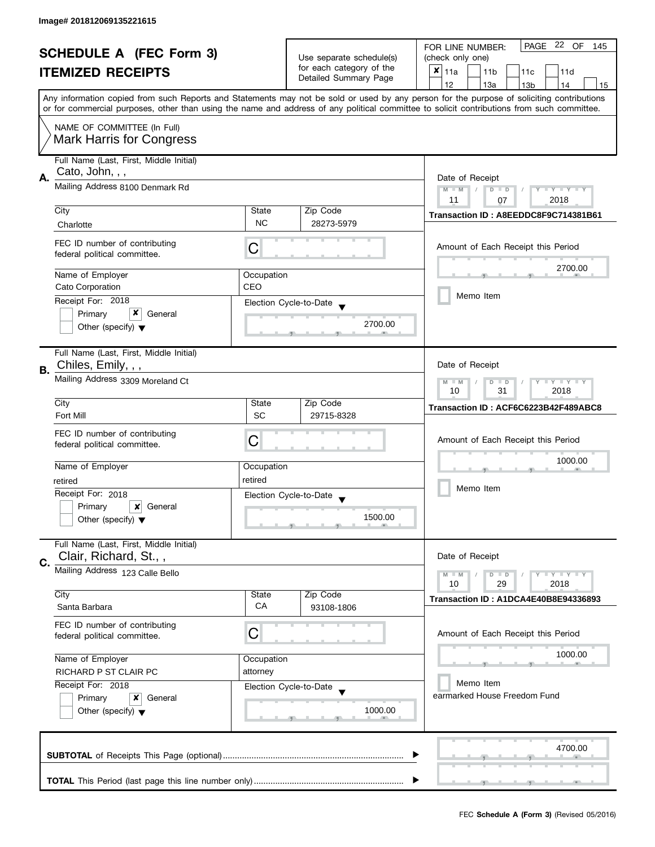| <b>SCHEDULE A (FEC Form 3)</b> |                                                               |                                                                             | PAGE 22 OF<br>FOR LINE NUMBER:<br>145 |                                                                                                                                                                                                                                                                                         |  |
|--------------------------------|---------------------------------------------------------------|-----------------------------------------------------------------------------|---------------------------------------|-----------------------------------------------------------------------------------------------------------------------------------------------------------------------------------------------------------------------------------------------------------------------------------------|--|
|                                |                                                               | Use separate schedule(s)<br>for each category of the                        | (check only one)                      |                                                                                                                                                                                                                                                                                         |  |
|                                | <b>ITEMIZED RECEIPTS</b>                                      |                                                                             | Detailed Summary Page                 | $x _{11a}$<br>11 <sub>b</sub><br>11c<br>11d                                                                                                                                                                                                                                             |  |
|                                |                                                               |                                                                             |                                       | 12<br>13a<br>13 <sub>b</sub><br>14<br>15                                                                                                                                                                                                                                                |  |
|                                |                                                               |                                                                             |                                       | Any information copied from such Reports and Statements may not be sold or used by any person for the purpose of soliciting contributions<br>or for commercial purposes, other than using the name and address of any political committee to solicit contributions from such committee. |  |
|                                | NAME OF COMMITTEE (In Full)                                   |                                                                             |                                       |                                                                                                                                                                                                                                                                                         |  |
|                                | <b>Mark Harris for Congress</b>                               |                                                                             |                                       |                                                                                                                                                                                                                                                                                         |  |
|                                | Full Name (Last, First, Middle Initial)                       |                                                                             |                                       |                                                                                                                                                                                                                                                                                         |  |
| А.                             | Cato, John, , ,                                               |                                                                             |                                       | Date of Receipt                                                                                                                                                                                                                                                                         |  |
|                                | Mailing Address 8100 Denmark Rd                               | $M - M$<br>$\sqrt{2}$<br>$Y - Y - Y - Y - Y$<br>$D$ $D$<br>2018<br>11<br>07 |                                       |                                                                                                                                                                                                                                                                                         |  |
|                                | City                                                          | State                                                                       | Zip Code                              | Transaction ID: A8EEDDC8F9C714381B61                                                                                                                                                                                                                                                    |  |
|                                | Charlotte                                                     | <b>NC</b>                                                                   | 28273-5979                            |                                                                                                                                                                                                                                                                                         |  |
|                                | FEC ID number of contributing<br>federal political committee. | С                                                                           |                                       | Amount of Each Receipt this Period                                                                                                                                                                                                                                                      |  |
|                                | Name of Employer                                              | Occupation                                                                  |                                       | 2700.00                                                                                                                                                                                                                                                                                 |  |
|                                | Cato Corporation                                              | CEO                                                                         |                                       |                                                                                                                                                                                                                                                                                         |  |
|                                | Receipt For: 2018                                             |                                                                             | Election Cycle-to-Date                | Memo Item                                                                                                                                                                                                                                                                               |  |
|                                | x<br>Primary<br>General                                       |                                                                             |                                       |                                                                                                                                                                                                                                                                                         |  |
|                                | Other (specify) $\blacktriangledown$                          |                                                                             | 2700.00                               |                                                                                                                                                                                                                                                                                         |  |
|                                | Full Name (Last, First, Middle Initial)                       |                                                                             |                                       |                                                                                                                                                                                                                                                                                         |  |
| В.                             | Chiles, Emily, , ,                                            |                                                                             |                                       | Date of Receipt                                                                                                                                                                                                                                                                         |  |
|                                | Mailing Address 3309 Moreland Ct                              | $Y = Y + Y$<br>$M - M$<br>D<br>$\Box$<br>31<br>2018<br>10                   |                                       |                                                                                                                                                                                                                                                                                         |  |
|                                | City                                                          | State                                                                       | Zip Code                              | Transaction ID: ACF6C6223B42F489ABC8                                                                                                                                                                                                                                                    |  |
|                                | Fort Mill                                                     | <b>SC</b>                                                                   | 29715-8328                            |                                                                                                                                                                                                                                                                                         |  |
|                                | FEC ID number of contributing                                 |                                                                             |                                       | Amount of Each Receipt this Period                                                                                                                                                                                                                                                      |  |
|                                | federal political committee.                                  | С                                                                           |                                       |                                                                                                                                                                                                                                                                                         |  |
|                                | Name of Employer                                              | Occupation                                                                  |                                       | 1000.00                                                                                                                                                                                                                                                                                 |  |
|                                | retired                                                       | retired                                                                     |                                       |                                                                                                                                                                                                                                                                                         |  |
|                                | Receipt For: 2018                                             |                                                                             |                                       | Memo Item                                                                                                                                                                                                                                                                               |  |
|                                | Primary<br>×<br>General                                       |                                                                             | Election Cycle-to-Date                |                                                                                                                                                                                                                                                                                         |  |
|                                | Other (specify) $\blacktriangledown$                          |                                                                             | 1500.00                               |                                                                                                                                                                                                                                                                                         |  |
|                                | Full Name (Last, First, Middle Initial)                       |                                                                             |                                       |                                                                                                                                                                                                                                                                                         |  |
| C.                             | Clair, Richard, St.,,                                         |                                                                             |                                       | Date of Receipt                                                                                                                                                                                                                                                                         |  |
|                                | Mailing Address 123 Calle Bello                               |                                                                             |                                       | Y LY LY<br>$M - M$<br>$D$ $D$<br>10<br>29<br>2018                                                                                                                                                                                                                                       |  |
|                                | City                                                          | State                                                                       | Zip Code                              | Transaction ID: A1DCA4E40B8E94336893                                                                                                                                                                                                                                                    |  |
|                                | Santa Barbara                                                 | СA                                                                          | 93108-1806                            |                                                                                                                                                                                                                                                                                         |  |
|                                | FEC ID number of contributing<br>federal political committee. | С                                                                           |                                       | Amount of Each Receipt this Period                                                                                                                                                                                                                                                      |  |
|                                |                                                               |                                                                             |                                       | 1000.00                                                                                                                                                                                                                                                                                 |  |
|                                | Name of Employer                                              | Occupation                                                                  |                                       |                                                                                                                                                                                                                                                                                         |  |
|                                | RICHARD P ST CLAIR PC                                         | attorney                                                                    |                                       | Memo Item                                                                                                                                                                                                                                                                               |  |
|                                | Receipt For: 2018<br>Primary<br>General<br>x                  |                                                                             | Election Cycle-to-Date                | earmarked House Freedom Fund                                                                                                                                                                                                                                                            |  |
|                                | Other (specify) $\blacktriangledown$                          |                                                                             | 1000.00                               |                                                                                                                                                                                                                                                                                         |  |
|                                |                                                               |                                                                             |                                       |                                                                                                                                                                                                                                                                                         |  |
|                                |                                                               |                                                                             |                                       | 4700.00                                                                                                                                                                                                                                                                                 |  |
|                                |                                                               |                                                                             |                                       |                                                                                                                                                                                                                                                                                         |  |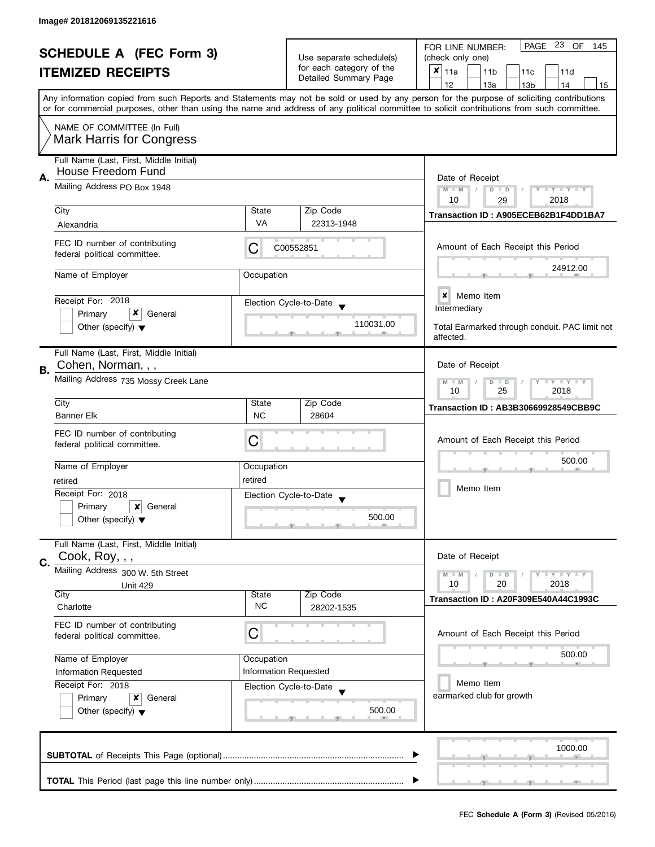| <b>SCHEDULE A (FEC Form 3)</b> |                                                                      |                                                                                  |                                                           | PAGE 23 OF<br>FOR LINE NUMBER:<br>145                                                                                                                                                                                                                                                   |  |
|--------------------------------|----------------------------------------------------------------------|----------------------------------------------------------------------------------|-----------------------------------------------------------|-----------------------------------------------------------------------------------------------------------------------------------------------------------------------------------------------------------------------------------------------------------------------------------------|--|
|                                |                                                                      |                                                                                  | Use separate schedule(s)                                  | (check only one)                                                                                                                                                                                                                                                                        |  |
|                                | <b>ITEMIZED RECEIPTS</b>                                             |                                                                                  | for each category of the<br>Detailed Summary Page         | ×<br>11a<br>11 <sub>b</sub><br>11c<br>11d                                                                                                                                                                                                                                               |  |
|                                |                                                                      |                                                                                  |                                                           | 12<br>13a<br>13 <sub>b</sub><br>14<br>15                                                                                                                                                                                                                                                |  |
|                                |                                                                      |                                                                                  |                                                           | Any information copied from such Reports and Statements may not be sold or used by any person for the purpose of soliciting contributions<br>or for commercial purposes, other than using the name and address of any political committee to solicit contributions from such committee. |  |
|                                |                                                                      |                                                                                  |                                                           |                                                                                                                                                                                                                                                                                         |  |
|                                | NAME OF COMMITTEE (In Full)<br><b>Mark Harris for Congress</b>       |                                                                                  |                                                           |                                                                                                                                                                                                                                                                                         |  |
| А.                             | Full Name (Last, First, Middle Initial)<br><b>House Freedom Fund</b> |                                                                                  |                                                           |                                                                                                                                                                                                                                                                                         |  |
|                                | Mailing Address PO Box 1948                                          | Date of Receipt<br>$M - M$<br>$Y - Y - Y - Y - Y$<br>$D$ $D$<br>2018<br>10<br>29 |                                                           |                                                                                                                                                                                                                                                                                         |  |
|                                | City                                                                 | State                                                                            | Zip Code                                                  | Transaction ID: A905ECEB62B1F4DD1BA7                                                                                                                                                                                                                                                    |  |
|                                | Alexandria                                                           | VA                                                                               | 22313-1948                                                |                                                                                                                                                                                                                                                                                         |  |
|                                | FEC ID number of contributing<br>federal political committee.        | C                                                                                | C00552851                                                 | Amount of Each Receipt this Period                                                                                                                                                                                                                                                      |  |
|                                | Name of Employer                                                     | Occupation                                                                       |                                                           | 24912.00                                                                                                                                                                                                                                                                                |  |
|                                | Receipt For: 2018                                                    |                                                                                  | Election Cycle-to-Date                                    | <b>x</b> Memo Item                                                                                                                                                                                                                                                                      |  |
|                                | x<br>Primary<br>General                                              |                                                                                  |                                                           | Intermediary                                                                                                                                                                                                                                                                            |  |
|                                | Other (specify) $\blacktriangledown$                                 |                                                                                  | 110031.00                                                 | Total Earmarked through conduit. PAC limit not<br>affected.                                                                                                                                                                                                                             |  |
| В.                             | Full Name (Last, First, Middle Initial)<br>Cohen, Norman, , ,        |                                                                                  |                                                           | Date of Receipt                                                                                                                                                                                                                                                                         |  |
|                                | Mailing Address 735 Mossy Creek Lane                                 |                                                                                  | $T - Y = T - Y$<br>$M - M$<br>$D$ $D$<br>25<br>2018<br>10 |                                                                                                                                                                                                                                                                                         |  |
|                                | City                                                                 | State                                                                            | Zip Code                                                  | Transaction ID: AB3B30669928549CBB9C                                                                                                                                                                                                                                                    |  |
|                                | <b>Banner Elk</b>                                                    | <b>NC</b>                                                                        | 28604                                                     |                                                                                                                                                                                                                                                                                         |  |
|                                | FEC ID number of contributing                                        |                                                                                  |                                                           |                                                                                                                                                                                                                                                                                         |  |
|                                | federal political committee.                                         | С                                                                                |                                                           | Amount of Each Receipt this Period                                                                                                                                                                                                                                                      |  |
|                                |                                                                      |                                                                                  |                                                           | 500.00                                                                                                                                                                                                                                                                                  |  |
|                                | Name of Employer                                                     | Occupation                                                                       |                                                           |                                                                                                                                                                                                                                                                                         |  |
|                                | retired                                                              | retired                                                                          |                                                           | Memo Item                                                                                                                                                                                                                                                                               |  |
|                                | Receipt For: 2018                                                    |                                                                                  | Election Cycle-to-Date<br>$\overline{\mathbf{v}}$         |                                                                                                                                                                                                                                                                                         |  |
|                                | Primary<br>×<br>General                                              |                                                                                  | 500.00                                                    |                                                                                                                                                                                                                                                                                         |  |
|                                | Other (specify) $\blacktriangledown$                                 |                                                                                  |                                                           |                                                                                                                                                                                                                                                                                         |  |
|                                | Full Name (Last, First, Middle Initial)<br>Cook, Roy, , ,            |                                                                                  |                                                           | Date of Receipt                                                                                                                                                                                                                                                                         |  |
| C.                             | Mailing Address 300 W. 5th Street                                    |                                                                                  |                                                           | <b>LY LY LY</b><br>$M - M$<br>$D$ $D$                                                                                                                                                                                                                                                   |  |
|                                | <b>Unit 429</b>                                                      |                                                                                  |                                                           | 10<br>20<br>2018                                                                                                                                                                                                                                                                        |  |
|                                | City                                                                 | State                                                                            | Zip Code                                                  | Transaction ID: A20F309E540A44C1993C                                                                                                                                                                                                                                                    |  |
|                                | Charlotte                                                            | <b>NC</b>                                                                        | 28202-1535                                                |                                                                                                                                                                                                                                                                                         |  |
|                                | FEC ID number of contributing<br>federal political committee.        | C                                                                                |                                                           | Amount of Each Receipt this Period                                                                                                                                                                                                                                                      |  |
|                                | Name of Employer                                                     | Occupation                                                                       |                                                           | 500.00                                                                                                                                                                                                                                                                                  |  |
|                                | Information Requested                                                |                                                                                  | <b>Information Requested</b>                              |                                                                                                                                                                                                                                                                                         |  |
|                                | Receipt For: 2018                                                    |                                                                                  | Election Cycle-to-Date                                    | Memo Item                                                                                                                                                                                                                                                                               |  |
|                                | Primary<br>×<br>General                                              |                                                                                  |                                                           | earmarked club for growth                                                                                                                                                                                                                                                               |  |
|                                | Other (specify) $\blacktriangledown$                                 |                                                                                  | 500.00                                                    |                                                                                                                                                                                                                                                                                         |  |
|                                |                                                                      |                                                                                  |                                                           | 1000.00                                                                                                                                                                                                                                                                                 |  |
|                                |                                                                      |                                                                                  |                                                           |                                                                                                                                                                                                                                                                                         |  |
|                                |                                                                      |                                                                                  |                                                           |                                                                                                                                                                                                                                                                                         |  |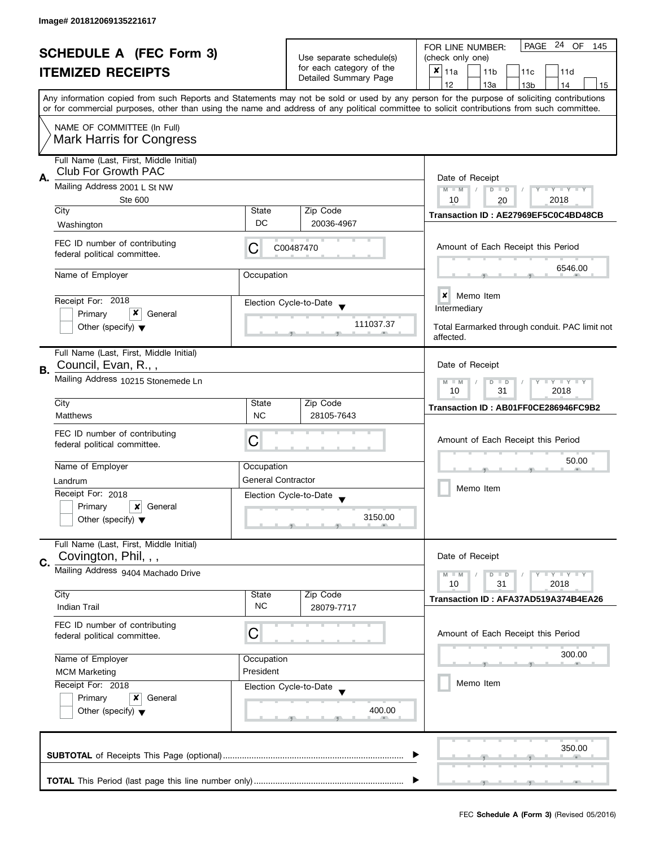| <b>SCHEDULE A (FEC Form 3)</b> |                                                                                                             |                                                             | PAGE 24 OF<br>FOR LINE NUMBER:<br>145                                         |                                                                                                                                                                                                                                                                                         |  |
|--------------------------------|-------------------------------------------------------------------------------------------------------------|-------------------------------------------------------------|-------------------------------------------------------------------------------|-----------------------------------------------------------------------------------------------------------------------------------------------------------------------------------------------------------------------------------------------------------------------------------------|--|
|                                |                                                                                                             |                                                             | Use separate schedule(s)<br>for each category of the<br>Detailed Summary Page | (check only one)                                                                                                                                                                                                                                                                        |  |
|                                | <b>ITEMIZED RECEIPTS</b>                                                                                    |                                                             |                                                                               | ×<br>11a<br>11 <sub>b</sub><br>11c<br>11d                                                                                                                                                                                                                                               |  |
|                                |                                                                                                             |                                                             |                                                                               | 12<br>13a<br>13 <sub>b</sub><br>14<br>15                                                                                                                                                                                                                                                |  |
|                                |                                                                                                             |                                                             |                                                                               | Any information copied from such Reports and Statements may not be sold or used by any person for the purpose of soliciting contributions<br>or for commercial purposes, other than using the name and address of any political committee to solicit contributions from such committee. |  |
|                                | NAME OF COMMITTEE (In Full)<br><b>Mark Harris for Congress</b>                                              |                                                             |                                                                               |                                                                                                                                                                                                                                                                                         |  |
|                                | Full Name (Last, First, Middle Initial)<br>Club For Growth PAC                                              |                                                             |                                                                               |                                                                                                                                                                                                                                                                                         |  |
| А.                             | Mailing Address 2001 L St NW                                                                                |                                                             |                                                                               | Date of Receipt<br>$M - M$<br>$Y - Y - Y - Y - Y$<br>$D$ $D$                                                                                                                                                                                                                            |  |
|                                | <b>Ste 600</b>                                                                                              |                                                             |                                                                               | 2018<br>10<br>20                                                                                                                                                                                                                                                                        |  |
|                                | City                                                                                                        | State                                                       | Zip Code                                                                      | Transaction ID: AE27969EF5C0C4BD48CB                                                                                                                                                                                                                                                    |  |
|                                | Washington                                                                                                  | DC                                                          | 20036-4967                                                                    |                                                                                                                                                                                                                                                                                         |  |
|                                | FEC ID number of contributing<br>federal political committee.                                               | C                                                           | C00487470                                                                     | Amount of Each Receipt this Period                                                                                                                                                                                                                                                      |  |
|                                | Name of Employer                                                                                            | Occupation                                                  |                                                                               | 6546.00                                                                                                                                                                                                                                                                                 |  |
|                                | Receipt For: 2018                                                                                           |                                                             | Election Cycle-to-Date                                                        | <b>x</b> Memo Item<br>Intermediary                                                                                                                                                                                                                                                      |  |
|                                | x<br>Primary<br>General                                                                                     |                                                             |                                                                               |                                                                                                                                                                                                                                                                                         |  |
|                                | Other (specify) $\blacktriangledown$                                                                        |                                                             | 111037.37                                                                     | Total Earmarked through conduit. PAC limit not<br>affected.                                                                                                                                                                                                                             |  |
|                                | Full Name (Last, First, Middle Initial)                                                                     |                                                             |                                                                               | Date of Receipt                                                                                                                                                                                                                                                                         |  |
| В.                             | Council, Evan, R.,,                                                                                         |                                                             |                                                                               |                                                                                                                                                                                                                                                                                         |  |
|                                | Mailing Address 10215 Stonemede Ln                                                                          | <b>LYLYLY</b><br>$M - M$<br>D<br>$\Box$<br>31<br>2018<br>10 |                                                                               |                                                                                                                                                                                                                                                                                         |  |
|                                | City<br><b>Matthews</b>                                                                                     | State<br><b>NC</b>                                          | Zip Code<br>28105-7643                                                        | Transaction ID: AB01FF0CE286946FC9B2                                                                                                                                                                                                                                                    |  |
|                                |                                                                                                             |                                                             |                                                                               |                                                                                                                                                                                                                                                                                         |  |
|                                | FEC ID number of contributing<br>federal political committee.                                               | C                                                           |                                                                               | Amount of Each Receipt this Period                                                                                                                                                                                                                                                      |  |
|                                |                                                                                                             |                                                             |                                                                               |                                                                                                                                                                                                                                                                                         |  |
|                                | Name of Employer                                                                                            | Occupation                                                  |                                                                               | 50.00                                                                                                                                                                                                                                                                                   |  |
|                                | Landrum                                                                                                     | <b>General Contractor</b>                                   |                                                                               | Memo Item                                                                                                                                                                                                                                                                               |  |
|                                | Receipt For: 2018                                                                                           |                                                             | Election Cycle-to-Date<br>$\overline{\mathbf{v}}$                             |                                                                                                                                                                                                                                                                                         |  |
|                                | Primary<br>×<br>General                                                                                     |                                                             |                                                                               |                                                                                                                                                                                                                                                                                         |  |
|                                | Other (specify) $\blacktriangledown$                                                                        |                                                             | 3150.00                                                                       |                                                                                                                                                                                                                                                                                         |  |
|                                | Full Name (Last, First, Middle Initial)                                                                     |                                                             |                                                                               |                                                                                                                                                                                                                                                                                         |  |
| C.                             | Covington, Phil, , ,                                                                                        |                                                             |                                                                               | Date of Receipt                                                                                                                                                                                                                                                                         |  |
|                                | Mailing Address 9404 Machado Drive                                                                          |                                                             |                                                                               | <b>LY LY LY</b><br>$M - M$<br>$D$ $D$                                                                                                                                                                                                                                                   |  |
|                                | City                                                                                                        | State                                                       | Zip Code                                                                      | 10<br>31<br>2018                                                                                                                                                                                                                                                                        |  |
|                                | <b>Indian Trail</b>                                                                                         | <b>NC</b>                                                   | 28079-7717                                                                    | Transaction ID: AFA37AD519A374B4EA26                                                                                                                                                                                                                                                    |  |
|                                | FEC ID number of contributing<br>federal political committee.                                               | C                                                           |                                                                               | Amount of Each Receipt this Period                                                                                                                                                                                                                                                      |  |
|                                | Name of Employer                                                                                            | Occupation                                                  |                                                                               | 300.00                                                                                                                                                                                                                                                                                  |  |
|                                | President<br><b>MCM Marketing</b><br>Receipt For: 2018<br>Election Cycle-to-Date<br>Primary<br>x<br>General |                                                             |                                                                               |                                                                                                                                                                                                                                                                                         |  |
|                                |                                                                                                             |                                                             |                                                                               | Memo Item                                                                                                                                                                                                                                                                               |  |
|                                |                                                                                                             |                                                             |                                                                               |                                                                                                                                                                                                                                                                                         |  |
|                                | Other (specify) $\blacktriangledown$                                                                        |                                                             | 400.00                                                                        |                                                                                                                                                                                                                                                                                         |  |
|                                |                                                                                                             |                                                             |                                                                               | 350.00                                                                                                                                                                                                                                                                                  |  |
|                                |                                                                                                             |                                                             |                                                                               |                                                                                                                                                                                                                                                                                         |  |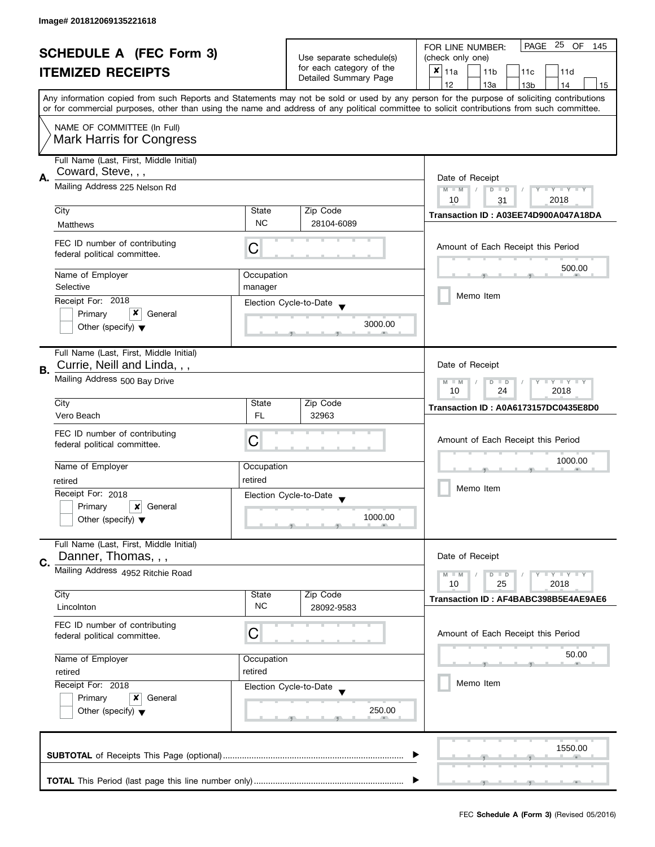| <b>SCHEDULE A (FEC Form 3)</b> |                                                                                                     |                          | PAGE 25 OF<br>FOR LINE NUMBER:<br>145 |                                                                                                                                            |  |
|--------------------------------|-----------------------------------------------------------------------------------------------------|--------------------------|---------------------------------------|--------------------------------------------------------------------------------------------------------------------------------------------|--|
|                                |                                                                                                     | Use separate schedule(s) | (check only one)                      |                                                                                                                                            |  |
|                                | <b>ITEMIZED RECEIPTS</b>                                                                            |                          | for each category of the              | $x _{11a}$<br>11 <sub>b</sub><br>11c<br>11d                                                                                                |  |
|                                |                                                                                                     |                          | Detailed Summary Page                 | 12<br>13a<br>13 <sub>b</sub><br>14<br>15                                                                                                   |  |
|                                |                                                                                                     |                          |                                       | Any information copied from such Reports and Statements may not be sold or used by any person for the purpose of soliciting contributions  |  |
|                                |                                                                                                     |                          |                                       | or for commercial purposes, other than using the name and address of any political committee to solicit contributions from such committee. |  |
|                                | NAME OF COMMITTEE (In Full)                                                                         |                          |                                       |                                                                                                                                            |  |
|                                | <b>Mark Harris for Congress</b>                                                                     |                          |                                       |                                                                                                                                            |  |
|                                | Full Name (Last, First, Middle Initial)                                                             |                          |                                       |                                                                                                                                            |  |
|                                | Coward, Steve, , ,                                                                                  |                          |                                       |                                                                                                                                            |  |
| Α.                             | Mailing Address 225 Nelson Rd                                                                       | Date of Receipt          |                                       |                                                                                                                                            |  |
|                                |                                                                                                     |                          |                                       | $M - M$<br>$T - Y = Y + Y$<br>$D$ $D$<br>Y<br>10<br>2018<br>31                                                                             |  |
|                                | City                                                                                                | State                    | Zip Code                              |                                                                                                                                            |  |
|                                | Matthews                                                                                            | <b>NC</b>                | 28104-6089                            | Transaction ID: A03EE74D900A047A18DA                                                                                                       |  |
|                                |                                                                                                     |                          |                                       |                                                                                                                                            |  |
|                                | FEC ID number of contributing<br>federal political committee.                                       | C                        |                                       | Amount of Each Receipt this Period                                                                                                         |  |
|                                |                                                                                                     |                          |                                       | 500.00                                                                                                                                     |  |
|                                | Name of Employer                                                                                    | Occupation               |                                       |                                                                                                                                            |  |
|                                | Selective                                                                                           | manager                  |                                       | Memo Item                                                                                                                                  |  |
|                                | Receipt For: 2018                                                                                   |                          | Election Cycle-to-Date                |                                                                                                                                            |  |
|                                | x<br>Primary<br>General                                                                             |                          | 3000.00                               |                                                                                                                                            |  |
|                                | Other (specify) $\blacktriangledown$                                                                |                          |                                       |                                                                                                                                            |  |
|                                | Full Name (Last, First, Middle Initial)                                                             |                          |                                       |                                                                                                                                            |  |
|                                | Currie, Neill and Linda, , ,                                                                        |                          |                                       | Date of Receipt                                                                                                                            |  |
| В.                             | Mailing Address 500 Bay Drive                                                                       |                          |                                       | Y LY LY<br>$M - M$<br>$\overline{D}$<br>$\Box$                                                                                             |  |
|                                |                                                                                                     | 24<br>2018<br>10         |                                       |                                                                                                                                            |  |
|                                | City                                                                                                | State                    | Zip Code                              | Transaction ID: A0A6173157DC0435E8D0                                                                                                       |  |
|                                | Vero Beach                                                                                          | <b>FL</b>                | 32963                                 |                                                                                                                                            |  |
|                                | FEC ID number of contributing                                                                       |                          |                                       |                                                                                                                                            |  |
|                                | federal political committee.                                                                        | С                        |                                       | Amount of Each Receipt this Period                                                                                                         |  |
|                                | Name of Employer                                                                                    | Occupation               |                                       | 1000.00                                                                                                                                    |  |
|                                | retired                                                                                             | retired                  |                                       |                                                                                                                                            |  |
|                                | Receipt For: 2018                                                                                   |                          |                                       | Memo Item                                                                                                                                  |  |
|                                | Primary<br>$\boldsymbol{x}$<br>General                                                              |                          | Election Cycle-to-Date                |                                                                                                                                            |  |
|                                | Other (specify) $\blacktriangledown$                                                                |                          | 1000.00                               |                                                                                                                                            |  |
|                                |                                                                                                     |                          |                                       |                                                                                                                                            |  |
|                                | Full Name (Last, First, Middle Initial)                                                             |                          |                                       |                                                                                                                                            |  |
| C.                             | Danner, Thomas, , ,                                                                                 |                          |                                       | Date of Receipt                                                                                                                            |  |
|                                | Mailing Address 4952 Ritchie Road                                                                   |                          |                                       | $Y = Y = Y$<br>$M - M$<br>$D$ $D$                                                                                                          |  |
|                                | City                                                                                                | State                    | Zip Code                              | 25<br>2018<br>10                                                                                                                           |  |
|                                | Lincolnton                                                                                          | <b>NC</b>                | 28092-9583                            | Transaction ID: AF4BABC398B5E4AE9AE6                                                                                                       |  |
|                                | FEC ID number of contributing                                                                       |                          |                                       |                                                                                                                                            |  |
|                                | federal political committee.                                                                        | С                        |                                       | Amount of Each Receipt this Period                                                                                                         |  |
|                                |                                                                                                     |                          |                                       |                                                                                                                                            |  |
|                                | Name of Employer<br>Occupation<br>retired<br>retired<br>Receipt For: 2018<br>Election Cycle-to-Date |                          |                                       | 50.00                                                                                                                                      |  |
|                                |                                                                                                     |                          |                                       |                                                                                                                                            |  |
|                                |                                                                                                     |                          |                                       | Memo Item                                                                                                                                  |  |
|                                | Primary<br>General<br>x                                                                             |                          | 250.00                                |                                                                                                                                            |  |
|                                | Other (specify) $\blacktriangledown$                                                                |                          |                                       |                                                                                                                                            |  |
|                                |                                                                                                     |                          |                                       |                                                                                                                                            |  |
|                                |                                                                                                     |                          |                                       | 1550.00                                                                                                                                    |  |
|                                |                                                                                                     |                          |                                       |                                                                                                                                            |  |
|                                |                                                                                                     |                          |                                       |                                                                                                                                            |  |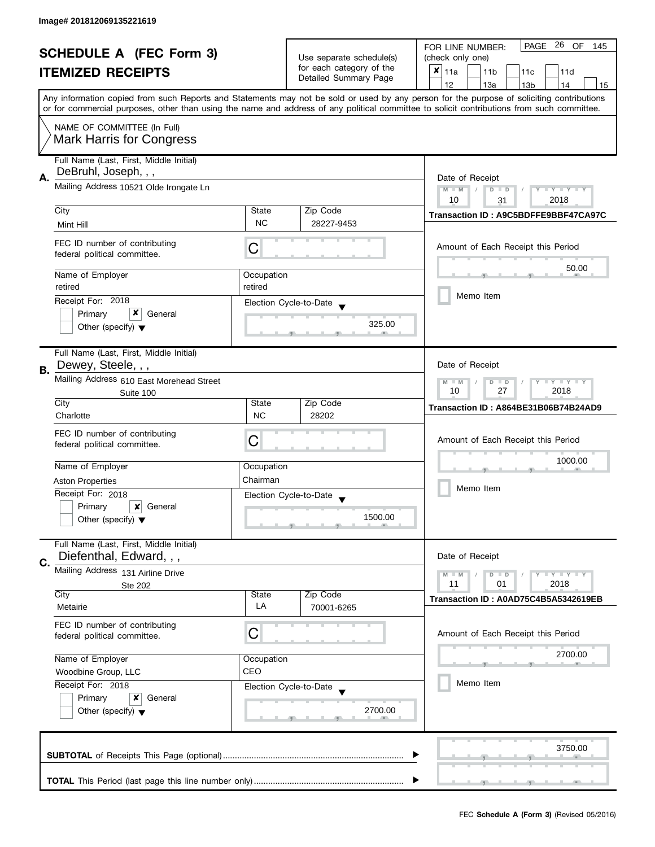| <b>SCHEDULE A (FEC Form 3)</b> |                                                                                               |                                                      | PAGE 26 OF<br>FOR LINE NUMBER:<br>145<br>(check only one) |                                                                                                                                                                                                                                                                                         |  |
|--------------------------------|-----------------------------------------------------------------------------------------------|------------------------------------------------------|-----------------------------------------------------------|-----------------------------------------------------------------------------------------------------------------------------------------------------------------------------------------------------------------------------------------------------------------------------------------|--|
|                                |                                                                                               | Use separate schedule(s)<br>for each category of the |                                                           |                                                                                                                                                                                                                                                                                         |  |
|                                | <b>ITEMIZED RECEIPTS</b>                                                                      |                                                      | Detailed Summary Page                                     | $x _{11a}$<br>11 <sub>b</sub><br>11c<br>11d                                                                                                                                                                                                                                             |  |
|                                |                                                                                               |                                                      |                                                           | 12<br>13a<br>14<br>13 <sub>b</sub><br>15                                                                                                                                                                                                                                                |  |
|                                |                                                                                               |                                                      |                                                           | Any information copied from such Reports and Statements may not be sold or used by any person for the purpose of soliciting contributions<br>or for commercial purposes, other than using the name and address of any political committee to solicit contributions from such committee. |  |
|                                | NAME OF COMMITTEE (In Full)                                                                   |                                                      |                                                           |                                                                                                                                                                                                                                                                                         |  |
|                                | <b>Mark Harris for Congress</b>                                                               |                                                      |                                                           |                                                                                                                                                                                                                                                                                         |  |
|                                | Full Name (Last, First, Middle Initial)<br>DeBruhl, Joseph, , ,                               |                                                      |                                                           |                                                                                                                                                                                                                                                                                         |  |
| Α.                             | Mailing Address 10521 Olde Irongate Ln                                                        |                                                      |                                                           | Date of Receipt                                                                                                                                                                                                                                                                         |  |
|                                |                                                                                               |                                                      |                                                           | $M - M$<br>Y TY TY TY<br>$D$ $D$<br>10<br>2018<br>31                                                                                                                                                                                                                                    |  |
|                                | City                                                                                          | State                                                | Zip Code                                                  |                                                                                                                                                                                                                                                                                         |  |
|                                | Mint Hill                                                                                     | <b>NC</b>                                            | 28227-9453                                                | Transaction ID: A9C5BDFFE9BBF47CA97C                                                                                                                                                                                                                                                    |  |
|                                |                                                                                               |                                                      |                                                           |                                                                                                                                                                                                                                                                                         |  |
|                                | FEC ID number of contributing<br>federal political committee.                                 | С                                                    |                                                           | Amount of Each Receipt this Period                                                                                                                                                                                                                                                      |  |
|                                |                                                                                               |                                                      |                                                           | 50.00                                                                                                                                                                                                                                                                                   |  |
|                                | Name of Employer                                                                              | Occupation                                           |                                                           |                                                                                                                                                                                                                                                                                         |  |
|                                | retired                                                                                       | retired                                              |                                                           | Memo Item                                                                                                                                                                                                                                                                               |  |
|                                | Receipt For: 2018                                                                             |                                                      | Election Cycle-to-Date                                    |                                                                                                                                                                                                                                                                                         |  |
|                                | x<br>Primary<br>General                                                                       |                                                      |                                                           |                                                                                                                                                                                                                                                                                         |  |
|                                | Other (specify) $\blacktriangledown$                                                          |                                                      | 325.00                                                    |                                                                                                                                                                                                                                                                                         |  |
|                                | Full Name (Last, First, Middle Initial)                                                       |                                                      |                                                           |                                                                                                                                                                                                                                                                                         |  |
| <b>B.</b>                      | Dewey, Steele, , ,                                                                            |                                                      |                                                           | Date of Receipt                                                                                                                                                                                                                                                                         |  |
|                                | Mailing Address 610 East Morehead Street                                                      |                                                      |                                                           | <b>LYLYLY</b><br>$M - M$<br>D<br>$\Box$                                                                                                                                                                                                                                                 |  |
|                                | Suite 100                                                                                     |                                                      |                                                           | 27<br>2018<br>10                                                                                                                                                                                                                                                                        |  |
|                                | City                                                                                          | State                                                | Zip Code                                                  | Transaction ID: A864BE31B06B74B24AD9                                                                                                                                                                                                                                                    |  |
|                                | Charlotte                                                                                     | <b>NC</b>                                            | 28202                                                     |                                                                                                                                                                                                                                                                                         |  |
|                                | FEC ID number of contributing                                                                 |                                                      |                                                           |                                                                                                                                                                                                                                                                                         |  |
|                                | federal political committee.                                                                  | C                                                    |                                                           | Amount of Each Receipt this Period                                                                                                                                                                                                                                                      |  |
|                                |                                                                                               |                                                      |                                                           | 1000.00                                                                                                                                                                                                                                                                                 |  |
|                                | Name of Employer                                                                              | Occupation                                           |                                                           |                                                                                                                                                                                                                                                                                         |  |
|                                | <b>Aston Properties</b>                                                                       | Chairman                                             |                                                           | Memo Item                                                                                                                                                                                                                                                                               |  |
|                                | Receipt For: 2018                                                                             |                                                      | Election Cycle-to-Date                                    |                                                                                                                                                                                                                                                                                         |  |
|                                | Primary<br>×<br>General                                                                       |                                                      | 1500.00                                                   |                                                                                                                                                                                                                                                                                         |  |
|                                | Other (specify) $\blacktriangledown$                                                          |                                                      |                                                           |                                                                                                                                                                                                                                                                                         |  |
|                                | Full Name (Last, First, Middle Initial)<br>Diefenthal, Edward, , ,                            |                                                      |                                                           | Date of Receipt                                                                                                                                                                                                                                                                         |  |
| C.                             | Mailing Address 131 Airline Drive                                                             |                                                      |                                                           |                                                                                                                                                                                                                                                                                         |  |
|                                |                                                                                               |                                                      |                                                           | $Y = Y = Y$<br>$M - M$<br>$D$ $D$<br>11<br>01<br>2018                                                                                                                                                                                                                                   |  |
|                                | Ste 202<br>City                                                                               | State                                                | Zip Code                                                  |                                                                                                                                                                                                                                                                                         |  |
|                                | Metairie                                                                                      | LA                                                   | 70001-6265                                                | Transaction ID: A0AD75C4B5A5342619EB                                                                                                                                                                                                                                                    |  |
|                                | FEC ID number of contributing                                                                 |                                                      |                                                           |                                                                                                                                                                                                                                                                                         |  |
|                                | federal political committee.                                                                  | C                                                    |                                                           | Amount of Each Receipt this Period                                                                                                                                                                                                                                                      |  |
|                                |                                                                                               |                                                      |                                                           | 2700.00                                                                                                                                                                                                                                                                                 |  |
|                                | Name of Employer                                                                              | Occupation<br>CEO                                    |                                                           |                                                                                                                                                                                                                                                                                         |  |
|                                | Woodbine Group, LLC<br>Receipt For: 2018<br>Election Cycle-to-Date<br>Primary<br>x<br>General |                                                      |                                                           | Memo Item                                                                                                                                                                                                                                                                               |  |
|                                |                                                                                               |                                                      |                                                           |                                                                                                                                                                                                                                                                                         |  |
|                                | Other (specify) $\blacktriangledown$                                                          |                                                      | 2700.00                                                   |                                                                                                                                                                                                                                                                                         |  |
|                                |                                                                                               |                                                      |                                                           |                                                                                                                                                                                                                                                                                         |  |
|                                |                                                                                               |                                                      |                                                           |                                                                                                                                                                                                                                                                                         |  |
|                                |                                                                                               |                                                      |                                                           | 3750.00                                                                                                                                                                                                                                                                                 |  |
|                                |                                                                                               |                                                      |                                                           |                                                                                                                                                                                                                                                                                         |  |
|                                |                                                                                               |                                                      |                                                           |                                                                                                                                                                                                                                                                                         |  |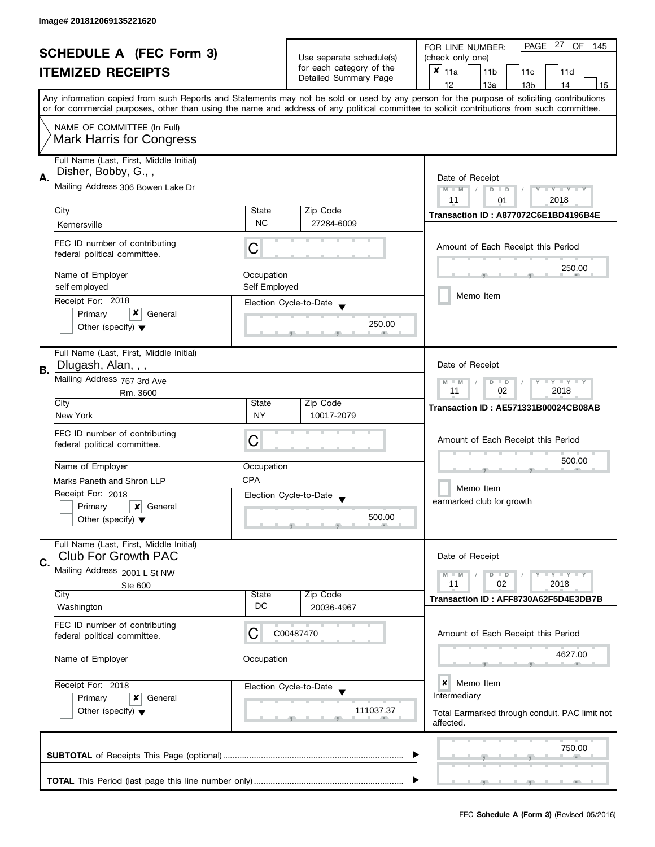|    | <b>SCHEDULE A (FEC Form 3)</b><br><b>ITEMIZED RECEIPTS</b>                           |                                                                                               | Use separate schedule(s)<br>for each category of the<br>Detailed Summary Page | PAGE 27 OF<br>FOR LINE NUMBER:<br>145<br>(check only one)<br>×<br>11a<br>11 <sub>b</sub><br>11c<br>11d                                                                                                                                                                                                                              |
|----|--------------------------------------------------------------------------------------|-----------------------------------------------------------------------------------------------|-------------------------------------------------------------------------------|-------------------------------------------------------------------------------------------------------------------------------------------------------------------------------------------------------------------------------------------------------------------------------------------------------------------------------------|
|    |                                                                                      |                                                                                               |                                                                               | 12<br>13a<br>13 <sub>b</sub><br>14<br>15<br>Any information copied from such Reports and Statements may not be sold or used by any person for the purpose of soliciting contributions<br>or for commercial purposes, other than using the name and address of any political committee to solicit contributions from such committee. |
|    | NAME OF COMMITTEE (In Full)<br><b>Mark Harris for Congress</b>                       |                                                                                               |                                                                               |                                                                                                                                                                                                                                                                                                                                     |
| Α. | Full Name (Last, First, Middle Initial)<br>Disher, Bobby, G.,,                       | Date of Receipt                                                                               |                                                                               |                                                                                                                                                                                                                                                                                                                                     |
|    | Mailing Address 306 Bowen Lake Dr                                                    | $M - M$<br>$T - Y = T - Y$<br>$D$ $D$<br>11<br>2018<br>01                                     |                                                                               |                                                                                                                                                                                                                                                                                                                                     |
|    | City<br>Kernersville                                                                 | State<br><b>NC</b>                                                                            | Zip Code<br>27284-6009                                                        | Transaction ID: A877072C6E1BD4196B4E                                                                                                                                                                                                                                                                                                |
|    | FEC ID number of contributing<br>federal political committee.                        | С                                                                                             |                                                                               | Amount of Each Receipt this Period                                                                                                                                                                                                                                                                                                  |
|    | Name of Employer                                                                     | Occupation                                                                                    |                                                                               | 250.00                                                                                                                                                                                                                                                                                                                              |
|    | self employed<br>Receipt For: 2018                                                   | Self Employed                                                                                 |                                                                               | Memo Item                                                                                                                                                                                                                                                                                                                           |
|    | Primary<br>General<br>Other (specify) $\blacktriangledown$                           |                                                                                               | Election Cycle-to-Date<br>250.00                                              |                                                                                                                                                                                                                                                                                                                                     |
| В. | Full Name (Last, First, Middle Initial)<br>Dlugash, Alan, , ,                        |                                                                                               |                                                                               | Date of Receipt                                                                                                                                                                                                                                                                                                                     |
|    | Mailing Address 767 3rd Ave<br>Rm. 3600                                              | $\bot$ $\gamma$ $\bot$ $\gamma$ $\bot$ $\gamma$<br>$M - M$<br>D<br>$\Box$<br>02<br>2018<br>11 |                                                                               |                                                                                                                                                                                                                                                                                                                                     |
|    | City                                                                                 | State                                                                                         | Zip Code                                                                      | Transaction ID: AE571331B00024CB08AB                                                                                                                                                                                                                                                                                                |
|    | New York<br>FEC ID number of contributing<br>federal political committee.            | <b>NY</b><br>С                                                                                | 10017-2079                                                                    | Amount of Each Receipt this Period                                                                                                                                                                                                                                                                                                  |
|    | Name of Employer                                                                     | Occupation                                                                                    |                                                                               | 500.00                                                                                                                                                                                                                                                                                                                              |
|    | Marks Paneth and Shron LLP                                                           | <b>CPA</b>                                                                                    |                                                                               | Memo Item                                                                                                                                                                                                                                                                                                                           |
|    | Receipt For: 2018<br>Primary<br>×<br>General<br>Other (specify) $\blacktriangledown$ |                                                                                               | Election Cycle-to-Date<br>$\blacktriangledown$<br>500.00                      | earmarked club for growth                                                                                                                                                                                                                                                                                                           |
|    | Full Name (Last, First, Middle Initial)<br><b>Club For Growth PAC</b>                |                                                                                               |                                                                               | Date of Receipt                                                                                                                                                                                                                                                                                                                     |
| C. | Mailing Address 2001 L St NW                                                         |                                                                                               | $\bot$ $\gamma$ $\bot$ $\gamma$ $\bot$ $\gamma$<br>$M - M$<br>$D$ $D$         |                                                                                                                                                                                                                                                                                                                                     |
|    | Ste 600<br>City<br>Washington                                                        | State<br>DC                                                                                   | Zip Code<br>20036-4967                                                        | 11<br>02<br>2018<br>Transaction ID: AFF8730A62F5D4E3DB7B                                                                                                                                                                                                                                                                            |
|    | FEC ID number of contributing<br>federal political committee.                        | С                                                                                             | C00487470                                                                     | Amount of Each Receipt this Period                                                                                                                                                                                                                                                                                                  |
|    | Name of Employer                                                                     | Occupation                                                                                    |                                                                               | 4627.00                                                                                                                                                                                                                                                                                                                             |
|    | Receipt For: 2018<br>Primary<br>x<br>General                                         |                                                                                               | Election Cycle-to-Date                                                        | ×<br>Memo Item<br>Intermediary                                                                                                                                                                                                                                                                                                      |
|    | Other (specify) $\blacktriangledown$                                                 |                                                                                               | 111037.37                                                                     | Total Earmarked through conduit. PAC limit not<br>affected.                                                                                                                                                                                                                                                                         |
|    |                                                                                      |                                                                                               |                                                                               | 750.00                                                                                                                                                                                                                                                                                                                              |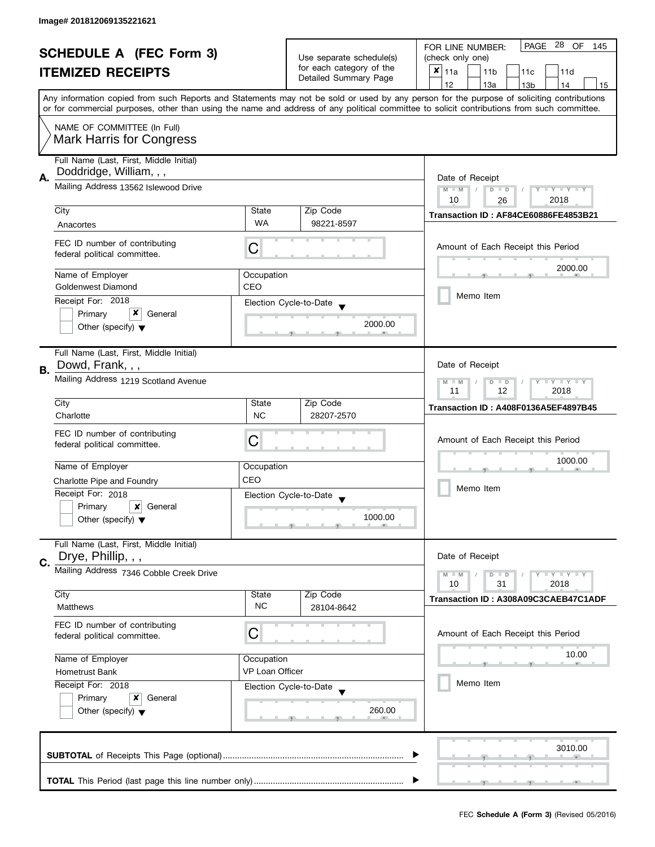| <b>SCHEDULE A (FEC Form 3)</b><br><b>ITEMIZED RECEIPTS</b> |                                                                                                                                                            | Use separate schedule(s)<br>for each category of the                        | PAGE 28 OF<br>FOR LINE NUMBER:<br>145<br>(check only one) |                                                                                                                                            |  |  |
|------------------------------------------------------------|------------------------------------------------------------------------------------------------------------------------------------------------------------|-----------------------------------------------------------------------------|-----------------------------------------------------------|--------------------------------------------------------------------------------------------------------------------------------------------|--|--|
|                                                            |                                                                                                                                                            |                                                                             | $x _{11a}$<br>11 <sub>b</sub><br>11c<br>11d               |                                                                                                                                            |  |  |
|                                                            |                                                                                                                                                            |                                                                             | Detailed Summary Page                                     | 12<br>13a<br>13 <sub>b</sub><br>14<br>15                                                                                                   |  |  |
|                                                            |                                                                                                                                                            |                                                                             |                                                           | Any information copied from such Reports and Statements may not be sold or used by any person for the purpose of soliciting contributions  |  |  |
|                                                            |                                                                                                                                                            |                                                                             |                                                           | or for commercial purposes, other than using the name and address of any political committee to solicit contributions from such committee. |  |  |
|                                                            | NAME OF COMMITTEE (In Full)                                                                                                                                |                                                                             |                                                           |                                                                                                                                            |  |  |
|                                                            | <b>Mark Harris for Congress</b>                                                                                                                            |                                                                             |                                                           |                                                                                                                                            |  |  |
|                                                            | Full Name (Last, First, Middle Initial)                                                                                                                    |                                                                             |                                                           |                                                                                                                                            |  |  |
| А.                                                         | Doddridge, William, , ,<br>Mailing Address 13562 Islewood Drive                                                                                            |                                                                             |                                                           | Date of Receipt                                                                                                                            |  |  |
|                                                            |                                                                                                                                                            | $M - M$<br>$\sqrt{2}$<br>$D$ $D$<br>$Y - Y - Y - Y - Y$<br>10<br>2018<br>26 |                                                           |                                                                                                                                            |  |  |
|                                                            | City                                                                                                                                                       | State                                                                       | Zip Code                                                  | Transaction ID: AF84CE60886FE4853B21                                                                                                       |  |  |
|                                                            | Anacortes                                                                                                                                                  | <b>WA</b>                                                                   | 98221-8597                                                |                                                                                                                                            |  |  |
|                                                            | FEC ID number of contributing                                                                                                                              |                                                                             |                                                           | Amount of Each Receipt this Period                                                                                                         |  |  |
|                                                            | federal political committee.                                                                                                                               | С                                                                           |                                                           |                                                                                                                                            |  |  |
|                                                            | Name of Employer                                                                                                                                           | Occupation                                                                  |                                                           | 2000.00                                                                                                                                    |  |  |
|                                                            | Goldenwest Diamond                                                                                                                                         | CEO                                                                         |                                                           | Memo Item                                                                                                                                  |  |  |
|                                                            | Receipt For: 2018                                                                                                                                          |                                                                             | Election Cycle-to-Date                                    |                                                                                                                                            |  |  |
|                                                            | x<br>Primary<br>General<br>Other (specify) $\blacktriangledown$                                                                                            |                                                                             | 2000.00                                                   |                                                                                                                                            |  |  |
|                                                            |                                                                                                                                                            |                                                                             |                                                           |                                                                                                                                            |  |  |
|                                                            | Full Name (Last, First, Middle Initial)                                                                                                                    |                                                                             |                                                           |                                                                                                                                            |  |  |
| В.                                                         | Dowd, Frank, , ,                                                                                                                                           |                                                                             |                                                           | Date of Receipt                                                                                                                            |  |  |
|                                                            | Mailing Address 1219 Scotland Avenue                                                                                                                       |                                                                             |                                                           | $\Box$ $\Upsilon$ $\Box$ $\Upsilon$ $\Upsilon$ $\Upsilon$<br>$M - M$<br>$\overline{D}$<br>$\Box$<br>2018<br>11<br>12                       |  |  |
|                                                            | City                                                                                                                                                       | State                                                                       | Zip Code                                                  | Transaction ID: A408F0136A5EF4897B45                                                                                                       |  |  |
|                                                            | Charlotte                                                                                                                                                  | <b>NC</b>                                                                   | 28207-2570                                                |                                                                                                                                            |  |  |
|                                                            | FEC ID number of contributing                                                                                                                              | С                                                                           |                                                           | Amount of Each Receipt this Period                                                                                                         |  |  |
|                                                            | federal political committee.                                                                                                                               |                                                                             |                                                           |                                                                                                                                            |  |  |
|                                                            | Name of Employer                                                                                                                                           | Occupation                                                                  |                                                           | 1000.00                                                                                                                                    |  |  |
|                                                            | Charlotte Pipe and Foundry                                                                                                                                 | CEO                                                                         |                                                           | Memo Item                                                                                                                                  |  |  |
|                                                            | Receipt For: 2018                                                                                                                                          |                                                                             | Election Cycle-to-Date                                    |                                                                                                                                            |  |  |
|                                                            | ×<br>Primary<br>General                                                                                                                                    |                                                                             | 1000.00                                                   |                                                                                                                                            |  |  |
|                                                            | Other (specify) $\blacktriangledown$                                                                                                                       |                                                                             |                                                           |                                                                                                                                            |  |  |
|                                                            | Full Name (Last, First, Middle Initial)                                                                                                                    |                                                                             |                                                           |                                                                                                                                            |  |  |
| C.                                                         | Drye, Phillip, , ,                                                                                                                                         |                                                                             |                                                           | Date of Receipt                                                                                                                            |  |  |
|                                                            | Mailing Address 7346 Cobble Creek Drive                                                                                                                    |                                                                             |                                                           | $M - M$<br>$Y - Y - Y$<br>D<br>$\blacksquare$<br>10<br>31<br>2018                                                                          |  |  |
|                                                            | City                                                                                                                                                       | State                                                                       | Zip Code                                                  |                                                                                                                                            |  |  |
|                                                            | Matthews                                                                                                                                                   | <b>NC</b>                                                                   | 28104-8642                                                | Transaction ID: A308A09C3CAEB47C1ADF                                                                                                       |  |  |
|                                                            | FEC ID number of contributing                                                                                                                              |                                                                             |                                                           |                                                                                                                                            |  |  |
|                                                            | federal political committee.                                                                                                                               | C                                                                           |                                                           | Amount of Each Receipt this Period                                                                                                         |  |  |
|                                                            | Name of Employer                                                                                                                                           | Occupation                                                                  |                                                           | 10.00                                                                                                                                      |  |  |
|                                                            | VP Loan Officer<br><b>Hometrust Bank</b><br>Receipt For: 2018<br>Election Cycle-to-Date<br>Primary<br>x<br>General<br>Other (specify) $\blacktriangledown$ |                                                                             |                                                           |                                                                                                                                            |  |  |
|                                                            |                                                                                                                                                            |                                                                             |                                                           | Memo Item                                                                                                                                  |  |  |
|                                                            |                                                                                                                                                            |                                                                             |                                                           |                                                                                                                                            |  |  |
|                                                            |                                                                                                                                                            |                                                                             | 260.00                                                    |                                                                                                                                            |  |  |
|                                                            |                                                                                                                                                            |                                                                             |                                                           |                                                                                                                                            |  |  |
|                                                            |                                                                                                                                                            |                                                                             |                                                           | 3010.00                                                                                                                                    |  |  |
|                                                            |                                                                                                                                                            |                                                                             |                                                           |                                                                                                                                            |  |  |
|                                                            |                                                                                                                                                            |                                                                             |                                                           |                                                                                                                                            |  |  |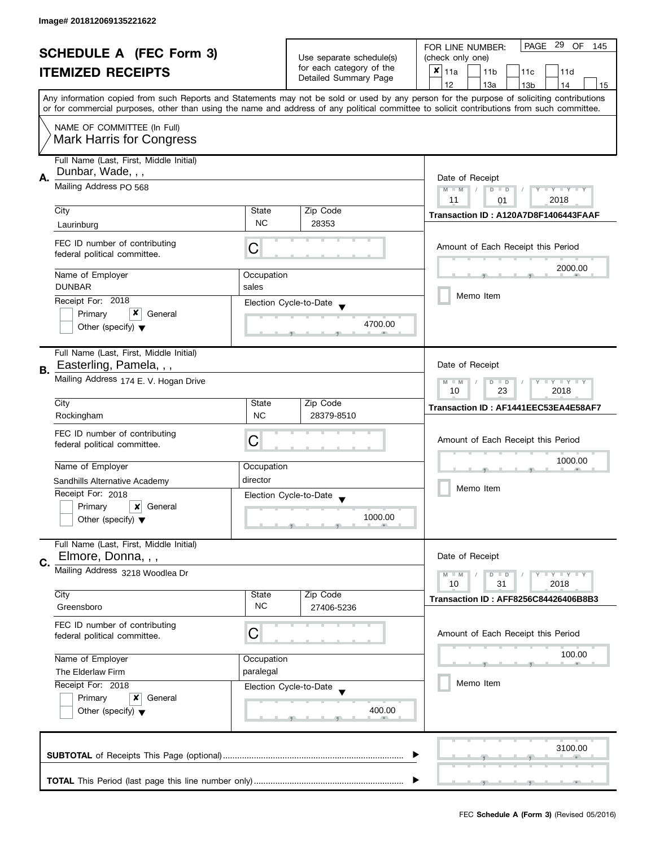| <b>SCHEDULE A (FEC Form 3)</b> |                                                                                                                                            |                          | PAGE 29 OF<br>FOR LINE NUMBER:<br>145 |                                                                                                                                            |  |
|--------------------------------|--------------------------------------------------------------------------------------------------------------------------------------------|--------------------------|---------------------------------------|--------------------------------------------------------------------------------------------------------------------------------------------|--|
|                                |                                                                                                                                            | Use separate schedule(s) | (check only one)                      |                                                                                                                                            |  |
|                                | <b>ITEMIZED RECEIPTS</b>                                                                                                                   |                          | for each category of the              | $x _{11a}$<br>11 <sub>b</sub><br>11c<br>11d                                                                                                |  |
|                                |                                                                                                                                            |                          | Detailed Summary Page                 | 12<br>13a<br>13 <sub>b</sub><br>14<br>15                                                                                                   |  |
|                                |                                                                                                                                            |                          |                                       | Any information copied from such Reports and Statements may not be sold or used by any person for the purpose of soliciting contributions  |  |
|                                |                                                                                                                                            |                          |                                       | or for commercial purposes, other than using the name and address of any political committee to solicit contributions from such committee. |  |
|                                | NAME OF COMMITTEE (In Full)                                                                                                                |                          |                                       |                                                                                                                                            |  |
|                                | <b>Mark Harris for Congress</b>                                                                                                            |                          |                                       |                                                                                                                                            |  |
|                                | Full Name (Last, First, Middle Initial)                                                                                                    |                          |                                       |                                                                                                                                            |  |
|                                | Dunbar, Wade, , ,                                                                                                                          |                          |                                       |                                                                                                                                            |  |
| Α.                             | Mailing Address PO 568                                                                                                                     | Date of Receipt          |                                       |                                                                                                                                            |  |
|                                |                                                                                                                                            |                          |                                       | $M - M$<br>$T - Y = T - Y$<br>$D$ $D$<br>Y<br>2018<br>11                                                                                   |  |
|                                | City                                                                                                                                       | State                    | Zip Code                              | 01                                                                                                                                         |  |
|                                | Laurinburg                                                                                                                                 | <b>NC</b>                | 28353                                 | Transaction ID: A120A7D8F1406443FAAF                                                                                                       |  |
|                                |                                                                                                                                            |                          |                                       |                                                                                                                                            |  |
|                                | FEC ID number of contributing                                                                                                              | C                        |                                       | Amount of Each Receipt this Period                                                                                                         |  |
|                                | federal political committee.                                                                                                               |                          |                                       |                                                                                                                                            |  |
|                                | Name of Employer                                                                                                                           | Occupation               |                                       | 2000.00                                                                                                                                    |  |
|                                | <b>DUNBAR</b>                                                                                                                              | sales                    |                                       |                                                                                                                                            |  |
|                                | Receipt For: 2018                                                                                                                          |                          | Election Cycle-to-Date                | Memo Item                                                                                                                                  |  |
|                                | x<br>Primary<br>General                                                                                                                    |                          |                                       |                                                                                                                                            |  |
|                                | Other (specify) $\blacktriangledown$                                                                                                       |                          | 4700.00                               |                                                                                                                                            |  |
|                                |                                                                                                                                            |                          |                                       |                                                                                                                                            |  |
|                                | Full Name (Last, First, Middle Initial)                                                                                                    |                          |                                       |                                                                                                                                            |  |
| В.                             | Easterling, Pamela, , ,                                                                                                                    |                          |                                       | Date of Receipt                                                                                                                            |  |
|                                | Mailing Address 174 E. V. Hogan Drive                                                                                                      |                          |                                       | Y LY LY<br>$M - M$<br>$\overline{D}$<br>$\Box$                                                                                             |  |
|                                |                                                                                                                                            | 23<br>2018<br>10         |                                       |                                                                                                                                            |  |
|                                | City                                                                                                                                       | State                    | Zip Code                              | Transaction ID: AF1441EEC53EA4E58AF7                                                                                                       |  |
|                                | Rockingham                                                                                                                                 | <b>NC</b>                | 28379-8510                            |                                                                                                                                            |  |
|                                | FEC ID number of contributing                                                                                                              | C                        |                                       | Amount of Each Receipt this Period                                                                                                         |  |
|                                | federal political committee.                                                                                                               |                          |                                       |                                                                                                                                            |  |
|                                | Name of Employer                                                                                                                           | Occupation               |                                       | 1000.00                                                                                                                                    |  |
|                                | Sandhills Alternative Academy                                                                                                              | director                 |                                       |                                                                                                                                            |  |
|                                | Receipt For: 2018                                                                                                                          |                          | Election Cycle-to-Date                | Memo Item                                                                                                                                  |  |
|                                | Primary<br>$\boldsymbol{x}$<br>General                                                                                                     |                          |                                       |                                                                                                                                            |  |
|                                | Other (specify) $\blacktriangledown$                                                                                                       |                          | 1000.00                               |                                                                                                                                            |  |
|                                |                                                                                                                                            |                          |                                       |                                                                                                                                            |  |
|                                | Full Name (Last, First, Middle Initial)                                                                                                    |                          |                                       |                                                                                                                                            |  |
| C.                             | Elmore, Donna, , ,                                                                                                                         |                          |                                       | Date of Receipt                                                                                                                            |  |
|                                | Mailing Address 3218 Woodlea Dr                                                                                                            |                          |                                       | Y LY LY<br>$M - M$<br>$D$ $D$                                                                                                              |  |
|                                |                                                                                                                                            |                          |                                       | 31<br>2018<br>10                                                                                                                           |  |
|                                | City<br>Greensboro                                                                                                                         | State<br><b>NC</b>       | Zip Code<br>27406-5236                | <b>Transaction ID: AFF8256C84426406B8B3</b>                                                                                                |  |
|                                |                                                                                                                                            |                          |                                       |                                                                                                                                            |  |
|                                | FEC ID number of contributing                                                                                                              | С                        |                                       | Amount of Each Receipt this Period                                                                                                         |  |
|                                | federal political committee.                                                                                                               |                          |                                       |                                                                                                                                            |  |
|                                | Name of Employer<br>Occupation<br>paralegal<br>The Elderlaw Firm<br>Receipt For: 2018<br>Election Cycle-to-Date<br>Primary<br>General<br>x |                          |                                       | 100.00                                                                                                                                     |  |
|                                |                                                                                                                                            |                          |                                       |                                                                                                                                            |  |
|                                |                                                                                                                                            |                          |                                       | Memo Item                                                                                                                                  |  |
|                                |                                                                                                                                            |                          |                                       |                                                                                                                                            |  |
|                                | Other (specify) $\blacktriangledown$                                                                                                       |                          | 400.00                                |                                                                                                                                            |  |
|                                |                                                                                                                                            |                          |                                       |                                                                                                                                            |  |
|                                |                                                                                                                                            |                          |                                       |                                                                                                                                            |  |
|                                |                                                                                                                                            |                          |                                       | 3100.00                                                                                                                                    |  |
|                                |                                                                                                                                            |                          |                                       |                                                                                                                                            |  |
|                                |                                                                                                                                            |                          |                                       |                                                                                                                                            |  |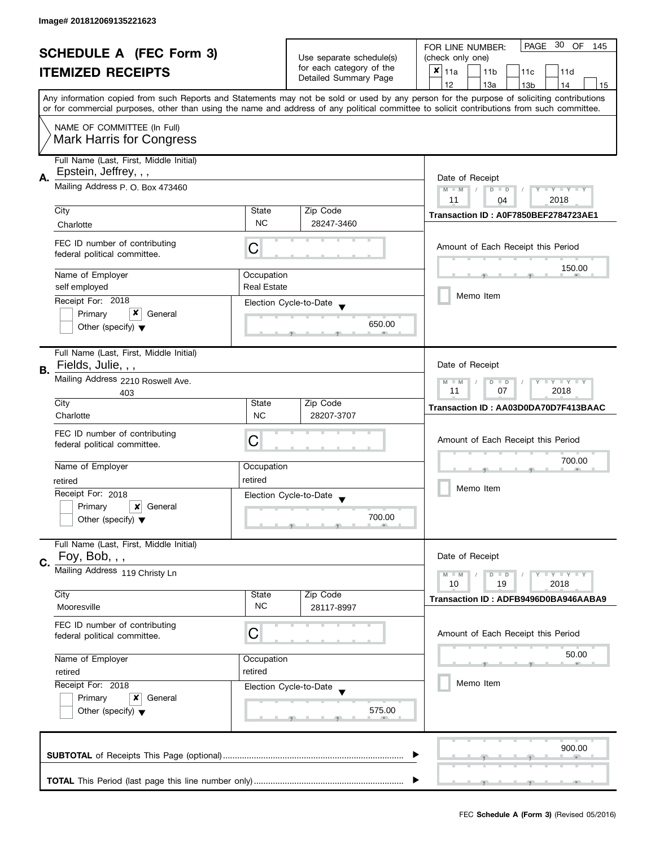| <b>SCHEDULE A (FEC Form 3)</b> |                                                                |                          | - 30<br>PAGE<br>OF<br>FOR LINE NUMBER:<br>145     |                                                                                                                                                                                                                                                                                         |  |
|--------------------------------|----------------------------------------------------------------|--------------------------|---------------------------------------------------|-----------------------------------------------------------------------------------------------------------------------------------------------------------------------------------------------------------------------------------------------------------------------------------------|--|
|                                |                                                                | Use separate schedule(s) | (check only one)                                  |                                                                                                                                                                                                                                                                                         |  |
|                                | <b>ITEMIZED RECEIPTS</b>                                       |                          | for each category of the<br>Detailed Summary Page | $x _{11a}$<br>11 <sub>b</sub><br>11c<br>11d                                                                                                                                                                                                                                             |  |
|                                |                                                                |                          |                                                   | 12<br>13a<br>14<br>13 <sub>b</sub><br>15                                                                                                                                                                                                                                                |  |
|                                |                                                                |                          |                                                   | Any information copied from such Reports and Statements may not be sold or used by any person for the purpose of soliciting contributions<br>or for commercial purposes, other than using the name and address of any political committee to solicit contributions from such committee. |  |
|                                |                                                                |                          |                                                   |                                                                                                                                                                                                                                                                                         |  |
|                                | NAME OF COMMITTEE (In Full)<br><b>Mark Harris for Congress</b> |                          |                                                   |                                                                                                                                                                                                                                                                                         |  |
|                                | Full Name (Last, First, Middle Initial)                        |                          |                                                   |                                                                                                                                                                                                                                                                                         |  |
|                                | Epstein, Jeffrey, , ,                                          |                          |                                                   |                                                                                                                                                                                                                                                                                         |  |
| Α.                             | Mailing Address P. O. Box 473460                               |                          |                                                   | Date of Receipt                                                                                                                                                                                                                                                                         |  |
|                                |                                                                |                          |                                                   | Y TY TY TY<br>$M - M$<br>$D$ $D$<br>2018<br>11                                                                                                                                                                                                                                          |  |
|                                | City                                                           | State                    | Zip Code                                          | 04                                                                                                                                                                                                                                                                                      |  |
|                                |                                                                | <b>NC</b>                | 28247-3460                                        | Transaction ID: A0F7850BEF2784723AE1                                                                                                                                                                                                                                                    |  |
|                                | Charlotte                                                      |                          |                                                   |                                                                                                                                                                                                                                                                                         |  |
|                                | FEC ID number of contributing<br>federal political committee.  | С                        |                                                   | Amount of Each Receipt this Period                                                                                                                                                                                                                                                      |  |
|                                | Name of Employer                                               | Occupation               |                                                   | 150.00                                                                                                                                                                                                                                                                                  |  |
|                                | self employed                                                  | <b>Real Estate</b>       |                                                   |                                                                                                                                                                                                                                                                                         |  |
|                                | Receipt For: 2018                                              |                          |                                                   | Memo Item                                                                                                                                                                                                                                                                               |  |
|                                | x<br>General                                                   |                          | Election Cycle-to-Date                            |                                                                                                                                                                                                                                                                                         |  |
|                                | Primary<br>Other (specify) $\blacktriangledown$                |                          | 650.00                                            |                                                                                                                                                                                                                                                                                         |  |
|                                |                                                                |                          |                                                   |                                                                                                                                                                                                                                                                                         |  |
|                                | Full Name (Last, First, Middle Initial)                        |                          |                                                   |                                                                                                                                                                                                                                                                                         |  |
| В.                             | Fields, Julie, , ,                                             |                          |                                                   | Date of Receipt                                                                                                                                                                                                                                                                         |  |
|                                | Mailing Address 2210 Roswell Ave.                              |                          |                                                   |                                                                                                                                                                                                                                                                                         |  |
|                                | 403                                                            |                          |                                                   | <b>LYLYLY</b><br>$M - M$<br>D<br>$\Box$<br>11<br>07<br>2018                                                                                                                                                                                                                             |  |
|                                | City                                                           | State                    | Zip Code                                          | Transaction ID: AA03D0DA70D7F413BAAC                                                                                                                                                                                                                                                    |  |
|                                | Charlotte                                                      | <b>NC</b>                | 28207-3707                                        |                                                                                                                                                                                                                                                                                         |  |
|                                | FEC ID number of contributing                                  |                          |                                                   |                                                                                                                                                                                                                                                                                         |  |
|                                | federal political committee.                                   | C                        |                                                   | Amount of Each Receipt this Period                                                                                                                                                                                                                                                      |  |
|                                |                                                                |                          |                                                   |                                                                                                                                                                                                                                                                                         |  |
|                                | Name of Employer                                               | Occupation               |                                                   | 700.00                                                                                                                                                                                                                                                                                  |  |
|                                | retired                                                        | retired                  |                                                   |                                                                                                                                                                                                                                                                                         |  |
|                                | Receipt For: 2018                                              |                          | Election Cycle-to-Date                            | Memo Item                                                                                                                                                                                                                                                                               |  |
|                                | Primary<br>×<br>General                                        |                          |                                                   |                                                                                                                                                                                                                                                                                         |  |
|                                | Other (specify) $\blacktriangledown$                           |                          | 700.00                                            |                                                                                                                                                                                                                                                                                         |  |
|                                |                                                                |                          |                                                   |                                                                                                                                                                                                                                                                                         |  |
|                                | Full Name (Last, First, Middle Initial)                        |                          |                                                   |                                                                                                                                                                                                                                                                                         |  |
| C.                             | Foy, Bob, , ,                                                  |                          |                                                   | Date of Receipt                                                                                                                                                                                                                                                                         |  |
|                                | Mailing Address 119 Christy Ln                                 |                          |                                                   | <b>LYLYLY</b><br>$M - M$<br>$D$ $D$                                                                                                                                                                                                                                                     |  |
|                                | City                                                           | State                    | Zip Code                                          | 10<br>19<br>2018                                                                                                                                                                                                                                                                        |  |
|                                | Mooresville                                                    | <b>NC</b>                | 28117-8997                                        | Transaction ID: ADFB9496D0BA946AABA9                                                                                                                                                                                                                                                    |  |
|                                |                                                                |                          |                                                   |                                                                                                                                                                                                                                                                                         |  |
|                                | FEC ID number of contributing                                  | C                        |                                                   | Amount of Each Receipt this Period                                                                                                                                                                                                                                                      |  |
|                                | federal political committee.                                   |                          |                                                   |                                                                                                                                                                                                                                                                                         |  |
|                                | Name of Employer                                               | Occupation               |                                                   | 50.00                                                                                                                                                                                                                                                                                   |  |
|                                | retired                                                        | retired                  |                                                   |                                                                                                                                                                                                                                                                                         |  |
|                                | Receipt For: 2018<br>Election Cycle-to-Date                    |                          |                                                   | Memo Item                                                                                                                                                                                                                                                                               |  |
|                                |                                                                |                          |                                                   |                                                                                                                                                                                                                                                                                         |  |
|                                | Primary<br>General<br>x                                        |                          |                                                   |                                                                                                                                                                                                                                                                                         |  |
|                                | Other (specify) $\blacktriangledown$                           |                          | 575.00                                            |                                                                                                                                                                                                                                                                                         |  |
|                                |                                                                |                          |                                                   |                                                                                                                                                                                                                                                                                         |  |
|                                |                                                                |                          |                                                   | 900.00                                                                                                                                                                                                                                                                                  |  |
|                                |                                                                |                          |                                                   |                                                                                                                                                                                                                                                                                         |  |
|                                |                                                                |                          |                                                   |                                                                                                                                                                                                                                                                                         |  |
|                                |                                                                |                          |                                                   |                                                                                                                                                                                                                                                                                         |  |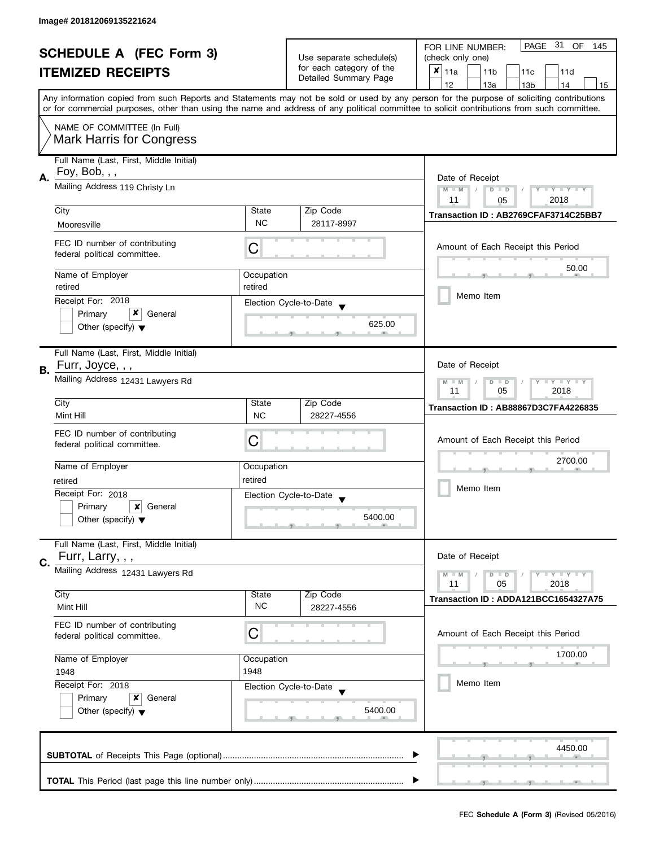| <b>SCHEDULE A (FEC Form 3)</b><br><b>ITEMIZED RECEIPTS</b> |                                             | Use separate schedule(s)                            | PAGE 31 OF<br>FOR LINE NUMBER:<br>145       |                                                                                                                                            |  |
|------------------------------------------------------------|---------------------------------------------|-----------------------------------------------------|---------------------------------------------|--------------------------------------------------------------------------------------------------------------------------------------------|--|
|                                                            |                                             |                                                     | (check only one)                            |                                                                                                                                            |  |
|                                                            |                                             | for each category of the                            | $x _{11a}$<br>11 <sub>b</sub><br>11c<br>11d |                                                                                                                                            |  |
|                                                            |                                             |                                                     | Detailed Summary Page                       | 12<br>13a<br>14<br>13 <sub>b</sub><br>15                                                                                                   |  |
|                                                            |                                             |                                                     |                                             | Any information copied from such Reports and Statements may not be sold or used by any person for the purpose of soliciting contributions  |  |
|                                                            |                                             |                                                     |                                             | or for commercial purposes, other than using the name and address of any political committee to solicit contributions from such committee. |  |
|                                                            | NAME OF COMMITTEE (In Full)                 |                                                     |                                             |                                                                                                                                            |  |
|                                                            | <b>Mark Harris for Congress</b>             |                                                     |                                             |                                                                                                                                            |  |
|                                                            |                                             |                                                     |                                             |                                                                                                                                            |  |
|                                                            | Full Name (Last, First, Middle Initial)     |                                                     |                                             |                                                                                                                                            |  |
|                                                            | Foy, Bob, $, ,$                             |                                                     |                                             |                                                                                                                                            |  |
| Α.                                                         | Mailing Address 119 Christy Ln              | Date of Receipt<br>Y TY TY TY<br>$M - M$<br>$D$ $D$ |                                             |                                                                                                                                            |  |
|                                                            |                                             |                                                     |                                             | 2018<br>11<br>05                                                                                                                           |  |
|                                                            | City                                        | State                                               | Zip Code                                    |                                                                                                                                            |  |
|                                                            | Mooresville                                 | <b>NC</b>                                           | 28117-8997                                  | Transaction ID: AB2769CFAF3714C25BB7                                                                                                       |  |
|                                                            |                                             |                                                     |                                             |                                                                                                                                            |  |
|                                                            | FEC ID number of contributing               | С                                                   |                                             | Amount of Each Receipt this Period                                                                                                         |  |
|                                                            | federal political committee.                |                                                     |                                             |                                                                                                                                            |  |
|                                                            | Name of Employer                            |                                                     |                                             | 50.00                                                                                                                                      |  |
|                                                            | retired                                     | Occupation<br>retired                               |                                             |                                                                                                                                            |  |
|                                                            |                                             |                                                     |                                             | Memo Item                                                                                                                                  |  |
|                                                            | Receipt For: 2018                           |                                                     | Election Cycle-to-Date                      |                                                                                                                                            |  |
|                                                            | x<br>Primary<br>General                     |                                                     |                                             |                                                                                                                                            |  |
|                                                            | Other (specify) $\blacktriangledown$        |                                                     | 625.00                                      |                                                                                                                                            |  |
|                                                            |                                             |                                                     |                                             |                                                                                                                                            |  |
|                                                            | Full Name (Last, First, Middle Initial)     |                                                     |                                             |                                                                                                                                            |  |
| В.                                                         | Furr, Joyce, , ,                            |                                                     |                                             | Date of Receipt                                                                                                                            |  |
|                                                            | Mailing Address 12431 Lawyers Rd            |                                                     |                                             | <b>LY LY LY</b><br>$M - M$<br>$D$ $D$                                                                                                      |  |
|                                                            |                                             | 11<br>05<br>2018                                    |                                             |                                                                                                                                            |  |
|                                                            | City                                        | State                                               | Zip Code                                    | Transaction ID: AB88867D3C7FA4226835                                                                                                       |  |
|                                                            | Mint Hill                                   | <b>NC</b>                                           | 28227-4556                                  |                                                                                                                                            |  |
|                                                            | FEC ID number of contributing               |                                                     |                                             |                                                                                                                                            |  |
|                                                            | federal political committee.                | С                                                   |                                             | Amount of Each Receipt this Period                                                                                                         |  |
|                                                            |                                             |                                                     |                                             |                                                                                                                                            |  |
|                                                            | Name of Employer                            | Occupation                                          |                                             | 2700.00                                                                                                                                    |  |
|                                                            | retired                                     | retired                                             |                                             |                                                                                                                                            |  |
|                                                            | Receipt For: 2018                           |                                                     | Election Cycle-to-Date                      | Memo Item                                                                                                                                  |  |
|                                                            | Primary<br>×<br>General                     |                                                     |                                             |                                                                                                                                            |  |
|                                                            | Other (specify) $\blacktriangledown$        |                                                     | 5400.00                                     |                                                                                                                                            |  |
|                                                            |                                             |                                                     |                                             |                                                                                                                                            |  |
|                                                            | Full Name (Last, First, Middle Initial)     |                                                     |                                             |                                                                                                                                            |  |
|                                                            | Furr, Larry, , ,                            |                                                     |                                             | Date of Receipt                                                                                                                            |  |
| C.                                                         | Mailing Address 12431 Lawyers Rd            |                                                     |                                             |                                                                                                                                            |  |
|                                                            |                                             |                                                     |                                             | $T - Y = T - Y$<br>$M - M$<br>$D$ $D$<br>11<br>05<br>2018                                                                                  |  |
|                                                            | City                                        | State                                               | Zip Code                                    |                                                                                                                                            |  |
|                                                            | Mint Hill                                   | <b>NC</b>                                           | 28227-4556                                  | Transaction ID: ADDA121BCC1654327A75                                                                                                       |  |
|                                                            |                                             |                                                     |                                             |                                                                                                                                            |  |
|                                                            | FEC ID number of contributing               | C                                                   |                                             | Amount of Each Receipt this Period                                                                                                         |  |
|                                                            | federal political committee.                |                                                     |                                             |                                                                                                                                            |  |
|                                                            | Name of Employer                            | Occupation                                          |                                             | 1700.00                                                                                                                                    |  |
|                                                            | 1948                                        | 1948                                                |                                             |                                                                                                                                            |  |
|                                                            | Receipt For: 2018<br>Election Cycle-to-Date |                                                     |                                             | Memo Item                                                                                                                                  |  |
|                                                            |                                             |                                                     |                                             |                                                                                                                                            |  |
|                                                            | Primary<br>x<br>General                     |                                                     |                                             |                                                                                                                                            |  |
|                                                            | Other (specify) $\blacktriangledown$        |                                                     | 5400.00                                     |                                                                                                                                            |  |
|                                                            |                                             |                                                     |                                             |                                                                                                                                            |  |
|                                                            |                                             |                                                     |                                             |                                                                                                                                            |  |
|                                                            |                                             |                                                     |                                             | 4450.00                                                                                                                                    |  |
|                                                            |                                             |                                                     |                                             |                                                                                                                                            |  |
|                                                            |                                             |                                                     |                                             |                                                                                                                                            |  |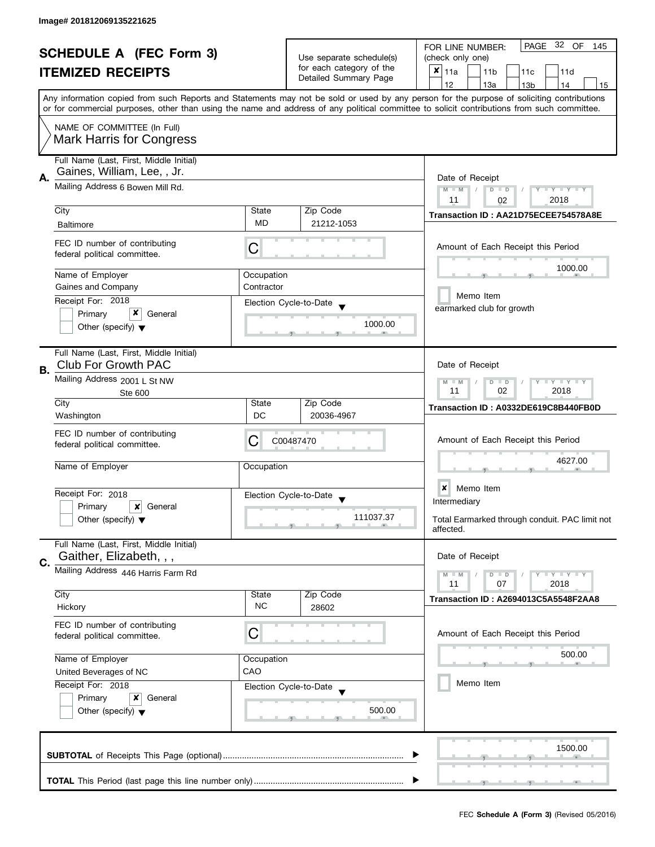| <b>SCHEDULE A (FEC Form 3)</b> |                                                                                                         |                                                      | 32 OF<br>PAGE<br>FOR LINE NUMBER:<br>145          |                                                                                                                                                                                                                                                                                         |
|--------------------------------|---------------------------------------------------------------------------------------------------------|------------------------------------------------------|---------------------------------------------------|-----------------------------------------------------------------------------------------------------------------------------------------------------------------------------------------------------------------------------------------------------------------------------------------|
|                                |                                                                                                         | Use separate schedule(s)<br>for each category of the | (check only one)                                  |                                                                                                                                                                                                                                                                                         |
|                                | <b>ITEMIZED RECEIPTS</b>                                                                                |                                                      | Detailed Summary Page                             | $x _{11a}$<br>11 <sub>b</sub><br>11d<br>11c                                                                                                                                                                                                                                             |
|                                |                                                                                                         |                                                      |                                                   | 12<br>13a<br>13 <sub>b</sub><br>14<br>15                                                                                                                                                                                                                                                |
|                                |                                                                                                         |                                                      |                                                   | Any information copied from such Reports and Statements may not be sold or used by any person for the purpose of soliciting contributions<br>or for commercial purposes, other than using the name and address of any political committee to solicit contributions from such committee. |
|                                | NAME OF COMMITTEE (In Full)                                                                             |                                                      |                                                   |                                                                                                                                                                                                                                                                                         |
|                                | <b>Mark Harris for Congress</b>                                                                         |                                                      |                                                   |                                                                                                                                                                                                                                                                                         |
|                                | Full Name (Last, First, Middle Initial)<br>Gaines, William, Lee, , Jr.                                  |                                                      |                                                   |                                                                                                                                                                                                                                                                                         |
| А.                             | Mailing Address 6 Bowen Mill Rd.                                                                        | Date of Receipt<br>Y TY TY TY<br>$M - M$<br>$D$ $D$  |                                                   |                                                                                                                                                                                                                                                                                         |
|                                |                                                                                                         |                                                      | Zip Code                                          | 2018<br>11<br>02                                                                                                                                                                                                                                                                        |
|                                | City                                                                                                    | State<br>MD                                          | 21212-1053                                        | Transaction ID: AA21D75ECEE754578A8E                                                                                                                                                                                                                                                    |
|                                | <b>Baltimore</b>                                                                                        |                                                      |                                                   |                                                                                                                                                                                                                                                                                         |
|                                | FEC ID number of contributing<br>federal political committee.                                           | С                                                    |                                                   | Amount of Each Receipt this Period                                                                                                                                                                                                                                                      |
|                                | Name of Employer                                                                                        | Occupation                                           |                                                   | 1000.00                                                                                                                                                                                                                                                                                 |
|                                | Gaines and Company                                                                                      | Contractor                                           |                                                   |                                                                                                                                                                                                                                                                                         |
|                                | Receipt For: 2018                                                                                       |                                                      |                                                   | Memo Item                                                                                                                                                                                                                                                                               |
|                                | x<br>Primary<br>General                                                                                 |                                                      | Election Cycle-to-Date                            | earmarked club for growth                                                                                                                                                                                                                                                               |
|                                | Other (specify) $\blacktriangledown$                                                                    |                                                      | 1000.00                                           |                                                                                                                                                                                                                                                                                         |
|                                |                                                                                                         |                                                      |                                                   |                                                                                                                                                                                                                                                                                         |
| В.                             | Full Name (Last, First, Middle Initial)<br><b>Club For Growth PAC</b>                                   |                                                      |                                                   | Date of Receipt                                                                                                                                                                                                                                                                         |
|                                | Mailing Address 2001 L St NW                                                                            |                                                      |                                                   | $Y = Y + Y$<br>$M - M$<br>$D$ $D$<br>T                                                                                                                                                                                                                                                  |
|                                | Ste 600                                                                                                 |                                                      |                                                   | 02<br>2018<br>11                                                                                                                                                                                                                                                                        |
|                                | City                                                                                                    | State                                                | Zip Code                                          | Transaction ID: A0332DE619C8B440FB0D                                                                                                                                                                                                                                                    |
|                                | Washington                                                                                              | DC                                                   | 20036-4967                                        |                                                                                                                                                                                                                                                                                         |
|                                | FEC ID number of contributing                                                                           |                                                      |                                                   |                                                                                                                                                                                                                                                                                         |
|                                | federal political committee.                                                                            | С                                                    | C00487470                                         | Amount of Each Receipt this Period                                                                                                                                                                                                                                                      |
|                                | Name of Employer                                                                                        | Occupation                                           |                                                   | 4627.00                                                                                                                                                                                                                                                                                 |
|                                |                                                                                                         |                                                      |                                                   |                                                                                                                                                                                                                                                                                         |
|                                | Receipt For: 2018                                                                                       |                                                      |                                                   | ×<br>Memo Item                                                                                                                                                                                                                                                                          |
|                                | Primary<br>×<br>General                                                                                 |                                                      | Election Cycle-to-Date<br>$\overline{\mathbf{v}}$ | Intermediary                                                                                                                                                                                                                                                                            |
|                                | Other (specify) $\blacktriangledown$                                                                    |                                                      | 111037.37                                         | Total Earmarked through conduit. PAC limit not                                                                                                                                                                                                                                          |
|                                |                                                                                                         |                                                      |                                                   | affected.                                                                                                                                                                                                                                                                               |
|                                | Full Name (Last, First, Middle Initial)<br>Gaither, Elizabeth, , ,                                      |                                                      |                                                   | Date of Receipt                                                                                                                                                                                                                                                                         |
| C.                             | Mailing Address 446 Harris Farm Rd                                                                      |                                                      |                                                   |                                                                                                                                                                                                                                                                                         |
|                                |                                                                                                         |                                                      |                                                   | $T - Y = T - Y$<br>$M - M$<br>$D$ $D$<br>11<br>07<br>2018                                                                                                                                                                                                                               |
|                                | City                                                                                                    | State                                                | Zip Code                                          | Transaction ID: A2694013C5A5548F2AA8                                                                                                                                                                                                                                                    |
|                                | Hickory                                                                                                 | <b>NC</b>                                            | 28602                                             |                                                                                                                                                                                                                                                                                         |
|                                | FEC ID number of contributing                                                                           |                                                      |                                                   |                                                                                                                                                                                                                                                                                         |
|                                | federal political committee.                                                                            | C                                                    |                                                   | Amount of Each Receipt this Period                                                                                                                                                                                                                                                      |
|                                |                                                                                                         |                                                      |                                                   | 500.00                                                                                                                                                                                                                                                                                  |
|                                | Name of Employer                                                                                        | Occupation                                           |                                                   |                                                                                                                                                                                                                                                                                         |
|                                | CAO<br>United Beverages of NC<br>Receipt For: 2018<br>Election Cycle-to-Date<br>Primary<br>×<br>General |                                                      |                                                   | Memo Item                                                                                                                                                                                                                                                                               |
|                                |                                                                                                         |                                                      |                                                   |                                                                                                                                                                                                                                                                                         |
|                                | Other (specify) $\blacktriangledown$                                                                    |                                                      | 500.00                                            |                                                                                                                                                                                                                                                                                         |
|                                |                                                                                                         |                                                      |                                                   |                                                                                                                                                                                                                                                                                         |
|                                |                                                                                                         |                                                      |                                                   |                                                                                                                                                                                                                                                                                         |
|                                |                                                                                                         |                                                      |                                                   | 1500.00                                                                                                                                                                                                                                                                                 |
|                                |                                                                                                         |                                                      |                                                   |                                                                                                                                                                                                                                                                                         |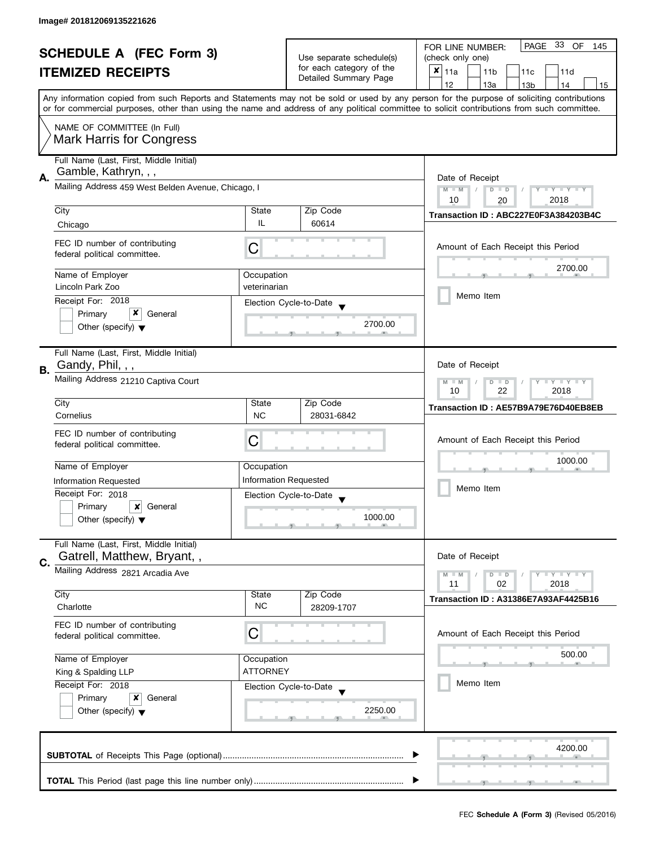| <b>SCHEDULE A (FEC Form 3)</b> |                                                                                                                                                    | Use separate schedule(s)                                  | PAGE 33<br>OF<br>FOR LINE NUMBER:<br>145 |                                                                                                                                            |  |
|--------------------------------|----------------------------------------------------------------------------------------------------------------------------------------------------|-----------------------------------------------------------|------------------------------------------|--------------------------------------------------------------------------------------------------------------------------------------------|--|
|                                |                                                                                                                                                    |                                                           | (check only one)                         |                                                                                                                                            |  |
|                                | <b>ITEMIZED RECEIPTS</b>                                                                                                                           |                                                           | for each category of the                 | $x _{11a}$<br>11 <sub>b</sub><br>11 <sub>c</sub><br>11d                                                                                    |  |
|                                |                                                                                                                                                    |                                                           | Detailed Summary Page                    | 12<br>13a<br>13 <sub>b</sub><br>14<br>15                                                                                                   |  |
|                                |                                                                                                                                                    |                                                           |                                          | Any information copied from such Reports and Statements may not be sold or used by any person for the purpose of soliciting contributions  |  |
|                                |                                                                                                                                                    |                                                           |                                          | or for commercial purposes, other than using the name and address of any political committee to solicit contributions from such committee. |  |
|                                | NAME OF COMMITTEE (In Full)                                                                                                                        |                                                           |                                          |                                                                                                                                            |  |
|                                | <b>Mark Harris for Congress</b>                                                                                                                    |                                                           |                                          |                                                                                                                                            |  |
|                                |                                                                                                                                                    |                                                           |                                          |                                                                                                                                            |  |
|                                | Full Name (Last, First, Middle Initial)                                                                                                            |                                                           |                                          |                                                                                                                                            |  |
| Α.                             | Gamble, Kathryn, , ,                                                                                                                               | Date of Receipt                                           |                                          |                                                                                                                                            |  |
|                                | Mailing Address 459 West Belden Avenue, Chicago, I                                                                                                 |                                                           |                                          | $M - M$<br>Y I Y I Y I Y<br>$\overline{D}$<br>$\Box$                                                                                       |  |
|                                |                                                                                                                                                    |                                                           |                                          | 10<br>2018<br>20                                                                                                                           |  |
|                                | City                                                                                                                                               | State                                                     | Zip Code                                 | Transaction ID: ABC227E0F3A384203B4C                                                                                                       |  |
|                                | Chicago                                                                                                                                            | IL.                                                       | 60614                                    |                                                                                                                                            |  |
|                                | FEC ID number of contributing                                                                                                                      |                                                           |                                          |                                                                                                                                            |  |
|                                | federal political committee.                                                                                                                       | C                                                         |                                          | Amount of Each Receipt this Period                                                                                                         |  |
|                                |                                                                                                                                                    |                                                           |                                          | 2700.00                                                                                                                                    |  |
|                                | Name of Employer                                                                                                                                   | Occupation                                                |                                          |                                                                                                                                            |  |
|                                | Lincoln Park Zoo                                                                                                                                   | veterinarian                                              |                                          |                                                                                                                                            |  |
|                                | Receipt For: 2018                                                                                                                                  |                                                           | Election Cycle-to-Date                   | Memo Item                                                                                                                                  |  |
|                                | x<br>Primary<br>General                                                                                                                            |                                                           |                                          |                                                                                                                                            |  |
|                                | Other (specify) $\blacktriangledown$                                                                                                               |                                                           | 2700.00                                  |                                                                                                                                            |  |
|                                |                                                                                                                                                    |                                                           |                                          |                                                                                                                                            |  |
|                                | Full Name (Last, First, Middle Initial)                                                                                                            |                                                           |                                          |                                                                                                                                            |  |
|                                | Gandy, Phil, , ,                                                                                                                                   |                                                           |                                          | Date of Receipt                                                                                                                            |  |
| <b>B.</b>                      | Mailing Address 21210 Captiva Court                                                                                                                |                                                           |                                          |                                                                                                                                            |  |
|                                |                                                                                                                                                    | $Y = Y = Y$<br>$M - M$<br>D<br>$\Box$<br>22<br>2018<br>10 |                                          |                                                                                                                                            |  |
|                                | City                                                                                                                                               | State                                                     | Zip Code                                 |                                                                                                                                            |  |
|                                | Cornelius                                                                                                                                          | <b>NC</b>                                                 | 28031-6842                               | Transaction ID: AE57B9A79E76D40EB8EB                                                                                                       |  |
|                                |                                                                                                                                                    |                                                           |                                          |                                                                                                                                            |  |
|                                | FEC ID number of contributing                                                                                                                      | С                                                         |                                          | Amount of Each Receipt this Period                                                                                                         |  |
|                                | federal political committee.                                                                                                                       |                                                           |                                          |                                                                                                                                            |  |
|                                | Name of Employer                                                                                                                                   | Occupation                                                |                                          | 1000.00                                                                                                                                    |  |
|                                | Information Requested                                                                                                                              |                                                           | <b>Information Requested</b>             |                                                                                                                                            |  |
|                                | Receipt For: 2018                                                                                                                                  |                                                           |                                          | Memo Item                                                                                                                                  |  |
|                                | Primary<br>$\boldsymbol{x}$<br>General                                                                                                             |                                                           | Election Cycle-to-Date                   |                                                                                                                                            |  |
|                                | Other (specify) $\blacktriangledown$                                                                                                               |                                                           | 1000.00                                  |                                                                                                                                            |  |
|                                |                                                                                                                                                    |                                                           |                                          |                                                                                                                                            |  |
|                                | Full Name (Last, First, Middle Initial)                                                                                                            |                                                           |                                          |                                                                                                                                            |  |
|                                | Gatrell, Matthew, Bryant,,                                                                                                                         |                                                           |                                          | Date of Receipt                                                                                                                            |  |
| C.                             | Mailing Address 2821 Arcadia Ave                                                                                                                   |                                                           |                                          |                                                                                                                                            |  |
|                                |                                                                                                                                                    |                                                           |                                          | $Y = Y = Y$<br>$M - M$<br>$D$ $D$<br>02<br>2018<br>11                                                                                      |  |
|                                | City                                                                                                                                               | State                                                     | Zip Code                                 |                                                                                                                                            |  |
|                                | Charlotte                                                                                                                                          | <b>NC</b>                                                 | 28209-1707                               | <b>Transaction ID: A31386E7A93AF4425B16</b>                                                                                                |  |
|                                |                                                                                                                                                    |                                                           |                                          |                                                                                                                                            |  |
|                                | FEC ID number of contributing                                                                                                                      | C                                                         |                                          | Amount of Each Receipt this Period                                                                                                         |  |
|                                | federal political committee.                                                                                                                       |                                                           |                                          |                                                                                                                                            |  |
|                                | Name of Employer<br>Occupation<br><b>ATTORNEY</b><br>King & Spalding LLP<br>Receipt For: 2018<br>Election Cycle-to-Date<br>Primary<br>x<br>General |                                                           |                                          | 500.00                                                                                                                                     |  |
|                                |                                                                                                                                                    |                                                           |                                          |                                                                                                                                            |  |
|                                |                                                                                                                                                    |                                                           |                                          | Memo Item                                                                                                                                  |  |
|                                |                                                                                                                                                    |                                                           |                                          |                                                                                                                                            |  |
|                                | Other (specify) $\blacktriangledown$                                                                                                               |                                                           | 2250.00                                  |                                                                                                                                            |  |
|                                |                                                                                                                                                    |                                                           |                                          |                                                                                                                                            |  |
|                                |                                                                                                                                                    |                                                           |                                          |                                                                                                                                            |  |
|                                |                                                                                                                                                    |                                                           |                                          | 4200.00                                                                                                                                    |  |
|                                |                                                                                                                                                    |                                                           |                                          |                                                                                                                                            |  |
|                                |                                                                                                                                                    |                                                           |                                          |                                                                                                                                            |  |
|                                |                                                                                                                                                    |                                                           |                                          |                                                                                                                                            |  |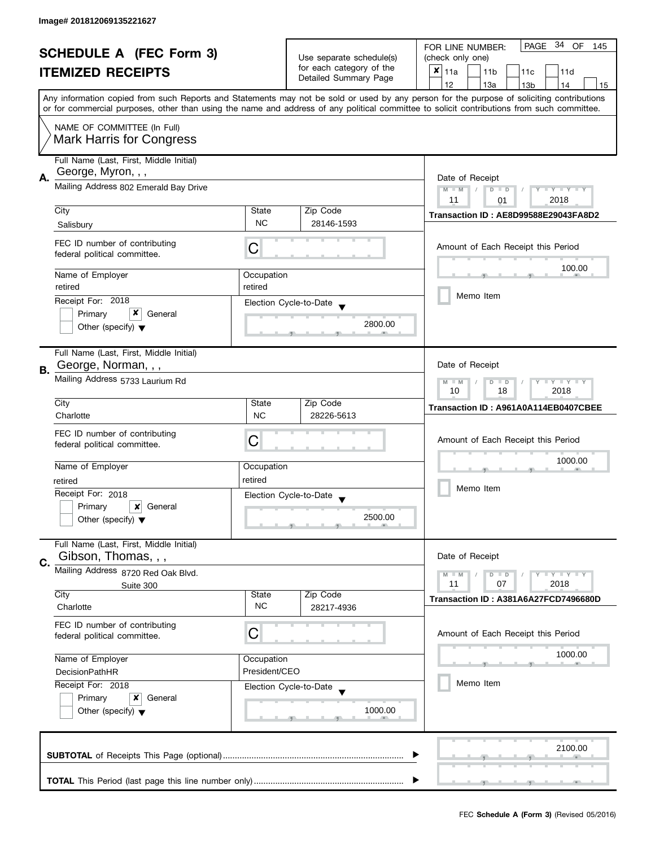| <b>SCHEDULE A (FEC Form 3)</b> |                                                                                               | Use separate schedule(s)                                                         | PAGE 34 OF<br>FOR LINE NUMBER:<br>145             |                                                                                                                                                                                                                                                                                         |  |
|--------------------------------|-----------------------------------------------------------------------------------------------|----------------------------------------------------------------------------------|---------------------------------------------------|-----------------------------------------------------------------------------------------------------------------------------------------------------------------------------------------------------------------------------------------------------------------------------------------|--|
|                                |                                                                                               |                                                                                  | (check only one)                                  |                                                                                                                                                                                                                                                                                         |  |
|                                | <b>ITEMIZED RECEIPTS</b>                                                                      |                                                                                  | for each category of the<br>Detailed Summary Page | ×<br>11a<br>11 <sub>b</sub><br>11c<br>11d                                                                                                                                                                                                                                               |  |
|                                |                                                                                               |                                                                                  |                                                   | 12<br>13a<br>13 <sub>b</sub><br>14<br>15                                                                                                                                                                                                                                                |  |
|                                |                                                                                               |                                                                                  |                                                   | Any information copied from such Reports and Statements may not be sold or used by any person for the purpose of soliciting contributions<br>or for commercial purposes, other than using the name and address of any political committee to solicit contributions from such committee. |  |
|                                | NAME OF COMMITTEE (In Full)<br><b>Mark Harris for Congress</b>                                |                                                                                  |                                                   |                                                                                                                                                                                                                                                                                         |  |
|                                | Full Name (Last, First, Middle Initial)<br>George, Myron, , ,                                 |                                                                                  |                                                   |                                                                                                                                                                                                                                                                                         |  |
| А.                             | Mailing Address 802 Emerald Bay Drive                                                         | Date of Receipt<br>$M - M$<br>$Y - Y - Y - Y - Y$<br>$D$ $D$<br>2018<br>11<br>01 |                                                   |                                                                                                                                                                                                                                                                                         |  |
|                                | City                                                                                          | State                                                                            | Zip Code                                          |                                                                                                                                                                                                                                                                                         |  |
|                                | Salisbury                                                                                     | <b>NC</b>                                                                        | 28146-1593                                        | Transaction ID: AE8D99588E29043FA8D2                                                                                                                                                                                                                                                    |  |
|                                | FEC ID number of contributing<br>federal political committee.                                 | С                                                                                |                                                   | Amount of Each Receipt this Period                                                                                                                                                                                                                                                      |  |
|                                | Name of Employer                                                                              | Occupation                                                                       |                                                   | 100.00                                                                                                                                                                                                                                                                                  |  |
|                                | retired                                                                                       | retired                                                                          |                                                   |                                                                                                                                                                                                                                                                                         |  |
|                                | Receipt For: 2018                                                                             |                                                                                  | Election Cycle-to-Date                            | Memo Item                                                                                                                                                                                                                                                                               |  |
|                                | x<br>Primary<br>General                                                                       |                                                                                  |                                                   |                                                                                                                                                                                                                                                                                         |  |
|                                | Other (specify) $\blacktriangledown$                                                          |                                                                                  | 2800.00                                           |                                                                                                                                                                                                                                                                                         |  |
| В.                             | Full Name (Last, First, Middle Initial)<br>George, Norman, , ,                                |                                                                                  |                                                   | Date of Receipt                                                                                                                                                                                                                                                                         |  |
|                                | Mailing Address 5733 Laurium Rd                                                               | $T - Y = T - Y$<br>$M - M$<br>$D$ $D$<br>18<br>2018<br>10                        |                                                   |                                                                                                                                                                                                                                                                                         |  |
|                                | City                                                                                          | State                                                                            | Zip Code                                          | Transaction ID: A961A0A114EB0407CBEE                                                                                                                                                                                                                                                    |  |
|                                | Charlotte                                                                                     | <b>NC</b>                                                                        | 28226-5613                                        |                                                                                                                                                                                                                                                                                         |  |
|                                | FEC ID number of contributing<br>federal political committee.                                 | С                                                                                |                                                   | Amount of Each Receipt this Period                                                                                                                                                                                                                                                      |  |
|                                | Name of Employer                                                                              | Occupation                                                                       |                                                   | 1000.00                                                                                                                                                                                                                                                                                 |  |
|                                | retired                                                                                       | retired                                                                          |                                                   |                                                                                                                                                                                                                                                                                         |  |
|                                | Receipt For: 2018                                                                             |                                                                                  | Election Cycle-to-Date                            | Memo Item                                                                                                                                                                                                                                                                               |  |
|                                | Primary<br>×<br>General                                                                       |                                                                                  | $\overline{\mathbf{v}}$                           |                                                                                                                                                                                                                                                                                         |  |
|                                | Other (specify) $\blacktriangledown$                                                          |                                                                                  | 2500.00                                           |                                                                                                                                                                                                                                                                                         |  |
| C.                             | Full Name (Last, First, Middle Initial)<br>Gibson, Thomas, , ,                                |                                                                                  |                                                   | Date of Receipt                                                                                                                                                                                                                                                                         |  |
|                                | Mailing Address 8720 Red Oak Blvd.                                                            |                                                                                  |                                                   | $Y = Y = Y$<br>$M - M$<br>$D$ $D$                                                                                                                                                                                                                                                       |  |
|                                | Suite 300                                                                                     |                                                                                  |                                                   | 11<br>07<br>2018                                                                                                                                                                                                                                                                        |  |
|                                | City<br>Charlotte                                                                             | State<br><b>NC</b>                                                               | Zip Code<br>28217-4936                            | Transaction ID: A381A6A27FCD7496680D                                                                                                                                                                                                                                                    |  |
|                                | FEC ID number of contributing<br>federal political committee.                                 | C                                                                                |                                                   | Amount of Each Receipt this Period                                                                                                                                                                                                                                                      |  |
|                                | Name of Employer<br>Occupation<br>President/CEO<br><b>DecisionPathHR</b><br>Receipt For: 2018 |                                                                                  |                                                   | 1000.00                                                                                                                                                                                                                                                                                 |  |
|                                |                                                                                               |                                                                                  |                                                   |                                                                                                                                                                                                                                                                                         |  |
|                                |                                                                                               |                                                                                  | Election Cycle-to-Date                            | Memo Item                                                                                                                                                                                                                                                                               |  |
| Primary<br>x<br>General        |                                                                                               |                                                                                  |                                                   |                                                                                                                                                                                                                                                                                         |  |
|                                | Other (specify) $\blacktriangledown$                                                          |                                                                                  | 1000.00                                           |                                                                                                                                                                                                                                                                                         |  |
|                                |                                                                                               |                                                                                  |                                                   | 2100.00                                                                                                                                                                                                                                                                                 |  |
|                                |                                                                                               |                                                                                  |                                                   |                                                                                                                                                                                                                                                                                         |  |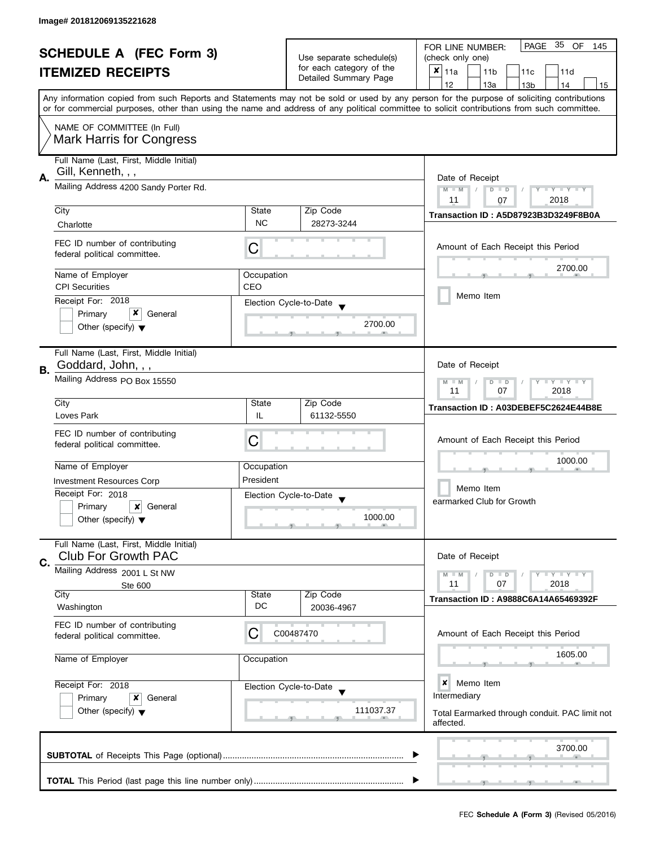| <b>SCHEDULE A (FEC Form 3)</b> |                                                                       | Use separate schedule(s)                                                | PAGE 35 OF<br>FOR LINE NUMBER:<br>145          |                                                                                                                                                                                                                                                                                         |
|--------------------------------|-----------------------------------------------------------------------|-------------------------------------------------------------------------|------------------------------------------------|-----------------------------------------------------------------------------------------------------------------------------------------------------------------------------------------------------------------------------------------------------------------------------------------|
|                                |                                                                       |                                                                         | (check only one)                               |                                                                                                                                                                                                                                                                                         |
|                                | <b>ITEMIZED RECEIPTS</b>                                              |                                                                         | for each category of the                       | $x _{11a}$<br>11 <sub>b</sub><br>11d<br>11c                                                                                                                                                                                                                                             |
|                                |                                                                       |                                                                         | Detailed Summary Page                          | 12<br>13a<br>13 <sub>b</sub><br>14<br>15                                                                                                                                                                                                                                                |
|                                |                                                                       |                                                                         |                                                | Any information copied from such Reports and Statements may not be sold or used by any person for the purpose of soliciting contributions<br>or for commercial purposes, other than using the name and address of any political committee to solicit contributions from such committee. |
|                                | NAME OF COMMITTEE (In Full)<br><b>Mark Harris for Congress</b>        |                                                                         |                                                |                                                                                                                                                                                                                                                                                         |
|                                |                                                                       |                                                                         |                                                |                                                                                                                                                                                                                                                                                         |
|                                | Full Name (Last, First, Middle Initial)<br>Gill, Kenneth, , ,         |                                                                         |                                                |                                                                                                                                                                                                                                                                                         |
| А.                             | Mailing Address 4200 Sandy Porter Rd.                                 | Date of Receipt<br>Y TY TY TY<br>$M - M$<br>$D$ $D$<br>2018<br>11<br>07 |                                                |                                                                                                                                                                                                                                                                                         |
|                                | City                                                                  | State                                                                   | Zip Code                                       |                                                                                                                                                                                                                                                                                         |
|                                | Charlotte                                                             | <b>NC</b>                                                               | 28273-3244                                     | Transaction ID: A5D87923B3D3249F8B0A                                                                                                                                                                                                                                                    |
|                                | FEC ID number of contributing<br>federal political committee.         | С                                                                       |                                                | Amount of Each Receipt this Period                                                                                                                                                                                                                                                      |
|                                | Name of Employer                                                      |                                                                         |                                                | 2700.00                                                                                                                                                                                                                                                                                 |
|                                | <b>CPI Securities</b>                                                 | Occupation<br>CEO                                                       |                                                |                                                                                                                                                                                                                                                                                         |
|                                |                                                                       |                                                                         |                                                | Memo Item                                                                                                                                                                                                                                                                               |
|                                | Receipt For: 2018<br>x                                                |                                                                         | Election Cycle-to-Date                         |                                                                                                                                                                                                                                                                                         |
|                                | Primary<br>General<br>Other (specify) $\blacktriangledown$            |                                                                         | 2700.00                                        |                                                                                                                                                                                                                                                                                         |
|                                | Full Name (Last, First, Middle Initial)                               |                                                                         |                                                |                                                                                                                                                                                                                                                                                         |
|                                | Goddard, John, , ,                                                    |                                                                         |                                                | Date of Receipt                                                                                                                                                                                                                                                                         |
| В.                             | Mailing Address PO Box 15550                                          | $Y - Y - Y - Y - Y$<br>$M - M$<br>$D$ $D$<br>11<br>07<br>2018           |                                                |                                                                                                                                                                                                                                                                                         |
|                                | City                                                                  | State                                                                   | Zip Code                                       |                                                                                                                                                                                                                                                                                         |
|                                | Loves Park                                                            | IL                                                                      | 61132-5550                                     | Transaction ID: A03DEBEF5C2624E44B8E                                                                                                                                                                                                                                                    |
|                                |                                                                       |                                                                         |                                                |                                                                                                                                                                                                                                                                                         |
|                                | FEC ID number of contributing                                         | C                                                                       |                                                | Amount of Each Receipt this Period                                                                                                                                                                                                                                                      |
|                                | federal political committee.                                          |                                                                         |                                                |                                                                                                                                                                                                                                                                                         |
|                                | Name of Employer                                                      | Occupation                                                              |                                                | 1000.00                                                                                                                                                                                                                                                                                 |
|                                |                                                                       | President                                                               |                                                |                                                                                                                                                                                                                                                                                         |
|                                | <b>Investment Resources Corp</b>                                      |                                                                         |                                                | Memo Item                                                                                                                                                                                                                                                                               |
|                                | Receipt For: 2018                                                     |                                                                         | Election Cycle-to-Date<br>$\blacktriangledown$ | earmarked Club for Growth                                                                                                                                                                                                                                                               |
|                                | Primary<br>$\boldsymbol{\mathsf{x}}$<br>General                       |                                                                         |                                                |                                                                                                                                                                                                                                                                                         |
|                                | Other (specify) $\blacktriangledown$                                  |                                                                         | 1000.00                                        |                                                                                                                                                                                                                                                                                         |
|                                | Full Name (Last, First, Middle Initial)<br><b>Club For Growth PAC</b> |                                                                         |                                                | Date of Receipt                                                                                                                                                                                                                                                                         |
| C.                             | Mailing Address 2001 L St NW                                          |                                                                         |                                                |                                                                                                                                                                                                                                                                                         |
|                                | Ste 600                                                               |                                                                         |                                                | $Y = Y + Y$<br>$M - M$<br>$D$ $D$<br>07<br>2018<br>11                                                                                                                                                                                                                                   |
|                                | City                                                                  | State                                                                   | Zip Code                                       |                                                                                                                                                                                                                                                                                         |
|                                | Washington                                                            | DC                                                                      | 20036-4967                                     | <b>Transaction ID: A9888C6A14A65469392F</b>                                                                                                                                                                                                                                             |
|                                | FEC ID number of contributing<br>federal political committee.         | С                                                                       | C00487470                                      | Amount of Each Receipt this Period                                                                                                                                                                                                                                                      |
|                                |                                                                       |                                                                         |                                                |                                                                                                                                                                                                                                                                                         |
|                                | Name of Employer                                                      | Occupation                                                              |                                                | 1605.00                                                                                                                                                                                                                                                                                 |
|                                | Receipt For: 2018<br>Election Cycle-to-Date                           |                                                                         |                                                |                                                                                                                                                                                                                                                                                         |
|                                |                                                                       |                                                                         |                                                | ×<br>Memo Item                                                                                                                                                                                                                                                                          |
| General<br>Primary<br>x        |                                                                       |                                                                         | Intermediary                                   |                                                                                                                                                                                                                                                                                         |
|                                | Other (specify) $\blacktriangledown$                                  |                                                                         | 111037.37                                      | Total Earmarked through conduit. PAC limit not<br>affected.                                                                                                                                                                                                                             |
|                                |                                                                       |                                                                         |                                                | 3700.00                                                                                                                                                                                                                                                                                 |
|                                |                                                                       |                                                                         |                                                |                                                                                                                                                                                                                                                                                         |
|                                |                                                                       |                                                                         |                                                |                                                                                                                                                                                                                                                                                         |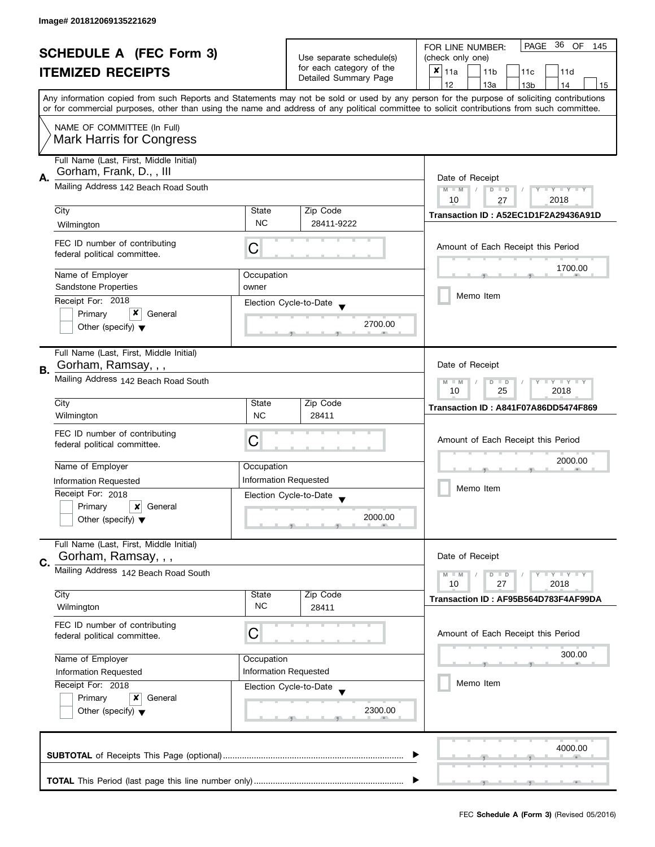| <b>SCHEDULE A (FEC Form 3)</b> |                                                                     | Use separate schedule(s)                   | PAGE 36 OF<br>FOR LINE NUMBER:<br>145             |                                                                                                                                                                                                                                                                                         |  |
|--------------------------------|---------------------------------------------------------------------|--------------------------------------------|---------------------------------------------------|-----------------------------------------------------------------------------------------------------------------------------------------------------------------------------------------------------------------------------------------------------------------------------------------|--|
|                                |                                                                     |                                            | (check only one)                                  |                                                                                                                                                                                                                                                                                         |  |
|                                | <b>ITEMIZED RECEIPTS</b>                                            |                                            | for each category of the<br>Detailed Summary Page | $x _{11a}$<br>11 <sub>b</sub><br>11d<br>11c                                                                                                                                                                                                                                             |  |
|                                |                                                                     |                                            |                                                   | 12<br>13a<br>14<br>13 <sub>b</sub><br>15                                                                                                                                                                                                                                                |  |
|                                |                                                                     |                                            |                                                   | Any information copied from such Reports and Statements may not be sold or used by any person for the purpose of soliciting contributions<br>or for commercial purposes, other than using the name and address of any political committee to solicit contributions from such committee. |  |
|                                | NAME OF COMMITTEE (In Full)                                         |                                            |                                                   |                                                                                                                                                                                                                                                                                         |  |
|                                | <b>Mark Harris for Congress</b>                                     |                                            |                                                   |                                                                                                                                                                                                                                                                                         |  |
|                                | Full Name (Last, First, Middle Initial)<br>Gorham, Frank, D., , III |                                            |                                                   |                                                                                                                                                                                                                                                                                         |  |
| А.                             | Mailing Address 142 Beach Road South                                |                                            |                                                   | Date of Receipt                                                                                                                                                                                                                                                                         |  |
|                                |                                                                     |                                            |                                                   | $M - M$<br>$D$ $D$<br>Y TY TY TY<br>10<br>2018<br>27                                                                                                                                                                                                                                    |  |
|                                | City                                                                | State                                      | Zip Code                                          | Transaction ID: A52EC1D1F2A29436A91D                                                                                                                                                                                                                                                    |  |
|                                | Wilmington                                                          | <b>NC</b>                                  | 28411-9222                                        |                                                                                                                                                                                                                                                                                         |  |
|                                | FEC ID number of contributing                                       |                                            |                                                   |                                                                                                                                                                                                                                                                                         |  |
|                                | federal political committee.                                        | C                                          |                                                   | Amount of Each Receipt this Period                                                                                                                                                                                                                                                      |  |
|                                |                                                                     |                                            |                                                   | 1700.00                                                                                                                                                                                                                                                                                 |  |
|                                | Name of Employer<br><b>Sandstone Properties</b>                     | Occupation<br>owner                        |                                                   |                                                                                                                                                                                                                                                                                         |  |
|                                | Receipt For: 2018                                                   | Election Cycle-to-Date                     |                                                   | Memo Item                                                                                                                                                                                                                                                                               |  |
|                                | x<br>Primary<br>General                                             |                                            |                                                   |                                                                                                                                                                                                                                                                                         |  |
|                                | Other (specify) $\blacktriangledown$                                |                                            | 2700.00                                           |                                                                                                                                                                                                                                                                                         |  |
|                                |                                                                     |                                            |                                                   |                                                                                                                                                                                                                                                                                         |  |
| В.                             | Full Name (Last, First, Middle Initial)<br>Gorham, Ramsay, , ,      |                                            |                                                   | Date of Receipt                                                                                                                                                                                                                                                                         |  |
|                                | Mailing Address 142 Beach Road South                                |                                            |                                                   | Y LY LY                                                                                                                                                                                                                                                                                 |  |
|                                |                                                                     |                                            |                                                   | $M - M$<br>$\overline{D}$<br>$\Box$<br>25<br>2018<br>10                                                                                                                                                                                                                                 |  |
|                                | City                                                                | State                                      | Zip Code                                          | Transaction ID: A841F07A86DD5474F869                                                                                                                                                                                                                                                    |  |
|                                | Wilmington                                                          | <b>NC</b>                                  | 28411                                             |                                                                                                                                                                                                                                                                                         |  |
|                                | FEC ID number of contributing                                       | С                                          |                                                   | Amount of Each Receipt this Period                                                                                                                                                                                                                                                      |  |
|                                | federal political committee.                                        |                                            |                                                   |                                                                                                                                                                                                                                                                                         |  |
|                                | Name of Employer                                                    | Occupation                                 |                                                   | 2000.00                                                                                                                                                                                                                                                                                 |  |
|                                | <b>Information Requested</b>                                        | <b>Information Requested</b>               |                                                   |                                                                                                                                                                                                                                                                                         |  |
|                                | Receipt For: 2018                                                   |                                            | Election Cycle-to-Date                            | Memo Item                                                                                                                                                                                                                                                                               |  |
|                                | Primary<br>×<br>General                                             |                                            |                                                   |                                                                                                                                                                                                                                                                                         |  |
|                                | Other (specify) $\blacktriangledown$                                |                                            | 2000.00                                           |                                                                                                                                                                                                                                                                                         |  |
|                                | Full Name (Last, First, Middle Initial)                             |                                            |                                                   |                                                                                                                                                                                                                                                                                         |  |
|                                | Gorham, Ramsay, , ,                                                 |                                            |                                                   | Date of Receipt                                                                                                                                                                                                                                                                         |  |
| C.                             | Mailing Address 142 Beach Road South                                |                                            |                                                   | Y LY LY<br>$M - M$<br>$D$ $D$                                                                                                                                                                                                                                                           |  |
|                                |                                                                     |                                            |                                                   | 10<br>27<br>2018                                                                                                                                                                                                                                                                        |  |
|                                | City<br>Wilmington                                                  | State<br><b>NC</b>                         | Zip Code                                          | Transaction ID: AF95B564D783F4AF99DA                                                                                                                                                                                                                                                    |  |
|                                |                                                                     |                                            | 28411                                             |                                                                                                                                                                                                                                                                                         |  |
|                                | FEC ID number of contributing<br>federal political committee.       | С                                          |                                                   | Amount of Each Receipt this Period                                                                                                                                                                                                                                                      |  |
|                                |                                                                     |                                            |                                                   |                                                                                                                                                                                                                                                                                         |  |
|                                | Name of Employer                                                    | Occupation<br><b>Information Requested</b> |                                                   | 300.00                                                                                                                                                                                                                                                                                  |  |
|                                | Information Requested                                               |                                            |                                                   | Memo Item                                                                                                                                                                                                                                                                               |  |
|                                | Receipt For: 2018                                                   | Election Cycle-to-Date                     |                                                   |                                                                                                                                                                                                                                                                                         |  |
|                                | Primary<br>x<br>General<br>Other (specify) $\blacktriangledown$     |                                            | 2300.00                                           |                                                                                                                                                                                                                                                                                         |  |
|                                |                                                                     |                                            |                                                   |                                                                                                                                                                                                                                                                                         |  |
|                                |                                                                     |                                            |                                                   |                                                                                                                                                                                                                                                                                         |  |
| 4000.00                        |                                                                     |                                            |                                                   |                                                                                                                                                                                                                                                                                         |  |
|                                |                                                                     |                                            |                                                   |                                                                                                                                                                                                                                                                                         |  |
|                                |                                                                     |                                            |                                                   |                                                                                                                                                                                                                                                                                         |  |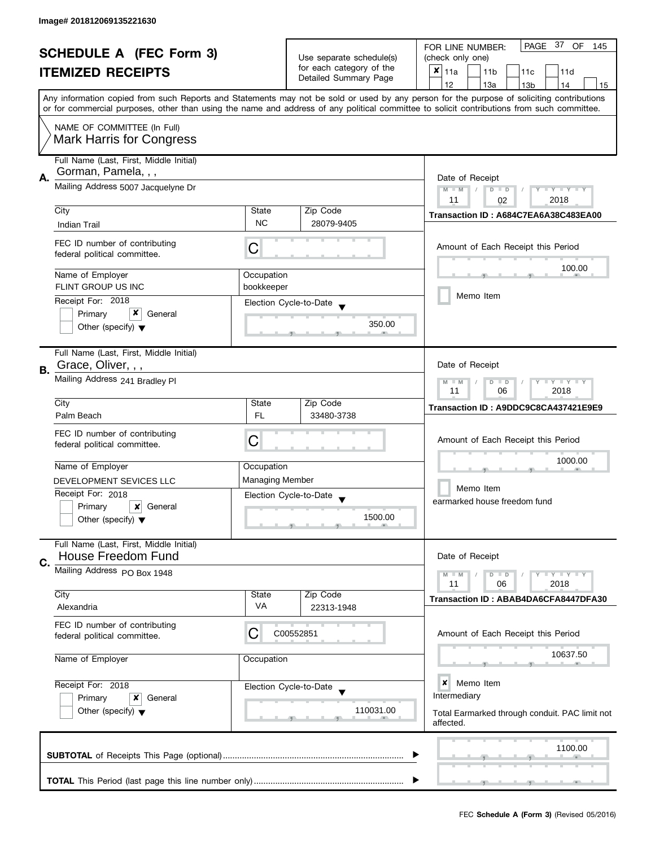| <b>SCHEDULE A (FEC Form 3)</b> |                                                                |                                                       | PAGE 37 OF<br>FOR LINE NUMBER:<br>145             |                                                                                                                                                                                                                                                                                         |  |
|--------------------------------|----------------------------------------------------------------|-------------------------------------------------------|---------------------------------------------------|-----------------------------------------------------------------------------------------------------------------------------------------------------------------------------------------------------------------------------------------------------------------------------------------|--|
|                                |                                                                | Use separate schedule(s)                              | (check only one)                                  |                                                                                                                                                                                                                                                                                         |  |
|                                | <b>ITEMIZED RECEIPTS</b>                                       |                                                       | for each category of the<br>Detailed Summary Page | ×<br>11a<br>11 <sub>b</sub><br>11c<br>11d                                                                                                                                                                                                                                               |  |
|                                |                                                                |                                                       |                                                   | 12<br>13a<br>13 <sub>b</sub><br>14<br>15                                                                                                                                                                                                                                                |  |
|                                |                                                                |                                                       |                                                   | Any information copied from such Reports and Statements may not be sold or used by any person for the purpose of soliciting contributions<br>or for commercial purposes, other than using the name and address of any political committee to solicit contributions from such committee. |  |
|                                | NAME OF COMMITTEE (In Full)<br><b>Mark Harris for Congress</b> |                                                       |                                                   |                                                                                                                                                                                                                                                                                         |  |
|                                |                                                                |                                                       |                                                   |                                                                                                                                                                                                                                                                                         |  |
|                                | Full Name (Last, First, Middle Initial)<br>Gorman, Pamela, , , |                                                       |                                                   |                                                                                                                                                                                                                                                                                         |  |
| А.                             | Mailing Address 5007 Jacquelyne Dr                             | Date of Receipt                                       |                                                   |                                                                                                                                                                                                                                                                                         |  |
|                                |                                                                |                                                       |                                                   | $M - M$<br>$Y - Y - Y - Y - Y$<br>$D$ $D$<br>2018<br>11                                                                                                                                                                                                                                 |  |
|                                | City                                                           | State                                                 | Zip Code                                          | 02                                                                                                                                                                                                                                                                                      |  |
|                                | <b>Indian Trail</b>                                            | <b>NC</b>                                             | 28079-9405                                        | Transaction ID: A684C7EA6A38C483EA00                                                                                                                                                                                                                                                    |  |
|                                |                                                                |                                                       |                                                   |                                                                                                                                                                                                                                                                                         |  |
|                                | FEC ID number of contributing<br>federal political committee.  | С                                                     |                                                   | Amount of Each Receipt this Period                                                                                                                                                                                                                                                      |  |
|                                | Name of Employer                                               | Occupation                                            |                                                   | 100.00                                                                                                                                                                                                                                                                                  |  |
|                                | <b>FLINT GROUP US INC</b>                                      | bookkeeper                                            |                                                   |                                                                                                                                                                                                                                                                                         |  |
|                                | Receipt For: 2018                                              |                                                       |                                                   | Memo Item                                                                                                                                                                                                                                                                               |  |
|                                | x<br>Primary<br>General                                        |                                                       | Election Cycle-to-Date                            |                                                                                                                                                                                                                                                                                         |  |
|                                | Other (specify) $\blacktriangledown$                           |                                                       | 350.00                                            |                                                                                                                                                                                                                                                                                         |  |
|                                | Full Name (Last, First, Middle Initial)                        |                                                       |                                                   |                                                                                                                                                                                                                                                                                         |  |
|                                | Grace, Oliver, , ,                                             |                                                       |                                                   | Date of Receipt                                                                                                                                                                                                                                                                         |  |
| <b>B.</b>                      | Mailing Address 241 Bradley Pl                                 |                                                       |                                                   |                                                                                                                                                                                                                                                                                         |  |
|                                |                                                                | $Y = Y + Y$<br>$M - M$<br>$D$ $D$<br>06<br>2018<br>11 |                                                   |                                                                                                                                                                                                                                                                                         |  |
|                                | City                                                           | State                                                 | Zip Code                                          |                                                                                                                                                                                                                                                                                         |  |
|                                | Palm Beach                                                     | FL.                                                   | 33480-3738                                        | Transaction ID: A9DDC9C8CA437421E9E9                                                                                                                                                                                                                                                    |  |
|                                |                                                                |                                                       |                                                   |                                                                                                                                                                                                                                                                                         |  |
|                                | FEC ID number of contributing<br>federal political committee.  | С                                                     |                                                   | Amount of Each Receipt this Period                                                                                                                                                                                                                                                      |  |
|                                |                                                                |                                                       |                                                   |                                                                                                                                                                                                                                                                                         |  |
|                                | Name of Employer                                               | Occupation                                            |                                                   | 1000.00                                                                                                                                                                                                                                                                                 |  |
|                                | DEVELOPMENT SEVICES LLC                                        | <b>Managing Member</b>                                |                                                   |                                                                                                                                                                                                                                                                                         |  |
|                                | Receipt For: 2018                                              |                                                       | Election Cycle-to-Date                            | Memo Item                                                                                                                                                                                                                                                                               |  |
|                                | Primary<br>×<br>General                                        |                                                       | $\overline{\mathbf{v}}$                           | earmarked house freedom fund                                                                                                                                                                                                                                                            |  |
|                                | Other (specify) $\blacktriangledown$                           |                                                       | 1500.00                                           |                                                                                                                                                                                                                                                                                         |  |
|                                |                                                                |                                                       |                                                   |                                                                                                                                                                                                                                                                                         |  |
|                                | Full Name (Last, First, Middle Initial)                        |                                                       |                                                   |                                                                                                                                                                                                                                                                                         |  |
|                                | <b>House Freedom Fund</b>                                      |                                                       |                                                   | Date of Receipt                                                                                                                                                                                                                                                                         |  |
| C.                             | Mailing Address PO Box 1948                                    |                                                       |                                                   | $T - Y = T - Y$<br>$M - M$<br>$D$ $D$                                                                                                                                                                                                                                                   |  |
|                                |                                                                |                                                       |                                                   | 11<br>06<br>2018                                                                                                                                                                                                                                                                        |  |
|                                | City                                                           | State                                                 | Zip Code                                          | Transaction ID: ABAB4DA6CFA8447DFA30                                                                                                                                                                                                                                                    |  |
|                                | Alexandria                                                     | <b>VA</b>                                             | 22313-1948                                        |                                                                                                                                                                                                                                                                                         |  |
|                                | FEC ID number of contributing                                  |                                                       |                                                   |                                                                                                                                                                                                                                                                                         |  |
|                                | federal political committee.                                   | C                                                     | C00552851                                         | Amount of Each Receipt this Period                                                                                                                                                                                                                                                      |  |
|                                |                                                                |                                                       |                                                   |                                                                                                                                                                                                                                                                                         |  |
|                                | Name of Employer                                               | Occupation                                            |                                                   | 10637.50                                                                                                                                                                                                                                                                                |  |
|                                | Receipt For: 2018                                              |                                                       | Election Cycle-to-Date                            | ×<br>Memo Item                                                                                                                                                                                                                                                                          |  |
|                                | Primary<br>x<br>General                                        |                                                       |                                                   | Intermediary                                                                                                                                                                                                                                                                            |  |
|                                | Other (specify) $\blacktriangledown$                           |                                                       | 110031.00                                         | Total Earmarked through conduit. PAC limit not                                                                                                                                                                                                                                          |  |
|                                |                                                                |                                                       |                                                   | affected.                                                                                                                                                                                                                                                                               |  |
|                                |                                                                |                                                       |                                                   |                                                                                                                                                                                                                                                                                         |  |
|                                |                                                                |                                                       |                                                   | 1100.00                                                                                                                                                                                                                                                                                 |  |
|                                |                                                                |                                                       |                                                   |                                                                                                                                                                                                                                                                                         |  |
|                                |                                                                |                                                       |                                                   |                                                                                                                                                                                                                                                                                         |  |
|                                |                                                                |                                                       |                                                   |                                                                                                                                                                                                                                                                                         |  |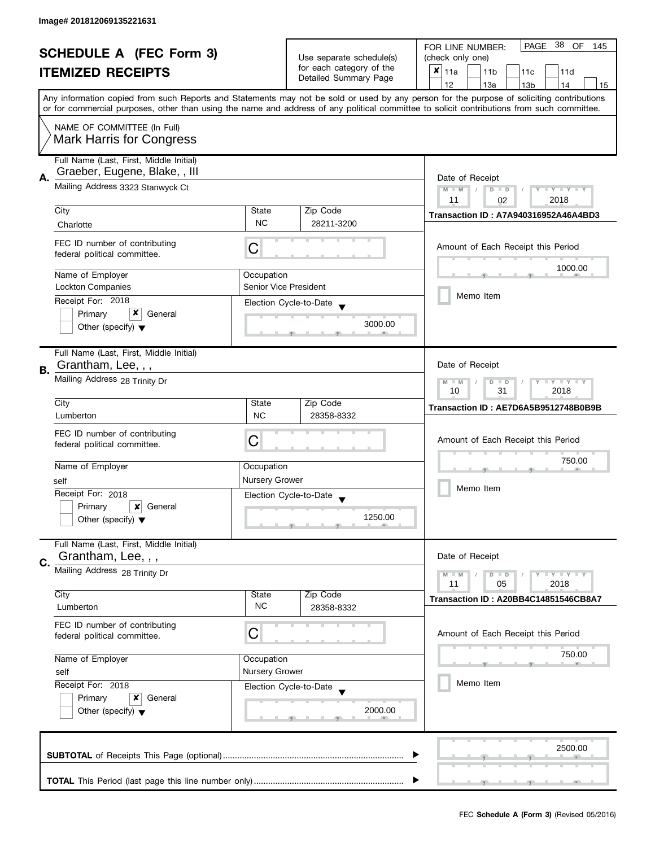| <b>SCHEDULE A (FEC Form 3)</b><br><b>ITEMIZED RECEIPTS</b> |                                                                         |                                                                                               | Use separate schedule(s)<br>for each category of the | PAGE 38 OF<br>FOR LINE NUMBER:<br>145<br>(check only one)<br>X<br>11a<br>11 <sub>b</sub><br>11c<br>11d                                                                                                                                                                                  |  |  |
|------------------------------------------------------------|-------------------------------------------------------------------------|-----------------------------------------------------------------------------------------------|------------------------------------------------------|-----------------------------------------------------------------------------------------------------------------------------------------------------------------------------------------------------------------------------------------------------------------------------------------|--|--|
|                                                            |                                                                         |                                                                                               | Detailed Summary Page                                | 12<br>13a<br>13 <sub>b</sub><br>14<br>15                                                                                                                                                                                                                                                |  |  |
|                                                            |                                                                         |                                                                                               |                                                      | Any information copied from such Reports and Statements may not be sold or used by any person for the purpose of soliciting contributions<br>or for commercial purposes, other than using the name and address of any political committee to solicit contributions from such committee. |  |  |
|                                                            | NAME OF COMMITTEE (In Full)<br><b>Mark Harris for Congress</b>          |                                                                                               |                                                      |                                                                                                                                                                                                                                                                                         |  |  |
| А.                                                         | Full Name (Last, First, Middle Initial)<br>Graeber, Eugene, Blake,, III |                                                                                               |                                                      | Date of Receipt                                                                                                                                                                                                                                                                         |  |  |
|                                                            | Mailing Address 3323 Stanwyck Ct                                        |                                                                                               |                                                      | $M - M$<br>Y TY TY TY<br>$D$ $D$                                                                                                                                                                                                                                                        |  |  |
|                                                            | City                                                                    | State                                                                                         | Zip Code                                             | 2018<br>11<br>02<br>Transaction ID: A7A940316952A46A4BD3                                                                                                                                                                                                                                |  |  |
|                                                            | Charlotte                                                               | <b>NC</b>                                                                                     | 28211-3200                                           |                                                                                                                                                                                                                                                                                         |  |  |
|                                                            | FEC ID number of contributing<br>federal political committee.           | C                                                                                             |                                                      | Amount of Each Receipt this Period                                                                                                                                                                                                                                                      |  |  |
|                                                            | Name of Employer                                                        | Occupation                                                                                    |                                                      | 1000.00                                                                                                                                                                                                                                                                                 |  |  |
|                                                            | <b>Lockton Companies</b>                                                | <b>Senior Vice President</b>                                                                  |                                                      | Memo Item                                                                                                                                                                                                                                                                               |  |  |
|                                                            | Receipt For: 2018<br>x                                                  |                                                                                               | Election Cycle-to-Date                               |                                                                                                                                                                                                                                                                                         |  |  |
|                                                            | Primary<br>General<br>Other (specify) $\blacktriangledown$              |                                                                                               | 3000.00                                              |                                                                                                                                                                                                                                                                                         |  |  |
| В.                                                         | Full Name (Last, First, Middle Initial)<br>Grantham, Lee, , ,           |                                                                                               |                                                      | Date of Receipt                                                                                                                                                                                                                                                                         |  |  |
|                                                            | Mailing Address 28 Trinity Dr                                           | $\bot$ $\gamma$ $\bot$ $\gamma$ $\bot$ $\gamma$<br>$M - M$<br>D<br>$\Box$<br>10<br>31<br>2018 |                                                      |                                                                                                                                                                                                                                                                                         |  |  |
|                                                            | City                                                                    | State                                                                                         | Zip Code                                             | Transaction ID: AE7D6A5B9512748B0B9B                                                                                                                                                                                                                                                    |  |  |
|                                                            | Lumberton                                                               | <b>NC</b>                                                                                     | 28358-8332                                           |                                                                                                                                                                                                                                                                                         |  |  |
|                                                            | FEC ID number of contributing<br>federal political committee.           | С                                                                                             |                                                      | Amount of Each Receipt this Period                                                                                                                                                                                                                                                      |  |  |
|                                                            | Name of Employer                                                        | Occupation                                                                                    |                                                      | 750.00                                                                                                                                                                                                                                                                                  |  |  |
|                                                            | self                                                                    | <b>Nursery Grower</b>                                                                         |                                                      | Memo Item                                                                                                                                                                                                                                                                               |  |  |
|                                                            | Receipt For: 2018                                                       |                                                                                               | Election Cycle-to-Date<br>$\overline{\mathbf{v}}$    |                                                                                                                                                                                                                                                                                         |  |  |
|                                                            | Primary<br>×<br>General<br>Other (specify) $\blacktriangledown$         |                                                                                               | 1250.00                                              |                                                                                                                                                                                                                                                                                         |  |  |
|                                                            | Full Name (Last, First, Middle Initial)<br>Grantham, Lee, , ,           |                                                                                               |                                                      | Date of Receipt                                                                                                                                                                                                                                                                         |  |  |
| C.                                                         | Mailing Address 28 Trinity Dr                                           |                                                                                               |                                                      | $T - Y = T - Y$<br>$M - M$<br>$D$ $D$                                                                                                                                                                                                                                                   |  |  |
|                                                            |                                                                         |                                                                                               |                                                      | 11<br>05<br>2018                                                                                                                                                                                                                                                                        |  |  |
|                                                            | City<br>Lumberton                                                       | State<br><b>NC</b>                                                                            | Zip Code<br>28358-8332                               | Transaction ID: A20BB4C14851546CB8A7                                                                                                                                                                                                                                                    |  |  |
|                                                            | FEC ID number of contributing<br>federal political committee.           | C                                                                                             |                                                      | Amount of Each Receipt this Period                                                                                                                                                                                                                                                      |  |  |
|                                                            | Name of Employer                                                        | Occupation                                                                                    |                                                      | 750.00                                                                                                                                                                                                                                                                                  |  |  |
|                                                            | self                                                                    | Nursery Grower                                                                                |                                                      |                                                                                                                                                                                                                                                                                         |  |  |
|                                                            | Receipt For: 2018                                                       |                                                                                               | Election Cycle-to-Date                               | Memo Item                                                                                                                                                                                                                                                                               |  |  |
|                                                            | Primary<br>x<br>General<br>Other (specify) $\blacktriangledown$         |                                                                                               | 2000.00                                              |                                                                                                                                                                                                                                                                                         |  |  |
|                                                            |                                                                         |                                                                                               |                                                      | 2500.00                                                                                                                                                                                                                                                                                 |  |  |
|                                                            |                                                                         |                                                                                               |                                                      |                                                                                                                                                                                                                                                                                         |  |  |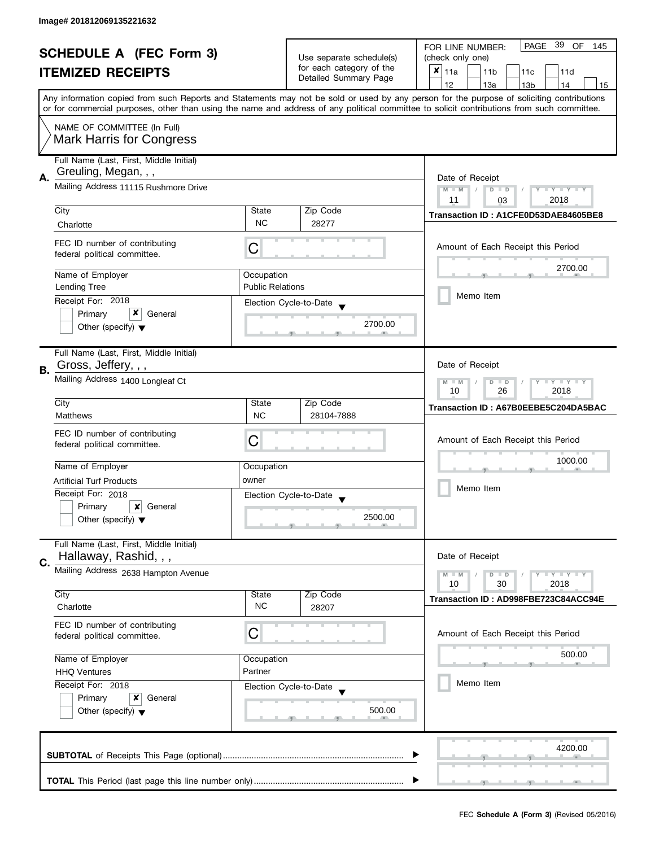| <b>SCHEDULE A (FEC Form 3)</b> |                                                               |                         | PAGE 39 OF<br>FOR LINE NUMBER:<br>145 |                                                                                                                                            |
|--------------------------------|---------------------------------------------------------------|-------------------------|---------------------------------------|--------------------------------------------------------------------------------------------------------------------------------------------|
|                                |                                                               |                         | Use separate schedule(s)              | (check only one)                                                                                                                           |
|                                | <b>ITEMIZED RECEIPTS</b>                                      |                         | for each category of the              | $x _{11a}$<br>11 <sub>b</sub><br>11c<br>11d                                                                                                |
|                                |                                                               |                         | Detailed Summary Page                 | 12<br>13a<br>13 <sub>b</sub><br>14<br>15                                                                                                   |
|                                |                                                               |                         |                                       | Any information copied from such Reports and Statements may not be sold or used by any person for the purpose of soliciting contributions  |
|                                |                                                               |                         |                                       | or for commercial purposes, other than using the name and address of any political committee to solicit contributions from such committee. |
|                                | NAME OF COMMITTEE (In Full)                                   |                         |                                       |                                                                                                                                            |
|                                | <b>Mark Harris for Congress</b>                               |                         |                                       |                                                                                                                                            |
|                                | Full Name (Last, First, Middle Initial)                       |                         |                                       |                                                                                                                                            |
|                                | Greuling, Megan, , ,                                          |                         |                                       |                                                                                                                                            |
| Α.                             | Mailing Address 11115 Rushmore Drive                          |                         |                                       | Date of Receipt                                                                                                                            |
|                                |                                                               |                         |                                       | $M - M$<br>$Y - Y - Y - Y - Y$<br>$D$ $D$<br>2018<br>11<br>03                                                                              |
|                                | City                                                          | State                   | Zip Code                              |                                                                                                                                            |
|                                | Charlotte                                                     | <b>NC</b>               | 28277                                 | Transaction ID: A1CFE0D53DAE84605BE8                                                                                                       |
|                                |                                                               |                         |                                       |                                                                                                                                            |
|                                | FEC ID number of contributing<br>federal political committee. | C                       |                                       | Amount of Each Receipt this Period                                                                                                         |
|                                |                                                               |                         |                                       |                                                                                                                                            |
|                                | Name of Employer                                              | Occupation              |                                       | 2700.00                                                                                                                                    |
|                                | <b>Lending Tree</b>                                           | <b>Public Relations</b> |                                       |                                                                                                                                            |
|                                | Receipt For: 2018                                             |                         | Election Cycle-to-Date                | Memo Item                                                                                                                                  |
|                                | x<br>Primary<br>General                                       |                         |                                       |                                                                                                                                            |
|                                | Other (specify) $\blacktriangledown$                          |                         | 2700.00                               |                                                                                                                                            |
|                                |                                                               |                         |                                       |                                                                                                                                            |
|                                | Full Name (Last, First, Middle Initial)                       |                         |                                       |                                                                                                                                            |
| В.                             | Gross, Jeffery, , ,                                           |                         |                                       | Date of Receipt                                                                                                                            |
|                                | Mailing Address 1400 Longleaf Ct                              |                         |                                       | Y LY LY<br>$M - M$<br>$\overline{D}$<br>$\Box$                                                                                             |
|                                |                                                               | 26<br>2018<br>10        |                                       |                                                                                                                                            |
|                                | City                                                          | State<br><b>NC</b>      | Zip Code                              | Transaction ID: A67B0EEBE5C204DA5BAC                                                                                                       |
|                                | <b>Matthews</b>                                               |                         | 28104-7888                            |                                                                                                                                            |
|                                | FEC ID number of contributing                                 | C                       |                                       | Amount of Each Receipt this Period                                                                                                         |
|                                | federal political committee.                                  |                         |                                       |                                                                                                                                            |
|                                | Name of Employer                                              | Occupation              |                                       | 1000.00                                                                                                                                    |
|                                | <b>Artificial Turf Products</b>                               | owner                   |                                       |                                                                                                                                            |
|                                | Receipt For: 2018                                             |                         | Election Cycle-to-Date                | Memo Item                                                                                                                                  |
|                                | Primary<br>$\boldsymbol{x}$<br>General                        |                         |                                       |                                                                                                                                            |
|                                | Other (specify) $\blacktriangledown$                          |                         | 2500.00                               |                                                                                                                                            |
|                                |                                                               |                         |                                       |                                                                                                                                            |
|                                | Full Name (Last, First, Middle Initial)                       |                         |                                       |                                                                                                                                            |
| C.                             | Hallaway, Rashid, , ,                                         |                         |                                       | Date of Receipt                                                                                                                            |
|                                | Mailing Address 2638 Hampton Avenue                           |                         |                                       | $M - M$<br>Y L Y L Y<br>$D$ $D$                                                                                                            |
|                                |                                                               |                         |                                       | 30<br>2018<br>10                                                                                                                           |
|                                | City<br>Charlotte                                             | State<br><b>NC</b>      | Zip Code<br>28207                     | Transaction ID: AD998FBE723C84ACC94E                                                                                                       |
|                                |                                                               |                         |                                       |                                                                                                                                            |
|                                | FEC ID number of contributing                                 | С                       |                                       | Amount of Each Receipt this Period                                                                                                         |
|                                | federal political committee.                                  |                         |                                       |                                                                                                                                            |
|                                | Name of Employer                                              | Occupation              |                                       | 500.00                                                                                                                                     |
|                                | Partner<br><b>HHQ Ventures</b>                                |                         |                                       |                                                                                                                                            |
|                                | Receipt For: 2018                                             |                         | Election Cycle-to-Date                | Memo Item                                                                                                                                  |
|                                | Primary<br>General<br>x                                       |                         |                                       |                                                                                                                                            |
|                                | Other (specify) $\blacktriangledown$                          |                         | 500.00                                |                                                                                                                                            |
|                                |                                                               |                         |                                       |                                                                                                                                            |
|                                |                                                               |                         |                                       |                                                                                                                                            |
|                                |                                                               |                         |                                       | 4200.00                                                                                                                                    |
|                                |                                                               |                         |                                       |                                                                                                                                            |
|                                |                                                               |                         |                                       |                                                                                                                                            |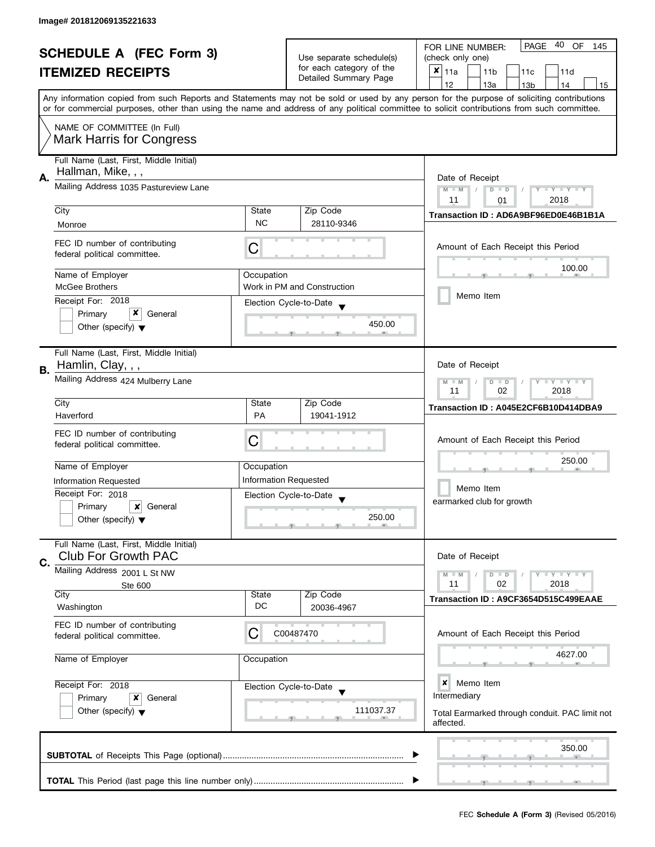| <b>SCHEDULE A (FEC Form 3)</b><br><b>ITEMIZED RECEIPTS</b> |                                                                       |                                                           | Use separate schedule(s)<br>for each category of the | PAGE 40 OF<br>FOR LINE NUMBER:<br>145<br>(check only one)<br>$\pmb{\times}$<br> 11a<br>11 <sub>b</sub><br>11c<br>11d                                                                                                                                                                    |  |  |
|------------------------------------------------------------|-----------------------------------------------------------------------|-----------------------------------------------------------|------------------------------------------------------|-----------------------------------------------------------------------------------------------------------------------------------------------------------------------------------------------------------------------------------------------------------------------------------------|--|--|
|                                                            |                                                                       |                                                           | Detailed Summary Page                                | 12<br>13a<br>14<br>13 <sub>b</sub><br>15                                                                                                                                                                                                                                                |  |  |
|                                                            |                                                                       |                                                           |                                                      | Any information copied from such Reports and Statements may not be sold or used by any person for the purpose of soliciting contributions<br>or for commercial purposes, other than using the name and address of any political committee to solicit contributions from such committee. |  |  |
|                                                            | NAME OF COMMITTEE (In Full)<br><b>Mark Harris for Congress</b>        |                                                           |                                                      |                                                                                                                                                                                                                                                                                         |  |  |
| А.                                                         | Full Name (Last, First, Middle Initial)<br>Hallman, Mike, , ,         |                                                           |                                                      | Date of Receipt                                                                                                                                                                                                                                                                         |  |  |
|                                                            | Mailing Address 1035 Pastureview Lane                                 |                                                           |                                                      | Y TY TY TY<br>$M - M$<br>$D$ $D$<br>2018<br>11<br>01                                                                                                                                                                                                                                    |  |  |
|                                                            | City<br>Monroe                                                        | State<br><b>NC</b>                                        | Zip Code<br>28110-9346                               | Transaction ID: AD6A9BF96ED0E46B1B1A                                                                                                                                                                                                                                                    |  |  |
|                                                            | FEC ID number of contributing<br>federal political committee.         | C                                                         |                                                      | Amount of Each Receipt this Period                                                                                                                                                                                                                                                      |  |  |
|                                                            | Name of Employer<br><b>McGee Brothers</b>                             | Occupation                                                | Work in PM and Construction                          | 100.00                                                                                                                                                                                                                                                                                  |  |  |
|                                                            | Receipt For: 2018                                                     |                                                           | Election Cycle-to-Date                               | Memo Item                                                                                                                                                                                                                                                                               |  |  |
|                                                            | Primary<br>General<br>Other (specify) $\blacktriangledown$            |                                                           | 450.00                                               |                                                                                                                                                                                                                                                                                         |  |  |
| В.                                                         | Full Name (Last, First, Middle Initial)<br>Hamlin, Clay, , ,          |                                                           |                                                      | Date of Receipt                                                                                                                                                                                                                                                                         |  |  |
|                                                            | Mailing Address 424 Mulberry Lane                                     | $T - Y = T - Y$<br>$M - M$<br>$D$ $D$<br>11<br>02<br>2018 |                                                      |                                                                                                                                                                                                                                                                                         |  |  |
|                                                            | City<br>Haverford                                                     | State<br><b>PA</b>                                        | Zip Code<br>19041-1912                               | Transaction ID: A045E2CF6B10D414DBA9                                                                                                                                                                                                                                                    |  |  |
|                                                            | FEC ID number of contributing<br>federal political committee.         | С                                                         |                                                      | Amount of Each Receipt this Period                                                                                                                                                                                                                                                      |  |  |
|                                                            | Name of Employer                                                      | Occupation                                                |                                                      | 250.00                                                                                                                                                                                                                                                                                  |  |  |
|                                                            | Information Requested<br>Receipt For: 2018                            | Information Requested                                     | Election Cycle-to-Date                               | Memo Item                                                                                                                                                                                                                                                                               |  |  |
|                                                            | Primary<br>×<br>General<br>Other (specify) $\blacktriangledown$       |                                                           | $\overline{\mathbf{v}}$<br>250.00                    | earmarked club for growth                                                                                                                                                                                                                                                               |  |  |
| C.                                                         | Full Name (Last, First, Middle Initial)<br><b>Club For Growth PAC</b> |                                                           |                                                      | Date of Receipt                                                                                                                                                                                                                                                                         |  |  |
|                                                            | Mailing Address 2001 L St NW<br>Ste 600                               |                                                           |                                                      | $T - Y = T - Y$<br>$M - M$<br>$D$ $D$<br>11<br>02<br>2018                                                                                                                                                                                                                               |  |  |
|                                                            | City<br>Washington                                                    | State<br>DC                                               | Zip Code<br>20036-4967                               | Transaction ID: A9CF3654D515C499EAAE                                                                                                                                                                                                                                                    |  |  |
|                                                            | FEC ID number of contributing<br>federal political committee.         | С                                                         | C00487470                                            | Amount of Each Receipt this Period                                                                                                                                                                                                                                                      |  |  |
|                                                            | Name of Employer                                                      | Occupation                                                |                                                      | 4627.00                                                                                                                                                                                                                                                                                 |  |  |
|                                                            | Receipt For: 2018<br>Primary<br>x<br>General                          |                                                           | Election Cycle-to-Date                               | ×<br>Memo Item<br>Intermediary                                                                                                                                                                                                                                                          |  |  |
|                                                            | Other (specify) $\blacktriangledown$                                  |                                                           | 111037.37                                            | Total Earmarked through conduit. PAC limit not<br>affected.                                                                                                                                                                                                                             |  |  |
|                                                            |                                                                       |                                                           |                                                      | 350.00                                                                                                                                                                                                                                                                                  |  |  |
|                                                            |                                                                       |                                                           |                                                      |                                                                                                                                                                                                                                                                                         |  |  |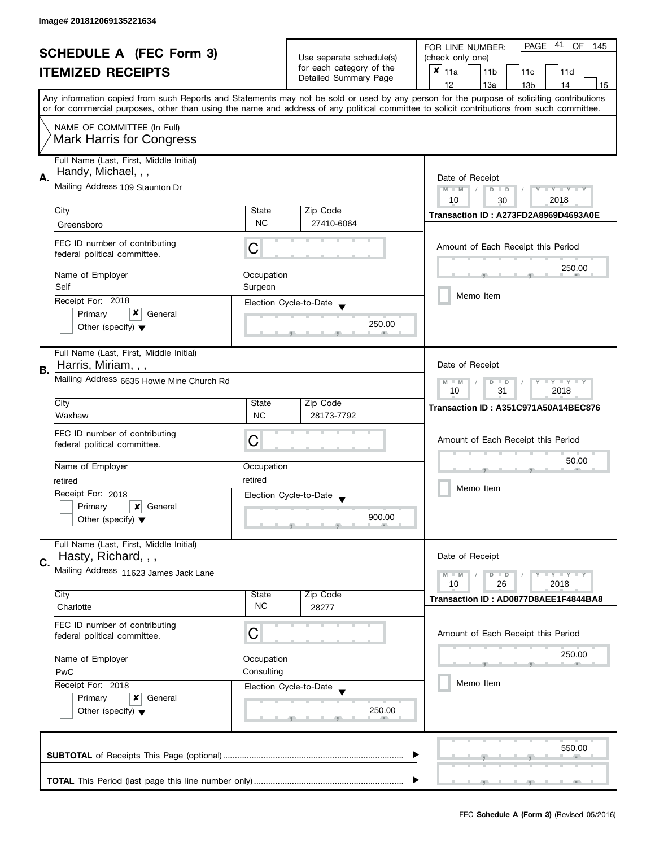|    | <b>SCHEDULE A (FEC Form 3)</b>                                  |            |                          | -41<br>PAGE<br>OF<br>FOR LINE NUMBER:<br>145                                                                                               |
|----|-----------------------------------------------------------------|------------|--------------------------|--------------------------------------------------------------------------------------------------------------------------------------------|
|    |                                                                 |            | Use separate schedule(s) | (check only one)                                                                                                                           |
|    | <b>ITEMIZED RECEIPTS</b>                                        |            | for each category of the | $x _{11a}$<br>11 <sub>b</sub><br>11c<br>11d                                                                                                |
|    |                                                                 |            | Detailed Summary Page    | 12<br>13a<br>13 <sub>b</sub><br>14<br>15                                                                                                   |
|    |                                                                 |            |                          | Any information copied from such Reports and Statements may not be sold or used by any person for the purpose of soliciting contributions  |
|    |                                                                 |            |                          | or for commercial purposes, other than using the name and address of any political committee to solicit contributions from such committee. |
|    | NAME OF COMMITTEE (In Full)                                     |            |                          |                                                                                                                                            |
|    | <b>Mark Harris for Congress</b>                                 |            |                          |                                                                                                                                            |
|    |                                                                 |            |                          |                                                                                                                                            |
|    | Full Name (Last, First, Middle Initial)                         |            |                          |                                                                                                                                            |
| Α. | Handy, Michael, , ,                                             |            |                          | Date of Receipt                                                                                                                            |
|    | Mailing Address 109 Staunton Dr                                 |            |                          | $M - M$<br>$T - Y = Y - T Y$<br>$D$ $D$<br>Y                                                                                               |
|    |                                                                 |            |                          | 10<br>2018<br>30                                                                                                                           |
|    | City                                                            | State      | Zip Code                 | Transaction ID: A273FD2A8969D4693A0E                                                                                                       |
|    | Greensboro                                                      | <b>NC</b>  | 27410-6064               |                                                                                                                                            |
|    | FEC ID number of contributing                                   |            |                          | Amount of Each Receipt this Period                                                                                                         |
|    | federal political committee.                                    | C          |                          |                                                                                                                                            |
|    |                                                                 |            |                          | 250.00                                                                                                                                     |
|    | Name of Employer                                                | Occupation |                          |                                                                                                                                            |
|    | Self                                                            | Surgeon    |                          | Memo Item                                                                                                                                  |
|    | Receipt For: 2018                                               |            | Election Cycle-to-Date   |                                                                                                                                            |
|    | x<br>Primary<br>General                                         |            | 250.00                   |                                                                                                                                            |
|    | Other (specify) $\blacktriangledown$                            |            |                          |                                                                                                                                            |
|    |                                                                 |            |                          |                                                                                                                                            |
|    | Full Name (Last, First, Middle Initial)                         |            |                          |                                                                                                                                            |
| В. | Harris, Miriam, , ,                                             |            |                          | Date of Receipt                                                                                                                            |
|    | Mailing Address 6635 Howie Mine Church Rd                       |            |                          | Y LY LY<br>$M - M$<br>D<br>$\Box$                                                                                                          |
|    |                                                                 |            |                          | 31<br>2018<br>10                                                                                                                           |
|    | City                                                            | State      | Zip Code                 | Transaction ID: A351C971A50A14BEC876                                                                                                       |
|    | Waxhaw                                                          | <b>NC</b>  | 28173-7792               |                                                                                                                                            |
|    | FEC ID number of contributing                                   |            |                          |                                                                                                                                            |
|    | federal political committee.                                    | C          |                          | Amount of Each Receipt this Period                                                                                                         |
|    |                                                                 |            |                          | 50.00                                                                                                                                      |
|    | Name of Employer                                                | Occupation |                          |                                                                                                                                            |
|    | retired                                                         | retired    |                          | Memo Item                                                                                                                                  |
|    | Receipt For: 2018                                               |            | Election Cycle-to-Date   |                                                                                                                                            |
|    | Primary<br>$\boldsymbol{x}$<br>General                          |            |                          |                                                                                                                                            |
|    | Other (specify) $\blacktriangledown$                            |            | 900.00                   |                                                                                                                                            |
|    |                                                                 |            |                          |                                                                                                                                            |
|    | Full Name (Last, First, Middle Initial)                         |            |                          | Date of Receipt                                                                                                                            |
| C. | Hasty, Richard, , ,                                             |            |                          |                                                                                                                                            |
|    | Mailing Address 11623 James Jack Lane                           |            |                          | Y LY LY<br>$M - M$<br>$D$ $D$                                                                                                              |
|    | City                                                            | State      | Zip Code                 | 26<br>2018<br>10                                                                                                                           |
|    | Charlotte                                                       | <b>NC</b>  | 28277                    | Transaction ID: AD0877D8AEE1F4844BA8                                                                                                       |
|    |                                                                 |            |                          |                                                                                                                                            |
|    | FEC ID number of contributing                                   | С          |                          | Amount of Each Receipt this Period                                                                                                         |
|    | federal political committee.                                    |            |                          |                                                                                                                                            |
|    | Name of Employer                                                | Occupation |                          | 250.00                                                                                                                                     |
|    | PwC                                                             | Consulting |                          |                                                                                                                                            |
|    | Receipt For: 2018<br>Election Cycle-to-Date                     |            |                          | Memo Item                                                                                                                                  |
|    |                                                                 |            |                          |                                                                                                                                            |
|    | Primary<br>General<br>x<br>Other (specify) $\blacktriangledown$ |            | 250.00                   |                                                                                                                                            |
|    |                                                                 |            |                          |                                                                                                                                            |
|    |                                                                 |            |                          |                                                                                                                                            |
|    |                                                                 |            |                          | 550.00                                                                                                                                     |
|    |                                                                 |            |                          |                                                                                                                                            |
|    |                                                                 |            |                          |                                                                                                                                            |
|    |                                                                 |            |                          |                                                                                                                                            |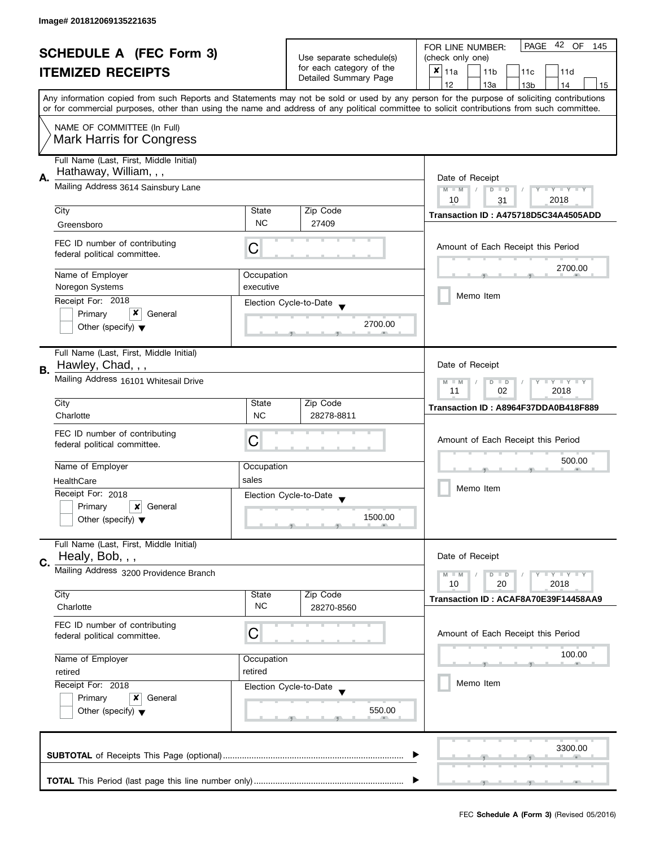| <b>SCHEDULE A (FEC Form 3)</b> |                                         |            | Use separate schedule(s) | PAGE 42 OF<br>FOR LINE NUMBER:<br>145                                                                                                      |  |  |  |
|--------------------------------|-----------------------------------------|------------|--------------------------|--------------------------------------------------------------------------------------------------------------------------------------------|--|--|--|
|                                | <b>ITEMIZED RECEIPTS</b>                |            |                          | (check only one)                                                                                                                           |  |  |  |
|                                |                                         |            | for each category of the | $x _{11a}$<br>11 <sub>b</sub><br>11d<br>11 <sub>c</sub>                                                                                    |  |  |  |
|                                |                                         |            | Detailed Summary Page    | 12<br>13a<br>13 <sub>b</sub><br>14<br>15                                                                                                   |  |  |  |
|                                |                                         |            |                          | Any information copied from such Reports and Statements may not be sold or used by any person for the purpose of soliciting contributions  |  |  |  |
|                                |                                         |            |                          | or for commercial purposes, other than using the name and address of any political committee to solicit contributions from such committee. |  |  |  |
|                                | NAME OF COMMITTEE (In Full)             |            |                          |                                                                                                                                            |  |  |  |
|                                | <b>Mark Harris for Congress</b>         |            |                          |                                                                                                                                            |  |  |  |
|                                | Full Name (Last, First, Middle Initial) |            |                          |                                                                                                                                            |  |  |  |
| Α.                             | Hathaway, William, , ,                  |            |                          | Date of Receipt                                                                                                                            |  |  |  |
|                                | Mailing Address 3614 Sainsbury Lane     |            |                          |                                                                                                                                            |  |  |  |
|                                |                                         |            |                          | $M - M$<br>$T - Y = Y - T Y$<br>$D$ $D$<br>10<br>2018<br>31                                                                                |  |  |  |
|                                | City                                    | State      | Zip Code                 | Transaction ID: A475718D5C34A4505ADD                                                                                                       |  |  |  |
|                                | Greensboro                              | <b>NC</b>  | 27409                    |                                                                                                                                            |  |  |  |
|                                | FEC ID number of contributing           |            |                          |                                                                                                                                            |  |  |  |
|                                | federal political committee.            | C          |                          | Amount of Each Receipt this Period                                                                                                         |  |  |  |
|                                |                                         |            |                          | 2700.00                                                                                                                                    |  |  |  |
|                                | Name of Employer                        | Occupation |                          |                                                                                                                                            |  |  |  |
|                                | Noregon Systems                         | executive  |                          | Memo Item                                                                                                                                  |  |  |  |
|                                | Receipt For: 2018                       |            | Election Cycle-to-Date   |                                                                                                                                            |  |  |  |
|                                | x<br>Primary<br>General                 |            | 2700.00                  |                                                                                                                                            |  |  |  |
|                                | Other (specify) $\blacktriangledown$    |            |                          |                                                                                                                                            |  |  |  |
|                                | Full Name (Last, First, Middle Initial) |            |                          |                                                                                                                                            |  |  |  |
|                                | Hawley, Chad, , ,                       |            |                          | Date of Receipt                                                                                                                            |  |  |  |
| В.                             | Mailing Address 16101 Whitesail Drive   |            |                          | Y LY LY<br>$M - M$<br>D<br>$\Box$                                                                                                          |  |  |  |
|                                |                                         |            |                          | 02<br>2018<br>11                                                                                                                           |  |  |  |
|                                | City                                    | State      | Zip Code                 | Transaction ID: A8964F37DDA0B418F889                                                                                                       |  |  |  |
|                                | Charlotte                               | <b>NC</b>  | 28278-8811               |                                                                                                                                            |  |  |  |
|                                | FEC ID number of contributing           |            |                          |                                                                                                                                            |  |  |  |
|                                | federal political committee.            | C          |                          | Amount of Each Receipt this Period                                                                                                         |  |  |  |
|                                |                                         |            |                          | 500.00                                                                                                                                     |  |  |  |
|                                | Name of Employer                        | Occupation |                          |                                                                                                                                            |  |  |  |
|                                | HealthCare                              | sales      |                          | Memo Item                                                                                                                                  |  |  |  |
|                                | Receipt For: 2018                       |            | Election Cycle-to-Date   |                                                                                                                                            |  |  |  |
|                                | Primary<br>$\boldsymbol{x}$<br>General  |            | 1500.00                  |                                                                                                                                            |  |  |  |
|                                | Other (specify) $\blacktriangledown$    |            |                          |                                                                                                                                            |  |  |  |
|                                | Full Name (Last, First, Middle Initial) |            |                          |                                                                                                                                            |  |  |  |
|                                | Healy, Bob, , ,                         |            |                          | Date of Receipt                                                                                                                            |  |  |  |
| C.                             | Mailing Address 3200 Providence Branch  |            |                          | $Y = Y = Y$<br>$M - M$<br>$D$ $D$                                                                                                          |  |  |  |
|                                |                                         |            |                          | 20<br>2018<br>10                                                                                                                           |  |  |  |
|                                | City                                    | State      | Zip Code                 | Transaction ID: ACAF8A70E39F14458AA9                                                                                                       |  |  |  |
|                                | Charlotte                               | <b>NC</b>  | 28270-8560               |                                                                                                                                            |  |  |  |
|                                | FEC ID number of contributing           |            |                          |                                                                                                                                            |  |  |  |
|                                | federal political committee.            | С          |                          | Amount of Each Receipt this Period                                                                                                         |  |  |  |
|                                | Name of Employer                        | Occupation |                          | 100.00                                                                                                                                     |  |  |  |
|                                | retired<br>retired                      |            |                          |                                                                                                                                            |  |  |  |
|                                | Receipt For: 2018                       |            | Election Cycle-to-Date   | Memo Item                                                                                                                                  |  |  |  |
|                                | Primary<br>General<br>x                 |            |                          |                                                                                                                                            |  |  |  |
|                                | Other (specify) $\blacktriangledown$    |            | 550.00                   |                                                                                                                                            |  |  |  |
|                                |                                         |            |                          |                                                                                                                                            |  |  |  |
|                                |                                         |            |                          |                                                                                                                                            |  |  |  |
|                                |                                         |            |                          | 3300.00                                                                                                                                    |  |  |  |
|                                |                                         |            |                          |                                                                                                                                            |  |  |  |
|                                |                                         |            |                          |                                                                                                                                            |  |  |  |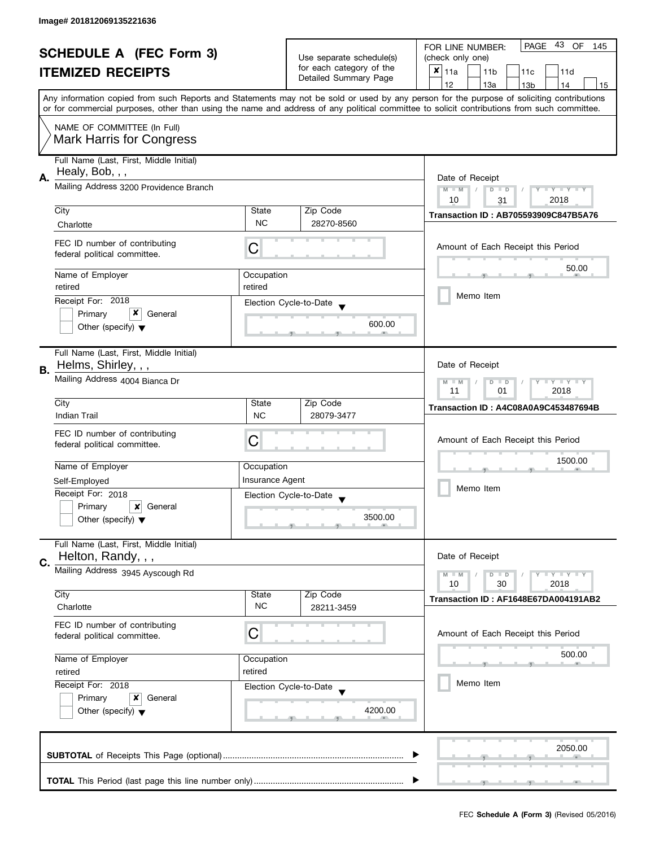| <b>SCHEDULE A (FEC Form 3)</b> |                                         |                  | 43 OF<br>PAGE<br>FOR LINE NUMBER:<br>145          |                                                                                                                                            |  |
|--------------------------------|-----------------------------------------|------------------|---------------------------------------------------|--------------------------------------------------------------------------------------------------------------------------------------------|--|
|                                |                                         |                  | Use separate schedule(s)                          | (check only one)                                                                                                                           |  |
|                                | <b>ITEMIZED RECEIPTS</b>                |                  | for each category of the<br>Detailed Summary Page | $x _{11a}$<br>11 <sub>b</sub><br>11c<br>11d                                                                                                |  |
|                                |                                         |                  |                                                   | 12<br>13a<br>14<br>13 <sub>b</sub><br>15                                                                                                   |  |
|                                |                                         |                  |                                                   | Any information copied from such Reports and Statements may not be sold or used by any person for the purpose of soliciting contributions  |  |
|                                |                                         |                  |                                                   | or for commercial purposes, other than using the name and address of any political committee to solicit contributions from such committee. |  |
|                                | NAME OF COMMITTEE (In Full)             |                  |                                                   |                                                                                                                                            |  |
|                                | <b>Mark Harris for Congress</b>         |                  |                                                   |                                                                                                                                            |  |
|                                |                                         |                  |                                                   |                                                                                                                                            |  |
|                                | Full Name (Last, First, Middle Initial) |                  |                                                   |                                                                                                                                            |  |
| А.                             | Healy, Bob, , ,                         |                  |                                                   | Date of Receipt                                                                                                                            |  |
|                                | Mailing Address 3200 Providence Branch  |                  |                                                   | $M - M$<br>Y TY TY TY<br>$D$ $D$                                                                                                           |  |
|                                |                                         |                  |                                                   | 2018<br>10<br>31                                                                                                                           |  |
|                                | City                                    | State            | Zip Code                                          | <b>Transaction ID: AB705593909C847B5A76</b>                                                                                                |  |
|                                | Charlotte                               | <b>NC</b>        | 28270-8560                                        |                                                                                                                                            |  |
|                                | FEC ID number of contributing           |                  |                                                   |                                                                                                                                            |  |
|                                | federal political committee.            | С                |                                                   | Amount of Each Receipt this Period                                                                                                         |  |
|                                |                                         |                  |                                                   | 50.00                                                                                                                                      |  |
|                                | Name of Employer                        | Occupation       |                                                   |                                                                                                                                            |  |
|                                | retired                                 | retired          |                                                   | Memo Item                                                                                                                                  |  |
|                                | Receipt For: 2018                       |                  | Election Cycle-to-Date                            |                                                                                                                                            |  |
|                                | x<br>Primary<br>General                 |                  |                                                   |                                                                                                                                            |  |
|                                | Other (specify) $\blacktriangledown$    |                  | 600.00                                            |                                                                                                                                            |  |
|                                |                                         |                  |                                                   |                                                                                                                                            |  |
|                                | Full Name (Last, First, Middle Initial) |                  |                                                   |                                                                                                                                            |  |
| В.                             | Helms, Shirley, , ,                     |                  |                                                   | Date of Receipt                                                                                                                            |  |
|                                | Mailing Address 4004 Bianca Dr          |                  |                                                   | <b>LYLYLY</b><br>$M - M$<br>$D$ $D$                                                                                                        |  |
|                                |                                         | 2018<br>11<br>01 |                                                   |                                                                                                                                            |  |
|                                | City                                    | State            | Zip Code                                          | Transaction ID: A4C08A0A9C453487694B                                                                                                       |  |
|                                | <b>Indian Trail</b>                     | <b>NC</b>        | 28079-3477                                        |                                                                                                                                            |  |
|                                | FEC ID number of contributing           |                  |                                                   |                                                                                                                                            |  |
|                                | federal political committee.            | C                |                                                   | Amount of Each Receipt this Period                                                                                                         |  |
|                                |                                         |                  |                                                   |                                                                                                                                            |  |
|                                | Name of Employer                        | Occupation       |                                                   | 1500.00                                                                                                                                    |  |
|                                | Self-Employed                           | Insurance Agent  |                                                   |                                                                                                                                            |  |
|                                | Receipt For: 2018                       |                  | Election Cycle-to-Date                            | Memo Item                                                                                                                                  |  |
|                                | Primary<br>General<br>x                 |                  |                                                   |                                                                                                                                            |  |
|                                | Other (specify) $\blacktriangledown$    |                  | 3500.00                                           |                                                                                                                                            |  |
|                                |                                         |                  |                                                   |                                                                                                                                            |  |
|                                | Full Name (Last, First, Middle Initial) |                  |                                                   |                                                                                                                                            |  |
| C.                             | Helton, Randy, , ,                      |                  |                                                   | Date of Receipt                                                                                                                            |  |
|                                | Mailing Address 3945 Ayscough Rd        |                  |                                                   | $\bot$ Y $\bot$ Y $\bot$ Y<br>$M - M$<br>$D$ $D$                                                                                           |  |
|                                |                                         |                  |                                                   | 10<br>30<br>2018                                                                                                                           |  |
|                                | City                                    | State            | Zip Code                                          | Transaction ID: AF1648E67DA004191AB2                                                                                                       |  |
|                                | Charlotte                               | <b>NC</b>        | 28211-3459                                        |                                                                                                                                            |  |
|                                | FEC ID number of contributing           |                  |                                                   |                                                                                                                                            |  |
|                                | federal political committee.            | С                |                                                   | Amount of Each Receipt this Period                                                                                                         |  |
|                                |                                         |                  |                                                   |                                                                                                                                            |  |
|                                | Name of Employer                        | Occupation       |                                                   | 500.00                                                                                                                                     |  |
|                                | retired<br>retired                      |                  |                                                   |                                                                                                                                            |  |
|                                | Receipt For: 2018                       |                  | Election Cycle-to-Date                            | Memo Item                                                                                                                                  |  |
|                                | Primary<br>x<br>General                 |                  |                                                   |                                                                                                                                            |  |
|                                | Other (specify) $\blacktriangledown$    |                  | 4200.00                                           |                                                                                                                                            |  |
|                                |                                         |                  |                                                   |                                                                                                                                            |  |
|                                |                                         |                  |                                                   |                                                                                                                                            |  |
|                                |                                         |                  |                                                   | 2050.00                                                                                                                                    |  |
|                                |                                         |                  |                                                   |                                                                                                                                            |  |
|                                |                                         |                  |                                                   |                                                                                                                                            |  |
|                                |                                         |                  |                                                   |                                                                                                                                            |  |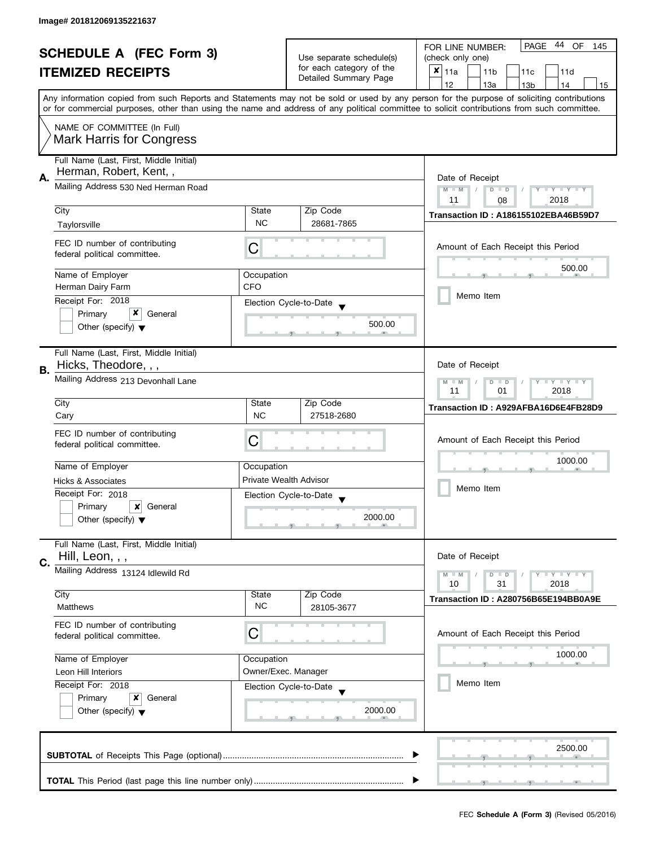|    | <b>SCHEDULE A (FEC Form 3)</b><br><b>ITEMIZED RECEIPTS</b>        |                                                      | Use separate schedule(s)<br>for each category of the | PAGE 44 OF<br>FOR LINE NUMBER:<br>145<br>(check only one)<br>X<br>11a<br>11 <sub>b</sub><br>11c<br>11d                                                                                                                                                                                  |
|----|-------------------------------------------------------------------|------------------------------------------------------|------------------------------------------------------|-----------------------------------------------------------------------------------------------------------------------------------------------------------------------------------------------------------------------------------------------------------------------------------------|
|    |                                                                   |                                                      | Detailed Summary Page                                | 12<br>13a<br>13 <sub>b</sub><br>14<br>15                                                                                                                                                                                                                                                |
|    |                                                                   |                                                      |                                                      | Any information copied from such Reports and Statements may not be sold or used by any person for the purpose of soliciting contributions<br>or for commercial purposes, other than using the name and address of any political committee to solicit contributions from such committee. |
|    | NAME OF COMMITTEE (In Full)<br><b>Mark Harris for Congress</b>    |                                                      |                                                      |                                                                                                                                                                                                                                                                                         |
| А. | Full Name (Last, First, Middle Initial)<br>Herman, Robert, Kent,, |                                                      |                                                      | Date of Receipt                                                                                                                                                                                                                                                                         |
|    | Mailing Address 530 Ned Herman Road                               | Y TY TY TY<br>$M - M$<br>$D$ $D$<br>2018<br>11<br>08 |                                                      |                                                                                                                                                                                                                                                                                         |
|    | City                                                              | State                                                | Zip Code                                             | Transaction ID: A186155102EBA46B59D7                                                                                                                                                                                                                                                    |
|    | Taylorsville                                                      | <b>NC</b>                                            | 28681-7865                                           |                                                                                                                                                                                                                                                                                         |
|    | FEC ID number of contributing<br>federal political committee.     | C                                                    |                                                      | Amount of Each Receipt this Period                                                                                                                                                                                                                                                      |
|    | Name of Employer                                                  | Occupation                                           |                                                      | 500.00                                                                                                                                                                                                                                                                                  |
|    | Herman Dairy Farm                                                 | <b>CFO</b>                                           |                                                      | Memo Item                                                                                                                                                                                                                                                                               |
|    | Receipt For: 2018                                                 |                                                      | Election Cycle-to-Date                               |                                                                                                                                                                                                                                                                                         |
|    | x<br>Primary<br>General<br>Other (specify) $\blacktriangledown$   |                                                      | 500.00                                               |                                                                                                                                                                                                                                                                                         |
| В. | Full Name (Last, First, Middle Initial)<br>Hicks, Theodore, , ,   |                                                      |                                                      | Date of Receipt                                                                                                                                                                                                                                                                         |
|    | Mailing Address 213 Devonhall Lane                                |                                                      |                                                      | $T - Y = T - Y$<br>$M - M$<br>$D$ $D$<br>11<br>2018<br>01                                                                                                                                                                                                                               |
|    | City                                                              | State                                                | Zip Code                                             | Transaction ID: A929AFBA16D6E4FB28D9                                                                                                                                                                                                                                                    |
|    | Cary                                                              | <b>NC</b>                                            | 27518-2680                                           |                                                                                                                                                                                                                                                                                         |
|    | FEC ID number of contributing<br>federal political committee.     | С                                                    |                                                      | Amount of Each Receipt this Period                                                                                                                                                                                                                                                      |
|    | Name of Employer                                                  | Occupation                                           |                                                      | 1000.00                                                                                                                                                                                                                                                                                 |
|    | <b>Hicks &amp; Associates</b>                                     |                                                      | Private Wealth Advisor                               | Memo Item                                                                                                                                                                                                                                                                               |
|    | Receipt For: 2018                                                 |                                                      | Election Cycle-to-Date<br>$\overline{\mathbf{v}}$    |                                                                                                                                                                                                                                                                                         |
|    | Primary<br>x<br>General<br>Other (specify) $\blacktriangledown$   |                                                      | 2000.00                                              |                                                                                                                                                                                                                                                                                         |
| C. | Full Name (Last, First, Middle Initial)<br>Hill, Leon, , ,        |                                                      |                                                      | Date of Receipt                                                                                                                                                                                                                                                                         |
|    | Mailing Address 13124 Idlewild Rd                                 |                                                      |                                                      | $T - Y = T - Y$<br>$M - M$<br>$D$ $D$<br>10<br>31<br>2018                                                                                                                                                                                                                               |
|    | City<br><b>Matthews</b>                                           | State<br><b>NC</b>                                   | Zip Code<br>28105-3677                               | Transaction ID: A280756B65E194BB0A9E                                                                                                                                                                                                                                                    |
|    | FEC ID number of contributing<br>federal political committee.     | C                                                    |                                                      | Amount of Each Receipt this Period                                                                                                                                                                                                                                                      |
|    | Name of Employer                                                  | Occupation                                           |                                                      | 1000.00                                                                                                                                                                                                                                                                                 |
|    | Leon Hill Interiors                                               |                                                      | Owner/Exec. Manager                                  |                                                                                                                                                                                                                                                                                         |
|    | Receipt For: 2018                                                 |                                                      | Election Cycle-to-Date                               | Memo Item                                                                                                                                                                                                                                                                               |
|    | Primary<br>x<br>General<br>Other (specify) $\blacktriangledown$   | 2000.00                                              |                                                      |                                                                                                                                                                                                                                                                                         |
|    |                                                                   |                                                      |                                                      | 2500.00                                                                                                                                                                                                                                                                                 |
|    |                                                                   |                                                      |                                                      |                                                                                                                                                                                                                                                                                         |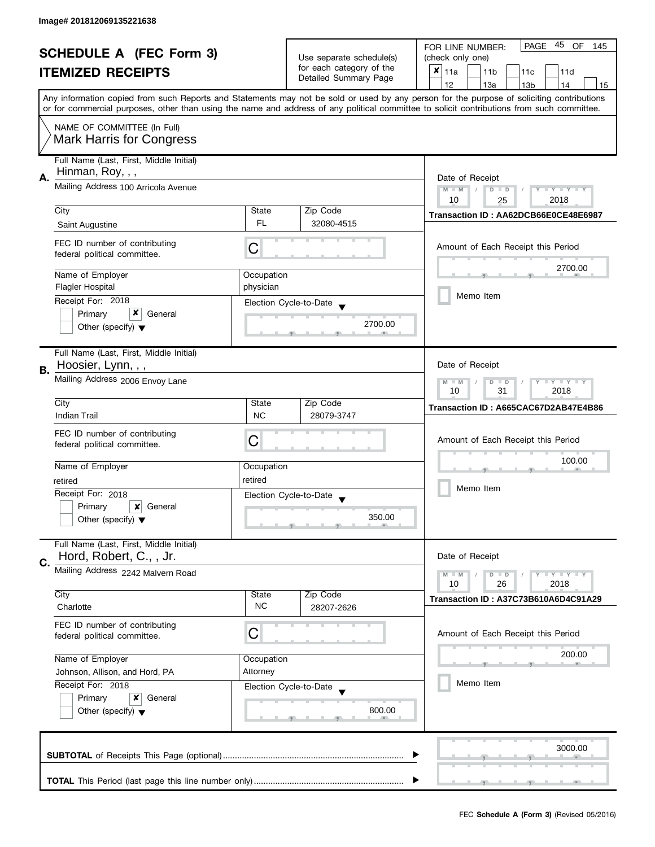| <b>SCHEDULE A (FEC Form 3)</b> |                                         |            | 45 OF<br>PAGE<br>FOR LINE NUMBER:<br>145                                      |                                                                                                                                            |  |
|--------------------------------|-----------------------------------------|------------|-------------------------------------------------------------------------------|--------------------------------------------------------------------------------------------------------------------------------------------|--|
|                                |                                         |            | Use separate schedule(s)<br>for each category of the<br>Detailed Summary Page | (check only one)                                                                                                                           |  |
|                                | <b>ITEMIZED RECEIPTS</b>                |            |                                                                               | $x _{11a}$<br>11 <sub>b</sub><br>11c<br>11d                                                                                                |  |
|                                |                                         |            |                                                                               | 12<br>13a<br>14<br>13 <sub>b</sub><br>15                                                                                                   |  |
|                                |                                         |            |                                                                               | Any information copied from such Reports and Statements may not be sold or used by any person for the purpose of soliciting contributions  |  |
|                                |                                         |            |                                                                               | or for commercial purposes, other than using the name and address of any political committee to solicit contributions from such committee. |  |
|                                | NAME OF COMMITTEE (In Full)             |            |                                                                               |                                                                                                                                            |  |
|                                | <b>Mark Harris for Congress</b>         |            |                                                                               |                                                                                                                                            |  |
|                                |                                         |            |                                                                               |                                                                                                                                            |  |
|                                | Full Name (Last, First, Middle Initial) |            |                                                                               |                                                                                                                                            |  |
| А.                             | Hinman, Roy, , ,                        |            |                                                                               | Date of Receipt                                                                                                                            |  |
|                                | Mailing Address 100 Arricola Avenue     |            |                                                                               | Y TY TY TY<br>$M - M$<br>$D$ $D$                                                                                                           |  |
|                                |                                         |            |                                                                               | 10<br>2018<br>25                                                                                                                           |  |
|                                | City                                    | State      | Zip Code                                                                      | Transaction ID: AA62DCB66E0CE48E6987                                                                                                       |  |
|                                | Saint Augustine                         | FL.        | 32080-4515                                                                    |                                                                                                                                            |  |
|                                | FEC ID number of contributing           |            |                                                                               | Amount of Each Receipt this Period                                                                                                         |  |
|                                | federal political committee.            | С          |                                                                               |                                                                                                                                            |  |
|                                |                                         |            |                                                                               | 2700.00                                                                                                                                    |  |
|                                | Name of Employer                        | Occupation |                                                                               |                                                                                                                                            |  |
|                                | <b>Flagler Hospital</b>                 | physician  |                                                                               | Memo Item                                                                                                                                  |  |
|                                | Receipt For: 2018                       |            | Election Cycle-to-Date                                                        |                                                                                                                                            |  |
|                                | x<br>Primary<br>General                 |            | 2700.00                                                                       |                                                                                                                                            |  |
|                                | Other (specify) $\blacktriangledown$    |            |                                                                               |                                                                                                                                            |  |
|                                |                                         |            |                                                                               |                                                                                                                                            |  |
|                                | Full Name (Last, First, Middle Initial) |            |                                                                               | Date of Receipt                                                                                                                            |  |
| В.                             | Hoosier, Lynn, , ,                      |            |                                                                               |                                                                                                                                            |  |
|                                | Mailing Address 2006 Envoy Lane         |            |                                                                               | <b>LYLYLY</b><br>$M - M$<br>D<br>$\Box$                                                                                                    |  |
|                                | City                                    | State      | Zip Code                                                                      | 2018<br>10<br>31                                                                                                                           |  |
|                                | <b>Indian Trail</b>                     | <b>NC</b>  | 28079-3747                                                                    | Transaction ID: A665CAC67D2AB47E4B86                                                                                                       |  |
|                                |                                         |            |                                                                               |                                                                                                                                            |  |
|                                | FEC ID number of contributing           | C          |                                                                               | Amount of Each Receipt this Period                                                                                                         |  |
|                                | federal political committee.            |            |                                                                               |                                                                                                                                            |  |
|                                | Name of Employer                        | Occupation |                                                                               | 100.00                                                                                                                                     |  |
|                                | retired                                 | retired    |                                                                               |                                                                                                                                            |  |
|                                | Receipt For: 2018                       |            |                                                                               | Memo Item                                                                                                                                  |  |
|                                | Primary<br>General<br>x                 |            | Election Cycle-to-Date                                                        |                                                                                                                                            |  |
|                                | Other (specify) $\blacktriangledown$    |            | 350.00                                                                        |                                                                                                                                            |  |
|                                |                                         |            |                                                                               |                                                                                                                                            |  |
|                                | Full Name (Last, First, Middle Initial) |            |                                                                               |                                                                                                                                            |  |
| C.                             | Hord, Robert, C., , Jr.                 |            |                                                                               | Date of Receipt                                                                                                                            |  |
|                                | Mailing Address 2242 Malvern Road       |            |                                                                               | $Y = Y = Y$<br>$M - M$<br>$D$ $D$                                                                                                          |  |
|                                |                                         |            |                                                                               | 10<br>26<br>2018                                                                                                                           |  |
|                                | City                                    | State      | Zip Code                                                                      | Transaction ID: A37C73B610A6D4C91A29                                                                                                       |  |
|                                | Charlotte                               | <b>NC</b>  | 28207-2626                                                                    |                                                                                                                                            |  |
|                                | FEC ID number of contributing           |            |                                                                               |                                                                                                                                            |  |
|                                | federal political committee.            | С          |                                                                               | Amount of Each Receipt this Period                                                                                                         |  |
|                                |                                         |            |                                                                               | 200.00                                                                                                                                     |  |
|                                | Name of Employer                        | Occupation |                                                                               |                                                                                                                                            |  |
|                                | Johnson, Allison, and Hord, PA          | Attorney   |                                                                               |                                                                                                                                            |  |
|                                | Receipt For: 2018                       |            | Election Cycle-to-Date                                                        | Memo Item                                                                                                                                  |  |
|                                | Primary<br>x<br>General                 |            |                                                                               |                                                                                                                                            |  |
|                                | Other (specify) $\blacktriangledown$    |            | 800.00                                                                        |                                                                                                                                            |  |
|                                |                                         |            |                                                                               |                                                                                                                                            |  |
|                                |                                         |            |                                                                               |                                                                                                                                            |  |
|                                |                                         |            |                                                                               | 3000.00                                                                                                                                    |  |
|                                |                                         |            |                                                                               |                                                                                                                                            |  |
|                                |                                         |            |                                                                               |                                                                                                                                            |  |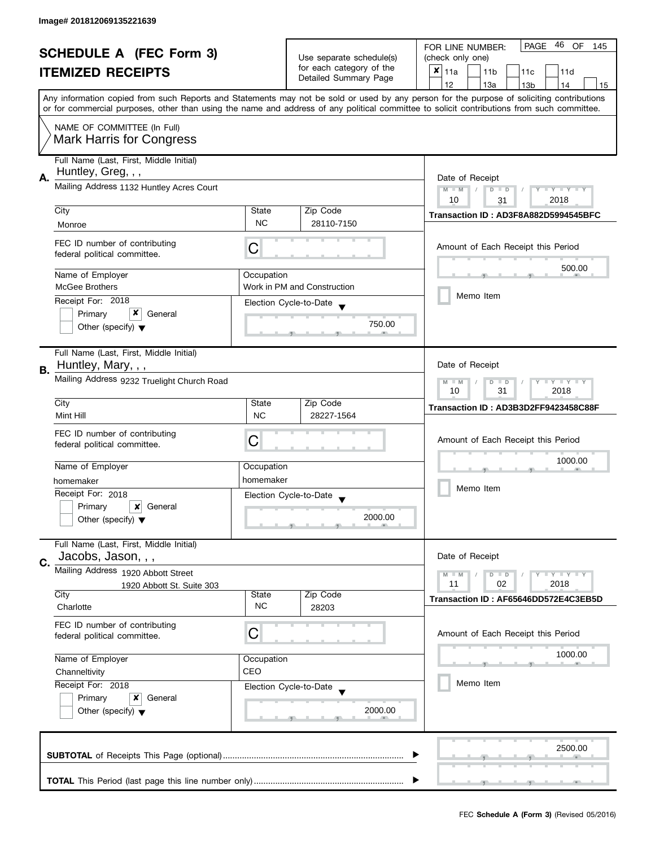|                                |                                                                |                          |                             | 46<br>PAGE<br>OF<br>FOR LINE NUMBER:<br>145                                                                                                |  |
|--------------------------------|----------------------------------------------------------------|--------------------------|-----------------------------|--------------------------------------------------------------------------------------------------------------------------------------------|--|
| <b>SCHEDULE A (FEC Form 3)</b> |                                                                | Use separate schedule(s) | (check only one)            |                                                                                                                                            |  |
|                                | <b>ITEMIZED RECEIPTS</b>                                       |                          | for each category of the    | $x _{11a}$<br>11 <sub>b</sub><br>11c<br>11d                                                                                                |  |
|                                |                                                                |                          | Detailed Summary Page       | 12<br>13a<br>14<br>13 <sub>b</sub><br>15                                                                                                   |  |
|                                |                                                                |                          |                             | Any information copied from such Reports and Statements may not be sold or used by any person for the purpose of soliciting contributions  |  |
|                                |                                                                |                          |                             | or for commercial purposes, other than using the name and address of any political committee to solicit contributions from such committee. |  |
|                                | NAME OF COMMITTEE (In Full)<br><b>Mark Harris for Congress</b> |                          |                             |                                                                                                                                            |  |
|                                | Full Name (Last, First, Middle Initial)<br>Huntley, Greg, , ,  |                          |                             |                                                                                                                                            |  |
| А.                             | Mailing Address 1132 Huntley Acres Court                       |                          |                             | Date of Receipt<br>$M - M$<br>Y TY TY TY<br>$D$ $D$<br>2018<br>10<br>31                                                                    |  |
|                                | City                                                           | State                    | Zip Code                    |                                                                                                                                            |  |
|                                | Monroe                                                         | <b>NC</b>                | 28110-7150                  | Transaction ID: AD3F8A882D5994545BFC                                                                                                       |  |
|                                | FEC ID number of contributing<br>federal political committee.  | С                        |                             | Amount of Each Receipt this Period                                                                                                         |  |
|                                | Name of Employer                                               | Occupation               |                             | 500.00                                                                                                                                     |  |
|                                | <b>McGee Brothers</b>                                          |                          | Work in PM and Construction |                                                                                                                                            |  |
|                                | Receipt For: 2018                                              |                          | Election Cycle-to-Date      | Memo Item                                                                                                                                  |  |
|                                | x<br>Primary<br>General                                        |                          |                             |                                                                                                                                            |  |
|                                | Other (specify) $\blacktriangledown$                           |                          | 750.00                      |                                                                                                                                            |  |
| В.                             | Full Name (Last, First, Middle Initial)<br>Huntley, Mary, , ,  |                          |                             | Date of Receipt                                                                                                                            |  |
|                                | Mailing Address 9232 Truelight Church Road                     |                          |                             | <b>LYLYLY</b><br>$M - M$<br>D<br>$\Box$<br>2018<br>10<br>31                                                                                |  |
|                                | City                                                           | State                    | Zip Code                    | Transaction ID: AD3B3D2FF9423458C88F                                                                                                       |  |
|                                | Mint Hill                                                      | <b>NC</b>                | 28227-1564                  |                                                                                                                                            |  |
|                                | FEC ID number of contributing                                  |                          |                             | Amount of Each Receipt this Period                                                                                                         |  |
|                                | federal political committee.                                   | C                        |                             |                                                                                                                                            |  |
|                                | Name of Employer                                               | Occupation               |                             | 1000.00                                                                                                                                    |  |
|                                | homemaker                                                      | homemaker                |                             |                                                                                                                                            |  |
|                                | Receipt For: 2018                                              |                          | Election Cycle-to-Date      | Memo Item                                                                                                                                  |  |
|                                | Primary<br>General<br>x                                        |                          |                             |                                                                                                                                            |  |
|                                | Other (specify) $\blacktriangledown$                           |                          | 2000.00                     |                                                                                                                                            |  |
|                                | Full Name (Last, First, Middle Initial)<br>Jacobs, Jason, , ,  |                          |                             | Date of Receipt                                                                                                                            |  |
| C.                             | Mailing Address 1920 Abbott Street                             |                          |                             | $Y = Y = Y$<br>$M - M$<br>$D$ $D$                                                                                                          |  |
|                                | 1920 Abbott St. Suite 303                                      |                          |                             | 11<br>02<br>2018                                                                                                                           |  |
|                                | City                                                           | State                    | Zip Code                    | Transaction ID: AF65646DD572E4C3EB5D                                                                                                       |  |
|                                | Charlotte                                                      | <b>NC</b>                | 28203                       |                                                                                                                                            |  |
|                                | FEC ID number of contributing<br>federal political committee.  | С                        |                             | Amount of Each Receipt this Period                                                                                                         |  |
|                                | Name of Employer                                               | Occupation               |                             | 1000.00                                                                                                                                    |  |
|                                | Channeltivity                                                  | CEO                      |                             |                                                                                                                                            |  |
|                                | Receipt For: 2018                                              |                          | Election Cycle-to-Date      | Memo Item                                                                                                                                  |  |
|                                | Primary<br>x<br>General                                        |                          |                             |                                                                                                                                            |  |
|                                | Other (specify) $\blacktriangledown$                           |                          | 2000.00                     |                                                                                                                                            |  |
|                                |                                                                |                          |                             | 2500.00                                                                                                                                    |  |
|                                |                                                                |                          |                             |                                                                                                                                            |  |
|                                |                                                                |                          |                             |                                                                                                                                            |  |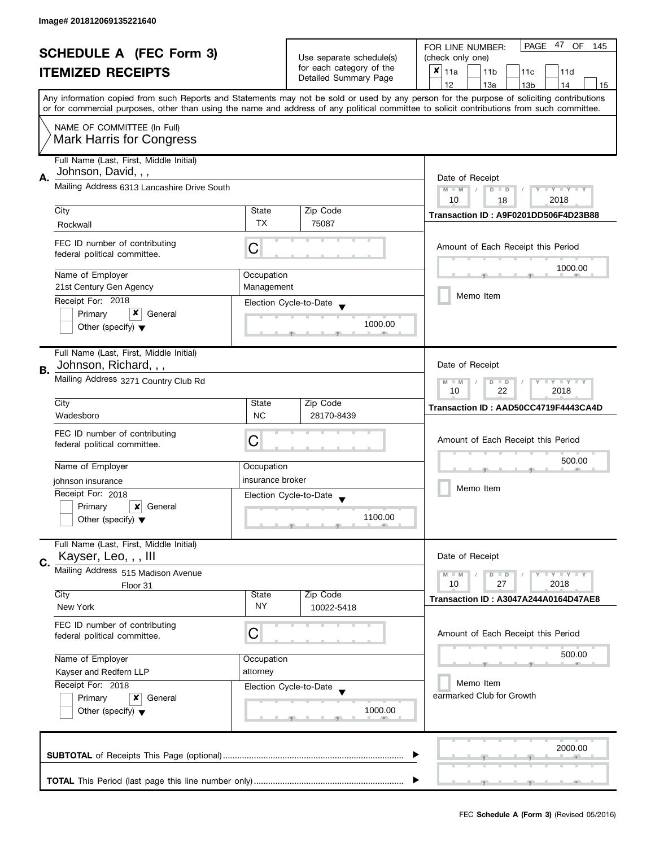| <b>SCHEDULE A (FEC Form 3)</b> |                                                                |                                                                           |                                                   | 47<br>PAGE<br>OF<br>FOR LINE NUMBER:<br>145                                                                                                                                                                                                                                             |
|--------------------------------|----------------------------------------------------------------|---------------------------------------------------------------------------|---------------------------------------------------|-----------------------------------------------------------------------------------------------------------------------------------------------------------------------------------------------------------------------------------------------------------------------------------------|
|                                |                                                                |                                                                           | Use separate schedule(s)                          | (check only one)                                                                                                                                                                                                                                                                        |
|                                | <b>ITEMIZED RECEIPTS</b>                                       |                                                                           | for each category of the<br>Detailed Summary Page | $x _{11a}$<br>11 <sub>b</sub><br>11d<br>11c                                                                                                                                                                                                                                             |
|                                |                                                                |                                                                           |                                                   | 12<br>13a<br>14<br>13 <sub>b</sub><br>15                                                                                                                                                                                                                                                |
|                                |                                                                |                                                                           |                                                   | Any information copied from such Reports and Statements may not be sold or used by any person for the purpose of soliciting contributions<br>or for commercial purposes, other than using the name and address of any political committee to solicit contributions from such committee. |
|                                |                                                                |                                                                           |                                                   |                                                                                                                                                                                                                                                                                         |
|                                | NAME OF COMMITTEE (In Full)<br><b>Mark Harris for Congress</b> |                                                                           |                                                   |                                                                                                                                                                                                                                                                                         |
|                                | Full Name (Last, First, Middle Initial)<br>Johnson, David, , , |                                                                           |                                                   |                                                                                                                                                                                                                                                                                         |
| Α.                             | Mailing Address 6313 Lancashire Drive South                    | Date of Receipt<br>$M - M$<br>$T - Y = T - Y$<br>$\overline{D}$<br>$\Box$ |                                                   |                                                                                                                                                                                                                                                                                         |
|                                |                                                                |                                                                           |                                                   | 10<br>2018<br>18                                                                                                                                                                                                                                                                        |
|                                | City                                                           | State                                                                     | Zip Code                                          | Transaction ID: A9F0201DD506F4D23B88                                                                                                                                                                                                                                                    |
|                                | Rockwall                                                       | <b>TX</b>                                                                 | 75087                                             |                                                                                                                                                                                                                                                                                         |
|                                | FEC ID number of contributing<br>federal political committee.  | C                                                                         |                                                   | Amount of Each Receipt this Period                                                                                                                                                                                                                                                      |
|                                | Name of Employer                                               | Occupation                                                                |                                                   | 1000.00                                                                                                                                                                                                                                                                                 |
|                                | 21st Century Gen Agency                                        | Management                                                                |                                                   |                                                                                                                                                                                                                                                                                         |
|                                | Receipt For: 2018                                              |                                                                           | Election Cycle-to-Date                            | Memo Item                                                                                                                                                                                                                                                                               |
|                                | x<br>Primary<br>General                                        |                                                                           |                                                   |                                                                                                                                                                                                                                                                                         |
|                                | Other (specify) $\blacktriangledown$                           |                                                                           | 1000.00                                           |                                                                                                                                                                                                                                                                                         |
|                                | Full Name (Last, First, Middle Initial)                        |                                                                           |                                                   |                                                                                                                                                                                                                                                                                         |
| В.                             | Johnson, Richard, , ,                                          |                                                                           |                                                   | Date of Receipt                                                                                                                                                                                                                                                                         |
|                                | Mailing Address 3271 Country Club Rd                           |                                                                           |                                                   | Y LY LY<br>$M - M$<br>D<br>$\Box$<br>22<br>2018<br>10                                                                                                                                                                                                                                   |
|                                | City                                                           | State                                                                     | Zip Code                                          | Transaction ID: AAD50CC4719F4443CA4D                                                                                                                                                                                                                                                    |
|                                | Wadesboro                                                      | <b>NC</b>                                                                 | 28170-8439                                        |                                                                                                                                                                                                                                                                                         |
|                                | FEC ID number of contributing                                  |                                                                           |                                                   |                                                                                                                                                                                                                                                                                         |
|                                | federal political committee.                                   | С                                                                         |                                                   | Amount of Each Receipt this Period                                                                                                                                                                                                                                                      |
|                                |                                                                |                                                                           |                                                   | 500.00                                                                                                                                                                                                                                                                                  |
|                                | Name of Employer                                               | Occupation                                                                |                                                   |                                                                                                                                                                                                                                                                                         |
|                                | johnson insurance                                              | insurance broker                                                          |                                                   | Memo Item                                                                                                                                                                                                                                                                               |
|                                | Receipt For: 2018                                              |                                                                           | Election Cycle-to-Date                            |                                                                                                                                                                                                                                                                                         |
|                                | Primary<br>General<br>x                                        |                                                                           |                                                   |                                                                                                                                                                                                                                                                                         |
|                                | Other (specify) $\blacktriangledown$                           |                                                                           | 1100.00                                           |                                                                                                                                                                                                                                                                                         |
|                                | Full Name (Last, First, Middle Initial)                        |                                                                           |                                                   |                                                                                                                                                                                                                                                                                         |
| C.                             | Kayser, Leo, , , Ill                                           |                                                                           |                                                   | Date of Receipt                                                                                                                                                                                                                                                                         |
|                                | Mailing Address 515 Madison Avenue                             |                                                                           |                                                   | $M - M$<br>$Y \perp Y \perp Y$<br>$D$ $D$                                                                                                                                                                                                                                               |
|                                | Floor 31                                                       |                                                                           |                                                   | 10<br>27<br>2018                                                                                                                                                                                                                                                                        |
|                                | City<br>New York                                               | State<br>NY.                                                              | Zip Code<br>10022-5418                            | Transaction ID: A3047A244A0164D47AE8                                                                                                                                                                                                                                                    |
|                                | FEC ID number of contributing                                  |                                                                           |                                                   |                                                                                                                                                                                                                                                                                         |
|                                | federal political committee.                                   | С                                                                         |                                                   | Amount of Each Receipt this Period                                                                                                                                                                                                                                                      |
|                                |                                                                |                                                                           |                                                   |                                                                                                                                                                                                                                                                                         |
|                                | Name of Employer                                               | Occupation                                                                |                                                   | 500.00                                                                                                                                                                                                                                                                                  |
|                                | Kayser and Redfern LLP                                         | attorney                                                                  |                                                   |                                                                                                                                                                                                                                                                                         |
|                                | Receipt For: 2018                                              |                                                                           | Election Cycle-to-Date                            | Memo Item                                                                                                                                                                                                                                                                               |
|                                | General<br>Primary<br>x                                        |                                                                           |                                                   | earmarked Club for Growth                                                                                                                                                                                                                                                               |
|                                | Other (specify) $\blacktriangledown$                           |                                                                           | 1000.00                                           |                                                                                                                                                                                                                                                                                         |
|                                |                                                                |                                                                           |                                                   |                                                                                                                                                                                                                                                                                         |
|                                |                                                                |                                                                           |                                                   |                                                                                                                                                                                                                                                                                         |
|                                |                                                                |                                                                           |                                                   | 2000.00                                                                                                                                                                                                                                                                                 |
|                                |                                                                |                                                                           |                                                   |                                                                                                                                                                                                                                                                                         |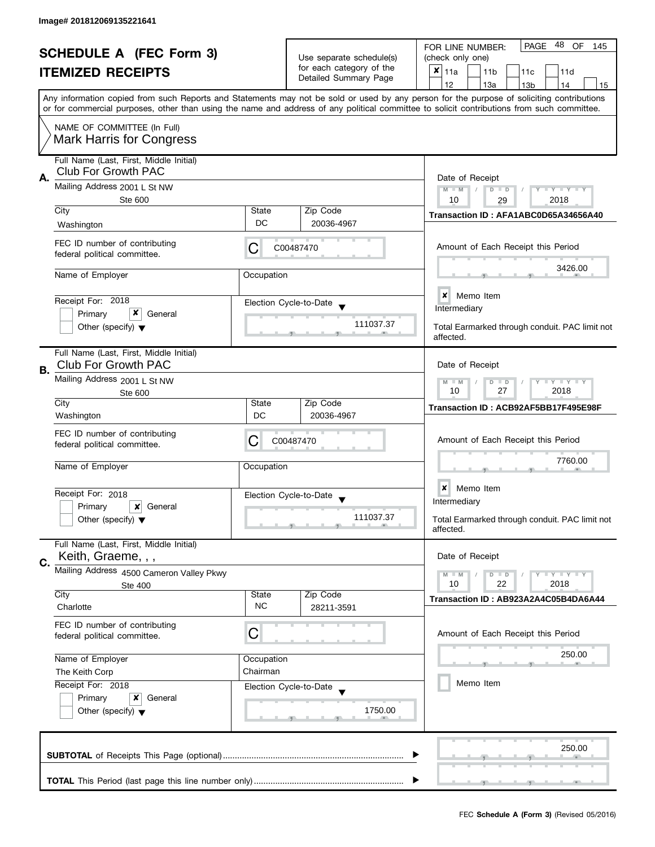|    | <b>SCHEDULE A (FEC Form 3)</b>                                        |                                                                   | Use separate schedule(s)                          | - 48<br>PAGE<br>OF<br>FOR LINE NUMBER:<br>145<br>(check only one)                                                                                                                                                                                                                                                                   |
|----|-----------------------------------------------------------------------|-------------------------------------------------------------------|---------------------------------------------------|-------------------------------------------------------------------------------------------------------------------------------------------------------------------------------------------------------------------------------------------------------------------------------------------------------------------------------------|
|    | <b>ITEMIZED RECEIPTS</b>                                              |                                                                   | for each category of the<br>Detailed Summary Page | X<br>11a<br>11 <sub>b</sub><br>11c<br>11d                                                                                                                                                                                                                                                                                           |
|    |                                                                       |                                                                   |                                                   | 12<br>13a<br>14<br>13 <sub>b</sub><br>15<br>Any information copied from such Reports and Statements may not be sold or used by any person for the purpose of soliciting contributions<br>or for commercial purposes, other than using the name and address of any political committee to solicit contributions from such committee. |
|    | NAME OF COMMITTEE (In Full)<br><b>Mark Harris for Congress</b>        |                                                                   |                                                   |                                                                                                                                                                                                                                                                                                                                     |
| А. | Full Name (Last, First, Middle Initial)<br>Club For Growth PAC        |                                                                   |                                                   | Date of Receipt                                                                                                                                                                                                                                                                                                                     |
|    | Mailing Address 2001 L St NW<br>Ste 600                               | $T - Y = Y - T Y$<br>$M - M$<br>$D$ $D$<br>10<br>2018<br>29       |                                                   |                                                                                                                                                                                                                                                                                                                                     |
|    | City<br>Washington                                                    | State<br>DC                                                       | Zip Code<br>20036-4967                            | Transaction ID: AFA1ABC0D65A34656A40                                                                                                                                                                                                                                                                                                |
|    | FEC ID number of contributing<br>federal political committee.         | С                                                                 | C00487470                                         | Amount of Each Receipt this Period                                                                                                                                                                                                                                                                                                  |
|    | Name of Employer                                                      | Occupation                                                        |                                                   | 3426.00                                                                                                                                                                                                                                                                                                                             |
|    | Receipt For: 2018<br>x<br>Primary<br>General                          |                                                                   | Election Cycle-to-Date                            | <b>x</b> Memo Item<br>Intermediary                                                                                                                                                                                                                                                                                                  |
|    | Other (specify) $\blacktriangledown$                                  |                                                                   | 111037.37                                         | Total Earmarked through conduit. PAC limit not<br>affected.                                                                                                                                                                                                                                                                         |
| В. | Full Name (Last, First, Middle Initial)<br><b>Club For Growth PAC</b> |                                                                   |                                                   | Date of Receipt                                                                                                                                                                                                                                                                                                                     |
|    | Mailing Address 2001 L St NW<br>Ste 600                               | $T$ $Y$ $T$ $Y$ $T$ $Y$<br>$D$ $D$<br>$M - M$<br>10<br>27<br>2018 |                                                   |                                                                                                                                                                                                                                                                                                                                     |
|    | City<br>Washington                                                    | State<br>DC                                                       | Zip Code<br>20036-4967                            | Transaction ID: ACB92AF5BB17F495E98F                                                                                                                                                                                                                                                                                                |
|    | FEC ID number of contributing<br>federal political committee.         | С                                                                 | C00487470                                         | Amount of Each Receipt this Period                                                                                                                                                                                                                                                                                                  |
|    | Name of Employer                                                      | Occupation                                                        |                                                   | 7760.00                                                                                                                                                                                                                                                                                                                             |
|    | Receipt For: 2018                                                     |                                                                   | Election Cycle-to-Date<br>$\overline{\mathbf{v}}$ | ×<br>Memo Item<br>Intermediary                                                                                                                                                                                                                                                                                                      |
|    | Primary<br>x<br>General<br>Other (specify) $\blacktriangledown$       |                                                                   | 111037.37                                         | Total Earmarked through conduit. PAC limit not<br>affected.                                                                                                                                                                                                                                                                         |
| C. | Full Name (Last, First, Middle Initial)<br>Keith, Graeme, , ,         |                                                                   |                                                   | Date of Receipt                                                                                                                                                                                                                                                                                                                     |
|    | Mailing Address 4500 Cameron Valley Pkwy                              |                                                                   |                                                   | $T - Y = T - Y$<br>$D$ $D$<br>$M - M$<br>10<br>22<br>2018                                                                                                                                                                                                                                                                           |
|    | Ste 400<br>City<br>Charlotte                                          | <b>State</b><br><b>NC</b>                                         | Zip Code<br>28211-3591                            | Transaction ID: AB923A2A4C05B4DA6A44                                                                                                                                                                                                                                                                                                |
|    | FEC ID number of contributing<br>federal political committee.         | С                                                                 |                                                   | Amount of Each Receipt this Period                                                                                                                                                                                                                                                                                                  |
|    | Name of Employer                                                      | Occupation                                                        |                                                   | 250.00                                                                                                                                                                                                                                                                                                                              |
|    | The Keith Corp<br>Receipt For: 2018                                   | Chairman                                                          |                                                   | Memo Item                                                                                                                                                                                                                                                                                                                           |
|    | Primary<br>x<br>General<br>Other (specify) $\blacktriangledown$       |                                                                   | Election Cycle-to-Date<br>1750.00                 |                                                                                                                                                                                                                                                                                                                                     |
|    |                                                                       |                                                                   |                                                   | 250.00                                                                                                                                                                                                                                                                                                                              |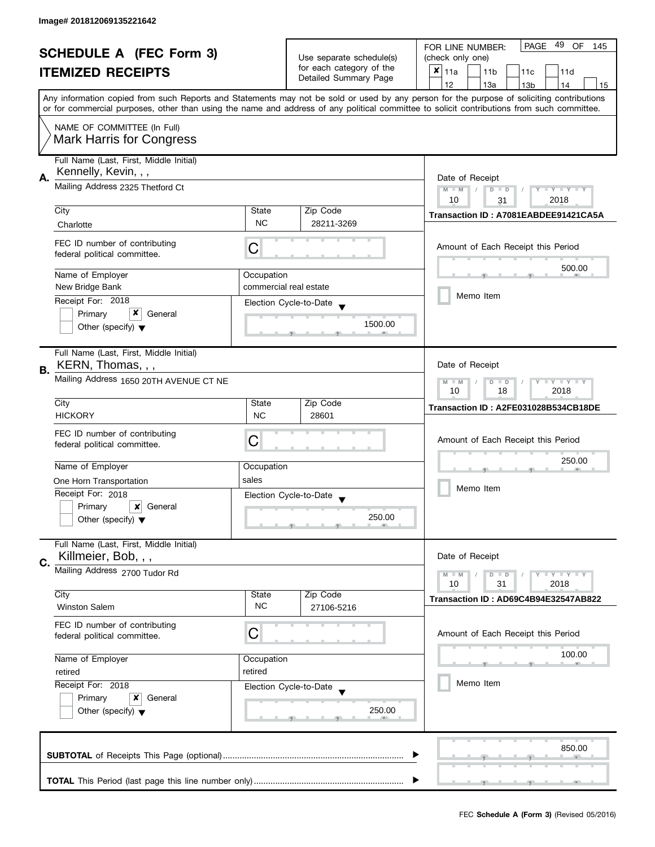| <b>SCHEDULE A (FEC Form 3)</b> |                                                                | Use separate schedule(s)             | 49<br>PAGE<br>OF<br>FOR LINE NUMBER:<br>145 |                                                                                                                                                                                                                                                                                         |  |  |
|--------------------------------|----------------------------------------------------------------|--------------------------------------|---------------------------------------------|-----------------------------------------------------------------------------------------------------------------------------------------------------------------------------------------------------------------------------------------------------------------------------------------|--|--|
|                                |                                                                |                                      | (check only one)                            |                                                                                                                                                                                                                                                                                         |  |  |
|                                | <b>ITEMIZED RECEIPTS</b>                                       |                                      | for each category of the                    | $x _{11a}$<br>11 <sub>b</sub><br>11c<br>11d                                                                                                                                                                                                                                             |  |  |
|                                |                                                                |                                      | Detailed Summary Page                       | 12<br>13a<br>14<br>13 <sub>b</sub><br>15                                                                                                                                                                                                                                                |  |  |
|                                |                                                                |                                      |                                             | Any information copied from such Reports and Statements may not be sold or used by any person for the purpose of soliciting contributions<br>or for commercial purposes, other than using the name and address of any political committee to solicit contributions from such committee. |  |  |
|                                |                                                                |                                      |                                             |                                                                                                                                                                                                                                                                                         |  |  |
|                                | NAME OF COMMITTEE (In Full)<br><b>Mark Harris for Congress</b> |                                      |                                             |                                                                                                                                                                                                                                                                                         |  |  |
|                                | Full Name (Last, First, Middle Initial)                        |                                      |                                             |                                                                                                                                                                                                                                                                                         |  |  |
|                                | Kennelly, Kevin, , ,                                           |                                      |                                             | Date of Receipt                                                                                                                                                                                                                                                                         |  |  |
| А.                             | Mailing Address 2325 Thetford Ct                               |                                      |                                             |                                                                                                                                                                                                                                                                                         |  |  |
|                                |                                                                |                                      |                                             | 2018<br>10<br>31                                                                                                                                                                                                                                                                        |  |  |
|                                | City                                                           | State                                | Zip Code                                    | Transaction ID: A7081EABDEE91421CA5A                                                                                                                                                                                                                                                    |  |  |
|                                | Charlotte                                                      | <b>NC</b>                            | 28211-3269                                  |                                                                                                                                                                                                                                                                                         |  |  |
|                                | FEC ID number of contributing<br>federal political committee.  | С                                    |                                             | Amount of Each Receipt this Period                                                                                                                                                                                                                                                      |  |  |
|                                |                                                                |                                      |                                             | 500.00                                                                                                                                                                                                                                                                                  |  |  |
|                                | Name of Employer<br>New Bridge Bank                            | Occupation<br>commercial real estate |                                             |                                                                                                                                                                                                                                                                                         |  |  |
|                                |                                                                |                                      |                                             | Memo Item                                                                                                                                                                                                                                                                               |  |  |
|                                | Receipt For: 2018                                              |                                      | Election Cycle-to-Date                      |                                                                                                                                                                                                                                                                                         |  |  |
|                                | x<br>Primary<br>General                                        |                                      | 1500.00                                     |                                                                                                                                                                                                                                                                                         |  |  |
|                                | Other (specify) $\blacktriangledown$                           |                                      |                                             |                                                                                                                                                                                                                                                                                         |  |  |
|                                | Full Name (Last, First, Middle Initial)                        |                                      |                                             |                                                                                                                                                                                                                                                                                         |  |  |
|                                | KERN, Thomas, , ,                                              |                                      |                                             | Date of Receipt                                                                                                                                                                                                                                                                         |  |  |
| В.                             | Mailing Address 1650 20TH AVENUE CT NE                         |                                      |                                             | <b>LYLYLY</b><br>$M - M$<br>$D$ $D$                                                                                                                                                                                                                                                     |  |  |
|                                |                                                                | 2018<br>10<br>18                     |                                             |                                                                                                                                                                                                                                                                                         |  |  |
|                                | City                                                           | State                                | Zip Code                                    | Transaction ID: A2FE031028B534CB18DE                                                                                                                                                                                                                                                    |  |  |
|                                | <b>HICKORY</b>                                                 | <b>NC</b>                            | 28601                                       |                                                                                                                                                                                                                                                                                         |  |  |
|                                |                                                                |                                      |                                             |                                                                                                                                                                                                                                                                                         |  |  |
|                                | FEC ID number of contributing<br>federal political committee.  | C                                    |                                             | Amount of Each Receipt this Period                                                                                                                                                                                                                                                      |  |  |
|                                |                                                                |                                      |                                             |                                                                                                                                                                                                                                                                                         |  |  |
|                                | Name of Employer                                               | Occupation                           |                                             | 250.00                                                                                                                                                                                                                                                                                  |  |  |
|                                | One Horn Transportation                                        | sales                                |                                             |                                                                                                                                                                                                                                                                                         |  |  |
|                                | Receipt For: 2018                                              |                                      |                                             | Memo Item                                                                                                                                                                                                                                                                               |  |  |
|                                | Primary<br>×<br>General                                        |                                      | Election Cycle-to-Date                      |                                                                                                                                                                                                                                                                                         |  |  |
|                                | Other (specify) $\blacktriangledown$                           |                                      | 250.00                                      |                                                                                                                                                                                                                                                                                         |  |  |
|                                |                                                                |                                      |                                             |                                                                                                                                                                                                                                                                                         |  |  |
|                                | Full Name (Last, First, Middle Initial)                        |                                      |                                             |                                                                                                                                                                                                                                                                                         |  |  |
| C.                             | Killmeier, Bob, , ,                                            |                                      |                                             | Date of Receipt                                                                                                                                                                                                                                                                         |  |  |
|                                | Mailing Address 2700 Tudor Rd                                  |                                      |                                             | <b>LYLYLY</b><br>$M - M$<br>$D$ $D$                                                                                                                                                                                                                                                     |  |  |
|                                |                                                                |                                      |                                             | 10<br>31<br>2018                                                                                                                                                                                                                                                                        |  |  |
|                                | City                                                           | State                                | Zip Code                                    | Transaction ID: AD69C4B94E32547AB822                                                                                                                                                                                                                                                    |  |  |
|                                | <b>Winston Salem</b>                                           | <b>NC</b>                            | 27106-5216                                  |                                                                                                                                                                                                                                                                                         |  |  |
|                                | FEC ID number of contributing                                  |                                      |                                             |                                                                                                                                                                                                                                                                                         |  |  |
|                                | federal political committee.                                   | С                                    |                                             | Amount of Each Receipt this Period                                                                                                                                                                                                                                                      |  |  |
|                                |                                                                |                                      |                                             | 100.00                                                                                                                                                                                                                                                                                  |  |  |
|                                | Name of Employer                                               | Occupation                           |                                             |                                                                                                                                                                                                                                                                                         |  |  |
|                                | retired                                                        | retired                              |                                             | Memo Item                                                                                                                                                                                                                                                                               |  |  |
|                                | Receipt For: 2018                                              |                                      | Election Cycle-to-Date                      |                                                                                                                                                                                                                                                                                         |  |  |
|                                | Primary<br>x<br>General                                        |                                      |                                             |                                                                                                                                                                                                                                                                                         |  |  |
|                                | Other (specify) $\blacktriangledown$                           |                                      | 250.00                                      |                                                                                                                                                                                                                                                                                         |  |  |
|                                |                                                                |                                      |                                             |                                                                                                                                                                                                                                                                                         |  |  |
|                                |                                                                |                                      |                                             | 850.00                                                                                                                                                                                                                                                                                  |  |  |
|                                |                                                                |                                      |                                             |                                                                                                                                                                                                                                                                                         |  |  |
|                                |                                                                |                                      |                                             |                                                                                                                                                                                                                                                                                         |  |  |
|                                |                                                                |                                      |                                             |                                                                                                                                                                                                                                                                                         |  |  |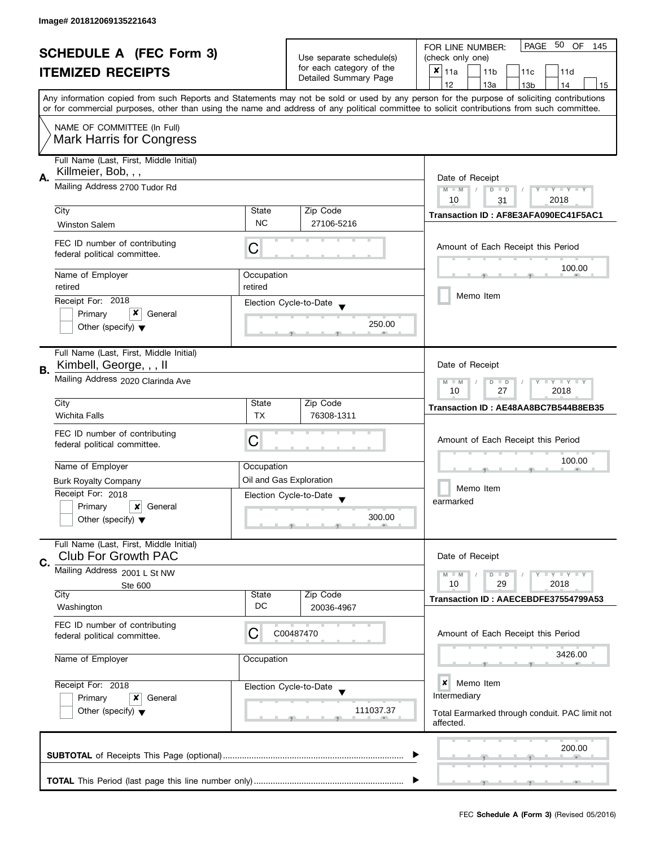| <b>SCHEDULE A (FEC Form 3)</b> |                                                                        |                                                                   | PAGE 50 OF<br>FOR LINE NUMBER:<br>145              |                                                                                                                                                                                                                                                                                         |  |
|--------------------------------|------------------------------------------------------------------------|-------------------------------------------------------------------|----------------------------------------------------|-----------------------------------------------------------------------------------------------------------------------------------------------------------------------------------------------------------------------------------------------------------------------------------------|--|
|                                |                                                                        |                                                                   | Use separate schedule(s)                           | (check only one)                                                                                                                                                                                                                                                                        |  |
|                                | <b>ITEMIZED RECEIPTS</b>                                               |                                                                   | for each category of the<br>Detailed Summary Page  | $x _{11a}$<br>11 <sub>b</sub><br>11c<br>11d                                                                                                                                                                                                                                             |  |
|                                |                                                                        |                                                                   |                                                    | 12<br>13a<br>13 <sub>b</sub><br>14<br>15                                                                                                                                                                                                                                                |  |
|                                |                                                                        |                                                                   |                                                    | Any information copied from such Reports and Statements may not be sold or used by any person for the purpose of soliciting contributions<br>or for commercial purposes, other than using the name and address of any political committee to solicit contributions from such committee. |  |
|                                | NAME OF COMMITTEE (In Full)<br><b>Mark Harris for Congress</b>         |                                                                   |                                                    |                                                                                                                                                                                                                                                                                         |  |
|                                | Full Name (Last, First, Middle Initial)                                |                                                                   |                                                    |                                                                                                                                                                                                                                                                                         |  |
| Α.                             | Killmeier, Bob, , ,                                                    | Date of Receipt                                                   |                                                    |                                                                                                                                                                                                                                                                                         |  |
|                                | Mailing Address 2700 Tudor Rd                                          |                                                                   |                                                    | Y TY TY TY<br>$M - M$<br>$D$ $D$<br>2018<br>10<br>31                                                                                                                                                                                                                                    |  |
|                                | City                                                                   | State                                                             | Zip Code                                           | Transaction ID: AF8E3AFA090EC41F5AC1                                                                                                                                                                                                                                                    |  |
|                                | <b>Winston Salem</b>                                                   | <b>NC</b>                                                         | 27106-5216                                         |                                                                                                                                                                                                                                                                                         |  |
|                                | FEC ID number of contributing<br>federal political committee.          | С                                                                 |                                                    | Amount of Each Receipt this Period                                                                                                                                                                                                                                                      |  |
|                                | Name of Employer                                                       | Occupation                                                        |                                                    | 100.00                                                                                                                                                                                                                                                                                  |  |
|                                | retired                                                                | retired                                                           |                                                    |                                                                                                                                                                                                                                                                                         |  |
|                                | Receipt For: 2018                                                      |                                                                   | Election Cycle-to-Date                             | Memo Item                                                                                                                                                                                                                                                                               |  |
|                                | x<br>Primary<br>General                                                |                                                                   |                                                    |                                                                                                                                                                                                                                                                                         |  |
|                                | Other (specify) $\blacktriangledown$                                   |                                                                   | 250.00                                             |                                                                                                                                                                                                                                                                                         |  |
| В.                             | Full Name (Last, First, Middle Initial)<br>Kimbell, George, , , II     |                                                                   |                                                    | Date of Receipt                                                                                                                                                                                                                                                                         |  |
|                                | Mailing Address 2020 Clarinda Ave                                      | $Y = Y + Y$<br>$M - M$<br>D<br>$\blacksquare$<br>10<br>27<br>2018 |                                                    |                                                                                                                                                                                                                                                                                         |  |
|                                | City                                                                   | State                                                             | Zip Code                                           | Transaction ID: AE48AA8BC7B544B8EB35                                                                                                                                                                                                                                                    |  |
|                                | <b>Wichita Falls</b>                                                   | <b>TX</b>                                                         | 76308-1311                                         |                                                                                                                                                                                                                                                                                         |  |
|                                | FEC ID number of contributing<br>federal political committee.          | С                                                                 |                                                    | Amount of Each Receipt this Period                                                                                                                                                                                                                                                      |  |
|                                |                                                                        |                                                                   |                                                    | 100.00                                                                                                                                                                                                                                                                                  |  |
|                                | Name of Employer                                                       | Occupation                                                        |                                                    |                                                                                                                                                                                                                                                                                         |  |
|                                | <b>Burk Royalty Company</b>                                            |                                                                   | Oil and Gas Exploration                            | Memo Item                                                                                                                                                                                                                                                                               |  |
|                                | Receipt For: 2018                                                      |                                                                   | Election Cycle-to-Date<br>$\overline{\phantom{a}}$ | earmarked                                                                                                                                                                                                                                                                               |  |
|                                | Primary<br>x<br>General                                                |                                                                   |                                                    |                                                                                                                                                                                                                                                                                         |  |
|                                | Other (specify) $\blacktriangledown$                                   |                                                                   | 300.00                                             |                                                                                                                                                                                                                                                                                         |  |
| C.                             | Full Name (Last, First, Middle Initial)<br><b>Club For Growth PAC</b>  |                                                                   |                                                    | Date of Receipt                                                                                                                                                                                                                                                                         |  |
|                                | Mailing Address 2001 L St NW                                           |                                                                   |                                                    | $T - Y = T - Y$<br>$M - M$<br>$D$ $D$                                                                                                                                                                                                                                                   |  |
|                                | <b>Ste 600</b>                                                         |                                                                   |                                                    | 10<br>29<br>2018                                                                                                                                                                                                                                                                        |  |
|                                | City<br>Washington                                                     | State<br>DC                                                       | Zip Code<br>20036-4967                             | Transaction ID: AAECEBDFE37554799A53                                                                                                                                                                                                                                                    |  |
|                                | FEC ID number of contributing<br>federal political committee.          | С                                                                 | C00487470                                          | Amount of Each Receipt this Period                                                                                                                                                                                                                                                      |  |
|                                | Name of Employer                                                       | Occupation                                                        |                                                    | 3426.00                                                                                                                                                                                                                                                                                 |  |
|                                | Receipt For: 2018<br>Election Cycle-to-Date<br>Primary<br>x<br>General |                                                                   |                                                    | ×<br>Memo Item<br>Intermediary                                                                                                                                                                                                                                                          |  |
|                                | Other (specify) $\blacktriangledown$                                   |                                                                   | 111037.37                                          | Total Earmarked through conduit. PAC limit not<br>affected.                                                                                                                                                                                                                             |  |
|                                |                                                                        |                                                                   |                                                    | 200.00                                                                                                                                                                                                                                                                                  |  |
|                                |                                                                        |                                                                   |                                                    |                                                                                                                                                                                                                                                                                         |  |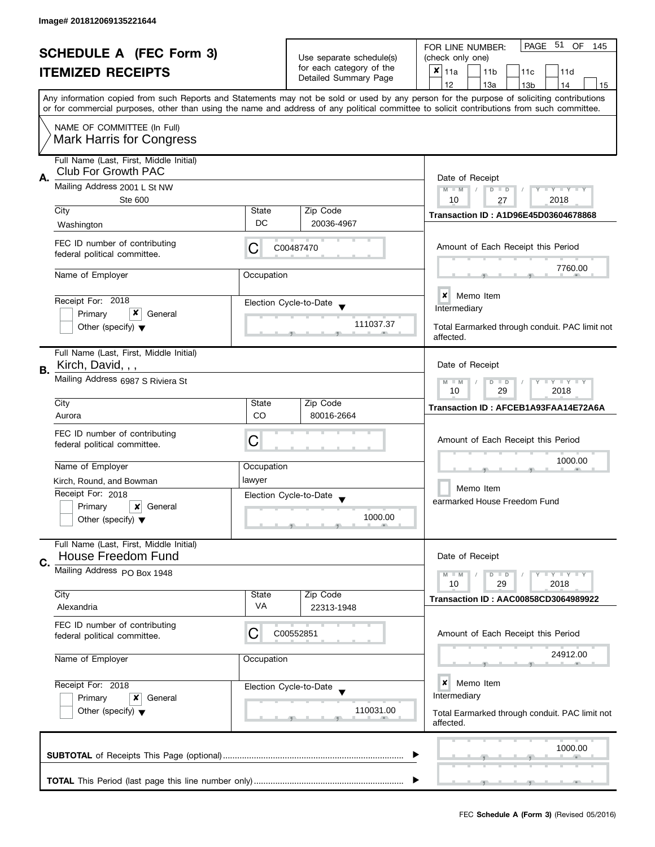| <b>SCHEDULE A (FEC Form 3)</b> |                                                                       |                                                                                  | PAGE 51 OF<br>FOR LINE NUMBER:<br>145             |                                                                                                                                                                                                                                                                                         |
|--------------------------------|-----------------------------------------------------------------------|----------------------------------------------------------------------------------|---------------------------------------------------|-----------------------------------------------------------------------------------------------------------------------------------------------------------------------------------------------------------------------------------------------------------------------------------------|
|                                |                                                                       |                                                                                  | Use separate schedule(s)                          | (check only one)                                                                                                                                                                                                                                                                        |
|                                | <b>ITEMIZED RECEIPTS</b>                                              |                                                                                  | for each category of the                          | ×<br>11a<br>11 <sub>b</sub><br>11c<br>11d                                                                                                                                                                                                                                               |
|                                |                                                                       |                                                                                  | Detailed Summary Page                             | 12<br>13a<br>13 <sub>b</sub><br>14<br>15                                                                                                                                                                                                                                                |
|                                |                                                                       |                                                                                  |                                                   | Any information copied from such Reports and Statements may not be sold or used by any person for the purpose of soliciting contributions<br>or for commercial purposes, other than using the name and address of any political committee to solicit contributions from such committee. |
|                                | NAME OF COMMITTEE (In Full)<br><b>Mark Harris for Congress</b>        |                                                                                  |                                                   |                                                                                                                                                                                                                                                                                         |
|                                | Full Name (Last, First, Middle Initial)<br><b>Club For Growth PAC</b> |                                                                                  |                                                   |                                                                                                                                                                                                                                                                                         |
| А.                             | Mailing Address 2001 L St NW<br>Ste 600                               | Date of Receipt<br>$M - M$<br>$Y - Y - Y - Y - Y$<br>$D$ $D$<br>2018<br>10<br>27 |                                                   |                                                                                                                                                                                                                                                                                         |
|                                | City                                                                  | State                                                                            | Zip Code                                          | <b>Transaction ID: A1D96E45D03604678868</b>                                                                                                                                                                                                                                             |
|                                | Washington                                                            | DC                                                                               | 20036-4967                                        |                                                                                                                                                                                                                                                                                         |
|                                | FEC ID number of contributing<br>federal political committee.         | С                                                                                | C00487470                                         | Amount of Each Receipt this Period                                                                                                                                                                                                                                                      |
|                                | Name of Employer                                                      | Occupation                                                                       |                                                   | 7760.00                                                                                                                                                                                                                                                                                 |
|                                | Receipt For: 2018                                                     |                                                                                  | Election Cycle-to-Date                            | $\boldsymbol{x}$<br>Memo Item                                                                                                                                                                                                                                                           |
|                                | x<br>Primary<br>General                                               |                                                                                  |                                                   | Intermediary                                                                                                                                                                                                                                                                            |
|                                | Other (specify) $\blacktriangledown$                                  |                                                                                  | 111037.37                                         | Total Earmarked through conduit. PAC limit not<br>affected.                                                                                                                                                                                                                             |
|                                | Full Name (Last, First, Middle Initial)                               |                                                                                  |                                                   |                                                                                                                                                                                                                                                                                         |
| В.                             | Kirch, David, , ,                                                     |                                                                                  |                                                   | Date of Receipt                                                                                                                                                                                                                                                                         |
|                                | Mailing Address 6987 S Riviera St                                     |                                                                                  |                                                   | $T - Y = T - Y$<br>$M - M$<br>$D$ $D$<br>2018<br>10<br>29                                                                                                                                                                                                                               |
|                                | City                                                                  | State                                                                            | Zip Code                                          | Transaction ID: AFCEB1A93FAA14E72A6A                                                                                                                                                                                                                                                    |
|                                | Aurora                                                                | CO                                                                               | 80016-2664                                        |                                                                                                                                                                                                                                                                                         |
|                                | FEC ID number of contributing<br>federal political committee.         | С                                                                                |                                                   | Amount of Each Receipt this Period                                                                                                                                                                                                                                                      |
|                                | Name of Employer                                                      | Occupation                                                                       |                                                   | 1000.00                                                                                                                                                                                                                                                                                 |
|                                | Kirch, Round, and Bowman                                              | lawyer                                                                           |                                                   |                                                                                                                                                                                                                                                                                         |
|                                | Receipt For: 2018                                                     |                                                                                  |                                                   | Memo Item                                                                                                                                                                                                                                                                               |
|                                | Primary<br>×<br>General                                               |                                                                                  | Election Cycle-to-Date<br>$\overline{\mathbf{v}}$ | earmarked House Freedom Fund                                                                                                                                                                                                                                                            |
|                                | Other (specify) $\blacktriangledown$                                  |                                                                                  | 1000.00                                           |                                                                                                                                                                                                                                                                                         |
| C.                             | Full Name (Last, First, Middle Initial)<br>House Freedom Fund         |                                                                                  |                                                   | Date of Receipt                                                                                                                                                                                                                                                                         |
|                                | Mailing Address PO Box 1948                                           |                                                                                  |                                                   | $Y = Y = Y$<br>$M - M$<br>$D$ $D$<br>10<br>29<br>2018                                                                                                                                                                                                                                   |
|                                | City                                                                  | State                                                                            | Zip Code                                          | Transaction ID: AAC00858CD3064989922                                                                                                                                                                                                                                                    |
|                                | Alexandria                                                            | <b>VA</b>                                                                        | 22313-1948                                        |                                                                                                                                                                                                                                                                                         |
|                                | FEC ID number of contributing<br>federal political committee.         | C                                                                                | C00552851                                         | Amount of Each Receipt this Period                                                                                                                                                                                                                                                      |
|                                | Name of Employer                                                      | Occupation                                                                       |                                                   | 24912.00                                                                                                                                                                                                                                                                                |
|                                | Receipt For: 2018<br>Primary<br>x<br>General                          |                                                                                  | Election Cycle-to-Date                            | ×<br>Memo Item<br>Intermediary                                                                                                                                                                                                                                                          |
|                                | Other (specify) $\blacktriangledown$                                  |                                                                                  | 110031.00                                         | Total Earmarked through conduit. PAC limit not<br>affected.                                                                                                                                                                                                                             |
|                                |                                                                       |                                                                                  |                                                   | 1000.00                                                                                                                                                                                                                                                                                 |
|                                |                                                                       |                                                                                  |                                                   |                                                                                                                                                                                                                                                                                         |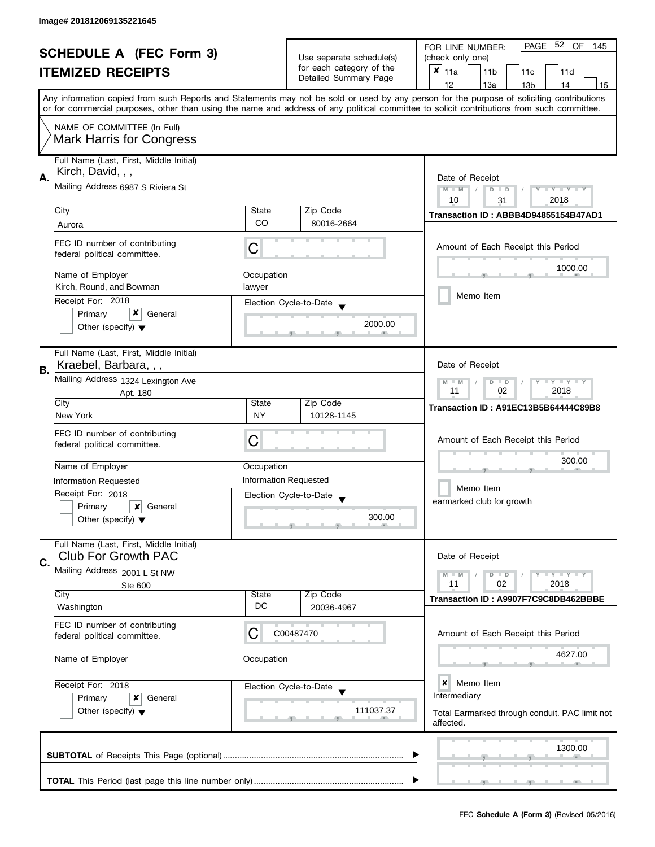| <b>SCHEDULE A (FEC Form 3)</b> |                                                                       |                                                                         | PAGE 52 OF<br>FOR LINE NUMBER:<br>145             |                                                                                                                                                                                                                                                                                         |  |
|--------------------------------|-----------------------------------------------------------------------|-------------------------------------------------------------------------|---------------------------------------------------|-----------------------------------------------------------------------------------------------------------------------------------------------------------------------------------------------------------------------------------------------------------------------------------------|--|
|                                |                                                                       |                                                                         | Use separate schedule(s)                          | (check only one)                                                                                                                                                                                                                                                                        |  |
|                                | <b>ITEMIZED RECEIPTS</b>                                              |                                                                         | for each category of the<br>Detailed Summary Page | ×<br>11a<br>11 <sub>b</sub><br>11c<br>11d                                                                                                                                                                                                                                               |  |
|                                |                                                                       |                                                                         |                                                   | 12<br>13a<br>13 <sub>b</sub><br>14<br>15                                                                                                                                                                                                                                                |  |
|                                |                                                                       |                                                                         |                                                   | Any information copied from such Reports and Statements may not be sold or used by any person for the purpose of soliciting contributions<br>or for commercial purposes, other than using the name and address of any political committee to solicit contributions from such committee. |  |
|                                | NAME OF COMMITTEE (In Full)<br><b>Mark Harris for Congress</b>        |                                                                         |                                                   |                                                                                                                                                                                                                                                                                         |  |
|                                |                                                                       |                                                                         |                                                   |                                                                                                                                                                                                                                                                                         |  |
|                                | Full Name (Last, First, Middle Initial)<br>Kirch, David, , ,          |                                                                         |                                                   |                                                                                                                                                                                                                                                                                         |  |
| А.                             | Mailing Address 6987 S Riviera St                                     | Date of Receipt<br>Y TY TY TY<br>$M - M$<br>$D$ $D$<br>2018<br>10<br>31 |                                                   |                                                                                                                                                                                                                                                                                         |  |
|                                | City                                                                  | State                                                                   | Zip Code                                          |                                                                                                                                                                                                                                                                                         |  |
|                                | Aurora                                                                | CO                                                                      | 80016-2664                                        | Transaction ID: ABBB4D94855154B47AD1                                                                                                                                                                                                                                                    |  |
|                                |                                                                       |                                                                         |                                                   |                                                                                                                                                                                                                                                                                         |  |
|                                | FEC ID number of contributing<br>federal political committee.         | С                                                                       |                                                   | Amount of Each Receipt this Period                                                                                                                                                                                                                                                      |  |
|                                | Name of Employer                                                      | Occupation                                                              |                                                   | 1000.00                                                                                                                                                                                                                                                                                 |  |
|                                | Kirch, Round, and Bowman                                              | lawyer                                                                  |                                                   |                                                                                                                                                                                                                                                                                         |  |
|                                | Receipt For: 2018                                                     |                                                                         | Election Cycle-to-Date                            | Memo Item                                                                                                                                                                                                                                                                               |  |
|                                | x<br>Primary<br>General                                               |                                                                         |                                                   |                                                                                                                                                                                                                                                                                         |  |
|                                | Other (specify) $\blacktriangledown$                                  |                                                                         | 2000.00                                           |                                                                                                                                                                                                                                                                                         |  |
|                                | Full Name (Last, First, Middle Initial)                               |                                                                         |                                                   |                                                                                                                                                                                                                                                                                         |  |
|                                | Kraebel, Barbara, , ,                                                 |                                                                         |                                                   | Date of Receipt                                                                                                                                                                                                                                                                         |  |
| В.                             |                                                                       |                                                                         |                                                   |                                                                                                                                                                                                                                                                                         |  |
|                                | Mailing Address 1324 Lexington Ave                                    | $Y = Y + Y$<br>$M - M$<br>D<br>$\Box$<br>02<br>2018<br>11               |                                                   |                                                                                                                                                                                                                                                                                         |  |
|                                | Apt. 180<br>City                                                      | State                                                                   | Zip Code                                          |                                                                                                                                                                                                                                                                                         |  |
|                                | New York                                                              | <b>NY</b>                                                               | 10128-1145                                        | Transaction ID: A91EC13B5B64444C89B8                                                                                                                                                                                                                                                    |  |
|                                |                                                                       |                                                                         |                                                   |                                                                                                                                                                                                                                                                                         |  |
|                                | FEC ID number of contributing                                         | С                                                                       |                                                   | Amount of Each Receipt this Period                                                                                                                                                                                                                                                      |  |
|                                | federal political committee.                                          |                                                                         |                                                   |                                                                                                                                                                                                                                                                                         |  |
|                                | Name of Employer                                                      | Occupation                                                              |                                                   | 300.00                                                                                                                                                                                                                                                                                  |  |
|                                |                                                                       |                                                                         | <b>Information Requested</b>                      |                                                                                                                                                                                                                                                                                         |  |
|                                | <b>Information Requested</b><br>Receipt For: 2018                     |                                                                         |                                                   | Memo Item                                                                                                                                                                                                                                                                               |  |
|                                |                                                                       |                                                                         | Election Cycle-to-Date<br>$\blacktriangledown$    | earmarked club for growth                                                                                                                                                                                                                                                               |  |
|                                | Primary<br>×<br>General                                               |                                                                         | 300.00                                            |                                                                                                                                                                                                                                                                                         |  |
|                                | Other (specify) $\blacktriangledown$                                  |                                                                         |                                                   |                                                                                                                                                                                                                                                                                         |  |
| C.                             | Full Name (Last, First, Middle Initial)<br><b>Club For Growth PAC</b> |                                                                         |                                                   | Date of Receipt                                                                                                                                                                                                                                                                         |  |
|                                | Mailing Address 2001 L St NW                                          |                                                                         |                                                   | $Y = Y = Y$<br>$M - M$<br>$D$ $D$                                                                                                                                                                                                                                                       |  |
|                                | Ste 600                                                               |                                                                         |                                                   | 11<br>02<br>2018                                                                                                                                                                                                                                                                        |  |
|                                | City                                                                  | State                                                                   | Zip Code                                          | Transaction ID: A9907F7C9C8DB462BBBE                                                                                                                                                                                                                                                    |  |
|                                | Washington                                                            | DC                                                                      | 20036-4967                                        |                                                                                                                                                                                                                                                                                         |  |
|                                | FEC ID number of contributing                                         |                                                                         |                                                   |                                                                                                                                                                                                                                                                                         |  |
|                                | federal political committee.                                          | C                                                                       | C00487470                                         | Amount of Each Receipt this Period                                                                                                                                                                                                                                                      |  |
|                                |                                                                       |                                                                         |                                                   | 4627.00                                                                                                                                                                                                                                                                                 |  |
|                                | Name of Employer                                                      | Occupation                                                              |                                                   |                                                                                                                                                                                                                                                                                         |  |
|                                | Receipt For: 2018                                                     |                                                                         | Election Cycle-to-Date                            | ×<br>Memo Item                                                                                                                                                                                                                                                                          |  |
|                                | Primary<br>x<br>General                                               |                                                                         |                                                   | Intermediary                                                                                                                                                                                                                                                                            |  |
|                                | Other (specify) $\blacktriangledown$                                  |                                                                         | 111037.37                                         | Total Earmarked through conduit. PAC limit not                                                                                                                                                                                                                                          |  |
|                                |                                                                       |                                                                         |                                                   | affected.                                                                                                                                                                                                                                                                               |  |
|                                |                                                                       |                                                                         |                                                   |                                                                                                                                                                                                                                                                                         |  |
|                                |                                                                       |                                                                         |                                                   | 1300.00                                                                                                                                                                                                                                                                                 |  |
|                                |                                                                       |                                                                         |                                                   |                                                                                                                                                                                                                                                                                         |  |
|                                |                                                                       |                                                                         |                                                   |                                                                                                                                                                                                                                                                                         |  |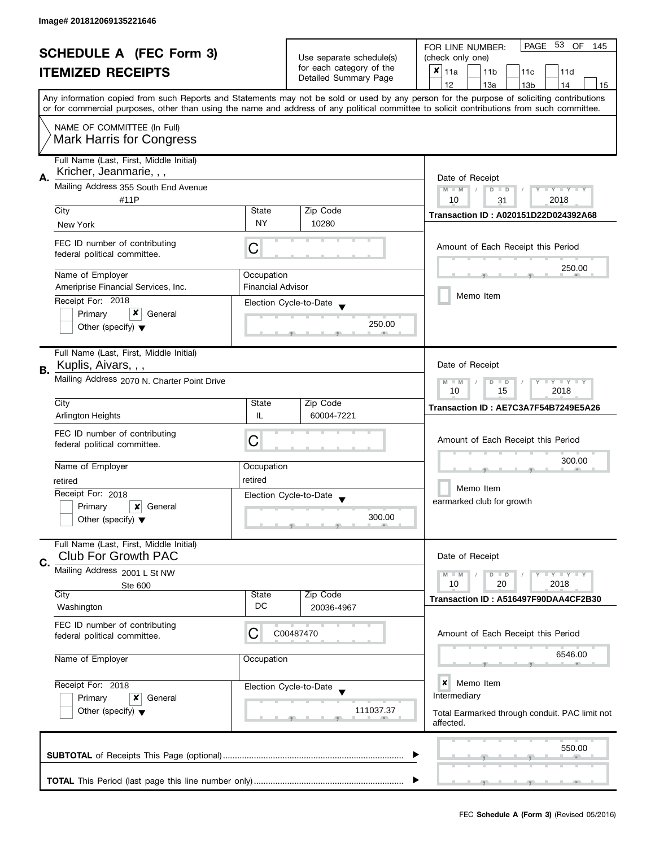| <b>SCHEDULE A (FEC Form 3)</b> |                                                                       |                                                                       |                                                      | PAGE<br>53<br>OF<br>FOR LINE NUMBER:<br>145                                                                                                                                                                       |  |  |
|--------------------------------|-----------------------------------------------------------------------|-----------------------------------------------------------------------|------------------------------------------------------|-------------------------------------------------------------------------------------------------------------------------------------------------------------------------------------------------------------------|--|--|
| <b>ITEMIZED RECEIPTS</b>       |                                                                       |                                                                       | Use separate schedule(s)<br>for each category of the | (check only one)<br>$x _{11a}$<br>11 <sub>b</sub>                                                                                                                                                                 |  |  |
|                                |                                                                       |                                                                       | Detailed Summary Page                                | 11c<br>11d<br>12<br>13a<br>14<br>13 <sub>b</sub><br>15                                                                                                                                                            |  |  |
|                                |                                                                       |                                                                       |                                                      | Any information copied from such Reports and Statements may not be sold or used by any person for the purpose of soliciting contributions                                                                         |  |  |
|                                |                                                                       |                                                                       |                                                      | or for commercial purposes, other than using the name and address of any political committee to solicit contributions from such committee.                                                                        |  |  |
|                                | NAME OF COMMITTEE (In Full)<br><b>Mark Harris for Congress</b>        |                                                                       |                                                      |                                                                                                                                                                                                                   |  |  |
| А.                             | Full Name (Last, First, Middle Initial)<br>Kricher, Jeanmarie, , ,    |                                                                       |                                                      | Date of Receipt                                                                                                                                                                                                   |  |  |
|                                | Mailing Address 355 South End Avenue<br>#11P                          |                                                                       |                                                      | $M - M$<br>$D$ $D$<br>$\frac{1}{2}$ $\frac{1}{2}$ $\frac{1}{2}$ $\frac{1}{2}$ $\frac{1}{2}$ $\frac{1}{2}$ $\frac{1}{2}$ $\frac{1}{2}$ $\frac{1}{2}$ $\frac{1}{2}$ $\frac{1}{2}$ $\frac{1}{2}$<br>10<br>2018<br>31 |  |  |
|                                | City                                                                  | State                                                                 | Zip Code                                             | Transaction ID: A020151D22D024392A68                                                                                                                                                                              |  |  |
|                                | New York                                                              | <b>NY</b>                                                             | 10280                                                |                                                                                                                                                                                                                   |  |  |
|                                | FEC ID number of contributing<br>federal political committee.         | C                                                                     |                                                      | Amount of Each Receipt this Period                                                                                                                                                                                |  |  |
|                                | Name of Employer                                                      | Occupation                                                            |                                                      | 250.00                                                                                                                                                                                                            |  |  |
|                                | Ameriprise Financial Services, Inc.                                   | <b>Financial Advisor</b>                                              |                                                      | Memo Item                                                                                                                                                                                                         |  |  |
|                                | Receipt For: 2018<br>x<br>Primary<br>General                          |                                                                       | Election Cycle-to-Date                               |                                                                                                                                                                                                                   |  |  |
|                                | Other (specify) $\blacktriangledown$                                  |                                                                       | 250.00                                               |                                                                                                                                                                                                                   |  |  |
| В.                             | Full Name (Last, First, Middle Initial)<br>Kuplis, Aivars, , ,        |                                                                       |                                                      | Date of Receipt                                                                                                                                                                                                   |  |  |
|                                | Mailing Address 2070 N. Charter Point Drive                           | $\bot$ Y $\bot$ Y $\bot$ Y<br>D<br>$\Box$<br>$-M$<br>15<br>2018<br>10 |                                                      |                                                                                                                                                                                                                   |  |  |
|                                | City                                                                  | State                                                                 | Zip Code                                             | Transaction ID: AE7C3A7F54B7249E5A26                                                                                                                                                                              |  |  |
|                                | <b>Arlington Heights</b>                                              | IL                                                                    | 60004-7221                                           |                                                                                                                                                                                                                   |  |  |
|                                | FEC ID number of contributing<br>federal political committee.         | Ĉ                                                                     |                                                      | Amount of Each Receipt this Period                                                                                                                                                                                |  |  |
|                                | Name of Employer                                                      | Occupation                                                            |                                                      | 300.00                                                                                                                                                                                                            |  |  |
|                                | retired                                                               | retired                                                               |                                                      | Memo Item                                                                                                                                                                                                         |  |  |
|                                | Receipt For: 2018<br>Primary<br>x<br>General                          |                                                                       | Election Cycle-to-Date                               | earmarked club for growth                                                                                                                                                                                         |  |  |
|                                | Other (specify) $\blacktriangledown$                                  |                                                                       | 300.00                                               |                                                                                                                                                                                                                   |  |  |
| C.                             | Full Name (Last, First, Middle Initial)<br><b>Club For Growth PAC</b> |                                                                       |                                                      | Date of Receipt                                                                                                                                                                                                   |  |  |
|                                | Mailing Address 2001 L St NW                                          |                                                                       |                                                      | $M - M$<br>$D$ $D$<br>$-\gamma + \gamma - \gamma$                                                                                                                                                                 |  |  |
|                                | Ste 600<br>City                                                       | State                                                                 | Zip Code                                             | 10<br>20<br>2018                                                                                                                                                                                                  |  |  |
|                                | Washington                                                            | DC                                                                    | 20036-4967                                           | Transaction ID: A516497F90DAA4CF2B30                                                                                                                                                                              |  |  |
|                                | FEC ID number of contributing<br>federal political committee.         | C                                                                     | C00487470                                            | Amount of Each Receipt this Period                                                                                                                                                                                |  |  |
|                                | Name of Employer                                                      | Occupation                                                            |                                                      | 6546.00                                                                                                                                                                                                           |  |  |
|                                | Receipt For: 2018                                                     |                                                                       | Election Cycle-to-Date                               | ×<br>Memo Item                                                                                                                                                                                                    |  |  |
|                                | Primary<br>x<br>General                                               |                                                                       |                                                      | Intermediary                                                                                                                                                                                                      |  |  |
|                                | Other (specify) $\blacktriangledown$                                  |                                                                       | 111037.37                                            | Total Earmarked through conduit. PAC limit not<br>affected.                                                                                                                                                       |  |  |
|                                |                                                                       |                                                                       |                                                      | 550.00                                                                                                                                                                                                            |  |  |
|                                |                                                                       |                                                                       |                                                      |                                                                                                                                                                                                                   |  |  |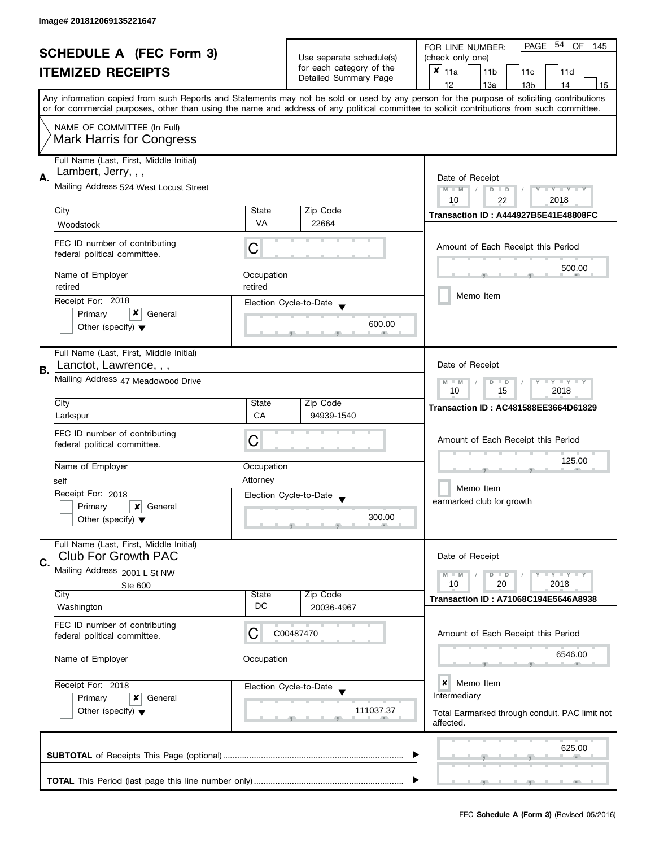| <b>SCHEDULE A (FEC Form 3)</b><br><b>ITEMIZED RECEIPTS</b> |                                                                       |                                                           | Use separate schedule(s)<br>for each category of the<br>Detailed Summary Page | PAGE 54 OF<br>FOR LINE NUMBER:<br>145<br>(check only one)<br>X<br>11a<br>11 <sub>b</sub><br>11c<br>11d                                                                                                                                                                                  |
|------------------------------------------------------------|-----------------------------------------------------------------------|-----------------------------------------------------------|-------------------------------------------------------------------------------|-----------------------------------------------------------------------------------------------------------------------------------------------------------------------------------------------------------------------------------------------------------------------------------------|
|                                                            |                                                                       |                                                           |                                                                               | 12<br>13a<br>13 <sub>b</sub><br>14<br>15                                                                                                                                                                                                                                                |
|                                                            |                                                                       |                                                           |                                                                               | Any information copied from such Reports and Statements may not be sold or used by any person for the purpose of soliciting contributions<br>or for commercial purposes, other than using the name and address of any political committee to solicit contributions from such committee. |
|                                                            | NAME OF COMMITTEE (In Full)<br><b>Mark Harris for Congress</b>        |                                                           |                                                                               |                                                                                                                                                                                                                                                                                         |
| А.                                                         | Full Name (Last, First, Middle Initial)<br>Lambert, Jerry, , ,        |                                                           |                                                                               | Date of Receipt                                                                                                                                                                                                                                                                         |
|                                                            | Mailing Address 524 West Locust Street                                | $M - M$<br>Y I Y I Y I Y<br>$D$ $D$<br>2018<br>10         |                                                                               |                                                                                                                                                                                                                                                                                         |
|                                                            | City                                                                  | State                                                     | Zip Code                                                                      | 22<br>Transaction ID: A444927B5E41E48808FC                                                                                                                                                                                                                                              |
|                                                            | Woodstock                                                             | VA                                                        | 22664                                                                         |                                                                                                                                                                                                                                                                                         |
|                                                            | FEC ID number of contributing<br>federal political committee.         | C                                                         |                                                                               | Amount of Each Receipt this Period                                                                                                                                                                                                                                                      |
|                                                            | Name of Employer                                                      | Occupation                                                |                                                                               | 500.00                                                                                                                                                                                                                                                                                  |
|                                                            | retired                                                               | retired                                                   |                                                                               | Memo Item                                                                                                                                                                                                                                                                               |
|                                                            | Receipt For: 2018<br>Primary<br>General                               |                                                           | Election Cycle-to-Date                                                        |                                                                                                                                                                                                                                                                                         |
|                                                            | Other (specify) $\blacktriangledown$                                  |                                                           | 600.00                                                                        |                                                                                                                                                                                                                                                                                         |
| В.                                                         | Full Name (Last, First, Middle Initial)<br>Lanctot, Lawrence, , ,     |                                                           |                                                                               | Date of Receipt                                                                                                                                                                                                                                                                         |
|                                                            | Mailing Address 47 Meadowood Drive                                    | $T - Y = T - Y$<br>$M - M$<br>$D$ $D$<br>10<br>15<br>2018 |                                                                               |                                                                                                                                                                                                                                                                                         |
|                                                            | City                                                                  | State                                                     | Zip Code                                                                      | <b>Transaction ID: AC481588EE3664D61829</b>                                                                                                                                                                                                                                             |
|                                                            | Larkspur                                                              | CA                                                        | 94939-1540                                                                    |                                                                                                                                                                                                                                                                                         |
|                                                            | FEC ID number of contributing<br>federal political committee.         | С                                                         |                                                                               | Amount of Each Receipt this Period                                                                                                                                                                                                                                                      |
|                                                            | Name of Employer                                                      | Occupation                                                |                                                                               | 125.00                                                                                                                                                                                                                                                                                  |
|                                                            | self                                                                  | Attorney                                                  |                                                                               | Memo Item                                                                                                                                                                                                                                                                               |
|                                                            | Receipt For: 2018<br>Primary<br>×<br>General                          |                                                           | Election Cycle-to-Date<br>$\overline{\mathbf{v}}$                             | earmarked club for growth                                                                                                                                                                                                                                                               |
|                                                            | Other (specify) $\blacktriangledown$                                  |                                                           | 300.00                                                                        |                                                                                                                                                                                                                                                                                         |
|                                                            | Full Name (Last, First, Middle Initial)<br><b>Club For Growth PAC</b> |                                                           |                                                                               | Date of Receipt                                                                                                                                                                                                                                                                         |
| C.                                                         | Mailing Address 2001 L St NW                                          |                                                           |                                                                               | $T - Y = T - Y$<br>$M - M$<br>$D$ $D$                                                                                                                                                                                                                                                   |
|                                                            | Ste 600                                                               |                                                           |                                                                               | 10<br>20<br>2018                                                                                                                                                                                                                                                                        |
|                                                            | City<br>Washington                                                    | State<br>DC                                               | Zip Code<br>20036-4967                                                        | Transaction ID: A71068C194E5646A8938                                                                                                                                                                                                                                                    |
|                                                            | FEC ID number of contributing<br>federal political committee.         | C                                                         | C00487470                                                                     | Amount of Each Receipt this Period                                                                                                                                                                                                                                                      |
|                                                            | Name of Employer                                                      | Occupation                                                |                                                                               | 6546.00                                                                                                                                                                                                                                                                                 |
|                                                            | Receipt For: 2018                                                     |                                                           | Election Cycle-to-Date                                                        | ×<br>Memo Item                                                                                                                                                                                                                                                                          |
|                                                            | Primary<br>x<br>General<br>Other (specify) $\blacktriangledown$       | 111037.37                                                 |                                                                               | Intermediary<br>Total Earmarked through conduit. PAC limit not<br>affected.                                                                                                                                                                                                             |
|                                                            |                                                                       |                                                           |                                                                               | 625.00                                                                                                                                                                                                                                                                                  |
|                                                            |                                                                       |                                                           |                                                                               |                                                                                                                                                                                                                                                                                         |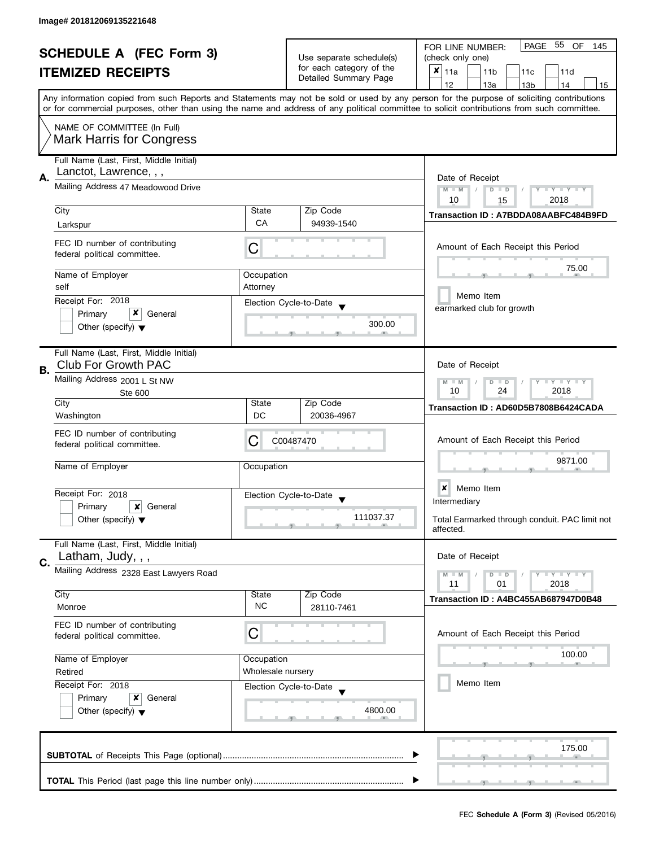|    | <b>SCHEDULE A (FEC Form 3)</b>                                                       |                                                                                  | Use separate schedule(s)<br>for each category of the<br>Detailed Summary Page | 55 OF<br>PAGE<br>FOR LINE NUMBER:<br>145                                                                                                                                                                                                                                                |  |  |
|----|--------------------------------------------------------------------------------------|----------------------------------------------------------------------------------|-------------------------------------------------------------------------------|-----------------------------------------------------------------------------------------------------------------------------------------------------------------------------------------------------------------------------------------------------------------------------------------|--|--|
|    |                                                                                      |                                                                                  |                                                                               | (check only one)                                                                                                                                                                                                                                                                        |  |  |
|    | <b>ITEMIZED RECEIPTS</b>                                                             |                                                                                  |                                                                               | ×<br>11a<br>11 <sub>b</sub><br>11c<br>11d                                                                                                                                                                                                                                               |  |  |
|    |                                                                                      |                                                                                  |                                                                               | 12<br>13a<br>13 <sub>b</sub><br>14<br>15                                                                                                                                                                                                                                                |  |  |
|    |                                                                                      |                                                                                  |                                                                               | Any information copied from such Reports and Statements may not be sold or used by any person for the purpose of soliciting contributions<br>or for commercial purposes, other than using the name and address of any political committee to solicit contributions from such committee. |  |  |
|    | NAME OF COMMITTEE (In Full)<br><b>Mark Harris for Congress</b>                       |                                                                                  |                                                                               |                                                                                                                                                                                                                                                                                         |  |  |
|    | Full Name (Last, First, Middle Initial)<br>Lanctot, Lawrence, , ,                    |                                                                                  |                                                                               |                                                                                                                                                                                                                                                                                         |  |  |
| Α. | Mailing Address 47 Meadowood Drive                                                   | Date of Receipt<br>$M - M$<br>$Y - Y - Y - Y - Y$<br>$D$ $D$<br>2018<br>10<br>15 |                                                                               |                                                                                                                                                                                                                                                                                         |  |  |
|    | City                                                                                 | State                                                                            | Zip Code                                                                      |                                                                                                                                                                                                                                                                                         |  |  |
|    | Larkspur                                                                             | СA                                                                               | 94939-1540                                                                    | Transaction ID: A7BDDA08AABFC484B9FD                                                                                                                                                                                                                                                    |  |  |
|    | FEC ID number of contributing<br>federal political committee.                        | С                                                                                |                                                                               | Amount of Each Receipt this Period                                                                                                                                                                                                                                                      |  |  |
|    | Name of Employer                                                                     | Occupation                                                                       |                                                                               | 75.00                                                                                                                                                                                                                                                                                   |  |  |
|    | self                                                                                 | Attorney                                                                         |                                                                               |                                                                                                                                                                                                                                                                                         |  |  |
|    | Receipt For: 2018                                                                    |                                                                                  | Election Cycle-to-Date                                                        | Memo Item                                                                                                                                                                                                                                                                               |  |  |
|    | x<br>Primary<br>General                                                              |                                                                                  |                                                                               | earmarked club for growth                                                                                                                                                                                                                                                               |  |  |
|    | Other (specify) $\blacktriangledown$                                                 |                                                                                  | 300.00                                                                        |                                                                                                                                                                                                                                                                                         |  |  |
| В. | Full Name (Last, First, Middle Initial)<br><b>Club For Growth PAC</b>                |                                                                                  |                                                                               | Date of Receipt                                                                                                                                                                                                                                                                         |  |  |
|    | Mailing Address 2001 L St NW<br>Ste 600                                              |                                                                                  |                                                                               | $Y - Y - Y$<br>$M - M$<br>D<br>$\Box$<br>24<br>2018<br>10                                                                                                                                                                                                                               |  |  |
|    | City                                                                                 | State                                                                            | Zip Code                                                                      | Transaction ID: AD60D5B7808B6424CADA                                                                                                                                                                                                                                                    |  |  |
|    | Washington                                                                           | DC                                                                               | 20036-4967                                                                    |                                                                                                                                                                                                                                                                                         |  |  |
|    | FEC ID number of contributing<br>federal political committee.                        | C                                                                                | C00487470                                                                     | Amount of Each Receipt this Period                                                                                                                                                                                                                                                      |  |  |
|    | Name of Employer                                                                     | Occupation                                                                       |                                                                               | 9871.00                                                                                                                                                                                                                                                                                 |  |  |
|    | Receipt For: 2018                                                                    |                                                                                  |                                                                               | ×<br>Memo Item                                                                                                                                                                                                                                                                          |  |  |
|    | Primary<br>×<br>General                                                              |                                                                                  | Election Cycle-to-Date<br>$\overline{\mathbf{v}}$                             | Intermediary                                                                                                                                                                                                                                                                            |  |  |
|    | Other (specify) $\blacktriangledown$                                                 |                                                                                  | 111037.37                                                                     | Total Earmarked through conduit. PAC limit not<br>affected.                                                                                                                                                                                                                             |  |  |
|    | Full Name (Last, First, Middle Initial)<br>Latham, Judy, , ,                         |                                                                                  |                                                                               | Date of Receipt                                                                                                                                                                                                                                                                         |  |  |
| C. | Mailing Address 2328 East Lawyers Road                                               |                                                                                  |                                                                               | $Y = Y + Y$<br>$M - M$<br>$D$ $D$                                                                                                                                                                                                                                                       |  |  |
|    |                                                                                      |                                                                                  |                                                                               | 11<br>01<br>2018                                                                                                                                                                                                                                                                        |  |  |
|    | City<br>Monroe                                                                       | State<br><b>NC</b>                                                               | Zip Code<br>28110-7461                                                        | Transaction ID: A4BC455AB687947D0B48                                                                                                                                                                                                                                                    |  |  |
|    | FEC ID number of contributing<br>federal political committee.                        | C                                                                                |                                                                               | Amount of Each Receipt this Period                                                                                                                                                                                                                                                      |  |  |
|    |                                                                                      |                                                                                  |                                                                               | 100.00                                                                                                                                                                                                                                                                                  |  |  |
|    | Name of Employer                                                                     | Occupation<br>Wholesale nursery                                                  |                                                                               |                                                                                                                                                                                                                                                                                         |  |  |
|    | Retired                                                                              |                                                                                  |                                                                               | Memo Item                                                                                                                                                                                                                                                                               |  |  |
|    | Receipt For: 2018<br>Primary<br>x<br>General<br>Other (specify) $\blacktriangledown$ |                                                                                  | Election Cycle-to-Date<br>4800.00                                             |                                                                                                                                                                                                                                                                                         |  |  |
|    |                                                                                      |                                                                                  |                                                                               |                                                                                                                                                                                                                                                                                         |  |  |
|    |                                                                                      |                                                                                  |                                                                               | 175.00                                                                                                                                                                                                                                                                                  |  |  |
|    |                                                                                      |                                                                                  |                                                                               |                                                                                                                                                                                                                                                                                         |  |  |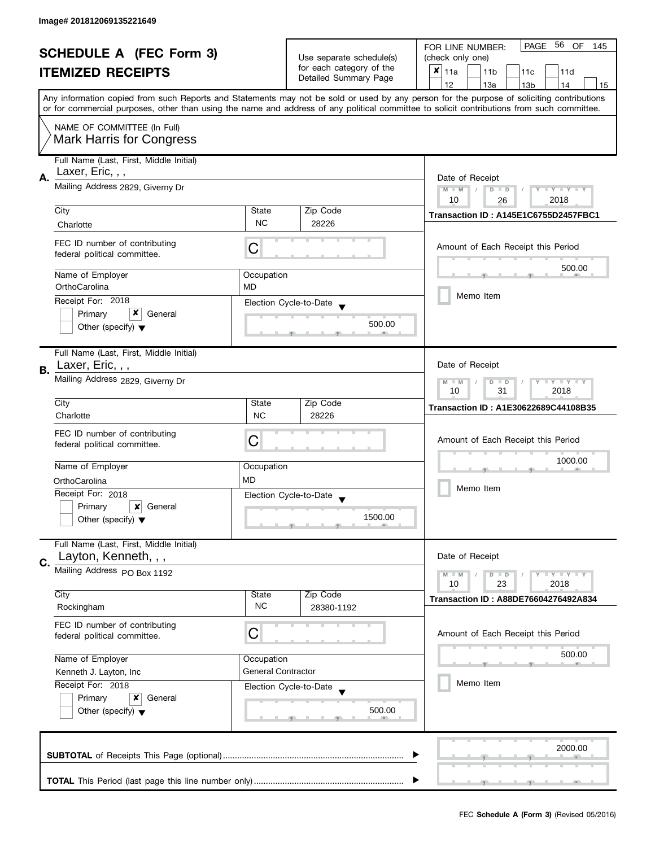| <b>SCHEDULE A (FEC Form 3)</b> |                                                                 |                                           | PAGE 56 OF<br>FOR LINE NUMBER:<br>145             |                                                                                                                                            |  |
|--------------------------------|-----------------------------------------------------------------|-------------------------------------------|---------------------------------------------------|--------------------------------------------------------------------------------------------------------------------------------------------|--|
|                                |                                                                 |                                           | Use separate schedule(s)                          | (check only one)                                                                                                                           |  |
|                                | <b>ITEMIZED RECEIPTS</b>                                        |                                           | for each category of the<br>Detailed Summary Page | $x _{11a}$<br>11 <sub>b</sub><br>11c<br>11d                                                                                                |  |
|                                |                                                                 |                                           |                                                   | 12<br>13a<br>13 <sub>b</sub><br>14<br>15                                                                                                   |  |
|                                |                                                                 |                                           |                                                   | Any information copied from such Reports and Statements may not be sold or used by any person for the purpose of soliciting contributions  |  |
|                                |                                                                 |                                           |                                                   | or for commercial purposes, other than using the name and address of any political committee to solicit contributions from such committee. |  |
|                                | NAME OF COMMITTEE (In Full)                                     |                                           |                                                   |                                                                                                                                            |  |
|                                | <b>Mark Harris for Congress</b>                                 |                                           |                                                   |                                                                                                                                            |  |
|                                | Full Name (Last, First, Middle Initial)                         |                                           |                                                   |                                                                                                                                            |  |
| А.                             | Laxer, Eric, , ,                                                | Date of Receipt                           |                                                   |                                                                                                                                            |  |
|                                | Mailing Address 2829, Giverny Dr                                | $M - M$<br>$Y - Y - Y - Y - Y$<br>$D$ $D$ |                                                   |                                                                                                                                            |  |
|                                | City                                                            | State                                     | Zip Code                                          | 10<br>2018<br>26                                                                                                                           |  |
|                                | Charlotte                                                       | <b>NC</b>                                 | 28226                                             | Transaction ID: A145E1C6755D2457FBC1                                                                                                       |  |
|                                |                                                                 |                                           |                                                   |                                                                                                                                            |  |
|                                | FEC ID number of contributing<br>federal political committee.   | C                                         |                                                   | Amount of Each Receipt this Period                                                                                                         |  |
|                                |                                                                 |                                           |                                                   | 500.00                                                                                                                                     |  |
|                                | Name of Employer<br>OrthoCarolina                               | Occupation<br><b>MD</b>                   |                                                   |                                                                                                                                            |  |
|                                | Receipt For: 2018                                               |                                           |                                                   | Memo Item                                                                                                                                  |  |
|                                | x<br>Primary<br>General                                         |                                           | Election Cycle-to-Date                            |                                                                                                                                            |  |
|                                | Other (specify) $\blacktriangledown$                            |                                           | 500.00                                            |                                                                                                                                            |  |
|                                |                                                                 |                                           |                                                   |                                                                                                                                            |  |
|                                | Full Name (Last, First, Middle Initial)                         |                                           |                                                   |                                                                                                                                            |  |
| В.                             | Laxer, Eric, , ,                                                |                                           |                                                   | Date of Receipt                                                                                                                            |  |
|                                | Mailing Address 2829, Giverny Dr                                | Y LY LY<br>$M - M$<br>D<br>$\Box$         |                                                   |                                                                                                                                            |  |
|                                | City                                                            | Zip Code<br>State                         |                                                   | 31<br>2018<br>10                                                                                                                           |  |
|                                | Charlotte                                                       | <b>NC</b>                                 | 28226                                             | Transaction ID: A1E30622689C44108B35                                                                                                       |  |
|                                | FEC ID number of contributing                                   |                                           |                                                   |                                                                                                                                            |  |
|                                | federal political committee.                                    | C                                         |                                                   | Amount of Each Receipt this Period                                                                                                         |  |
|                                | Name of Employer                                                |                                           |                                                   | 1000.00                                                                                                                                    |  |
|                                | OrthoCarolina                                                   | Occupation<br><b>MD</b>                   |                                                   |                                                                                                                                            |  |
|                                | Receipt For: 2018                                               |                                           | Election Cycle-to-Date                            | Memo Item                                                                                                                                  |  |
|                                | Primary<br>$\boldsymbol{\mathsf{x}}$<br>General                 |                                           |                                                   |                                                                                                                                            |  |
|                                | Other (specify) $\blacktriangledown$                            |                                           | 1500.00                                           |                                                                                                                                            |  |
|                                |                                                                 |                                           |                                                   |                                                                                                                                            |  |
|                                | Full Name (Last, First, Middle Initial)<br>Layton, Kenneth, , , |                                           |                                                   | Date of Receipt                                                                                                                            |  |
| C.                             | Mailing Address PO Box 1192                                     |                                           |                                                   |                                                                                                                                            |  |
|                                |                                                                 |                                           |                                                   | Y LY LY<br>$M - M$<br>$D$ $D$<br>23<br>2018<br>10                                                                                          |  |
|                                | City                                                            | State                                     | Zip Code                                          | <b>Transaction ID: A88DE76604276492A834</b>                                                                                                |  |
|                                | Rockingham                                                      | <b>NC</b>                                 | 28380-1192                                        |                                                                                                                                            |  |
|                                | FEC ID number of contributing                                   |                                           |                                                   |                                                                                                                                            |  |
|                                | federal political committee.                                    | С                                         |                                                   | Amount of Each Receipt this Period                                                                                                         |  |
|                                | Name of Employer                                                | Occupation                                |                                                   | 500.00                                                                                                                                     |  |
|                                | Kenneth J. Layton, Inc                                          | <b>General Contractor</b>                 |                                                   |                                                                                                                                            |  |
|                                | Receipt For: 2018                                               |                                           | Election Cycle-to-Date                            | Memo Item                                                                                                                                  |  |
|                                | Primary<br>x<br>General                                         |                                           |                                                   |                                                                                                                                            |  |
|                                | Other (specify) $\blacktriangledown$                            |                                           | 500.00                                            |                                                                                                                                            |  |
|                                |                                                                 |                                           |                                                   |                                                                                                                                            |  |
|                                |                                                                 |                                           |                                                   | 2000.00                                                                                                                                    |  |
|                                |                                                                 |                                           |                                                   |                                                                                                                                            |  |
|                                |                                                                 |                                           |                                                   |                                                                                                                                            |  |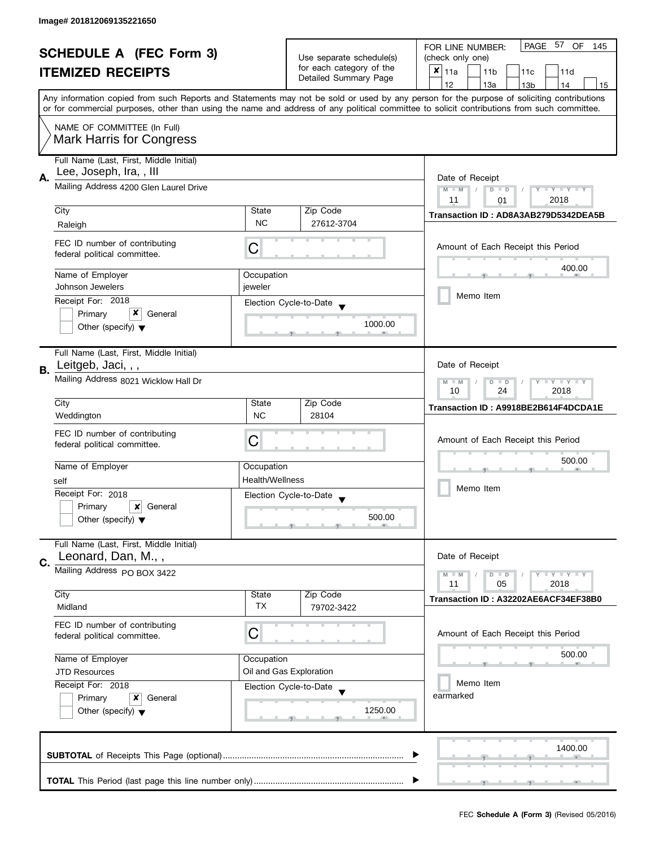| <b>SCHEDULE A (FEC Form 3)</b><br><b>ITEMIZED RECEIPTS</b> |                                                               |                                                                    | Use separate schedule(s) | PAGE 57<br>OF<br>FOR LINE NUMBER:<br>145<br>(check only one)                                                                               |  |  |  |
|------------------------------------------------------------|---------------------------------------------------------------|--------------------------------------------------------------------|--------------------------|--------------------------------------------------------------------------------------------------------------------------------------------|--|--|--|
|                                                            |                                                               |                                                                    | for each category of the | $x _{11a}$<br>11 <sub>b</sub><br>11c<br>11d                                                                                                |  |  |  |
|                                                            |                                                               |                                                                    | Detailed Summary Page    | 12<br>13a<br>13 <sub>b</sub><br>14<br>15                                                                                                   |  |  |  |
|                                                            |                                                               |                                                                    |                          | Any information copied from such Reports and Statements may not be sold or used by any person for the purpose of soliciting contributions  |  |  |  |
|                                                            |                                                               |                                                                    |                          | or for commercial purposes, other than using the name and address of any political committee to solicit contributions from such committee. |  |  |  |
|                                                            | NAME OF COMMITTEE (In Full)                                   |                                                                    |                          |                                                                                                                                            |  |  |  |
|                                                            | <b>Mark Harris for Congress</b>                               |                                                                    |                          |                                                                                                                                            |  |  |  |
|                                                            | Full Name (Last, First, Middle Initial)                       |                                                                    |                          |                                                                                                                                            |  |  |  |
|                                                            | Lee, Joseph, Ira,, III                                        |                                                                    |                          |                                                                                                                                            |  |  |  |
| А.                                                         | Mailing Address 4200 Glen Laurel Drive                        | Date of Receipt<br>$M - M$<br>$D$ $D$<br>Y TY TY TY                |                          |                                                                                                                                            |  |  |  |
|                                                            |                                                               |                                                                    |                          | 2018<br>11<br>01                                                                                                                           |  |  |  |
|                                                            | City                                                          | State                                                              | Zip Code                 | Transaction ID: AD8A3AB279D5342DEA5B                                                                                                       |  |  |  |
|                                                            | Raleigh                                                       | <b>NC</b>                                                          | 27612-3704               |                                                                                                                                            |  |  |  |
|                                                            | FEC ID number of contributing                                 |                                                                    |                          | Amount of Each Receipt this Period                                                                                                         |  |  |  |
|                                                            | federal political committee.                                  | С                                                                  |                          |                                                                                                                                            |  |  |  |
|                                                            | Name of Employer                                              | Occupation                                                         |                          | 400.00                                                                                                                                     |  |  |  |
|                                                            | Johnson Jewelers                                              | jeweler                                                            |                          |                                                                                                                                            |  |  |  |
|                                                            | Receipt For: 2018                                             |                                                                    | Election Cycle-to-Date   | Memo Item                                                                                                                                  |  |  |  |
|                                                            | x<br>Primary<br>General                                       |                                                                    |                          |                                                                                                                                            |  |  |  |
|                                                            | Other (specify) $\blacktriangledown$                          |                                                                    | 1000.00                  |                                                                                                                                            |  |  |  |
|                                                            |                                                               |                                                                    |                          |                                                                                                                                            |  |  |  |
|                                                            | Full Name (Last, First, Middle Initial)<br>Leitgeb, Jaci, , , |                                                                    |                          |                                                                                                                                            |  |  |  |
| В.                                                         |                                                               |                                                                    |                          | Date of Receipt                                                                                                                            |  |  |  |
|                                                            | Mailing Address 8021 Wicklow Hall Dr                          | Y LY LY<br>$M - M$<br>$\overline{D}$<br>$\Box$<br>24<br>2018<br>10 |                          |                                                                                                                                            |  |  |  |
|                                                            | City                                                          | State                                                              | Zip Code                 | Transaction ID: A9918BE2B614F4DCDA1E                                                                                                       |  |  |  |
|                                                            | Weddington                                                    | <b>NC</b>                                                          | 28104                    |                                                                                                                                            |  |  |  |
|                                                            | FEC ID number of contributing                                 |                                                                    |                          |                                                                                                                                            |  |  |  |
|                                                            | federal political committee.                                  | C                                                                  |                          | Amount of Each Receipt this Period                                                                                                         |  |  |  |
|                                                            |                                                               |                                                                    |                          | 500.00                                                                                                                                     |  |  |  |
|                                                            | Name of Employer                                              | Occupation<br>Health/Wellness                                      |                          |                                                                                                                                            |  |  |  |
|                                                            | self<br>Receipt For: 2018                                     |                                                                    |                          | Memo Item                                                                                                                                  |  |  |  |
|                                                            | Primary<br>x<br>General                                       |                                                                    | Election Cycle-to-Date   |                                                                                                                                            |  |  |  |
|                                                            | Other (specify) $\blacktriangledown$                          |                                                                    | 500.00                   |                                                                                                                                            |  |  |  |
|                                                            |                                                               |                                                                    |                          |                                                                                                                                            |  |  |  |
|                                                            | Full Name (Last, First, Middle Initial)                       |                                                                    |                          |                                                                                                                                            |  |  |  |
| C.                                                         | Leonard, Dan, M.,,                                            |                                                                    |                          | Date of Receipt                                                                                                                            |  |  |  |
|                                                            | Mailing Address PO BOX 3422                                   |                                                                    |                          | $- Y - Y - Y$<br>$M - M$<br>$D$ $D$                                                                                                        |  |  |  |
|                                                            | City                                                          | State                                                              | Zip Code                 | 11<br>05<br>2018                                                                                                                           |  |  |  |
|                                                            | Midland                                                       | TX                                                                 | 79702-3422               | Transaction ID: A32202AE6ACF34EF38B0                                                                                                       |  |  |  |
|                                                            | FEC ID number of contributing                                 |                                                                    |                          |                                                                                                                                            |  |  |  |
|                                                            | federal political committee.                                  | С                                                                  |                          | Amount of Each Receipt this Period                                                                                                         |  |  |  |
|                                                            |                                                               |                                                                    |                          | 500.00                                                                                                                                     |  |  |  |
|                                                            | Name of Employer                                              | Occupation                                                         |                          |                                                                                                                                            |  |  |  |
|                                                            | <b>JTD Resources</b><br>Receipt For: 2018                     |                                                                    | Oil and Gas Exploration  | Memo Item                                                                                                                                  |  |  |  |
|                                                            | Primary<br>x<br>General                                       |                                                                    | Election Cycle-to-Date   | earmarked                                                                                                                                  |  |  |  |
|                                                            | Other (specify) $\blacktriangledown$                          |                                                                    | 1250.00                  |                                                                                                                                            |  |  |  |
|                                                            |                                                               |                                                                    |                          |                                                                                                                                            |  |  |  |
|                                                            |                                                               |                                                                    |                          |                                                                                                                                            |  |  |  |
|                                                            |                                                               |                                                                    |                          | 1400.00                                                                                                                                    |  |  |  |
|                                                            |                                                               |                                                                    |                          |                                                                                                                                            |  |  |  |
|                                                            |                                                               |                                                                    |                          |                                                                                                                                            |  |  |  |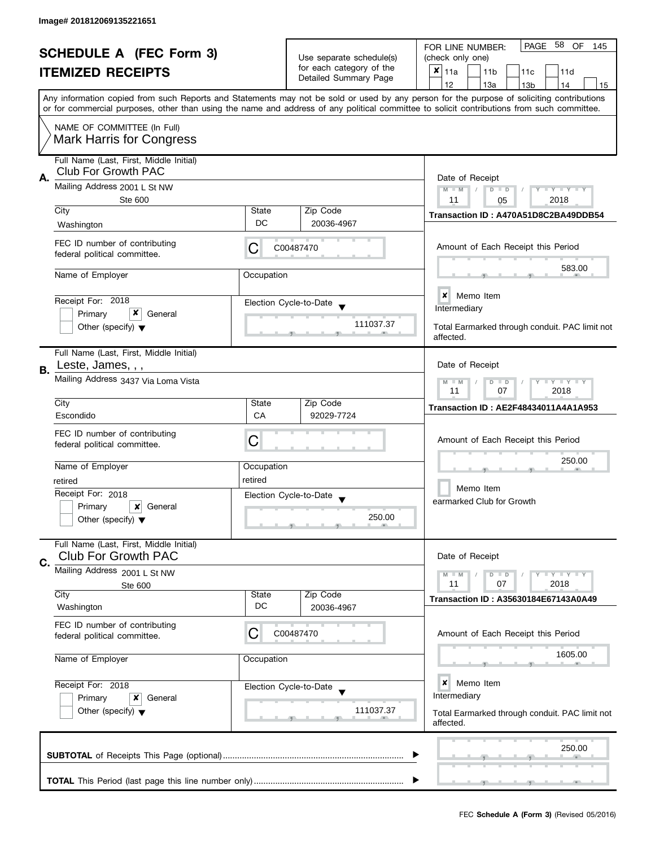|    | <b>SCHEDULE A (FEC Form 3)</b><br><b>ITEMIZED RECEIPTS</b>                                      |                                                           | Use separate schedule(s)<br>for each category of the<br>Detailed Summary Page | PAGE 58 OF<br>FOR LINE NUMBER:<br>145<br>(check only one)<br>$x _{11a}$<br>11 <sub>b</sub><br>11c<br>11d<br>12<br>13a<br>13 <sub>b</sub><br>14<br>15                                                                                                                                    |
|----|-------------------------------------------------------------------------------------------------|-----------------------------------------------------------|-------------------------------------------------------------------------------|-----------------------------------------------------------------------------------------------------------------------------------------------------------------------------------------------------------------------------------------------------------------------------------------|
|    |                                                                                                 |                                                           |                                                                               | Any information copied from such Reports and Statements may not be sold or used by any person for the purpose of soliciting contributions<br>or for commercial purposes, other than using the name and address of any political committee to solicit contributions from such committee. |
|    | NAME OF COMMITTEE (In Full)<br>Mark Harris for Congress                                         |                                                           |                                                                               |                                                                                                                                                                                                                                                                                         |
| А. | Full Name (Last, First, Middle Initial)<br>Club For Growth PAC                                  |                                                           |                                                                               | Date of Receipt                                                                                                                                                                                                                                                                         |
|    | Mailing Address 2001 L St NW<br><b>Ste 600</b>                                                  |                                                           |                                                                               | $M - M$<br>$D$ $D$<br>$Y = Y = Y + Y$<br>2018<br>11<br>05                                                                                                                                                                                                                               |
|    | City<br>Washington                                                                              | State<br>DC                                               | Zip Code<br>20036-4967                                                        | Transaction ID: A470A51D8C2BA49DDB54                                                                                                                                                                                                                                                    |
|    | FEC ID number of contributing<br>federal political committee.                                   | С                                                         | C00487470                                                                     | Amount of Each Receipt this Period                                                                                                                                                                                                                                                      |
|    | Name of Employer                                                                                | Occupation                                                |                                                                               | 583.00                                                                                                                                                                                                                                                                                  |
|    | Receipt For: 2018<br>x<br>Primary<br>General                                                    |                                                           | Election Cycle-to-Date<br>111037.37                                           | ×<br>Memo Item<br>Intermediary                                                                                                                                                                                                                                                          |
|    | Other (specify) $\blacktriangledown$                                                            |                                                           |                                                                               | Total Earmarked through conduit. PAC limit not<br>affected.                                                                                                                                                                                                                             |
| В. | Full Name (Last, First, Middle Initial)<br>Leste, James, , ,                                    |                                                           |                                                                               | Date of Receipt                                                                                                                                                                                                                                                                         |
|    | Mailing Address 3437 Via Loma Vista                                                             | $T - Y = T - Y$<br>$M - M$<br>$D$ $D$<br>11<br>07<br>2018 |                                                                               |                                                                                                                                                                                                                                                                                         |
|    | City<br>Escondido                                                                               | State<br>CA                                               | Zip Code<br>92029-7724                                                        | Transaction ID: AE2F48434011A4A1A953                                                                                                                                                                                                                                                    |
|    | FEC ID number of contributing<br>federal political committee.                                   | С                                                         |                                                                               | Amount of Each Receipt this Period                                                                                                                                                                                                                                                      |
|    | Name of Employer<br>retired                                                                     | Occupation<br>retired                                     |                                                                               | 250.00                                                                                                                                                                                                                                                                                  |
|    | Receipt For: 2018<br>Primary<br>$\vert x \vert$ General<br>Other (specify) $\blacktriangledown$ |                                                           | Election Cycle-to-Date<br>250.00                                              | Memo Item<br>earmarked Club for Growth                                                                                                                                                                                                                                                  |
| C. | Full Name (Last, First, Middle Initial)<br><b>Club For Growth PAC</b>                           |                                                           |                                                                               | Date of Receipt                                                                                                                                                                                                                                                                         |
|    | Mailing Address 2001 L St NW<br>Ste 600                                                         |                                                           |                                                                               | <b>LYLYLY</b><br>$M - M$<br>$D$ $D$<br>07<br>11<br>2018                                                                                                                                                                                                                                 |
|    | City<br>Washington                                                                              | State<br>DC                                               | Zip Code<br>20036-4967                                                        | <b>Transaction ID: A35630184E67143A0A49</b>                                                                                                                                                                                                                                             |
|    | FEC ID number of contributing<br>federal political committee.                                   | С                                                         | C00487470                                                                     | Amount of Each Receipt this Period                                                                                                                                                                                                                                                      |
|    | Name of Employer                                                                                | Occupation                                                |                                                                               | 1605.00                                                                                                                                                                                                                                                                                 |
|    | Receipt For: 2018<br>Primary<br>x<br>General                                                    |                                                           | Election Cycle-to-Date                                                        | $\boldsymbol{x}$<br>Memo Item<br>Intermediary                                                                                                                                                                                                                                           |
|    | Other (specify) $\blacktriangledown$                                                            |                                                           | 111037.37                                                                     | Total Earmarked through conduit. PAC limit not<br>affected.                                                                                                                                                                                                                             |
|    |                                                                                                 |                                                           |                                                                               | 250.00                                                                                                                                                                                                                                                                                  |
|    |                                                                                                 |                                                           |                                                                               |                                                                                                                                                                                                                                                                                         |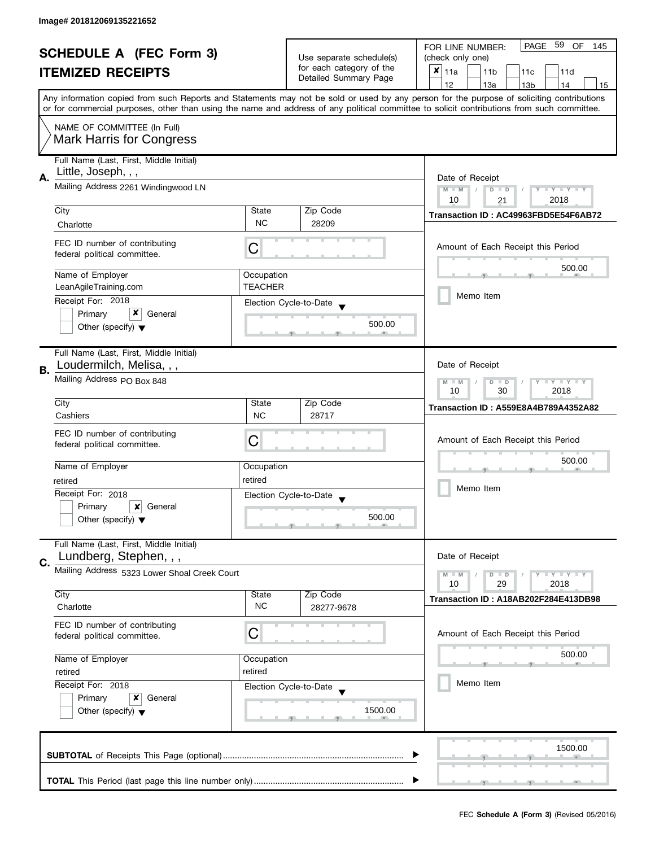| <b>SCHEDULE A (FEC Form 3)</b> |                                                                |                                                       | PAGE 59<br>OF<br>FOR LINE NUMBER:<br>145 |                                                                                                                                            |  |  |
|--------------------------------|----------------------------------------------------------------|-------------------------------------------------------|------------------------------------------|--------------------------------------------------------------------------------------------------------------------------------------------|--|--|
|                                |                                                                |                                                       | Use separate schedule(s)                 | (check only one)                                                                                                                           |  |  |
|                                | <b>ITEMIZED RECEIPTS</b>                                       |                                                       | for each category of the                 | $x _{11a}$<br>11 <sub>b</sub><br>11d<br>11 <sub>c</sub>                                                                                    |  |  |
|                                |                                                                |                                                       | Detailed Summary Page                    | 12<br>13a<br>13 <sub>b</sub><br>14<br>15                                                                                                   |  |  |
|                                |                                                                |                                                       |                                          | Any information copied from such Reports and Statements may not be sold or used by any person for the purpose of soliciting contributions  |  |  |
|                                |                                                                |                                                       |                                          | or for commercial purposes, other than using the name and address of any political committee to solicit contributions from such committee. |  |  |
|                                | NAME OF COMMITTEE (In Full)                                    |                                                       |                                          |                                                                                                                                            |  |  |
|                                | <b>Mark Harris for Congress</b>                                |                                                       |                                          |                                                                                                                                            |  |  |
|                                |                                                                |                                                       |                                          |                                                                                                                                            |  |  |
|                                | Full Name (Last, First, Middle Initial)<br>Little, Joseph, , , |                                                       |                                          |                                                                                                                                            |  |  |
| А.                             | Mailing Address 2261 Windingwood LN                            | Date of Receipt                                       |                                          |                                                                                                                                            |  |  |
|                                |                                                                |                                                       |                                          | $M - M$<br>$Y - Y - Y - Y - Y$<br>$D$ $D$<br>10<br>2018<br>21                                                                              |  |  |
|                                | City                                                           | State                                                 | Zip Code                                 |                                                                                                                                            |  |  |
|                                | Charlotte                                                      | <b>NC</b>                                             | 28209                                    | Transaction ID: AC49963FBD5E54F6AB72                                                                                                       |  |  |
|                                |                                                                |                                                       |                                          |                                                                                                                                            |  |  |
|                                | FEC ID number of contributing<br>federal political committee.  | C                                                     |                                          | Amount of Each Receipt this Period                                                                                                         |  |  |
|                                |                                                                |                                                       |                                          |                                                                                                                                            |  |  |
|                                | Name of Employer                                               | Occupation                                            |                                          | 500.00                                                                                                                                     |  |  |
|                                | LeanAgileTraining.com                                          | <b>TEACHER</b>                                        |                                          |                                                                                                                                            |  |  |
|                                | Receipt For: 2018                                              |                                                       | Election Cycle-to-Date                   | Memo Item                                                                                                                                  |  |  |
|                                | x<br>Primary<br>General                                        |                                                       |                                          |                                                                                                                                            |  |  |
|                                | Other (specify) $\blacktriangledown$                           |                                                       | 500.00                                   |                                                                                                                                            |  |  |
|                                |                                                                |                                                       |                                          |                                                                                                                                            |  |  |
|                                | Full Name (Last, First, Middle Initial)                        |                                                       |                                          |                                                                                                                                            |  |  |
| В.                             | Loudermilch, Melisa, , ,                                       |                                                       |                                          | Date of Receipt                                                                                                                            |  |  |
|                                | Mailing Address PO Box 848                                     | Y LY LY<br>$M - M$<br>D<br>$\Box$<br>30<br>2018<br>10 |                                          |                                                                                                                                            |  |  |
|                                |                                                                |                                                       |                                          |                                                                                                                                            |  |  |
|                                | City                                                           | State<br><b>NC</b>                                    | Zip Code                                 | <b>Transaction ID: A559E8A4B789A4352A82</b>                                                                                                |  |  |
|                                | Cashiers                                                       |                                                       | 28717                                    |                                                                                                                                            |  |  |
|                                | FEC ID number of contributing                                  | С                                                     |                                          | Amount of Each Receipt this Period                                                                                                         |  |  |
|                                | federal political committee.                                   |                                                       |                                          |                                                                                                                                            |  |  |
|                                | Name of Employer                                               | Occupation                                            |                                          | 500.00                                                                                                                                     |  |  |
|                                | retired                                                        | retired                                               |                                          |                                                                                                                                            |  |  |
|                                | Receipt For: 2018                                              |                                                       | Election Cycle-to-Date                   | Memo Item                                                                                                                                  |  |  |
|                                | Primary<br>$\boldsymbol{x}$<br>General                         |                                                       |                                          |                                                                                                                                            |  |  |
|                                | Other (specify) $\blacktriangledown$                           |                                                       | 500.00                                   |                                                                                                                                            |  |  |
|                                |                                                                |                                                       |                                          |                                                                                                                                            |  |  |
|                                | Full Name (Last, First, Middle Initial)                        |                                                       |                                          |                                                                                                                                            |  |  |
| C.                             | Lundberg, Stephen, , ,                                         |                                                       |                                          | Date of Receipt                                                                                                                            |  |  |
|                                | Mailing Address 5323 Lower Shoal Creek Court                   |                                                       |                                          | $M - M$<br>Y L Y L Y<br>$D$ $D$                                                                                                            |  |  |
|                                |                                                                |                                                       |                                          | 29<br>2018<br>10                                                                                                                           |  |  |
|                                | City<br>Charlotte                                              | State<br><b>NC</b>                                    | Zip Code<br>28277-9678                   | Transaction ID: A18AB202F284E413DB98                                                                                                       |  |  |
|                                |                                                                |                                                       |                                          |                                                                                                                                            |  |  |
|                                | FEC ID number of contributing                                  | С                                                     |                                          | Amount of Each Receipt this Period                                                                                                         |  |  |
|                                | federal political committee.                                   |                                                       |                                          |                                                                                                                                            |  |  |
|                                | Name of Employer                                               | Occupation                                            |                                          | 500.00                                                                                                                                     |  |  |
|                                | retired                                                        | retired                                               |                                          |                                                                                                                                            |  |  |
|                                | Receipt For: 2018                                              |                                                       | Election Cycle-to-Date                   | Memo Item                                                                                                                                  |  |  |
|                                | Primary<br>General<br>x                                        |                                                       |                                          |                                                                                                                                            |  |  |
|                                | Other (specify) $\blacktriangledown$                           |                                                       | 1500.00                                  |                                                                                                                                            |  |  |
|                                |                                                                |                                                       |                                          |                                                                                                                                            |  |  |
|                                |                                                                |                                                       |                                          |                                                                                                                                            |  |  |
|                                |                                                                |                                                       |                                          | 1500.00                                                                                                                                    |  |  |
|                                |                                                                |                                                       |                                          |                                                                                                                                            |  |  |
|                                |                                                                |                                                       |                                          |                                                                                                                                            |  |  |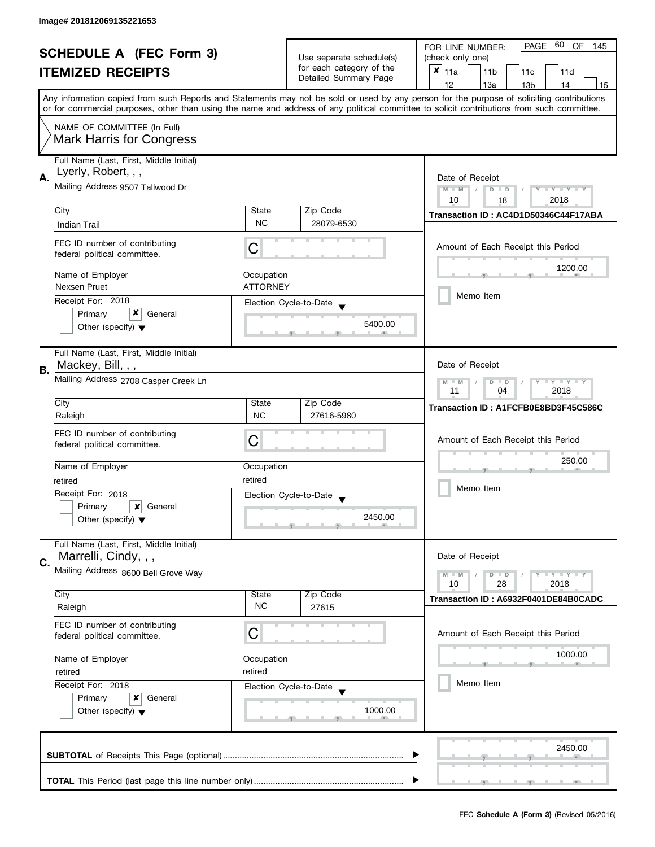| <b>SCHEDULE A (FEC Form 3)</b> |                                                                |                    | PAGE 60 OF<br>FOR LINE NUMBER:<br>145 |                                                                                                                                            |  |
|--------------------------------|----------------------------------------------------------------|--------------------|---------------------------------------|--------------------------------------------------------------------------------------------------------------------------------------------|--|
|                                |                                                                |                    | Use separate schedule(s)              | (check only one)                                                                                                                           |  |
|                                | <b>ITEMIZED RECEIPTS</b>                                       |                    | for each category of the              | $x _{11a}$<br>11 <sub>b</sub><br>11c<br>11d                                                                                                |  |
|                                |                                                                |                    | Detailed Summary Page                 | 12<br>13a<br>13 <sub>b</sub><br>14<br>15                                                                                                   |  |
|                                |                                                                |                    |                                       | Any information copied from such Reports and Statements may not be sold or used by any person for the purpose of soliciting contributions  |  |
|                                |                                                                |                    |                                       | or for commercial purposes, other than using the name and address of any political committee to solicit contributions from such committee. |  |
|                                | NAME OF COMMITTEE (In Full)                                    |                    |                                       |                                                                                                                                            |  |
|                                | <b>Mark Harris for Congress</b>                                |                    |                                       |                                                                                                                                            |  |
|                                |                                                                |                    |                                       |                                                                                                                                            |  |
|                                | Full Name (Last, First, Middle Initial)<br>Lyerly, Robert, , , |                    |                                       |                                                                                                                                            |  |
| А.                             | Mailing Address 9507 Tallwood Dr                               | Date of Receipt    |                                       |                                                                                                                                            |  |
|                                |                                                                |                    |                                       | $M - M$<br>$T - Y = Y + Y$<br>$\overline{D}$<br>$\Box$                                                                                     |  |
|                                | City                                                           | State              | Zip Code                              | 10<br>2018<br>18                                                                                                                           |  |
|                                | Indian Trail                                                   | <b>NC</b>          | 28079-6530                            | Transaction ID: AC4D1D50346C44F17ABA                                                                                                       |  |
|                                |                                                                |                    |                                       |                                                                                                                                            |  |
|                                | FEC ID number of contributing                                  | C                  |                                       | Amount of Each Receipt this Period                                                                                                         |  |
|                                | federal political committee.                                   |                    |                                       |                                                                                                                                            |  |
|                                | Name of Employer                                               | Occupation         |                                       | 1200.00                                                                                                                                    |  |
|                                | Nexsen Pruet                                                   | <b>ATTORNEY</b>    |                                       |                                                                                                                                            |  |
|                                | Receipt For: 2018                                              |                    | Election Cycle-to-Date                | Memo Item                                                                                                                                  |  |
|                                | x<br>Primary<br>General                                        |                    |                                       |                                                                                                                                            |  |
|                                | Other (specify) $\blacktriangledown$                           |                    | 5400.00                               |                                                                                                                                            |  |
|                                |                                                                |                    |                                       |                                                                                                                                            |  |
|                                | Full Name (Last, First, Middle Initial)                        |                    |                                       |                                                                                                                                            |  |
| В.                             | Mackey, Bill, , ,                                              |                    |                                       | Date of Receipt                                                                                                                            |  |
|                                | Mailing Address 2708 Casper Creek Ln                           |                    |                                       | Y LY LY<br>$M - M$<br>D<br>$\Box$                                                                                                          |  |
|                                |                                                                | 2018<br>11<br>04   |                                       |                                                                                                                                            |  |
|                                | City                                                           | State              | Zip Code                              | Transaction ID: A1FCFB0E8BD3F45C586C                                                                                                       |  |
|                                | Raleigh                                                        | <b>NC</b>          | 27616-5980                            |                                                                                                                                            |  |
|                                | FEC ID number of contributing                                  | C                  |                                       | Amount of Each Receipt this Period                                                                                                         |  |
|                                | federal political committee.                                   |                    |                                       |                                                                                                                                            |  |
|                                | Name of Employer                                               | Occupation         |                                       | 250.00                                                                                                                                     |  |
|                                | retired                                                        | retired            |                                       |                                                                                                                                            |  |
|                                | Receipt For: 2018                                              |                    | Election Cycle-to-Date                | Memo Item                                                                                                                                  |  |
|                                | Primary<br>$\boldsymbol{x}$<br>General                         |                    |                                       |                                                                                                                                            |  |
|                                | Other (specify) $\blacktriangledown$                           |                    | 2450.00                               |                                                                                                                                            |  |
|                                |                                                                |                    |                                       |                                                                                                                                            |  |
|                                | Full Name (Last, First, Middle Initial)                        |                    |                                       |                                                                                                                                            |  |
| C.                             | Marrelli, Cindy, , ,                                           |                    |                                       | Date of Receipt                                                                                                                            |  |
|                                | Mailing Address 8600 Bell Grove Way                            |                    |                                       | Y LY LY<br>$M - M$<br>$D$ $D$                                                                                                              |  |
|                                |                                                                |                    |                                       | 28<br>2018<br>10                                                                                                                           |  |
|                                | City<br>Raleigh                                                | State<br><b>NC</b> | Zip Code<br>27615                     | Transaction ID: A6932F0401DE84B0CADC                                                                                                       |  |
|                                |                                                                |                    |                                       |                                                                                                                                            |  |
|                                | FEC ID number of contributing                                  | С                  |                                       | Amount of Each Receipt this Period                                                                                                         |  |
|                                | federal political committee.                                   |                    |                                       |                                                                                                                                            |  |
|                                | Name of Employer                                               | Occupation         |                                       | 1000.00                                                                                                                                    |  |
|                                | retired                                                        | retired            |                                       |                                                                                                                                            |  |
|                                | Receipt For: 2018                                              |                    | Election Cycle-to-Date                | Memo Item                                                                                                                                  |  |
|                                | Primary<br>General<br>x                                        |                    |                                       |                                                                                                                                            |  |
|                                | Other (specify) $\blacktriangledown$                           |                    | 1000.00                               |                                                                                                                                            |  |
|                                |                                                                |                    |                                       |                                                                                                                                            |  |
|                                |                                                                |                    |                                       |                                                                                                                                            |  |
|                                |                                                                |                    |                                       | 2450.00                                                                                                                                    |  |
|                                |                                                                |                    |                                       |                                                                                                                                            |  |
|                                |                                                                |                    |                                       |                                                                                                                                            |  |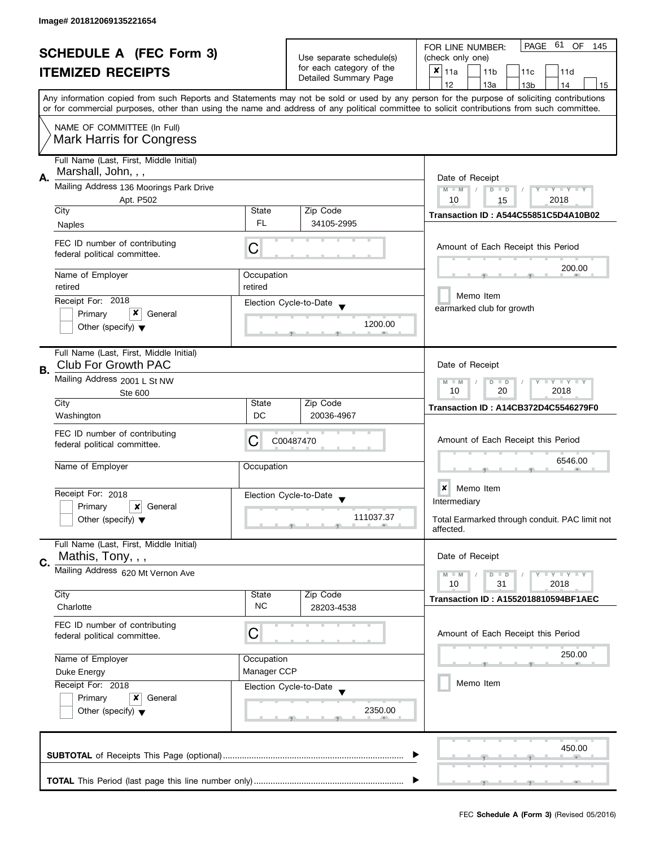| <b>SCHEDULE A (FEC Form 3)</b><br><b>ITEMIZED RECEIPTS</b> |                                                                       | Use separate schedule(s)<br>for each category of the |                                                | PAGE 61 OF<br>FOR LINE NUMBER:<br>145<br>(check only one)<br>×<br>11a<br>11 <sub>b</sub><br>11c<br>11d                                                                                                                                                                                  |  |  |
|------------------------------------------------------------|-----------------------------------------------------------------------|------------------------------------------------------|------------------------------------------------|-----------------------------------------------------------------------------------------------------------------------------------------------------------------------------------------------------------------------------------------------------------------------------------------|--|--|
|                                                            |                                                                       |                                                      | Detailed Summary Page                          | 12<br>13a<br>13 <sub>b</sub><br>14<br>15                                                                                                                                                                                                                                                |  |  |
|                                                            |                                                                       |                                                      |                                                | Any information copied from such Reports and Statements may not be sold or used by any person for the purpose of soliciting contributions<br>or for commercial purposes, other than using the name and address of any political committee to solicit contributions from such committee. |  |  |
|                                                            | NAME OF COMMITTEE (In Full)<br><b>Mark Harris for Congress</b>        |                                                      |                                                |                                                                                                                                                                                                                                                                                         |  |  |
| А.                                                         | Full Name (Last, First, Middle Initial)<br>Marshall, John, , ,        |                                                      |                                                | Date of Receipt                                                                                                                                                                                                                                                                         |  |  |
|                                                            | Mailing Address 136 Moorings Park Drive<br>Apt. P502                  |                                                      |                                                | $M - M$<br><b>LYLYLY</b><br>$D$ $D$<br>2018<br>10                                                                                                                                                                                                                                       |  |  |
|                                                            | City                                                                  | State                                                | Zip Code                                       | 15<br>Transaction ID: A544C55851C5D4A10B02                                                                                                                                                                                                                                              |  |  |
|                                                            | Naples                                                                | FL.                                                  | 34105-2995                                     |                                                                                                                                                                                                                                                                                         |  |  |
|                                                            | FEC ID number of contributing<br>federal political committee.         | C                                                    |                                                | Amount of Each Receipt this Period                                                                                                                                                                                                                                                      |  |  |
|                                                            | Name of Employer                                                      | Occupation                                           |                                                | 200.00                                                                                                                                                                                                                                                                                  |  |  |
|                                                            | retired<br>Receipt For: 2018                                          | retired                                              |                                                | Memo Item                                                                                                                                                                                                                                                                               |  |  |
|                                                            | x<br>Primary<br>General                                               |                                                      | Election Cycle-to-Date                         | earmarked club for growth                                                                                                                                                                                                                                                               |  |  |
|                                                            | Other (specify) $\blacktriangledown$                                  |                                                      | 1200.00                                        |                                                                                                                                                                                                                                                                                         |  |  |
| В.                                                         | Full Name (Last, First, Middle Initial)<br><b>Club For Growth PAC</b> |                                                      |                                                | Date of Receipt                                                                                                                                                                                                                                                                         |  |  |
|                                                            | Mailing Address 2001 L St NW<br>Ste 600                               |                                                      |                                                |                                                                                                                                                                                                                                                                                         |  |  |
|                                                            | City<br>Washington                                                    | State<br>DC                                          | Zip Code<br>20036-4967                         | Transaction ID: A14CB372D4C5546279F0                                                                                                                                                                                                                                                    |  |  |
|                                                            | FEC ID number of contributing<br>federal political committee.         | С                                                    | C00487470                                      | Amount of Each Receipt this Period                                                                                                                                                                                                                                                      |  |  |
|                                                            | Name of Employer                                                      | Occupation                                           |                                                | 6546.00                                                                                                                                                                                                                                                                                 |  |  |
|                                                            | Receipt For: 2018                                                     |                                                      | Election Cycle-to-Date<br>$\blacktriangledown$ | $\boldsymbol{x}$<br>Memo Item                                                                                                                                                                                                                                                           |  |  |
|                                                            | Primary<br>x<br>General                                               |                                                      |                                                | Intermediary                                                                                                                                                                                                                                                                            |  |  |
|                                                            | Other (specify) $\blacktriangledown$                                  |                                                      | 111037.37                                      | Total Earmarked through conduit. PAC limit not<br>affected.                                                                                                                                                                                                                             |  |  |
|                                                            | Full Name (Last, First, Middle Initial)<br>Mathis, Tony, , ,          |                                                      |                                                | Date of Receipt                                                                                                                                                                                                                                                                         |  |  |
| C.                                                         | Mailing Address 620 Mt Vernon Ave                                     |                                                      |                                                | $T - Y = T - Y$<br>$M - M$<br>$D$ $D$                                                                                                                                                                                                                                                   |  |  |
|                                                            |                                                                       |                                                      |                                                | 10<br>31<br>2018                                                                                                                                                                                                                                                                        |  |  |
|                                                            | City<br>Charlotte                                                     | State<br><b>NC</b>                                   | Zip Code<br>28203-4538                         | <b>Transaction ID: A1552018810594BF1AEC</b>                                                                                                                                                                                                                                             |  |  |
|                                                            | FEC ID number of contributing<br>federal political committee.         | C                                                    |                                                | Amount of Each Receipt this Period                                                                                                                                                                                                                                                      |  |  |
|                                                            | Name of Employer                                                      | Occupation                                           |                                                | 250.00                                                                                                                                                                                                                                                                                  |  |  |
|                                                            | Duke Energy                                                           | Manager CCP                                          |                                                |                                                                                                                                                                                                                                                                                         |  |  |
|                                                            | Receipt For: 2018                                                     |                                                      | Election Cycle-to-Date                         | Memo Item                                                                                                                                                                                                                                                                               |  |  |
|                                                            | Primary<br>x<br>General<br>Other (specify) $\blacktriangledown$       |                                                      | 2350.00                                        |                                                                                                                                                                                                                                                                                         |  |  |
|                                                            |                                                                       |                                                      |                                                | 450.00                                                                                                                                                                                                                                                                                  |  |  |
|                                                            |                                                                       |                                                      |                                                |                                                                                                                                                                                                                                                                                         |  |  |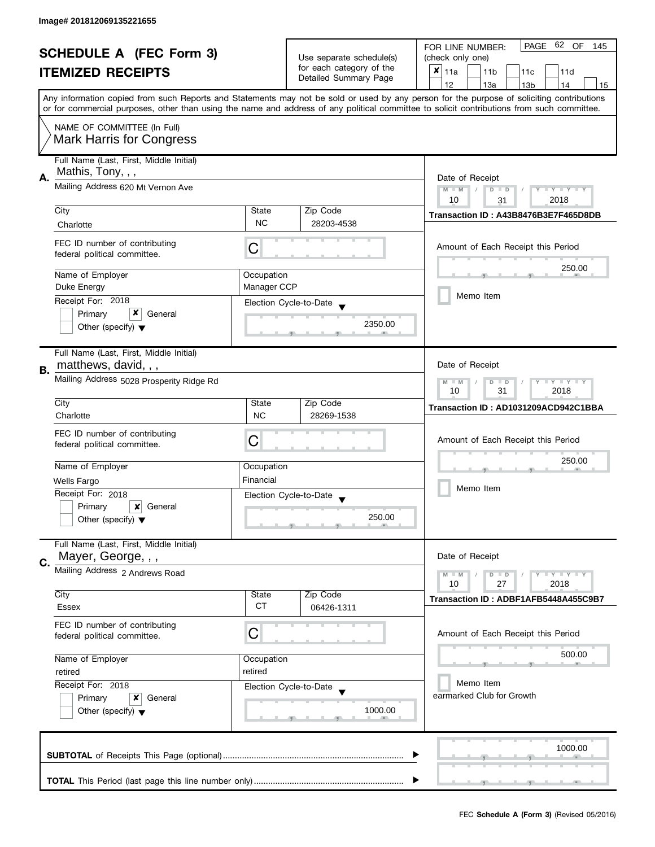| <b>SCHEDULE A (FEC Form 3)</b> |                                                                                                                                            | Use separate schedule(s)                                    | PAGE<br>62 OF<br>FOR LINE NUMBER:<br>145          |                                                                                                                                           |  |
|--------------------------------|--------------------------------------------------------------------------------------------------------------------------------------------|-------------------------------------------------------------|---------------------------------------------------|-------------------------------------------------------------------------------------------------------------------------------------------|--|
|                                |                                                                                                                                            |                                                             | (check only one)                                  |                                                                                                                                           |  |
|                                | <b>ITEMIZED RECEIPTS</b>                                                                                                                   |                                                             | for each category of the<br>Detailed Summary Page | $x _{11a}$<br>11 <sub>b</sub><br>11c<br>11d                                                                                               |  |
|                                |                                                                                                                                            |                                                             |                                                   | 12<br>13a<br>14<br>13 <sub>b</sub><br>15                                                                                                  |  |
|                                |                                                                                                                                            |                                                             |                                                   | Any information copied from such Reports and Statements may not be sold or used by any person for the purpose of soliciting contributions |  |
|                                | or for commercial purposes, other than using the name and address of any political committee to solicit contributions from such committee. |                                                             |                                                   |                                                                                                                                           |  |
|                                | NAME OF COMMITTEE (In Full)<br><b>Mark Harris for Congress</b>                                                                             |                                                             |                                                   |                                                                                                                                           |  |
|                                | Full Name (Last, First, Middle Initial)                                                                                                    |                                                             |                                                   |                                                                                                                                           |  |
| А.                             | Mathis, Tony, , ,                                                                                                                          |                                                             |                                                   | Date of Receipt                                                                                                                           |  |
|                                | Mailing Address 620 Mt Vernon Ave                                                                                                          |                                                             |                                                   | Y TY TY TY<br>$M - M$<br>$D$ $D$<br>2018<br>10<br>31                                                                                      |  |
|                                | City                                                                                                                                       | State                                                       | Zip Code                                          | Transaction ID: A43B8476B3E7F465D8DB                                                                                                      |  |
|                                | Charlotte                                                                                                                                  | <b>NC</b>                                                   | 28203-4538                                        |                                                                                                                                           |  |
|                                | FEC ID number of contributing<br>federal political committee.                                                                              | С                                                           |                                                   | Amount of Each Receipt this Period                                                                                                        |  |
|                                | Name of Employer                                                                                                                           | Occupation                                                  |                                                   | 250.00                                                                                                                                    |  |
|                                | Duke Energy                                                                                                                                | Manager CCP                                                 |                                                   |                                                                                                                                           |  |
|                                | Receipt For: 2018                                                                                                                          |                                                             |                                                   | Memo Item                                                                                                                                 |  |
|                                | x<br>Primary<br>General                                                                                                                    |                                                             | Election Cycle-to-Date                            |                                                                                                                                           |  |
|                                | Other (specify) $\blacktriangledown$                                                                                                       |                                                             | 2350.00                                           |                                                                                                                                           |  |
| В.                             | Full Name (Last, First, Middle Initial)<br>matthews, david, , ,                                                                            |                                                             |                                                   | Date of Receipt                                                                                                                           |  |
|                                | Mailing Address 5028 Prosperity Ridge Rd                                                                                                   | <b>LYLYLY</b><br>$M - M$<br>D<br>$\Box$<br>2018<br>10<br>31 |                                                   |                                                                                                                                           |  |
|                                | City                                                                                                                                       | State                                                       | Zip Code                                          | Transaction ID: AD1031209ACD942C1BBA                                                                                                      |  |
|                                | Charlotte                                                                                                                                  | <b>NC</b>                                                   | 28269-1538                                        |                                                                                                                                           |  |
|                                | FEC ID number of contributing<br>federal political committee.                                                                              | C                                                           |                                                   | Amount of Each Receipt this Period                                                                                                        |  |
|                                |                                                                                                                                            |                                                             |                                                   | 250.00                                                                                                                                    |  |
|                                | Name of Employer                                                                                                                           | Occupation                                                  |                                                   |                                                                                                                                           |  |
|                                | <b>Wells Fargo</b>                                                                                                                         | Financial                                                   |                                                   | Memo Item                                                                                                                                 |  |
|                                | Receipt For: 2018                                                                                                                          |                                                             | Election Cycle-to-Date                            |                                                                                                                                           |  |
|                                | Primary<br>General<br>x                                                                                                                    |                                                             |                                                   |                                                                                                                                           |  |
|                                | Other (specify) $\blacktriangledown$                                                                                                       |                                                             | 250.00                                            |                                                                                                                                           |  |
|                                | Full Name (Last, First, Middle Initial)                                                                                                    |                                                             |                                                   |                                                                                                                                           |  |
| C.                             | Mayer, George, , ,                                                                                                                         |                                                             |                                                   | Date of Receipt                                                                                                                           |  |
|                                | Mailing Address 2 Andrews Road                                                                                                             |                                                             |                                                   | $T - Y = Y + Y$<br>$M - M$<br>$D$ $D$<br>10<br>27<br>2018                                                                                 |  |
|                                | City                                                                                                                                       | State                                                       | Zip Code                                          |                                                                                                                                           |  |
|                                | Essex                                                                                                                                      | <b>CT</b>                                                   | 06426-1311                                        | Transaction ID: ADBF1AFB5448A455C9B7                                                                                                      |  |
|                                | FEC ID number of contributing<br>federal political committee.                                                                              | С                                                           |                                                   | Amount of Each Receipt this Period                                                                                                        |  |
|                                | Name of Employer                                                                                                                           | Occupation                                                  |                                                   | 500.00                                                                                                                                    |  |
|                                | retired                                                                                                                                    | retired                                                     |                                                   |                                                                                                                                           |  |
|                                | Receipt For: 2018                                                                                                                          |                                                             | Election Cycle-to-Date                            | Memo Item                                                                                                                                 |  |
|                                | Primary<br>x<br>General                                                                                                                    |                                                             |                                                   | earmarked Club for Growth                                                                                                                 |  |
|                                | Other (specify) $\blacktriangledown$                                                                                                       |                                                             | 1000.00                                           |                                                                                                                                           |  |
|                                |                                                                                                                                            |                                                             |                                                   | 1000.00                                                                                                                                   |  |
|                                |                                                                                                                                            |                                                             |                                                   |                                                                                                                                           |  |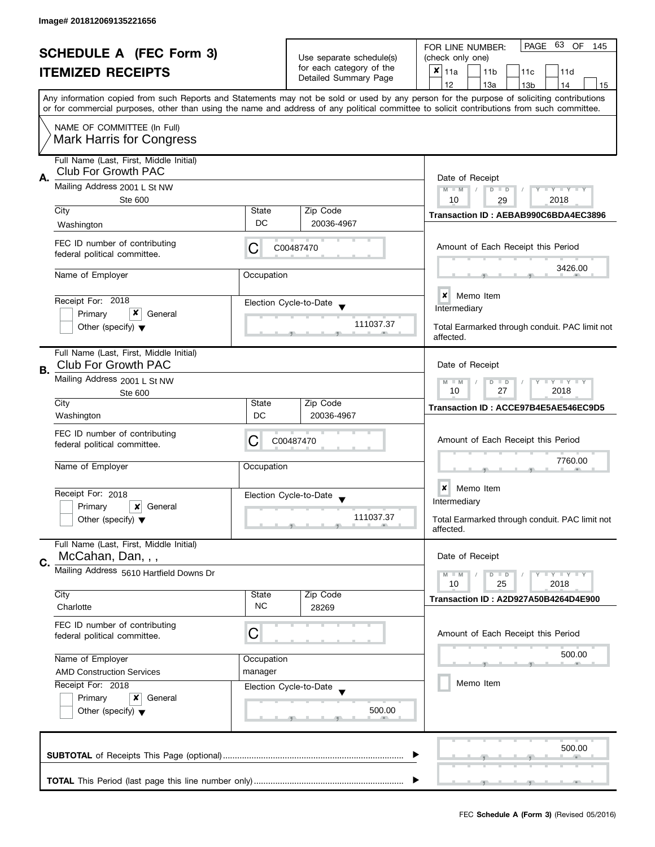| <b>SCHEDULE A (FEC Form 3)</b> |                                                                                                                                     |                                                                         | 63 OF<br>PAGE<br>FOR LINE NUMBER:<br>145          |                                                                                                                                                                                                                                                                                         |
|--------------------------------|-------------------------------------------------------------------------------------------------------------------------------------|-------------------------------------------------------------------------|---------------------------------------------------|-----------------------------------------------------------------------------------------------------------------------------------------------------------------------------------------------------------------------------------------------------------------------------------------|
|                                | <b>ITEMIZED RECEIPTS</b>                                                                                                            |                                                                         | Use separate schedule(s)                          | (check only one)                                                                                                                                                                                                                                                                        |
|                                |                                                                                                                                     |                                                                         | for each category of the<br>Detailed Summary Page | ×<br>11a<br>11 <sub>b</sub><br>11c<br>11d                                                                                                                                                                                                                                               |
|                                |                                                                                                                                     |                                                                         |                                                   | 12<br>13a<br>13 <sub>b</sub><br>14<br>15                                                                                                                                                                                                                                                |
|                                |                                                                                                                                     |                                                                         |                                                   | Any information copied from such Reports and Statements may not be sold or used by any person for the purpose of soliciting contributions<br>or for commercial purposes, other than using the name and address of any political committee to solicit contributions from such committee. |
|                                | NAME OF COMMITTEE (In Full)<br><b>Mark Harris for Congress</b>                                                                      |                                                                         |                                                   |                                                                                                                                                                                                                                                                                         |
|                                | Full Name (Last, First, Middle Initial)<br><b>Club For Growth PAC</b>                                                               |                                                                         |                                                   |                                                                                                                                                                                                                                                                                         |
| А.                             | Mailing Address 2001 L St NW<br>Ste 600                                                                                             | Date of Receipt<br>$M - M$<br>Y TY TY TY<br>$D$ $D$<br>2018<br>10<br>29 |                                                   |                                                                                                                                                                                                                                                                                         |
|                                | City                                                                                                                                | State                                                                   | Zip Code                                          |                                                                                                                                                                                                                                                                                         |
|                                | Washington                                                                                                                          | DC                                                                      | 20036-4967                                        | Transaction ID: AEBAB990C6BDA4EC3896                                                                                                                                                                                                                                                    |
|                                | FEC ID number of contributing<br>federal political committee.                                                                       | С                                                                       | C00487470                                         | Amount of Each Receipt this Period                                                                                                                                                                                                                                                      |
|                                | Name of Employer                                                                                                                    | Occupation                                                              |                                                   | 3426.00                                                                                                                                                                                                                                                                                 |
|                                | Receipt For: 2018                                                                                                                   |                                                                         | Election Cycle-to-Date                            | $\boldsymbol{x}$<br>Memo Item                                                                                                                                                                                                                                                           |
|                                | x<br>Primary<br>General                                                                                                             |                                                                         |                                                   | Intermediary                                                                                                                                                                                                                                                                            |
|                                | Other (specify) $\blacktriangledown$                                                                                                |                                                                         | 111037.37                                         | Total Earmarked through conduit. PAC limit not<br>affected.                                                                                                                                                                                                                             |
| В.                             | Full Name (Last, First, Middle Initial)<br><b>Club For Growth PAC</b>                                                               |                                                                         |                                                   | Date of Receipt                                                                                                                                                                                                                                                                         |
|                                | Mailing Address 2001 L St NW<br>Ste 600                                                                                             |                                                                         |                                                   | $T - Y = T - Y$<br>$M - M$<br>D<br>$\Box$<br>10<br>27<br>2018                                                                                                                                                                                                                           |
|                                | City                                                                                                                                | State                                                                   | Zip Code                                          | Transaction ID: ACCE97B4E5AE546EC9D5                                                                                                                                                                                                                                                    |
|                                | Washington                                                                                                                          | DC                                                                      | 20036-4967                                        |                                                                                                                                                                                                                                                                                         |
|                                | FEC ID number of contributing<br>federal political committee.                                                                       | С                                                                       | C00487470                                         | Amount of Each Receipt this Period                                                                                                                                                                                                                                                      |
|                                | Name of Employer                                                                                                                    | Occupation                                                              |                                                   | 7760.00                                                                                                                                                                                                                                                                                 |
|                                | Receipt For: 2018                                                                                                                   |                                                                         | Election Cycle-to-Date                            | ×<br>Memo Item                                                                                                                                                                                                                                                                          |
|                                | Primary<br>×<br>General                                                                                                             |                                                                         | $\overline{\mathbf{v}}$                           | Intermediary                                                                                                                                                                                                                                                                            |
|                                | Other (specify) $\blacktriangledown$                                                                                                |                                                                         | 111037.37                                         | Total Earmarked through conduit. PAC limit not<br>affected.                                                                                                                                                                                                                             |
|                                | Full Name (Last, First, Middle Initial)<br>McCahan, Dan, , ,                                                                        |                                                                         |                                                   | Date of Receipt                                                                                                                                                                                                                                                                         |
| C.                             | Mailing Address 5610 Hartfield Downs Dr                                                                                             |                                                                         |                                                   | $Y = Y + Y$<br>$M - M$<br>$D$ $D$                                                                                                                                                                                                                                                       |
|                                |                                                                                                                                     |                                                                         |                                                   | 10<br>25<br>2018                                                                                                                                                                                                                                                                        |
|                                | City<br>Charlotte                                                                                                                   | State<br><b>NC</b>                                                      | Zip Code<br>28269                                 | Transaction ID: A2D927A50B4264D4E900                                                                                                                                                                                                                                                    |
|                                | FEC ID number of contributing<br>federal political committee.                                                                       | C                                                                       |                                                   | Amount of Each Receipt this Period                                                                                                                                                                                                                                                      |
|                                | Name of Employer                                                                                                                    |                                                                         |                                                   | 500.00                                                                                                                                                                                                                                                                                  |
|                                | Occupation<br><b>AMD Construction Services</b><br>manager<br>Receipt For: 2018<br>Election Cycle-to-Date<br>Primary<br>x<br>General |                                                                         |                                                   |                                                                                                                                                                                                                                                                                         |
|                                |                                                                                                                                     |                                                                         |                                                   | Memo Item                                                                                                                                                                                                                                                                               |
|                                |                                                                                                                                     |                                                                         |                                                   |                                                                                                                                                                                                                                                                                         |
|                                | Other (specify) $\blacktriangledown$                                                                                                |                                                                         | 500.00                                            |                                                                                                                                                                                                                                                                                         |
|                                |                                                                                                                                     |                                                                         |                                                   | 500.00                                                                                                                                                                                                                                                                                  |
|                                |                                                                                                                                     |                                                                         |                                                   |                                                                                                                                                                                                                                                                                         |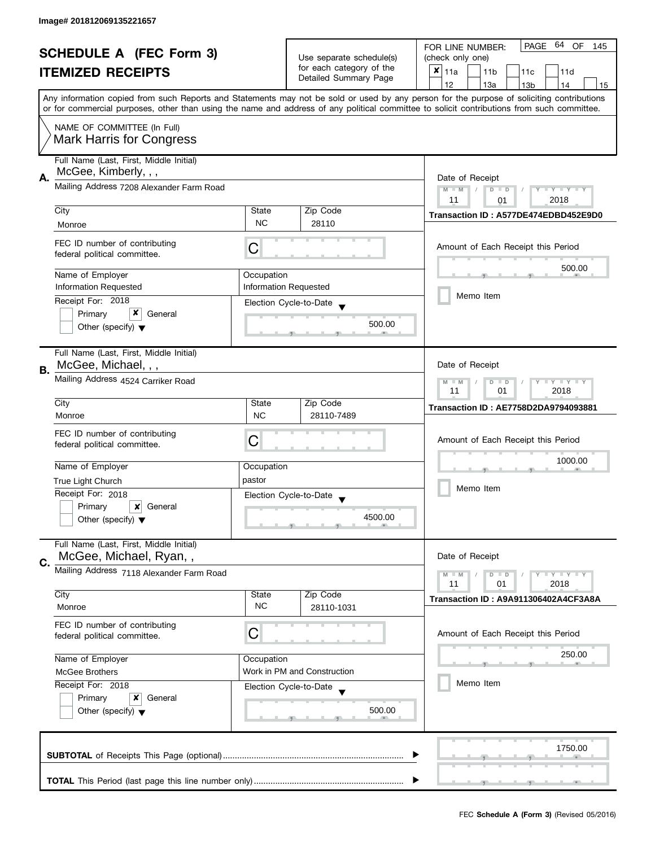|                          | <b>SCHEDULE A (FEC Form 3)</b>                                  |                                                                            |                                                   | 64 OF<br>PAGE<br>FOR LINE NUMBER:<br>145                                                                                                                                                                                                                                                |  |
|--------------------------|-----------------------------------------------------------------|----------------------------------------------------------------------------|---------------------------------------------------|-----------------------------------------------------------------------------------------------------------------------------------------------------------------------------------------------------------------------------------------------------------------------------------------|--|
| <b>ITEMIZED RECEIPTS</b> |                                                                 | Use separate schedule(s)                                                   | (check only one)                                  |                                                                                                                                                                                                                                                                                         |  |
|                          |                                                                 | for each category of the<br>Detailed Summary Page                          | ×<br>11a<br>11 <sub>b</sub><br>11c<br>11d         |                                                                                                                                                                                                                                                                                         |  |
|                          |                                                                 |                                                                            |                                                   | 12<br>13a<br>13 <sub>b</sub><br>14<br>15                                                                                                                                                                                                                                                |  |
|                          |                                                                 |                                                                            |                                                   | Any information copied from such Reports and Statements may not be sold or used by any person for the purpose of soliciting contributions<br>or for commercial purposes, other than using the name and address of any political committee to solicit contributions from such committee. |  |
|                          | NAME OF COMMITTEE (In Full)                                     |                                                                            |                                                   |                                                                                                                                                                                                                                                                                         |  |
|                          | <b>Mark Harris for Congress</b>                                 |                                                                            |                                                   |                                                                                                                                                                                                                                                                                         |  |
|                          | Full Name (Last, First, Middle Initial)<br>McGee, Kimberly, , , |                                                                            |                                                   |                                                                                                                                                                                                                                                                                         |  |
| А.                       | Mailing Address 7208 Alexander Farm Road                        | Date of Receipt<br>$M - M$<br>$D$ $D$<br>Y I Y I Y I Y<br>11<br>2018<br>01 |                                                   |                                                                                                                                                                                                                                                                                         |  |
|                          | City                                                            | State                                                                      | Zip Code                                          |                                                                                                                                                                                                                                                                                         |  |
|                          | Monroe                                                          | <b>NC</b>                                                                  | 28110                                             | Transaction ID: A577DE474EDBD452E9D0                                                                                                                                                                                                                                                    |  |
|                          |                                                                 |                                                                            |                                                   |                                                                                                                                                                                                                                                                                         |  |
|                          | FEC ID number of contributing<br>federal political committee.   | С                                                                          |                                                   | Amount of Each Receipt this Period                                                                                                                                                                                                                                                      |  |
|                          | Name of Employer                                                | Occupation                                                                 |                                                   | 500.00                                                                                                                                                                                                                                                                                  |  |
|                          | Information Requested                                           |                                                                            | <b>Information Requested</b>                      |                                                                                                                                                                                                                                                                                         |  |
|                          | Receipt For: 2018                                               |                                                                            | Election Cycle-to-Date                            | Memo Item                                                                                                                                                                                                                                                                               |  |
|                          | x<br>Primary<br>General                                         |                                                                            |                                                   |                                                                                                                                                                                                                                                                                         |  |
|                          | Other (specify) $\blacktriangledown$                            |                                                                            | 500.00                                            |                                                                                                                                                                                                                                                                                         |  |
|                          | Full Name (Last, First, Middle Initial)                         |                                                                            |                                                   |                                                                                                                                                                                                                                                                                         |  |
| В.                       | McGee, Michael, , ,                                             |                                                                            |                                                   | Date of Receipt                                                                                                                                                                                                                                                                         |  |
|                          | Mailing Address 4524 Carriker Road                              |                                                                            |                                                   | $\bot$ $\gamma$ $\bot$ $\gamma$ $\bot$ $\gamma$<br>D<br>$\Box$<br>11<br>01<br>2018                                                                                                                                                                                                      |  |
|                          | City                                                            | State                                                                      | Zip Code                                          | <b>Transaction ID: AE7758D2DA9794093881</b>                                                                                                                                                                                                                                             |  |
|                          | Monroe                                                          | <b>NC</b>                                                                  | 28110-7489                                        |                                                                                                                                                                                                                                                                                         |  |
|                          | FEC ID number of contributing                                   |                                                                            |                                                   |                                                                                                                                                                                                                                                                                         |  |
|                          | federal political committee.                                    | С                                                                          |                                                   | Amount of Each Receipt this Period                                                                                                                                                                                                                                                      |  |
|                          |                                                                 |                                                                            |                                                   | 1000.00                                                                                                                                                                                                                                                                                 |  |
|                          | Name of Employer                                                | Occupation                                                                 |                                                   |                                                                                                                                                                                                                                                                                         |  |
|                          | True Light Church                                               | pastor                                                                     |                                                   | Memo Item                                                                                                                                                                                                                                                                               |  |
|                          | Receipt For: 2018                                               |                                                                            | Election Cycle-to-Date<br>$\overline{\mathbf{v}}$ |                                                                                                                                                                                                                                                                                         |  |
|                          | Primary<br>x<br>General<br>Other (specify) $\blacktriangledown$ |                                                                            | 4500.00                                           |                                                                                                                                                                                                                                                                                         |  |
|                          |                                                                 |                                                                            |                                                   |                                                                                                                                                                                                                                                                                         |  |
|                          | Full Name (Last, First, Middle Initial)                         |                                                                            |                                                   |                                                                                                                                                                                                                                                                                         |  |
| C.                       | McGee, Michael, Ryan,,                                          |                                                                            |                                                   | Date of Receipt                                                                                                                                                                                                                                                                         |  |
|                          | Mailing Address 7118 Alexander Farm Road                        |                                                                            |                                                   | $Y = Y + Y$<br>$M - M$<br>$D$ $D$<br>11<br>01                                                                                                                                                                                                                                           |  |
|                          | City                                                            | State                                                                      | Zip Code                                          | 2018                                                                                                                                                                                                                                                                                    |  |
|                          | Monroe                                                          | NC.                                                                        | 28110-1031                                        | Transaction ID: A9A911306402A4CF3A8A                                                                                                                                                                                                                                                    |  |
|                          | FEC ID number of contributing                                   | С                                                                          |                                                   | Amount of Each Receipt this Period                                                                                                                                                                                                                                                      |  |
|                          | federal political committee.                                    |                                                                            |                                                   |                                                                                                                                                                                                                                                                                         |  |
|                          | Name of Employer                                                | Occupation                                                                 |                                                   | 250.00                                                                                                                                                                                                                                                                                  |  |
|                          | <b>McGee Brothers</b>                                           |                                                                            | Work in PM and Construction                       |                                                                                                                                                                                                                                                                                         |  |
|                          | Receipt For: 2018                                               |                                                                            | Election Cycle-to-Date                            | Memo Item                                                                                                                                                                                                                                                                               |  |
|                          | Primary<br>x<br>General                                         |                                                                            |                                                   |                                                                                                                                                                                                                                                                                         |  |
|                          | Other (specify) $\blacktriangledown$                            |                                                                            | 500.00                                            |                                                                                                                                                                                                                                                                                         |  |
|                          |                                                                 |                                                                            |                                                   |                                                                                                                                                                                                                                                                                         |  |
|                          |                                                                 |                                                                            |                                                   | 1750.00                                                                                                                                                                                                                                                                                 |  |
|                          |                                                                 |                                                                            |                                                   |                                                                                                                                                                                                                                                                                         |  |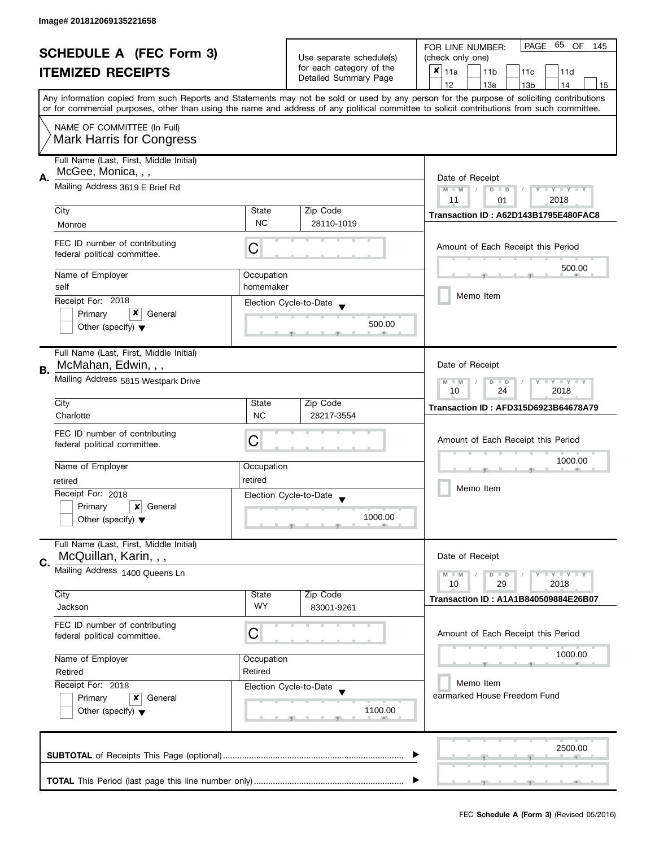| <b>SCHEDULE A (FEC Form 3)</b><br><b>ITEMIZED RECEIPTS</b> |                                         | Use separate schedule(s) | PAGE<br>65<br>OF<br>FOR LINE NUMBER:<br>145 |                                                                                                                                            |  |
|------------------------------------------------------------|-----------------------------------------|--------------------------|---------------------------------------------|--------------------------------------------------------------------------------------------------------------------------------------------|--|
|                                                            |                                         |                          | (check only one)                            |                                                                                                                                            |  |
|                                                            |                                         | for each category of the | $x _{11a}$<br>11 <sub>b</sub><br>11c<br>11d |                                                                                                                                            |  |
|                                                            |                                         |                          | Detailed Summary Page                       | 12<br>13a<br>14<br>13 <sub>b</sub><br>15                                                                                                   |  |
|                                                            |                                         |                          |                                             | Any information copied from such Reports and Statements may not be sold or used by any person for the purpose of soliciting contributions  |  |
|                                                            |                                         |                          |                                             | or for commercial purposes, other than using the name and address of any political committee to solicit contributions from such committee. |  |
|                                                            | NAME OF COMMITTEE (In Full)             |                          |                                             |                                                                                                                                            |  |
|                                                            | <b>Mark Harris for Congress</b>         |                          |                                             |                                                                                                                                            |  |
|                                                            |                                         |                          |                                             |                                                                                                                                            |  |
|                                                            | Full Name (Last, First, Middle Initial) |                          |                                             |                                                                                                                                            |  |
|                                                            | McGee, Monica, , ,                      |                          |                                             |                                                                                                                                            |  |
| Α.                                                         | Mailing Address 3619 E Brief Rd         |                          |                                             | Date of Receipt                                                                                                                            |  |
|                                                            |                                         |                          |                                             | $M - M$<br>Y TY TY TY<br>$D$ $D$<br>2018<br>11                                                                                             |  |
|                                                            | City                                    | State                    | Zip Code                                    | 01                                                                                                                                         |  |
|                                                            |                                         | <b>NC</b>                | 28110-1019                                  | Transaction ID: A62D143B1795E480FAC8                                                                                                       |  |
|                                                            | Monroe                                  |                          |                                             |                                                                                                                                            |  |
|                                                            | FEC ID number of contributing           |                          |                                             | Amount of Each Receipt this Period                                                                                                         |  |
|                                                            | federal political committee.            | С                        |                                             |                                                                                                                                            |  |
|                                                            |                                         |                          |                                             | 500.00                                                                                                                                     |  |
|                                                            | Name of Employer                        | Occupation               |                                             |                                                                                                                                            |  |
|                                                            | self                                    | homemaker                |                                             |                                                                                                                                            |  |
|                                                            | Receipt For: 2018                       |                          | Election Cycle-to-Date                      | Memo Item                                                                                                                                  |  |
|                                                            | x<br>Primary<br>General                 |                          |                                             |                                                                                                                                            |  |
|                                                            | Other (specify) $\blacktriangledown$    |                          | 500.00                                      |                                                                                                                                            |  |
|                                                            |                                         |                          |                                             |                                                                                                                                            |  |
|                                                            | Full Name (Last, First, Middle Initial) |                          |                                             |                                                                                                                                            |  |
|                                                            | McMahan, Edwin, , ,                     |                          |                                             | Date of Receipt                                                                                                                            |  |
| В.                                                         |                                         |                          |                                             |                                                                                                                                            |  |
|                                                            | Mailing Address 5815 Westpark Drive     |                          |                                             | Y LY LY<br>$M - M$<br>D<br>$\Box$                                                                                                          |  |
|                                                            |                                         |                          |                                             | 2018<br>10<br>24                                                                                                                           |  |
|                                                            | City                                    | State                    | Zip Code                                    | <b>Transaction ID: AFD315D6923B64678A79</b>                                                                                                |  |
|                                                            | Charlotte                               | <b>NC</b>                | 28217-3554                                  |                                                                                                                                            |  |
|                                                            | FEC ID number of contributing           |                          |                                             |                                                                                                                                            |  |
|                                                            | federal political committee.            | C                        |                                             | Amount of Each Receipt this Period                                                                                                         |  |
|                                                            |                                         |                          |                                             | 1000.00                                                                                                                                    |  |
|                                                            | Name of Employer                        | Occupation               |                                             |                                                                                                                                            |  |
|                                                            | retired                                 | retired                  |                                             |                                                                                                                                            |  |
|                                                            | Receipt For: 2018                       |                          | Election Cycle-to-Date                      | Memo Item                                                                                                                                  |  |
|                                                            | Primary<br>General<br>x                 |                          |                                             |                                                                                                                                            |  |
|                                                            | Other (specify) $\blacktriangledown$    |                          | 1000.00                                     |                                                                                                                                            |  |
|                                                            |                                         |                          |                                             |                                                                                                                                            |  |
|                                                            | Full Name (Last, First, Middle Initial) |                          |                                             |                                                                                                                                            |  |
|                                                            | McQuillan, Karin, , ,                   |                          |                                             | Date of Receipt                                                                                                                            |  |
| C.                                                         | Mailing Address 1400 Queens Ln          |                          |                                             |                                                                                                                                            |  |
|                                                            |                                         |                          |                                             | $\bot$ Y $\bot$ Y $\bot$ Y<br>$M - M$<br>$D$ $D$<br>10<br>29<br>2018                                                                       |  |
|                                                            | City                                    | State                    | Zip Code                                    |                                                                                                                                            |  |
|                                                            | Jackson                                 | <b>WY</b>                | 83001-9261                                  | <b>Transaction ID: A1A1B840509884E26B07</b>                                                                                                |  |
|                                                            |                                         |                          |                                             |                                                                                                                                            |  |
|                                                            | FEC ID number of contributing           | С                        |                                             | Amount of Each Receipt this Period                                                                                                         |  |
|                                                            | federal political committee.            |                          |                                             |                                                                                                                                            |  |
|                                                            |                                         |                          |                                             | 1000.00                                                                                                                                    |  |
|                                                            | Name of Employer                        | Occupation               |                                             |                                                                                                                                            |  |
|                                                            | Retired<br>Retired                      |                          |                                             |                                                                                                                                            |  |
|                                                            | Receipt For: 2018                       |                          | Election Cycle-to-Date                      | Memo Item                                                                                                                                  |  |
|                                                            | Primary<br>x<br>General                 |                          |                                             | earmarked House Freedom Fund                                                                                                               |  |
|                                                            | Other (specify) $\blacktriangledown$    |                          | 1100.00                                     |                                                                                                                                            |  |
|                                                            |                                         |                          |                                             |                                                                                                                                            |  |
|                                                            |                                         |                          |                                             |                                                                                                                                            |  |
|                                                            |                                         |                          |                                             | 2500.00                                                                                                                                    |  |
|                                                            |                                         |                          |                                             |                                                                                                                                            |  |
|                                                            |                                         |                          |                                             |                                                                                                                                            |  |
|                                                            |                                         |                          |                                             |                                                                                                                                            |  |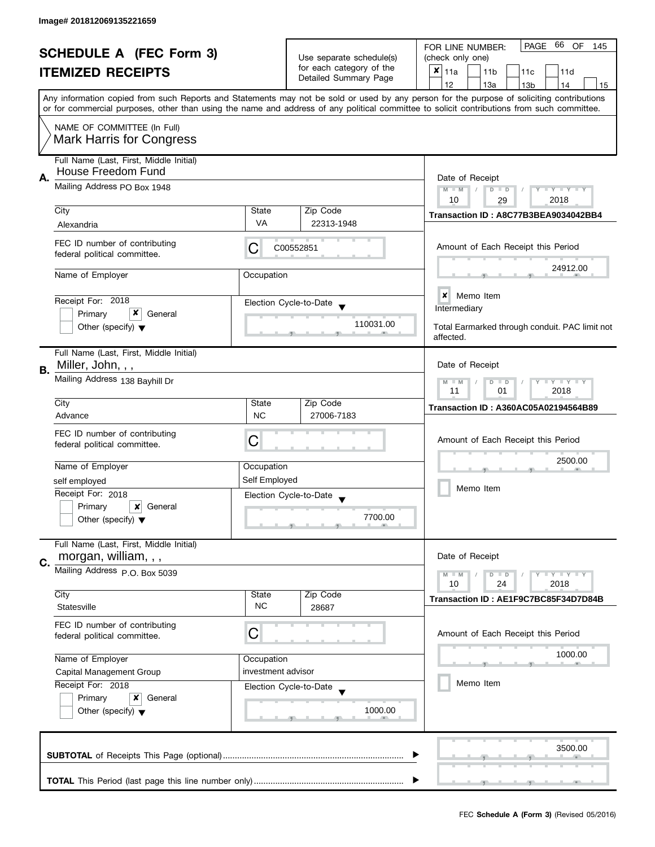| <b>SCHEDULE A (FEC Form 3)</b> |                                                               |                    | 66 OF<br>PAGE<br>FOR LINE NUMBER:<br>145 |                                                                                                                                            |  |  |
|--------------------------------|---------------------------------------------------------------|--------------------|------------------------------------------|--------------------------------------------------------------------------------------------------------------------------------------------|--|--|
|                                |                                                               |                    | Use separate schedule(s)                 | (check only one)                                                                                                                           |  |  |
|                                | <b>ITEMIZED RECEIPTS</b>                                      |                    | for each category of the                 | $x _{11a}$<br>11 <sub>b</sub><br>11c<br>11d                                                                                                |  |  |
|                                |                                                               |                    | Detailed Summary Page                    | 12<br>13a<br>13 <sub>b</sub><br>14<br>15                                                                                                   |  |  |
|                                |                                                               |                    |                                          | Any information copied from such Reports and Statements may not be sold or used by any person for the purpose of soliciting contributions  |  |  |
|                                |                                                               |                    |                                          | or for commercial purposes, other than using the name and address of any political committee to solicit contributions from such committee. |  |  |
|                                | NAME OF COMMITTEE (In Full)                                   |                    |                                          |                                                                                                                                            |  |  |
|                                | <b>Mark Harris for Congress</b>                               |                    |                                          |                                                                                                                                            |  |  |
|                                | Full Name (Last, First, Middle Initial)                       |                    |                                          |                                                                                                                                            |  |  |
|                                | House Freedom Fund                                            |                    |                                          |                                                                                                                                            |  |  |
| Α.                             | Mailing Address PO Box 1948                                   | Date of Receipt    |                                          |                                                                                                                                            |  |  |
|                                |                                                               |                    |                                          | $M - M$<br>Y I Y I Y I Y<br>$D$ $D$                                                                                                        |  |  |
|                                | City                                                          | State              | Zip Code                                 | 2018<br>10<br>29                                                                                                                           |  |  |
|                                | Alexandria                                                    | VA                 | 22313-1948                               | Transaction ID: A8C77B3BEA9034042BB4                                                                                                       |  |  |
|                                |                                                               |                    |                                          |                                                                                                                                            |  |  |
|                                | FEC ID number of contributing                                 | С                  | C00552851                                | Amount of Each Receipt this Period                                                                                                         |  |  |
|                                | federal political committee.                                  |                    |                                          |                                                                                                                                            |  |  |
|                                | Name of Employer                                              | Occupation         |                                          | 24912.00                                                                                                                                   |  |  |
|                                |                                                               |                    |                                          |                                                                                                                                            |  |  |
|                                | Receipt For: 2018                                             |                    | Election Cycle-to-Date                   | ×<br>Memo Item                                                                                                                             |  |  |
|                                | x<br>Primary<br>General                                       |                    |                                          | Intermediary                                                                                                                               |  |  |
|                                | Other (specify) $\blacktriangledown$                          |                    | 110031.00                                | Total Earmarked through conduit. PAC limit not                                                                                             |  |  |
|                                |                                                               |                    |                                          | affected.                                                                                                                                  |  |  |
|                                | Full Name (Last, First, Middle Initial)                       |                    |                                          |                                                                                                                                            |  |  |
|                                | Miller, John, , ,                                             |                    |                                          | Date of Receipt                                                                                                                            |  |  |
| В.                             | Mailing Address 138 Bayhill Dr                                |                    |                                          |                                                                                                                                            |  |  |
|                                |                                                               |                    |                                          | <b>LYLYLY</b><br>$M - M$<br>$D$ $D$<br>11<br>2018<br>01                                                                                    |  |  |
|                                | City                                                          | State              | Zip Code                                 |                                                                                                                                            |  |  |
|                                | Advance                                                       | <b>NC</b>          | 27006-7183                               | <b>Transaction ID: A360AC05A02194564B89</b>                                                                                                |  |  |
|                                |                                                               |                    |                                          |                                                                                                                                            |  |  |
|                                | FEC ID number of contributing<br>federal political committee. | С                  |                                          | Amount of Each Receipt this Period                                                                                                         |  |  |
|                                |                                                               |                    |                                          |                                                                                                                                            |  |  |
|                                | Name of Employer                                              | Occupation         |                                          | 2500.00                                                                                                                                    |  |  |
|                                | self employed                                                 | Self Employed      |                                          |                                                                                                                                            |  |  |
|                                | Receipt For: 2018                                             |                    | Election Cycle-to-Date                   | Memo Item                                                                                                                                  |  |  |
|                                | Primary<br>x<br>General                                       |                    | $\overline{\phantom{a}}$                 |                                                                                                                                            |  |  |
|                                | Other (specify) $\blacktriangledown$                          |                    | 7700.00                                  |                                                                                                                                            |  |  |
|                                |                                                               |                    |                                          |                                                                                                                                            |  |  |
|                                | Full Name (Last, First, Middle Initial)                       |                    |                                          |                                                                                                                                            |  |  |
| C.                             | morgan, william, , ,                                          |                    |                                          | Date of Receipt                                                                                                                            |  |  |
|                                | Mailing Address P.O. Box 5039                                 |                    |                                          | <b>LY LY LY</b><br>$M - M$<br>$D$ $D$                                                                                                      |  |  |
|                                |                                                               |                    |                                          | 10<br>24<br>2018                                                                                                                           |  |  |
|                                | City                                                          | State              | Zip Code                                 | Transaction ID: AE1F9C7BC85F34D7D84B                                                                                                       |  |  |
|                                | Statesville                                                   | <b>NC</b>          | 28687                                    |                                                                                                                                            |  |  |
|                                | FEC ID number of contributing                                 |                    |                                          |                                                                                                                                            |  |  |
|                                | federal political committee.                                  | С                  |                                          | Amount of Each Receipt this Period                                                                                                         |  |  |
|                                |                                                               |                    |                                          | 1000.00                                                                                                                                    |  |  |
|                                | Name of Employer                                              | Occupation         |                                          |                                                                                                                                            |  |  |
|                                | Capital Management Group                                      | investment advisor |                                          | Memo Item                                                                                                                                  |  |  |
|                                | Receipt For: 2018                                             |                    | Election Cycle-to-Date                   |                                                                                                                                            |  |  |
|                                | Primary<br>General<br>x                                       |                    |                                          |                                                                                                                                            |  |  |
|                                | Other (specify) $\blacktriangledown$                          |                    | 1000.00                                  |                                                                                                                                            |  |  |
|                                |                                                               |                    |                                          |                                                                                                                                            |  |  |
|                                |                                                               |                    |                                          | 3500.00                                                                                                                                    |  |  |
|                                |                                                               |                    |                                          |                                                                                                                                            |  |  |
|                                |                                                               |                    |                                          |                                                                                                                                            |  |  |
|                                |                                                               |                    |                                          |                                                                                                                                            |  |  |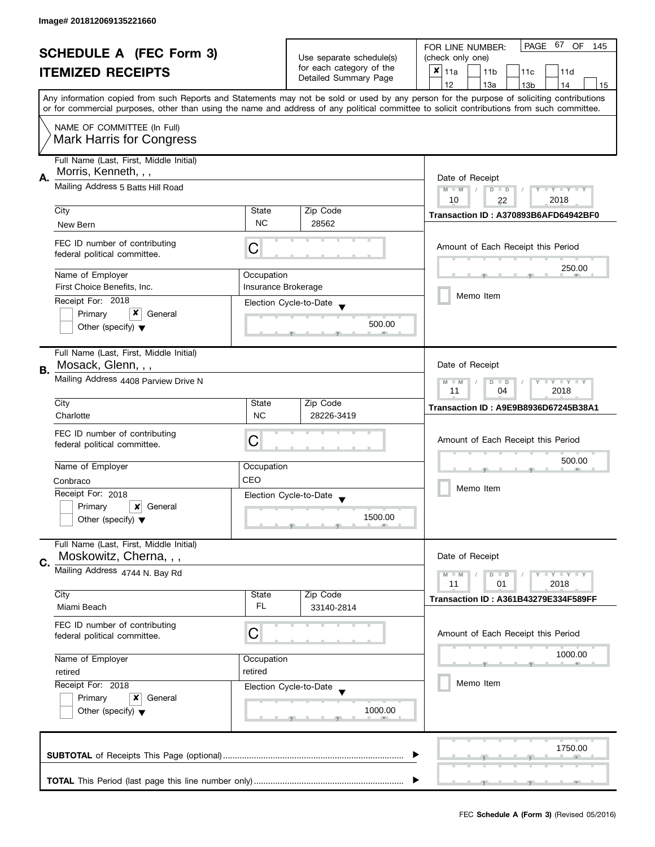| <b>SCHEDULE A (FEC Form 3)</b><br><b>ITEMIZED RECEIPTS</b> |                                                                                                                                |                                                                 | PAGE 67<br>OF<br>FOR LINE NUMBER:<br>145    |                                                                                                                                                                                                                                                                                         |
|------------------------------------------------------------|--------------------------------------------------------------------------------------------------------------------------------|-----------------------------------------------------------------|---------------------------------------------|-----------------------------------------------------------------------------------------------------------------------------------------------------------------------------------------------------------------------------------------------------------------------------------------|
|                                                            |                                                                                                                                | Use separate schedule(s)                                        | (check only one)                            |                                                                                                                                                                                                                                                                                         |
|                                                            |                                                                                                                                | for each category of the<br>Detailed Summary Page               | $x _{11a}$<br>11 <sub>b</sub><br>11c<br>11d |                                                                                                                                                                                                                                                                                         |
|                                                            |                                                                                                                                |                                                                 |                                             | 12<br>13a<br>13 <sub>b</sub><br>14<br>15                                                                                                                                                                                                                                                |
|                                                            |                                                                                                                                |                                                                 |                                             | Any information copied from such Reports and Statements may not be sold or used by any person for the purpose of soliciting contributions<br>or for commercial purposes, other than using the name and address of any political committee to solicit contributions from such committee. |
|                                                            |                                                                                                                                |                                                                 |                                             |                                                                                                                                                                                                                                                                                         |
|                                                            | NAME OF COMMITTEE (In Full)<br><b>Mark Harris for Congress</b>                                                                 |                                                                 |                                             |                                                                                                                                                                                                                                                                                         |
|                                                            | Full Name (Last, First, Middle Initial)<br>Morris, Kenneth, , ,                                                                |                                                                 |                                             |                                                                                                                                                                                                                                                                                         |
| Α.                                                         | Mailing Address 5 Batts Hill Road                                                                                              | Date of Receipt<br>$M - M$<br>$T - Y = Y - T Y$<br>$D$ $D$<br>Y |                                             |                                                                                                                                                                                                                                                                                         |
|                                                            | City                                                                                                                           | State                                                           | Zip Code                                    | 10<br>2018<br>22                                                                                                                                                                                                                                                                        |
|                                                            |                                                                                                                                | <b>NC</b>                                                       | 28562                                       | Transaction ID: A370893B6AFD64942BF0                                                                                                                                                                                                                                                    |
|                                                            | New Bern                                                                                                                       |                                                                 |                                             |                                                                                                                                                                                                                                                                                         |
|                                                            | FEC ID number of contributing<br>federal political committee.                                                                  | C                                                               |                                             | Amount of Each Receipt this Period                                                                                                                                                                                                                                                      |
|                                                            | Name of Employer                                                                                                               | Occupation                                                      |                                             | 250.00                                                                                                                                                                                                                                                                                  |
|                                                            | First Choice Benefits, Inc.                                                                                                    | Insurance Brokerage                                             |                                             |                                                                                                                                                                                                                                                                                         |
|                                                            | Receipt For: 2018                                                                                                              |                                                                 | Election Cycle-to-Date                      | Memo Item                                                                                                                                                                                                                                                                               |
|                                                            | x<br>General<br>Primary                                                                                                        |                                                                 |                                             |                                                                                                                                                                                                                                                                                         |
|                                                            | Other (specify) $\blacktriangledown$                                                                                           |                                                                 | 500.00                                      |                                                                                                                                                                                                                                                                                         |
|                                                            | Full Name (Last, First, Middle Initial)                                                                                        |                                                                 |                                             |                                                                                                                                                                                                                                                                                         |
| В.                                                         | Mosack, Glenn, , ,                                                                                                             |                                                                 |                                             | Date of Receipt                                                                                                                                                                                                                                                                         |
|                                                            | Mailing Address 4408 Parview Drive N                                                                                           | Y LY LY<br>$M - M$<br>D<br>$\Box$<br>2018<br>11<br>04           |                                             |                                                                                                                                                                                                                                                                                         |
|                                                            | City                                                                                                                           | State                                                           | Zip Code                                    | <b>Transaction ID: A9E9B8936D67245B38A1</b>                                                                                                                                                                                                                                             |
|                                                            | Charlotte                                                                                                                      | <b>NC</b>                                                       | 28226-3419                                  |                                                                                                                                                                                                                                                                                         |
|                                                            | FEC ID number of contributing                                                                                                  |                                                                 |                                             |                                                                                                                                                                                                                                                                                         |
|                                                            | federal political committee.                                                                                                   | C                                                               |                                             | Amount of Each Receipt this Period                                                                                                                                                                                                                                                      |
|                                                            |                                                                                                                                |                                                                 |                                             | 500.00                                                                                                                                                                                                                                                                                  |
|                                                            | Name of Employer                                                                                                               | Occupation                                                      |                                             |                                                                                                                                                                                                                                                                                         |
|                                                            | Conbraco                                                                                                                       | CEO                                                             |                                             | Memo Item                                                                                                                                                                                                                                                                               |
|                                                            | Receipt For: 2018                                                                                                              |                                                                 | Election Cycle-to-Date                      |                                                                                                                                                                                                                                                                                         |
|                                                            | Primary<br>$\boldsymbol{x}$<br>General                                                                                         |                                                                 |                                             |                                                                                                                                                                                                                                                                                         |
|                                                            | Other (specify) $\blacktriangledown$                                                                                           |                                                                 | 1500.00                                     |                                                                                                                                                                                                                                                                                         |
|                                                            | Full Name (Last, First, Middle Initial)                                                                                        |                                                                 |                                             |                                                                                                                                                                                                                                                                                         |
| C.                                                         | Moskowitz, Cherna, , ,                                                                                                         |                                                                 |                                             | Date of Receipt                                                                                                                                                                                                                                                                         |
|                                                            | Mailing Address 4744 N. Bay Rd                                                                                                 |                                                                 |                                             | Y LY LY<br>$M - M$<br>$D$ $D$                                                                                                                                                                                                                                                           |
|                                                            |                                                                                                                                |                                                                 |                                             | 01<br>2018<br>11                                                                                                                                                                                                                                                                        |
|                                                            | City<br>Miami Beach                                                                                                            | State<br>FL                                                     | Zip Code                                    | <b>Transaction ID: A361B43279E334F589FF</b>                                                                                                                                                                                                                                             |
|                                                            |                                                                                                                                |                                                                 | 33140-2814                                  |                                                                                                                                                                                                                                                                                         |
|                                                            | FEC ID number of contributing                                                                                                  | С                                                               |                                             | Amount of Each Receipt this Period                                                                                                                                                                                                                                                      |
|                                                            | federal political committee.                                                                                                   |                                                                 |                                             |                                                                                                                                                                                                                                                                                         |
|                                                            | Name of Employer<br>Occupation<br>retired<br>retired<br>Receipt For: 2018<br>Election Cycle-to-Date<br>Primary<br>General<br>x |                                                                 |                                             | 1000.00                                                                                                                                                                                                                                                                                 |
|                                                            |                                                                                                                                |                                                                 |                                             |                                                                                                                                                                                                                                                                                         |
|                                                            |                                                                                                                                |                                                                 |                                             | Memo Item                                                                                                                                                                                                                                                                               |
|                                                            |                                                                                                                                |                                                                 |                                             |                                                                                                                                                                                                                                                                                         |
|                                                            | Other (specify) $\blacktriangledown$                                                                                           |                                                                 | 1000.00                                     |                                                                                                                                                                                                                                                                                         |
|                                                            |                                                                                                                                |                                                                 |                                             |                                                                                                                                                                                                                                                                                         |
|                                                            |                                                                                                                                |                                                                 |                                             |                                                                                                                                                                                                                                                                                         |
|                                                            |                                                                                                                                |                                                                 |                                             | 1750.00                                                                                                                                                                                                                                                                                 |
|                                                            |                                                                                                                                |                                                                 |                                             |                                                                                                                                                                                                                                                                                         |
|                                                            |                                                                                                                                |                                                                 |                                             |                                                                                                                                                                                                                                                                                         |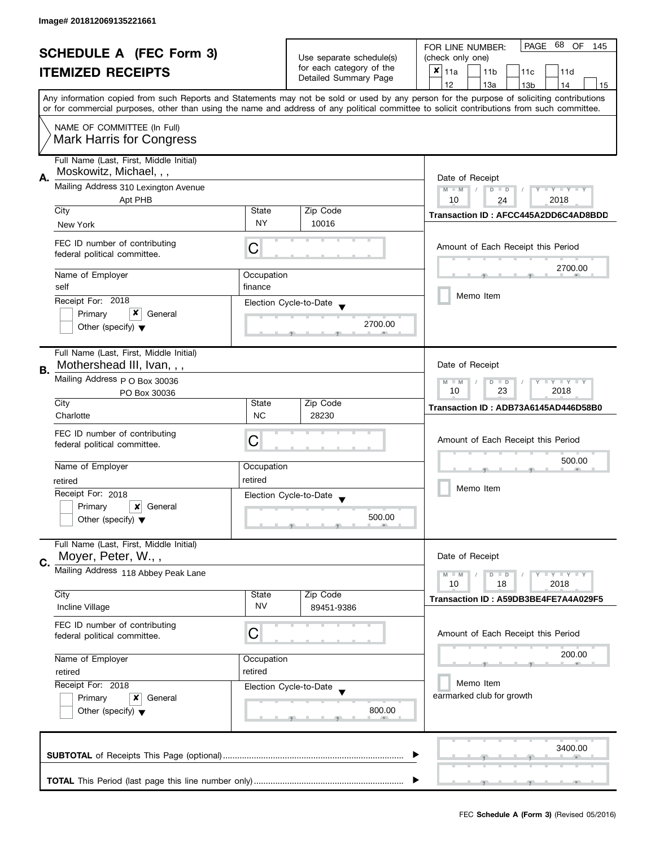| <b>SCHEDULE A (FEC Form 3)</b> |                                         |                          |                                                   | 68<br>PAGE<br>OF<br>FOR LINE NUMBER:<br>145                                                                                                |  |  |
|--------------------------------|-----------------------------------------|--------------------------|---------------------------------------------------|--------------------------------------------------------------------------------------------------------------------------------------------|--|--|
|                                |                                         | Use separate schedule(s) | (check only one)                                  |                                                                                                                                            |  |  |
|                                | <b>ITEMIZED RECEIPTS</b>                |                          | for each category of the<br>Detailed Summary Page | $x _{11a}$<br>11 <sub>b</sub><br>11c<br>11d                                                                                                |  |  |
|                                |                                         |                          |                                                   | 12<br>13a<br>13 <sub>b</sub><br>14<br>15                                                                                                   |  |  |
|                                |                                         |                          |                                                   | Any information copied from such Reports and Statements may not be sold or used by any person for the purpose of soliciting contributions  |  |  |
|                                |                                         |                          |                                                   | or for commercial purposes, other than using the name and address of any political committee to solicit contributions from such committee. |  |  |
|                                | NAME OF COMMITTEE (In Full)             |                          |                                                   |                                                                                                                                            |  |  |
|                                | <b>Mark Harris for Congress</b>         |                          |                                                   |                                                                                                                                            |  |  |
|                                |                                         |                          |                                                   |                                                                                                                                            |  |  |
|                                | Full Name (Last, First, Middle Initial) |                          |                                                   |                                                                                                                                            |  |  |
| А.                             | Moskowitz, Michael, , ,                 |                          |                                                   | Date of Receipt                                                                                                                            |  |  |
|                                | Mailing Address 310 Lexington Avenue    |                          |                                                   | $M - M$<br>Y TY TY TY<br>$D$ $D$                                                                                                           |  |  |
|                                | Apt PHB                                 |                          |                                                   | 10<br>2018<br>24                                                                                                                           |  |  |
|                                | City                                    | State                    | Zip Code                                          | Transaction ID: AFCC445A2DD6C4AD8BDD                                                                                                       |  |  |
|                                | New York                                | <b>NY</b>                | 10016                                             |                                                                                                                                            |  |  |
|                                | FEC ID number of contributing           |                          |                                                   |                                                                                                                                            |  |  |
|                                | federal political committee.            | C                        |                                                   | Amount of Each Receipt this Period                                                                                                         |  |  |
|                                |                                         |                          |                                                   | 2700.00                                                                                                                                    |  |  |
|                                | Name of Employer                        | Occupation               |                                                   |                                                                                                                                            |  |  |
|                                | self                                    | finance                  |                                                   | Memo Item                                                                                                                                  |  |  |
|                                | Receipt For: 2018                       |                          | Election Cycle-to-Date                            |                                                                                                                                            |  |  |
|                                | x<br>Primary<br>General                 |                          |                                                   |                                                                                                                                            |  |  |
|                                | Other (specify) $\blacktriangledown$    |                          | 2700.00                                           |                                                                                                                                            |  |  |
|                                |                                         |                          |                                                   |                                                                                                                                            |  |  |
|                                | Full Name (Last, First, Middle Initial) |                          |                                                   |                                                                                                                                            |  |  |
| В.                             | Mothershead III, Ivan, , ,              |                          |                                                   | Date of Receipt                                                                                                                            |  |  |
|                                | Mailing Address p O Box 30036           |                          |                                                   | Y LY LY<br>$M - M$<br>$\overline{D}$<br>$\Box$                                                                                             |  |  |
|                                | PO Box 30036                            |                          |                                                   | 23<br>2018<br>10                                                                                                                           |  |  |
|                                | City                                    | State                    | Zip Code                                          | Transaction ID: ADB73A6145AD446D58B0                                                                                                       |  |  |
|                                | Charlotte                               | <b>NC</b>                | 28230                                             |                                                                                                                                            |  |  |
|                                | FEC ID number of contributing           |                          |                                                   |                                                                                                                                            |  |  |
|                                | federal political committee.            | C                        |                                                   | Amount of Each Receipt this Period                                                                                                         |  |  |
|                                |                                         |                          |                                                   | 500.00                                                                                                                                     |  |  |
|                                | Name of Employer                        | Occupation               |                                                   |                                                                                                                                            |  |  |
|                                | retired                                 | retired                  |                                                   |                                                                                                                                            |  |  |
|                                | Receipt For: 2018                       |                          | Election Cycle-to-Date                            | Memo Item                                                                                                                                  |  |  |
|                                | Primary<br>x<br>General                 |                          |                                                   |                                                                                                                                            |  |  |
|                                | Other (specify) $\blacktriangledown$    |                          | 500.00                                            |                                                                                                                                            |  |  |
|                                |                                         |                          |                                                   |                                                                                                                                            |  |  |
|                                | Full Name (Last, First, Middle Initial) |                          |                                                   |                                                                                                                                            |  |  |
| C.                             | Moyer, Peter, W.,,                      |                          |                                                   | Date of Receipt                                                                                                                            |  |  |
|                                | Mailing Address 118 Abbey Peak Lane     |                          |                                                   | $- Y - Y - Y$<br>$M - M$<br>$D$ $D$                                                                                                        |  |  |
|                                |                                         |                          |                                                   | 10<br>18<br>2018                                                                                                                           |  |  |
|                                | City                                    | State                    | Zip Code                                          | Transaction ID: A59DB3BE4FE7A4A029F5                                                                                                       |  |  |
|                                | Incline Village                         | <b>NV</b>                | 89451-9386                                        |                                                                                                                                            |  |  |
|                                | FEC ID number of contributing           |                          |                                                   |                                                                                                                                            |  |  |
|                                | federal political committee.            | С                        |                                                   | Amount of Each Receipt this Period                                                                                                         |  |  |
|                                |                                         |                          |                                                   |                                                                                                                                            |  |  |
|                                | Name of Employer                        | Occupation               |                                                   | 200.00                                                                                                                                     |  |  |
|                                | retired                                 | retired                  |                                                   |                                                                                                                                            |  |  |
|                                | Receipt For: 2018                       |                          | Election Cycle-to-Date                            | Memo Item                                                                                                                                  |  |  |
|                                | Primary<br>x<br>General                 |                          |                                                   | earmarked club for growth                                                                                                                  |  |  |
|                                | Other (specify) $\blacktriangledown$    |                          | 800.00                                            |                                                                                                                                            |  |  |
|                                |                                         |                          |                                                   |                                                                                                                                            |  |  |
|                                |                                         |                          |                                                   |                                                                                                                                            |  |  |
|                                |                                         |                          |                                                   | 3400.00                                                                                                                                    |  |  |
|                                |                                         |                          |                                                   |                                                                                                                                            |  |  |
|                                |                                         |                          |                                                   |                                                                                                                                            |  |  |
|                                |                                         |                          |                                                   |                                                                                                                                            |  |  |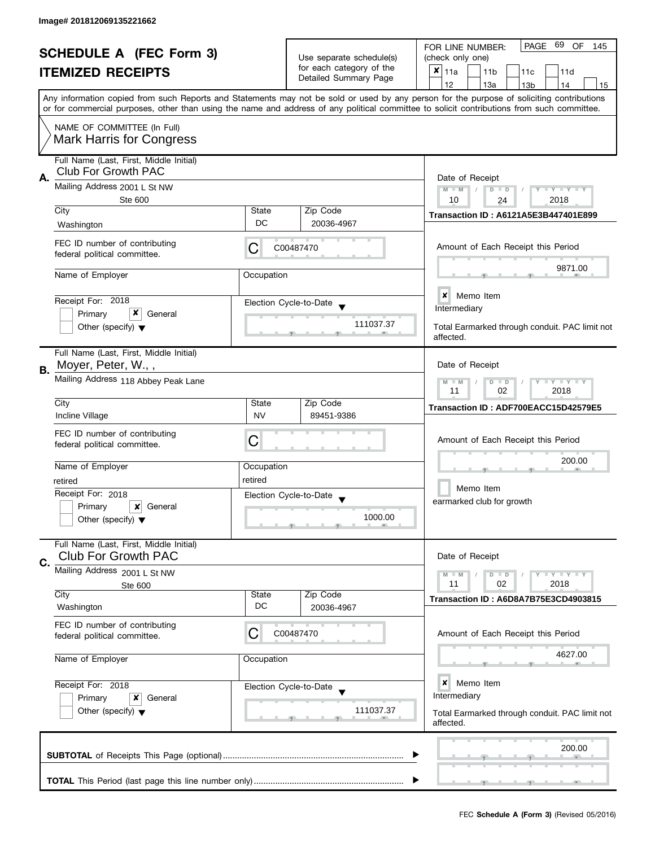| <b>SCHEDULE A (FEC Form 3)</b> |                                                                       | Use separate schedule(s)<br>for each category of the                                   |                                                   | PAGE 69 OF<br>FOR LINE NUMBER:<br>145<br>(check only one)                                                                                                                                                                                                                               |  |  |
|--------------------------------|-----------------------------------------------------------------------|----------------------------------------------------------------------------------------|---------------------------------------------------|-----------------------------------------------------------------------------------------------------------------------------------------------------------------------------------------------------------------------------------------------------------------------------------------|--|--|
|                                | <b>ITEMIZED RECEIPTS</b>                                              |                                                                                        | Detailed Summary Page                             | X<br>11a<br>11 <sub>b</sub><br>11c<br>11d<br>12<br>13a<br>13 <sub>b</sub><br>14<br>15                                                                                                                                                                                                   |  |  |
|                                |                                                                       |                                                                                        |                                                   | Any information copied from such Reports and Statements may not be sold or used by any person for the purpose of soliciting contributions<br>or for commercial purposes, other than using the name and address of any political committee to solicit contributions from such committee. |  |  |
|                                | NAME OF COMMITTEE (In Full)<br><b>Mark Harris for Congress</b>        |                                                                                        |                                                   |                                                                                                                                                                                                                                                                                         |  |  |
| А.                             | Full Name (Last, First, Middle Initial)<br><b>Club For Growth PAC</b> |                                                                                        |                                                   | Date of Receipt                                                                                                                                                                                                                                                                         |  |  |
|                                | Mailing Address 2001 L St NW<br><b>Ste 600</b>                        | $M - M$<br>$T - Y = T - Y$<br>$D$ $D$<br>10<br>2018<br>24                              |                                                   |                                                                                                                                                                                                                                                                                         |  |  |
|                                | City<br>Washington                                                    | State<br>DC                                                                            | Zip Code<br>20036-4967                            | Transaction ID: A6121A5E3B447401E899                                                                                                                                                                                                                                                    |  |  |
|                                | FEC ID number of contributing<br>federal political committee.         | C                                                                                      | C00487470                                         | Amount of Each Receipt this Period                                                                                                                                                                                                                                                      |  |  |
|                                | Name of Employer                                                      | Occupation                                                                             |                                                   | 9871.00                                                                                                                                                                                                                                                                                 |  |  |
|                                | Receipt For: 2018<br>x                                                |                                                                                        | Election Cycle-to-Date                            | <b>x</b> Memo Item<br>Intermediary                                                                                                                                                                                                                                                      |  |  |
|                                | Primary<br>General<br>Other (specify) $\blacktriangledown$            |                                                                                        | 111037.37                                         | Total Earmarked through conduit. PAC limit not<br>affected.                                                                                                                                                                                                                             |  |  |
| В.                             | Full Name (Last, First, Middle Initial)<br>Moyer, Peter, W.,,         |                                                                                        |                                                   | Date of Receipt                                                                                                                                                                                                                                                                         |  |  |
|                                | Mailing Address 118 Abbey Peak Lane                                   | $\bot$ $\gamma$ $\bot$ $\gamma$ $\bot$ $\gamma$<br>$D$ $D$<br>$-M$<br>02<br>2018<br>11 |                                                   |                                                                                                                                                                                                                                                                                         |  |  |
|                                | City<br>Incline Village                                               | <b>State</b><br><b>NV</b>                                                              | Zip Code<br>89451-9386                            | Transaction ID: ADF700EACC15D42579E5                                                                                                                                                                                                                                                    |  |  |
|                                | FEC ID number of contributing<br>federal political committee.         | С                                                                                      |                                                   | Amount of Each Receipt this Period                                                                                                                                                                                                                                                      |  |  |
|                                | Name of Employer                                                      | Occupation                                                                             |                                                   | 200.00                                                                                                                                                                                                                                                                                  |  |  |
|                                | retired                                                               | retired                                                                                |                                                   | Memo Item                                                                                                                                                                                                                                                                               |  |  |
|                                | Receipt For: 2018<br>Primary<br>x<br>General                          |                                                                                        | Election Cycle-to-Date<br>$\overline{\mathbf{v}}$ | earmarked club for growth                                                                                                                                                                                                                                                               |  |  |
|                                | Other (specify) $\blacktriangledown$                                  |                                                                                        | 1000.00                                           |                                                                                                                                                                                                                                                                                         |  |  |
| C.                             | Full Name (Last, First, Middle Initial)<br><b>Club For Growth PAC</b> |                                                                                        |                                                   | Date of Receipt                                                                                                                                                                                                                                                                         |  |  |
|                                | Mailing Address 2001 L St NW                                          |                                                                                        |                                                   | $- Y - Y - Y$<br>$M - M$<br>$D$ $D$                                                                                                                                                                                                                                                     |  |  |
|                                | Ste 600<br>City<br>Washington                                         | State<br>DC                                                                            | Zip Code<br>20036-4967                            | 11<br>02<br>2018<br>Transaction ID: A6D8A7B75E3CD4903815                                                                                                                                                                                                                                |  |  |
|                                | FEC ID number of contributing<br>federal political committee.         | С                                                                                      | C00487470                                         | Amount of Each Receipt this Period                                                                                                                                                                                                                                                      |  |  |
|                                | Name of Employer                                                      | Occupation                                                                             |                                                   | 4627.00                                                                                                                                                                                                                                                                                 |  |  |
|                                | Receipt For: 2018<br>Primary<br>x<br>General                          |                                                                                        | Election Cycle-to-Date                            | ×<br>Memo Item<br>Intermediary                                                                                                                                                                                                                                                          |  |  |
|                                | Other (specify) $\blacktriangledown$                                  |                                                                                        | 111037.37                                         | Total Earmarked through conduit. PAC limit not<br>affected.                                                                                                                                                                                                                             |  |  |
|                                |                                                                       |                                                                                        |                                                   | 200.00                                                                                                                                                                                                                                                                                  |  |  |
|                                |                                                                       |                                                                                        |                                                   |                                                                                                                                                                                                                                                                                         |  |  |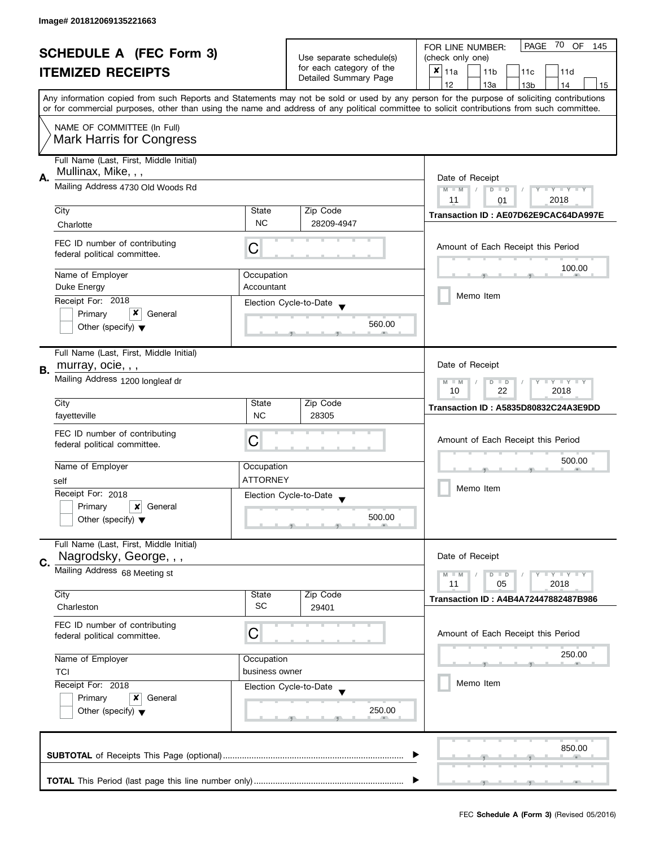| <b>SCHEDULE A (FEC Form 3)</b><br><b>ITEMIZED RECEIPTS</b> |                                         |                          | PAGE<br>70 OF<br>FOR LINE NUMBER:<br>145    |                                                                                                                                            |  |
|------------------------------------------------------------|-----------------------------------------|--------------------------|---------------------------------------------|--------------------------------------------------------------------------------------------------------------------------------------------|--|
|                                                            |                                         | Use separate schedule(s) | (check only one)                            |                                                                                                                                            |  |
|                                                            |                                         | for each category of the | $x _{11a}$<br>11 <sub>b</sub><br>11c<br>11d |                                                                                                                                            |  |
|                                                            |                                         |                          | Detailed Summary Page                       | 12<br>13a<br>14<br>13 <sub>b</sub><br>15                                                                                                   |  |
|                                                            |                                         |                          |                                             | Any information copied from such Reports and Statements may not be sold or used by any person for the purpose of soliciting contributions  |  |
|                                                            |                                         |                          |                                             | or for commercial purposes, other than using the name and address of any political committee to solicit contributions from such committee. |  |
|                                                            | NAME OF COMMITTEE (In Full)             |                          |                                             |                                                                                                                                            |  |
|                                                            |                                         |                          |                                             |                                                                                                                                            |  |
|                                                            | <b>Mark Harris for Congress</b>         |                          |                                             |                                                                                                                                            |  |
|                                                            | Full Name (Last, First, Middle Initial) |                          |                                             |                                                                                                                                            |  |
|                                                            | Mullinax, Mike, , ,                     |                          |                                             |                                                                                                                                            |  |
|                                                            | Α.<br>Mailing Address 4730 Old Woods Rd |                          |                                             | Date of Receipt                                                                                                                            |  |
|                                                            |                                         |                          |                                             | $M - M$<br>Y TY TY TY<br>$D$ $D$<br>2018<br>11                                                                                             |  |
|                                                            | City                                    | State                    | Zip Code                                    | 01                                                                                                                                         |  |
|                                                            |                                         | <b>NC</b>                | 28209-4947                                  | Transaction ID: AE07D62E9CAC64DA997E                                                                                                       |  |
|                                                            | Charlotte                               |                          |                                             |                                                                                                                                            |  |
|                                                            | FEC ID number of contributing           | С                        |                                             | Amount of Each Receipt this Period                                                                                                         |  |
|                                                            | federal political committee.            |                          |                                             |                                                                                                                                            |  |
|                                                            |                                         |                          |                                             | 100.00                                                                                                                                     |  |
|                                                            | Name of Employer                        | Occupation               |                                             |                                                                                                                                            |  |
|                                                            | Duke Energy                             | Accountant               |                                             | Memo Item                                                                                                                                  |  |
|                                                            | Receipt For: 2018                       |                          | Election Cycle-to-Date                      |                                                                                                                                            |  |
|                                                            | x<br>Primary<br>General                 |                          |                                             |                                                                                                                                            |  |
|                                                            | Other (specify) $\blacktriangledown$    |                          | 560.00                                      |                                                                                                                                            |  |
|                                                            |                                         |                          |                                             |                                                                                                                                            |  |
|                                                            | Full Name (Last, First, Middle Initial) |                          |                                             |                                                                                                                                            |  |
| В.                                                         | murray, ocie, , ,                       |                          |                                             | Date of Receipt                                                                                                                            |  |
|                                                            | Mailing Address 1200 longleaf dr        |                          |                                             | <b>LYLYLY</b><br>$M - M$<br>D<br>$\Box$                                                                                                    |  |
|                                                            |                                         | 22<br>2018<br>10         |                                             |                                                                                                                                            |  |
|                                                            | City                                    | State                    | Zip Code                                    | Transaction ID: A5835D80832C24A3E9DD                                                                                                       |  |
|                                                            | fayetteville                            | <b>NC</b>                | 28305                                       |                                                                                                                                            |  |
|                                                            | FEC ID number of contributing           |                          |                                             |                                                                                                                                            |  |
|                                                            | federal political committee.            | C                        |                                             | Amount of Each Receipt this Period                                                                                                         |  |
|                                                            |                                         |                          |                                             | 500.00                                                                                                                                     |  |
|                                                            | Name of Employer                        | Occupation               |                                             |                                                                                                                                            |  |
|                                                            | self                                    | <b>ATTORNEY</b>          |                                             |                                                                                                                                            |  |
|                                                            | Receipt For: 2018                       |                          | Election Cycle-to-Date                      | Memo Item                                                                                                                                  |  |
|                                                            | Primary<br>General<br>x                 |                          |                                             |                                                                                                                                            |  |
|                                                            | Other (specify) $\blacktriangledown$    |                          | 500.00                                      |                                                                                                                                            |  |
|                                                            |                                         |                          |                                             |                                                                                                                                            |  |
|                                                            | Full Name (Last, First, Middle Initial) |                          |                                             |                                                                                                                                            |  |
|                                                            | Nagrodsky, George, , ,                  |                          |                                             | Date of Receipt                                                                                                                            |  |
| C.                                                         | Mailing Address 68 Meeting st           |                          |                                             | $Y = Y = Y$<br>$M - M$<br>$D$ $D$                                                                                                          |  |
|                                                            |                                         |                          |                                             | 11<br>05<br>2018                                                                                                                           |  |
|                                                            | City                                    | State                    | Zip Code                                    | <b>Transaction ID: A4B4A72447882487B986</b>                                                                                                |  |
|                                                            | Charleston                              | SC                       | 29401                                       |                                                                                                                                            |  |
|                                                            | FEC ID number of contributing           |                          |                                             |                                                                                                                                            |  |
|                                                            | federal political committee.            | С                        |                                             | Amount of Each Receipt this Period                                                                                                         |  |
|                                                            |                                         |                          |                                             |                                                                                                                                            |  |
|                                                            | Name of Employer                        | Occupation               |                                             | 250.00                                                                                                                                     |  |
|                                                            | <b>TCI</b>                              | business owner           |                                             |                                                                                                                                            |  |
|                                                            | Receipt For: 2018                       |                          | Election Cycle-to-Date                      | Memo Item                                                                                                                                  |  |
|                                                            | Primary<br>x<br>General                 |                          |                                             |                                                                                                                                            |  |
|                                                            | Other (specify) $\blacktriangledown$    |                          | 250.00                                      |                                                                                                                                            |  |
|                                                            |                                         |                          |                                             |                                                                                                                                            |  |
|                                                            |                                         |                          |                                             |                                                                                                                                            |  |
|                                                            |                                         |                          |                                             | 850.00                                                                                                                                     |  |
|                                                            |                                         |                          |                                             |                                                                                                                                            |  |
|                                                            |                                         |                          |                                             |                                                                                                                                            |  |
|                                                            |                                         |                          |                                             |                                                                                                                                            |  |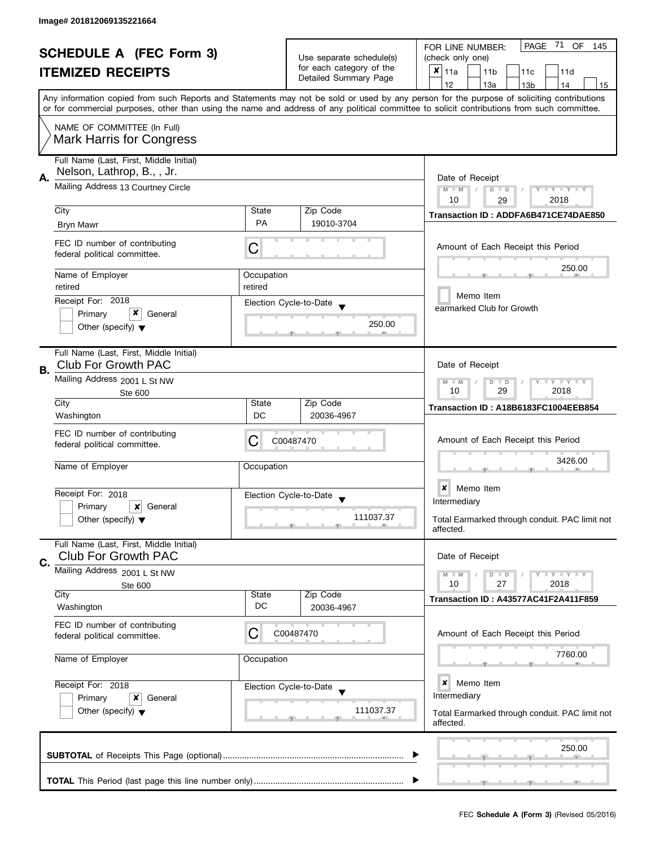| <b>SCHEDULE A (FEC Form 3)</b><br><b>ITEMIZED RECEIPTS</b> |                                                                       |                                                      | Use separate schedule(s)<br>for each category of the | PAGE 71<br>OF<br>FOR LINE NUMBER:<br>145<br>(check only one)<br>×<br>11a<br>11 <sub>b</sub><br>11c<br>11d                                                                                                                                                                               |  |  |
|------------------------------------------------------------|-----------------------------------------------------------------------|------------------------------------------------------|------------------------------------------------------|-----------------------------------------------------------------------------------------------------------------------------------------------------------------------------------------------------------------------------------------------------------------------------------------|--|--|
|                                                            |                                                                       |                                                      | Detailed Summary Page                                | 12<br>13a<br>13 <sub>b</sub><br>14<br>15                                                                                                                                                                                                                                                |  |  |
|                                                            |                                                                       |                                                      |                                                      | Any information copied from such Reports and Statements may not be sold or used by any person for the purpose of soliciting contributions<br>or for commercial purposes, other than using the name and address of any political committee to solicit contributions from such committee. |  |  |
|                                                            | NAME OF COMMITTEE (In Full)<br><b>Mark Harris for Congress</b>        |                                                      |                                                      |                                                                                                                                                                                                                                                                                         |  |  |
| А.                                                         | Full Name (Last, First, Middle Initial)<br>Nelson, Lathrop, B., , Jr. |                                                      |                                                      | Date of Receipt                                                                                                                                                                                                                                                                         |  |  |
|                                                            | Mailing Address 13 Courtney Circle                                    | $M - M$<br>Y TY TY TY<br>$D$ $D$<br>10<br>2018<br>29 |                                                      |                                                                                                                                                                                                                                                                                         |  |  |
|                                                            | City                                                                  | State                                                | Zip Code                                             | Transaction ID: ADDFA6B471CE74DAE850                                                                                                                                                                                                                                                    |  |  |
|                                                            | <b>Bryn Mawr</b>                                                      | <b>PA</b>                                            | 19010-3704                                           |                                                                                                                                                                                                                                                                                         |  |  |
|                                                            | FEC ID number of contributing<br>federal political committee.         | C                                                    |                                                      | Amount of Each Receipt this Period                                                                                                                                                                                                                                                      |  |  |
|                                                            | Name of Employer                                                      | Occupation                                           |                                                      | 250.00                                                                                                                                                                                                                                                                                  |  |  |
|                                                            | retired<br>Receipt For: 2018                                          | retired                                              | Election Cycle-to-Date                               | Memo Item                                                                                                                                                                                                                                                                               |  |  |
|                                                            | x<br>Primary<br>General                                               |                                                      |                                                      | earmarked Club for Growth                                                                                                                                                                                                                                                               |  |  |
|                                                            | Other (specify) $\blacktriangledown$                                  |                                                      | 250.00                                               |                                                                                                                                                                                                                                                                                         |  |  |
| В.                                                         | Full Name (Last, First, Middle Initial)<br><b>Club For Growth PAC</b> |                                                      |                                                      | Date of Receipt                                                                                                                                                                                                                                                                         |  |  |
|                                                            | Mailing Address 2001 L St NW<br>Ste 600                               |                                                      |                                                      | $\bot$ $\gamma$ $\bot$ $\gamma$ $\bot$ $\gamma$<br>$M - M$<br>D<br>$\Box$<br>10<br>29<br>2018                                                                                                                                                                                           |  |  |
|                                                            | City<br>Washington                                                    | State<br>DC                                          | Zip Code<br>20036-4967                               | Transaction ID: A18B6183FC1004EEB854                                                                                                                                                                                                                                                    |  |  |
|                                                            | FEC ID number of contributing<br>federal political committee.         | С                                                    | C00487470                                            | Amount of Each Receipt this Period                                                                                                                                                                                                                                                      |  |  |
|                                                            | Name of Employer                                                      | Occupation                                           |                                                      | 3426.00                                                                                                                                                                                                                                                                                 |  |  |
|                                                            | Receipt For: 2018                                                     |                                                      | Election Cycle-to-Date                               | $\boldsymbol{x}$<br>Memo Item                                                                                                                                                                                                                                                           |  |  |
|                                                            | Primary<br>x<br>General                                               |                                                      | $\blacktriangledown$                                 | Intermediary                                                                                                                                                                                                                                                                            |  |  |
|                                                            | Other (specify) $\blacktriangledown$                                  |                                                      | 111037.37                                            | Total Earmarked through conduit. PAC limit not<br>affected.                                                                                                                                                                                                                             |  |  |
| C.                                                         | Full Name (Last, First, Middle Initial)<br><b>Club For Growth PAC</b> |                                                      |                                                      | Date of Receipt                                                                                                                                                                                                                                                                         |  |  |
|                                                            | Mailing Address 2001 L St NW<br>Ste 600                               |                                                      |                                                      | $\bot$ Y $\bot$ Y $\bot$ Y<br>$M - M$<br>$D$ $D$<br>10<br>27<br>2018                                                                                                                                                                                                                    |  |  |
|                                                            | City                                                                  | State                                                | Zip Code                                             | Transaction ID: A43577AC41F2A411F859                                                                                                                                                                                                                                                    |  |  |
|                                                            | Washington                                                            | DC                                                   | 20036-4967                                           |                                                                                                                                                                                                                                                                                         |  |  |
|                                                            | FEC ID number of contributing<br>federal political committee.         | C                                                    | C00487470                                            | Amount of Each Receipt this Period                                                                                                                                                                                                                                                      |  |  |
|                                                            | Name of Employer                                                      | Occupation                                           |                                                      | 7760.00                                                                                                                                                                                                                                                                                 |  |  |
|                                                            | Receipt For: 2018<br>Primary<br>x<br>General                          |                                                      | Election Cycle-to-Date                               | ×<br>Memo Item<br>Intermediary                                                                                                                                                                                                                                                          |  |  |
|                                                            | Other (specify) $\blacktriangledown$                                  |                                                      | 111037.37                                            | Total Earmarked through conduit. PAC limit not<br>affected.                                                                                                                                                                                                                             |  |  |
|                                                            |                                                                       |                                                      |                                                      | 250.00                                                                                                                                                                                                                                                                                  |  |  |
|                                                            |                                                                       |                                                      |                                                      |                                                                                                                                                                                                                                                                                         |  |  |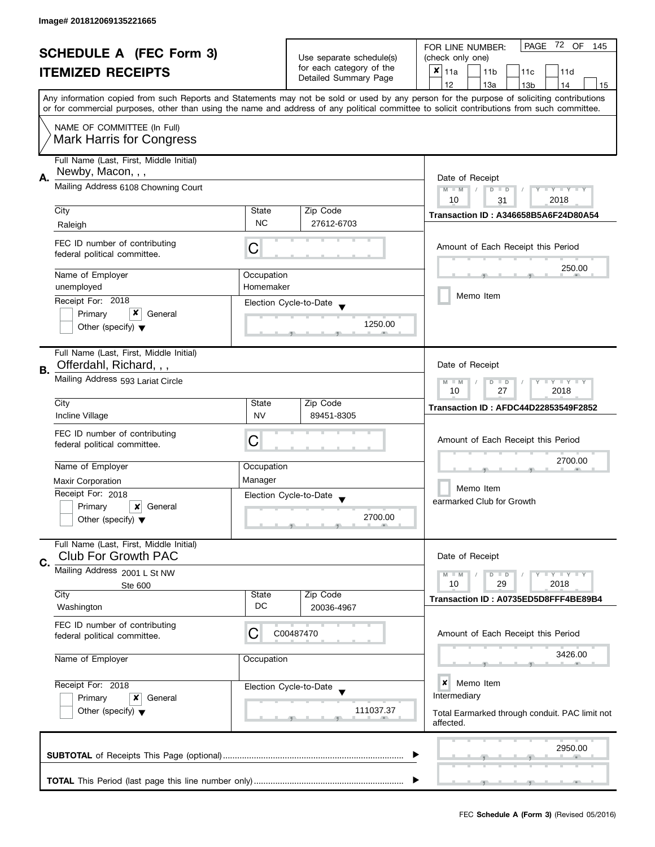| <b>SCHEDULE A (FEC Form 3)</b><br><b>ITEMIZED RECEIPTS</b> |                                                                        | Use separate schedule(s)                                                | PAGE 72 OF<br>FOR LINE NUMBER:<br>145          |                                                                                                                                                                                                                                                                                         |
|------------------------------------------------------------|------------------------------------------------------------------------|-------------------------------------------------------------------------|------------------------------------------------|-----------------------------------------------------------------------------------------------------------------------------------------------------------------------------------------------------------------------------------------------------------------------------------------|
|                                                            |                                                                        |                                                                         | (check only one)                               |                                                                                                                                                                                                                                                                                         |
|                                                            |                                                                        | for each category of the                                                | $x _{11a}$<br>11 <sub>b</sub><br>11c<br>11d    |                                                                                                                                                                                                                                                                                         |
|                                                            |                                                                        |                                                                         | Detailed Summary Page                          | 12<br>13a<br>13 <sub>b</sub><br>14<br>15                                                                                                                                                                                                                                                |
|                                                            |                                                                        |                                                                         |                                                | Any information copied from such Reports and Statements may not be sold or used by any person for the purpose of soliciting contributions<br>or for commercial purposes, other than using the name and address of any political committee to solicit contributions from such committee. |
|                                                            |                                                                        |                                                                         |                                                |                                                                                                                                                                                                                                                                                         |
|                                                            | NAME OF COMMITTEE (In Full)<br><b>Mark Harris for Congress</b>         |                                                                         |                                                |                                                                                                                                                                                                                                                                                         |
|                                                            | Full Name (Last, First, Middle Initial)<br>Newby, Macon, , ,           |                                                                         |                                                |                                                                                                                                                                                                                                                                                         |
| А.                                                         | Mailing Address 6108 Chowning Court                                    | Date of Receipt<br>$M - M$<br>Y TY TY TY<br>$D$ $D$<br>2018<br>10<br>31 |                                                |                                                                                                                                                                                                                                                                                         |
|                                                            | City                                                                   | State                                                                   | Zip Code                                       |                                                                                                                                                                                                                                                                                         |
|                                                            | Raleigh                                                                | <b>NC</b>                                                               | 27612-6703                                     | Transaction ID: A346658B5A6F24D80A54                                                                                                                                                                                                                                                    |
|                                                            |                                                                        |                                                                         |                                                |                                                                                                                                                                                                                                                                                         |
|                                                            | FEC ID number of contributing<br>federal political committee.          | С                                                                       |                                                | Amount of Each Receipt this Period                                                                                                                                                                                                                                                      |
|                                                            | Name of Employer                                                       | Occupation                                                              |                                                | 250.00                                                                                                                                                                                                                                                                                  |
|                                                            | unemployed                                                             | Homemaker                                                               |                                                |                                                                                                                                                                                                                                                                                         |
|                                                            | Receipt For: 2018                                                      |                                                                         | Election Cycle-to-Date                         | Memo Item                                                                                                                                                                                                                                                                               |
|                                                            | x<br>Primary<br>General                                                |                                                                         |                                                |                                                                                                                                                                                                                                                                                         |
|                                                            | Other (specify) $\blacktriangledown$                                   |                                                                         | 1250.00                                        |                                                                                                                                                                                                                                                                                         |
|                                                            | Full Name (Last, First, Middle Initial)                                |                                                                         |                                                |                                                                                                                                                                                                                                                                                         |
|                                                            | Offerdahl, Richard, , ,                                                |                                                                         |                                                | Date of Receipt                                                                                                                                                                                                                                                                         |
| В.                                                         | Mailing Address 593 Lariat Circle                                      | $Y = Y + Y$<br>$M - M$<br>T<br>D<br>$\blacksquare$<br>10<br>27<br>2018  |                                                |                                                                                                                                                                                                                                                                                         |
|                                                            | City                                                                   | State                                                                   | Zip Code                                       |                                                                                                                                                                                                                                                                                         |
|                                                            | Incline Village                                                        | <b>NV</b>                                                               | 89451-8305                                     | <b>Transaction ID: AFDC44D22853549F2852</b>                                                                                                                                                                                                                                             |
|                                                            |                                                                        |                                                                         |                                                |                                                                                                                                                                                                                                                                                         |
|                                                            | FEC ID number of contributing                                          | С                                                                       |                                                | Amount of Each Receipt this Period                                                                                                                                                                                                                                                      |
|                                                            | federal political committee.                                           |                                                                         |                                                |                                                                                                                                                                                                                                                                                         |
|                                                            | Name of Employer                                                       | Occupation                                                              |                                                | 2700.00                                                                                                                                                                                                                                                                                 |
|                                                            | Maxir Corporation                                                      | Manager                                                                 |                                                |                                                                                                                                                                                                                                                                                         |
|                                                            | Receipt For: 2018                                                      |                                                                         |                                                | Memo Item                                                                                                                                                                                                                                                                               |
|                                                            |                                                                        |                                                                         | Election Cycle-to-Date<br>$\blacktriangledown$ | earmarked Club for Growth                                                                                                                                                                                                                                                               |
|                                                            | Primary<br>×<br>General                                                |                                                                         | 2700.00                                        |                                                                                                                                                                                                                                                                                         |
|                                                            | Other (specify) $\blacktriangledown$                                   |                                                                         |                                                |                                                                                                                                                                                                                                                                                         |
| C.                                                         | Full Name (Last, First, Middle Initial)<br><b>Club For Growth PAC</b>  |                                                                         |                                                | Date of Receipt                                                                                                                                                                                                                                                                         |
|                                                            | Mailing Address 2001 L St NW                                           |                                                                         |                                                | <b>LY LY LY</b><br>$M - M$<br>$D$ $D$                                                                                                                                                                                                                                                   |
|                                                            | <b>Ste 600</b>                                                         |                                                                         |                                                | 10<br>29<br>2018                                                                                                                                                                                                                                                                        |
|                                                            | City                                                                   | State                                                                   | Zip Code                                       | Transaction ID: A0735ED5D8FFF4BE89B4                                                                                                                                                                                                                                                    |
|                                                            | Washington                                                             | DC                                                                      | 20036-4967                                     |                                                                                                                                                                                                                                                                                         |
|                                                            | FEC ID number of contributing                                          |                                                                         |                                                |                                                                                                                                                                                                                                                                                         |
|                                                            | federal political committee.                                           | С                                                                       | C00487470                                      | Amount of Each Receipt this Period                                                                                                                                                                                                                                                      |
|                                                            |                                                                        |                                                                         |                                                | 3426.00                                                                                                                                                                                                                                                                                 |
|                                                            | Name of Employer                                                       | Occupation                                                              |                                                |                                                                                                                                                                                                                                                                                         |
|                                                            | Receipt For: 2018<br>Election Cycle-to-Date<br>Primary<br>x<br>General |                                                                         |                                                | ×<br>Memo Item                                                                                                                                                                                                                                                                          |
|                                                            |                                                                        |                                                                         |                                                | Intermediary                                                                                                                                                                                                                                                                            |
|                                                            | Other (specify) $\blacktriangledown$                                   |                                                                         | 111037.37                                      | Total Earmarked through conduit. PAC limit not                                                                                                                                                                                                                                          |
|                                                            |                                                                        |                                                                         |                                                | affected.                                                                                                                                                                                                                                                                               |
|                                                            |                                                                        |                                                                         |                                                | 2950.00                                                                                                                                                                                                                                                                                 |
|                                                            |                                                                        |                                                                         |                                                |                                                                                                                                                                                                                                                                                         |
|                                                            |                                                                        |                                                                         |                                                |                                                                                                                                                                                                                                                                                         |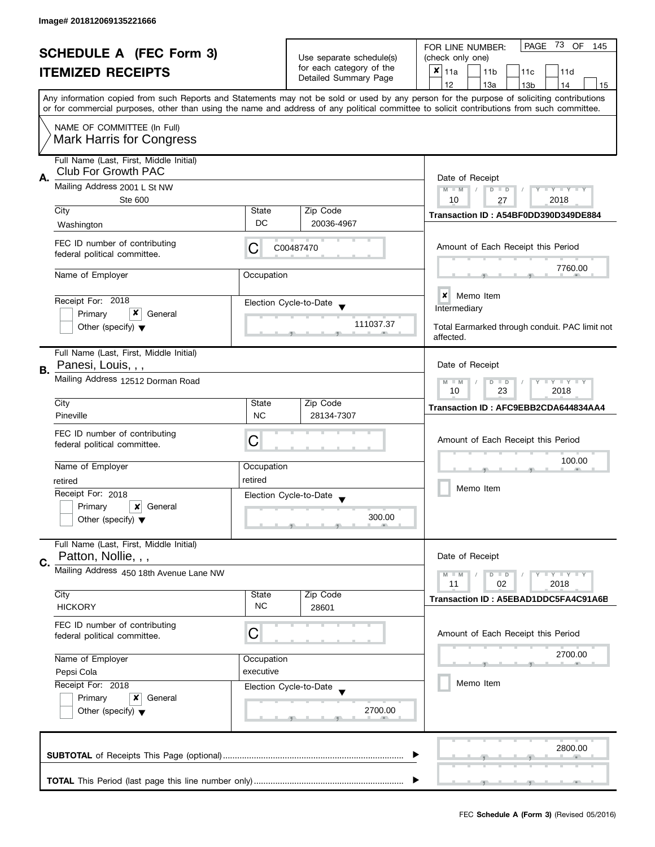|                                                            |                                                                |                                               |                          | PAGE<br>73 OF<br>FOR LINE NUMBER:<br>145                                                                                                                                                                                                                                                |  |  |  |  |  |
|------------------------------------------------------------|----------------------------------------------------------------|-----------------------------------------------|--------------------------|-----------------------------------------------------------------------------------------------------------------------------------------------------------------------------------------------------------------------------------------------------------------------------------------|--|--|--|--|--|
| <b>SCHEDULE A (FEC Form 3)</b><br><b>ITEMIZED RECEIPTS</b> |                                                                |                                               | Use separate schedule(s) | (check only one)                                                                                                                                                                                                                                                                        |  |  |  |  |  |
|                                                            |                                                                |                                               | for each category of the | $x _{11a}$<br>11 <sub>b</sub><br>11c<br>11d                                                                                                                                                                                                                                             |  |  |  |  |  |
|                                                            |                                                                |                                               | Detailed Summary Page    | 12<br>13a<br>14<br>13 <sub>b</sub><br>15                                                                                                                                                                                                                                                |  |  |  |  |  |
|                                                            |                                                                |                                               |                          | Any information copied from such Reports and Statements may not be sold or used by any person for the purpose of soliciting contributions<br>or for commercial purposes, other than using the name and address of any political committee to solicit contributions from such committee. |  |  |  |  |  |
|                                                            | NAME OF COMMITTEE (In Full)<br><b>Mark Harris for Congress</b> |                                               |                          |                                                                                                                                                                                                                                                                                         |  |  |  |  |  |
|                                                            | Full Name (Last, First, Middle Initial)                        |                                               |                          |                                                                                                                                                                                                                                                                                         |  |  |  |  |  |
| А.                                                         | Club For Growth PAC                                            | Date of Receipt                               |                          |                                                                                                                                                                                                                                                                                         |  |  |  |  |  |
|                                                            | Mailing Address 2001 L St NW<br>Ste 600                        |                                               |                          | $M - M$<br>$D$ $D$<br>Y TY TY TY<br>10<br>2018                                                                                                                                                                                                                                          |  |  |  |  |  |
|                                                            | City                                                           | State                                         | Zip Code                 | 27                                                                                                                                                                                                                                                                                      |  |  |  |  |  |
|                                                            | Washington                                                     | DC                                            | 20036-4967               | Transaction ID: A54BF0DD390D349DE884                                                                                                                                                                                                                                                    |  |  |  |  |  |
|                                                            | FEC ID number of contributing<br>federal political committee.  | C                                             | C00487470                | Amount of Each Receipt this Period                                                                                                                                                                                                                                                      |  |  |  |  |  |
|                                                            | Name of Employer                                               | Occupation                                    |                          | 7760.00                                                                                                                                                                                                                                                                                 |  |  |  |  |  |
|                                                            | Receipt For: 2018                                              |                                               | Election Cycle-to-Date   | Memo Item<br>×<br>Intermediary                                                                                                                                                                                                                                                          |  |  |  |  |  |
|                                                            | x<br>Primary<br>General                                        |                                               |                          |                                                                                                                                                                                                                                                                                         |  |  |  |  |  |
|                                                            | Other (specify) $\blacktriangledown$                           |                                               | 111037.37                | Total Earmarked through conduit. PAC limit not<br>affected.                                                                                                                                                                                                                             |  |  |  |  |  |
|                                                            | Full Name (Last, First, Middle Initial)                        |                                               |                          |                                                                                                                                                                                                                                                                                         |  |  |  |  |  |
| В.                                                         | Panesi, Louis, , ,                                             | Date of Receipt<br>$T - Y = T - Y$<br>$M - M$ |                          |                                                                                                                                                                                                                                                                                         |  |  |  |  |  |
|                                                            | Mailing Address 12512 Dorman Road                              | Zip Code<br>State                             |                          |                                                                                                                                                                                                                                                                                         |  |  |  |  |  |
|                                                            | City<br>Pineville                                              | <b>NC</b>                                     | 28134-7307               | Transaction ID: AFC9EBB2CDA644834AA4                                                                                                                                                                                                                                                    |  |  |  |  |  |
|                                                            |                                                                |                                               |                          |                                                                                                                                                                                                                                                                                         |  |  |  |  |  |
|                                                            | FEC ID number of contributing<br>federal political committee.  | C                                             |                          | Amount of Each Receipt this Period                                                                                                                                                                                                                                                      |  |  |  |  |  |
|                                                            |                                                                |                                               |                          | 100.00                                                                                                                                                                                                                                                                                  |  |  |  |  |  |
|                                                            | Name of Employer                                               | Occupation                                    |                          |                                                                                                                                                                                                                                                                                         |  |  |  |  |  |
|                                                            | retired                                                        | retired                                       |                          | Memo Item                                                                                                                                                                                                                                                                               |  |  |  |  |  |
|                                                            | Receipt For: 2018                                              |                                               | Election Cycle-to-Date   |                                                                                                                                                                                                                                                                                         |  |  |  |  |  |
|                                                            | Primary<br>x<br>General                                        |                                               | 300.00                   |                                                                                                                                                                                                                                                                                         |  |  |  |  |  |
|                                                            | Other (specify) $\blacktriangledown$                           |                                               |                          |                                                                                                                                                                                                                                                                                         |  |  |  |  |  |
|                                                            | Full Name (Last, First, Middle Initial)                        |                                               |                          |                                                                                                                                                                                                                                                                                         |  |  |  |  |  |
| C.                                                         | Patton, Nollie, , ,                                            |                                               |                          | Date of Receipt                                                                                                                                                                                                                                                                         |  |  |  |  |  |
|                                                            | Mailing Address 450 18th Avenue Lane NW                        |                                               |                          | $- Y - Y - Y$<br>$M - M$<br>$D$ $D$                                                                                                                                                                                                                                                     |  |  |  |  |  |
|                                                            |                                                                |                                               |                          | 11<br>02<br>2018                                                                                                                                                                                                                                                                        |  |  |  |  |  |
|                                                            | City<br><b>HICKORY</b>                                         | State<br><b>NC</b>                            | Zip Code<br>28601        | Transaction ID: A5EBAD1DDC5FA4C91A6B                                                                                                                                                                                                                                                    |  |  |  |  |  |
|                                                            |                                                                |                                               |                          |                                                                                                                                                                                                                                                                                         |  |  |  |  |  |
|                                                            | FEC ID number of contributing<br>federal political committee.  | С                                             |                          | Amount of Each Receipt this Period                                                                                                                                                                                                                                                      |  |  |  |  |  |
|                                                            | Name of Employer                                               | Occupation                                    |                          | 2700.00                                                                                                                                                                                                                                                                                 |  |  |  |  |  |
| Pepsi Cola                                                 |                                                                | executive                                     |                          |                                                                                                                                                                                                                                                                                         |  |  |  |  |  |
|                                                            | Receipt For: 2018                                              |                                               | Election Cycle-to-Date   | Memo Item                                                                                                                                                                                                                                                                               |  |  |  |  |  |
|                                                            | Primary<br>x<br>General                                        |                                               |                          |                                                                                                                                                                                                                                                                                         |  |  |  |  |  |
|                                                            | Other (specify) $\blacktriangledown$                           |                                               | 2700.00                  |                                                                                                                                                                                                                                                                                         |  |  |  |  |  |
|                                                            |                                                                |                                               |                          | 2800.00                                                                                                                                                                                                                                                                                 |  |  |  |  |  |
|                                                            |                                                                |                                               |                          |                                                                                                                                                                                                                                                                                         |  |  |  |  |  |
|                                                            |                                                                |                                               |                          |                                                                                                                                                                                                                                                                                         |  |  |  |  |  |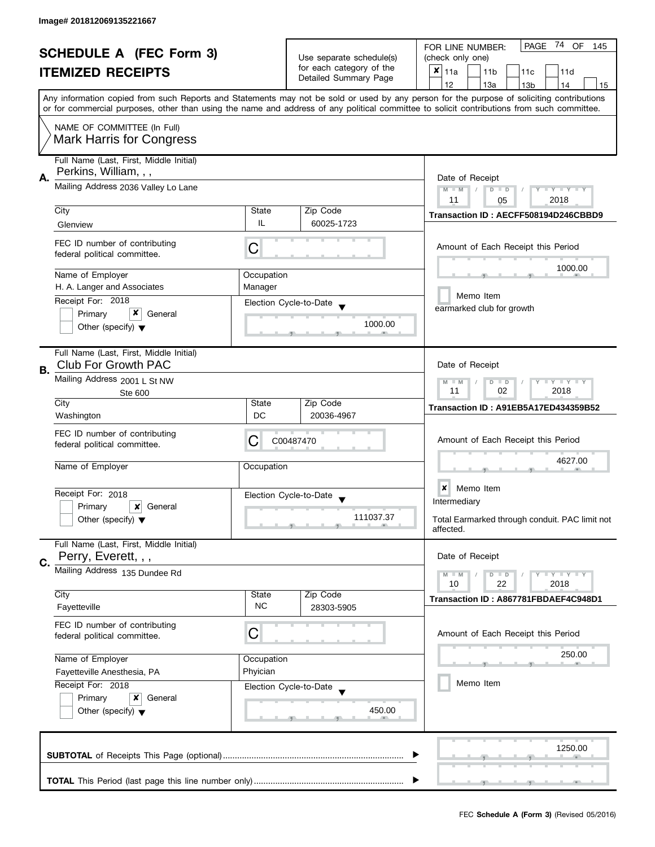| <b>SCHEDULE A (FEC Form 3)</b><br><b>ITEMIZED RECEIPTS</b> |                                                                                      |                                                                                           | Use separate schedule(s)<br>for each category of the | PAGE 74 OF<br>FOR LINE NUMBER:<br>145<br>(check only one)<br>×<br>11a<br>11 <sub>b</sub><br>11c<br>11d                                                                                                                                                                                  |  |  |  |  |
|------------------------------------------------------------|--------------------------------------------------------------------------------------|-------------------------------------------------------------------------------------------|------------------------------------------------------|-----------------------------------------------------------------------------------------------------------------------------------------------------------------------------------------------------------------------------------------------------------------------------------------|--|--|--|--|
|                                                            |                                                                                      | Detailed Summary Page                                                                     | 12<br>13a<br>13 <sub>b</sub><br>14<br>15             |                                                                                                                                                                                                                                                                                         |  |  |  |  |
|                                                            |                                                                                      |                                                                                           |                                                      | Any information copied from such Reports and Statements may not be sold or used by any person for the purpose of soliciting contributions<br>or for commercial purposes, other than using the name and address of any political committee to solicit contributions from such committee. |  |  |  |  |
|                                                            | NAME OF COMMITTEE (In Full)<br><b>Mark Harris for Congress</b>                       |                                                                                           |                                                      |                                                                                                                                                                                                                                                                                         |  |  |  |  |
| А.                                                         | Full Name (Last, First, Middle Initial)<br>Perkins, William, , ,                     |                                                                                           |                                                      | Date of Receipt                                                                                                                                                                                                                                                                         |  |  |  |  |
|                                                            | Mailing Address 2036 Valley Lo Lane                                                  |                                                                                           |                                                      | $M - M$<br><b>LYLYLY</b><br>$D$ $D$                                                                                                                                                                                                                                                     |  |  |  |  |
|                                                            | City                                                                                 | <b>State</b>                                                                              | Zip Code                                             | 2018<br>11<br>05                                                                                                                                                                                                                                                                        |  |  |  |  |
|                                                            | Glenview                                                                             | IL                                                                                        | 60025-1723                                           | Transaction ID: AECFF508194D246CBBD9                                                                                                                                                                                                                                                    |  |  |  |  |
|                                                            | FEC ID number of contributing<br>federal political committee.                        | C                                                                                         |                                                      | Amount of Each Receipt this Period                                                                                                                                                                                                                                                      |  |  |  |  |
|                                                            | Name of Employer                                                                     | Occupation                                                                                |                                                      | 1000.00                                                                                                                                                                                                                                                                                 |  |  |  |  |
|                                                            | H. A. Langer and Associates                                                          | Manager                                                                                   |                                                      | Memo Item                                                                                                                                                                                                                                                                               |  |  |  |  |
|                                                            | Receipt For: 2018<br>x<br>Primary<br>General                                         |                                                                                           | Election Cycle-to-Date                               | earmarked club for growth                                                                                                                                                                                                                                                               |  |  |  |  |
|                                                            | Other (specify) $\blacktriangledown$                                                 |                                                                                           | 1000.00                                              |                                                                                                                                                                                                                                                                                         |  |  |  |  |
| В.                                                         | Full Name (Last, First, Middle Initial)<br><b>Club For Growth PAC</b>                |                                                                                           |                                                      | Date of Receipt                                                                                                                                                                                                                                                                         |  |  |  |  |
|                                                            | Mailing Address 2001 L St NW<br>Ste 600                                              | $\bot$ $\gamma$ $\bot$ $\gamma$ $\bot$ $\gamma$<br>$M - M$<br>$D$ $D$<br>11<br>02<br>2018 |                                                      |                                                                                                                                                                                                                                                                                         |  |  |  |  |
|                                                            | City                                                                                 | State                                                                                     | Zip Code                                             | Transaction ID: A91EB5A17ED434359B52                                                                                                                                                                                                                                                    |  |  |  |  |
|                                                            | Washington                                                                           | DC                                                                                        | 20036-4967                                           |                                                                                                                                                                                                                                                                                         |  |  |  |  |
|                                                            | FEC ID number of contributing<br>federal political committee.                        | С                                                                                         | C00487470                                            | Amount of Each Receipt this Period                                                                                                                                                                                                                                                      |  |  |  |  |
|                                                            | Name of Employer                                                                     | Occupation                                                                                |                                                      | 4627.00                                                                                                                                                                                                                                                                                 |  |  |  |  |
|                                                            | Receipt For: 2018                                                                    |                                                                                           | Election Cycle-to-Date<br>$\blacktriangledown$       | $\boldsymbol{x}$<br>Memo Item<br>Intermediary                                                                                                                                                                                                                                           |  |  |  |  |
|                                                            | Primary<br>x<br>General<br>Other (specify) $\blacktriangledown$                      |                                                                                           | 111037.37                                            | Total Earmarked through conduit. PAC limit not<br>affected.                                                                                                                                                                                                                             |  |  |  |  |
|                                                            | Full Name (Last, First, Middle Initial)<br>Perry, Everett, , ,                       |                                                                                           |                                                      | Date of Receipt                                                                                                                                                                                                                                                                         |  |  |  |  |
| C.                                                         | Mailing Address 135 Dundee Rd                                                        |                                                                                           |                                                      | $T - Y = T - Y$<br>$M - M$<br>$D$ $D$<br>10<br>22<br>2018                                                                                                                                                                                                                               |  |  |  |  |
|                                                            | City                                                                                 | State                                                                                     | Zip Code                                             | Transaction ID: A867781FBDAEF4C948D1                                                                                                                                                                                                                                                    |  |  |  |  |
|                                                            | Fayetteville                                                                         | <b>NC</b>                                                                                 | 28303-5905                                           |                                                                                                                                                                                                                                                                                         |  |  |  |  |
|                                                            | FEC ID number of contributing<br>federal political committee.                        | C                                                                                         |                                                      | Amount of Each Receipt this Period                                                                                                                                                                                                                                                      |  |  |  |  |
|                                                            | Name of Employer                                                                     | Occupation                                                                                |                                                      | 250.00                                                                                                                                                                                                                                                                                  |  |  |  |  |
|                                                            | Phyician<br>Fayetteville Anesthesia, PA                                              |                                                                                           |                                                      |                                                                                                                                                                                                                                                                                         |  |  |  |  |
|                                                            | Receipt For: 2018<br>Primary<br>x<br>General<br>Other (specify) $\blacktriangledown$ |                                                                                           | Election Cycle-to-Date<br>450.00                     | Memo Item                                                                                                                                                                                                                                                                               |  |  |  |  |
|                                                            |                                                                                      |                                                                                           |                                                      | 1250.00                                                                                                                                                                                                                                                                                 |  |  |  |  |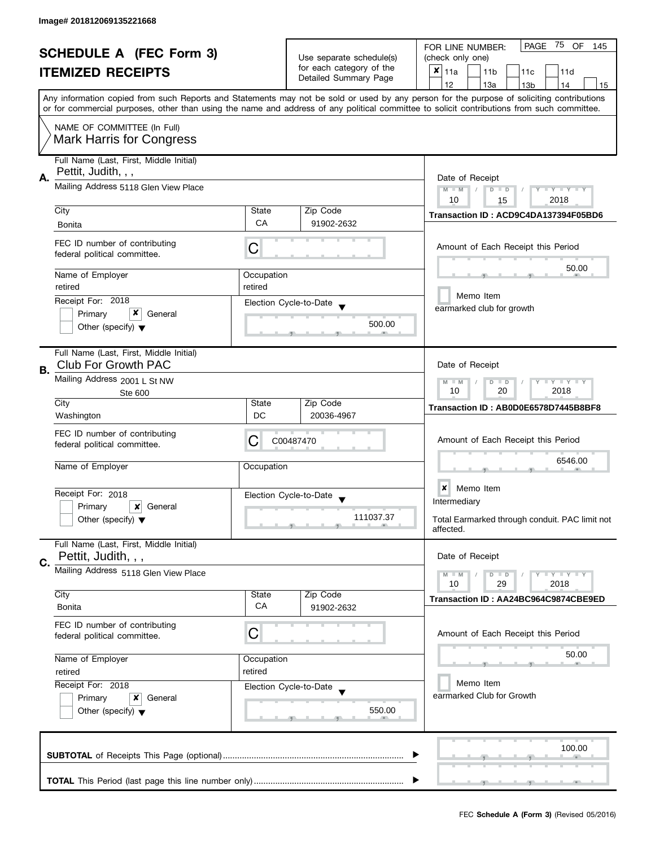| <b>SCHEDULE A (FEC Form 3)</b><br><b>ITEMIZED RECEIPTS</b> |                                                                           |                                                   | 75 OF<br>PAGE<br>FOR LINE NUMBER:<br>145       |                                                                                                                                                                                                                                                                                         |  |  |  |  |  |
|------------------------------------------------------------|---------------------------------------------------------------------------|---------------------------------------------------|------------------------------------------------|-----------------------------------------------------------------------------------------------------------------------------------------------------------------------------------------------------------------------------------------------------------------------------------------|--|--|--|--|--|
|                                                            |                                                                           | Use separate schedule(s)                          | (check only one)                               |                                                                                                                                                                                                                                                                                         |  |  |  |  |  |
|                                                            |                                                                           | for each category of the<br>Detailed Summary Page | $x _{11a}$<br>11 <sub>b</sub><br>11c<br>11d    |                                                                                                                                                                                                                                                                                         |  |  |  |  |  |
|                                                            |                                                                           |                                                   |                                                | 12<br>13a<br>13 <sub>b</sub><br>14<br>15                                                                                                                                                                                                                                                |  |  |  |  |  |
|                                                            |                                                                           |                                                   |                                                | Any information copied from such Reports and Statements may not be sold or used by any person for the purpose of soliciting contributions<br>or for commercial purposes, other than using the name and address of any political committee to solicit contributions from such committee. |  |  |  |  |  |
|                                                            | NAME OF COMMITTEE (In Full)                                               |                                                   |                                                |                                                                                                                                                                                                                                                                                         |  |  |  |  |  |
|                                                            | <b>Mark Harris for Congress</b>                                           |                                                   |                                                |                                                                                                                                                                                                                                                                                         |  |  |  |  |  |
| А.                                                         | Full Name (Last, First, Middle Initial)<br>Pettit, Judith, , ,            |                                                   |                                                | Date of Receipt                                                                                                                                                                                                                                                                         |  |  |  |  |  |
|                                                            | Mailing Address 5118 Glen View Place                                      |                                                   |                                                | $M - M$<br>Y I Y I Y I Y<br>$D$ $D$<br>2018<br>10<br>15                                                                                                                                                                                                                                 |  |  |  |  |  |
|                                                            | City                                                                      | State                                             | Zip Code                                       | Transaction ID: ACD9C4DA137394F05BD6                                                                                                                                                                                                                                                    |  |  |  |  |  |
|                                                            | <b>Bonita</b>                                                             | CA                                                | 91902-2632                                     |                                                                                                                                                                                                                                                                                         |  |  |  |  |  |
|                                                            | FEC ID number of contributing<br>federal political committee.             | С                                                 |                                                | Amount of Each Receipt this Period                                                                                                                                                                                                                                                      |  |  |  |  |  |
|                                                            | Name of Employer                                                          | Occupation                                        |                                                | 50.00                                                                                                                                                                                                                                                                                   |  |  |  |  |  |
|                                                            | retired                                                                   | retired                                           |                                                |                                                                                                                                                                                                                                                                                         |  |  |  |  |  |
|                                                            | Receipt For: 2018                                                         |                                                   | Election Cycle-to-Date                         | Memo Item<br>earmarked club for growth                                                                                                                                                                                                                                                  |  |  |  |  |  |
|                                                            | x<br>Primary<br>General                                                   |                                                   |                                                |                                                                                                                                                                                                                                                                                         |  |  |  |  |  |
|                                                            | Other (specify) $\blacktriangledown$                                      |                                                   | 500.00                                         |                                                                                                                                                                                                                                                                                         |  |  |  |  |  |
| В.                                                         | Full Name (Last, First, Middle Initial)<br><b>Club For Growth PAC</b>     |                                                   |                                                | Date of Receipt                                                                                                                                                                                                                                                                         |  |  |  |  |  |
|                                                            | Mailing Address 2001 L St NW<br>Ste 600                                   |                                                   |                                                | $T - Y = T - Y$<br>$M - M$<br>D<br>$\Box$<br>10<br>2018<br>20                                                                                                                                                                                                                           |  |  |  |  |  |
|                                                            | City                                                                      | State                                             | Zip Code                                       | Transaction ID: AB0D0E6578D7445B8BF8                                                                                                                                                                                                                                                    |  |  |  |  |  |
|                                                            | Washington                                                                | DC                                                | 20036-4967                                     |                                                                                                                                                                                                                                                                                         |  |  |  |  |  |
|                                                            | FEC ID number of contributing<br>federal political committee.             | С                                                 | C00487470                                      | Amount of Each Receipt this Period                                                                                                                                                                                                                                                      |  |  |  |  |  |
|                                                            | Name of Employer                                                          | Occupation                                        |                                                | 6546.00                                                                                                                                                                                                                                                                                 |  |  |  |  |  |
|                                                            |                                                                           |                                                   |                                                | ×<br>Memo Item                                                                                                                                                                                                                                                                          |  |  |  |  |  |
|                                                            | Receipt For: 2018                                                         |                                                   | Election Cycle-to-Date<br>$\blacktriangledown$ | Intermediary                                                                                                                                                                                                                                                                            |  |  |  |  |  |
|                                                            | Primary<br>x<br>General<br>Other (specify) $\blacktriangledown$           |                                                   | 111037.37                                      | Total Earmarked through conduit. PAC limit not<br>affected.                                                                                                                                                                                                                             |  |  |  |  |  |
|                                                            | Full Name (Last, First, Middle Initial)                                   |                                                   |                                                |                                                                                                                                                                                                                                                                                         |  |  |  |  |  |
| C.                                                         | Pettit, Judith, , ,                                                       |                                                   |                                                | Date of Receipt                                                                                                                                                                                                                                                                         |  |  |  |  |  |
|                                                            | Mailing Address 5118 Glen View Place                                      |                                                   |                                                | $T - Y = T - Y$<br>$M - M$<br>$D$ $D$<br>10<br>29<br>2018                                                                                                                                                                                                                               |  |  |  |  |  |
|                                                            | City                                                                      | State                                             | Zip Code                                       | Transaction ID: AA24BC964C9874CBE9ED                                                                                                                                                                                                                                                    |  |  |  |  |  |
|                                                            | Bonita                                                                    | CA                                                | 91902-2632                                     |                                                                                                                                                                                                                                                                                         |  |  |  |  |  |
|                                                            | FEC ID number of contributing<br>federal political committee.             | С                                                 |                                                | Amount of Each Receipt this Period                                                                                                                                                                                                                                                      |  |  |  |  |  |
|                                                            | Name of Employer<br>Occupation<br>retired<br>retired<br>Receipt For: 2018 |                                                   |                                                | 50.00                                                                                                                                                                                                                                                                                   |  |  |  |  |  |
|                                                            |                                                                           |                                                   |                                                |                                                                                                                                                                                                                                                                                         |  |  |  |  |  |
|                                                            |                                                                           |                                                   | Election Cycle-to-Date                         | Memo Item                                                                                                                                                                                                                                                                               |  |  |  |  |  |
|                                                            | Primary<br>x<br>General                                                   |                                                   |                                                | earmarked Club for Growth                                                                                                                                                                                                                                                               |  |  |  |  |  |
|                                                            | Other (specify) $\blacktriangledown$                                      |                                                   | 550.00                                         |                                                                                                                                                                                                                                                                                         |  |  |  |  |  |
|                                                            |                                                                           |                                                   |                                                | 100.00                                                                                                                                                                                                                                                                                  |  |  |  |  |  |
|                                                            |                                                                           |                                                   |                                                |                                                                                                                                                                                                                                                                                         |  |  |  |  |  |
|                                                            |                                                                           |                                                   |                                                |                                                                                                                                                                                                                                                                                         |  |  |  |  |  |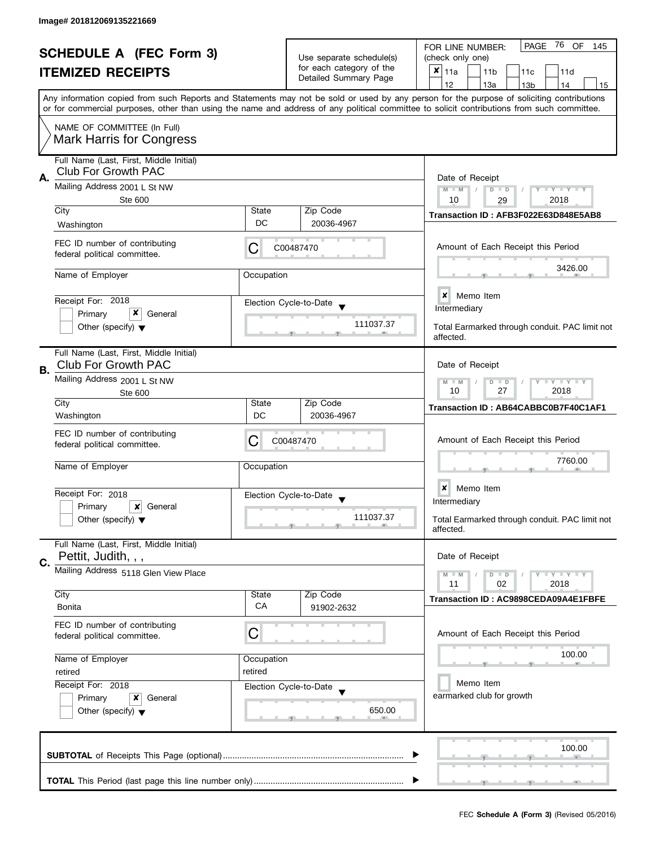| <b>SCHEDULE A (FEC Form 3)</b> |                                                                       |                                                                        | 76 OF<br>PAGE<br>FOR LINE NUMBER:<br>145  |                                                                                                                                                                                                                                                                                         |  |  |  |  |  |
|--------------------------------|-----------------------------------------------------------------------|------------------------------------------------------------------------|-------------------------------------------|-----------------------------------------------------------------------------------------------------------------------------------------------------------------------------------------------------------------------------------------------------------------------------------------|--|--|--|--|--|
| <b>ITEMIZED RECEIPTS</b>       |                                                                       | Use separate schedule(s)                                               | (check only one)                          |                                                                                                                                                                                                                                                                                         |  |  |  |  |  |
|                                |                                                                       | for each category of the<br>Detailed Summary Page                      | ×<br>11a<br>11 <sub>b</sub><br>11c<br>11d |                                                                                                                                                                                                                                                                                         |  |  |  |  |  |
|                                |                                                                       |                                                                        |                                           | 12<br>13a<br>13 <sub>b</sub><br>14<br>15                                                                                                                                                                                                                                                |  |  |  |  |  |
|                                |                                                                       |                                                                        |                                           | Any information copied from such Reports and Statements may not be sold or used by any person for the purpose of soliciting contributions<br>or for commercial purposes, other than using the name and address of any political committee to solicit contributions from such committee. |  |  |  |  |  |
|                                | NAME OF COMMITTEE (In Full)<br><b>Mark Harris for Congress</b>        |                                                                        |                                           |                                                                                                                                                                                                                                                                                         |  |  |  |  |  |
|                                | Full Name (Last, First, Middle Initial)<br>Club For Growth PAC        |                                                                        |                                           |                                                                                                                                                                                                                                                                                         |  |  |  |  |  |
| А.                             | Mailing Address 2001 L St NW<br>Ste 600                               | Date of Receipt<br>Y FYLY FY<br>$M - M$<br>$D$ $D$<br>2018<br>10<br>29 |                                           |                                                                                                                                                                                                                                                                                         |  |  |  |  |  |
|                                | City                                                                  | State                                                                  | Zip Code                                  |                                                                                                                                                                                                                                                                                         |  |  |  |  |  |
|                                | Washington                                                            | DC                                                                     | 20036-4967                                | Transaction ID: AFB3F022E63D848E5AB8                                                                                                                                                                                                                                                    |  |  |  |  |  |
|                                | FEC ID number of contributing<br>federal political committee.         | С                                                                      | C00487470                                 | Amount of Each Receipt this Period                                                                                                                                                                                                                                                      |  |  |  |  |  |
|                                | Name of Employer                                                      | Occupation                                                             |                                           | 3426.00                                                                                                                                                                                                                                                                                 |  |  |  |  |  |
|                                | Receipt For: 2018                                                     |                                                                        | Election Cycle-to-Date                    | $\boldsymbol{x}$<br>Memo Item                                                                                                                                                                                                                                                           |  |  |  |  |  |
|                                | x<br>Primary<br>General                                               |                                                                        |                                           | Intermediary                                                                                                                                                                                                                                                                            |  |  |  |  |  |
|                                | Other (specify) $\blacktriangledown$                                  |                                                                        | 111037.37                                 | Total Earmarked through conduit. PAC limit not<br>affected.                                                                                                                                                                                                                             |  |  |  |  |  |
| В.                             | Full Name (Last, First, Middle Initial)<br><b>Club For Growth PAC</b> |                                                                        |                                           | Date of Receipt                                                                                                                                                                                                                                                                         |  |  |  |  |  |
|                                | Mailing Address 2001 L St NW<br>Ste 600                               | $T - Y = T - Y$<br>$M - M$<br>D<br>$\Box$<br>10<br>27<br>2018          |                                           |                                                                                                                                                                                                                                                                                         |  |  |  |  |  |
|                                | City                                                                  | State                                                                  | Zip Code                                  | Transaction ID: AB64CABBC0B7F40C1AF1                                                                                                                                                                                                                                                    |  |  |  |  |  |
|                                | Washington                                                            | DC                                                                     | 20036-4967                                |                                                                                                                                                                                                                                                                                         |  |  |  |  |  |
|                                | FEC ID number of contributing<br>federal political committee.         | С                                                                      | C00487470                                 | Amount of Each Receipt this Period                                                                                                                                                                                                                                                      |  |  |  |  |  |
|                                | Name of Employer                                                      | Occupation                                                             |                                           | 7760.00                                                                                                                                                                                                                                                                                 |  |  |  |  |  |
|                                | Receipt For: 2018                                                     |                                                                        | Election Cycle-to-Date                    | ×<br>Memo Item                                                                                                                                                                                                                                                                          |  |  |  |  |  |
|                                | Primary<br>×<br>General                                               |                                                                        | $\overline{\mathbf{v}}$                   | Intermediary                                                                                                                                                                                                                                                                            |  |  |  |  |  |
|                                | Other (specify) $\blacktriangledown$                                  |                                                                        | 111037.37                                 | Total Earmarked through conduit. PAC limit not<br>affected.                                                                                                                                                                                                                             |  |  |  |  |  |
|                                | Full Name (Last, First, Middle Initial)                               |                                                                        |                                           |                                                                                                                                                                                                                                                                                         |  |  |  |  |  |
| C.                             | Pettit, Judith, , ,                                                   |                                                                        |                                           | Date of Receipt                                                                                                                                                                                                                                                                         |  |  |  |  |  |
|                                | Mailing Address 5118 Glen View Place                                  |                                                                        |                                           | $T - Y = T - Y$<br>$M - M$<br>$D$ $D$<br>11<br>02<br>2018                                                                                                                                                                                                                               |  |  |  |  |  |
|                                | City<br><b>Bonita</b>                                                 | State<br>CA                                                            | Zip Code<br>91902-2632                    | Transaction ID: AC9898CEDA09A4E1FBFE                                                                                                                                                                                                                                                    |  |  |  |  |  |
|                                | FEC ID number of contributing<br>federal political committee.         | C                                                                      |                                           | Amount of Each Receipt this Period                                                                                                                                                                                                                                                      |  |  |  |  |  |
|                                | Name of Employer                                                      | Occupation                                                             |                                           | 100.00                                                                                                                                                                                                                                                                                  |  |  |  |  |  |
|                                | retired<br>retired<br>Receipt For: 2018                               |                                                                        |                                           |                                                                                                                                                                                                                                                                                         |  |  |  |  |  |
|                                |                                                                       |                                                                        | Election Cycle-to-Date                    | Memo Item                                                                                                                                                                                                                                                                               |  |  |  |  |  |
|                                | Primary<br>x<br>General                                               |                                                                        |                                           | earmarked club for growth                                                                                                                                                                                                                                                               |  |  |  |  |  |
|                                | Other (specify) $\blacktriangledown$                                  |                                                                        | 650.00                                    |                                                                                                                                                                                                                                                                                         |  |  |  |  |  |
|                                |                                                                       |                                                                        |                                           | 100.00                                                                                                                                                                                                                                                                                  |  |  |  |  |  |
|                                |                                                                       |                                                                        |                                           |                                                                                                                                                                                                                                                                                         |  |  |  |  |  |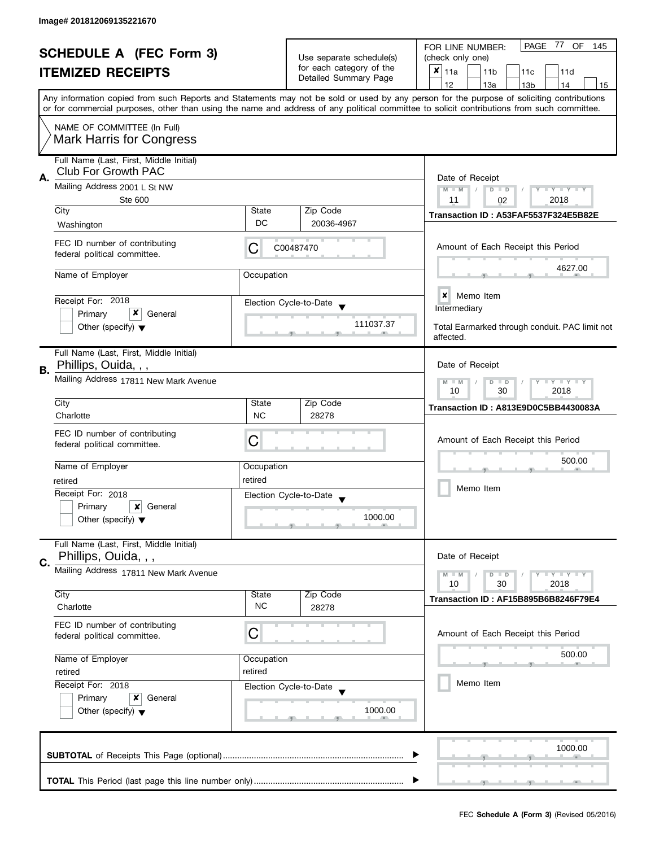| <b>SCHEDULE A (FEC Form 3)</b>         |                                         | Use separate schedule(s)                                               | PAGE<br>77<br>OF<br>FOR LINE NUMBER:<br>145<br>(check only one) |                                                                                                                                                                                                                                                                                         |  |  |  |  |  |
|----------------------------------------|-----------------------------------------|------------------------------------------------------------------------|-----------------------------------------------------------------|-----------------------------------------------------------------------------------------------------------------------------------------------------------------------------------------------------------------------------------------------------------------------------------------|--|--|--|--|--|
| <b>ITEMIZED RECEIPTS</b>               |                                         | for each category of the                                               | $x _{11a}$                                                      |                                                                                                                                                                                                                                                                                         |  |  |  |  |  |
|                                        |                                         | Detailed Summary Page                                                  | 11 <sub>b</sub><br>11c<br>11d                                   |                                                                                                                                                                                                                                                                                         |  |  |  |  |  |
|                                        |                                         |                                                                        |                                                                 | 12<br>13a<br>14<br>13 <sub>b</sub><br>15                                                                                                                                                                                                                                                |  |  |  |  |  |
|                                        |                                         |                                                                        |                                                                 | Any information copied from such Reports and Statements may not be sold or used by any person for the purpose of soliciting contributions<br>or for commercial purposes, other than using the name and address of any political committee to solicit contributions from such committee. |  |  |  |  |  |
|                                        | NAME OF COMMITTEE (In Full)             |                                                                        |                                                                 |                                                                                                                                                                                                                                                                                         |  |  |  |  |  |
|                                        | <b>Mark Harris for Congress</b>         |                                                                        |                                                                 |                                                                                                                                                                                                                                                                                         |  |  |  |  |  |
|                                        | Full Name (Last, First, Middle Initial) |                                                                        |                                                                 |                                                                                                                                                                                                                                                                                         |  |  |  |  |  |
|                                        | Club For Growth PAC                     |                                                                        |                                                                 |                                                                                                                                                                                                                                                                                         |  |  |  |  |  |
| А.                                     | Mailing Address 2001 L St NW            |                                                                        |                                                                 | Date of Receipt                                                                                                                                                                                                                                                                         |  |  |  |  |  |
|                                        | <b>Ste 600</b>                          |                                                                        |                                                                 | $M - M$<br>$D$ $D$<br>$Y - Y - Y - Y - Y$<br>2018<br>11<br>02                                                                                                                                                                                                                           |  |  |  |  |  |
|                                        | City                                    | State                                                                  | Zip Code                                                        |                                                                                                                                                                                                                                                                                         |  |  |  |  |  |
|                                        | Washington                              | DC                                                                     | 20036-4967                                                      | Transaction ID: A53FAF5537F324E5B82E                                                                                                                                                                                                                                                    |  |  |  |  |  |
|                                        |                                         |                                                                        |                                                                 |                                                                                                                                                                                                                                                                                         |  |  |  |  |  |
|                                        | FEC ID number of contributing           | C                                                                      | C00487470                                                       | Amount of Each Receipt this Period                                                                                                                                                                                                                                                      |  |  |  |  |  |
|                                        | federal political committee.            |                                                                        |                                                                 |                                                                                                                                                                                                                                                                                         |  |  |  |  |  |
|                                        | Name of Employer                        | Occupation                                                             |                                                                 | 4627.00                                                                                                                                                                                                                                                                                 |  |  |  |  |  |
|                                        |                                         |                                                                        |                                                                 |                                                                                                                                                                                                                                                                                         |  |  |  |  |  |
|                                        | Receipt For: 2018                       |                                                                        | Election Cycle-to-Date                                          | $\boldsymbol{x}$<br>Memo Item                                                                                                                                                                                                                                                           |  |  |  |  |  |
|                                        | x<br>Primary<br>General                 |                                                                        |                                                                 | Intermediary                                                                                                                                                                                                                                                                            |  |  |  |  |  |
|                                        | Other (specify) $\blacktriangledown$    |                                                                        | 111037.37                                                       | Total Earmarked through conduit. PAC limit not                                                                                                                                                                                                                                          |  |  |  |  |  |
|                                        |                                         |                                                                        |                                                                 | affected.                                                                                                                                                                                                                                                                               |  |  |  |  |  |
|                                        | Full Name (Last, First, Middle Initial) |                                                                        |                                                                 |                                                                                                                                                                                                                                                                                         |  |  |  |  |  |
| В.                                     | Phillips, Ouida, , ,                    |                                                                        |                                                                 | Date of Receipt                                                                                                                                                                                                                                                                         |  |  |  |  |  |
|                                        | Mailing Address 17811 New Mark Avenue   | $\bot$ $\gamma$ $\bot$ $\gamma$ $\bot$ $\gamma$<br>D<br>$\Box$<br>$-M$ |                                                                 |                                                                                                                                                                                                                                                                                         |  |  |  |  |  |
|                                        |                                         | 30<br>2018<br>10                                                       |                                                                 |                                                                                                                                                                                                                                                                                         |  |  |  |  |  |
|                                        | City                                    | State                                                                  | Zip Code                                                        | Transaction ID: A813E9D0C5BB4430083A                                                                                                                                                                                                                                                    |  |  |  |  |  |
|                                        | Charlotte                               | <b>NC</b>                                                              | 28278                                                           |                                                                                                                                                                                                                                                                                         |  |  |  |  |  |
|                                        | FEC ID number of contributing           |                                                                        |                                                                 |                                                                                                                                                                                                                                                                                         |  |  |  |  |  |
|                                        | federal political committee.            | Ĉ                                                                      |                                                                 | Amount of Each Receipt this Period                                                                                                                                                                                                                                                      |  |  |  |  |  |
|                                        |                                         |                                                                        |                                                                 | 500.00                                                                                                                                                                                                                                                                                  |  |  |  |  |  |
|                                        | Name of Employer                        | Occupation                                                             |                                                                 |                                                                                                                                                                                                                                                                                         |  |  |  |  |  |
|                                        | retired                                 | retired                                                                |                                                                 | Memo Item                                                                                                                                                                                                                                                                               |  |  |  |  |  |
|                                        | Receipt For: 2018                       |                                                                        | Election Cycle-to-Date                                          |                                                                                                                                                                                                                                                                                         |  |  |  |  |  |
|                                        | Primary<br>x<br>General                 |                                                                        |                                                                 |                                                                                                                                                                                                                                                                                         |  |  |  |  |  |
|                                        | Other (specify) $\blacktriangledown$    |                                                                        | 1000.00                                                         |                                                                                                                                                                                                                                                                                         |  |  |  |  |  |
|                                        | Full Name (Last, First, Middle Initial) |                                                                        |                                                                 |                                                                                                                                                                                                                                                                                         |  |  |  |  |  |
|                                        | Phillips, Ouida, , ,                    |                                                                        |                                                                 | Date of Receipt                                                                                                                                                                                                                                                                         |  |  |  |  |  |
| C.                                     | Mailing Address 17811 New Mark Avenue   |                                                                        |                                                                 |                                                                                                                                                                                                                                                                                         |  |  |  |  |  |
|                                        |                                         |                                                                        |                                                                 | $M - M$<br>$\bot$ $\gamma$ $\bot$ $\gamma$ $\bot$ $\gamma$<br>$D$ $D$<br>10<br>30<br>2018                                                                                                                                                                                               |  |  |  |  |  |
|                                        | City                                    | State                                                                  | Zip Code                                                        | Transaction ID: AF15B895B6B8246F79E4                                                                                                                                                                                                                                                    |  |  |  |  |  |
|                                        | Charlotte                               | <b>NC</b>                                                              | 28278                                                           |                                                                                                                                                                                                                                                                                         |  |  |  |  |  |
|                                        | FEC ID number of contributing           |                                                                        |                                                                 |                                                                                                                                                                                                                                                                                         |  |  |  |  |  |
|                                        | federal political committee.            | С                                                                      |                                                                 | Amount of Each Receipt this Period                                                                                                                                                                                                                                                      |  |  |  |  |  |
|                                        |                                         |                                                                        |                                                                 |                                                                                                                                                                                                                                                                                         |  |  |  |  |  |
| Name of Employer<br>retired<br>retired |                                         | Occupation                                                             |                                                                 | 500.00                                                                                                                                                                                                                                                                                  |  |  |  |  |  |
|                                        |                                         |                                                                        |                                                                 |                                                                                                                                                                                                                                                                                         |  |  |  |  |  |
|                                        | Receipt For: 2018                       |                                                                        | Election Cycle-to-Date                                          | Memo Item                                                                                                                                                                                                                                                                               |  |  |  |  |  |
|                                        | Primary<br>x<br>General                 |                                                                        |                                                                 |                                                                                                                                                                                                                                                                                         |  |  |  |  |  |
|                                        | Other (specify) $\blacktriangledown$    |                                                                        | 1000.00                                                         |                                                                                                                                                                                                                                                                                         |  |  |  |  |  |
|                                        |                                         |                                                                        |                                                                 |                                                                                                                                                                                                                                                                                         |  |  |  |  |  |
|                                        |                                         |                                                                        |                                                                 |                                                                                                                                                                                                                                                                                         |  |  |  |  |  |
| 1000.00                                |                                         |                                                                        |                                                                 |                                                                                                                                                                                                                                                                                         |  |  |  |  |  |
|                                        |                                         |                                                                        |                                                                 |                                                                                                                                                                                                                                                                                         |  |  |  |  |  |
|                                        |                                         |                                                                        |                                                                 |                                                                                                                                                                                                                                                                                         |  |  |  |  |  |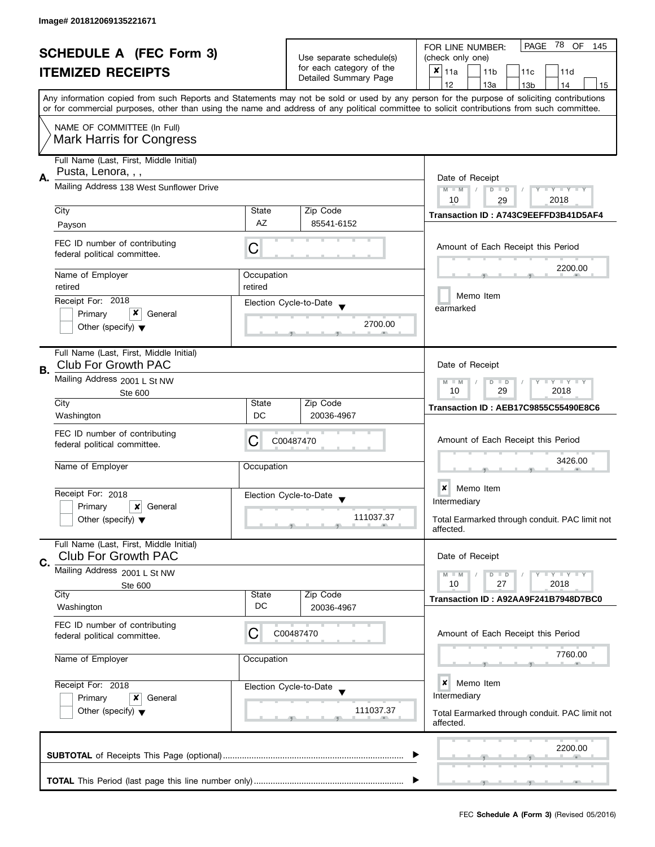| <b>SCHEDULE A (FEC Form 3)</b> |                                                                                                                                                                                                                                                                                         |                        |                                                      |                        | PAGE 78 OF<br>FOR LINE NUMBER:<br>145                     |           |                 |                                                |  |                    |    |  |
|--------------------------------|-----------------------------------------------------------------------------------------------------------------------------------------------------------------------------------------------------------------------------------------------------------------------------------------|------------------------|------------------------------------------------------|------------------------|-----------------------------------------------------------|-----------|-----------------|------------------------------------------------|--|--------------------|----|--|
| <b>ITEMIZED RECEIPTS</b>       |                                                                                                                                                                                                                                                                                         |                        | Use separate schedule(s)<br>for each category of the |                        | (check only one)<br>X<br>11a<br>11 <sub>b</sub><br>11c    |           |                 |                                                |  |                    |    |  |
|                                |                                                                                                                                                                                                                                                                                         |                        |                                                      | Detailed Summary Page  | 12                                                        |           | 13a             | 13 <sub>b</sub>                                |  | 11d<br>14          | 15 |  |
|                                | Any information copied from such Reports and Statements may not be sold or used by any person for the purpose of soliciting contributions<br>or for commercial purposes, other than using the name and address of any political committee to solicit contributions from such committee. |                        |                                                      |                        |                                                           |           |                 |                                                |  |                    |    |  |
|                                |                                                                                                                                                                                                                                                                                         |                        |                                                      |                        |                                                           |           |                 |                                                |  |                    |    |  |
|                                | NAME OF COMMITTEE (In Full)<br><b>Mark Harris for Congress</b>                                                                                                                                                                                                                          |                        |                                                      |                        |                                                           |           |                 |                                                |  |                    |    |  |
| А.                             | Full Name (Last, First, Middle Initial)<br>Pusta, Lenora, , ,                                                                                                                                                                                                                           |                        |                                                      |                        |                                                           |           | Date of Receipt |                                                |  |                    |    |  |
|                                | Mailing Address 138 West Sunflower Drive                                                                                                                                                                                                                                                |                        |                                                      |                        | $M - M$                                                   | 10        | $D$ $D$         | 29                                             |  | Y TY TY TY<br>2018 |    |  |
|                                | City                                                                                                                                                                                                                                                                                    | State                  |                                                      | Zip Code               |                                                           |           |                 | Transaction ID: A743C9EEFFD3B41D5AF4           |  |                    |    |  |
|                                | Payson                                                                                                                                                                                                                                                                                  | AZ                     |                                                      | 85541-6152             |                                                           |           |                 |                                                |  |                    |    |  |
|                                | FEC ID number of contributing<br>federal political committee.                                                                                                                                                                                                                           | C                      |                                                      |                        |                                                           |           |                 | Amount of Each Receipt this Period             |  |                    |    |  |
|                                | Name of Employer                                                                                                                                                                                                                                                                        | Occupation             |                                                      |                        |                                                           |           |                 |                                                |  | 2200.00            |    |  |
|                                | retired                                                                                                                                                                                                                                                                                 | retired                |                                                      |                        |                                                           |           |                 |                                                |  |                    |    |  |
|                                | Receipt For: 2018                                                                                                                                                                                                                                                                       | Election Cycle-to-Date |                                                      |                        |                                                           | earmarked | Memo Item       |                                                |  |                    |    |  |
|                                | x<br>Primary<br>General                                                                                                                                                                                                                                                                 |                        |                                                      | 2700.00                |                                                           |           |                 |                                                |  |                    |    |  |
|                                | Other (specify) $\blacktriangledown$                                                                                                                                                                                                                                                    |                        |                                                      |                        |                                                           |           |                 |                                                |  |                    |    |  |
| В.                             | Full Name (Last, First, Middle Initial)<br>Club For Growth PAC                                                                                                                                                                                                                          |                        |                                                      |                        |                                                           |           | Date of Receipt |                                                |  |                    |    |  |
|                                | Mailing Address 2001 L St NW<br>Ste 600                                                                                                                                                                                                                                                 |                        |                                                      |                        | $T + Y + Y + Y$<br>$M - M$<br>$D$ $D$<br>10<br>29<br>2018 |           |                 |                                                |  |                    |    |  |
|                                | City                                                                                                                                                                                                                                                                                    | State                  |                                                      | Zip Code               |                                                           |           |                 | Transaction ID: AEB17C9855C55490E8C6           |  |                    |    |  |
|                                | Washington                                                                                                                                                                                                                                                                              | DC                     |                                                      | 20036-4967             |                                                           |           |                 |                                                |  |                    |    |  |
|                                | FEC ID number of contributing<br>federal political committee.                                                                                                                                                                                                                           | С                      | C00487470                                            |                        |                                                           |           |                 | Amount of Each Receipt this Period             |  |                    |    |  |
|                                | Name of Employer                                                                                                                                                                                                                                                                        | Occupation             |                                                      |                        |                                                           |           |                 |                                                |  | 3426.00            |    |  |
|                                | Receipt For: 2018                                                                                                                                                                                                                                                                       |                        |                                                      |                        | ×                                                         |           | Memo Item       |                                                |  |                    |    |  |
|                                | Primary<br>$\boldsymbol{\mathsf{x}}$<br>General                                                                                                                                                                                                                                         |                        |                                                      | Election Cycle-to-Date | Intermediary                                              |           |                 |                                                |  |                    |    |  |
|                                | Other (specify) $\blacktriangledown$                                                                                                                                                                                                                                                    |                        |                                                      | 111037.37              | affected.                                                 |           |                 | Total Earmarked through conduit. PAC limit not |  |                    |    |  |
| C.                             | Full Name (Last, First, Middle Initial)<br>Club For Growth PAC                                                                                                                                                                                                                          |                        |                                                      |                        |                                                           |           | Date of Receipt |                                                |  |                    |    |  |
|                                | Mailing Address 2001 L St NW                                                                                                                                                                                                                                                            |                        |                                                      |                        | $M - M$                                                   |           | $D$ $D$         |                                                |  | Y I Y I Y I Y      |    |  |
|                                | Ste 600<br>City                                                                                                                                                                                                                                                                         | State                  |                                                      | Zip Code               | 10                                                        |           | 27              |                                                |  | 2018               |    |  |
|                                | Washington                                                                                                                                                                                                                                                                              | DC                     |                                                      | 20036-4967             |                                                           |           |                 | Transaction ID: A92AA9F241B7948D7BC0           |  |                    |    |  |
|                                | FEC ID number of contributing<br>federal political committee.                                                                                                                                                                                                                           | C                      | C00487470                                            |                        |                                                           |           |                 | Amount of Each Receipt this Period             |  |                    |    |  |
|                                | Name of Employer                                                                                                                                                                                                                                                                        | Occupation             |                                                      |                        |                                                           |           |                 |                                                |  | 7760.00            |    |  |
|                                | Receipt For: 2018                                                                                                                                                                                                                                                                       | Election Cycle-to-Date |                                                      |                        | ×<br>Intermediary                                         |           | Memo Item       |                                                |  |                    |    |  |
|                                | Primary<br>x<br>General<br>Other (specify) $\blacktriangledown$                                                                                                                                                                                                                         |                        |                                                      | 111037.37              | affected.                                                 |           |                 | Total Earmarked through conduit. PAC limit not |  |                    |    |  |
|                                |                                                                                                                                                                                                                                                                                         |                        |                                                      |                        |                                                           |           |                 | $\tau$ and the state $\tau$                    |  | 2200.00            |    |  |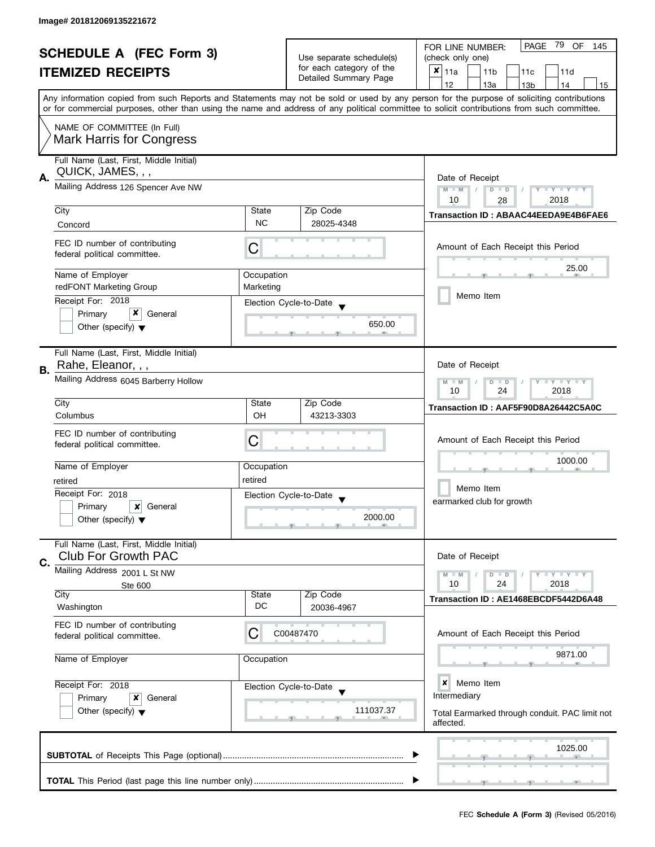| <b>SCHEDULE A (FEC Form 3)</b> |                                                                |                                                           | PAGE<br>79<br>OF<br>FOR LINE NUMBER:<br>145 |                                                                                                                                                                                                                                                                                         |  |  |  |  |  |
|--------------------------------|----------------------------------------------------------------|-----------------------------------------------------------|---------------------------------------------|-----------------------------------------------------------------------------------------------------------------------------------------------------------------------------------------------------------------------------------------------------------------------------------------|--|--|--|--|--|
| <b>ITEMIZED RECEIPTS</b>       |                                                                | Use separate schedule(s)<br>for each category of the      | (check only one)                            |                                                                                                                                                                                                                                                                                         |  |  |  |  |  |
|                                |                                                                | Detailed Summary Page                                     | $x _{11a}$<br>11 <sub>b</sub><br>11c<br>11d |                                                                                                                                                                                                                                                                                         |  |  |  |  |  |
|                                |                                                                |                                                           |                                             | 12<br>13a<br>14<br>13 <sub>b</sub><br>15                                                                                                                                                                                                                                                |  |  |  |  |  |
|                                |                                                                |                                                           |                                             | Any information copied from such Reports and Statements may not be sold or used by any person for the purpose of soliciting contributions<br>or for commercial purposes, other than using the name and address of any political committee to solicit contributions from such committee. |  |  |  |  |  |
|                                | NAME OF COMMITTEE (In Full)                                    |                                                           |                                             |                                                                                                                                                                                                                                                                                         |  |  |  |  |  |
|                                | <b>Mark Harris for Congress</b>                                |                                                           |                                             |                                                                                                                                                                                                                                                                                         |  |  |  |  |  |
|                                | Full Name (Last, First, Middle Initial)<br>QUICK, JAMES, , ,   |                                                           |                                             |                                                                                                                                                                                                                                                                                         |  |  |  |  |  |
| А.                             | Mailing Address 126 Spencer Ave NW                             |                                                           |                                             | Date of Receipt<br>$M - M$<br>Y TY TY TY<br>$D$ $D$                                                                                                                                                                                                                                     |  |  |  |  |  |
|                                |                                                                |                                                           |                                             | 10<br>2018<br>28                                                                                                                                                                                                                                                                        |  |  |  |  |  |
|                                | City                                                           | State                                                     | Zip Code                                    | Transaction ID: ABAAC44EEDA9E4B6FAE6                                                                                                                                                                                                                                                    |  |  |  |  |  |
|                                | Concord                                                        | <b>NC</b>                                                 | 28025-4348                                  |                                                                                                                                                                                                                                                                                         |  |  |  |  |  |
|                                | FEC ID number of contributing<br>federal political committee.  | С                                                         |                                             | Amount of Each Receipt this Period                                                                                                                                                                                                                                                      |  |  |  |  |  |
|                                | Name of Employer                                               | Occupation                                                |                                             | 25.00                                                                                                                                                                                                                                                                                   |  |  |  |  |  |
|                                | redFONT Marketing Group                                        | Marketing                                                 |                                             |                                                                                                                                                                                                                                                                                         |  |  |  |  |  |
|                                | Receipt For: 2018                                              |                                                           | Election Cycle-to-Date                      | Memo Item                                                                                                                                                                                                                                                                               |  |  |  |  |  |
|                                | x<br>Primary<br>General                                        |                                                           |                                             |                                                                                                                                                                                                                                                                                         |  |  |  |  |  |
|                                | Other (specify) $\blacktriangledown$                           |                                                           | 650.00                                      |                                                                                                                                                                                                                                                                                         |  |  |  |  |  |
|                                | Full Name (Last, First, Middle Initial)                        |                                                           |                                             |                                                                                                                                                                                                                                                                                         |  |  |  |  |  |
| <b>B.</b>                      | Rahe, Eleanor, , ,                                             |                                                           |                                             | Date of Receipt                                                                                                                                                                                                                                                                         |  |  |  |  |  |
|                                | Mailing Address 6045 Barberry Hollow                           | $Y = Y + Y$<br>$M - M$<br>D<br>$\Box$<br>2018<br>10<br>24 |                                             |                                                                                                                                                                                                                                                                                         |  |  |  |  |  |
|                                | City                                                           | State                                                     | Zip Code                                    | Transaction ID: AAF5F90D8A26442C5A0C                                                                                                                                                                                                                                                    |  |  |  |  |  |
|                                | Columbus                                                       | OH                                                        | 43213-3303                                  |                                                                                                                                                                                                                                                                                         |  |  |  |  |  |
|                                | FEC ID number of contributing                                  |                                                           |                                             |                                                                                                                                                                                                                                                                                         |  |  |  |  |  |
|                                | federal political committee.                                   | С                                                         |                                             | Amount of Each Receipt this Period                                                                                                                                                                                                                                                      |  |  |  |  |  |
|                                |                                                                |                                                           |                                             | 1000.00                                                                                                                                                                                                                                                                                 |  |  |  |  |  |
|                                | Name of Employer                                               | Occupation                                                |                                             |                                                                                                                                                                                                                                                                                         |  |  |  |  |  |
|                                | retired                                                        | retired                                                   |                                             | Memo Item                                                                                                                                                                                                                                                                               |  |  |  |  |  |
|                                | Receipt For: 2018                                              |                                                           | Election Cycle-to-Date                      |                                                                                                                                                                                                                                                                                         |  |  |  |  |  |
|                                | Primary<br>×<br>General                                        |                                                           |                                             | earmarked club for growth                                                                                                                                                                                                                                                               |  |  |  |  |  |
|                                | Other (specify) $\blacktriangledown$                           |                                                           | 2000.00                                     |                                                                                                                                                                                                                                                                                         |  |  |  |  |  |
|                                | Full Name (Last, First, Middle Initial)<br>Club For Growth PAC |                                                           |                                             | Date of Receipt                                                                                                                                                                                                                                                                         |  |  |  |  |  |
| C.                             | Mailing Address 2001 L St NW                                   |                                                           |                                             | $Y = Y + Y$<br>$M - M$<br>$D$ $D$                                                                                                                                                                                                                                                       |  |  |  |  |  |
|                                | Ste 600                                                        |                                                           |                                             | 10<br>24<br>2018                                                                                                                                                                                                                                                                        |  |  |  |  |  |
|                                | City                                                           | State                                                     | Zip Code                                    | Transaction ID: AE1468EBCDF5442D6A48                                                                                                                                                                                                                                                    |  |  |  |  |  |
|                                | Washington                                                     | DC                                                        | 20036-4967                                  |                                                                                                                                                                                                                                                                                         |  |  |  |  |  |
|                                | FEC ID number of contributing                                  |                                                           |                                             |                                                                                                                                                                                                                                                                                         |  |  |  |  |  |
|                                | federal political committee.                                   | C                                                         | C00487470                                   | Amount of Each Receipt this Period                                                                                                                                                                                                                                                      |  |  |  |  |  |
| Name of Employer<br>Occupation |                                                                |                                                           |                                             | 9871.00                                                                                                                                                                                                                                                                                 |  |  |  |  |  |
|                                |                                                                |                                                           |                                             |                                                                                                                                                                                                                                                                                         |  |  |  |  |  |
|                                | Receipt For: 2018<br>Primary<br>x<br>General                   |                                                           | Election Cycle-to-Date                      | ×<br>Memo Item                                                                                                                                                                                                                                                                          |  |  |  |  |  |
|                                |                                                                |                                                           |                                             | Intermediary                                                                                                                                                                                                                                                                            |  |  |  |  |  |
|                                | Other (specify) $\blacktriangledown$                           |                                                           | 111037.37                                   | Total Earmarked through conduit. PAC limit not                                                                                                                                                                                                                                          |  |  |  |  |  |
|                                |                                                                |                                                           |                                             | affected.                                                                                                                                                                                                                                                                               |  |  |  |  |  |
|                                |                                                                |                                                           |                                             |                                                                                                                                                                                                                                                                                         |  |  |  |  |  |
|                                |                                                                |                                                           |                                             | 1025.00                                                                                                                                                                                                                                                                                 |  |  |  |  |  |
|                                |                                                                |                                                           |                                             |                                                                                                                                                                                                                                                                                         |  |  |  |  |  |
|                                |                                                                |                                                           |                                             |                                                                                                                                                                                                                                                                                         |  |  |  |  |  |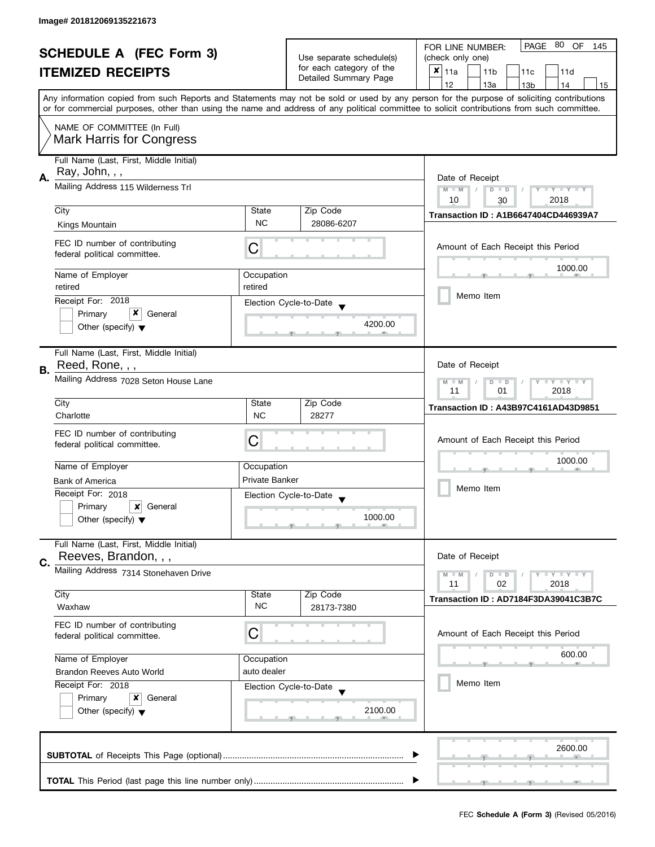| <b>SCHEDULE A (FEC Form 3)</b><br><b>ITEMIZED RECEIPTS</b> |                                                               |                                                                                                | PAGE 80 OF<br>FOR LINE NUMBER:<br>145       |                                                                                                                                            |  |  |  |
|------------------------------------------------------------|---------------------------------------------------------------|------------------------------------------------------------------------------------------------|---------------------------------------------|--------------------------------------------------------------------------------------------------------------------------------------------|--|--|--|
|                                                            |                                                               | Use separate schedule(s)                                                                       | (check only one)                            |                                                                                                                                            |  |  |  |
|                                                            |                                                               | for each category of the                                                                       | $x _{11a}$<br>11 <sub>b</sub><br>11c<br>11d |                                                                                                                                            |  |  |  |
|                                                            |                                                               | Detailed Summary Page                                                                          | 12<br>13a<br>13 <sub>b</sub><br>14<br>15    |                                                                                                                                            |  |  |  |
|                                                            |                                                               |                                                                                                |                                             | Any information copied from such Reports and Statements may not be sold or used by any person for the purpose of soliciting contributions  |  |  |  |
|                                                            |                                                               |                                                                                                |                                             | or for commercial purposes, other than using the name and address of any political committee to solicit contributions from such committee. |  |  |  |
|                                                            | NAME OF COMMITTEE (In Full)                                   |                                                                                                |                                             |                                                                                                                                            |  |  |  |
|                                                            | <b>Mark Harris for Congress</b>                               |                                                                                                |                                             |                                                                                                                                            |  |  |  |
|                                                            |                                                               |                                                                                                |                                             |                                                                                                                                            |  |  |  |
|                                                            | Full Name (Last, First, Middle Initial)                       |                                                                                                |                                             |                                                                                                                                            |  |  |  |
| А.                                                         | Ray, John, , ,                                                |                                                                                                |                                             | Date of Receipt                                                                                                                            |  |  |  |
|                                                            | Mailing Address 115 Wilderness Trl                            |                                                                                                |                                             | $M - M$<br>$D$ $D$<br>Y I Y I Y I Y<br>$\sqrt{ }$                                                                                          |  |  |  |
|                                                            |                                                               |                                                                                                |                                             | 10<br>2018<br>30                                                                                                                           |  |  |  |
|                                                            | City                                                          | State                                                                                          | Zip Code                                    | <b>Transaction ID: A1B6647404CD446939A7</b>                                                                                                |  |  |  |
|                                                            | Kings Mountain                                                | <b>NC</b>                                                                                      | 28086-6207                                  |                                                                                                                                            |  |  |  |
|                                                            |                                                               |                                                                                                |                                             |                                                                                                                                            |  |  |  |
|                                                            | FEC ID number of contributing<br>federal political committee. | C                                                                                              |                                             | Amount of Each Receipt this Period                                                                                                         |  |  |  |
|                                                            |                                                               |                                                                                                |                                             |                                                                                                                                            |  |  |  |
|                                                            | Name of Employer                                              | Occupation                                                                                     |                                             | 1000.00                                                                                                                                    |  |  |  |
|                                                            | retired                                                       | retired                                                                                        |                                             |                                                                                                                                            |  |  |  |
|                                                            | Receipt For: 2018                                             |                                                                                                | Election Cycle-to-Date                      | Memo Item                                                                                                                                  |  |  |  |
|                                                            | x<br>Primary<br>General                                       |                                                                                                |                                             |                                                                                                                                            |  |  |  |
|                                                            | Other (specify) $\blacktriangledown$                          |                                                                                                | 4200.00                                     |                                                                                                                                            |  |  |  |
|                                                            |                                                               |                                                                                                |                                             |                                                                                                                                            |  |  |  |
|                                                            | Full Name (Last, First, Middle Initial)                       |                                                                                                |                                             |                                                                                                                                            |  |  |  |
| В.                                                         | Reed, Rone, , ,                                               |                                                                                                |                                             | Date of Receipt                                                                                                                            |  |  |  |
|                                                            | Mailing Address 7028 Seton House Lane                         | $\Box$ $\Upsilon$ $\Box$ $\Upsilon$ $\Upsilon$ $\Upsilon$ $\Upsilon$<br>$M - M$<br>D<br>$\Box$ |                                             |                                                                                                                                            |  |  |  |
|                                                            |                                                               | 2018<br>11<br>01                                                                               |                                             |                                                                                                                                            |  |  |  |
|                                                            | City                                                          | State                                                                                          | Zip Code                                    | <b>Transaction ID: A43B97C4161AD43D9851</b>                                                                                                |  |  |  |
|                                                            | Charlotte                                                     | <b>NC</b>                                                                                      | 28277                                       |                                                                                                                                            |  |  |  |
|                                                            | FEC ID number of contributing                                 |                                                                                                |                                             |                                                                                                                                            |  |  |  |
|                                                            | federal political committee.                                  | C                                                                                              |                                             | Amount of Each Receipt this Period                                                                                                         |  |  |  |
|                                                            |                                                               |                                                                                                |                                             | 1000.00                                                                                                                                    |  |  |  |
|                                                            | Name of Employer                                              | Occupation                                                                                     |                                             |                                                                                                                                            |  |  |  |
|                                                            | <b>Bank of America</b>                                        | Private Banker                                                                                 |                                             | Memo Item                                                                                                                                  |  |  |  |
|                                                            | Receipt For: 2018                                             |                                                                                                | Election Cycle-to-Date                      |                                                                                                                                            |  |  |  |
|                                                            | Primary<br>×<br>General                                       |                                                                                                |                                             |                                                                                                                                            |  |  |  |
|                                                            | Other (specify) $\blacktriangledown$                          |                                                                                                | 1000.00                                     |                                                                                                                                            |  |  |  |
|                                                            | Full Name (Last, First, Middle Initial)                       |                                                                                                |                                             |                                                                                                                                            |  |  |  |
|                                                            | Reeves, Brandon, , ,                                          |                                                                                                |                                             | Date of Receipt                                                                                                                            |  |  |  |
| C.                                                         | Mailing Address 7314 Stonehaven Drive                         |                                                                                                |                                             |                                                                                                                                            |  |  |  |
|                                                            |                                                               |                                                                                                |                                             | $Y = Y + Y$<br>$M - M$<br>D<br>$\blacksquare$<br>11<br>02<br>2018                                                                          |  |  |  |
|                                                            | City                                                          | State                                                                                          | Zip Code                                    | Transaction ID: AD7184F3DA39041C3B7C                                                                                                       |  |  |  |
|                                                            | Waxhaw                                                        | <b>NC</b>                                                                                      | 28173-7380                                  |                                                                                                                                            |  |  |  |
|                                                            | FEC ID number of contributing                                 |                                                                                                |                                             |                                                                                                                                            |  |  |  |
|                                                            | federal political committee.                                  | C                                                                                              |                                             | Amount of Each Receipt this Period                                                                                                         |  |  |  |
|                                                            |                                                               |                                                                                                |                                             |                                                                                                                                            |  |  |  |
| Name of Employer<br><b>Brandon Reeves Auto World</b>       |                                                               | Occupation                                                                                     |                                             | 600.00                                                                                                                                     |  |  |  |
|                                                            |                                                               | auto dealer                                                                                    |                                             |                                                                                                                                            |  |  |  |
|                                                            | Receipt For: 2018                                             |                                                                                                | Election Cycle-to-Date                      | Memo Item                                                                                                                                  |  |  |  |
|                                                            | Primary<br>x<br>General                                       |                                                                                                |                                             |                                                                                                                                            |  |  |  |
|                                                            | Other (specify) $\blacktriangledown$                          |                                                                                                | 2100.00                                     |                                                                                                                                            |  |  |  |
|                                                            |                                                               |                                                                                                |                                             |                                                                                                                                            |  |  |  |
|                                                            |                                                               |                                                                                                |                                             |                                                                                                                                            |  |  |  |
|                                                            |                                                               |                                                                                                |                                             | 2600.00                                                                                                                                    |  |  |  |
|                                                            |                                                               |                                                                                                |                                             |                                                                                                                                            |  |  |  |
|                                                            |                                                               |                                                                                                |                                             |                                                                                                                                            |  |  |  |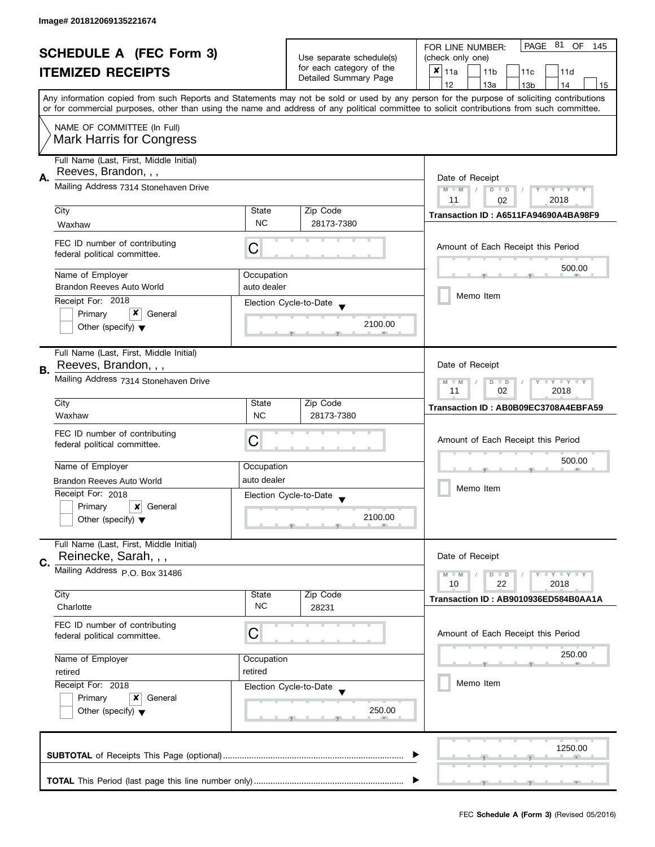|                                                            |                                         |                                                | PAGE 81<br>OF<br>FOR LINE NUMBER:<br>145    |                                                                                                                                            |  |  |  |  |
|------------------------------------------------------------|-----------------------------------------|------------------------------------------------|---------------------------------------------|--------------------------------------------------------------------------------------------------------------------------------------------|--|--|--|--|
| <b>SCHEDULE A (FEC Form 3)</b><br><b>ITEMIZED RECEIPTS</b> |                                         | Use separate schedule(s)                       | (check only one)                            |                                                                                                                                            |  |  |  |  |
|                                                            |                                         | for each category of the                       | $x _{11a}$<br>11 <sub>b</sub><br>11c<br>11d |                                                                                                                                            |  |  |  |  |
|                                                            |                                         |                                                | Detailed Summary Page                       | 12<br>13a<br>13 <sub>b</sub><br>14<br>15                                                                                                   |  |  |  |  |
|                                                            |                                         |                                                |                                             | Any information copied from such Reports and Statements may not be sold or used by any person for the purpose of soliciting contributions  |  |  |  |  |
|                                                            |                                         |                                                |                                             | or for commercial purposes, other than using the name and address of any political committee to solicit contributions from such committee. |  |  |  |  |
|                                                            | NAME OF COMMITTEE (In Full)             |                                                |                                             |                                                                                                                                            |  |  |  |  |
|                                                            | <b>Mark Harris for Congress</b>         |                                                |                                             |                                                                                                                                            |  |  |  |  |
|                                                            |                                         |                                                |                                             |                                                                                                                                            |  |  |  |  |
|                                                            | Full Name (Last, First, Middle Initial) |                                                |                                             |                                                                                                                                            |  |  |  |  |
| Α.                                                         | Reeves, Brandon, , ,                    |                                                |                                             | Date of Receipt                                                                                                                            |  |  |  |  |
|                                                            | Mailing Address 7314 Stonehaven Drive   |                                                |                                             | $M - M$<br>$T - Y = Y - T Y$<br>$D$ $D$<br>Ÿ.                                                                                              |  |  |  |  |
|                                                            |                                         |                                                |                                             | 2018<br>11<br>02                                                                                                                           |  |  |  |  |
|                                                            | City                                    | State                                          | Zip Code                                    | Transaction ID: A6511FA94690A4BA98F9                                                                                                       |  |  |  |  |
|                                                            | Waxhaw                                  | <b>NC</b>                                      | 28173-7380                                  |                                                                                                                                            |  |  |  |  |
|                                                            | FEC ID number of contributing           |                                                |                                             |                                                                                                                                            |  |  |  |  |
|                                                            | federal political committee.            | C                                              |                                             | Amount of Each Receipt this Period                                                                                                         |  |  |  |  |
|                                                            |                                         |                                                |                                             | 500.00                                                                                                                                     |  |  |  |  |
|                                                            | Name of Employer                        | Occupation                                     |                                             |                                                                                                                                            |  |  |  |  |
|                                                            | <b>Brandon Reeves Auto World</b>        | auto dealer                                    |                                             | Memo Item                                                                                                                                  |  |  |  |  |
|                                                            | Receipt For: 2018                       |                                                | Election Cycle-to-Date                      |                                                                                                                                            |  |  |  |  |
|                                                            | x<br>General<br>Primary                 |                                                |                                             |                                                                                                                                            |  |  |  |  |
|                                                            | Other (specify) $\blacktriangledown$    |                                                | 2100.00                                     |                                                                                                                                            |  |  |  |  |
|                                                            |                                         |                                                |                                             |                                                                                                                                            |  |  |  |  |
|                                                            | Full Name (Last, First, Middle Initial) |                                                |                                             |                                                                                                                                            |  |  |  |  |
| В.                                                         | Reeves, Brandon, , ,                    |                                                |                                             | Date of Receipt                                                                                                                            |  |  |  |  |
|                                                            | Mailing Address 7314 Stonehaven Drive   | Y LY LY<br>$\overline{D}$<br>$M - M$<br>$\Box$ |                                             |                                                                                                                                            |  |  |  |  |
|                                                            |                                         | 02<br>2018<br>11                               |                                             |                                                                                                                                            |  |  |  |  |
|                                                            | City                                    | State                                          | Zip Code                                    | Transaction ID: AB0B09EC3708A4EBFA59                                                                                                       |  |  |  |  |
|                                                            | Waxhaw                                  | <b>NC</b>                                      | 28173-7380                                  |                                                                                                                                            |  |  |  |  |
|                                                            | FEC ID number of contributing           |                                                |                                             |                                                                                                                                            |  |  |  |  |
|                                                            | federal political committee.            | C                                              |                                             | Amount of Each Receipt this Period                                                                                                         |  |  |  |  |
|                                                            |                                         |                                                |                                             | 500.00                                                                                                                                     |  |  |  |  |
|                                                            | Name of Employer                        | Occupation                                     |                                             |                                                                                                                                            |  |  |  |  |
|                                                            | Brandon Reeves Auto World               | auto dealer                                    |                                             | Memo Item                                                                                                                                  |  |  |  |  |
|                                                            | Receipt For: 2018                       |                                                | Election Cycle-to-Date                      |                                                                                                                                            |  |  |  |  |
|                                                            | Primary<br>$\boldsymbol{x}$<br>General  |                                                |                                             |                                                                                                                                            |  |  |  |  |
|                                                            | Other (specify) $\blacktriangledown$    |                                                | 2100.00                                     |                                                                                                                                            |  |  |  |  |
|                                                            |                                         |                                                |                                             |                                                                                                                                            |  |  |  |  |
|                                                            | Full Name (Last, First, Middle Initial) |                                                |                                             |                                                                                                                                            |  |  |  |  |
| C.                                                         | Reinecke, Sarah, , ,                    |                                                |                                             | Date of Receipt                                                                                                                            |  |  |  |  |
|                                                            | Mailing Address P.O. Box 31486          |                                                |                                             | Y LY LY<br>$M - M$<br>$D$ $D$                                                                                                              |  |  |  |  |
|                                                            |                                         |                                                |                                             | 22<br>2018<br>10                                                                                                                           |  |  |  |  |
|                                                            | City                                    | State                                          | Zip Code                                    | Transaction ID: AB9010936ED584B0AA1A                                                                                                       |  |  |  |  |
|                                                            | Charlotte                               | <b>NC</b>                                      | 28231                                       |                                                                                                                                            |  |  |  |  |
|                                                            | FEC ID number of contributing           |                                                |                                             |                                                                                                                                            |  |  |  |  |
|                                                            | federal political committee.            | С                                              |                                             | Amount of Each Receipt this Period                                                                                                         |  |  |  |  |
|                                                            |                                         |                                                |                                             | 250.00                                                                                                                                     |  |  |  |  |
| Name of Employer<br>Occupation<br>retired<br>retired       |                                         |                                                |                                             |                                                                                                                                            |  |  |  |  |
|                                                            |                                         |                                                |                                             |                                                                                                                                            |  |  |  |  |
|                                                            | Receipt For: 2018                       |                                                | Election Cycle-to-Date                      | Memo Item                                                                                                                                  |  |  |  |  |
|                                                            | Primary<br>General<br>x                 |                                                |                                             |                                                                                                                                            |  |  |  |  |
|                                                            | Other (specify) $\blacktriangledown$    |                                                | 250.00                                      |                                                                                                                                            |  |  |  |  |
|                                                            |                                         |                                                |                                             |                                                                                                                                            |  |  |  |  |
|                                                            |                                         |                                                |                                             |                                                                                                                                            |  |  |  |  |
|                                                            |                                         |                                                |                                             | 1250.00                                                                                                                                    |  |  |  |  |
|                                                            |                                         |                                                |                                             |                                                                                                                                            |  |  |  |  |
|                                                            |                                         |                                                |                                             |                                                                                                                                            |  |  |  |  |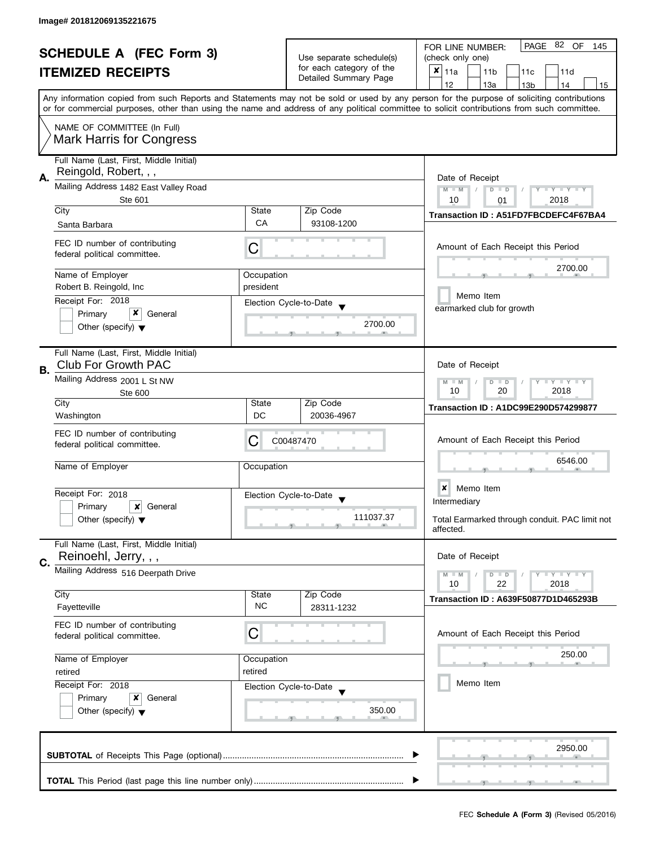| <b>SCHEDULE A (FEC Form 3)</b><br><b>ITEMIZED RECEIPTS</b> |                                                                       |                    | Use separate schedule(s)<br>for each category of the | PAGE 82 OF<br>FOR LINE NUMBER:<br>145<br>(check only one)<br>×<br>11a<br>11 <sub>b</sub><br>11c<br>11d                                                                                                                                                                                  |  |  |  |  |
|------------------------------------------------------------|-----------------------------------------------------------------------|--------------------|------------------------------------------------------|-----------------------------------------------------------------------------------------------------------------------------------------------------------------------------------------------------------------------------------------------------------------------------------------|--|--|--|--|
|                                                            |                                                                       |                    | Detailed Summary Page                                | 12<br>13a<br>13 <sub>b</sub><br>14<br>15                                                                                                                                                                                                                                                |  |  |  |  |
|                                                            |                                                                       |                    |                                                      | Any information copied from such Reports and Statements may not be sold or used by any person for the purpose of soliciting contributions<br>or for commercial purposes, other than using the name and address of any political committee to solicit contributions from such committee. |  |  |  |  |
|                                                            | NAME OF COMMITTEE (In Full)<br><b>Mark Harris for Congress</b>        |                    |                                                      |                                                                                                                                                                                                                                                                                         |  |  |  |  |
| А.                                                         | Full Name (Last, First, Middle Initial)<br>Reingold, Robert, , ,      |                    |                                                      | Date of Receipt                                                                                                                                                                                                                                                                         |  |  |  |  |
|                                                            | Mailing Address 1482 East Valley Road<br>Ste 601                      |                    |                                                      | $M - M$<br>$T - Y = T - Y$<br>$D$ $D$<br>10<br>2018<br>01                                                                                                                                                                                                                               |  |  |  |  |
|                                                            | City                                                                  | <b>State</b>       | Zip Code                                             | Transaction ID: A51FD7FBCDEFC4F67BA4                                                                                                                                                                                                                                                    |  |  |  |  |
|                                                            | Santa Barbara                                                         | CA                 | 93108-1200                                           |                                                                                                                                                                                                                                                                                         |  |  |  |  |
|                                                            | FEC ID number of contributing<br>federal political committee.         | C                  |                                                      | Amount of Each Receipt this Period                                                                                                                                                                                                                                                      |  |  |  |  |
|                                                            | Name of Employer                                                      | Occupation         |                                                      | 2700.00                                                                                                                                                                                                                                                                                 |  |  |  |  |
|                                                            | Robert B. Reingold, Inc.                                              | president          |                                                      | Memo Item                                                                                                                                                                                                                                                                               |  |  |  |  |
|                                                            | Receipt For: 2018<br>x<br>Primary<br>General                          |                    | Election Cycle-to-Date                               | earmarked club for growth                                                                                                                                                                                                                                                               |  |  |  |  |
|                                                            | Other (specify) $\blacktriangledown$                                  |                    | 2700.00                                              |                                                                                                                                                                                                                                                                                         |  |  |  |  |
| В.                                                         | Full Name (Last, First, Middle Initial)<br><b>Club For Growth PAC</b> |                    |                                                      | Date of Receipt                                                                                                                                                                                                                                                                         |  |  |  |  |
|                                                            | Mailing Address 2001 L St NW<br>Ste 600                               |                    |                                                      | $Y = Y + Y$<br>$M - M$<br>D<br>$\Box$<br>T<br>10<br>20<br>2018                                                                                                                                                                                                                          |  |  |  |  |
|                                                            | City<br>Washington                                                    | State<br>DC        | Zip Code<br>20036-4967                               | <b>Transaction ID: A1DC99E290D574299877</b>                                                                                                                                                                                                                                             |  |  |  |  |
|                                                            | FEC ID number of contributing<br>federal political committee.         | С                  | C00487470                                            | Amount of Each Receipt this Period                                                                                                                                                                                                                                                      |  |  |  |  |
|                                                            | Name of Employer                                                      | Occupation         |                                                      | 6546.00                                                                                                                                                                                                                                                                                 |  |  |  |  |
|                                                            | Receipt For: 2018                                                     |                    | Election Cycle-to-Date                               | $\boldsymbol{x}$<br>Memo Item                                                                                                                                                                                                                                                           |  |  |  |  |
|                                                            | Primary<br>x<br>General                                               |                    | $\blacktriangledown$                                 | Intermediary                                                                                                                                                                                                                                                                            |  |  |  |  |
|                                                            | Other (specify) $\blacktriangledown$                                  |                    | 111037.37                                            | Total Earmarked through conduit. PAC limit not<br>affected.                                                                                                                                                                                                                             |  |  |  |  |
|                                                            | Full Name (Last, First, Middle Initial)<br>Reinoehl, Jerry, , ,       |                    |                                                      | Date of Receipt                                                                                                                                                                                                                                                                         |  |  |  |  |
| C.                                                         | Mailing Address 516 Deerpath Drive                                    |                    |                                                      | $T - Y = T - Y$<br>$M - M$<br>$D$ $D$                                                                                                                                                                                                                                                   |  |  |  |  |
|                                                            |                                                                       |                    |                                                      | 10<br>22<br>2018                                                                                                                                                                                                                                                                        |  |  |  |  |
|                                                            | City<br>Fayetteville                                                  | State<br><b>NC</b> | Zip Code<br>28311-1232                               | <b>Transaction ID: A639F50877D1D465293B</b>                                                                                                                                                                                                                                             |  |  |  |  |
|                                                            | FEC ID number of contributing<br>federal political committee.         | C                  |                                                      | Amount of Each Receipt this Period                                                                                                                                                                                                                                                      |  |  |  |  |
|                                                            | Name of Employer                                                      | Occupation         |                                                      | 250.00                                                                                                                                                                                                                                                                                  |  |  |  |  |
|                                                            | retired<br>retired                                                    |                    |                                                      |                                                                                                                                                                                                                                                                                         |  |  |  |  |
|                                                            | Receipt For: 2018<br>x                                                |                    | Election Cycle-to-Date                               | Memo Item                                                                                                                                                                                                                                                                               |  |  |  |  |
|                                                            | Primary<br>General<br>Other (specify) $\blacktriangledown$            |                    | 350.00                                               |                                                                                                                                                                                                                                                                                         |  |  |  |  |
|                                                            |                                                                       |                    |                                                      | 2950.00                                                                                                                                                                                                                                                                                 |  |  |  |  |
|                                                            |                                                                       |                    |                                                      |                                                                                                                                                                                                                                                                                         |  |  |  |  |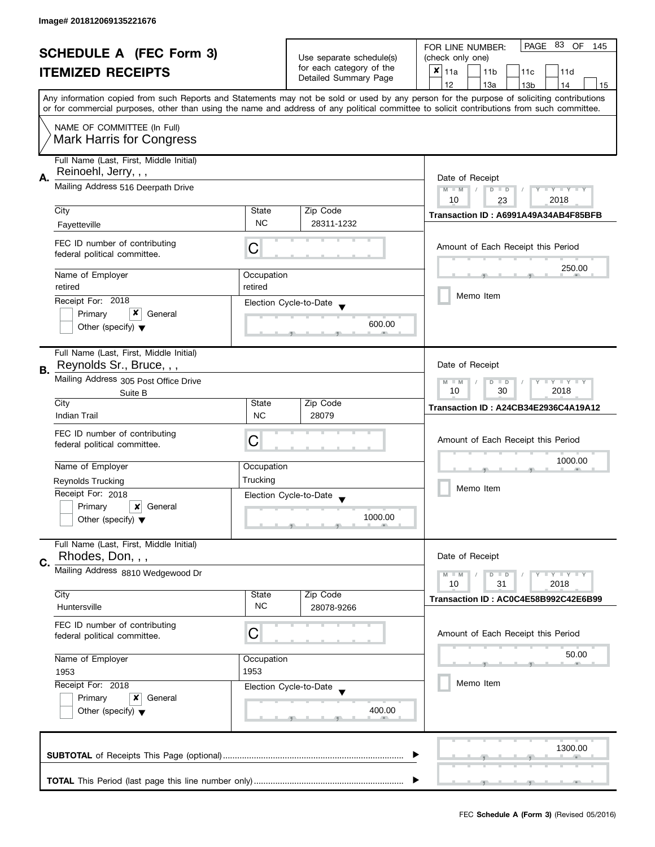| <b>SCHEDULE A (FEC Form 3)</b><br><b>ITEMIZED RECEIPTS</b> |                                                               |                                                   | PAGE 83<br>OF<br>FOR LINE NUMBER:<br>145    |                                                                                                                                            |  |  |  |  |  |
|------------------------------------------------------------|---------------------------------------------------------------|---------------------------------------------------|---------------------------------------------|--------------------------------------------------------------------------------------------------------------------------------------------|--|--|--|--|--|
|                                                            |                                                               | Use separate schedule(s)                          | (check only one)                            |                                                                                                                                            |  |  |  |  |  |
|                                                            |                                                               | for each category of the<br>Detailed Summary Page | $x _{11a}$<br>11 <sub>b</sub><br>11c<br>11d |                                                                                                                                            |  |  |  |  |  |
|                                                            |                                                               |                                                   | 12<br>13a<br>14<br>13 <sub>b</sub><br>15    |                                                                                                                                            |  |  |  |  |  |
|                                                            |                                                               |                                                   |                                             | Any information copied from such Reports and Statements may not be sold or used by any person for the purpose of soliciting contributions  |  |  |  |  |  |
|                                                            |                                                               |                                                   |                                             | or for commercial purposes, other than using the name and address of any political committee to solicit contributions from such committee. |  |  |  |  |  |
|                                                            | NAME OF COMMITTEE (In Full)                                   |                                                   |                                             |                                                                                                                                            |  |  |  |  |  |
|                                                            | <b>Mark Harris for Congress</b>                               |                                                   |                                             |                                                                                                                                            |  |  |  |  |  |
|                                                            | Full Name (Last, First, Middle Initial)                       |                                                   |                                             |                                                                                                                                            |  |  |  |  |  |
|                                                            | Reinoehl, Jerry, , ,                                          |                                                   |                                             |                                                                                                                                            |  |  |  |  |  |
| А.                                                         | Mailing Address 516 Deerpath Drive                            |                                                   |                                             | Date of Receipt<br>Y TY TY TY<br>$M - M$<br>$D$ $D$                                                                                        |  |  |  |  |  |
|                                                            |                                                               |                                                   |                                             | 2018<br>10<br>23                                                                                                                           |  |  |  |  |  |
|                                                            | City                                                          | State                                             | Zip Code                                    | Transaction ID: A6991A49A34AB4F85BFB                                                                                                       |  |  |  |  |  |
|                                                            | Fayetteville                                                  | <b>NC</b>                                         | 28311-1232                                  |                                                                                                                                            |  |  |  |  |  |
|                                                            | FEC ID number of contributing                                 |                                                   |                                             |                                                                                                                                            |  |  |  |  |  |
|                                                            | federal political committee.                                  | С                                                 |                                             | Amount of Each Receipt this Period                                                                                                         |  |  |  |  |  |
|                                                            |                                                               |                                                   |                                             | 250.00                                                                                                                                     |  |  |  |  |  |
|                                                            | Name of Employer                                              | Occupation                                        |                                             |                                                                                                                                            |  |  |  |  |  |
|                                                            | retired                                                       | retired                                           |                                             | Memo Item                                                                                                                                  |  |  |  |  |  |
|                                                            | Receipt For: 2018<br>x<br>Primary<br>General                  |                                                   | Election Cycle-to-Date                      |                                                                                                                                            |  |  |  |  |  |
|                                                            | Other (specify) $\blacktriangledown$                          |                                                   | 600.00                                      |                                                                                                                                            |  |  |  |  |  |
|                                                            |                                                               |                                                   |                                             |                                                                                                                                            |  |  |  |  |  |
|                                                            | Full Name (Last, First, Middle Initial)                       |                                                   |                                             |                                                                                                                                            |  |  |  |  |  |
| В.                                                         | Reynolds Sr., Bruce, , ,                                      |                                                   |                                             | Date of Receipt                                                                                                                            |  |  |  |  |  |
|                                                            | Mailing Address 305 Post Office Drive                         | $Y = Y + Y$<br>$M - M$<br>D<br>$\Box$             |                                             |                                                                                                                                            |  |  |  |  |  |
|                                                            | Suite B                                                       |                                                   |                                             | 2018<br>10<br>30                                                                                                                           |  |  |  |  |  |
|                                                            | City                                                          | State                                             | Zip Code                                    | Transaction ID: A24CB34E2936C4A19A12                                                                                                       |  |  |  |  |  |
|                                                            | <b>Indian Trail</b>                                           | <b>NC</b>                                         | 28079                                       |                                                                                                                                            |  |  |  |  |  |
|                                                            | FEC ID number of contributing                                 |                                                   |                                             |                                                                                                                                            |  |  |  |  |  |
|                                                            | federal political committee.                                  | C                                                 |                                             | Amount of Each Receipt this Period                                                                                                         |  |  |  |  |  |
|                                                            | Name of Employer                                              | Occupation                                        |                                             | 1000.00                                                                                                                                    |  |  |  |  |  |
|                                                            | Reynolds Trucking                                             | Trucking                                          |                                             |                                                                                                                                            |  |  |  |  |  |
|                                                            | Receipt For: 2018                                             |                                                   |                                             | Memo Item                                                                                                                                  |  |  |  |  |  |
|                                                            | Primary<br>General<br>x                                       |                                                   | Election Cycle-to-Date                      |                                                                                                                                            |  |  |  |  |  |
|                                                            | Other (specify) $\blacktriangledown$                          |                                                   | 1000.00                                     |                                                                                                                                            |  |  |  |  |  |
|                                                            |                                                               |                                                   |                                             |                                                                                                                                            |  |  |  |  |  |
|                                                            | Full Name (Last, First, Middle Initial)                       |                                                   |                                             |                                                                                                                                            |  |  |  |  |  |
| C.                                                         | Rhodes, Don, , ,                                              |                                                   |                                             | Date of Receipt                                                                                                                            |  |  |  |  |  |
|                                                            | Mailing Address 8810 Wedgewood Dr                             |                                                   |                                             | $Y = Y + Y$<br>$M - M$<br>$D$ $D$                                                                                                          |  |  |  |  |  |
|                                                            |                                                               |                                                   |                                             | 10<br>31<br>2018                                                                                                                           |  |  |  |  |  |
|                                                            | City<br>Huntersville                                          | State<br><b>NC</b>                                | Zip Code<br>28078-9266                      | Transaction ID: AC0C4E58B992C42E6B99                                                                                                       |  |  |  |  |  |
|                                                            |                                                               |                                                   |                                             |                                                                                                                                            |  |  |  |  |  |
|                                                            | FEC ID number of contributing<br>federal political committee. | С                                                 |                                             | Amount of Each Receipt this Period                                                                                                         |  |  |  |  |  |
|                                                            |                                                               |                                                   |                                             |                                                                                                                                            |  |  |  |  |  |
| Name of Employer<br>Occupation<br>1953<br>1953             |                                                               |                                                   |                                             | 50.00                                                                                                                                      |  |  |  |  |  |
|                                                            |                                                               |                                                   |                                             |                                                                                                                                            |  |  |  |  |  |
|                                                            | Receipt For: 2018                                             |                                                   | Election Cycle-to-Date                      | Memo Item                                                                                                                                  |  |  |  |  |  |
|                                                            | Primary<br>x<br>General                                       |                                                   |                                             |                                                                                                                                            |  |  |  |  |  |
|                                                            | Other (specify) $\blacktriangledown$                          |                                                   | 400.00                                      |                                                                                                                                            |  |  |  |  |  |
|                                                            |                                                               |                                                   |                                             |                                                                                                                                            |  |  |  |  |  |
|                                                            |                                                               |                                                   |                                             |                                                                                                                                            |  |  |  |  |  |
|                                                            |                                                               |                                                   |                                             | 1300.00                                                                                                                                    |  |  |  |  |  |
|                                                            |                                                               |                                                   |                                             |                                                                                                                                            |  |  |  |  |  |
|                                                            |                                                               |                                                   |                                             |                                                                                                                                            |  |  |  |  |  |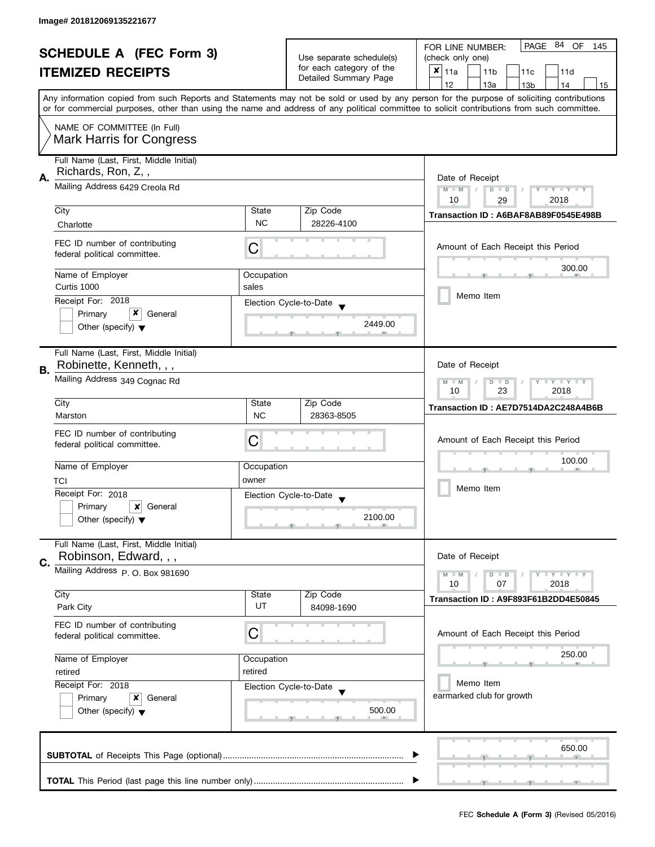| <b>SCHEDULE A (FEC Form 3)</b><br><b>ITEMIZED RECEIPTS</b>                |                                                                  |                                                                               | 84<br>PAGE<br>OF.<br>FOR LINE NUMBER:<br>145                      |                                                                                                                                                                                                                                                                                         |  |  |  |  |
|---------------------------------------------------------------------------|------------------------------------------------------------------|-------------------------------------------------------------------------------|-------------------------------------------------------------------|-----------------------------------------------------------------------------------------------------------------------------------------------------------------------------------------------------------------------------------------------------------------------------------------|--|--|--|--|
|                                                                           |                                                                  | Use separate schedule(s)<br>for each category of the<br>Detailed Summary Page | (check only one)                                                  |                                                                                                                                                                                                                                                                                         |  |  |  |  |
|                                                                           |                                                                  |                                                                               | $x _{11a}$<br>11 <sub>b</sub><br>11d<br>11c                       |                                                                                                                                                                                                                                                                                         |  |  |  |  |
|                                                                           |                                                                  |                                                                               |                                                                   | 12<br>13a<br>13 <sub>b</sub><br>14<br>15                                                                                                                                                                                                                                                |  |  |  |  |
|                                                                           |                                                                  |                                                                               |                                                                   | Any information copied from such Reports and Statements may not be sold or used by any person for the purpose of soliciting contributions<br>or for commercial purposes, other than using the name and address of any political committee to solicit contributions from such committee. |  |  |  |  |
|                                                                           | NAME OF COMMITTEE (In Full)<br><b>Mark Harris for Congress</b>   |                                                                               |                                                                   |                                                                                                                                                                                                                                                                                         |  |  |  |  |
|                                                                           | Full Name (Last, First, Middle Initial)<br>Richards, Ron, Z,,    |                                                                               |                                                                   |                                                                                                                                                                                                                                                                                         |  |  |  |  |
| А.                                                                        | Mailing Address 6429 Creola Rd                                   |                                                                               |                                                                   | Date of Receipt<br>Y TY TY TY<br>$M - M$<br>$D$ $D$<br>2018<br>10<br>29                                                                                                                                                                                                                 |  |  |  |  |
|                                                                           | City                                                             | State                                                                         | Zip Code                                                          | Transaction ID: A6BAF8AB89F0545E498B                                                                                                                                                                                                                                                    |  |  |  |  |
|                                                                           | Charlotte                                                        | <b>NC</b>                                                                     | 28226-4100                                                        |                                                                                                                                                                                                                                                                                         |  |  |  |  |
|                                                                           | FEC ID number of contributing<br>federal political committee.    | С                                                                             |                                                                   | Amount of Each Receipt this Period                                                                                                                                                                                                                                                      |  |  |  |  |
|                                                                           | Name of Employer                                                 | Occupation                                                                    |                                                                   | 300.00                                                                                                                                                                                                                                                                                  |  |  |  |  |
|                                                                           | Curtis 1000                                                      | sales                                                                         |                                                                   |                                                                                                                                                                                                                                                                                         |  |  |  |  |
|                                                                           | Receipt For: 2018                                                |                                                                               | Election Cycle-to-Date                                            | Memo Item                                                                                                                                                                                                                                                                               |  |  |  |  |
|                                                                           | x<br>Primary<br>General                                          |                                                                               |                                                                   |                                                                                                                                                                                                                                                                                         |  |  |  |  |
|                                                                           | Other (specify) $\blacktriangledown$                             |                                                                               | 2449.00                                                           |                                                                                                                                                                                                                                                                                         |  |  |  |  |
|                                                                           | Full Name (Last, First, Middle Initial)                          |                                                                               |                                                                   |                                                                                                                                                                                                                                                                                         |  |  |  |  |
| В.                                                                        | Robinette, Kenneth, , ,                                          |                                                                               |                                                                   | Date of Receipt                                                                                                                                                                                                                                                                         |  |  |  |  |
|                                                                           | Mailing Address 349 Cognac Rd                                    |                                                                               | $T$ $Y$ $T$ $Y$ $T$ $Y$<br>$M - M$<br>$D$ $D$<br>23<br>2018<br>10 |                                                                                                                                                                                                                                                                                         |  |  |  |  |
|                                                                           | City                                                             | State                                                                         | Zip Code                                                          | Transaction ID: AE7D7514DA2C248A4B6B                                                                                                                                                                                                                                                    |  |  |  |  |
|                                                                           | Marston                                                          | <b>NC</b>                                                                     | 28363-8505                                                        |                                                                                                                                                                                                                                                                                         |  |  |  |  |
|                                                                           | FEC ID number of contributing                                    |                                                                               |                                                                   |                                                                                                                                                                                                                                                                                         |  |  |  |  |
|                                                                           | federal political committee.                                     | С                                                                             |                                                                   | Amount of Each Receipt this Period                                                                                                                                                                                                                                                      |  |  |  |  |
|                                                                           |                                                                  |                                                                               |                                                                   | 100.00                                                                                                                                                                                                                                                                                  |  |  |  |  |
|                                                                           | Name of Employer                                                 | Occupation                                                                    |                                                                   |                                                                                                                                                                                                                                                                                         |  |  |  |  |
|                                                                           | TCI                                                              | owner                                                                         |                                                                   | Memo Item                                                                                                                                                                                                                                                                               |  |  |  |  |
|                                                                           | Receipt For: 2018                                                |                                                                               | Election Cycle-to-Date<br>$\overline{\mathbf{v}}$                 |                                                                                                                                                                                                                                                                                         |  |  |  |  |
|                                                                           | Primary<br>×<br>General<br>Other (specify) $\blacktriangledown$  |                                                                               | 2100.00                                                           |                                                                                                                                                                                                                                                                                         |  |  |  |  |
|                                                                           | Full Name (Last, First, Middle Initial)<br>Robinson, Edward, , , |                                                                               |                                                                   | Date of Receipt                                                                                                                                                                                                                                                                         |  |  |  |  |
| C.                                                                        | Mailing Address P. O. Box 981690                                 |                                                                               |                                                                   |                                                                                                                                                                                                                                                                                         |  |  |  |  |
|                                                                           |                                                                  |                                                                               |                                                                   | $T - Y = T - Y$<br>$M - M$<br>$D$ $D$<br>10<br>07<br>2018                                                                                                                                                                                                                               |  |  |  |  |
|                                                                           | City                                                             | State                                                                         | Zip Code                                                          | Transaction ID: A9F893F61B2DD4E50845                                                                                                                                                                                                                                                    |  |  |  |  |
|                                                                           | Park City                                                        | UT                                                                            | 84098-1690                                                        |                                                                                                                                                                                                                                                                                         |  |  |  |  |
|                                                                           | FEC ID number of contributing<br>federal political committee.    | C                                                                             |                                                                   | Amount of Each Receipt this Period                                                                                                                                                                                                                                                      |  |  |  |  |
| Name of Employer<br>Occupation<br>retired<br>retired<br>Receipt For: 2018 |                                                                  |                                                                               | 250.00                                                            |                                                                                                                                                                                                                                                                                         |  |  |  |  |
|                                                                           |                                                                  |                                                                               |                                                                   |                                                                                                                                                                                                                                                                                         |  |  |  |  |
|                                                                           |                                                                  |                                                                               | Memo Item                                                         |                                                                                                                                                                                                                                                                                         |  |  |  |  |
|                                                                           | Election Cycle-to-Date<br>Primary<br>x<br>General                |                                                                               |                                                                   | earmarked club for growth                                                                                                                                                                                                                                                               |  |  |  |  |
|                                                                           | Other (specify) $\blacktriangledown$                             |                                                                               | 500.00                                                            |                                                                                                                                                                                                                                                                                         |  |  |  |  |
|                                                                           |                                                                  |                                                                               |                                                                   | 650.00                                                                                                                                                                                                                                                                                  |  |  |  |  |
|                                                                           |                                                                  |                                                                               |                                                                   |                                                                                                                                                                                                                                                                                         |  |  |  |  |
|                                                                           |                                                                  |                                                                               |                                                                   |                                                                                                                                                                                                                                                                                         |  |  |  |  |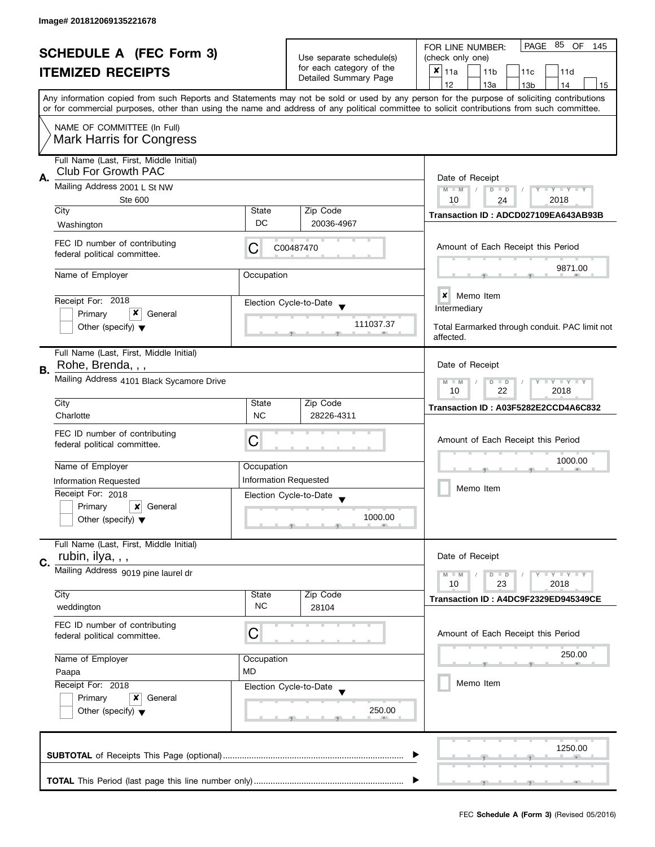| <b>SCHEDULE A (FEC Form 3)</b> |                                                                       |                                                                         |                                                   | PAGE<br>85<br>OF<br>FOR LINE NUMBER:<br>145                                                                                                                                                                                                                                             |
|--------------------------------|-----------------------------------------------------------------------|-------------------------------------------------------------------------|---------------------------------------------------|-----------------------------------------------------------------------------------------------------------------------------------------------------------------------------------------------------------------------------------------------------------------------------------------|
|                                |                                                                       |                                                                         | Use separate schedule(s)                          | (check only one)                                                                                                                                                                                                                                                                        |
|                                | <b>ITEMIZED RECEIPTS</b>                                              |                                                                         | for each category of the<br>Detailed Summary Page | $x _{11a}$<br>11 <sub>b</sub><br>11c<br>11d                                                                                                                                                                                                                                             |
|                                |                                                                       |                                                                         |                                                   | 12<br>13a<br>14<br>13 <sub>b</sub><br>15                                                                                                                                                                                                                                                |
|                                |                                                                       |                                                                         |                                                   | Any information copied from such Reports and Statements may not be sold or used by any person for the purpose of soliciting contributions<br>or for commercial purposes, other than using the name and address of any political committee to solicit contributions from such committee. |
|                                | NAME OF COMMITTEE (In Full)                                           |                                                                         |                                                   |                                                                                                                                                                                                                                                                                         |
|                                | <b>Mark Harris for Congress</b>                                       |                                                                         |                                                   |                                                                                                                                                                                                                                                                                         |
| А.                             | Full Name (Last, First, Middle Initial)<br><b>Club For Growth PAC</b> |                                                                         |                                                   |                                                                                                                                                                                                                                                                                         |
|                                | Mailing Address 2001 L St NW<br>Ste 600                               | Date of Receipt<br>$M - M$<br>Y TY TY TY<br>$D$ $D$<br>10<br>2018<br>24 |                                                   |                                                                                                                                                                                                                                                                                         |
|                                | City                                                                  | State                                                                   | Zip Code                                          |                                                                                                                                                                                                                                                                                         |
|                                | Washington                                                            | DC                                                                      | 20036-4967                                        | Transaction ID: ADCD027109EA643AB93B                                                                                                                                                                                                                                                    |
|                                |                                                                       |                                                                         |                                                   |                                                                                                                                                                                                                                                                                         |
|                                | FEC ID number of contributing<br>federal political committee.         | C                                                                       | C00487470                                         | Amount of Each Receipt this Period                                                                                                                                                                                                                                                      |
|                                | Name of Employer                                                      | Occupation                                                              |                                                   | 9871.00                                                                                                                                                                                                                                                                                 |
|                                |                                                                       |                                                                         |                                                   | $\boldsymbol{x}$<br>Memo Item                                                                                                                                                                                                                                                           |
|                                | Receipt For: 2018<br>x                                                |                                                                         | Election Cycle-to-Date                            | Intermediary                                                                                                                                                                                                                                                                            |
|                                | Primary<br>General<br>Other (specify) $\blacktriangledown$            |                                                                         | 111037.37                                         | Total Earmarked through conduit. PAC limit not                                                                                                                                                                                                                                          |
|                                |                                                                       |                                                                         |                                                   | affected.                                                                                                                                                                                                                                                                               |
|                                | Full Name (Last, First, Middle Initial)                               |                                                                         |                                                   |                                                                                                                                                                                                                                                                                         |
| <b>B.</b>                      | Rohe, Brenda, , ,                                                     | Date of Receipt                                                         |                                                   |                                                                                                                                                                                                                                                                                         |
|                                | Mailing Address 4101 Black Sycamore Drive                             | $T - Y = T - Y$<br>$M - M$<br>$D$ $D$<br>22<br>2018<br>10               |                                                   |                                                                                                                                                                                                                                                                                         |
|                                | City                                                                  | State                                                                   | Zip Code                                          | Transaction ID: A03F5282E2CCD4A6C832                                                                                                                                                                                                                                                    |
|                                | Charlotte                                                             | <b>NC</b>                                                               | 28226-4311                                        |                                                                                                                                                                                                                                                                                         |
|                                | FEC ID number of contributing                                         |                                                                         |                                                   |                                                                                                                                                                                                                                                                                         |
|                                | federal political committee.                                          | С                                                                       |                                                   | Amount of Each Receipt this Period                                                                                                                                                                                                                                                      |
|                                | Name of Employer                                                      | Occupation                                                              |                                                   | 1000.00                                                                                                                                                                                                                                                                                 |
|                                | <b>Information Requested</b>                                          |                                                                         | <b>Information Requested</b>                      |                                                                                                                                                                                                                                                                                         |
|                                | Receipt For: 2018                                                     |                                                                         | Election Cycle-to-Date                            | Memo Item                                                                                                                                                                                                                                                                               |
|                                | Primary<br>×<br>General                                               |                                                                         |                                                   |                                                                                                                                                                                                                                                                                         |
|                                | Other (specify) $\blacktriangledown$                                  |                                                                         | 1000.00                                           |                                                                                                                                                                                                                                                                                         |
|                                | Full Name (Last, First, Middle Initial)                               |                                                                         |                                                   |                                                                                                                                                                                                                                                                                         |
| C.                             | rubin, ilya, , ,                                                      |                                                                         |                                                   | Date of Receipt                                                                                                                                                                                                                                                                         |
|                                | Mailing Address 9019 pine laurel dr                                   |                                                                         |                                                   | $Y = Y = Y$<br>$M - M$<br>$D$ $D$                                                                                                                                                                                                                                                       |
|                                | City                                                                  | State                                                                   | Zip Code                                          | 10<br>23<br>2018                                                                                                                                                                                                                                                                        |
|                                | weddington                                                            | <b>NC</b>                                                               | 28104                                             | Transaction ID: A4DC9F2329ED945349CE                                                                                                                                                                                                                                                    |
|                                | FEC ID number of contributing                                         |                                                                         |                                                   |                                                                                                                                                                                                                                                                                         |
|                                | federal political committee.                                          | C                                                                       |                                                   | Amount of Each Receipt this Period                                                                                                                                                                                                                                                      |
|                                | Name of Employer                                                      | Occupation                                                              |                                                   | 250.00                                                                                                                                                                                                                                                                                  |
|                                | Paapa                                                                 | <b>MD</b>                                                               |                                                   |                                                                                                                                                                                                                                                                                         |
|                                | Receipt For: 2018                                                     |                                                                         | Election Cycle-to-Date                            | Memo Item                                                                                                                                                                                                                                                                               |
|                                | Primary<br>x<br>General                                               |                                                                         |                                                   |                                                                                                                                                                                                                                                                                         |
|                                | Other (specify) $\blacktriangledown$                                  |                                                                         | 250.00                                            |                                                                                                                                                                                                                                                                                         |
|                                |                                                                       |                                                                         |                                                   |                                                                                                                                                                                                                                                                                         |
|                                |                                                                       |                                                                         |                                                   |                                                                                                                                                                                                                                                                                         |
|                                |                                                                       |                                                                         |                                                   | 1250.00                                                                                                                                                                                                                                                                                 |
|                                |                                                                       |                                                                         |                                                   |                                                                                                                                                                                                                                                                                         |
|                                |                                                                       |                                                                         |                                                   |                                                                                                                                                                                                                                                                                         |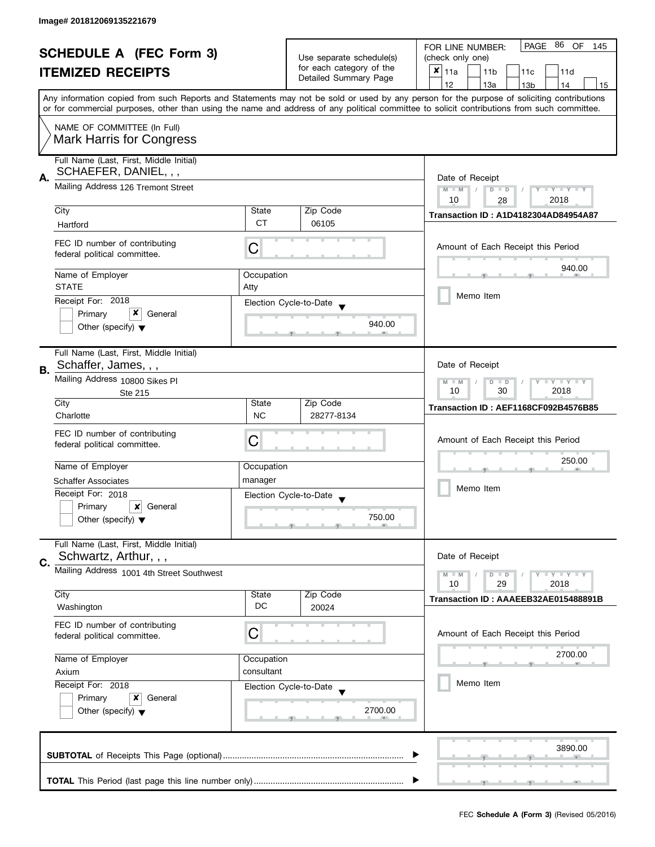| <b>SCHEDULE A (FEC Form 3)</b> |                                                                  |                                                                                   |                                                   | PAGE 86<br>OF<br>FOR LINE NUMBER:<br>145                                                                                                                                                                                                                                                |  |  |
|--------------------------------|------------------------------------------------------------------|-----------------------------------------------------------------------------------|---------------------------------------------------|-----------------------------------------------------------------------------------------------------------------------------------------------------------------------------------------------------------------------------------------------------------------------------------------|--|--|
|                                |                                                                  |                                                                                   | Use separate schedule(s)                          | (check only one)                                                                                                                                                                                                                                                                        |  |  |
|                                | <b>ITEMIZED RECEIPTS</b>                                         |                                                                                   | for each category of the<br>Detailed Summary Page | $x _{11a}$<br>11 <sub>b</sub><br>11d<br>11c                                                                                                                                                                                                                                             |  |  |
|                                |                                                                  |                                                                                   |                                                   | 12<br>13a<br>14<br>13 <sub>b</sub><br>15                                                                                                                                                                                                                                                |  |  |
|                                |                                                                  |                                                                                   |                                                   | Any information copied from such Reports and Statements may not be sold or used by any person for the purpose of soliciting contributions<br>or for commercial purposes, other than using the name and address of any political committee to solicit contributions from such committee. |  |  |
|                                |                                                                  |                                                                                   |                                                   |                                                                                                                                                                                                                                                                                         |  |  |
|                                | NAME OF COMMITTEE (In Full)<br><b>Mark Harris for Congress</b>   |                                                                                   |                                                   |                                                                                                                                                                                                                                                                                         |  |  |
|                                | Full Name (Last, First, Middle Initial)<br>SCHAEFER, DANIEL, , , |                                                                                   |                                                   |                                                                                                                                                                                                                                                                                         |  |  |
| Α.                             | Mailing Address 126 Tremont Street                               | Date of Receipt<br>$M - M$<br>$D$ $D$<br>$T - Y = T - Y$<br>Y<br>10<br>2018<br>28 |                                                   |                                                                                                                                                                                                                                                                                         |  |  |
|                                | City                                                             | State                                                                             | Zip Code                                          |                                                                                                                                                                                                                                                                                         |  |  |
|                                | Hartford                                                         | <b>CT</b>                                                                         | 06105                                             | <b>Transaction ID: A1D4182304AD84954A87</b>                                                                                                                                                                                                                                             |  |  |
|                                |                                                                  |                                                                                   |                                                   |                                                                                                                                                                                                                                                                                         |  |  |
|                                | FEC ID number of contributing<br>federal political committee.    | C                                                                                 |                                                   | Amount of Each Receipt this Period                                                                                                                                                                                                                                                      |  |  |
|                                | Name of Employer                                                 | Occupation                                                                        |                                                   | 940.00                                                                                                                                                                                                                                                                                  |  |  |
|                                | <b>STATE</b>                                                     | Atty                                                                              |                                                   |                                                                                                                                                                                                                                                                                         |  |  |
|                                | Receipt For: 2018                                                |                                                                                   | Election Cycle-to-Date                            | Memo Item                                                                                                                                                                                                                                                                               |  |  |
|                                | x<br>Primary<br>General                                          |                                                                                   |                                                   |                                                                                                                                                                                                                                                                                         |  |  |
|                                | Other (specify) $\blacktriangledown$                             |                                                                                   | 940.00                                            |                                                                                                                                                                                                                                                                                         |  |  |
|                                | Full Name (Last, First, Middle Initial)                          |                                                                                   |                                                   |                                                                                                                                                                                                                                                                                         |  |  |
| В.                             | Schaffer, James, , ,                                             |                                                                                   |                                                   | Date of Receipt                                                                                                                                                                                                                                                                         |  |  |
|                                | Mailing Address 10800 Sikes Pl<br>Ste 215                        | Y LY LY<br>$M - M$<br>D<br>$\Box$<br>30<br>2018<br>10                             |                                                   |                                                                                                                                                                                                                                                                                         |  |  |
|                                | City                                                             | State                                                                             | Zip Code                                          | Transaction ID: AEF1168CF092B4576B85                                                                                                                                                                                                                                                    |  |  |
|                                | Charlotte                                                        | <b>NC</b>                                                                         | 28277-8134                                        |                                                                                                                                                                                                                                                                                         |  |  |
|                                | FEC ID number of contributing                                    |                                                                                   |                                                   |                                                                                                                                                                                                                                                                                         |  |  |
|                                | federal political committee.                                     | С                                                                                 |                                                   | Amount of Each Receipt this Period                                                                                                                                                                                                                                                      |  |  |
|                                |                                                                  |                                                                                   |                                                   | 250.00                                                                                                                                                                                                                                                                                  |  |  |
|                                | Name of Employer                                                 | Occupation                                                                        |                                                   |                                                                                                                                                                                                                                                                                         |  |  |
|                                | <b>Schaffer Associates</b>                                       | manager                                                                           |                                                   | Memo Item                                                                                                                                                                                                                                                                               |  |  |
|                                | Receipt For: 2018                                                |                                                                                   | Election Cycle-to-Date                            |                                                                                                                                                                                                                                                                                         |  |  |
|                                | Primary<br>General<br>x                                          |                                                                                   | 750.00                                            |                                                                                                                                                                                                                                                                                         |  |  |
|                                | Other (specify) $\blacktriangledown$                             |                                                                                   |                                                   |                                                                                                                                                                                                                                                                                         |  |  |
|                                | Full Name (Last, First, Middle Initial)                          |                                                                                   |                                                   |                                                                                                                                                                                                                                                                                         |  |  |
| C.                             | Schwartz, Arthur, , ,                                            |                                                                                   |                                                   | Date of Receipt                                                                                                                                                                                                                                                                         |  |  |
|                                | Mailing Address 1001 4th Street Southwest                        |                                                                                   |                                                   | $M - M$<br>Y L Y L Y<br>$D$ $D$                                                                                                                                                                                                                                                         |  |  |
|                                | City                                                             | State                                                                             | Zip Code                                          | 10<br>29<br>2018                                                                                                                                                                                                                                                                        |  |  |
|                                | Washington                                                       | DC                                                                                | 20024                                             | Transaction ID: AAAEEB32AE015488891B                                                                                                                                                                                                                                                    |  |  |
|                                | FEC ID number of contributing                                    |                                                                                   |                                                   |                                                                                                                                                                                                                                                                                         |  |  |
|                                | federal political committee.                                     | С                                                                                 |                                                   | Amount of Each Receipt this Period                                                                                                                                                                                                                                                      |  |  |
|                                |                                                                  |                                                                                   |                                                   |                                                                                                                                                                                                                                                                                         |  |  |
|                                | Name of Employer                                                 | Occupation                                                                        |                                                   | 2700.00                                                                                                                                                                                                                                                                                 |  |  |
|                                | Axium                                                            | consultant                                                                        |                                                   |                                                                                                                                                                                                                                                                                         |  |  |
|                                | Receipt For: 2018                                                |                                                                                   | Election Cycle-to-Date                            | Memo Item                                                                                                                                                                                                                                                                               |  |  |
|                                | Primary<br>General<br>x                                          |                                                                                   |                                                   |                                                                                                                                                                                                                                                                                         |  |  |
|                                | Other (specify) $\blacktriangledown$                             |                                                                                   | 2700.00                                           |                                                                                                                                                                                                                                                                                         |  |  |
|                                |                                                                  |                                                                                   |                                                   |                                                                                                                                                                                                                                                                                         |  |  |
|                                |                                                                  |                                                                                   |                                                   |                                                                                                                                                                                                                                                                                         |  |  |
|                                |                                                                  |                                                                                   |                                                   | 3890.00                                                                                                                                                                                                                                                                                 |  |  |
|                                |                                                                  |                                                                                   |                                                   |                                                                                                                                                                                                                                                                                         |  |  |
|                                |                                                                  |                                                                                   |                                                   |                                                                                                                                                                                                                                                                                         |  |  |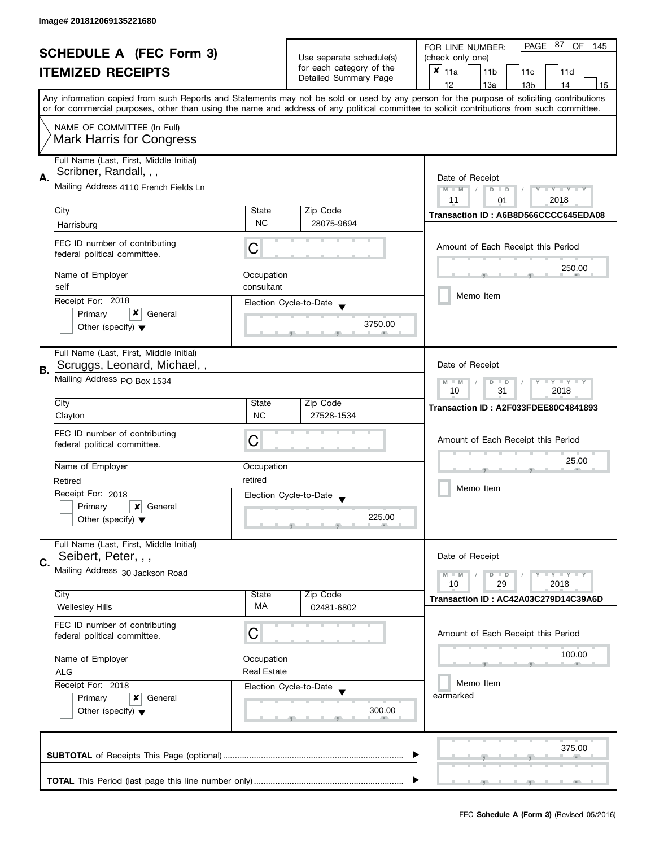|    |                                         |                    | PAGE 87 OF<br>FOR LINE NUMBER:<br>145          |                                                                                                                                            |  |
|----|-----------------------------------------|--------------------|------------------------------------------------|--------------------------------------------------------------------------------------------------------------------------------------------|--|
|    | <b>SCHEDULE A (FEC Form 3)</b>          |                    | Use separate schedule(s)                       | (check only one)                                                                                                                           |  |
|    | <b>ITEMIZED RECEIPTS</b>                |                    | for each category of the                       | $x _{11a}$<br>11 <sub>b</sub><br>11c<br>11d                                                                                                |  |
|    |                                         |                    | Detailed Summary Page                          | 12<br>13a<br>13 <sub>b</sub><br>14<br>15                                                                                                   |  |
|    |                                         |                    |                                                | Any information copied from such Reports and Statements may not be sold or used by any person for the purpose of soliciting contributions  |  |
|    |                                         |                    |                                                | or for commercial purposes, other than using the name and address of any political committee to solicit contributions from such committee. |  |
|    | NAME OF COMMITTEE (In Full)             |                    |                                                |                                                                                                                                            |  |
|    | <b>Mark Harris for Congress</b>         |                    |                                                |                                                                                                                                            |  |
|    |                                         |                    |                                                |                                                                                                                                            |  |
|    | Full Name (Last, First, Middle Initial) |                    |                                                |                                                                                                                                            |  |
| Α. | Scribner, Randall, , ,                  |                    |                                                |                                                                                                                                            |  |
|    | Mailing Address 4110 French Fields Ln   |                    |                                                | Date of Receipt<br>$M - M$<br>$Y - Y - Y - Y - Y$<br>$D$ $D$                                                                               |  |
|    |                                         |                    |                                                | 2018<br>11<br>01                                                                                                                           |  |
|    | City                                    | State              | Zip Code                                       |                                                                                                                                            |  |
|    | Harrisburg                              | <b>NC</b>          | 28075-9694                                     | Transaction ID: A6B8D566CCCC645EDA08                                                                                                       |  |
|    |                                         |                    |                                                |                                                                                                                                            |  |
|    | FEC ID number of contributing           | С                  |                                                | Amount of Each Receipt this Period                                                                                                         |  |
|    | federal political committee.            |                    |                                                |                                                                                                                                            |  |
|    | Name of Employer                        | Occupation         |                                                | 250.00                                                                                                                                     |  |
|    | self                                    | consultant         |                                                |                                                                                                                                            |  |
|    |                                         |                    |                                                | Memo Item                                                                                                                                  |  |
|    | Receipt For: 2018                       |                    | Election Cycle-to-Date                         |                                                                                                                                            |  |
|    | x<br>Primary<br>General                 |                    | 3750.00                                        |                                                                                                                                            |  |
|    | Other (specify) $\blacktriangledown$    |                    |                                                |                                                                                                                                            |  |
|    |                                         |                    |                                                |                                                                                                                                            |  |
|    | Full Name (Last, First, Middle Initial) |                    |                                                |                                                                                                                                            |  |
| В. | Scruggs, Leonard, Michael,,             |                    |                                                | Date of Receipt                                                                                                                            |  |
|    | Mailing Address PO Box 1534             |                    |                                                | $Y = Y + Y$<br>$M - M$<br>D<br>$\Box$<br>T                                                                                                 |  |
|    |                                         |                    | 31<br>2018<br>10                               |                                                                                                                                            |  |
|    | City                                    | State              | Zip Code                                       | Transaction ID: A2F033FDEE80C4841893                                                                                                       |  |
|    | Clayton                                 | <b>NC</b>          | 27528-1534                                     |                                                                                                                                            |  |
|    | FEC ID number of contributing           |                    |                                                |                                                                                                                                            |  |
|    | federal political committee.            | С                  |                                                | Amount of Each Receipt this Period                                                                                                         |  |
|    |                                         |                    |                                                | 25.00                                                                                                                                      |  |
|    | Name of Employer                        | Occupation         |                                                |                                                                                                                                            |  |
|    | Retired                                 | retired            |                                                |                                                                                                                                            |  |
|    | Receipt For: 2018                       |                    | Election Cycle-to-Date<br>$\blacktriangledown$ | Memo Item                                                                                                                                  |  |
|    | Primary<br>×<br>General                 |                    |                                                |                                                                                                                                            |  |
|    | Other (specify) $\blacktriangledown$    |                    | 225.00                                         |                                                                                                                                            |  |
|    |                                         |                    |                                                |                                                                                                                                            |  |
|    | Full Name (Last, First, Middle Initial) |                    |                                                |                                                                                                                                            |  |
| C. | Seibert, Peter, , ,                     |                    |                                                | Date of Receipt                                                                                                                            |  |
|    | Mailing Address 30 Jackson Road         |                    |                                                | $T - Y = T - Y$<br>$M - M$<br>$D$ $D$                                                                                                      |  |
|    |                                         |                    |                                                | 10<br>29<br>2018                                                                                                                           |  |
|    | City                                    | State              | Zip Code                                       | Transaction ID: AC42A03C279D14C39A6D                                                                                                       |  |
|    | <b>Wellesley Hills</b>                  | МA                 | 02481-6802                                     |                                                                                                                                            |  |
|    | FEC ID number of contributing           |                    |                                                |                                                                                                                                            |  |
|    | federal political committee.            | С                  |                                                | Amount of Each Receipt this Period                                                                                                         |  |
|    |                                         |                    |                                                |                                                                                                                                            |  |
|    | Name of Employer                        | Occupation         |                                                | 100.00                                                                                                                                     |  |
|    | <b>ALG</b>                              | <b>Real Estate</b> |                                                |                                                                                                                                            |  |
|    | Receipt For: 2018                       |                    | Election Cycle-to-Date                         | Memo Item                                                                                                                                  |  |
|    | Primary<br>x<br>General                 |                    |                                                | earmarked                                                                                                                                  |  |
|    | Other (specify) $\blacktriangledown$    |                    | 300.00                                         |                                                                                                                                            |  |
|    |                                         |                    |                                                |                                                                                                                                            |  |
|    |                                         |                    |                                                |                                                                                                                                            |  |
|    |                                         |                    |                                                | 375.00                                                                                                                                     |  |
|    |                                         |                    |                                                |                                                                                                                                            |  |
|    |                                         |                    |                                                |                                                                                                                                            |  |
|    |                                         |                    |                                                |                                                                                                                                            |  |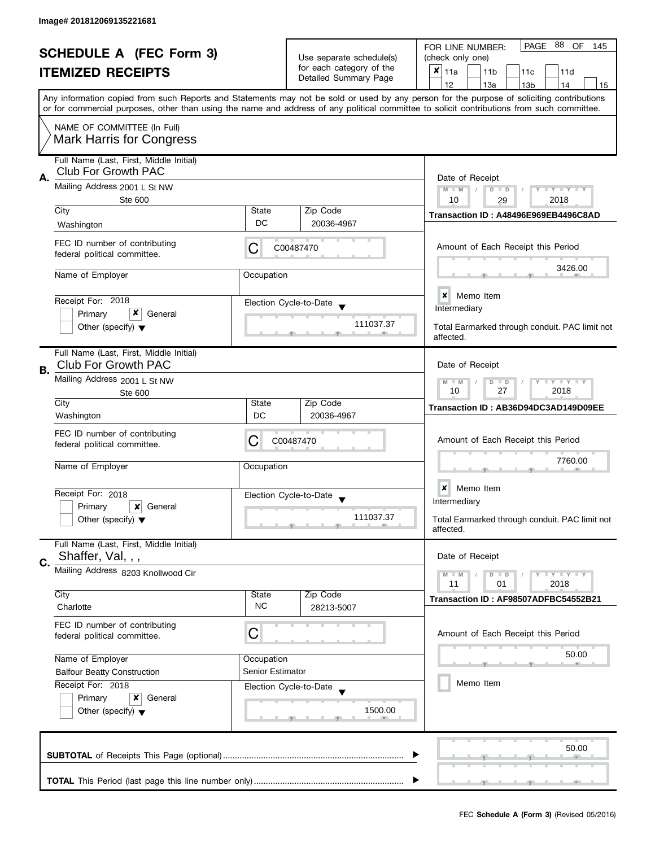| <b>SCHEDULE A (FEC Form 3)</b> |                                                                       |                                                                                           | Use separate schedule(s)<br>for each category of the | PAGE 88 OF<br>FOR LINE NUMBER:<br>145<br>(check only one)                                                                                                                                                                                                                               |  |  |
|--------------------------------|-----------------------------------------------------------------------|-------------------------------------------------------------------------------------------|------------------------------------------------------|-----------------------------------------------------------------------------------------------------------------------------------------------------------------------------------------------------------------------------------------------------------------------------------------|--|--|
|                                | <b>ITEMIZED RECEIPTS</b>                                              |                                                                                           | Detailed Summary Page                                | X<br>11a<br>11 <sub>b</sub><br>11c<br>11d<br>12<br>13a<br>13 <sub>b</sub><br>14<br>15                                                                                                                                                                                                   |  |  |
|                                |                                                                       |                                                                                           |                                                      | Any information copied from such Reports and Statements may not be sold or used by any person for the purpose of soliciting contributions<br>or for commercial purposes, other than using the name and address of any political committee to solicit contributions from such committee. |  |  |
|                                | NAME OF COMMITTEE (In Full)<br><b>Mark Harris for Congress</b>        |                                                                                           |                                                      |                                                                                                                                                                                                                                                                                         |  |  |
| А.                             | Full Name (Last, First, Middle Initial)<br><b>Club For Growth PAC</b> |                                                                                           |                                                      | Date of Receipt                                                                                                                                                                                                                                                                         |  |  |
|                                | Mailing Address 2001 L St NW<br><b>Ste 600</b>                        | $M - M$<br>$T - Y = T - Y$<br>$D$ $D$<br>10<br>2018<br>29                                 |                                                      |                                                                                                                                                                                                                                                                                         |  |  |
|                                | City<br>Washington                                                    | State<br>DC                                                                               | Zip Code<br>20036-4967                               | Transaction ID: A48496E969EB4496C8AD                                                                                                                                                                                                                                                    |  |  |
|                                | FEC ID number of contributing<br>federal political committee.         | C                                                                                         | C00487470                                            | Amount of Each Receipt this Period                                                                                                                                                                                                                                                      |  |  |
|                                | Name of Employer                                                      | Occupation                                                                                |                                                      | 3426.00                                                                                                                                                                                                                                                                                 |  |  |
|                                | Receipt For: 2018<br>x                                                |                                                                                           | Election Cycle-to-Date                               | <b>x</b> Memo Item<br>Intermediary                                                                                                                                                                                                                                                      |  |  |
|                                | Primary<br>General<br>Other (specify) $\blacktriangledown$            |                                                                                           | 111037.37                                            | Total Earmarked through conduit. PAC limit not<br>affected.                                                                                                                                                                                                                             |  |  |
| В.                             | Full Name (Last, First, Middle Initial)<br><b>Club For Growth PAC</b> |                                                                                           |                                                      | Date of Receipt                                                                                                                                                                                                                                                                         |  |  |
|                                | Mailing Address 2001 L St NW<br>Ste 600                               |                                                                                           |                                                      | $\bot$ $\gamma$ $\bot$ $\gamma$ $\bot$ $\gamma$<br>D<br>$\Box$<br>$-M$<br>10<br>27<br>2018                                                                                                                                                                                              |  |  |
|                                | City<br>Washington                                                    | State<br>DC                                                                               | Zip Code<br>20036-4967                               | Transaction ID: AB36D94DC3AD149D09EE                                                                                                                                                                                                                                                    |  |  |
|                                | FEC ID number of contributing<br>federal political committee.         | С                                                                                         | C00487470                                            | Amount of Each Receipt this Period                                                                                                                                                                                                                                                      |  |  |
|                                | Name of Employer                                                      | Occupation                                                                                |                                                      | 7760.00                                                                                                                                                                                                                                                                                 |  |  |
|                                | Receipt For: 2018                                                     |                                                                                           | Election Cycle-to-Date<br>$\overline{\mathbf{v}}$    | Memo Item<br>×<br>Intermediary                                                                                                                                                                                                                                                          |  |  |
|                                | Primary<br>x<br>General<br>Other (specify) $\blacktriangledown$       |                                                                                           | 111037.37                                            | Total Earmarked through conduit. PAC limit not<br>affected.                                                                                                                                                                                                                             |  |  |
| C.                             | Full Name (Last, First, Middle Initial)<br>Shaffer, Val, , ,          |                                                                                           |                                                      | Date of Receipt                                                                                                                                                                                                                                                                         |  |  |
|                                | Mailing Address 8203 Knollwood Cir                                    | $\bot$ $\gamma$ $\bot$ $\gamma$ $\bot$ $\gamma$<br>$M - M$<br>$D$ $D$<br>11<br>01<br>2018 |                                                      |                                                                                                                                                                                                                                                                                         |  |  |
|                                | City<br>Charlotte                                                     | State<br><b>NC</b>                                                                        | Zip Code<br>28213-5007                               | Transaction ID: AF98507ADFBC54552B21                                                                                                                                                                                                                                                    |  |  |
|                                | FEC ID number of contributing<br>federal political committee.         | С                                                                                         |                                                      | Amount of Each Receipt this Period                                                                                                                                                                                                                                                      |  |  |
|                                | Name of Employer                                                      | Occupation                                                                                |                                                      | 50.00                                                                                                                                                                                                                                                                                   |  |  |
|                                | <b>Balfour Beatty Construction</b><br>Receipt For: 2018               | Senior Estimator                                                                          | Election Cycle-to-Date                               | Memo Item                                                                                                                                                                                                                                                                               |  |  |
|                                | Primary<br>x<br>General<br>Other (specify) $\blacktriangledown$       |                                                                                           | 1500.00                                              |                                                                                                                                                                                                                                                                                         |  |  |
|                                |                                                                       |                                                                                           |                                                      | 50.00                                                                                                                                                                                                                                                                                   |  |  |
|                                |                                                                       |                                                                                           |                                                      |                                                                                                                                                                                                                                                                                         |  |  |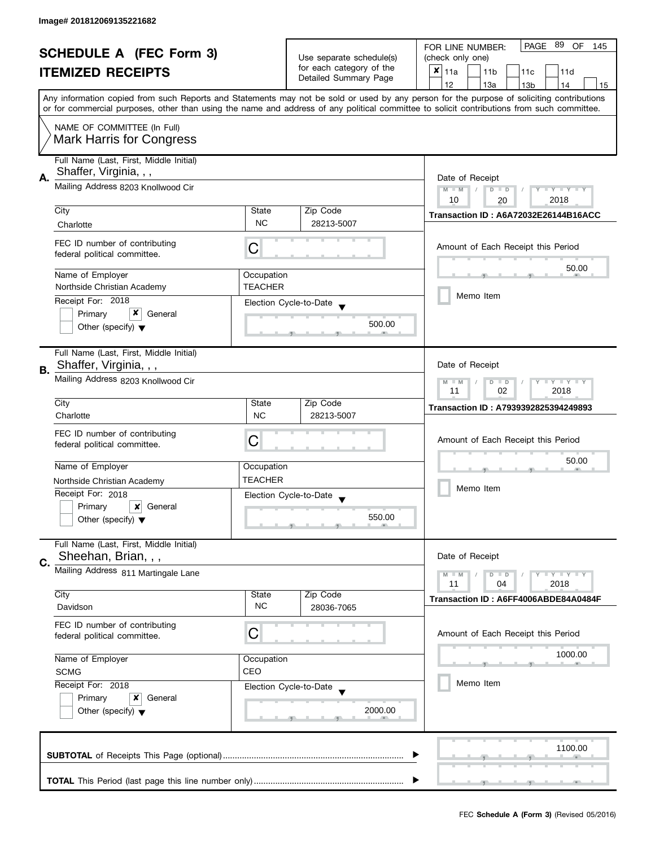| <b>SCHEDULE A (FEC Form 3)</b> |                                                               |                                                           | PAGE 89<br>OF<br>FOR LINE NUMBER:<br>145             |                                                                                                                                            |  |
|--------------------------------|---------------------------------------------------------------|-----------------------------------------------------------|------------------------------------------------------|--------------------------------------------------------------------------------------------------------------------------------------------|--|
|                                |                                                               |                                                           | Use separate schedule(s)<br>for each category of the | (check only one)                                                                                                                           |  |
|                                | <b>ITEMIZED RECEIPTS</b>                                      |                                                           |                                                      | $x _{11a}$<br>11 <sub>b</sub><br>11c<br>11d                                                                                                |  |
|                                |                                                               |                                                           | Detailed Summary Page                                | 12<br>13a<br>14<br>13 <sub>b</sub><br>15                                                                                                   |  |
|                                |                                                               |                                                           |                                                      | Any information copied from such Reports and Statements may not be sold or used by any person for the purpose of soliciting contributions  |  |
|                                |                                                               |                                                           |                                                      | or for commercial purposes, other than using the name and address of any political committee to solicit contributions from such committee. |  |
|                                | NAME OF COMMITTEE (In Full)                                   |                                                           |                                                      |                                                                                                                                            |  |
|                                | <b>Mark Harris for Congress</b>                               |                                                           |                                                      |                                                                                                                                            |  |
|                                | Full Name (Last, First, Middle Initial)                       |                                                           |                                                      |                                                                                                                                            |  |
|                                | Shaffer, Virginia, , ,                                        |                                                           |                                                      |                                                                                                                                            |  |
| А.                             | Mailing Address 8203 Knollwood Cir                            | Date of Receipt                                           |                                                      |                                                                                                                                            |  |
|                                |                                                               | Y TY TY TY<br>$M - M$<br>$D$ $D$<br>2018<br>10            |                                                      |                                                                                                                                            |  |
|                                | City                                                          | State                                                     | Zip Code                                             | 20                                                                                                                                         |  |
|                                | Charlotte                                                     | <b>NC</b>                                                 | 28213-5007                                           | Transaction ID: A6A72032E26144B16ACC                                                                                                       |  |
|                                |                                                               |                                                           |                                                      |                                                                                                                                            |  |
|                                | FEC ID number of contributing                                 | С                                                         |                                                      | Amount of Each Receipt this Period                                                                                                         |  |
|                                | federal political committee.                                  |                                                           |                                                      |                                                                                                                                            |  |
|                                | Name of Employer                                              | Occupation                                                |                                                      | 50.00                                                                                                                                      |  |
|                                | Northside Christian Academy                                   | <b>TEACHER</b>                                            |                                                      |                                                                                                                                            |  |
|                                | Receipt For: 2018                                             |                                                           |                                                      | Memo Item                                                                                                                                  |  |
|                                | x<br>Primary<br>General                                       |                                                           | Election Cycle-to-Date                               |                                                                                                                                            |  |
|                                | Other (specify) $\blacktriangledown$                          |                                                           | 500.00                                               |                                                                                                                                            |  |
|                                |                                                               |                                                           |                                                      |                                                                                                                                            |  |
|                                | Full Name (Last, First, Middle Initial)                       |                                                           |                                                      |                                                                                                                                            |  |
|                                | Shaffer, Virginia, , ,                                        | Date of Receipt                                           |                                                      |                                                                                                                                            |  |
| В.                             |                                                               |                                                           |                                                      |                                                                                                                                            |  |
|                                | Mailing Address 8203 Knollwood Cir                            | <b>LY LY LY</b><br>$M - M$<br>$D$ $D$<br>11<br>02<br>2018 |                                                      |                                                                                                                                            |  |
|                                | City                                                          | State                                                     | Zip Code                                             |                                                                                                                                            |  |
|                                | Charlotte                                                     | <b>NC</b>                                                 | 28213-5007                                           | Transaction ID: A7939392825394249893                                                                                                       |  |
|                                |                                                               |                                                           |                                                      |                                                                                                                                            |  |
|                                | FEC ID number of contributing                                 | C                                                         |                                                      | Amount of Each Receipt this Period                                                                                                         |  |
|                                | federal political committee.                                  |                                                           |                                                      |                                                                                                                                            |  |
|                                | Name of Employer                                              | Occupation                                                |                                                      | 50.00                                                                                                                                      |  |
|                                |                                                               | <b>TEACHER</b>                                            |                                                      |                                                                                                                                            |  |
|                                | Northside Christian Academy<br>Receipt For: 2018              |                                                           |                                                      | Memo Item                                                                                                                                  |  |
|                                |                                                               |                                                           | Election Cycle-to-Date                               |                                                                                                                                            |  |
|                                | Primary<br>$\boldsymbol{x}$<br>General                        |                                                           | 550.00                                               |                                                                                                                                            |  |
|                                | Other (specify) $\blacktriangledown$                          |                                                           |                                                      |                                                                                                                                            |  |
|                                | Full Name (Last, First, Middle Initial)                       |                                                           |                                                      |                                                                                                                                            |  |
|                                | Sheehan, Brian, , ,                                           |                                                           |                                                      | Date of Receipt                                                                                                                            |  |
| C.                             | Mailing Address 811 Martingale Lane                           |                                                           |                                                      |                                                                                                                                            |  |
|                                |                                                               |                                                           |                                                      | $Y = Y = Y$<br>$M - M$<br>$D$ $D$<br>11<br>04<br>2018                                                                                      |  |
|                                | City                                                          | State                                                     | Zip Code                                             |                                                                                                                                            |  |
|                                | Davidson                                                      | <b>NC</b>                                                 | 28036-7065                                           | Transaction ID: A6FF4006ABDE84A0484F                                                                                                       |  |
|                                |                                                               |                                                           |                                                      |                                                                                                                                            |  |
|                                | FEC ID number of contributing<br>federal political committee. | С                                                         |                                                      | Amount of Each Receipt this Period                                                                                                         |  |
|                                |                                                               |                                                           |                                                      |                                                                                                                                            |  |
|                                | Name of Employer                                              | Occupation                                                |                                                      | 1000.00                                                                                                                                    |  |
|                                | <b>SCMG</b>                                                   | CEO                                                       |                                                      |                                                                                                                                            |  |
|                                | Receipt For: 2018                                             |                                                           | Election Cycle-to-Date                               | Memo Item                                                                                                                                  |  |
|                                | Primary<br>x<br>General                                       |                                                           |                                                      |                                                                                                                                            |  |
|                                | Other (specify) $\blacktriangledown$                          |                                                           | 2000.00                                              |                                                                                                                                            |  |
|                                |                                                               |                                                           |                                                      |                                                                                                                                            |  |
|                                |                                                               |                                                           |                                                      |                                                                                                                                            |  |
|                                |                                                               |                                                           |                                                      | 1100.00                                                                                                                                    |  |
|                                |                                                               |                                                           |                                                      |                                                                                                                                            |  |
|                                |                                                               |                                                           |                                                      |                                                                                                                                            |  |
|                                |                                                               |                                                           |                                                      |                                                                                                                                            |  |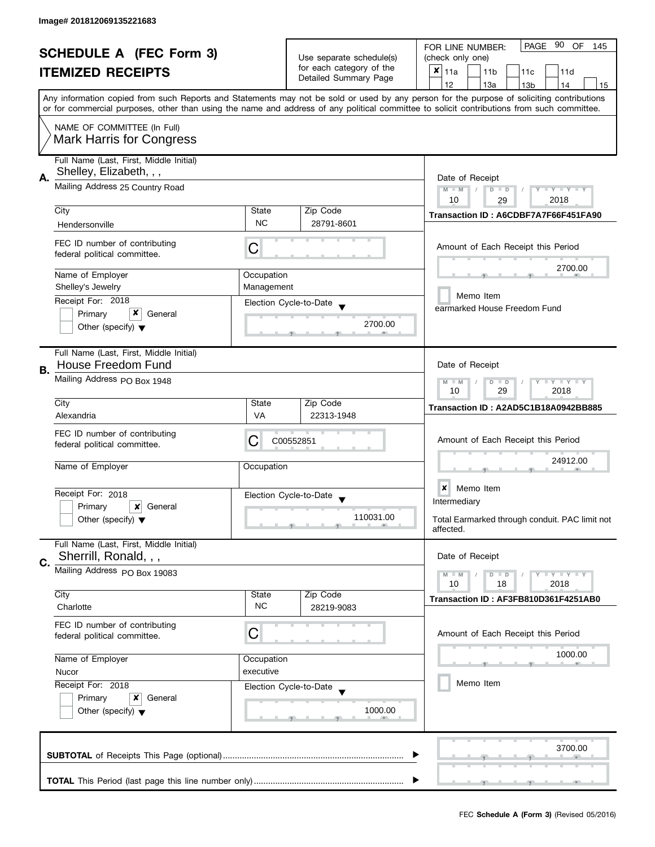| <b>SCHEDULE A (FEC Form 3)</b> |                                         | Use separate schedule(s) | 90<br>PAGE<br>OF<br>FOR LINE NUMBER:<br>145<br>(check only one) |                                                                                                                                            |
|--------------------------------|-----------------------------------------|--------------------------|-----------------------------------------------------------------|--------------------------------------------------------------------------------------------------------------------------------------------|
|                                | <b>ITEMIZED RECEIPTS</b>                |                          | for each category of the                                        | $x _{11a}$<br>11 <sub>b</sub><br>11d<br>11c                                                                                                |
|                                |                                         |                          | Detailed Summary Page                                           | 12<br>13a<br>13 <sub>b</sub><br>14<br>15                                                                                                   |
|                                |                                         |                          |                                                                 | Any information copied from such Reports and Statements may not be sold or used by any person for the purpose of soliciting contributions  |
|                                |                                         |                          |                                                                 | or for commercial purposes, other than using the name and address of any political committee to solicit contributions from such committee. |
|                                | NAME OF COMMITTEE (In Full)             |                          |                                                                 |                                                                                                                                            |
|                                | <b>Mark Harris for Congress</b>         |                          |                                                                 |                                                                                                                                            |
|                                |                                         |                          |                                                                 |                                                                                                                                            |
|                                | Full Name (Last, First, Middle Initial) |                          |                                                                 |                                                                                                                                            |
| А.                             | Shelley, Elizabeth, , ,                 | Date of Receipt          |                                                                 |                                                                                                                                            |
|                                | Mailing Address 25 Country Road         |                          | Y TY TY TY<br>$M - M$<br>$D$ $D$                                |                                                                                                                                            |
|                                |                                         |                          |                                                                 | 2018<br>10<br>29                                                                                                                           |
|                                | City                                    | State<br><b>NC</b>       | Zip Code                                                        | Transaction ID: A6CDBF7A7F66F451FA90                                                                                                       |
|                                | Hendersonville                          |                          | 28791-8601                                                      |                                                                                                                                            |
|                                | FEC ID number of contributing           | С                        |                                                                 | Amount of Each Receipt this Period                                                                                                         |
|                                | federal political committee.            |                          |                                                                 |                                                                                                                                            |
|                                | Name of Employer                        | Occupation               |                                                                 | 2700.00                                                                                                                                    |
|                                | Shelley's Jewelry                       | Management               |                                                                 |                                                                                                                                            |
|                                | Receipt For: 2018                       |                          | Election Cycle-to-Date                                          | Memo Item                                                                                                                                  |
|                                | x<br>Primary<br>General                 |                          |                                                                 | earmarked House Freedom Fund                                                                                                               |
|                                | Other (specify) $\blacktriangledown$    |                          | 2700.00                                                         |                                                                                                                                            |
|                                |                                         |                          |                                                                 |                                                                                                                                            |
|                                | Full Name (Last, First, Middle Initial) |                          |                                                                 |                                                                                                                                            |
| В.                             | House Freedom Fund                      |                          |                                                                 | Date of Receipt                                                                                                                            |
|                                | Mailing Address PO Box 1948             |                          |                                                                 | $Y = Y + Y$<br>$M - M$<br>$\Box$<br>T<br>D                                                                                                 |
|                                |                                         | 29<br>2018<br>10         |                                                                 |                                                                                                                                            |
|                                | City                                    | State                    | Zip Code                                                        | Transaction ID: A2AD5C1B18A0942BB885                                                                                                       |
|                                | Alexandria                              | VA                       | 22313-1948                                                      |                                                                                                                                            |
|                                | FEC ID number of contributing           |                          |                                                                 |                                                                                                                                            |
|                                | federal political committee.            | C                        | C00552851                                                       | Amount of Each Receipt this Period                                                                                                         |
|                                | Name of Employer                        | Occupation               |                                                                 | 24912.00                                                                                                                                   |
|                                |                                         |                          |                                                                 |                                                                                                                                            |
|                                | Receipt For: 2018                       |                          |                                                                 | ×<br>Memo Item                                                                                                                             |
|                                | Primary<br>×<br>General                 |                          | Election Cycle-to-Date<br>$\overline{\mathbf{v}}$               | Intermediary                                                                                                                               |
|                                | Other (specify) $\blacktriangledown$    |                          | 110031.00                                                       | Total Earmarked through conduit. PAC limit not                                                                                             |
|                                |                                         |                          |                                                                 | affected.                                                                                                                                  |
|                                | Full Name (Last, First, Middle Initial) |                          |                                                                 |                                                                                                                                            |
| C.                             | Sherrill, Ronald, , ,                   |                          |                                                                 | Date of Receipt                                                                                                                            |
|                                | Mailing Address PO Box 19083            |                          |                                                                 | $T - Y = T - Y$<br>$M - M$<br>$D$ $D$                                                                                                      |
|                                |                                         |                          |                                                                 | 10<br>18<br>2018                                                                                                                           |
|                                | City                                    | State                    | Zip Code                                                        | Transaction ID: AF3FB810D361F4251AB0                                                                                                       |
|                                | Charlotte                               | <b>NC</b>                | 28219-9083                                                      |                                                                                                                                            |
|                                | FEC ID number of contributing           |                          |                                                                 |                                                                                                                                            |
|                                | federal political committee.            | C                        |                                                                 | Amount of Each Receipt this Period                                                                                                         |
|                                | Name of Employer                        | Occupation               |                                                                 | 1000.00                                                                                                                                    |
|                                | executive<br>Nucor                      |                          |                                                                 |                                                                                                                                            |
|                                | Receipt For: 2018                       |                          | Election Cycle-to-Date                                          | Memo Item                                                                                                                                  |
|                                | Primary<br>x<br>General                 |                          |                                                                 |                                                                                                                                            |
|                                | Other (specify) $\blacktriangledown$    |                          | 1000.00                                                         |                                                                                                                                            |
|                                |                                         |                          |                                                                 |                                                                                                                                            |
|                                |                                         |                          |                                                                 |                                                                                                                                            |
|                                |                                         |                          |                                                                 | 3700.00                                                                                                                                    |
|                                |                                         |                          |                                                                 |                                                                                                                                            |
|                                |                                         |                          |                                                                 |                                                                                                                                            |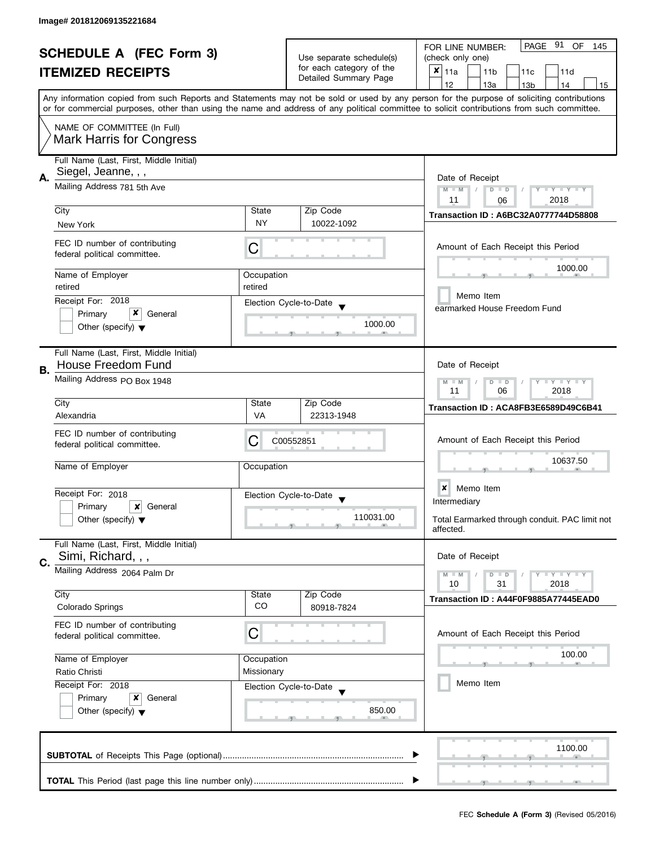| <b>SCHEDULE A (FEC Form 3)</b> |                                                                |                                  | PAGE 91<br>OF<br>FOR LINE NUMBER:<br>145          |                                                                                                                                                                                                                                                                                         |  |
|--------------------------------|----------------------------------------------------------------|----------------------------------|---------------------------------------------------|-----------------------------------------------------------------------------------------------------------------------------------------------------------------------------------------------------------------------------------------------------------------------------------------|--|
|                                |                                                                | Use separate schedule(s)         | (check only one)                                  |                                                                                                                                                                                                                                                                                         |  |
|                                | <b>ITEMIZED RECEIPTS</b>                                       |                                  | for each category of the<br>Detailed Summary Page | $x _{11a}$<br>11 <sub>b</sub><br>11d<br>11c                                                                                                                                                                                                                                             |  |
|                                |                                                                |                                  |                                                   | 12<br>13a<br>13 <sub>b</sub><br>14<br>15                                                                                                                                                                                                                                                |  |
|                                |                                                                |                                  |                                                   | Any information copied from such Reports and Statements may not be sold or used by any person for the purpose of soliciting contributions<br>or for commercial purposes, other than using the name and address of any political committee to solicit contributions from such committee. |  |
|                                | NAME OF COMMITTEE (In Full)<br><b>Mark Harris for Congress</b> |                                  |                                                   |                                                                                                                                                                                                                                                                                         |  |
|                                |                                                                |                                  |                                                   |                                                                                                                                                                                                                                                                                         |  |
|                                | Full Name (Last, First, Middle Initial)                        |                                  |                                                   |                                                                                                                                                                                                                                                                                         |  |
| А.                             | Siegel, Jeanne, , ,                                            |                                  |                                                   | Date of Receipt                                                                                                                                                                                                                                                                         |  |
|                                | Mailing Address 781 5th Ave                                    | Y TY TY TY<br>$M - M$<br>$D$ $D$ |                                                   |                                                                                                                                                                                                                                                                                         |  |
|                                |                                                                |                                  |                                                   | 2018<br>11<br>06                                                                                                                                                                                                                                                                        |  |
|                                | City                                                           | State                            | Zip Code                                          | <b>Transaction ID: A6BC32A0777744D58808</b>                                                                                                                                                                                                                                             |  |
|                                | New York                                                       | <b>NY</b>                        | 10022-1092                                        |                                                                                                                                                                                                                                                                                         |  |
|                                | FEC ID number of contributing<br>federal political committee.  | С                                |                                                   | Amount of Each Receipt this Period                                                                                                                                                                                                                                                      |  |
|                                | Name of Employer                                               | Occupation                       |                                                   | 1000.00                                                                                                                                                                                                                                                                                 |  |
|                                | retired                                                        | retired                          |                                                   |                                                                                                                                                                                                                                                                                         |  |
|                                | Receipt For: 2018                                              |                                  |                                                   | Memo Item                                                                                                                                                                                                                                                                               |  |
|                                | x                                                              |                                  | Election Cycle-to-Date                            | earmarked House Freedom Fund                                                                                                                                                                                                                                                            |  |
|                                | Primary<br>General                                             |                                  | 1000.00                                           |                                                                                                                                                                                                                                                                                         |  |
|                                | Other (specify) $\blacktriangledown$                           |                                  |                                                   |                                                                                                                                                                                                                                                                                         |  |
|                                |                                                                |                                  |                                                   |                                                                                                                                                                                                                                                                                         |  |
|                                | Full Name (Last, First, Middle Initial)                        |                                  |                                                   |                                                                                                                                                                                                                                                                                         |  |
| В.                             | House Freedom Fund                                             |                                  |                                                   | Date of Receipt                                                                                                                                                                                                                                                                         |  |
|                                | Mailing Address PO Box 1948                                    |                                  |                                                   | Y I Y I Y I Y<br>$M - M$<br>$D$ $D$<br>06<br>11<br>2018                                                                                                                                                                                                                                 |  |
|                                | City                                                           | State                            | Zip Code                                          | Transaction ID: ACA8FB3E6589D49C6B41                                                                                                                                                                                                                                                    |  |
|                                | Alexandria                                                     | VA                               | 22313-1948                                        |                                                                                                                                                                                                                                                                                         |  |
|                                | FEC ID number of contributing                                  |                                  |                                                   |                                                                                                                                                                                                                                                                                         |  |
|                                | federal political committee.                                   | C                                | C00552851                                         | Amount of Each Receipt this Period                                                                                                                                                                                                                                                      |  |
|                                |                                                                |                                  |                                                   | 10637.50                                                                                                                                                                                                                                                                                |  |
|                                | Name of Employer                                               | Occupation                       |                                                   |                                                                                                                                                                                                                                                                                         |  |
|                                |                                                                |                                  |                                                   |                                                                                                                                                                                                                                                                                         |  |
|                                | Receipt For: 2018                                              |                                  | Election Cycle-to-Date<br>$\blacktriangledown$    | Memo Item<br>×                                                                                                                                                                                                                                                                          |  |
|                                | Primary<br>×<br>General                                        |                                  |                                                   | Intermediary                                                                                                                                                                                                                                                                            |  |
|                                | Other (specify) $\blacktriangledown$                           | 110031.00                        |                                                   | Total Earmarked through conduit. PAC limit not<br>affected.                                                                                                                                                                                                                             |  |
|                                | Full Name (Last, First, Middle Initial)                        |                                  |                                                   |                                                                                                                                                                                                                                                                                         |  |
| C.                             | Simi, Richard, , ,                                             |                                  |                                                   | Date of Receipt                                                                                                                                                                                                                                                                         |  |
|                                | Mailing Address 2064 Palm Dr                                   |                                  |                                                   | <b>LYLYLY</b><br>$M - M$<br>$D$ $D$                                                                                                                                                                                                                                                     |  |
|                                |                                                                |                                  |                                                   | 10<br>31<br>2018                                                                                                                                                                                                                                                                        |  |
|                                | City                                                           | State                            | Zip Code                                          | Transaction ID: A44F0F9885A77445EAD0                                                                                                                                                                                                                                                    |  |
|                                | Colorado Springs                                               | CO                               | 80918-7824                                        |                                                                                                                                                                                                                                                                                         |  |
|                                | FEC ID number of contributing                                  |                                  |                                                   |                                                                                                                                                                                                                                                                                         |  |
|                                | federal political committee.                                   | C                                |                                                   | Amount of Each Receipt this Period                                                                                                                                                                                                                                                      |  |
|                                |                                                                |                                  |                                                   |                                                                                                                                                                                                                                                                                         |  |
|                                | Name of Employer                                               | Occupation                       |                                                   | 100.00                                                                                                                                                                                                                                                                                  |  |
|                                | Ratio Christi                                                  | Missionary                       |                                                   |                                                                                                                                                                                                                                                                                         |  |
|                                | Receipt For: 2018                                              |                                  | Election Cycle-to-Date                            | Memo Item                                                                                                                                                                                                                                                                               |  |
|                                | General<br>Primary<br>x                                        |                                  |                                                   |                                                                                                                                                                                                                                                                                         |  |
|                                | Other (specify) $\blacktriangledown$                           |                                  | 850.00                                            |                                                                                                                                                                                                                                                                                         |  |
|                                |                                                                |                                  |                                                   |                                                                                                                                                                                                                                                                                         |  |
|                                |                                                                |                                  |                                                   |                                                                                                                                                                                                                                                                                         |  |
|                                |                                                                |                                  |                                                   | 1100.00                                                                                                                                                                                                                                                                                 |  |
|                                |                                                                |                                  |                                                   |                                                                                                                                                                                                                                                                                         |  |
|                                |                                                                |                                  |                                                   |                                                                                                                                                                                                                                                                                         |  |
|                                |                                                                |                                  |                                                   |                                                                                                                                                                                                                                                                                         |  |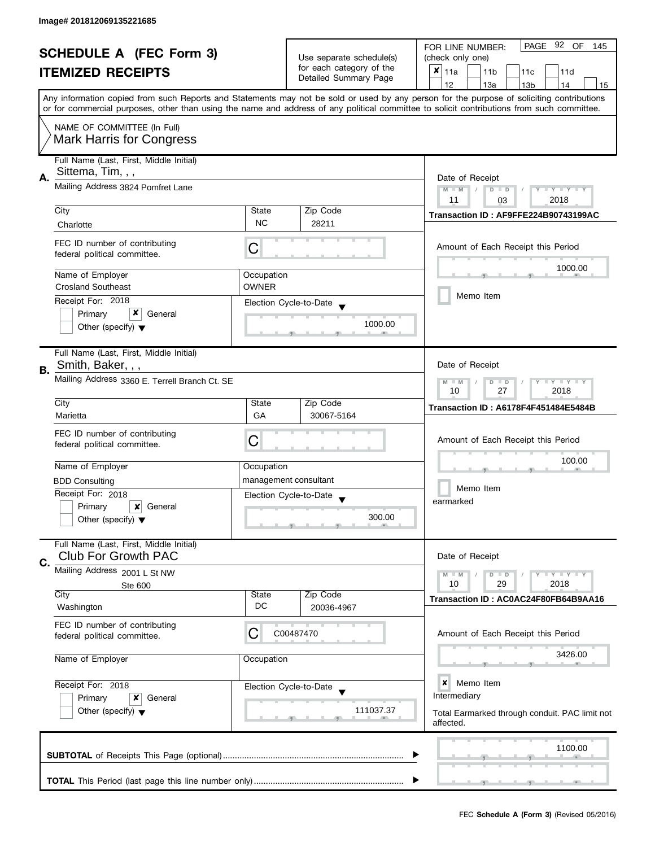|                                                                 |                                                                       |                                                                          | PAGE 92 OF<br>FOR LINE NUMBER:<br>145                                       |                                                                                                                                                                                                                                                                                         |  |  |
|-----------------------------------------------------------------|-----------------------------------------------------------------------|--------------------------------------------------------------------------|-----------------------------------------------------------------------------|-----------------------------------------------------------------------------------------------------------------------------------------------------------------------------------------------------------------------------------------------------------------------------------------|--|--|
| <b>SCHEDULE A (FEC Form 3)</b>                                  |                                                                       |                                                                          | Use separate schedule(s)                                                    | (check only one)                                                                                                                                                                                                                                                                        |  |  |
|                                                                 | <b>ITEMIZED RECEIPTS</b>                                              |                                                                          | for each category of the                                                    | ×<br>11a<br>11 <sub>b</sub><br>11c<br>11d                                                                                                                                                                                                                                               |  |  |
|                                                                 |                                                                       |                                                                          | Detailed Summary Page                                                       | 12<br>13a<br>14<br>13 <sub>b</sub><br>15                                                                                                                                                                                                                                                |  |  |
|                                                                 |                                                                       |                                                                          |                                                                             | Any information copied from such Reports and Statements may not be sold or used by any person for the purpose of soliciting contributions<br>or for commercial purposes, other than using the name and address of any political committee to solicit contributions from such committee. |  |  |
|                                                                 | NAME OF COMMITTEE (In Full)                                           |                                                                          |                                                                             |                                                                                                                                                                                                                                                                                         |  |  |
|                                                                 | <b>Mark Harris for Congress</b>                                       |                                                                          |                                                                             |                                                                                                                                                                                                                                                                                         |  |  |
|                                                                 | Full Name (Last, First, Middle Initial)<br>Sittema, Tim, , ,          |                                                                          |                                                                             |                                                                                                                                                                                                                                                                                         |  |  |
| А.                                                              | Mailing Address 3824 Pomfret Lane                                     |                                                                          |                                                                             | Date of Receipt<br>$M - M$<br>$D$ $D$<br>Y I Y I Y I Y<br>2018<br>11<br>03                                                                                                                                                                                                              |  |  |
|                                                                 | City                                                                  | State                                                                    | Zip Code                                                                    |                                                                                                                                                                                                                                                                                         |  |  |
|                                                                 | Charlotte                                                             | <b>NC</b>                                                                | 28211                                                                       | Transaction ID: AF9FFE224B90743199AC                                                                                                                                                                                                                                                    |  |  |
|                                                                 | FEC ID number of contributing<br>federal political committee.         | C                                                                        |                                                                             | Amount of Each Receipt this Period                                                                                                                                                                                                                                                      |  |  |
|                                                                 | Name of Employer                                                      | Occupation                                                               |                                                                             | 1000.00                                                                                                                                                                                                                                                                                 |  |  |
|                                                                 | <b>Crosland Southeast</b>                                             | <b>OWNER</b>                                                             |                                                                             |                                                                                                                                                                                                                                                                                         |  |  |
|                                                                 | Receipt For: 2018                                                     |                                                                          | Election Cycle-to-Date                                                      | Memo Item                                                                                                                                                                                                                                                                               |  |  |
|                                                                 | x<br>Primary<br>General<br>Other (specify) $\blacktriangledown$       |                                                                          | 1000.00                                                                     |                                                                                                                                                                                                                                                                                         |  |  |
| <b>B.</b>                                                       | Full Name (Last, First, Middle Initial)<br>Smith, Baker, , ,          |                                                                          |                                                                             | Date of Receipt                                                                                                                                                                                                                                                                         |  |  |
|                                                                 | Mailing Address 3360 E. Terrell Branch Ct. SE                         | $\bot$ Y $\bot$ Y $\bot$ Y<br>$M - M$<br>D<br>$\Box$<br>27<br>2018<br>10 |                                                                             |                                                                                                                                                                                                                                                                                         |  |  |
|                                                                 | City                                                                  | State                                                                    | Zip Code                                                                    | <b>Transaction ID: A6178F4F451484E5484B</b>                                                                                                                                                                                                                                             |  |  |
|                                                                 | Marietta                                                              | GA                                                                       | 30067-5164                                                                  |                                                                                                                                                                                                                                                                                         |  |  |
|                                                                 | FEC ID number of contributing<br>federal political committee.         | C                                                                        |                                                                             | Amount of Each Receipt this Period                                                                                                                                                                                                                                                      |  |  |
|                                                                 | Name of Employer                                                      | Occupation                                                               |                                                                             | 100.00                                                                                                                                                                                                                                                                                  |  |  |
|                                                                 | <b>BDD Consulting</b>                                                 |                                                                          | management consultant                                                       |                                                                                                                                                                                                                                                                                         |  |  |
|                                                                 | Receipt For: 2018                                                     |                                                                          | Election Cycle-to-Date                                                      | Memo Item                                                                                                                                                                                                                                                                               |  |  |
|                                                                 | Primary<br>×<br>General                                               |                                                                          |                                                                             | earmarked                                                                                                                                                                                                                                                                               |  |  |
|                                                                 | Other (specify) $\blacktriangledown$                                  |                                                                          | 300.00                                                                      |                                                                                                                                                                                                                                                                                         |  |  |
|                                                                 | Full Name (Last, First, Middle Initial)<br><b>Club For Growth PAC</b> |                                                                          |                                                                             | Date of Receipt                                                                                                                                                                                                                                                                         |  |  |
| C.                                                              | Mailing Address 2001 L St NW                                          |                                                                          |                                                                             | $M - M$<br>$\bot$ $\gamma$ $\bot$ $\gamma$ $\bot$ $\gamma$<br>$D$ $D$                                                                                                                                                                                                                   |  |  |
|                                                                 | Ste 600                                                               |                                                                          |                                                                             | 10<br>29<br>2018                                                                                                                                                                                                                                                                        |  |  |
|                                                                 | City<br>Washington                                                    | State<br>DC                                                              | Zip Code<br>20036-4967                                                      | Transaction ID: AC0AC24F80FB64B9AA16                                                                                                                                                                                                                                                    |  |  |
|                                                                 | FEC ID number of contributing<br>federal political committee.         | C                                                                        | C00487470                                                                   | Amount of Each Receipt this Period                                                                                                                                                                                                                                                      |  |  |
|                                                                 | Name of Employer                                                      | Occupation                                                               |                                                                             | 3426.00                                                                                                                                                                                                                                                                                 |  |  |
|                                                                 | Receipt For: 2018                                                     |                                                                          | Election Cycle-to-Date                                                      | ×<br>Memo Item                                                                                                                                                                                                                                                                          |  |  |
| Primary<br>x<br>General<br>Other (specify) $\blacktriangledown$ |                                                                       | 111037.37                                                                | Intermediary<br>Total Earmarked through conduit. PAC limit not<br>affected. |                                                                                                                                                                                                                                                                                         |  |  |
|                                                                 |                                                                       |                                                                          |                                                                             | 1100.00                                                                                                                                                                                                                                                                                 |  |  |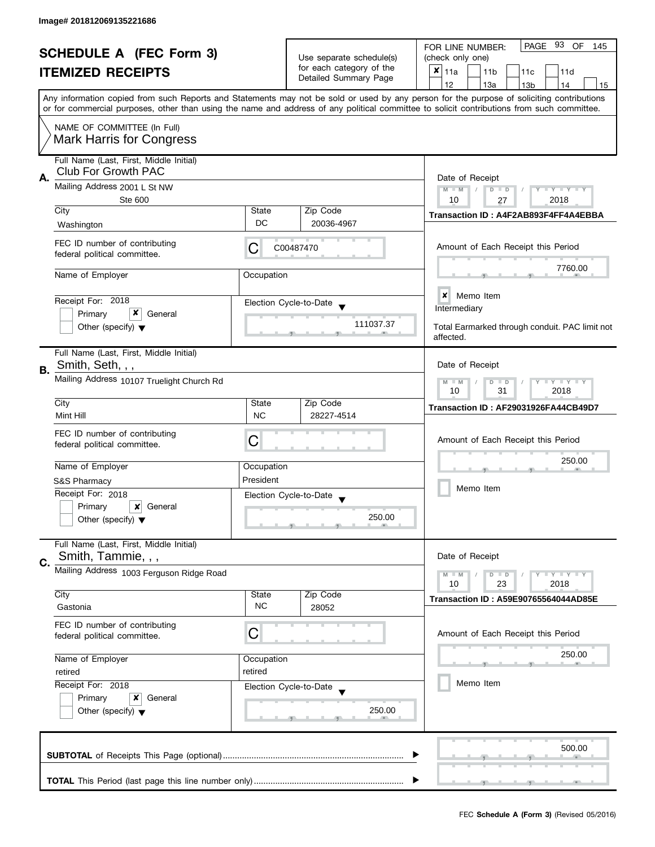| <b>SCHEDULE A (FEC Form 3)</b> |                                                                 |                                                |                                                   | PAGE 93 OF<br>FOR LINE NUMBER:<br>145                                                                                                      |  |  |
|--------------------------------|-----------------------------------------------------------------|------------------------------------------------|---------------------------------------------------|--------------------------------------------------------------------------------------------------------------------------------------------|--|--|
|                                |                                                                 |                                                | Use separate schedule(s)                          | (check only one)                                                                                                                           |  |  |
|                                | <b>ITEMIZED RECEIPTS</b>                                        |                                                | for each category of the<br>Detailed Summary Page | $x _{11a}$<br>11 <sub>b</sub><br>11c<br>11d                                                                                                |  |  |
|                                |                                                                 |                                                |                                                   | 12<br>13a<br>13 <sub>b</sub><br>14<br>15                                                                                                   |  |  |
|                                |                                                                 |                                                |                                                   | Any information copied from such Reports and Statements may not be sold or used by any person for the purpose of soliciting contributions  |  |  |
|                                |                                                                 |                                                |                                                   | or for commercial purposes, other than using the name and address of any political committee to solicit contributions from such committee. |  |  |
|                                | NAME OF COMMITTEE (In Full)                                     |                                                |                                                   |                                                                                                                                            |  |  |
|                                | <b>Mark Harris for Congress</b>                                 |                                                |                                                   |                                                                                                                                            |  |  |
|                                | Full Name (Last, First, Middle Initial)                         |                                                |                                                   |                                                                                                                                            |  |  |
|                                | <b>Club For Growth PAC</b>                                      |                                                |                                                   |                                                                                                                                            |  |  |
| А.                             | Mailing Address 2001 L St NW                                    | Date of Receipt                                |                                                   |                                                                                                                                            |  |  |
|                                | Ste 600                                                         | $M - M$<br>Y TY TY TY<br>$D$ $D$<br>10<br>2018 |                                                   |                                                                                                                                            |  |  |
|                                | City                                                            | State                                          | Zip Code                                          | 27                                                                                                                                         |  |  |
|                                | Washington                                                      | DC                                             | 20036-4967                                        | Transaction ID: A4F2AB893F4FF4A4EBBA                                                                                                       |  |  |
|                                |                                                                 |                                                |                                                   |                                                                                                                                            |  |  |
|                                | FEC ID number of contributing                                   | C                                              | C00487470                                         | Amount of Each Receipt this Period                                                                                                         |  |  |
|                                | federal political committee.                                    |                                                |                                                   |                                                                                                                                            |  |  |
|                                | Name of Employer                                                | Occupation                                     |                                                   | 7760.00                                                                                                                                    |  |  |
|                                |                                                                 |                                                |                                                   |                                                                                                                                            |  |  |
|                                | Receipt For: 2018                                               |                                                | Election Cycle-to-Date                            | $\boldsymbol{x}$<br>Memo Item                                                                                                              |  |  |
|                                | x<br>Primary<br>General                                         |                                                |                                                   | Intermediary                                                                                                                               |  |  |
|                                | Other (specify) $\blacktriangledown$                            |                                                | 111037.37                                         | Total Earmarked through conduit. PAC limit not                                                                                             |  |  |
|                                |                                                                 |                                                |                                                   | affected.                                                                                                                                  |  |  |
|                                | Full Name (Last, First, Middle Initial)                         |                                                |                                                   |                                                                                                                                            |  |  |
| В.                             | Smith, Seth, , ,                                                | Date of Receipt                                |                                                   |                                                                                                                                            |  |  |
|                                | Mailing Address 10107 Truelight Church Rd                       |                                                |                                                   | $Y = Y = Y$<br>$M - M$<br>D<br>$\Box$                                                                                                      |  |  |
|                                |                                                                 | 31<br>2018<br>10                               |                                                   |                                                                                                                                            |  |  |
|                                | City                                                            | State                                          | Zip Code                                          | Transaction ID: AF29031926FA44CB49D7                                                                                                       |  |  |
|                                | Mint Hill                                                       | <b>NC</b>                                      | 28227-4514                                        |                                                                                                                                            |  |  |
|                                | FEC ID number of contributing                                   |                                                |                                                   |                                                                                                                                            |  |  |
|                                | federal political committee.                                    | С                                              |                                                   | Amount of Each Receipt this Period                                                                                                         |  |  |
|                                |                                                                 |                                                |                                                   | 250.00                                                                                                                                     |  |  |
|                                | Name of Employer                                                | Occupation<br>President                        |                                                   |                                                                                                                                            |  |  |
|                                | S&S Pharmacy<br>Receipt For: 2018                               |                                                |                                                   | Memo Item                                                                                                                                  |  |  |
|                                |                                                                 |                                                | Election Cycle-to-Date                            |                                                                                                                                            |  |  |
|                                | Primary<br>×<br>General<br>Other (specify) $\blacktriangledown$ |                                                | 250.00                                            |                                                                                                                                            |  |  |
|                                |                                                                 |                                                |                                                   |                                                                                                                                            |  |  |
|                                | Full Name (Last, First, Middle Initial)                         |                                                |                                                   |                                                                                                                                            |  |  |
|                                | Smith, Tammie, , ,                                              |                                                |                                                   | Date of Receipt                                                                                                                            |  |  |
| C.                             | Mailing Address 1003 Ferguson Ridge Road                        |                                                |                                                   | $M - M$<br>Y LY LY<br>$D$ $D$                                                                                                              |  |  |
|                                |                                                                 |                                                |                                                   | 10<br>23<br>2018                                                                                                                           |  |  |
|                                | City                                                            | State                                          | Zip Code                                          | <b>Transaction ID: A59E90765564044AD85E</b>                                                                                                |  |  |
|                                | Gastonia                                                        | <b>NC</b>                                      | 28052                                             |                                                                                                                                            |  |  |
|                                | FEC ID number of contributing                                   |                                                |                                                   |                                                                                                                                            |  |  |
|                                | federal political committee.                                    | С                                              |                                                   | Amount of Each Receipt this Period                                                                                                         |  |  |
|                                |                                                                 |                                                |                                                   | 250.00                                                                                                                                     |  |  |
|                                | Name of Employer                                                | Occupation                                     |                                                   |                                                                                                                                            |  |  |
|                                | retired                                                         | retired                                        |                                                   | Memo Item                                                                                                                                  |  |  |
|                                | Receipt For: 2018                                               |                                                | Election Cycle-to-Date                            |                                                                                                                                            |  |  |
|                                | Primary<br>General<br>x                                         |                                                | 250.00                                            |                                                                                                                                            |  |  |
|                                | Other (specify) $\blacktriangledown$                            |                                                |                                                   |                                                                                                                                            |  |  |
|                                |                                                                 |                                                |                                                   |                                                                                                                                            |  |  |
|                                |                                                                 |                                                |                                                   | 500.00                                                                                                                                     |  |  |
|                                |                                                                 |                                                |                                                   |                                                                                                                                            |  |  |
|                                |                                                                 |                                                |                                                   |                                                                                                                                            |  |  |
|                                |                                                                 |                                                |                                                   |                                                                                                                                            |  |  |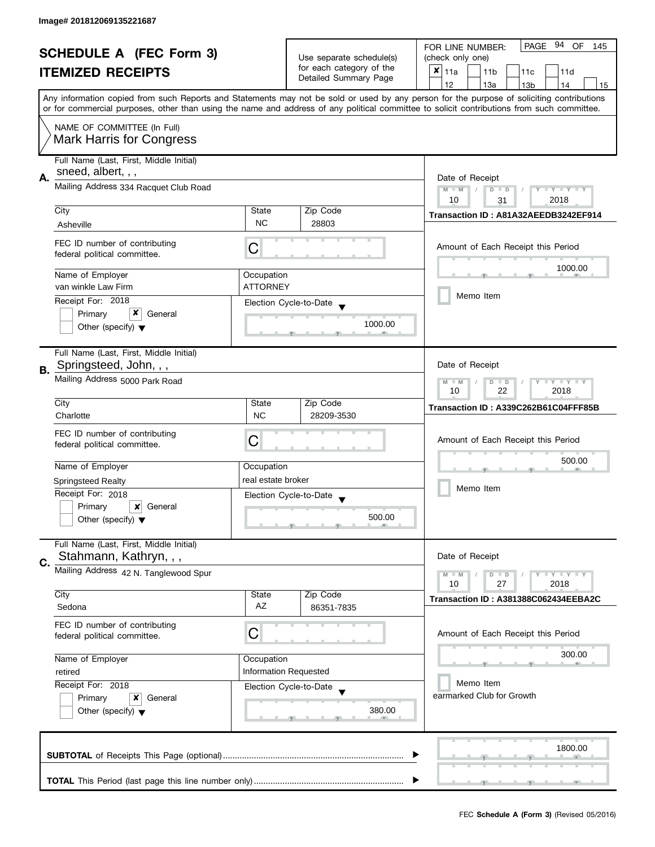| <b>SCHEDULE A (FEC Form 3)</b> |                                                                   |                                                                            | PAGE 94 OF<br>FOR LINE NUMBER:<br>145             |                                                                                                                                                                                                                                                                                         |  |
|--------------------------------|-------------------------------------------------------------------|----------------------------------------------------------------------------|---------------------------------------------------|-----------------------------------------------------------------------------------------------------------------------------------------------------------------------------------------------------------------------------------------------------------------------------------------|--|
|                                |                                                                   | Use separate schedule(s)                                                   | (check only one)                                  |                                                                                                                                                                                                                                                                                         |  |
|                                | <b>ITEMIZED RECEIPTS</b>                                          |                                                                            | for each category of the<br>Detailed Summary Page | $x _{11a}$<br>11 <sub>b</sub><br>11c<br>11d                                                                                                                                                                                                                                             |  |
|                                |                                                                   |                                                                            |                                                   | 12<br>13a<br>13 <sub>b</sub><br>14<br>15                                                                                                                                                                                                                                                |  |
|                                |                                                                   |                                                                            |                                                   | Any information copied from such Reports and Statements may not be sold or used by any person for the purpose of soliciting contributions<br>or for commercial purposes, other than using the name and address of any political committee to solicit contributions from such committee. |  |
|                                | NAME OF COMMITTEE (In Full)<br><b>Mark Harris for Congress</b>    |                                                                            |                                                   |                                                                                                                                                                                                                                                                                         |  |
|                                |                                                                   |                                                                            |                                                   |                                                                                                                                                                                                                                                                                         |  |
|                                | Full Name (Last, First, Middle Initial)<br>sneed, albert, , ,     |                                                                            |                                                   |                                                                                                                                                                                                                                                                                         |  |
| А.                             | Mailing Address 334 Racquet Club Road                             | Date of Receipt<br>$M - M$<br>Y I Y I Y I Y<br>$D$ $D$<br>2018<br>10<br>31 |                                                   |                                                                                                                                                                                                                                                                                         |  |
|                                | City                                                              | State                                                                      | Zip Code                                          | Transaction ID: A81A32AEEDB3242EF914                                                                                                                                                                                                                                                    |  |
|                                | Asheville                                                         | <b>NC</b>                                                                  | 28803                                             |                                                                                                                                                                                                                                                                                         |  |
|                                | FEC ID number of contributing<br>federal political committee.     | С                                                                          |                                                   | Amount of Each Receipt this Period                                                                                                                                                                                                                                                      |  |
|                                | Name of Employer                                                  | Occupation                                                                 |                                                   | 1000.00                                                                                                                                                                                                                                                                                 |  |
|                                | van winkle Law Firm                                               | <b>ATTORNEY</b>                                                            |                                                   |                                                                                                                                                                                                                                                                                         |  |
|                                | Receipt For: 2018                                                 |                                                                            | Election Cycle-to-Date                            | Memo Item                                                                                                                                                                                                                                                                               |  |
|                                | x<br>Primary<br>General                                           |                                                                            |                                                   |                                                                                                                                                                                                                                                                                         |  |
|                                | Other (specify) $\blacktriangledown$                              |                                                                            | 1000.00                                           |                                                                                                                                                                                                                                                                                         |  |
|                                | Full Name (Last, First, Middle Initial)<br>Springsteed, John, , , |                                                                            |                                                   | Date of Receipt                                                                                                                                                                                                                                                                         |  |
| В.                             | Mailing Address 5000 Park Road                                    |                                                                            |                                                   | $T - Y = T - Y$<br>$M - M$<br>$D$ $D$<br>22<br>10<br>2018                                                                                                                                                                                                                               |  |
|                                | City                                                              | State                                                                      | Zip Code                                          |                                                                                                                                                                                                                                                                                         |  |
|                                | Charlotte                                                         | <b>NC</b>                                                                  | 28209-3530                                        | Transaction ID: A339C262B61C04FFF85B                                                                                                                                                                                                                                                    |  |
|                                |                                                                   |                                                                            |                                                   |                                                                                                                                                                                                                                                                                         |  |
|                                | FEC ID number of contributing<br>federal political committee.     | С                                                                          |                                                   | Amount of Each Receipt this Period                                                                                                                                                                                                                                                      |  |
|                                |                                                                   |                                                                            |                                                   |                                                                                                                                                                                                                                                                                         |  |
|                                | Name of Employer                                                  | Occupation                                                                 |                                                   | 500.00                                                                                                                                                                                                                                                                                  |  |
|                                | <b>Springsteed Realty</b>                                         | real estate broker                                                         |                                                   |                                                                                                                                                                                                                                                                                         |  |
|                                | Receipt For: 2018                                                 |                                                                            | Election Cycle-to-Date<br>$\blacktriangledown$    | Memo Item                                                                                                                                                                                                                                                                               |  |
|                                | Primary<br>×<br>General                                           |                                                                            |                                                   |                                                                                                                                                                                                                                                                                         |  |
|                                | Other (specify) $\blacktriangledown$                              |                                                                            | 500.00                                            |                                                                                                                                                                                                                                                                                         |  |
|                                | Full Name (Last, First, Middle Initial)                           |                                                                            |                                                   |                                                                                                                                                                                                                                                                                         |  |
| C.                             | Stahmann, Kathryn, , ,                                            |                                                                            |                                                   | Date of Receipt                                                                                                                                                                                                                                                                         |  |
|                                | Mailing Address 42 N. Tanglewood Spur                             |                                                                            |                                                   | $T - Y = T - Y$<br>$M - M$<br>$D$ $D$<br>10<br>27<br>2018                                                                                                                                                                                                                               |  |
|                                | City                                                              | State                                                                      | Zip Code                                          | Transaction ID: A381388C062434EEBA2C                                                                                                                                                                                                                                                    |  |
|                                | Sedona                                                            | <b>AZ</b>                                                                  | 86351-7835                                        |                                                                                                                                                                                                                                                                                         |  |
|                                | FEC ID number of contributing<br>federal political committee.     | С                                                                          |                                                   | Amount of Each Receipt this Period                                                                                                                                                                                                                                                      |  |
|                                | Name of Employer                                                  | Occupation                                                                 |                                                   | 300.00                                                                                                                                                                                                                                                                                  |  |
|                                | retired                                                           | <b>Information Requested</b>                                               |                                                   |                                                                                                                                                                                                                                                                                         |  |
|                                | Receipt For: 2018                                                 |                                                                            | Election Cycle-to-Date                            | Memo Item                                                                                                                                                                                                                                                                               |  |
|                                | Primary<br>x<br>General                                           |                                                                            |                                                   | earmarked Club for Growth                                                                                                                                                                                                                                                               |  |
|                                | Other (specify) $\blacktriangledown$                              | 380.00                                                                     |                                                   |                                                                                                                                                                                                                                                                                         |  |
|                                |                                                                   |                                                                            |                                                   | 1800.00                                                                                                                                                                                                                                                                                 |  |
|                                |                                                                   |                                                                            |                                                   |                                                                                                                                                                                                                                                                                         |  |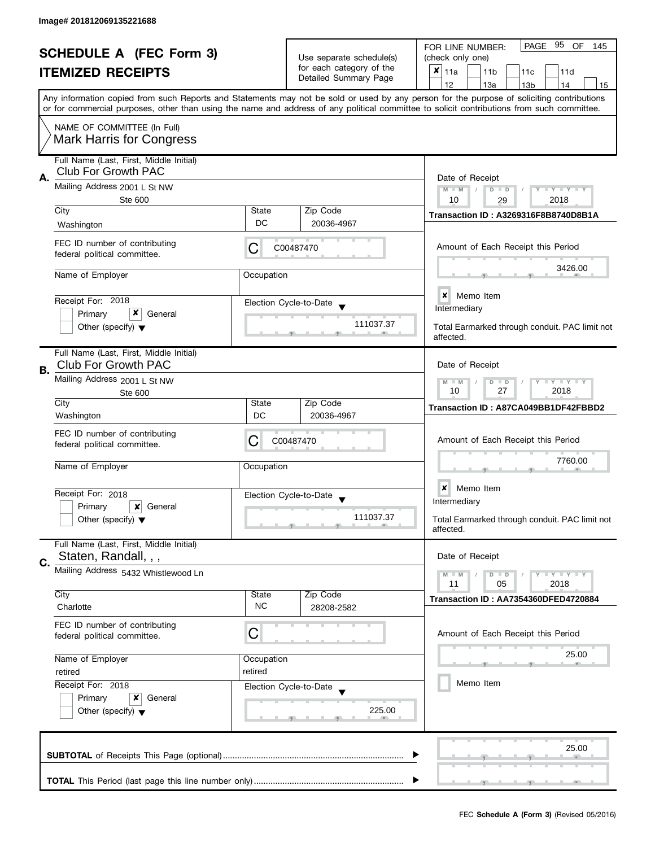| <b>SCHEDULE A (FEC Form 3)</b> |                                                                |                                                               | 95 OF<br>PAGE<br>FOR LINE NUMBER:<br>145          |                                                                                                                                                                                                                                                                                         |  |  |
|--------------------------------|----------------------------------------------------------------|---------------------------------------------------------------|---------------------------------------------------|-----------------------------------------------------------------------------------------------------------------------------------------------------------------------------------------------------------------------------------------------------------------------------------------|--|--|
|                                |                                                                |                                                               | Use separate schedule(s)                          | (check only one)                                                                                                                                                                                                                                                                        |  |  |
|                                | <b>ITEMIZED RECEIPTS</b>                                       |                                                               | for each category of the<br>Detailed Summary Page | ×<br>11a<br>11 <sub>b</sub><br>11c<br>11d                                                                                                                                                                                                                                               |  |  |
|                                |                                                                |                                                               |                                                   | 12<br>13a<br>13 <sub>b</sub><br>14<br>15                                                                                                                                                                                                                                                |  |  |
|                                |                                                                |                                                               |                                                   | Any information copied from such Reports and Statements may not be sold or used by any person for the purpose of soliciting contributions<br>or for commercial purposes, other than using the name and address of any political committee to solicit contributions from such committee. |  |  |
|                                | NAME OF COMMITTEE (In Full)<br><b>Mark Harris for Congress</b> |                                                               |                                                   |                                                                                                                                                                                                                                                                                         |  |  |
|                                |                                                                |                                                               |                                                   |                                                                                                                                                                                                                                                                                         |  |  |
|                                | Full Name (Last, First, Middle Initial)<br>Club For Growth PAC |                                                               |                                                   |                                                                                                                                                                                                                                                                                         |  |  |
| А.                             | Mailing Address 2001 L St NW                                   |                                                               |                                                   | Date of Receipt                                                                                                                                                                                                                                                                         |  |  |
|                                | <b>Ste 600</b>                                                 | Y TY TY TY<br>$M - M$<br>$D$ $D$<br>10                        |                                                   |                                                                                                                                                                                                                                                                                         |  |  |
|                                | City                                                           | State                                                         | Zip Code                                          | 2018<br>29                                                                                                                                                                                                                                                                              |  |  |
|                                | Washington                                                     | DC                                                            | 20036-4967                                        | <b>Transaction ID: A3269316F8B8740D8B1A</b>                                                                                                                                                                                                                                             |  |  |
|                                |                                                                |                                                               |                                                   |                                                                                                                                                                                                                                                                                         |  |  |
|                                | FEC ID number of contributing<br>federal political committee.  | С                                                             | C00487470                                         | Amount of Each Receipt this Period                                                                                                                                                                                                                                                      |  |  |
|                                | Name of Employer                                               | Occupation                                                    |                                                   | 3426.00                                                                                                                                                                                                                                                                                 |  |  |
|                                |                                                                |                                                               |                                                   | $\boldsymbol{x}$<br>Memo Item                                                                                                                                                                                                                                                           |  |  |
|                                | Receipt For: 2018<br>x<br>Primary                              |                                                               | Election Cycle-to-Date                            | Intermediary                                                                                                                                                                                                                                                                            |  |  |
|                                | General<br>Other (specify) $\blacktriangledown$                |                                                               | 111037.37                                         | Total Earmarked through conduit. PAC limit not                                                                                                                                                                                                                                          |  |  |
|                                |                                                                |                                                               |                                                   | affected.                                                                                                                                                                                                                                                                               |  |  |
|                                | Full Name (Last, First, Middle Initial)                        |                                                               |                                                   |                                                                                                                                                                                                                                                                                         |  |  |
| В.                             | <b>Club For Growth PAC</b>                                     | Date of Receipt                                               |                                                   |                                                                                                                                                                                                                                                                                         |  |  |
|                                | Mailing Address 2001 L St NW<br>Ste 600                        | $T - Y = T - Y$<br>$M - M$<br>D<br>$\Box$<br>10<br>27<br>2018 |                                                   |                                                                                                                                                                                                                                                                                         |  |  |
|                                | City                                                           | State                                                         | Zip Code                                          | Transaction ID: A87CA049BB1DF42FBBD2                                                                                                                                                                                                                                                    |  |  |
|                                | Washington                                                     | DC                                                            | 20036-4967                                        |                                                                                                                                                                                                                                                                                         |  |  |
|                                | FEC ID number of contributing<br>federal political committee.  | С                                                             | C00487470                                         | Amount of Each Receipt this Period                                                                                                                                                                                                                                                      |  |  |
|                                |                                                                |                                                               |                                                   | 7760.00                                                                                                                                                                                                                                                                                 |  |  |
|                                | Name of Employer                                               | Occupation                                                    |                                                   |                                                                                                                                                                                                                                                                                         |  |  |
|                                | Receipt For: 2018                                              |                                                               | Election Cycle-to-Date<br>$\overline{\mathbf{v}}$ | ×<br>Memo Item                                                                                                                                                                                                                                                                          |  |  |
|                                | Primary<br>×<br>General                                        |                                                               |                                                   | Intermediary                                                                                                                                                                                                                                                                            |  |  |
|                                | Other (specify) $\blacktriangledown$                           |                                                               | 111037.37                                         | Total Earmarked through conduit. PAC limit not<br>affected.                                                                                                                                                                                                                             |  |  |
|                                | Full Name (Last, First, Middle Initial)                        |                                                               |                                                   |                                                                                                                                                                                                                                                                                         |  |  |
| C.                             | Staten, Randall, , ,                                           |                                                               |                                                   | Date of Receipt                                                                                                                                                                                                                                                                         |  |  |
|                                | Mailing Address 5432 Whistlewood Ln                            |                                                               |                                                   | $T - Y = T - Y$<br>$M - M$<br>$D$ $D$<br>11<br>05<br>2018                                                                                                                                                                                                                               |  |  |
|                                | City                                                           | State                                                         | Zip Code                                          | Transaction ID: AA7354360DFED4720884                                                                                                                                                                                                                                                    |  |  |
|                                | Charlotte                                                      | <b>NC</b>                                                     | 28208-2582                                        |                                                                                                                                                                                                                                                                                         |  |  |
|                                | FEC ID number of contributing                                  |                                                               |                                                   |                                                                                                                                                                                                                                                                                         |  |  |
|                                | federal political committee.                                   | C                                                             |                                                   | Amount of Each Receipt this Period                                                                                                                                                                                                                                                      |  |  |
|                                | Name of Employer                                               | Occupation                                                    |                                                   | 25.00                                                                                                                                                                                                                                                                                   |  |  |
|                                | retired                                                        | retired                                                       |                                                   |                                                                                                                                                                                                                                                                                         |  |  |
|                                | Receipt For: 2018                                              |                                                               | Election Cycle-to-Date                            | Memo Item                                                                                                                                                                                                                                                                               |  |  |
|                                | Primary<br>x<br>General                                        |                                                               |                                                   |                                                                                                                                                                                                                                                                                         |  |  |
|                                | Other (specify) $\blacktriangledown$                           |                                                               | 225.00                                            |                                                                                                                                                                                                                                                                                         |  |  |
|                                |                                                                |                                                               |                                                   |                                                                                                                                                                                                                                                                                         |  |  |
|                                |                                                                |                                                               |                                                   | 25.00                                                                                                                                                                                                                                                                                   |  |  |
|                                |                                                                |                                                               |                                                   |                                                                                                                                                                                                                                                                                         |  |  |
|                                |                                                                |                                                               |                                                   |                                                                                                                                                                                                                                                                                         |  |  |
|                                |                                                                |                                                               |                                                   |                                                                                                                                                                                                                                                                                         |  |  |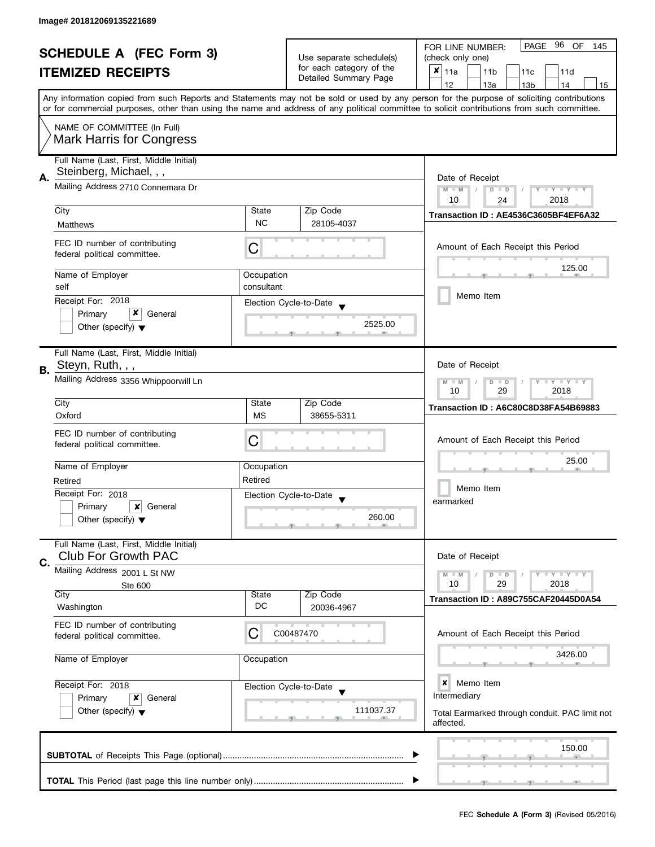| <b>SCHEDULE A (FEC Form 3)</b> |                                                                       |                                                                   | PAGE 96 OF<br>FOR LINE NUMBER:<br>145              |                                                                                                                                                                                                                                                                                         |
|--------------------------------|-----------------------------------------------------------------------|-------------------------------------------------------------------|----------------------------------------------------|-----------------------------------------------------------------------------------------------------------------------------------------------------------------------------------------------------------------------------------------------------------------------------------------|
|                                |                                                                       | Use separate schedule(s)                                          | (check only one)                                   |                                                                                                                                                                                                                                                                                         |
|                                | <b>ITEMIZED RECEIPTS</b>                                              |                                                                   | for each category of the<br>Detailed Summary Page  | ×<br>11a<br>11 <sub>b</sub><br>11c<br>11d                                                                                                                                                                                                                                               |
|                                |                                                                       |                                                                   |                                                    | 12<br>13a<br>13 <sub>b</sub><br>14<br>15                                                                                                                                                                                                                                                |
|                                |                                                                       |                                                                   |                                                    | Any information copied from such Reports and Statements may not be sold or used by any person for the purpose of soliciting contributions<br>or for commercial purposes, other than using the name and address of any political committee to solicit contributions from such committee. |
|                                | NAME OF COMMITTEE (In Full)<br><b>Mark Harris for Congress</b>        |                                                                   |                                                    |                                                                                                                                                                                                                                                                                         |
|                                |                                                                       |                                                                   |                                                    |                                                                                                                                                                                                                                                                                         |
| А.                             | Full Name (Last, First, Middle Initial)<br>Steinberg, Michael, , ,    |                                                                   |                                                    | Date of Receipt                                                                                                                                                                                                                                                                         |
|                                | Mailing Address 2710 Connemara Dr                                     | $M - M$<br>$Y - Y - Y - Y - Y$<br>$D$ $D$<br>2018<br>10<br>24     |                                                    |                                                                                                                                                                                                                                                                                         |
|                                | City                                                                  | State                                                             | Zip Code                                           | Transaction ID: AE4536C3605BF4EF6A32                                                                                                                                                                                                                                                    |
|                                | <b>Matthews</b>                                                       | <b>NC</b>                                                         | 28105-4037                                         |                                                                                                                                                                                                                                                                                         |
|                                | FEC ID number of contributing<br>federal political committee.         | С                                                                 |                                                    | Amount of Each Receipt this Period                                                                                                                                                                                                                                                      |
|                                | Name of Employer                                                      | Occupation                                                        |                                                    | 125.00                                                                                                                                                                                                                                                                                  |
|                                | self                                                                  | consultant                                                        |                                                    |                                                                                                                                                                                                                                                                                         |
|                                | Receipt For: 2018                                                     |                                                                   | Election Cycle-to-Date                             | Memo Item                                                                                                                                                                                                                                                                               |
|                                | x<br>Primary<br>General                                               |                                                                   |                                                    |                                                                                                                                                                                                                                                                                         |
|                                | Other (specify) $\blacktriangledown$                                  |                                                                   | 2525.00                                            |                                                                                                                                                                                                                                                                                         |
|                                | Full Name (Last, First, Middle Initial)                               |                                                                   |                                                    |                                                                                                                                                                                                                                                                                         |
| <b>B.</b>                      | Steyn, Ruth, , ,                                                      |                                                                   |                                                    | Date of Receipt                                                                                                                                                                                                                                                                         |
|                                | Mailing Address 3356 Whippoorwill Ln                                  | $Y = Y + Y$<br>$M - M$<br>D<br>$\blacksquare$<br>2018<br>10<br>29 |                                                    |                                                                                                                                                                                                                                                                                         |
|                                | City                                                                  | State                                                             | Zip Code                                           | Transaction ID: A6C80C8D38FA54B69883                                                                                                                                                                                                                                                    |
|                                | Oxford                                                                | <b>MS</b>                                                         | 38655-5311                                         |                                                                                                                                                                                                                                                                                         |
|                                | FEC ID number of contributing                                         |                                                                   |                                                    |                                                                                                                                                                                                                                                                                         |
|                                | federal political committee.                                          | С                                                                 |                                                    | Amount of Each Receipt this Period                                                                                                                                                                                                                                                      |
|                                |                                                                       |                                                                   |                                                    | 25.00                                                                                                                                                                                                                                                                                   |
|                                | Name of Employer                                                      | Occupation                                                        |                                                    |                                                                                                                                                                                                                                                                                         |
|                                | Retired                                                               | Retired                                                           |                                                    |                                                                                                                                                                                                                                                                                         |
|                                | Receipt For: 2018                                                     |                                                                   | Election Cycle-to-Date<br>$\overline{\phantom{a}}$ | Memo Item                                                                                                                                                                                                                                                                               |
|                                | Primary<br>×<br>General                                               |                                                                   |                                                    | earmarked                                                                                                                                                                                                                                                                               |
|                                | Other (specify) $\blacktriangledown$                                  |                                                                   | 260.00                                             |                                                                                                                                                                                                                                                                                         |
| C.                             | Full Name (Last, First, Middle Initial)<br><b>Club For Growth PAC</b> |                                                                   |                                                    | Date of Receipt                                                                                                                                                                                                                                                                         |
|                                | Mailing Address 2001 L St NW                                          |                                                                   |                                                    | $Y = Y + Y$<br>$M - M$<br>$D$ $D$                                                                                                                                                                                                                                                       |
|                                | Ste 600                                                               |                                                                   |                                                    | 10<br>29<br>2018                                                                                                                                                                                                                                                                        |
|                                | City                                                                  | State                                                             | Zip Code                                           | Transaction ID: A89C755CAF20445D0A54                                                                                                                                                                                                                                                    |
|                                | Washington                                                            | DC                                                                | 20036-4967                                         |                                                                                                                                                                                                                                                                                         |
|                                | FEC ID number of contributing<br>federal political committee.         | C                                                                 | C00487470                                          | Amount of Each Receipt this Period                                                                                                                                                                                                                                                      |
|                                | Name of Employer                                                      | Occupation                                                        |                                                    | 3426.00                                                                                                                                                                                                                                                                                 |
|                                | Receipt For: 2018                                                     |                                                                   | Election Cycle-to-Date                             | ×<br>Memo Item<br>Intermediary                                                                                                                                                                                                                                                          |
|                                | Other (specify) $\blacktriangledown$                                  | Primary<br>x<br>General                                           |                                                    | Total Earmarked through conduit. PAC limit not<br>affected.                                                                                                                                                                                                                             |
|                                |                                                                       |                                                                   |                                                    | 150.00                                                                                                                                                                                                                                                                                  |
|                                |                                                                       |                                                                   |                                                    |                                                                                                                                                                                                                                                                                         |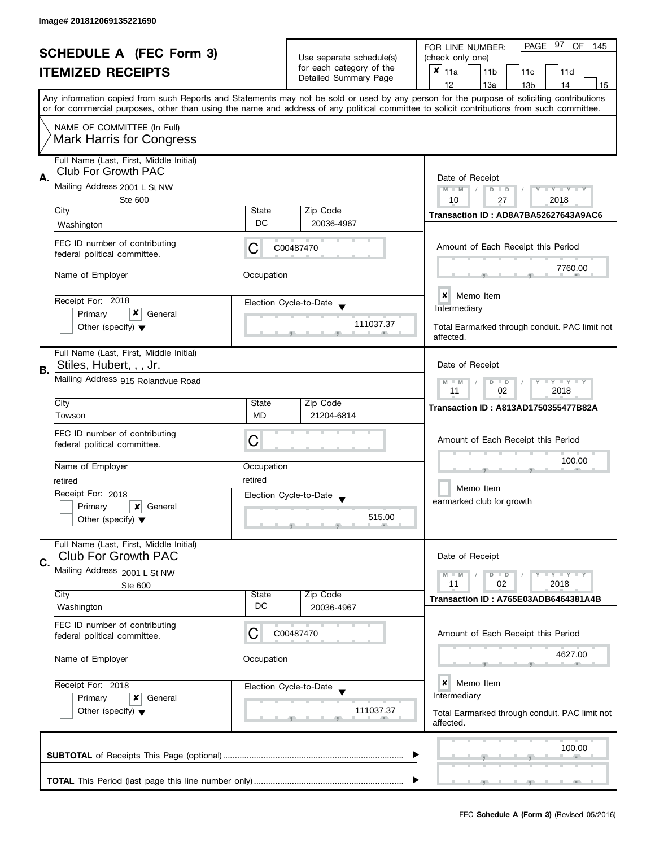| <b>SCHEDULE A (FEC Form 3)</b><br><b>ITEMIZED RECEIPTS</b> |                                                                                |                                                                                        | Use separate schedule(s)<br>for each category of the | PAGE 97 OF<br>FOR LINE NUMBER:<br>145<br>(check only one)<br>X<br>11a<br>11 <sub>b</sub><br>11c<br>11d                                                                                                                                                                                  |
|------------------------------------------------------------|--------------------------------------------------------------------------------|----------------------------------------------------------------------------------------|------------------------------------------------------|-----------------------------------------------------------------------------------------------------------------------------------------------------------------------------------------------------------------------------------------------------------------------------------------|
|                                                            |                                                                                |                                                                                        | Detailed Summary Page                                | 12<br>13a<br>13 <sub>b</sub><br>14<br>15                                                                                                                                                                                                                                                |
|                                                            |                                                                                |                                                                                        |                                                      | Any information copied from such Reports and Statements may not be sold or used by any person for the purpose of soliciting contributions<br>or for commercial purposes, other than using the name and address of any political committee to solicit contributions from such committee. |
|                                                            | NAME OF COMMITTEE (In Full)<br><b>Mark Harris for Congress</b>                 |                                                                                        |                                                      |                                                                                                                                                                                                                                                                                         |
| А.                                                         | Full Name (Last, First, Middle Initial)<br><b>Club For Growth PAC</b>          |                                                                                        |                                                      | Date of Receipt                                                                                                                                                                                                                                                                         |
|                                                            | Mailing Address 2001 L St NW<br><b>Ste 600</b>                                 | $M - M$<br>$T - Y = T - Y$<br>$D$ $D$<br>10<br>2018<br>27                              |                                                      |                                                                                                                                                                                                                                                                                         |
|                                                            | City                                                                           | State<br>DC                                                                            | Zip Code                                             | Transaction ID: AD8A7BA52627643A9AC6                                                                                                                                                                                                                                                    |
|                                                            | Washington                                                                     |                                                                                        | 20036-4967                                           |                                                                                                                                                                                                                                                                                         |
|                                                            | FEC ID number of contributing<br>federal political committee.                  | C                                                                                      | C00487470                                            | Amount of Each Receipt this Period                                                                                                                                                                                                                                                      |
|                                                            | Name of Employer                                                               | Occupation                                                                             |                                                      | 7760.00                                                                                                                                                                                                                                                                                 |
|                                                            | Receipt For: 2018                                                              |                                                                                        | Election Cycle-to-Date                               | <b>x</b> Memo Item<br>Intermediary                                                                                                                                                                                                                                                      |
|                                                            | x<br>Primary<br>General<br>Other (specify) $\blacktriangledown$                |                                                                                        | 111037.37                                            | Total Earmarked through conduit. PAC limit not<br>affected.                                                                                                                                                                                                                             |
| В.                                                         | Full Name (Last, First, Middle Initial)<br>Stiles, Hubert, , , Jr.             |                                                                                        |                                                      | Date of Receipt                                                                                                                                                                                                                                                                         |
|                                                            | Mailing Address 915 Rolandvue Road                                             | $\bot$ $\gamma$ $\bot$ $\gamma$ $\bot$ $\gamma$<br>$D$ $D$<br>$-M$<br>02<br>2018<br>11 |                                                      |                                                                                                                                                                                                                                                                                         |
|                                                            | City                                                                           | State<br><b>MD</b>                                                                     | Zip Code                                             | <b>Transaction ID: A813AD1750355477B82A</b>                                                                                                                                                                                                                                             |
|                                                            | Towson                                                                         |                                                                                        | 21204-6814                                           |                                                                                                                                                                                                                                                                                         |
|                                                            | FEC ID number of contributing<br>federal political committee.                  | С                                                                                      |                                                      | Amount of Each Receipt this Period                                                                                                                                                                                                                                                      |
|                                                            | Name of Employer                                                               | Occupation                                                                             |                                                      | 100.00                                                                                                                                                                                                                                                                                  |
|                                                            | retired                                                                        | retired                                                                                |                                                      | Memo Item                                                                                                                                                                                                                                                                               |
|                                                            | Receipt For: 2018<br>Primary<br>x<br>General                                   |                                                                                        | Election Cycle-to-Date<br>$\overline{\mathbf{v}}$    | earmarked club for growth                                                                                                                                                                                                                                                               |
|                                                            | Other (specify) $\blacktriangledown$                                           |                                                                                        | 515.00                                               |                                                                                                                                                                                                                                                                                         |
| C.                                                         | Full Name (Last, First, Middle Initial)<br><b>Club For Growth PAC</b>          |                                                                                        |                                                      | Date of Receipt                                                                                                                                                                                                                                                                         |
|                                                            | Mailing Address 2001 L St NW<br>Ste 600                                        |                                                                                        |                                                      | $- Y - Y - Y$<br>$M - M$<br>$D$ $D$<br>11<br>02<br>2018                                                                                                                                                                                                                                 |
|                                                            | City<br>Washington                                                             | State<br>DC                                                                            | Zip Code<br>20036-4967                               | Transaction ID: A765E03ADB6464381A4B                                                                                                                                                                                                                                                    |
|                                                            | FEC ID number of contributing<br>federal political committee.                  | С                                                                                      | C00487470                                            | Amount of Each Receipt this Period                                                                                                                                                                                                                                                      |
|                                                            | Name of Employer<br>Occupation<br>Receipt For: 2018<br>Primary<br>x<br>General |                                                                                        |                                                      | 4627.00                                                                                                                                                                                                                                                                                 |
|                                                            |                                                                                |                                                                                        | Election Cycle-to-Date                               | ×<br>Memo Item<br>Intermediary                                                                                                                                                                                                                                                          |
|                                                            | Other (specify) $\blacktriangledown$                                           |                                                                                        | 111037.37                                            | Total Earmarked through conduit. PAC limit not<br>affected.                                                                                                                                                                                                                             |
|                                                            |                                                                                |                                                                                        |                                                      | 100.00                                                                                                                                                                                                                                                                                  |
|                                                            |                                                                                |                                                                                        |                                                      |                                                                                                                                                                                                                                                                                         |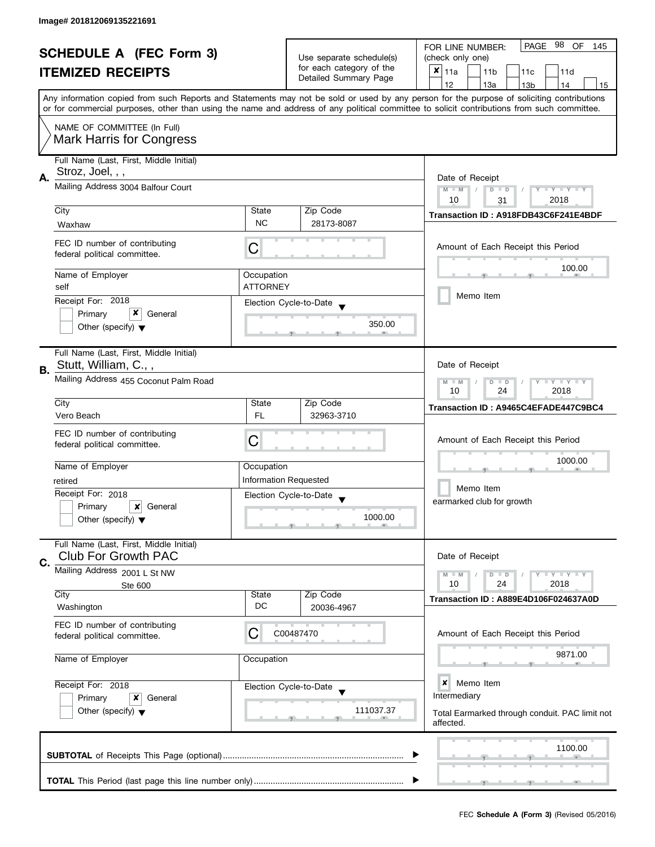|    | <b>SCHEDULE A (FEC Form 3)</b><br><b>ITEMIZED RECEIPTS</b>                                                                                                                                                                                                                                                                                                |                               | Use separate schedule(s)<br>for each category of the<br>Detailed Summary Page     |         | PAGE 98<br>OF<br>FOR LINE NUMBER:<br>145<br>(check only one)<br>X<br>11a<br>11 <sub>b</sub><br>11c<br>11d<br>12<br>13a<br>14<br>13 <sub>b</sub><br>15 |
|----|-----------------------------------------------------------------------------------------------------------------------------------------------------------------------------------------------------------------------------------------------------------------------------------------------------------------------------------------------------------|-------------------------------|-----------------------------------------------------------------------------------|---------|-------------------------------------------------------------------------------------------------------------------------------------------------------|
|    | Any information copied from such Reports and Statements may not be sold or used by any person for the purpose of soliciting contributions<br>or for commercial purposes, other than using the name and address of any political committee to solicit contributions from such committee.<br>NAME OF COMMITTEE (In Full)<br><b>Mark Harris for Congress</b> |                               |                                                                                   |         |                                                                                                                                                       |
| А. | Full Name (Last, First, Middle Initial)<br>Stroz, Joel, , ,<br>Mailing Address 3004 Balfour Court                                                                                                                                                                                                                                                         |                               |                                                                                   |         | Date of Receipt<br>Y TY TY TY<br>$M - M$<br>$D$ $D$<br>10<br>2018<br>31                                                                               |
|    | City                                                                                                                                                                                                                                                                                                                                                      | State                         | Zip Code                                                                          |         | Transaction ID: A918FDB43C6F241E4BDF                                                                                                                  |
|    | Waxhaw<br>FEC ID number of contributing<br>federal political committee.                                                                                                                                                                                                                                                                                   | <b>NC</b><br>С                | 28173-8087                                                                        |         | Amount of Each Receipt this Period                                                                                                                    |
|    | Name of Employer<br>self<br>Receipt For: 2018<br>Primary<br>General                                                                                                                                                                                                                                                                                       | Occupation<br><b>ATTORNEY</b> | Election Cycle-to-Date                                                            | 350.00  | 100.00<br>Memo Item                                                                                                                                   |
| В. | Other (specify) $\blacktriangledown$<br>Full Name (Last, First, Middle Initial)<br>Stutt, William, C.,,<br>Mailing Address 455 Coconut Palm Road                                                                                                                                                                                                          |                               |                                                                                   |         | Date of Receipt<br>Y I Y I Y I Y<br>$M - M$<br>$D$ $D$<br>10<br>24<br>2018                                                                            |
|    | City                                                                                                                                                                                                                                                                                                                                                      | State                         | Zip Code                                                                          |         | Transaction ID: A9465C4EFADE447C9BC4                                                                                                                  |
|    | Vero Beach<br>FEC ID number of contributing<br>federal political committee.                                                                                                                                                                                                                                                                               | FL<br>C                       | 32963-3710                                                                        |         | Amount of Each Receipt this Period                                                                                                                    |
|    | Name of Employer<br>retired<br>Receipt For: 2018<br>Primary<br>×<br>General<br>Other (specify) $\blacktriangledown$                                                                                                                                                                                                                                       | Occupation                    | <b>Information Requested</b><br>Election Cycle-to-Date<br>$\overline{\mathbf{v}}$ | 1000.00 | 1000.00<br>Memo Item<br>earmarked club for growth                                                                                                     |
| C. | Full Name (Last, First, Middle Initial)<br><b>Club For Growth PAC</b><br>Mailing Address 2001 L St NW                                                                                                                                                                                                                                                     |                               |                                                                                   |         | Date of Receipt<br>$T + Y = Y + Y$<br>$\overline{D}$<br>$M - M$<br>$\Box$<br>10<br>24<br>2018                                                         |
|    | Ste 600<br>City<br>Washington                                                                                                                                                                                                                                                                                                                             | State<br>DC                   | Zip Code<br>20036-4967                                                            |         | Transaction ID: A889E4D106F024637A0D                                                                                                                  |
|    | FEC ID number of contributing<br>federal political committee.                                                                                                                                                                                                                                                                                             | C                             | C00487470                                                                         |         | Amount of Each Receipt this Period                                                                                                                    |
|    | Name of Employer                                                                                                                                                                                                                                                                                                                                          | Occupation                    |                                                                                   |         | 9871.00                                                                                                                                               |
|    | Receipt For: 2018<br>Primary<br>x<br>General<br>Other (specify) $\blacktriangledown$                                                                                                                                                                                                                                                                      |                               | Election Cycle-to-Date<br>111037.37                                               |         | ×<br>Memo Item<br>Intermediary<br>Total Earmarked through conduit. PAC limit not<br>affected.                                                         |
|    |                                                                                                                                                                                                                                                                                                                                                           |                               |                                                                                   |         | 1100.00                                                                                                                                               |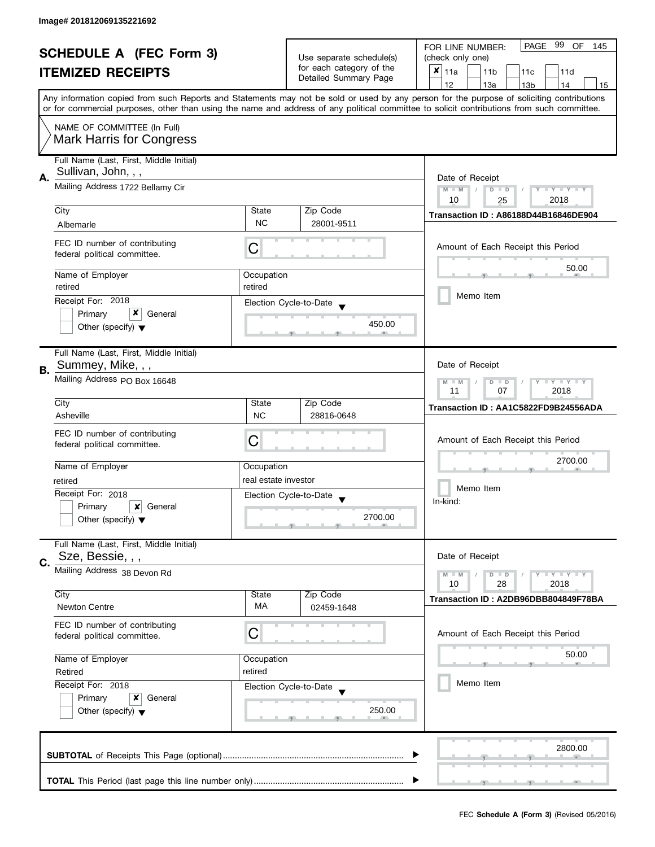|    |                                                                                                                                            |                                                           |                          | PAGE<br>99<br>OF                                                                                                                          |  |  |
|----|--------------------------------------------------------------------------------------------------------------------------------------------|-----------------------------------------------------------|--------------------------|-------------------------------------------------------------------------------------------------------------------------------------------|--|--|
|    | <b>SCHEDULE A (FEC Form 3)</b>                                                                                                             |                                                           | Use separate schedule(s) | FOR LINE NUMBER:<br>145<br>(check only one)                                                                                               |  |  |
|    | <b>ITEMIZED RECEIPTS</b>                                                                                                                   |                                                           | for each category of the | $x _{11a}$<br>11 <sub>b</sub><br>11c<br>11d                                                                                               |  |  |
|    |                                                                                                                                            |                                                           | Detailed Summary Page    | 12<br>13a<br>14<br>13 <sub>b</sub><br>15                                                                                                  |  |  |
|    | or for commercial purposes, other than using the name and address of any political committee to solicit contributions from such committee. |                                                           |                          | Any information copied from such Reports and Statements may not be sold or used by any person for the purpose of soliciting contributions |  |  |
|    | NAME OF COMMITTEE (In Full)                                                                                                                |                                                           |                          |                                                                                                                                           |  |  |
|    | <b>Mark Harris for Congress</b>                                                                                                            |                                                           |                          |                                                                                                                                           |  |  |
|    | Full Name (Last, First, Middle Initial)                                                                                                    |                                                           |                          |                                                                                                                                           |  |  |
| Α. | Sullivan, John, , ,<br>Mailing Address 1722 Bellamy Cir                                                                                    |                                                           |                          | Date of Receipt<br>$M - M$<br>Y TY TY TY                                                                                                  |  |  |
|    |                                                                                                                                            |                                                           |                          | $D$ $D$<br>10<br>2018<br>25                                                                                                               |  |  |
|    | City                                                                                                                                       | State                                                     | Zip Code                 | <b>Transaction ID: A86188D44B16846DE904</b>                                                                                               |  |  |
|    | Albemarle                                                                                                                                  | <b>NC</b>                                                 | 28001-9511               |                                                                                                                                           |  |  |
|    | FEC ID number of contributing<br>federal political committee.                                                                              | С                                                         |                          | Amount of Each Receipt this Period                                                                                                        |  |  |
|    | Name of Employer                                                                                                                           | Occupation                                                |                          | 50.00                                                                                                                                     |  |  |
|    | retired                                                                                                                                    | retired                                                   |                          | Memo Item                                                                                                                                 |  |  |
|    | Receipt For: 2018                                                                                                                          |                                                           | Election Cycle-to-Date   |                                                                                                                                           |  |  |
|    | x<br>Primary<br>General                                                                                                                    |                                                           | 450.00                   |                                                                                                                                           |  |  |
|    | Other (specify) $\blacktriangledown$                                                                                                       |                                                           |                          |                                                                                                                                           |  |  |
|    | Full Name (Last, First, Middle Initial)                                                                                                    |                                                           |                          |                                                                                                                                           |  |  |
| В. | Summey, Mike, , ,                                                                                                                          |                                                           |                          | Date of Receipt                                                                                                                           |  |  |
|    | Mailing Address PO Box 16648                                                                                                               | <b>LY LY LY</b><br>$M - M$<br>$D$ $D$<br>11<br>2018<br>07 |                          |                                                                                                                                           |  |  |
|    | City<br>Asheville                                                                                                                          | State<br><b>NC</b>                                        | Zip Code<br>28816-0648   | Transaction ID: AA1C5822FD9B24556ADA                                                                                                      |  |  |
|    |                                                                                                                                            |                                                           |                          |                                                                                                                                           |  |  |
|    | FEC ID number of contributing<br>federal political committee.                                                                              | C                                                         |                          | Amount of Each Receipt this Period                                                                                                        |  |  |
|    |                                                                                                                                            |                                                           |                          | 2700.00                                                                                                                                   |  |  |
|    | Name of Employer                                                                                                                           | Occupation                                                |                          |                                                                                                                                           |  |  |
|    | retired                                                                                                                                    | real estate investor                                      |                          | Memo Item                                                                                                                                 |  |  |
|    | Receipt For: 2018<br>Primary<br>General<br>x                                                                                               |                                                           | Election Cycle-to-Date   | In-kind:                                                                                                                                  |  |  |
|    | Other (specify) $\blacktriangledown$                                                                                                       |                                                           | 2700.00                  |                                                                                                                                           |  |  |
|    |                                                                                                                                            |                                                           |                          |                                                                                                                                           |  |  |
|    | Full Name (Last, First, Middle Initial)                                                                                                    |                                                           |                          |                                                                                                                                           |  |  |
| C. | Sze, Bessie, , ,                                                                                                                           |                                                           |                          | Date of Receipt                                                                                                                           |  |  |
|    | Mailing Address 38 Devon Rd                                                                                                                |                                                           |                          | $\bot$ Y $\bot$ Y $\bot$ Y<br>$M - M$<br>$D$ $D$<br>10<br>28<br>2018                                                                      |  |  |
|    | City                                                                                                                                       | State                                                     | Zip Code                 | Transaction ID: A2DB96DBB804849F78BA                                                                                                      |  |  |
|    | <b>Newton Centre</b>                                                                                                                       | МA                                                        | 02459-1648               |                                                                                                                                           |  |  |
|    | FEC ID number of contributing<br>federal political committee.                                                                              | С                                                         |                          | Amount of Each Receipt this Period                                                                                                        |  |  |
|    |                                                                                                                                            |                                                           |                          |                                                                                                                                           |  |  |
|    | Name of Employer<br>Occupation<br>retired<br>Retired<br>Receipt For: 2018<br>Election Cycle-to-Date<br>Primary<br>x<br>General             |                                                           |                          | 50.00                                                                                                                                     |  |  |
|    |                                                                                                                                            |                                                           |                          | Memo Item                                                                                                                                 |  |  |
|    |                                                                                                                                            |                                                           |                          |                                                                                                                                           |  |  |
|    | Other (specify) $\blacktriangledown$                                                                                                       |                                                           | 250.00                   |                                                                                                                                           |  |  |
|    |                                                                                                                                            |                                                           |                          |                                                                                                                                           |  |  |
|    |                                                                                                                                            |                                                           |                          |                                                                                                                                           |  |  |
|    |                                                                                                                                            |                                                           |                          | 2800.00                                                                                                                                   |  |  |
|    |                                                                                                                                            |                                                           |                          |                                                                                                                                           |  |  |
|    |                                                                                                                                            |                                                           |                          |                                                                                                                                           |  |  |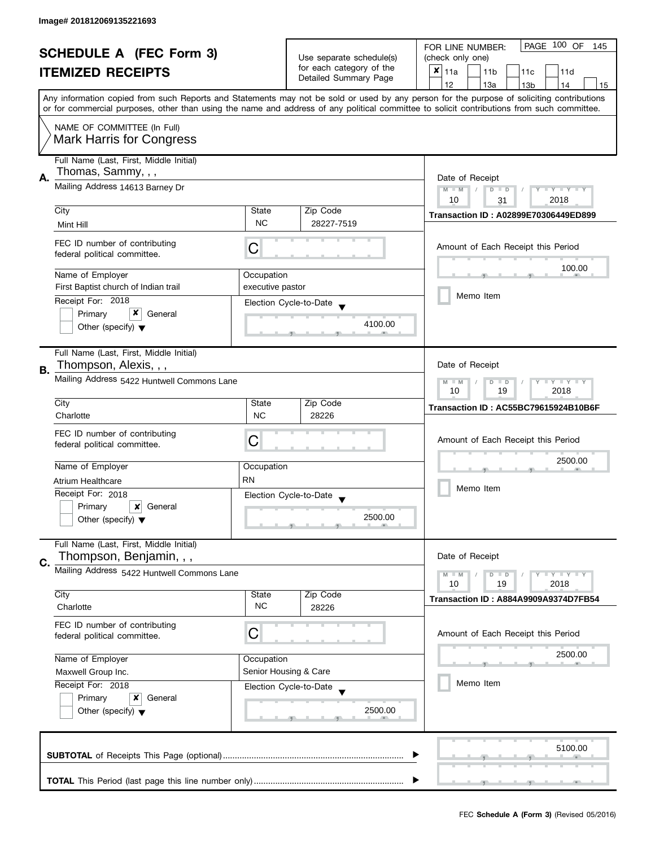| <b>SCHEDULE A (FEC Form 3)</b> |                                                                                                    |                                                           | PAGE 100 OF<br>FOR LINE NUMBER:<br>145            |                                                                                                                                                                                                                                                                                         |  |  |
|--------------------------------|----------------------------------------------------------------------------------------------------|-----------------------------------------------------------|---------------------------------------------------|-----------------------------------------------------------------------------------------------------------------------------------------------------------------------------------------------------------------------------------------------------------------------------------------|--|--|
|                                |                                                                                                    |                                                           | Use separate schedule(s)                          | (check only one)                                                                                                                                                                                                                                                                        |  |  |
|                                | <b>ITEMIZED RECEIPTS</b>                                                                           |                                                           | for each category of the<br>Detailed Summary Page | $x _{11a}$<br>11 <sub>b</sub><br>11c<br>11d                                                                                                                                                                                                                                             |  |  |
|                                |                                                                                                    |                                                           |                                                   | 12<br>13a<br>13 <sub>b</sub><br>14<br>15                                                                                                                                                                                                                                                |  |  |
|                                |                                                                                                    |                                                           |                                                   | Any information copied from such Reports and Statements may not be sold or used by any person for the purpose of soliciting contributions<br>or for commercial purposes, other than using the name and address of any political committee to solicit contributions from such committee. |  |  |
|                                |                                                                                                    |                                                           |                                                   |                                                                                                                                                                                                                                                                                         |  |  |
|                                | NAME OF COMMITTEE (In Full)<br><b>Mark Harris for Congress</b>                                     |                                                           |                                                   |                                                                                                                                                                                                                                                                                         |  |  |
|                                | Full Name (Last, First, Middle Initial)                                                            |                                                           |                                                   |                                                                                                                                                                                                                                                                                         |  |  |
| А.                             | Thomas, Sammy, , ,                                                                                 | Date of Receipt                                           |                                                   |                                                                                                                                                                                                                                                                                         |  |  |
|                                | Mailing Address 14613 Barney Dr                                                                    |                                                           |                                                   | $M - M$<br>Y TY TY TY<br>$D$ $D$<br>2018<br>10<br>31                                                                                                                                                                                                                                    |  |  |
|                                | City                                                                                               | State                                                     | Zip Code                                          |                                                                                                                                                                                                                                                                                         |  |  |
|                                | Mint Hill                                                                                          | <b>NC</b>                                                 | 28227-7519                                        | Transaction ID: A02899E70306449ED899                                                                                                                                                                                                                                                    |  |  |
|                                | FEC ID number of contributing<br>federal political committee.                                      | С                                                         |                                                   | Amount of Each Receipt this Period                                                                                                                                                                                                                                                      |  |  |
|                                |                                                                                                    |                                                           |                                                   | 100.00                                                                                                                                                                                                                                                                                  |  |  |
|                                | Name of Employer<br>First Baptist church of Indian trail                                           | Occupation<br>executive pastor                            |                                                   |                                                                                                                                                                                                                                                                                         |  |  |
|                                | Receipt For: 2018                                                                                  |                                                           |                                                   | Memo Item                                                                                                                                                                                                                                                                               |  |  |
|                                | x<br>Primary<br>General                                                                            |                                                           | Election Cycle-to-Date                            |                                                                                                                                                                                                                                                                                         |  |  |
|                                | Other (specify) $\blacktriangledown$                                                               |                                                           | 4100.00                                           |                                                                                                                                                                                                                                                                                         |  |  |
|                                | Full Name (Last, First, Middle Initial)                                                            |                                                           |                                                   |                                                                                                                                                                                                                                                                                         |  |  |
| В.                             | Thompson, Alexis, , ,                                                                              |                                                           |                                                   | Date of Receipt                                                                                                                                                                                                                                                                         |  |  |
|                                | Mailing Address 5422 Huntwell Commons Lane                                                         | <b>LY LY LY</b><br>$M - M$<br>$D$ $D$<br>10<br>19<br>2018 |                                                   |                                                                                                                                                                                                                                                                                         |  |  |
|                                | City                                                                                               | State                                                     | Zip Code                                          | Transaction ID: AC55BC79615924B10B6F                                                                                                                                                                                                                                                    |  |  |
|                                | Charlotte                                                                                          | <b>NC</b>                                                 | 28226                                             |                                                                                                                                                                                                                                                                                         |  |  |
|                                | FEC ID number of contributing                                                                      |                                                           |                                                   | Amount of Each Receipt this Period                                                                                                                                                                                                                                                      |  |  |
|                                | federal political committee.                                                                       | C                                                         |                                                   |                                                                                                                                                                                                                                                                                         |  |  |
|                                | Name of Employer                                                                                   | Occupation                                                |                                                   | 2500.00                                                                                                                                                                                                                                                                                 |  |  |
|                                | Atrium Healthcare                                                                                  | <b>RN</b>                                                 |                                                   |                                                                                                                                                                                                                                                                                         |  |  |
|                                | Receipt For: 2018                                                                                  |                                                           | Election Cycle-to-Date                            | Memo Item                                                                                                                                                                                                                                                                               |  |  |
|                                | Primary<br>×<br>General                                                                            |                                                           |                                                   |                                                                                                                                                                                                                                                                                         |  |  |
|                                | Other (specify) $\blacktriangledown$                                                               |                                                           | 2500.00                                           |                                                                                                                                                                                                                                                                                         |  |  |
|                                | Full Name (Last, First, Middle Initial)                                                            |                                                           |                                                   |                                                                                                                                                                                                                                                                                         |  |  |
| C.                             | Thompson, Benjamin, , ,                                                                            |                                                           |                                                   | Date of Receipt                                                                                                                                                                                                                                                                         |  |  |
|                                | Mailing Address 5422 Huntwell Commons Lane                                                         |                                                           |                                                   | Y LY LY<br>$M - M$<br>$D$ $D$                                                                                                                                                                                                                                                           |  |  |
|                                | City                                                                                               | State                                                     | Zip Code                                          | 10<br>19<br>2018                                                                                                                                                                                                                                                                        |  |  |
|                                | Charlotte                                                                                          | <b>NC</b>                                                 | 28226                                             | Transaction ID: A884A9909A9374D7FB54                                                                                                                                                                                                                                                    |  |  |
|                                | FEC ID number of contributing                                                                      |                                                           |                                                   |                                                                                                                                                                                                                                                                                         |  |  |
|                                | federal political committee.                                                                       | C                                                         |                                                   | Amount of Each Receipt this Period                                                                                                                                                                                                                                                      |  |  |
|                                | Name of Employer<br>Occupation<br>Senior Housing & Care<br>Maxwell Group Inc.<br>Receipt For: 2018 |                                                           |                                                   | 2500.00                                                                                                                                                                                                                                                                                 |  |  |
|                                |                                                                                                    |                                                           |                                                   |                                                                                                                                                                                                                                                                                         |  |  |
|                                |                                                                                                    |                                                           | Election Cycle-to-Date                            | Memo Item                                                                                                                                                                                                                                                                               |  |  |
|                                | Primary<br>x<br>General                                                                            |                                                           |                                                   |                                                                                                                                                                                                                                                                                         |  |  |
|                                | Other (specify) $\blacktriangledown$                                                               |                                                           | 2500.00                                           |                                                                                                                                                                                                                                                                                         |  |  |
|                                |                                                                                                    |                                                           |                                                   | 5100.00                                                                                                                                                                                                                                                                                 |  |  |
|                                |                                                                                                    |                                                           |                                                   |                                                                                                                                                                                                                                                                                         |  |  |
|                                |                                                                                                    |                                                           |                                                   |                                                                                                                                                                                                                                                                                         |  |  |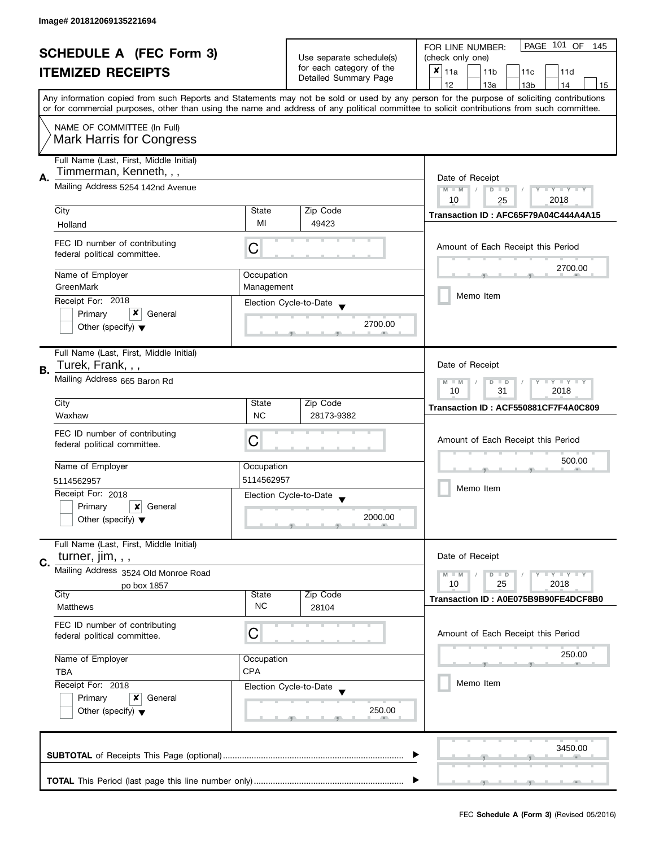| <b>SCHEDULE A (FEC Form 3)</b> |                                                                                                                                      |                                           | PAGE 101 OF<br>FOR LINE NUMBER:<br>145               |                                                                                                                                            |  |
|--------------------------------|--------------------------------------------------------------------------------------------------------------------------------------|-------------------------------------------|------------------------------------------------------|--------------------------------------------------------------------------------------------------------------------------------------------|--|
|                                |                                                                                                                                      |                                           | Use separate schedule(s)<br>for each category of the | (check only one)                                                                                                                           |  |
|                                | <b>ITEMIZED RECEIPTS</b>                                                                                                             |                                           |                                                      | $x _{11a}$<br>11 <sub>b</sub><br>11c<br>11d                                                                                                |  |
|                                |                                                                                                                                      |                                           | Detailed Summary Page                                | 12<br>13a<br>14<br>13 <sub>b</sub><br>15                                                                                                   |  |
|                                |                                                                                                                                      |                                           |                                                      | Any information copied from such Reports and Statements may not be sold or used by any person for the purpose of soliciting contributions  |  |
|                                |                                                                                                                                      |                                           |                                                      | or for commercial purposes, other than using the name and address of any political committee to solicit contributions from such committee. |  |
|                                | NAME OF COMMITTEE (In Full)                                                                                                          |                                           |                                                      |                                                                                                                                            |  |
|                                | <b>Mark Harris for Congress</b>                                                                                                      |                                           |                                                      |                                                                                                                                            |  |
|                                |                                                                                                                                      |                                           |                                                      |                                                                                                                                            |  |
|                                | Full Name (Last, First, Middle Initial)                                                                                              |                                           |                                                      |                                                                                                                                            |  |
| А.                             | Timmerman, Kenneth, , ,                                                                                                              | Date of Receipt                           |                                                      |                                                                                                                                            |  |
|                                | Mailing Address 5254 142nd Avenue                                                                                                    |                                           |                                                      | Y TY TY TY<br>$M - M$<br>$D$ $D$                                                                                                           |  |
|                                |                                                                                                                                      |                                           |                                                      | 2018<br>10<br>25                                                                                                                           |  |
|                                | City                                                                                                                                 | State                                     | Zip Code                                             | Transaction ID: AFC65F79A04C444A4A15                                                                                                       |  |
|                                | Holland                                                                                                                              | MI                                        | 49423                                                |                                                                                                                                            |  |
|                                |                                                                                                                                      |                                           |                                                      |                                                                                                                                            |  |
|                                | FEC ID number of contributing<br>federal political committee.                                                                        | С                                         |                                                      | Amount of Each Receipt this Period                                                                                                         |  |
|                                |                                                                                                                                      |                                           |                                                      | 2700.00                                                                                                                                    |  |
|                                | Name of Employer                                                                                                                     | Occupation                                |                                                      |                                                                                                                                            |  |
|                                | GreenMark                                                                                                                            | Management                                |                                                      |                                                                                                                                            |  |
|                                | Receipt For: 2018                                                                                                                    |                                           | Election Cycle-to-Date                               | Memo Item                                                                                                                                  |  |
|                                | x<br>Primary<br>General                                                                                                              |                                           |                                                      |                                                                                                                                            |  |
|                                | Other (specify) $\blacktriangledown$                                                                                                 |                                           | 2700.00                                              |                                                                                                                                            |  |
|                                |                                                                                                                                      |                                           |                                                      |                                                                                                                                            |  |
|                                | Full Name (Last, First, Middle Initial)                                                                                              |                                           |                                                      |                                                                                                                                            |  |
| <b>B.</b>                      | Turek, Frank, , ,                                                                                                                    |                                           |                                                      | Date of Receipt                                                                                                                            |  |
|                                | Mailing Address 665 Baron Rd                                                                                                         | <b>LY LY LY</b><br>$M - M$<br>D<br>$\Box$ |                                                      |                                                                                                                                            |  |
|                                |                                                                                                                                      | 2018<br>10<br>31                          |                                                      |                                                                                                                                            |  |
|                                | City                                                                                                                                 | State                                     | Zip Code                                             | Transaction ID: ACF550881CF7F4A0C809                                                                                                       |  |
|                                | Waxhaw                                                                                                                               | <b>NC</b>                                 | 28173-9382                                           |                                                                                                                                            |  |
|                                | FEC ID number of contributing                                                                                                        |                                           |                                                      |                                                                                                                                            |  |
|                                | federal political committee.                                                                                                         | C                                         |                                                      | Amount of Each Receipt this Period                                                                                                         |  |
|                                |                                                                                                                                      |                                           |                                                      | 500.00                                                                                                                                     |  |
|                                | Name of Employer                                                                                                                     | Occupation                                |                                                      |                                                                                                                                            |  |
|                                | 5114562957                                                                                                                           | 5114562957                                |                                                      | Memo Item                                                                                                                                  |  |
|                                | Receipt For: 2018                                                                                                                    |                                           | Election Cycle-to-Date                               |                                                                                                                                            |  |
|                                | Primary<br>General<br>x                                                                                                              |                                           |                                                      |                                                                                                                                            |  |
|                                | Other (specify) $\blacktriangledown$                                                                                                 |                                           | 2000.00                                              |                                                                                                                                            |  |
|                                |                                                                                                                                      |                                           |                                                      |                                                                                                                                            |  |
|                                | Full Name (Last, First, Middle Initial)                                                                                              |                                           |                                                      |                                                                                                                                            |  |
| C.                             | turner, $\lim$ , , ,                                                                                                                 |                                           |                                                      | Date of Receipt                                                                                                                            |  |
|                                | Mailing Address 3524 Old Monroe Road                                                                                                 |                                           |                                                      | $\bot$ $\gamma$ $\bot$ $\gamma$ $\bot$ $\gamma$<br>$M - M$<br>$D$ $D$                                                                      |  |
|                                | po box 1857<br>City                                                                                                                  | State                                     | Zip Code                                             | 10<br>25<br>2018                                                                                                                           |  |
|                                | <b>Matthews</b>                                                                                                                      | <b>NC</b>                                 | 28104                                                | Transaction ID: A0E075B9B90FE4DCF8B0                                                                                                       |  |
|                                |                                                                                                                                      |                                           |                                                      |                                                                                                                                            |  |
|                                | FEC ID number of contributing                                                                                                        | С                                         |                                                      | Amount of Each Receipt this Period                                                                                                         |  |
|                                | federal political committee.                                                                                                         |                                           |                                                      |                                                                                                                                            |  |
|                                | Name of Employer<br>Occupation<br><b>CPA</b><br><b>TBA</b><br>Receipt For: 2018<br>Election Cycle-to-Date<br>Primary<br>General<br>x |                                           |                                                      | 250.00                                                                                                                                     |  |
|                                |                                                                                                                                      |                                           |                                                      |                                                                                                                                            |  |
|                                |                                                                                                                                      |                                           |                                                      | Memo Item                                                                                                                                  |  |
|                                |                                                                                                                                      |                                           |                                                      |                                                                                                                                            |  |
|                                | Other (specify) $\blacktriangledown$                                                                                                 |                                           | 250.00                                               |                                                                                                                                            |  |
|                                |                                                                                                                                      |                                           |                                                      |                                                                                                                                            |  |
|                                |                                                                                                                                      |                                           |                                                      |                                                                                                                                            |  |
|                                |                                                                                                                                      |                                           |                                                      | 3450.00                                                                                                                                    |  |
|                                |                                                                                                                                      |                                           |                                                      |                                                                                                                                            |  |
|                                |                                                                                                                                      |                                           |                                                      |                                                                                                                                            |  |
|                                |                                                                                                                                      |                                           |                                                      |                                                                                                                                            |  |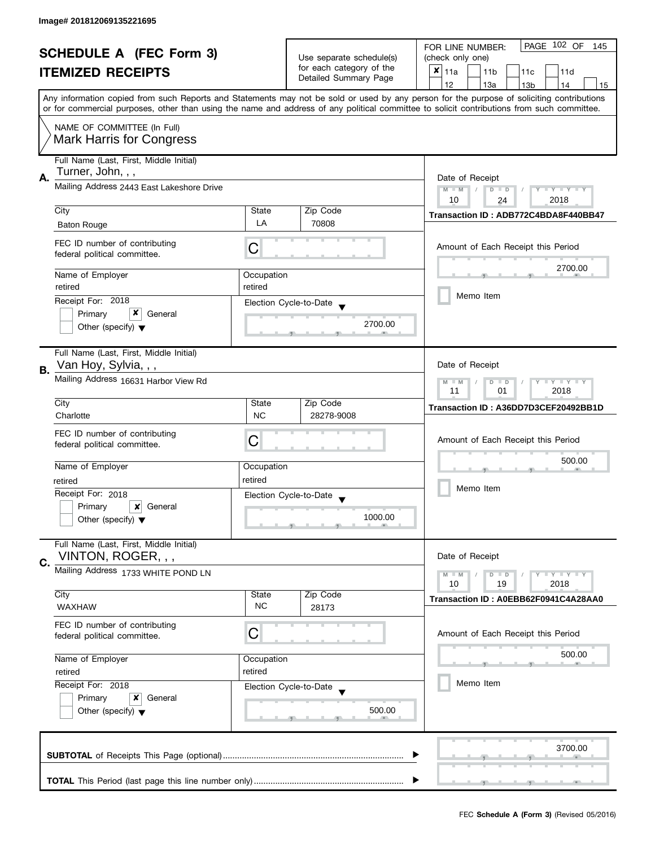| <b>SCHEDULE A (FEC Form 3)</b> |                                                                 |                                                                    | PAGE 102 OF<br>FOR LINE NUMBER:<br>145               |                                                                                                                                            |
|--------------------------------|-----------------------------------------------------------------|--------------------------------------------------------------------|------------------------------------------------------|--------------------------------------------------------------------------------------------------------------------------------------------|
|                                |                                                                 |                                                                    | Use separate schedule(s)<br>for each category of the | (check only one)                                                                                                                           |
|                                | <b>ITEMIZED RECEIPTS</b>                                        |                                                                    |                                                      | $x _{11a}$<br>11 <sub>b</sub><br>11c<br>11d                                                                                                |
|                                |                                                                 |                                                                    | Detailed Summary Page                                | 12<br>13a<br>13 <sub>b</sub><br>14<br>15                                                                                                   |
|                                |                                                                 |                                                                    |                                                      | Any information copied from such Reports and Statements may not be sold or used by any person for the purpose of soliciting contributions  |
|                                |                                                                 |                                                                    |                                                      | or for commercial purposes, other than using the name and address of any political committee to solicit contributions from such committee. |
|                                | NAME OF COMMITTEE (In Full)                                     |                                                                    |                                                      |                                                                                                                                            |
|                                | <b>Mark Harris for Congress</b>                                 |                                                                    |                                                      |                                                                                                                                            |
|                                |                                                                 |                                                                    |                                                      |                                                                                                                                            |
|                                | Full Name (Last, First, Middle Initial)                         |                                                                    |                                                      |                                                                                                                                            |
| А.                             | Turner, John, , ,                                               |                                                                    |                                                      | Date of Receipt                                                                                                                            |
|                                | Mailing Address 2443 East Lakeshore Drive                       |                                                                    |                                                      | $M - M$<br>$Y - Y - Y - Y - Y$<br>$D$ $D$                                                                                                  |
|                                |                                                                 |                                                                    |                                                      | 10<br>2018<br>24                                                                                                                           |
|                                | City                                                            | State                                                              | Zip Code                                             | Transaction ID: ADB772C4BDA8F440BB47                                                                                                       |
|                                | <b>Baton Rouge</b>                                              | LA                                                                 | 70808                                                |                                                                                                                                            |
|                                | FEC ID number of contributing                                   |                                                                    |                                                      | Amount of Each Receipt this Period                                                                                                         |
|                                | federal political committee.                                    | C                                                                  |                                                      |                                                                                                                                            |
|                                |                                                                 |                                                                    |                                                      | 2700.00                                                                                                                                    |
|                                | Name of Employer                                                | Occupation                                                         |                                                      |                                                                                                                                            |
|                                | retired                                                         | retired                                                            |                                                      | Memo Item                                                                                                                                  |
|                                | Receipt For: 2018                                               |                                                                    | Election Cycle-to-Date                               |                                                                                                                                            |
|                                | x<br>Primary<br>General                                         |                                                                    | 2700.00                                              |                                                                                                                                            |
|                                | Other (specify) $\blacktriangledown$                            |                                                                    |                                                      |                                                                                                                                            |
|                                |                                                                 |                                                                    |                                                      |                                                                                                                                            |
|                                | Full Name (Last, First, Middle Initial)<br>Van Hoy, Sylvia, , , |                                                                    |                                                      | Date of Receipt                                                                                                                            |
| В.                             |                                                                 |                                                                    |                                                      |                                                                                                                                            |
|                                | Mailing Address 16631 Harbor View Rd                            | Y LY LY<br>$M - M$<br>$\overline{D}$<br>$\Box$<br>2018<br>11<br>01 |                                                      |                                                                                                                                            |
|                                | City                                                            | State                                                              | Zip Code                                             |                                                                                                                                            |
|                                | Charlotte                                                       | <b>NC</b>                                                          | 28278-9008                                           | Transaction ID: A36DD7D3CEF20492BB1D                                                                                                       |
|                                |                                                                 |                                                                    |                                                      |                                                                                                                                            |
|                                | FEC ID number of contributing                                   | C                                                                  |                                                      | Amount of Each Receipt this Period                                                                                                         |
|                                | federal political committee.                                    |                                                                    |                                                      |                                                                                                                                            |
|                                | Name of Employer                                                | Occupation                                                         |                                                      | 500.00                                                                                                                                     |
|                                | retired                                                         | retired                                                            |                                                      |                                                                                                                                            |
|                                | Receipt For: 2018                                               |                                                                    |                                                      | Memo Item                                                                                                                                  |
|                                | Primary<br>$\boldsymbol{x}$<br>General                          |                                                                    | Election Cycle-to-Date                               |                                                                                                                                            |
|                                | Other (specify) $\blacktriangledown$                            |                                                                    | 1000.00                                              |                                                                                                                                            |
|                                |                                                                 |                                                                    |                                                      |                                                                                                                                            |
|                                | Full Name (Last, First, Middle Initial)                         |                                                                    |                                                      |                                                                                                                                            |
| C.                             | VINTON, ROGER, , ,                                              |                                                                    |                                                      | Date of Receipt                                                                                                                            |
|                                | Mailing Address 1733 WHITE POND LN                              |                                                                    |                                                      | Y LY LY<br>$M - M$<br>$D$ $D$                                                                                                              |
|                                |                                                                 |                                                                    |                                                      | 2018<br>10<br>19                                                                                                                           |
|                                | City                                                            | State                                                              | Zip Code                                             | Transaction ID: A0EBB62F0941C4A28AA0                                                                                                       |
|                                | <b>WAXHAW</b>                                                   | <b>NC</b>                                                          | 28173                                                |                                                                                                                                            |
|                                | FEC ID number of contributing                                   |                                                                    |                                                      |                                                                                                                                            |
|                                | federal political committee.                                    | С                                                                  |                                                      | Amount of Each Receipt this Period                                                                                                         |
|                                |                                                                 |                                                                    |                                                      | 500.00                                                                                                                                     |
|                                | Name of Employer<br>Occupation                                  |                                                                    |                                                      |                                                                                                                                            |
|                                | retired                                                         | retired                                                            |                                                      |                                                                                                                                            |
|                                | Receipt For: 2018                                               |                                                                    | Election Cycle-to-Date                               | Memo Item                                                                                                                                  |
|                                | Primary<br>General<br>x                                         |                                                                    |                                                      |                                                                                                                                            |
|                                | Other (specify) $\blacktriangledown$                            |                                                                    | 500.00                                               |                                                                                                                                            |
|                                |                                                                 |                                                                    |                                                      |                                                                                                                                            |
|                                |                                                                 |                                                                    |                                                      |                                                                                                                                            |
|                                |                                                                 |                                                                    |                                                      | 3700.00                                                                                                                                    |
|                                |                                                                 |                                                                    |                                                      |                                                                                                                                            |
|                                |                                                                 |                                                                    |                                                      |                                                                                                                                            |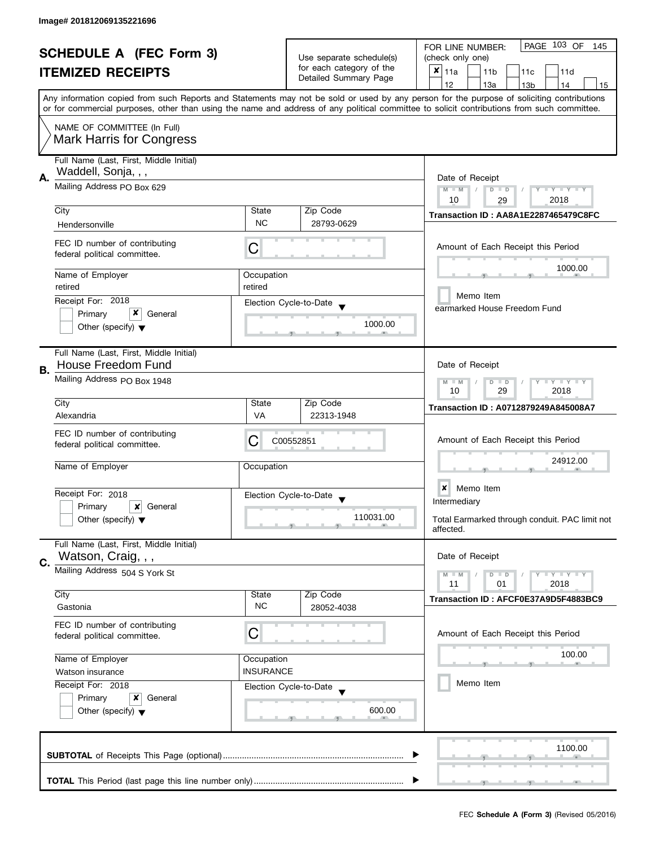| <b>SCHEDULE A (FEC Form 3)</b><br><b>ITEMIZED RECEIPTS</b> |                                                                                                                                           | Use separate schedule(s)<br>for each category of the<br>Detailed Summary Page | PAGE 103 OF<br>FOR LINE NUMBER:<br>145<br>(check only one)<br>$\pmb{\times}$<br>11a<br>11 <sub>b</sub><br>11c<br>11d |                                                                                                                                            |  |
|------------------------------------------------------------|-------------------------------------------------------------------------------------------------------------------------------------------|-------------------------------------------------------------------------------|----------------------------------------------------------------------------------------------------------------------|--------------------------------------------------------------------------------------------------------------------------------------------|--|
|                                                            | Any information copied from such Reports and Statements may not be sold or used by any person for the purpose of soliciting contributions |                                                                               |                                                                                                                      | 12<br>13a<br>13 <sub>b</sub><br>14<br>15                                                                                                   |  |
|                                                            |                                                                                                                                           |                                                                               |                                                                                                                      | or for commercial purposes, other than using the name and address of any political committee to solicit contributions from such committee. |  |
|                                                            | NAME OF COMMITTEE (In Full)<br><b>Mark Harris for Congress</b>                                                                            |                                                                               |                                                                                                                      |                                                                                                                                            |  |
| А.                                                         | Full Name (Last, First, Middle Initial)<br>Waddell, Sonja, , ,                                                                            | Date of Receipt                                                               |                                                                                                                      |                                                                                                                                            |  |
|                                                            | Mailing Address PO Box 629                                                                                                                |                                                                               |                                                                                                                      | Y TY TY TY<br>$M - M$<br>$D$ $D$<br>2018<br>10                                                                                             |  |
|                                                            | City                                                                                                                                      | State                                                                         | Zip Code                                                                                                             | 29<br>Transaction ID: AA8A1E2287465479C8FC                                                                                                 |  |
|                                                            | Hendersonville                                                                                                                            | <b>NC</b>                                                                     | 28793-0629                                                                                                           |                                                                                                                                            |  |
|                                                            | FEC ID number of contributing<br>federal political committee.                                                                             | C                                                                             |                                                                                                                      | Amount of Each Receipt this Period                                                                                                         |  |
|                                                            | Name of Employer                                                                                                                          | Occupation                                                                    |                                                                                                                      | 1000.00                                                                                                                                    |  |
|                                                            | retired                                                                                                                                   | retired                                                                       |                                                                                                                      | Memo Item                                                                                                                                  |  |
|                                                            | Receipt For: 2018<br>x<br>Primary<br>General                                                                                              |                                                                               | Election Cycle-to-Date                                                                                               | earmarked House Freedom Fund                                                                                                               |  |
|                                                            | Other (specify) $\blacktriangledown$                                                                                                      |                                                                               | 1000.00                                                                                                              |                                                                                                                                            |  |
|                                                            | Full Name (Last, First, Middle Initial)<br>House Freedom Fund                                                                             |                                                                               |                                                                                                                      | Date of Receipt                                                                                                                            |  |
| В.                                                         | Mailing Address PO Box 1948                                                                                                               | $T - Y = T - Y$<br>$M - M$<br>D<br>$\Box$<br>10<br>29<br>2018                 |                                                                                                                      |                                                                                                                                            |  |
|                                                            | City                                                                                                                                      | State                                                                         | Zip Code                                                                                                             | Transaction ID: A0712879249A845008A7                                                                                                       |  |
|                                                            | Alexandria                                                                                                                                | VA                                                                            | 22313-1948                                                                                                           |                                                                                                                                            |  |
|                                                            | FEC ID number of contributing<br>federal political committee.                                                                             | С                                                                             | C00552851                                                                                                            | Amount of Each Receipt this Period                                                                                                         |  |
|                                                            | Name of Employer                                                                                                                          | Occupation                                                                    |                                                                                                                      | 24912.00                                                                                                                                   |  |
|                                                            | Receipt For: 2018                                                                                                                         |                                                                               | Election Cycle-to-Date<br>$\overline{\phantom{a}}$                                                                   | $\boldsymbol{x}$<br>Memo Item                                                                                                              |  |
|                                                            | Primary<br>×<br>General                                                                                                                   |                                                                               |                                                                                                                      | Intermediary                                                                                                                               |  |
|                                                            | Other (specify) $\blacktriangledown$                                                                                                      |                                                                               | 110031.00                                                                                                            | Total Earmarked through conduit. PAC limit not<br>affected.                                                                                |  |
| C.                                                         | Full Name (Last, First, Middle Initial)<br>Watson, Craig, , ,                                                                             |                                                                               |                                                                                                                      | Date of Receipt                                                                                                                            |  |
|                                                            | Mailing Address 504 S York St                                                                                                             |                                                                               |                                                                                                                      | $T - Y = T - Y$<br>$M - M$<br>$D$ $D$<br>11<br>01<br>2018                                                                                  |  |
|                                                            | City                                                                                                                                      | State                                                                         | Zip Code                                                                                                             | Transaction ID: AFCF0E37A9D5F4883BC9                                                                                                       |  |
|                                                            | Gastonia                                                                                                                                  | <b>NC</b>                                                                     | 28052-4038                                                                                                           |                                                                                                                                            |  |
|                                                            | FEC ID number of contributing<br>federal political committee.                                                                             | C                                                                             |                                                                                                                      | Amount of Each Receipt this Period                                                                                                         |  |
|                                                            | Name of Employer<br>Occupation<br><b>INSURANCE</b><br>Watson insurance                                                                    |                                                                               |                                                                                                                      | 100.00                                                                                                                                     |  |
|                                                            |                                                                                                                                           |                                                                               |                                                                                                                      | Memo Item                                                                                                                                  |  |
|                                                            | Receipt For: 2018<br>Primary<br>x<br>General                                                                                              |                                                                               | Election Cycle-to-Date                                                                                               |                                                                                                                                            |  |
|                                                            | Other (specify) $\blacktriangledown$                                                                                                      |                                                                               | 600.00                                                                                                               |                                                                                                                                            |  |
|                                                            |                                                                                                                                           |                                                                               |                                                                                                                      | 1100.00                                                                                                                                    |  |
|                                                            |                                                                                                                                           |                                                                               |                                                                                                                      |                                                                                                                                            |  |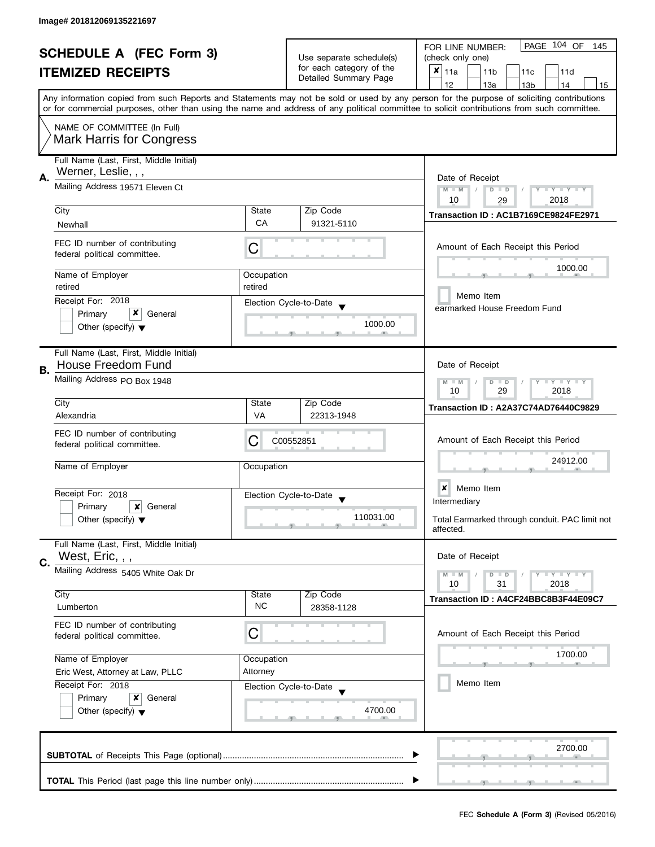|    | <b>SCHEDULE A (FEC Form 3)</b><br><b>ITEMIZED RECEIPTS</b>                                        |                                                         | Use separate schedule(s)<br>for each category of the<br>Detailed Summary Page | PAGE 104 OF<br>FOR LINE NUMBER:<br>145<br>(check only one)<br>$\pmb{\times}$<br>11a<br>11 <sub>b</sub><br>11c<br>11d<br>12<br>13a<br>14<br>13 <sub>b</sub><br>15                                                                                                                        |
|----|---------------------------------------------------------------------------------------------------|---------------------------------------------------------|-------------------------------------------------------------------------------|-----------------------------------------------------------------------------------------------------------------------------------------------------------------------------------------------------------------------------------------------------------------------------------------|
|    | NAME OF COMMITTEE (In Full)<br><b>Mark Harris for Congress</b>                                    |                                                         |                                                                               | Any information copied from such Reports and Statements may not be sold or used by any person for the purpose of soliciting contributions<br>or for commercial purposes, other than using the name and address of any political committee to solicit contributions from such committee. |
| А. | Full Name (Last, First, Middle Initial)<br>Werner, Leslie, , ,<br>Mailing Address 19571 Eleven Ct |                                                         |                                                                               | Date of Receipt<br>Y FYLY FY<br>$M - M$<br>$D$ $D$                                                                                                                                                                                                                                      |
|    | City                                                                                              | State                                                   | Zip Code                                                                      | 10<br>2018<br>29<br>Transaction ID: AC1B7169CE9824FE2971                                                                                                                                                                                                                                |
|    | Newhall                                                                                           | <b>CA</b>                                               | 91321-5110                                                                    |                                                                                                                                                                                                                                                                                         |
|    | FEC ID number of contributing<br>federal political committee.                                     | С                                                       |                                                                               | Amount of Each Receipt this Period                                                                                                                                                                                                                                                      |
|    | Name of Employer                                                                                  | Occupation                                              |                                                                               | 1000.00                                                                                                                                                                                                                                                                                 |
|    | retired<br>Receipt For: 2018                                                                      | retired                                                 | Election Cycle-to-Date                                                        | Memo Item                                                                                                                                                                                                                                                                               |
|    | x<br>Primary<br>General<br>Other (specify) $\blacktriangledown$                                   |                                                         | 1000.00                                                                       | earmarked House Freedom Fund                                                                                                                                                                                                                                                            |
| В. | Full Name (Last, First, Middle Initial)<br><b>House Freedom Fund</b>                              |                                                         |                                                                               | Date of Receipt                                                                                                                                                                                                                                                                         |
|    | Mailing Address PO Box 1948                                                                       | Y I Y I Y I Y<br>$M - M$<br>$D$ $D$<br>10<br>29<br>2018 |                                                                               |                                                                                                                                                                                                                                                                                         |
|    | City                                                                                              | State                                                   | Zip Code                                                                      | Transaction ID: A2A37C74AD76440C9829                                                                                                                                                                                                                                                    |
|    | Alexandria                                                                                        | VA                                                      | 22313-1948                                                                    |                                                                                                                                                                                                                                                                                         |
|    | FEC ID number of contributing<br>federal political committee.                                     | С                                                       | C00552851                                                                     | Amount of Each Receipt this Period                                                                                                                                                                                                                                                      |
|    | Name of Employer                                                                                  | Occupation                                              |                                                                               | 24912.00                                                                                                                                                                                                                                                                                |
|    | Receipt For: 2018                                                                                 |                                                         | Election Cycle-to-Date                                                        | ×<br>Memo Item                                                                                                                                                                                                                                                                          |
|    | Primary<br>General<br>$\boldsymbol{\mathsf{x}}$<br>Other (specify) $\blacktriangledown$           |                                                         | 110031.00                                                                     | Intermediary<br>Total Earmarked through conduit. PAC limit not<br>affected.                                                                                                                                                                                                             |
|    | Full Name (Last, First, Middle Initial)<br>West, Eric, , ,                                        |                                                         |                                                                               | Date of Receipt                                                                                                                                                                                                                                                                         |
| C. | Mailing Address 5405 White Oak Dr                                                                 |                                                         |                                                                               | Y FY FY FY<br>$M - M$<br>$D$ $D$                                                                                                                                                                                                                                                        |
|    | City                                                                                              | State                                                   | Zip Code                                                                      | 31<br>2018<br>10                                                                                                                                                                                                                                                                        |
|    | Lumberton                                                                                         | <b>NC</b>                                               | 28358-1128                                                                    | Transaction ID: A4CF24BBC8B3F44E09C7                                                                                                                                                                                                                                                    |
|    | FEC ID number of contributing<br>federal political committee.                                     | С                                                       |                                                                               | Amount of Each Receipt this Period                                                                                                                                                                                                                                                      |
|    | Name of Employer                                                                                  | Occupation                                              |                                                                               | 1700.00                                                                                                                                                                                                                                                                                 |
|    | Eric West, Attorney at Law, PLLC<br>Attorney                                                      |                                                         |                                                                               | Memo Item                                                                                                                                                                                                                                                                               |
|    | Receipt For: 2018<br>Primary<br>x<br>General<br>Other (specify) $\blacktriangledown$              |                                                         | Election Cycle-to-Date<br>4700.00                                             |                                                                                                                                                                                                                                                                                         |
|    |                                                                                                   |                                                         |                                                                               | 2700.00                                                                                                                                                                                                                                                                                 |
|    |                                                                                                   |                                                         |                                                                               |                                                                                                                                                                                                                                                                                         |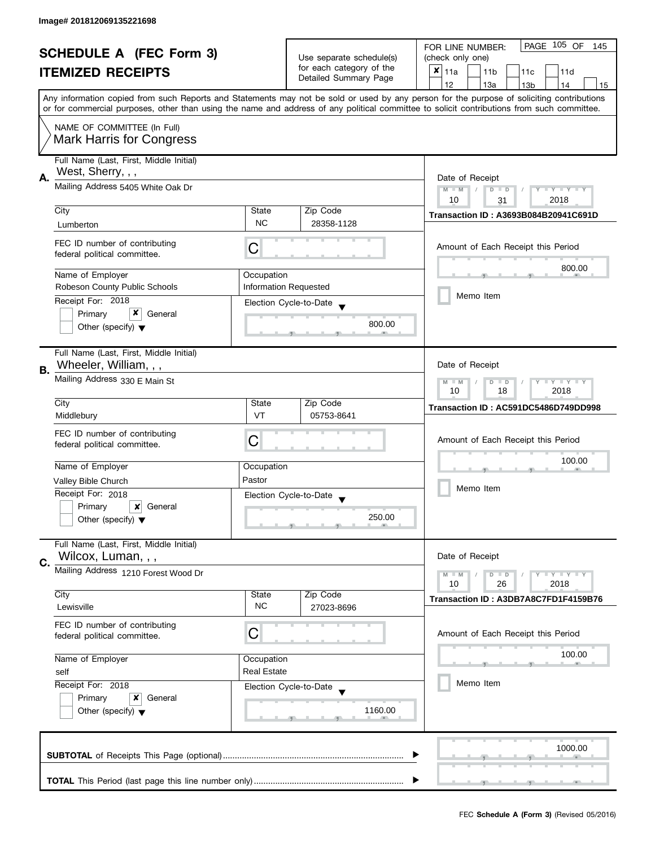| <b>SCHEDULE A (FEC Form 3)</b> |                                                                                                                                                                                |                              | PAGE 105 OF<br>FOR LINE NUMBER:<br>145               |                                                                                                                                            |
|--------------------------------|--------------------------------------------------------------------------------------------------------------------------------------------------------------------------------|------------------------------|------------------------------------------------------|--------------------------------------------------------------------------------------------------------------------------------------------|
|                                |                                                                                                                                                                                |                              | Use separate schedule(s)<br>for each category of the | (check only one)                                                                                                                           |
|                                | <b>ITEMIZED RECEIPTS</b>                                                                                                                                                       |                              |                                                      | $x _{11a}$<br>11 <sub>b</sub><br>11c<br>11d                                                                                                |
|                                |                                                                                                                                                                                |                              | Detailed Summary Page                                | 12<br>13a<br>14<br>13 <sub>b</sub><br>15                                                                                                   |
|                                |                                                                                                                                                                                |                              |                                                      | Any information copied from such Reports and Statements may not be sold or used by any person for the purpose of soliciting contributions  |
|                                |                                                                                                                                                                                |                              |                                                      | or for commercial purposes, other than using the name and address of any political committee to solicit contributions from such committee. |
|                                | NAME OF COMMITTEE (In Full)                                                                                                                                                    |                              |                                                      |                                                                                                                                            |
|                                | Mark Harris for Congress                                                                                                                                                       |                              |                                                      |                                                                                                                                            |
|                                |                                                                                                                                                                                |                              |                                                      |                                                                                                                                            |
|                                | Full Name (Last, First, Middle Initial)                                                                                                                                        |                              |                                                      |                                                                                                                                            |
| А.                             | West, Sherry, , ,                                                                                                                                                              |                              |                                                      | Date of Receipt                                                                                                                            |
|                                | Mailing Address 5405 White Oak Dr                                                                                                                                              |                              |                                                      | $M - M$<br>Y TY TY TY<br>$D$ $D$                                                                                                           |
|                                |                                                                                                                                                                                |                              |                                                      | 2018<br>10<br>31                                                                                                                           |
|                                | City                                                                                                                                                                           | State                        | Zip Code                                             | Transaction ID: A3693B084B20941C691D                                                                                                       |
|                                | Lumberton                                                                                                                                                                      | <b>NC</b>                    | 28358-1128                                           |                                                                                                                                            |
|                                | FEC ID number of contributing                                                                                                                                                  |                              |                                                      |                                                                                                                                            |
|                                | federal political committee.                                                                                                                                                   | С                            |                                                      | Amount of Each Receipt this Period                                                                                                         |
|                                |                                                                                                                                                                                |                              |                                                      | 800.00                                                                                                                                     |
|                                | Name of Employer                                                                                                                                                               | Occupation                   |                                                      |                                                                                                                                            |
|                                | Robeson County Public Schools                                                                                                                                                  | <b>Information Requested</b> |                                                      |                                                                                                                                            |
|                                | Receipt For: 2018                                                                                                                                                              |                              | Election Cycle-to-Date                               | Memo Item                                                                                                                                  |
|                                | x<br>Primary<br>General                                                                                                                                                        |                              |                                                      |                                                                                                                                            |
|                                | Other (specify) $\blacktriangledown$                                                                                                                                           |                              | 800.00                                               |                                                                                                                                            |
|                                |                                                                                                                                                                                |                              |                                                      |                                                                                                                                            |
|                                | Full Name (Last, First, Middle Initial)                                                                                                                                        |                              |                                                      |                                                                                                                                            |
| В.                             | Wheeler, William, , ,                                                                                                                                                          |                              |                                                      | Date of Receipt                                                                                                                            |
|                                | Mailing Address 330 E Main St                                                                                                                                                  |                              |                                                      | <b>LY LY LY</b><br>$M - M$<br>$D$ $D$                                                                                                      |
|                                |                                                                                                                                                                                |                              |                                                      | 18<br>2018<br>10                                                                                                                           |
|                                | City                                                                                                                                                                           | State                        | Zip Code                                             | Transaction ID: AC591DC5486D749DD998                                                                                                       |
|                                | Middlebury                                                                                                                                                                     | VT                           | 05753-8641                                           |                                                                                                                                            |
|                                | FEC ID number of contributing                                                                                                                                                  |                              |                                                      |                                                                                                                                            |
|                                | federal political committee.                                                                                                                                                   | С                            |                                                      | Amount of Each Receipt this Period                                                                                                         |
|                                |                                                                                                                                                                                |                              |                                                      | 100.00                                                                                                                                     |
|                                | Name of Employer                                                                                                                                                               | Occupation                   |                                                      |                                                                                                                                            |
|                                | Valley Bible Church                                                                                                                                                            | Pastor                       |                                                      |                                                                                                                                            |
|                                | Receipt For: 2018                                                                                                                                                              |                              | Election Cycle-to-Date                               | Memo Item                                                                                                                                  |
|                                | Primary<br>×<br>General                                                                                                                                                        |                              |                                                      |                                                                                                                                            |
|                                | Other (specify) $\blacktriangledown$                                                                                                                                           |                              | 250.00                                               |                                                                                                                                            |
|                                |                                                                                                                                                                                |                              |                                                      |                                                                                                                                            |
|                                | Full Name (Last, First, Middle Initial)                                                                                                                                        |                              |                                                      |                                                                                                                                            |
| C.                             | Wilcox, Luman, , ,                                                                                                                                                             |                              |                                                      | Date of Receipt                                                                                                                            |
|                                | Mailing Address 1210 Forest Wood Dr                                                                                                                                            |                              |                                                      | $- Y - Y - Y$<br>$M - M$<br>$D$ $D$                                                                                                        |
|                                |                                                                                                                                                                                |                              |                                                      | 10<br>26<br>2018                                                                                                                           |
|                                | City                                                                                                                                                                           | State                        | Zip Code                                             | Transaction ID: A3DB7A8C7FD1F4159B76                                                                                                       |
|                                | Lewisville                                                                                                                                                                     | <b>NC</b>                    | 27023-8696                                           |                                                                                                                                            |
|                                | FEC ID number of contributing                                                                                                                                                  |                              |                                                      |                                                                                                                                            |
|                                | federal political committee.                                                                                                                                                   | С                            |                                                      | Amount of Each Receipt this Period                                                                                                         |
|                                |                                                                                                                                                                                |                              |                                                      |                                                                                                                                            |
|                                | Name of Employer<br>Occupation<br><b>Real Estate</b><br>self<br>Receipt For: 2018<br>Election Cycle-to-Date<br>Primary<br>x<br>General<br>Other (specify) $\blacktriangledown$ |                              |                                                      | 100.00                                                                                                                                     |
|                                |                                                                                                                                                                                |                              |                                                      |                                                                                                                                            |
|                                |                                                                                                                                                                                |                              |                                                      | Memo Item                                                                                                                                  |
|                                |                                                                                                                                                                                |                              |                                                      |                                                                                                                                            |
|                                |                                                                                                                                                                                |                              | 1160.00                                              |                                                                                                                                            |
|                                |                                                                                                                                                                                |                              |                                                      |                                                                                                                                            |
|                                |                                                                                                                                                                                |                              |                                                      |                                                                                                                                            |
|                                |                                                                                                                                                                                |                              |                                                      | 1000.00                                                                                                                                    |
|                                |                                                                                                                                                                                |                              |                                                      |                                                                                                                                            |
|                                |                                                                                                                                                                                |                              |                                                      |                                                                                                                                            |
|                                |                                                                                                                                                                                |                              |                                                      |                                                                                                                                            |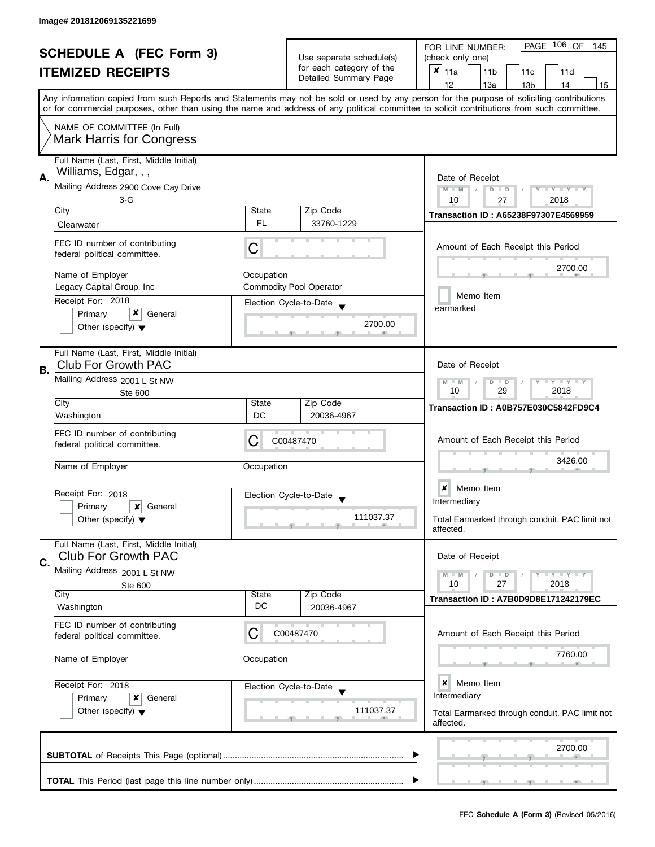| <b>SCHEDULE A (FEC Form 3)</b><br><b>ITEMIZED RECEIPTS</b>      |                                                                       |                                                           | Use separate schedule(s)<br>for each category of the                        | PAGE 106 OF<br>FOR LINE NUMBER:<br>145<br>(check only one)<br>×<br>11a<br>11 <sub>b</sub><br>11c<br>11d                                                                                                                                                                                 |
|-----------------------------------------------------------------|-----------------------------------------------------------------------|-----------------------------------------------------------|-----------------------------------------------------------------------------|-----------------------------------------------------------------------------------------------------------------------------------------------------------------------------------------------------------------------------------------------------------------------------------------|
|                                                                 |                                                                       |                                                           | Detailed Summary Page                                                       | 12<br>13a<br>13 <sub>b</sub><br>14<br>15                                                                                                                                                                                                                                                |
|                                                                 |                                                                       |                                                           |                                                                             | Any information copied from such Reports and Statements may not be sold or used by any person for the purpose of soliciting contributions<br>or for commercial purposes, other than using the name and address of any political committee to solicit contributions from such committee. |
|                                                                 | NAME OF COMMITTEE (In Full)<br><b>Mark Harris for Congress</b>        |                                                           |                                                                             |                                                                                                                                                                                                                                                                                         |
| А.                                                              | Full Name (Last, First, Middle Initial)<br>Williams, Edgar, , ,       | Date of Receipt                                           |                                                                             |                                                                                                                                                                                                                                                                                         |
|                                                                 | Mailing Address 2900 Cove Cay Drive                                   |                                                           |                                                                             | $M - M$<br>Y TY TY TY<br>$D$ $D$                                                                                                                                                                                                                                                        |
|                                                                 | $3-G$<br>City                                                         | State                                                     | Zip Code                                                                    | 2018<br>10<br>27<br>Transaction ID: A65238F97307E4569959                                                                                                                                                                                                                                |
|                                                                 | Clearwater                                                            | FL.                                                       | 33760-1229                                                                  |                                                                                                                                                                                                                                                                                         |
|                                                                 | FEC ID number of contributing<br>federal political committee.         | C                                                         |                                                                             | Amount of Each Receipt this Period                                                                                                                                                                                                                                                      |
|                                                                 | Name of Employer                                                      | Occupation                                                |                                                                             | 2700.00                                                                                                                                                                                                                                                                                 |
|                                                                 | Legacy Capital Group, Inc.<br>Receipt For: 2018                       |                                                           | <b>Commodity Pool Operator</b>                                              | Memo Item                                                                                                                                                                                                                                                                               |
|                                                                 | x<br>Primary<br>General                                               |                                                           | Election Cycle-to-Date                                                      | earmarked                                                                                                                                                                                                                                                                               |
|                                                                 | Other (specify) $\blacktriangledown$                                  |                                                           | 2700.00                                                                     |                                                                                                                                                                                                                                                                                         |
| В.                                                              | Full Name (Last, First, Middle Initial)<br><b>Club For Growth PAC</b> |                                                           |                                                                             | Date of Receipt                                                                                                                                                                                                                                                                         |
|                                                                 | Mailing Address 2001 L St NW<br>Ste 600                               | $Y = Y + Y$<br>$M - M$<br>D<br>$\Box$<br>10<br>29<br>2018 |                                                                             |                                                                                                                                                                                                                                                                                         |
|                                                                 | City                                                                  | State                                                     | Zip Code                                                                    | Transaction ID: A0B757E030C5842FD9C4                                                                                                                                                                                                                                                    |
|                                                                 | Washington                                                            | DC                                                        | 20036-4967                                                                  |                                                                                                                                                                                                                                                                                         |
|                                                                 | FEC ID number of contributing<br>federal political committee.         | С                                                         | C00487470                                                                   | Amount of Each Receipt this Period                                                                                                                                                                                                                                                      |
|                                                                 | Name of Employer                                                      | Occupation                                                |                                                                             | 3426.00                                                                                                                                                                                                                                                                                 |
|                                                                 | Receipt For: 2018                                                     |                                                           | Election Cycle-to-Date<br>$\blacktriangledown$                              | $\boldsymbol{x}$<br>Memo Item                                                                                                                                                                                                                                                           |
|                                                                 | Primary<br>x<br>General                                               |                                                           | 111037.37                                                                   | Intermediary                                                                                                                                                                                                                                                                            |
|                                                                 | Other (specify) $\blacktriangledown$                                  |                                                           |                                                                             | Total Earmarked through conduit. PAC limit not<br>affected.                                                                                                                                                                                                                             |
|                                                                 | Full Name (Last, First, Middle Initial)<br><b>Club For Growth PAC</b> |                                                           |                                                                             | Date of Receipt                                                                                                                                                                                                                                                                         |
| C.                                                              | Mailing Address 2001 L St NW                                          |                                                           |                                                                             | $\bot$ Y $\bot$ Y $\bot$ Y<br>$M - M$<br>$D$ $D$                                                                                                                                                                                                                                        |
|                                                                 | Ste 600<br>City                                                       | State                                                     | Zip Code                                                                    | 10<br>27<br>2018                                                                                                                                                                                                                                                                        |
|                                                                 | Washington                                                            | DC                                                        | 20036-4967                                                                  | Transaction ID: A7B0D9D8E171242179EC                                                                                                                                                                                                                                                    |
|                                                                 | FEC ID number of contributing<br>federal political committee.         | C                                                         | C00487470                                                                   | Amount of Each Receipt this Period                                                                                                                                                                                                                                                      |
|                                                                 | Name of Employer<br>Occupation<br>Receipt For: 2018                   |                                                           |                                                                             | 7760.00                                                                                                                                                                                                                                                                                 |
|                                                                 |                                                                       |                                                           | Election Cycle-to-Date                                                      | ×<br>Memo Item                                                                                                                                                                                                                                                                          |
| Primary<br>x<br>General<br>Other (specify) $\blacktriangledown$ |                                                                       | 111037.37                                                 | Intermediary<br>Total Earmarked through conduit. PAC limit not<br>affected. |                                                                                                                                                                                                                                                                                         |
|                                                                 |                                                                       |                                                           |                                                                             | 2700.00                                                                                                                                                                                                                                                                                 |
|                                                                 |                                                                       |                                                           |                                                                             |                                                                                                                                                                                                                                                                                         |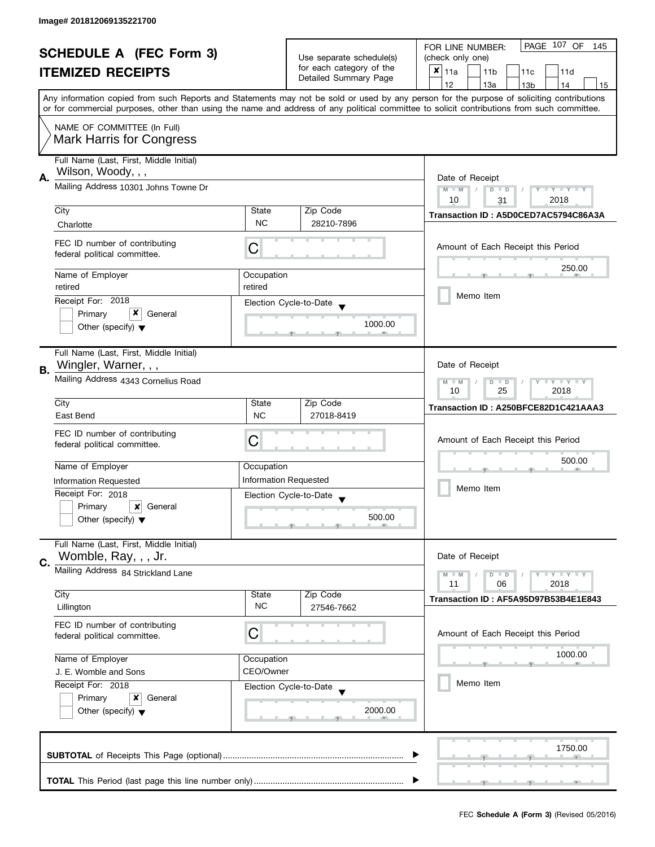| <b>SCHEDULE A (FEC Form 3)</b> |                                                                                                                                                                                        |                                            | PAGE 107 OF<br>FOR LINE NUMBER:<br>145 |                                                                                                                                            |
|--------------------------------|----------------------------------------------------------------------------------------------------------------------------------------------------------------------------------------|--------------------------------------------|----------------------------------------|--------------------------------------------------------------------------------------------------------------------------------------------|
|                                |                                                                                                                                                                                        |                                            | Use separate schedule(s)               | (check only one)                                                                                                                           |
|                                | <b>ITEMIZED RECEIPTS</b>                                                                                                                                                               |                                            | for each category of the               | $x _{11a}$<br>11 <sub>b</sub><br>11c<br>11d                                                                                                |
|                                |                                                                                                                                                                                        |                                            | Detailed Summary Page                  | 12<br>13a<br>13 <sub>b</sub><br>14<br>15                                                                                                   |
|                                |                                                                                                                                                                                        |                                            |                                        | Any information copied from such Reports and Statements may not be sold or used by any person for the purpose of soliciting contributions  |
|                                |                                                                                                                                                                                        |                                            |                                        | or for commercial purposes, other than using the name and address of any political committee to solicit contributions from such committee. |
|                                | NAME OF COMMITTEE (In Full)                                                                                                                                                            |                                            |                                        |                                                                                                                                            |
|                                | <b>Mark Harris for Congress</b>                                                                                                                                                        |                                            |                                        |                                                                                                                                            |
|                                | Full Name (Last, First, Middle Initial)                                                                                                                                                |                                            |                                        |                                                                                                                                            |
| Α.                             | Wilson, Woody, , ,                                                                                                                                                                     |                                            |                                        | Date of Receipt                                                                                                                            |
|                                | Mailing Address 10301 Johns Towne Dr                                                                                                                                                   |                                            |                                        | $M - M$<br>$Y - Y - Y - Y - Y$<br>$D$ $D$                                                                                                  |
|                                |                                                                                                                                                                                        |                                            |                                        | 10<br>2018<br>31                                                                                                                           |
|                                | City                                                                                                                                                                                   | State                                      | Zip Code                               | Transaction ID: A5D0CED7AC5794C86A3A                                                                                                       |
|                                | Charlotte                                                                                                                                                                              | <b>NC</b>                                  | 28210-7896                             |                                                                                                                                            |
|                                | FEC ID number of contributing                                                                                                                                                          | С                                          |                                        | Amount of Each Receipt this Period                                                                                                         |
|                                | federal political committee.                                                                                                                                                           |                                            |                                        |                                                                                                                                            |
|                                | Name of Employer                                                                                                                                                                       | Occupation                                 |                                        | 250.00                                                                                                                                     |
|                                | retired                                                                                                                                                                                | retired                                    |                                        |                                                                                                                                            |
|                                | Receipt For: 2018                                                                                                                                                                      |                                            | Election Cycle-to-Date                 | Memo Item                                                                                                                                  |
|                                | x<br>Primary<br>General                                                                                                                                                                |                                            |                                        |                                                                                                                                            |
|                                | Other (specify) $\blacktriangledown$                                                                                                                                                   |                                            | 1000.00                                |                                                                                                                                            |
|                                |                                                                                                                                                                                        |                                            |                                        |                                                                                                                                            |
|                                | Full Name (Last, First, Middle Initial)                                                                                                                                                |                                            |                                        |                                                                                                                                            |
| В.                             | Wingler, Warner, , ,                                                                                                                                                                   |                                            |                                        | Date of Receipt                                                                                                                            |
|                                | Mailing Address 4343 Cornelius Road                                                                                                                                                    |                                            |                                        | Y LY LY<br>$M - M$<br>D<br>$\Box$                                                                                                          |
|                                |                                                                                                                                                                                        | 25<br>2018<br>10                           |                                        |                                                                                                                                            |
|                                | City                                                                                                                                                                                   | State                                      | Zip Code                               | Transaction ID: A250BFCE82D1C421AAA3                                                                                                       |
|                                | East Bend                                                                                                                                                                              | <b>NC</b>                                  | 27018-8419                             |                                                                                                                                            |
|                                | FEC ID number of contributing                                                                                                                                                          |                                            |                                        |                                                                                                                                            |
|                                | federal political committee.                                                                                                                                                           | C                                          |                                        | Amount of Each Receipt this Period                                                                                                         |
|                                |                                                                                                                                                                                        |                                            |                                        | 500.00                                                                                                                                     |
|                                | Name of Employer                                                                                                                                                                       | Occupation<br><b>Information Requested</b> |                                        |                                                                                                                                            |
|                                | Information Requested                                                                                                                                                                  |                                            |                                        | Memo Item                                                                                                                                  |
|                                | Receipt For: 2018<br>Primary<br>General                                                                                                                                                |                                            | Election Cycle-to-Date                 |                                                                                                                                            |
|                                | ×<br>Other (specify) $\blacktriangledown$                                                                                                                                              |                                            | 500.00                                 |                                                                                                                                            |
|                                |                                                                                                                                                                                        |                                            |                                        |                                                                                                                                            |
|                                | Full Name (Last, First, Middle Initial)                                                                                                                                                |                                            |                                        |                                                                                                                                            |
| C.                             | Womble, Ray, , , Jr.                                                                                                                                                                   |                                            |                                        | Date of Receipt                                                                                                                            |
|                                | Mailing Address 84 Strickland Lane                                                                                                                                                     |                                            |                                        | Y LY LY<br>$M - M$<br>$D$ $D$                                                                                                              |
|                                |                                                                                                                                                                                        |                                            |                                        | 06<br>2018<br>11                                                                                                                           |
|                                | City                                                                                                                                                                                   | State<br><b>NC</b>                         | Zip Code                               | Transaction ID: AF5A95D97B53B4E1E843                                                                                                       |
|                                | Lillington                                                                                                                                                                             |                                            | 27546-7662                             |                                                                                                                                            |
|                                | FEC ID number of contributing                                                                                                                                                          |                                            |                                        |                                                                                                                                            |
|                                | federal political committee.                                                                                                                                                           | C                                          |                                        | Amount of Each Receipt this Period                                                                                                         |
|                                | Name of Employer<br>Occupation<br>CEO/Owner<br>J. E. Womble and Sons<br>Receipt For: 2018<br>Election Cycle-to-Date<br>Primary<br>x<br>General<br>Other (specify) $\blacktriangledown$ |                                            |                                        | 1000.00                                                                                                                                    |
|                                |                                                                                                                                                                                        |                                            |                                        |                                                                                                                                            |
|                                |                                                                                                                                                                                        |                                            |                                        | Memo Item                                                                                                                                  |
|                                |                                                                                                                                                                                        |                                            |                                        |                                                                                                                                            |
|                                |                                                                                                                                                                                        |                                            | 2000.00                                |                                                                                                                                            |
|                                |                                                                                                                                                                                        |                                            |                                        |                                                                                                                                            |
|                                |                                                                                                                                                                                        |                                            |                                        |                                                                                                                                            |
|                                |                                                                                                                                                                                        |                                            |                                        | 1750.00                                                                                                                                    |
|                                |                                                                                                                                                                                        |                                            |                                        |                                                                                                                                            |
|                                |                                                                                                                                                                                        |                                            |                                        |                                                                                                                                            |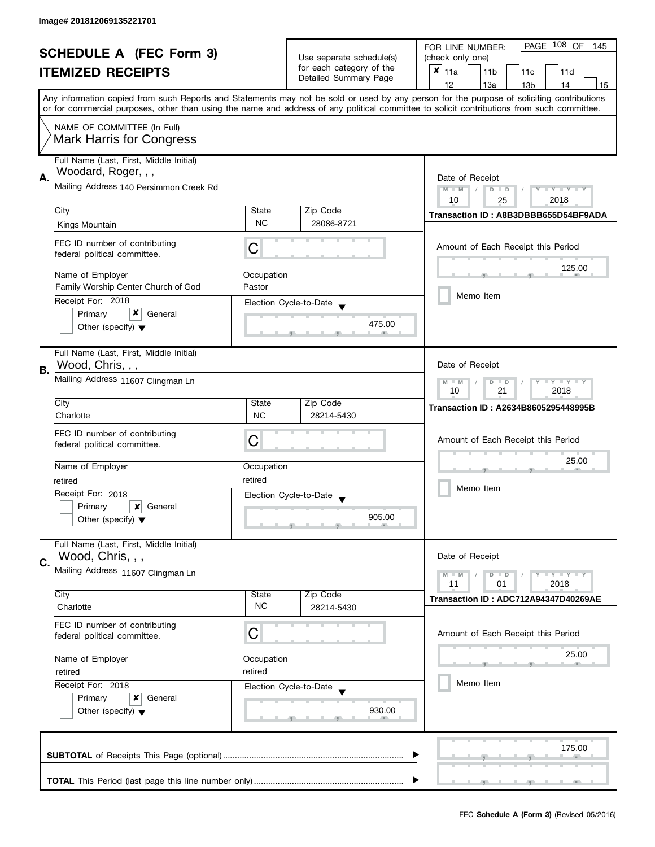| <b>SCHEDULE A (FEC Form 3)</b> |                                                                                                                                            | Use separate schedule(s)                                  | PAGE 108 OF<br>FOR LINE NUMBER:<br>145<br>(check only one) |                                                                                                                                           |
|--------------------------------|--------------------------------------------------------------------------------------------------------------------------------------------|-----------------------------------------------------------|------------------------------------------------------------|-------------------------------------------------------------------------------------------------------------------------------------------|
|                                |                                                                                                                                            |                                                           | for each category of the                                   |                                                                                                                                           |
|                                | <b>ITEMIZED RECEIPTS</b>                                                                                                                   |                                                           | Detailed Summary Page                                      | $x _{11a}$<br>11 <sub>b</sub><br>11 <sub>c</sub><br>11d                                                                                   |
|                                |                                                                                                                                            |                                                           |                                                            | 12<br>13a<br>13 <sub>b</sub><br>14<br>15                                                                                                  |
|                                | or for commercial purposes, other than using the name and address of any political committee to solicit contributions from such committee. |                                                           |                                                            | Any information copied from such Reports and Statements may not be sold or used by any person for the purpose of soliciting contributions |
|                                |                                                                                                                                            |                                                           |                                                            |                                                                                                                                           |
|                                | NAME OF COMMITTEE (In Full)                                                                                                                |                                                           |                                                            |                                                                                                                                           |
|                                | <b>Mark Harris for Congress</b>                                                                                                            |                                                           |                                                            |                                                                                                                                           |
|                                | Full Name (Last, First, Middle Initial)                                                                                                    |                                                           |                                                            |                                                                                                                                           |
|                                | Woodard, Roger, , ,                                                                                                                        |                                                           |                                                            |                                                                                                                                           |
| А.                             | Mailing Address 140 Persimmon Creek Rd                                                                                                     |                                                           |                                                            | Date of Receipt                                                                                                                           |
|                                |                                                                                                                                            |                                                           |                                                            | $M - M$<br>$D$ $D$<br>$\bot$ $\gamma$ $\bot$ $\gamma$ $\bot$ $\gamma$                                                                     |
|                                | City                                                                                                                                       | State                                                     | Zip Code                                                   | 10<br>2018<br>25                                                                                                                          |
|                                | Kings Mountain                                                                                                                             | <b>NC</b>                                                 | 28086-8721                                                 | Transaction ID: A8B3DBBB655D54BF9ADA                                                                                                      |
|                                |                                                                                                                                            |                                                           |                                                            |                                                                                                                                           |
|                                | FEC ID number of contributing                                                                                                              | С                                                         |                                                            | Amount of Each Receipt this Period                                                                                                        |
|                                | federal political committee.                                                                                                               |                                                           |                                                            |                                                                                                                                           |
|                                | Name of Employer                                                                                                                           | Occupation                                                |                                                            | 125.00                                                                                                                                    |
|                                | Family Worship Center Church of God                                                                                                        | Pastor                                                    |                                                            |                                                                                                                                           |
|                                | Receipt For: 2018                                                                                                                          |                                                           |                                                            | Memo Item                                                                                                                                 |
|                                | x<br>Primary<br>General                                                                                                                    |                                                           | Election Cycle-to-Date                                     |                                                                                                                                           |
|                                | Other (specify) $\blacktriangledown$                                                                                                       |                                                           | 475.00                                                     |                                                                                                                                           |
|                                |                                                                                                                                            |                                                           |                                                            |                                                                                                                                           |
|                                | Full Name (Last, First, Middle Initial)                                                                                                    |                                                           |                                                            |                                                                                                                                           |
|                                | Wood, Chris, , ,                                                                                                                           |                                                           |                                                            | Date of Receipt                                                                                                                           |
| В.                             | Mailing Address 11607 Clingman Ln                                                                                                          |                                                           |                                                            |                                                                                                                                           |
|                                |                                                                                                                                            | $M - M$<br>$Y - Y - Y$<br>D<br>$\Box$<br>21<br>10<br>2018 |                                                            |                                                                                                                                           |
|                                | City                                                                                                                                       | State                                                     | Zip Code                                                   |                                                                                                                                           |
|                                | Charlotte                                                                                                                                  | <b>NC</b>                                                 | 28214-5430                                                 | Transaction ID: A2634B8605295448995B                                                                                                      |
|                                | FEC ID number of contributing                                                                                                              |                                                           |                                                            |                                                                                                                                           |
|                                | federal political committee.                                                                                                               | C                                                         |                                                            | Amount of Each Receipt this Period                                                                                                        |
|                                |                                                                                                                                            |                                                           |                                                            |                                                                                                                                           |
|                                | Name of Employer                                                                                                                           | Occupation                                                |                                                            | 25.00                                                                                                                                     |
|                                | retired                                                                                                                                    | retired                                                   |                                                            |                                                                                                                                           |
|                                | Receipt For: 2018                                                                                                                          |                                                           | Election Cycle-to-Date                                     | Memo Item                                                                                                                                 |
|                                | Primary<br>×<br>General                                                                                                                    |                                                           |                                                            |                                                                                                                                           |
|                                | Other (specify) $\blacktriangledown$                                                                                                       |                                                           | 905.00                                                     |                                                                                                                                           |
|                                |                                                                                                                                            |                                                           |                                                            |                                                                                                                                           |
|                                | Full Name (Last, First, Middle Initial)                                                                                                    |                                                           |                                                            |                                                                                                                                           |
| C.                             | Wood, Chris, , ,                                                                                                                           |                                                           |                                                            | Date of Receipt                                                                                                                           |
|                                | Mailing Address 11607 Clingman Ln                                                                                                          |                                                           |                                                            | $M - M$<br>$-\gamma + \gamma + \gamma$<br>$D$ $D$                                                                                         |
|                                |                                                                                                                                            |                                                           |                                                            | 11<br>2018<br>01                                                                                                                          |
|                                | City                                                                                                                                       | State                                                     | Zip Code                                                   | Transaction ID: ADC712A94347D40269AE                                                                                                      |
|                                | Charlotte                                                                                                                                  | <b>NC</b>                                                 | 28214-5430                                                 |                                                                                                                                           |
|                                | FEC ID number of contributing                                                                                                              |                                                           |                                                            |                                                                                                                                           |
|                                | federal political committee.                                                                                                               | C                                                         |                                                            | Amount of Each Receipt this Period                                                                                                        |
|                                |                                                                                                                                            |                                                           |                                                            | 25.00                                                                                                                                     |
|                                | Name of Employer                                                                                                                           | Occupation<br>retired                                     |                                                            |                                                                                                                                           |
|                                | retired<br>Receipt For: 2018<br>Election Cycle-to-Date<br>Primary<br>x<br>General<br>Other (specify) $\blacktriangledown$                  |                                                           |                                                            | Memo Item                                                                                                                                 |
|                                |                                                                                                                                            |                                                           |                                                            |                                                                                                                                           |
|                                |                                                                                                                                            |                                                           |                                                            |                                                                                                                                           |
|                                |                                                                                                                                            |                                                           | 930.00                                                     |                                                                                                                                           |
|                                |                                                                                                                                            |                                                           |                                                            |                                                                                                                                           |
|                                |                                                                                                                                            |                                                           |                                                            | 175.00                                                                                                                                    |
|                                |                                                                                                                                            |                                                           |                                                            |                                                                                                                                           |
|                                |                                                                                                                                            |                                                           |                                                            |                                                                                                                                           |
|                                |                                                                                                                                            |                                                           |                                                            |                                                                                                                                           |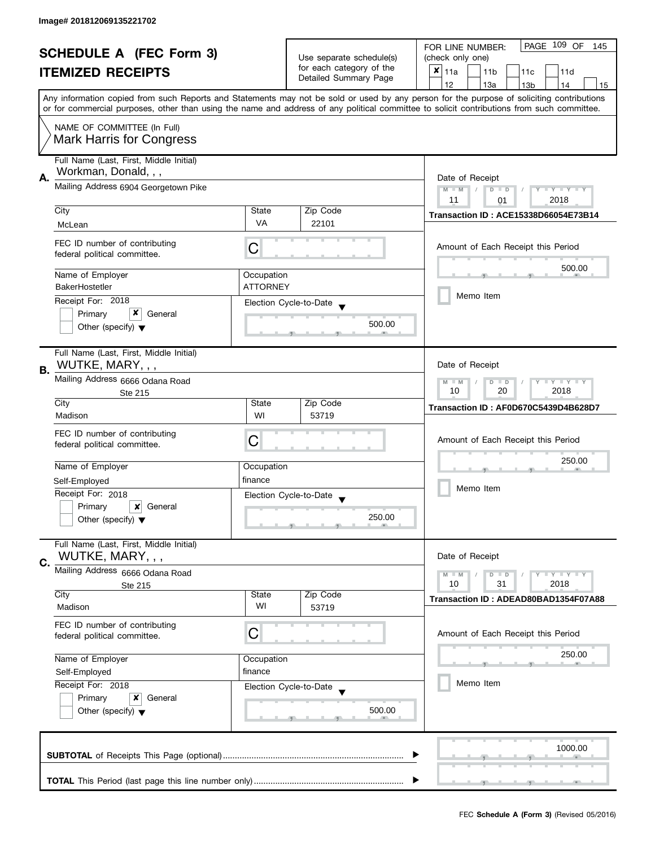| <b>SCHEDULE A (FEC Form 3)</b> |                                             | Use separate schedule(s) | PAGE 109 OF<br>FOR LINE NUMBER:<br>145            |                                                                                                                                            |  |
|--------------------------------|---------------------------------------------|--------------------------|---------------------------------------------------|--------------------------------------------------------------------------------------------------------------------------------------------|--|
|                                |                                             |                          | (check only one)                                  |                                                                                                                                            |  |
|                                | <b>ITEMIZED RECEIPTS</b>                    |                          | for each category of the<br>Detailed Summary Page | $x _{11a}$<br>11 <sub>b</sub><br>11c<br>11d                                                                                                |  |
|                                |                                             |                          |                                                   | 12<br>13a<br>14<br>13 <sub>b</sub><br>15                                                                                                   |  |
|                                |                                             |                          |                                                   | Any information copied from such Reports and Statements may not be sold or used by any person for the purpose of soliciting contributions  |  |
|                                |                                             |                          |                                                   | or for commercial purposes, other than using the name and address of any political committee to solicit contributions from such committee. |  |
|                                | NAME OF COMMITTEE (In Full)                 |                          |                                                   |                                                                                                                                            |  |
|                                | <b>Mark Harris for Congress</b>             |                          |                                                   |                                                                                                                                            |  |
|                                | Full Name (Last, First, Middle Initial)     |                          |                                                   |                                                                                                                                            |  |
|                                | Workman, Donald, , ,                        |                          |                                                   |                                                                                                                                            |  |
| А.                             | Mailing Address 6904 Georgetown Pike        | Date of Receipt          |                                                   |                                                                                                                                            |  |
|                                |                                             |                          |                                                   | $M - M$<br>Y TY TY TY<br>$D$ $D$                                                                                                           |  |
|                                | City                                        | State                    | Zip Code                                          | 2018<br>11<br>01                                                                                                                           |  |
|                                | McLean                                      | VA                       | 22101                                             | <b>Transaction ID: ACE15338D66054E73B14</b>                                                                                                |  |
|                                |                                             |                          |                                                   |                                                                                                                                            |  |
|                                | FEC ID number of contributing               | С                        |                                                   | Amount of Each Receipt this Period                                                                                                         |  |
|                                | federal political committee.                |                          |                                                   |                                                                                                                                            |  |
|                                | Name of Employer                            | Occupation               |                                                   | 500.00                                                                                                                                     |  |
|                                | <b>BakerHostetler</b>                       | <b>ATTORNEY</b>          |                                                   |                                                                                                                                            |  |
|                                | Receipt For: 2018                           |                          |                                                   | Memo Item                                                                                                                                  |  |
|                                | x<br>Primary<br>General                     |                          | Election Cycle-to-Date                            |                                                                                                                                            |  |
|                                | Other (specify) $\blacktriangledown$        |                          | 500.00                                            |                                                                                                                                            |  |
|                                |                                             |                          |                                                   |                                                                                                                                            |  |
|                                | Full Name (Last, First, Middle Initial)     |                          |                                                   |                                                                                                                                            |  |
|                                | WUTKE, MARY, , ,                            |                          |                                                   | Date of Receipt                                                                                                                            |  |
| <b>B.</b>                      | Mailing Address 6666 Odana Road             |                          |                                                   | $Y = Y + Y$<br>$M - M$                                                                                                                     |  |
|                                | Ste 215                                     |                          |                                                   | $D$ $D$<br>2018<br>10<br>20                                                                                                                |  |
|                                | City                                        | State                    | Zip Code                                          | Transaction ID: AF0D670C5439D4B628D7                                                                                                       |  |
|                                | Madison                                     | WI                       | 53719                                             |                                                                                                                                            |  |
|                                | FEC ID number of contributing               |                          |                                                   |                                                                                                                                            |  |
|                                | federal political committee.                | C                        |                                                   | Amount of Each Receipt this Period                                                                                                         |  |
|                                |                                             |                          |                                                   |                                                                                                                                            |  |
|                                | Name of Employer                            | Occupation               |                                                   | 250.00                                                                                                                                     |  |
|                                | Self-Employed                               | finance                  |                                                   |                                                                                                                                            |  |
|                                | Receipt For: 2018                           |                          | Election Cycle-to-Date                            | Memo Item                                                                                                                                  |  |
|                                | Primary<br>×<br>General                     |                          |                                                   |                                                                                                                                            |  |
|                                | Other (specify) $\blacktriangledown$        |                          | 250.00                                            |                                                                                                                                            |  |
|                                |                                             |                          |                                                   |                                                                                                                                            |  |
|                                | Full Name (Last, First, Middle Initial)     |                          |                                                   |                                                                                                                                            |  |
| C.                             | WUTKE, MARY, , ,                            |                          |                                                   | Date of Receipt                                                                                                                            |  |
|                                | Mailing Address 6666 Odana Road             |                          |                                                   | $Y = Y = Y$<br>$M - M$<br>$D$ $D$                                                                                                          |  |
|                                | Ste 215                                     |                          |                                                   | 10<br>31<br>2018                                                                                                                           |  |
|                                | City                                        | State                    | Zip Code                                          | Transaction ID: ADEAD80BAD1354F07A88                                                                                                       |  |
|                                | Madison                                     | WI                       | 53719                                             |                                                                                                                                            |  |
|                                | FEC ID number of contributing               |                          |                                                   |                                                                                                                                            |  |
|                                | federal political committee.                | C                        |                                                   | Amount of Each Receipt this Period                                                                                                         |  |
|                                |                                             |                          |                                                   | 250.00                                                                                                                                     |  |
|                                | Name of Employer                            | Occupation<br>finance    |                                                   |                                                                                                                                            |  |
|                                | Self-Employed                               |                          |                                                   | Memo Item                                                                                                                                  |  |
|                                | Receipt For: 2018<br>Election Cycle-to-Date |                          |                                                   |                                                                                                                                            |  |
|                                | Primary<br>x<br>General                     |                          |                                                   |                                                                                                                                            |  |
|                                | Other (specify) $\blacktriangledown$        |                          | 500.00                                            |                                                                                                                                            |  |
|                                |                                             |                          |                                                   |                                                                                                                                            |  |
|                                |                                             |                          |                                                   | 1000.00                                                                                                                                    |  |
|                                |                                             |                          |                                                   |                                                                                                                                            |  |
|                                |                                             |                          |                                                   |                                                                                                                                            |  |
|                                |                                             |                          |                                                   |                                                                                                                                            |  |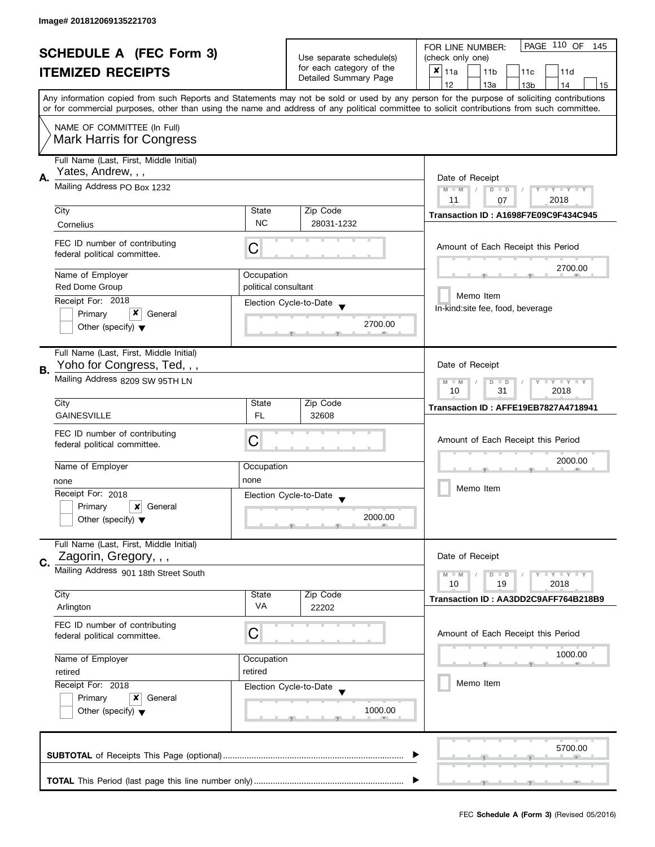| <b>SCHEDULE A (FEC Form 3)</b> |                                                                        |                                                                         | PAGE 110 OF<br>FOR LINE NUMBER:<br>145            |                                                                                                                                                                                                                                                                                         |  |
|--------------------------------|------------------------------------------------------------------------|-------------------------------------------------------------------------|---------------------------------------------------|-----------------------------------------------------------------------------------------------------------------------------------------------------------------------------------------------------------------------------------------------------------------------------------------|--|
|                                |                                                                        |                                                                         | Use separate schedule(s)                          | (check only one)                                                                                                                                                                                                                                                                        |  |
|                                | <b>ITEMIZED RECEIPTS</b>                                               |                                                                         | for each category of the<br>Detailed Summary Page | $x _{11a}$<br>11 <sub>b</sub><br>11c<br>11d                                                                                                                                                                                                                                             |  |
|                                |                                                                        |                                                                         |                                                   | 12<br>13a<br>13 <sub>b</sub><br>14<br>15                                                                                                                                                                                                                                                |  |
|                                |                                                                        |                                                                         |                                                   | Any information copied from such Reports and Statements may not be sold or used by any person for the purpose of soliciting contributions<br>or for commercial purposes, other than using the name and address of any political committee to solicit contributions from such committee. |  |
|                                | NAME OF COMMITTEE (In Full)<br><b>Mark Harris for Congress</b>         |                                                                         |                                                   |                                                                                                                                                                                                                                                                                         |  |
|                                | Full Name (Last, First, Middle Initial)<br>Yates, Andrew, , ,          |                                                                         |                                                   |                                                                                                                                                                                                                                                                                         |  |
| А.                             | Mailing Address PO Box 1232                                            | Date of Receipt<br>Y TY TY TY<br>$M - M$<br>$D$ $D$<br>2018<br>11<br>07 |                                                   |                                                                                                                                                                                                                                                                                         |  |
|                                | City                                                                   | State                                                                   | Zip Code                                          | Transaction ID: A1698F7E09C9F434C945                                                                                                                                                                                                                                                    |  |
|                                | Cornelius                                                              | <b>NC</b>                                                               | 28031-1232                                        |                                                                                                                                                                                                                                                                                         |  |
|                                | FEC ID number of contributing<br>federal political committee.          | С                                                                       |                                                   | Amount of Each Receipt this Period                                                                                                                                                                                                                                                      |  |
|                                | Name of Employer                                                       | Occupation                                                              |                                                   | 2700.00                                                                                                                                                                                                                                                                                 |  |
|                                | <b>Red Dome Group</b>                                                  | political consultant                                                    |                                                   |                                                                                                                                                                                                                                                                                         |  |
|                                | Receipt For: 2018                                                      |                                                                         | Election Cycle-to-Date                            | Memo Item                                                                                                                                                                                                                                                                               |  |
|                                | x<br>Primary<br>General                                                |                                                                         |                                                   | In-kind:site fee, food, beverage                                                                                                                                                                                                                                                        |  |
|                                | Other (specify) $\blacktriangledown$                                   |                                                                         | 2700.00                                           |                                                                                                                                                                                                                                                                                         |  |
|                                | Full Name (Last, First, Middle Initial)<br>Yoho for Congress, Ted,,,   |                                                                         |                                                   | Date of Receipt                                                                                                                                                                                                                                                                         |  |
| В.                             | Mailing Address 8209 SW 95TH LN                                        |                                                                         |                                                   | Y I Y I Y I Y<br>$M - M$<br>$\Box$<br>D<br>10<br>31<br>2018                                                                                                                                                                                                                             |  |
|                                | City                                                                   | State                                                                   | Zip Code                                          | Transaction ID: AFFE19EB7827A4718941                                                                                                                                                                                                                                                    |  |
|                                | <b>GAINESVILLE</b>                                                     | <b>FL</b>                                                               | 32608                                             |                                                                                                                                                                                                                                                                                         |  |
|                                | FEC ID number of contributing<br>federal political committee.          | С                                                                       |                                                   | Amount of Each Receipt this Period                                                                                                                                                                                                                                                      |  |
|                                | Name of Employer                                                       | Occupation                                                              |                                                   | 2000.00                                                                                                                                                                                                                                                                                 |  |
|                                | none                                                                   | none                                                                    |                                                   |                                                                                                                                                                                                                                                                                         |  |
|                                | Receipt For: 2018                                                      |                                                                         | Election Cycle-to-Date                            | Memo Item                                                                                                                                                                                                                                                                               |  |
|                                | Primary<br>×<br>General                                                |                                                                         | $\blacktriangledown$                              |                                                                                                                                                                                                                                                                                         |  |
|                                | Other (specify) $\blacktriangledown$                                   |                                                                         | 2000.00                                           |                                                                                                                                                                                                                                                                                         |  |
|                                | Full Name (Last, First, Middle Initial)<br>Zagorin, Gregory, , ,       |                                                                         |                                                   | Date of Receipt                                                                                                                                                                                                                                                                         |  |
| C.                             | Mailing Address 901 18th Street South                                  |                                                                         |                                                   | <b>LYLYLY</b><br>$M - M$<br>$D$ $D$                                                                                                                                                                                                                                                     |  |
|                                | City                                                                   | State                                                                   | Zip Code                                          | 10<br>19<br>2018                                                                                                                                                                                                                                                                        |  |
|                                | Arlington                                                              | VA                                                                      | 22202                                             | Transaction ID: AA3DD2C9AFF764B218B9                                                                                                                                                                                                                                                    |  |
|                                | FEC ID number of contributing<br>federal political committee.          | C                                                                       |                                                   | Amount of Each Receipt this Period                                                                                                                                                                                                                                                      |  |
|                                | Name of Employer                                                       | Occupation                                                              |                                                   | 1000.00                                                                                                                                                                                                                                                                                 |  |
|                                | retired                                                                | retired                                                                 |                                                   |                                                                                                                                                                                                                                                                                         |  |
|                                | Receipt For: 2018<br>Election Cycle-to-Date<br>Primary<br>x<br>General |                                                                         |                                                   | Memo Item                                                                                                                                                                                                                                                                               |  |
|                                |                                                                        |                                                                         |                                                   |                                                                                                                                                                                                                                                                                         |  |
|                                | Other (specify) $\blacktriangledown$                                   |                                                                         | 1000.00                                           |                                                                                                                                                                                                                                                                                         |  |
|                                |                                                                        |                                                                         |                                                   | 5700.00                                                                                                                                                                                                                                                                                 |  |
|                                |                                                                        |                                                                         |                                                   |                                                                                                                                                                                                                                                                                         |  |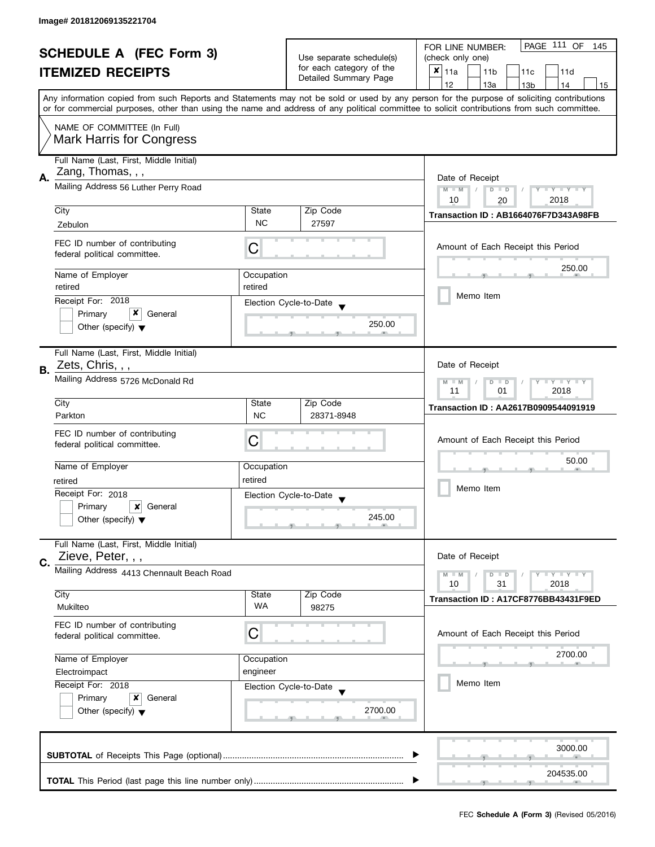| <b>SCHEDULE A (FEC Form 3)</b> |                                                                |            |                                                   | PAGE 111 OF<br>FOR LINE NUMBER:<br>145                                                                                                                                                                                                                                                  |  |  |
|--------------------------------|----------------------------------------------------------------|------------|---------------------------------------------------|-----------------------------------------------------------------------------------------------------------------------------------------------------------------------------------------------------------------------------------------------------------------------------------------|--|--|
|                                |                                                                |            | Use separate schedule(s)                          | (check only one)                                                                                                                                                                                                                                                                        |  |  |
|                                | <b>ITEMIZED RECEIPTS</b>                                       |            | for each category of the<br>Detailed Summary Page | $x _{11a}$<br>11 <sub>b</sub><br>11c<br>11d                                                                                                                                                                                                                                             |  |  |
|                                |                                                                |            |                                                   | 12<br>13a<br>14<br>13 <sub>b</sub><br>15                                                                                                                                                                                                                                                |  |  |
|                                |                                                                |            |                                                   | Any information copied from such Reports and Statements may not be sold or used by any person for the purpose of soliciting contributions<br>or for commercial purposes, other than using the name and address of any political committee to solicit contributions from such committee. |  |  |
|                                |                                                                |            |                                                   |                                                                                                                                                                                                                                                                                         |  |  |
|                                | NAME OF COMMITTEE (In Full)<br><b>Mark Harris for Congress</b> |            |                                                   |                                                                                                                                                                                                                                                                                         |  |  |
|                                | Full Name (Last, First, Middle Initial)                        |            |                                                   |                                                                                                                                                                                                                                                                                         |  |  |
| А.                             | Zang, Thomas, , ,                                              |            |                                                   | Date of Receipt                                                                                                                                                                                                                                                                         |  |  |
|                                | Mailing Address 56 Luther Perry Road                           |            |                                                   | $M - M$<br>Y I Y I Y I Y<br>$D$ $D$<br>10<br>2018<br>20                                                                                                                                                                                                                                 |  |  |
|                                | City                                                           | State      | Zip Code                                          |                                                                                                                                                                                                                                                                                         |  |  |
|                                | Zebulon                                                        | <b>NC</b>  | 27597                                             | Transaction ID: AB1664076F7D343A98FB                                                                                                                                                                                                                                                    |  |  |
|                                | FEC ID number of contributing<br>federal political committee.  | С          |                                                   | Amount of Each Receipt this Period                                                                                                                                                                                                                                                      |  |  |
|                                | Name of Employer                                               | Occupation |                                                   | 250.00                                                                                                                                                                                                                                                                                  |  |  |
|                                | retired                                                        | retired    |                                                   |                                                                                                                                                                                                                                                                                         |  |  |
|                                | Receipt For: 2018                                              |            | Election Cycle-to-Date                            | Memo Item                                                                                                                                                                                                                                                                               |  |  |
|                                | x<br>Primary<br>General                                        |            | 250.00                                            |                                                                                                                                                                                                                                                                                         |  |  |
|                                | Other (specify) $\blacktriangledown$                           |            |                                                   |                                                                                                                                                                                                                                                                                         |  |  |
|                                | Full Name (Last, First, Middle Initial)                        |            |                                                   |                                                                                                                                                                                                                                                                                         |  |  |
| В.                             | Zets, Chris, , ,                                               |            |                                                   | Date of Receipt                                                                                                                                                                                                                                                                         |  |  |
|                                | Mailing Address 5726 McDonald Rd                               |            |                                                   | <b>LY LY LY</b><br>$M - M$<br>$D$ $D$<br>2018<br>11<br>01                                                                                                                                                                                                                               |  |  |
|                                | City                                                           | State      | Zip Code                                          | <b>Transaction ID: AA2617B0909544091919</b>                                                                                                                                                                                                                                             |  |  |
|                                | Parkton                                                        | <b>NC</b>  | 28371-8948                                        |                                                                                                                                                                                                                                                                                         |  |  |
|                                | FEC ID number of contributing                                  | C          |                                                   | Amount of Each Receipt this Period                                                                                                                                                                                                                                                      |  |  |
|                                | federal political committee.                                   |            |                                                   |                                                                                                                                                                                                                                                                                         |  |  |
|                                | Name of Employer                                               | Occupation |                                                   | 50.00                                                                                                                                                                                                                                                                                   |  |  |
|                                | retired                                                        | retired    |                                                   |                                                                                                                                                                                                                                                                                         |  |  |
|                                | Receipt For: 2018                                              |            | Election Cycle-to-Date                            | Memo Item                                                                                                                                                                                                                                                                               |  |  |
|                                | Primary<br>×<br>General                                        |            |                                                   |                                                                                                                                                                                                                                                                                         |  |  |
|                                | Other (specify) $\blacktriangledown$                           |            | 245.00                                            |                                                                                                                                                                                                                                                                                         |  |  |
|                                | Full Name (Last, First, Middle Initial)                        |            |                                                   |                                                                                                                                                                                                                                                                                         |  |  |
| C.                             | Zieve, Peter, , ,                                              |            |                                                   | Date of Receipt                                                                                                                                                                                                                                                                         |  |  |
|                                | Mailing Address 4413 Chennault Beach Road                      |            |                                                   | $\bot$ Y $\bot$ Y $\bot$ Y<br>$M - M$<br>$D$ $D$<br>10<br>31<br>2018                                                                                                                                                                                                                    |  |  |
|                                | City                                                           | State      | Zip Code                                          |                                                                                                                                                                                                                                                                                         |  |  |
|                                | Mukilteo                                                       | WA         | 98275                                             | Transaction ID: A17CF8776BB43431F9ED                                                                                                                                                                                                                                                    |  |  |
|                                | FEC ID number of contributing<br>federal political committee.  | C          |                                                   | Amount of Each Receipt this Period                                                                                                                                                                                                                                                      |  |  |
|                                |                                                                |            |                                                   |                                                                                                                                                                                                                                                                                         |  |  |
|                                | Name of Employer                                               | Occupation |                                                   | 2700.00                                                                                                                                                                                                                                                                                 |  |  |
|                                | Electroimpact                                                  | engineer   |                                                   |                                                                                                                                                                                                                                                                                         |  |  |
|                                | Receipt For: 2018                                              |            | Election Cycle-to-Date                            | Memo Item                                                                                                                                                                                                                                                                               |  |  |
|                                | Primary<br>x<br>General                                        |            |                                                   |                                                                                                                                                                                                                                                                                         |  |  |
|                                | Other (specify) $\blacktriangledown$                           |            | 2700.00                                           |                                                                                                                                                                                                                                                                                         |  |  |
|                                |                                                                |            |                                                   | 3000.00                                                                                                                                                                                                                                                                                 |  |  |
|                                |                                                                |            |                                                   |                                                                                                                                                                                                                                                                                         |  |  |
|                                |                                                                |            |                                                   | 204535.00                                                                                                                                                                                                                                                                               |  |  |
|                                |                                                                |            |                                                   |                                                                                                                                                                                                                                                                                         |  |  |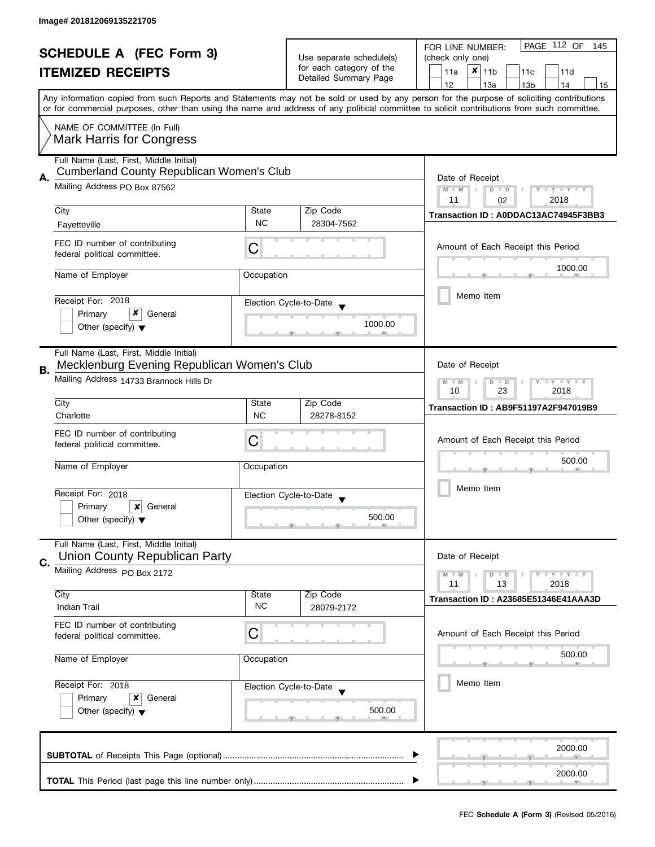| <b>SCHEDULE A (FEC Form 3)</b> |                                                                                        | Use separate schedule(s)                                       | PAGE 112 OF<br>FOR LINE NUMBER:<br>145 |                                                                                                                                                                                                                                                                                         |  |
|--------------------------------|----------------------------------------------------------------------------------------|----------------------------------------------------------------|----------------------------------------|-----------------------------------------------------------------------------------------------------------------------------------------------------------------------------------------------------------------------------------------------------------------------------------------|--|
|                                |                                                                                        |                                                                | (check only one)                       |                                                                                                                                                                                                                                                                                         |  |
|                                | <b>ITEMIZED RECEIPTS</b>                                                               |                                                                | for each category of the               | $x$   11b<br>11a<br>11c<br>11d                                                                                                                                                                                                                                                          |  |
|                                |                                                                                        |                                                                | Detailed Summary Page                  | 12<br>13a<br>13 <sub>b</sub><br>14<br>15                                                                                                                                                                                                                                                |  |
|                                |                                                                                        |                                                                |                                        | Any information copied from such Reports and Statements may not be sold or used by any person for the purpose of soliciting contributions<br>or for commercial purposes, other than using the name and address of any political committee to solicit contributions from such committee. |  |
|                                |                                                                                        |                                                                |                                        |                                                                                                                                                                                                                                                                                         |  |
|                                | NAME OF COMMITTEE (In Full)<br><b>Mark Harris for Congress</b>                         |                                                                |                                        |                                                                                                                                                                                                                                                                                         |  |
|                                | Full Name (Last, First, Middle Initial)                                                |                                                                |                                        |                                                                                                                                                                                                                                                                                         |  |
| А.                             | <b>Cumberland County Republican Women's Club</b>                                       |                                                                |                                        | Date of Receipt                                                                                                                                                                                                                                                                         |  |
|                                | Mailing Address PO Box 87562                                                           | $M - M$<br>$T - Y = T - Y$<br>$D$ $D$<br>Y<br>11<br>2018<br>02 |                                        |                                                                                                                                                                                                                                                                                         |  |
|                                | City                                                                                   | State                                                          | Zip Code                               |                                                                                                                                                                                                                                                                                         |  |
|                                | Fayetteville                                                                           | <b>NC</b>                                                      | 28304-7562                             | Transaction ID: A0DDAC13AC74945F3BB3                                                                                                                                                                                                                                                    |  |
|                                | FEC ID number of contributing<br>federal political committee.                          | C                                                              |                                        | Amount of Each Receipt this Period                                                                                                                                                                                                                                                      |  |
|                                | Name of Employer                                                                       | Occupation                                                     |                                        | 1000.00                                                                                                                                                                                                                                                                                 |  |
|                                |                                                                                        |                                                                |                                        |                                                                                                                                                                                                                                                                                         |  |
|                                | Receipt For: 2018                                                                      |                                                                | Election Cycle-to-Date                 | Memo Item                                                                                                                                                                                                                                                                               |  |
|                                | x<br>Primary<br>General                                                                |                                                                |                                        |                                                                                                                                                                                                                                                                                         |  |
|                                | Other (specify) $\blacktriangledown$                                                   |                                                                | 1000.00                                |                                                                                                                                                                                                                                                                                         |  |
|                                | Full Name (Last, First, Middle Initial)<br>Mecklenburg Evening Republican Women's Club |                                                                |                                        | Date of Receipt                                                                                                                                                                                                                                                                         |  |
| В.                             | Mailing Address 14733 Brannock Hills Dr                                                |                                                                |                                        | Y LY LY<br>$M - M$<br>D<br>$\Box$                                                                                                                                                                                                                                                       |  |
|                                |                                                                                        |                                                                |                                        | 23<br>2018<br>10                                                                                                                                                                                                                                                                        |  |
|                                | City<br>Charlotte                                                                      | State<br><b>NC</b>                                             | Zip Code<br>28278-8152                 | Transaction ID: AB9F51197A2F947019B9                                                                                                                                                                                                                                                    |  |
|                                |                                                                                        |                                                                |                                        |                                                                                                                                                                                                                                                                                         |  |
|                                | FEC ID number of contributing<br>federal political committee.                          | C                                                              |                                        | Amount of Each Receipt this Period                                                                                                                                                                                                                                                      |  |
|                                |                                                                                        |                                                                |                                        |                                                                                                                                                                                                                                                                                         |  |
|                                | Name of Employer                                                                       | Occupation                                                     |                                        | 500.00                                                                                                                                                                                                                                                                                  |  |
|                                |                                                                                        |                                                                |                                        | Memo Item                                                                                                                                                                                                                                                                               |  |
|                                | Receipt For: 2018                                                                      |                                                                | Election Cycle-to-Date                 |                                                                                                                                                                                                                                                                                         |  |
|                                | Primary<br>General<br>×<br>Other (specify) $\blacktriangledown$                        |                                                                | 500.00                                 |                                                                                                                                                                                                                                                                                         |  |
|                                | Full Name (Last, First, Middle Initial)                                                |                                                                |                                        |                                                                                                                                                                                                                                                                                         |  |
| C.                             | <b>Union County Republican Party</b>                                                   |                                                                |                                        | Date of Receipt                                                                                                                                                                                                                                                                         |  |
|                                | Mailing Address PO Box 2172                                                            |                                                                |                                        | Y LY LY<br>$M - M$<br>$D$ $D$<br>13<br>2018<br>11                                                                                                                                                                                                                                       |  |
|                                | City                                                                                   | State                                                          | Zip Code                               | Transaction ID: A23685E51346E41AAA3D                                                                                                                                                                                                                                                    |  |
|                                | <b>Indian Trail</b>                                                                    | <b>NC</b>                                                      | 28079-2172                             |                                                                                                                                                                                                                                                                                         |  |
|                                | FEC ID number of contributing<br>federal political committee.                          | С                                                              |                                        | Amount of Each Receipt this Period                                                                                                                                                                                                                                                      |  |
|                                | Name of Employer                                                                       | Occupation                                                     |                                        | 500.00                                                                                                                                                                                                                                                                                  |  |
|                                | Receipt For: 2018<br>Election Cycle-to-Date<br>Primary<br>x<br>General                 |                                                                |                                        | Memo Item                                                                                                                                                                                                                                                                               |  |
|                                |                                                                                        |                                                                |                                        |                                                                                                                                                                                                                                                                                         |  |
|                                | Other (specify) $\blacktriangledown$                                                   |                                                                | 500.00                                 |                                                                                                                                                                                                                                                                                         |  |
|                                |                                                                                        |                                                                |                                        | 2000.00                                                                                                                                                                                                                                                                                 |  |
|                                |                                                                                        |                                                                |                                        |                                                                                                                                                                                                                                                                                         |  |
|                                |                                                                                        |                                                                |                                        | 2000.00                                                                                                                                                                                                                                                                                 |  |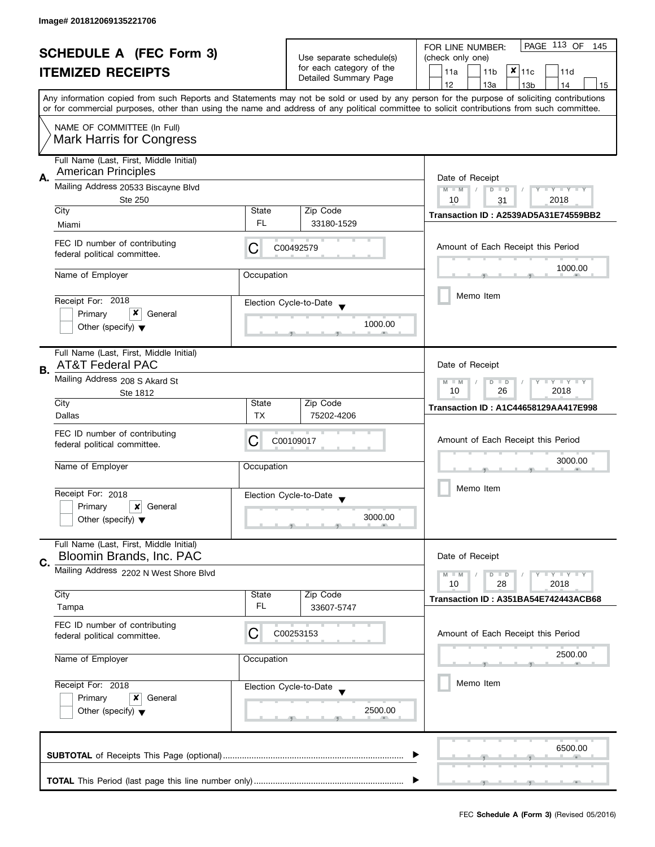| <b>SCHEDULE A (FEC Form 3)</b> |                                                                                                                                                  |                                                          |                                                      | PAGE 113 OF<br>FOR LINE NUMBER:<br>145                                                                                                                                                                                                                                                  |  |  |
|--------------------------------|--------------------------------------------------------------------------------------------------------------------------------------------------|----------------------------------------------------------|------------------------------------------------------|-----------------------------------------------------------------------------------------------------------------------------------------------------------------------------------------------------------------------------------------------------------------------------------------|--|--|
|                                | <b>ITEMIZED RECEIPTS</b>                                                                                                                         |                                                          | Use separate schedule(s)<br>for each category of the | (check only one)                                                                                                                                                                                                                                                                        |  |  |
|                                |                                                                                                                                                  |                                                          | Detailed Summary Page                                | $x _{11c}$<br>11a<br>11 <sub>b</sub><br>11d                                                                                                                                                                                                                                             |  |  |
|                                |                                                                                                                                                  |                                                          |                                                      | 12<br>13a<br>13 <sub>b</sub><br>14<br>15                                                                                                                                                                                                                                                |  |  |
|                                |                                                                                                                                                  |                                                          |                                                      | Any information copied from such Reports and Statements may not be sold or used by any person for the purpose of soliciting contributions<br>or for commercial purposes, other than using the name and address of any political committee to solicit contributions from such committee. |  |  |
|                                | NAME OF COMMITTEE (In Full)                                                                                                                      |                                                          |                                                      |                                                                                                                                                                                                                                                                                         |  |  |
|                                | <b>Mark Harris for Congress</b>                                                                                                                  |                                                          |                                                      |                                                                                                                                                                                                                                                                                         |  |  |
|                                | Full Name (Last, First, Middle Initial)<br><b>American Principles</b>                                                                            |                                                          |                                                      |                                                                                                                                                                                                                                                                                         |  |  |
| А.                             | Mailing Address 20533 Biscayne Blvd                                                                                                              | Date of Receipt<br>$M - M$<br>$D$ $D$<br>$T + Y = Y + Y$ |                                                      |                                                                                                                                                                                                                                                                                         |  |  |
|                                | Ste 250                                                                                                                                          |                                                          |                                                      | 2018<br>10<br>31                                                                                                                                                                                                                                                                        |  |  |
|                                | City                                                                                                                                             | State                                                    | Zip Code                                             | Transaction ID: A2539AD5A31E74559BB2                                                                                                                                                                                                                                                    |  |  |
|                                | Miami                                                                                                                                            | FL.                                                      | 33180-1529                                           |                                                                                                                                                                                                                                                                                         |  |  |
|                                | FEC ID number of contributing<br>federal political committee.                                                                                    | С                                                        | C00492579                                            | Amount of Each Receipt this Period                                                                                                                                                                                                                                                      |  |  |
|                                | Name of Employer                                                                                                                                 | Occupation                                               |                                                      | 1000.00                                                                                                                                                                                                                                                                                 |  |  |
|                                |                                                                                                                                                  |                                                          |                                                      |                                                                                                                                                                                                                                                                                         |  |  |
|                                | Receipt For: 2018                                                                                                                                |                                                          | Election Cycle-to-Date                               | Memo Item                                                                                                                                                                                                                                                                               |  |  |
|                                | x<br>Primary<br>General                                                                                                                          |                                                          |                                                      |                                                                                                                                                                                                                                                                                         |  |  |
|                                | Other (specify) $\blacktriangledown$                                                                                                             |                                                          | 1000.00                                              |                                                                                                                                                                                                                                                                                         |  |  |
|                                | Full Name (Last, First, Middle Initial)                                                                                                          |                                                          |                                                      |                                                                                                                                                                                                                                                                                         |  |  |
| В.                             | <b>AT&amp;T Federal PAC</b>                                                                                                                      |                                                          | Date of Receipt                                      |                                                                                                                                                                                                                                                                                         |  |  |
|                                | Mailing Address 208 S Akard St<br>Ste 1812                                                                                                       |                                                          |                                                      | $\bot$ $\gamma$ $\bot$ $\gamma$ $\bot$ $\gamma$<br>$M - M$<br>D<br>$\Box$<br>26<br>2018<br>10                                                                                                                                                                                           |  |  |
|                                | City<br>Dallas                                                                                                                                   | State<br><b>TX</b>                                       | Zip Code<br>75202-4206                               | <b>Transaction ID: A1C44658129AA417E998</b>                                                                                                                                                                                                                                             |  |  |
|                                |                                                                                                                                                  |                                                          |                                                      |                                                                                                                                                                                                                                                                                         |  |  |
|                                | FEC ID number of contributing<br>federal political committee.                                                                                    | C                                                        | C00109017                                            | Amount of Each Receipt this Period                                                                                                                                                                                                                                                      |  |  |
|                                |                                                                                                                                                  |                                                          |                                                      |                                                                                                                                                                                                                                                                                         |  |  |
|                                | Name of Employer                                                                                                                                 | Occupation                                               |                                                      | 3000.00                                                                                                                                                                                                                                                                                 |  |  |
|                                |                                                                                                                                                  |                                                          |                                                      | Memo Item                                                                                                                                                                                                                                                                               |  |  |
|                                | Receipt For: 2018                                                                                                                                |                                                          | Election Cycle-to-Date<br>$\blacktriangledown$       |                                                                                                                                                                                                                                                                                         |  |  |
|                                | Primary<br>$\boldsymbol{x}$<br>General                                                                                                           |                                                          | 3000.00                                              |                                                                                                                                                                                                                                                                                         |  |  |
|                                | Other (specify) $\blacktriangledown$                                                                                                             |                                                          |                                                      |                                                                                                                                                                                                                                                                                         |  |  |
|                                | Full Name (Last, First, Middle Initial)                                                                                                          |                                                          |                                                      |                                                                                                                                                                                                                                                                                         |  |  |
| C.                             | Bloomin Brands, Inc. PAC                                                                                                                         |                                                          |                                                      | Date of Receipt                                                                                                                                                                                                                                                                         |  |  |
|                                | Mailing Address 2202 N West Shore Blvd                                                                                                           |                                                          |                                                      | $\bot$ Y $\bot$ Y $\bot$ Y<br>$M - M$<br>$D$ $D$<br>10<br>28                                                                                                                                                                                                                            |  |  |
|                                | City                                                                                                                                             | State                                                    | Zip Code                                             | 2018                                                                                                                                                                                                                                                                                    |  |  |
|                                | Tampa                                                                                                                                            | FL                                                       | 33607-5747                                           | Transaction ID: A351BA54E742443ACB68                                                                                                                                                                                                                                                    |  |  |
|                                | FEC ID number of contributing                                                                                                                    |                                                          |                                                      |                                                                                                                                                                                                                                                                                         |  |  |
|                                | federal political committee.                                                                                                                     | С                                                        | C00253153                                            | Amount of Each Receipt this Period                                                                                                                                                                                                                                                      |  |  |
|                                |                                                                                                                                                  |                                                          |                                                      | 2500.00                                                                                                                                                                                                                                                                                 |  |  |
|                                | Name of Employer<br>Occupation<br>Receipt For: 2018<br>Election Cycle-to-Date<br>Primary<br>General<br>x<br>Other (specify) $\blacktriangledown$ |                                                          |                                                      |                                                                                                                                                                                                                                                                                         |  |  |
|                                |                                                                                                                                                  |                                                          |                                                      | Memo Item                                                                                                                                                                                                                                                                               |  |  |
|                                |                                                                                                                                                  |                                                          |                                                      |                                                                                                                                                                                                                                                                                         |  |  |
|                                |                                                                                                                                                  |                                                          | 2500.00                                              |                                                                                                                                                                                                                                                                                         |  |  |
|                                |                                                                                                                                                  |                                                          |                                                      |                                                                                                                                                                                                                                                                                         |  |  |
|                                |                                                                                                                                                  |                                                          |                                                      |                                                                                                                                                                                                                                                                                         |  |  |
|                                |                                                                                                                                                  |                                                          |                                                      | 6500.00                                                                                                                                                                                                                                                                                 |  |  |
|                                |                                                                                                                                                  |                                                          |                                                      |                                                                                                                                                                                                                                                                                         |  |  |
|                                |                                                                                                                                                  |                                                          |                                                      |                                                                                                                                                                                                                                                                                         |  |  |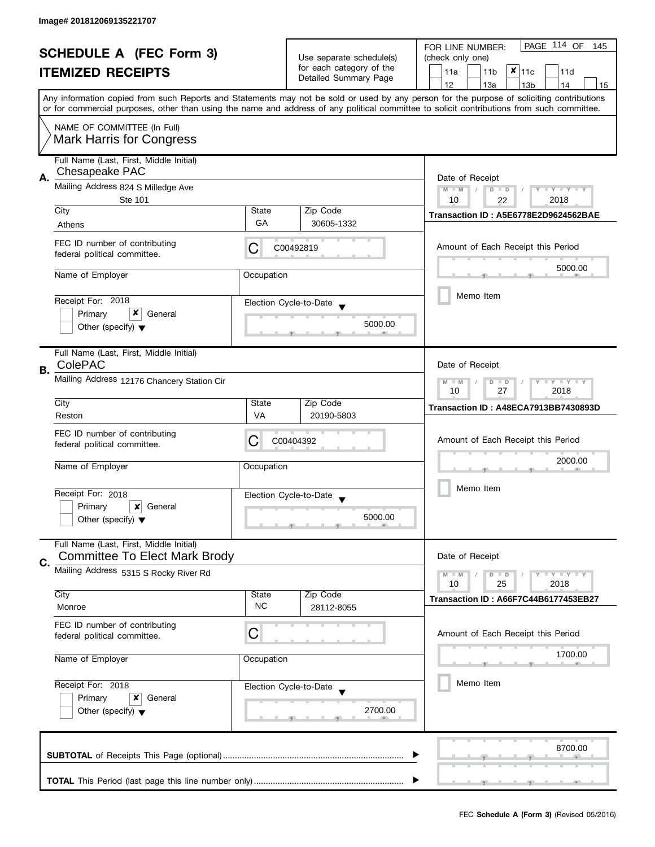|    | <b>SCHEDULE A (FEC Form 3)</b><br><b>ITEMIZED RECEIPTS</b>                                                         |                    | Use separate schedule(s)<br>for each category of the<br>Detailed Summary Page | PAGE 114 OF<br>FOR LINE NUMBER:<br>145<br>(check only one)<br>$x _{11c}$<br>11a<br>11 <sub>b</sub><br>11d<br>12<br>13a<br>13 <sub>b</sub><br>14<br>15<br>Any information copied from such Reports and Statements may not be sold or used by any person for the purpose of soliciting contributions |
|----|--------------------------------------------------------------------------------------------------------------------|--------------------|-------------------------------------------------------------------------------|----------------------------------------------------------------------------------------------------------------------------------------------------------------------------------------------------------------------------------------------------------------------------------------------------|
|    | NAME OF COMMITTEE (In Full)<br><b>Mark Harris for Congress</b>                                                     |                    |                                                                               | or for commercial purposes, other than using the name and address of any political committee to solicit contributions from such committee.                                                                                                                                                         |
| А. | Full Name (Last, First, Middle Initial)<br>Chesapeake PAC<br>Mailing Address 824 S Milledge Ave<br>Ste 101<br>City |                    | Zip Code                                                                      | Date of Receipt<br>$M - M$<br>$D$ $D$<br>$Y - Y - Y - Y - Y$<br>10<br>2018<br>22<br>Transaction ID: A5E6778E2D9624562BAE                                                                                                                                                                           |
|    | Athens<br>FEC ID number of contributing                                                                            | GA                 | 30605-1332                                                                    |                                                                                                                                                                                                                                                                                                    |
|    | federal political committee.                                                                                       | C                  | C00492819                                                                     | Amount of Each Receipt this Period<br>5000.00                                                                                                                                                                                                                                                      |
|    | Name of Employer<br>Receipt For: 2018                                                                              | Occupation         | Election Cycle-to-Date                                                        | Memo Item                                                                                                                                                                                                                                                                                          |
|    | x<br>Primary<br>General<br>Other (specify) $\blacktriangledown$                                                    |                    | 5000.00                                                                       |                                                                                                                                                                                                                                                                                                    |
| В. | Full Name (Last, First, Middle Initial)<br>ColePAC<br>Mailing Address 12176 Chancery Station Cir                   |                    |                                                                               | Date of Receipt<br>$\bot$ Y $\bot$ Y $\bot$ Y<br>$M - M$                                                                                                                                                                                                                                           |
|    | City                                                                                                               | Zip Code<br>State  |                                                                               | $\overline{D}$<br>$\Box$<br>27<br>2018<br>10<br>Transaction ID: A48ECA7913BB7430893D                                                                                                                                                                                                               |
|    | Reston                                                                                                             | VA                 | 20190-5803                                                                    |                                                                                                                                                                                                                                                                                                    |
|    | FEC ID number of contributing<br>federal political committee.                                                      | C                  | C00404392                                                                     | Amount of Each Receipt this Period<br>2000.00                                                                                                                                                                                                                                                      |
|    | Name of Employer                                                                                                   | Occupation         |                                                                               |                                                                                                                                                                                                                                                                                                    |
|    | Receipt For: 2018<br>Primary<br>×<br>General<br>Other (specify) $\blacktriangledown$                               |                    | Election Cycle-to-Date<br>5000.00                                             | Memo Item                                                                                                                                                                                                                                                                                          |
| C. | Full Name (Last, First, Middle Initial)<br><b>Committee To Elect Mark Brody</b>                                    |                    |                                                                               | Date of Receipt                                                                                                                                                                                                                                                                                    |
|    | Mailing Address 5315 S Rocky River Rd                                                                              |                    |                                                                               | $M - M$<br>$Y - Y - Y$<br>$D$ $D$<br>10<br>25<br>2018                                                                                                                                                                                                                                              |
|    | City<br>Monroe                                                                                                     | State<br><b>NC</b> | Zip Code<br>28112-8055                                                        | Transaction ID: A66F7C44B6177453EB27                                                                                                                                                                                                                                                               |
|    | FEC ID number of contributing<br>federal political committee.                                                      | С                  |                                                                               | Amount of Each Receipt this Period                                                                                                                                                                                                                                                                 |
|    | Name of Employer                                                                                                   | Occupation         |                                                                               | 1700.00                                                                                                                                                                                                                                                                                            |
|    | Receipt For: 2018<br>Primary<br>General<br>x<br>Other (specify) $\blacktriangledown$                               |                    | Election Cycle-to-Date<br>2700.00                                             | Memo Item                                                                                                                                                                                                                                                                                          |
|    |                                                                                                                    |                    |                                                                               | 8700.00                                                                                                                                                                                                                                                                                            |
|    |                                                                                                                    |                    |                                                                               |                                                                                                                                                                                                                                                                                                    |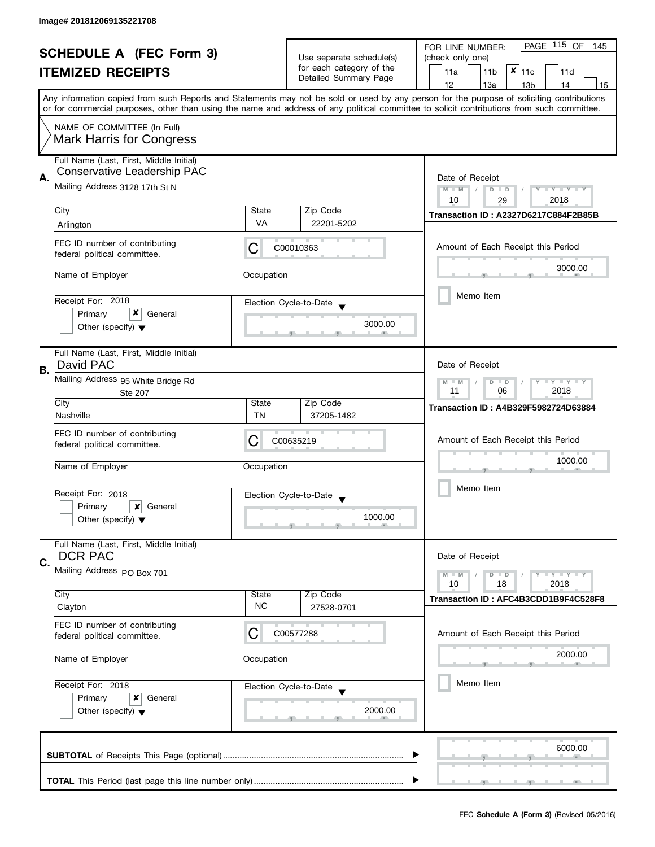| <b>SCHEDULE A (FEC Form 3)</b><br><b>ITEMIZED RECEIPTS</b> |                                                                                                          |                                                              | PAGE 115 OF<br>FOR LINE NUMBER:<br>145                                        |                                                                                                                                                                                                                                                                                         |
|------------------------------------------------------------|----------------------------------------------------------------------------------------------------------|--------------------------------------------------------------|-------------------------------------------------------------------------------|-----------------------------------------------------------------------------------------------------------------------------------------------------------------------------------------------------------------------------------------------------------------------------------------|
|                                                            |                                                                                                          |                                                              | Use separate schedule(s)<br>for each category of the<br>Detailed Summary Page | (check only one)                                                                                                                                                                                                                                                                        |
|                                                            |                                                                                                          |                                                              |                                                                               | $x _{11c}$<br>11a<br>11 <sub>b</sub><br>11d                                                                                                                                                                                                                                             |
|                                                            |                                                                                                          |                                                              |                                                                               | 12<br>13a<br>13 <sub>b</sub><br>14<br>15                                                                                                                                                                                                                                                |
|                                                            |                                                                                                          |                                                              |                                                                               | Any information copied from such Reports and Statements may not be sold or used by any person for the purpose of soliciting contributions<br>or for commercial purposes, other than using the name and address of any political committee to solicit contributions from such committee. |
|                                                            | NAME OF COMMITTEE (In Full)<br><b>Mark Harris for Congress</b>                                           |                                                              |                                                                               |                                                                                                                                                                                                                                                                                         |
|                                                            |                                                                                                          |                                                              |                                                                               |                                                                                                                                                                                                                                                                                         |
|                                                            | Full Name (Last, First, Middle Initial)<br><b>Conservative Leadership PAC</b>                            |                                                              |                                                                               |                                                                                                                                                                                                                                                                                         |
| Α.                                                         | Mailing Address 3128 17th St N                                                                           | Date of Receipt<br>$Y - Y - Y - Y - Y$<br>$M - M$<br>$D$ $D$ |                                                                               |                                                                                                                                                                                                                                                                                         |
|                                                            |                                                                                                          |                                                              |                                                                               | 10<br>2018<br>29                                                                                                                                                                                                                                                                        |
|                                                            | City                                                                                                     | State                                                        | Zip Code                                                                      | Transaction ID: A2327D6217C884F2B85B                                                                                                                                                                                                                                                    |
|                                                            | Arlington                                                                                                | VA                                                           | 22201-5202                                                                    |                                                                                                                                                                                                                                                                                         |
|                                                            | FEC ID number of contributing<br>federal political committee.                                            | С                                                            | C00010363                                                                     | Amount of Each Receipt this Period                                                                                                                                                                                                                                                      |
|                                                            | Name of Employer                                                                                         | Occupation                                                   |                                                                               | 3000.00                                                                                                                                                                                                                                                                                 |
|                                                            |                                                                                                          |                                                              |                                                                               |                                                                                                                                                                                                                                                                                         |
|                                                            | Receipt For: 2018                                                                                        |                                                              | Election Cycle-to-Date                                                        | Memo Item                                                                                                                                                                                                                                                                               |
|                                                            | x<br>Primary<br>General                                                                                  |                                                              |                                                                               |                                                                                                                                                                                                                                                                                         |
|                                                            | Other (specify) $\blacktriangledown$                                                                     |                                                              | 3000.00                                                                       |                                                                                                                                                                                                                                                                                         |
|                                                            | Full Name (Last, First, Middle Initial)                                                                  |                                                              |                                                                               |                                                                                                                                                                                                                                                                                         |
| В.                                                         | David PAC                                                                                                |                                                              |                                                                               | Date of Receipt                                                                                                                                                                                                                                                                         |
|                                                            | Mailing Address 95 White Bridge Rd<br>Ste 207                                                            |                                                              |                                                                               | $T - Y = T - Y$<br>$M - M$<br>$D$ $D$<br>11<br>06<br>2018                                                                                                                                                                                                                               |
|                                                            | City                                                                                                     | State                                                        | Zip Code                                                                      | Transaction ID: A4B329F5982724D63884                                                                                                                                                                                                                                                    |
|                                                            | Nashville                                                                                                | TN                                                           | 37205-1482                                                                    |                                                                                                                                                                                                                                                                                         |
|                                                            | FEC ID number of contributing<br>federal political committee.                                            | C                                                            | C00635219                                                                     | Amount of Each Receipt this Period                                                                                                                                                                                                                                                      |
|                                                            |                                                                                                          |                                                              |                                                                               | 1000.00                                                                                                                                                                                                                                                                                 |
|                                                            | Name of Employer                                                                                         | Occupation                                                   |                                                                               |                                                                                                                                                                                                                                                                                         |
|                                                            | Receipt For: 2018                                                                                        |                                                              | Election Cycle-to-Date                                                        | Memo Item                                                                                                                                                                                                                                                                               |
|                                                            | Primary<br>General<br>x                                                                                  |                                                              |                                                                               |                                                                                                                                                                                                                                                                                         |
|                                                            | Other (specify) $\blacktriangledown$                                                                     |                                                              | 1000.00                                                                       |                                                                                                                                                                                                                                                                                         |
|                                                            | Full Name (Last, First, Middle Initial)<br><b>DCR PAC</b>                                                |                                                              |                                                                               | Date of Receipt                                                                                                                                                                                                                                                                         |
| C.                                                         |                                                                                                          |                                                              |                                                                               |                                                                                                                                                                                                                                                                                         |
|                                                            | Mailing Address PO Box 701                                                                               |                                                              |                                                                               | $T - Y = T - Y$<br>$M - M$<br>$D$ $D$<br>10<br>18<br>2018                                                                                                                                                                                                                               |
|                                                            | City                                                                                                     | State                                                        | Zip Code                                                                      |                                                                                                                                                                                                                                                                                         |
|                                                            | Clayton                                                                                                  | <b>NC</b>                                                    | 27528-0701                                                                    | Transaction ID: AFC4B3CDD1B9F4C528F8                                                                                                                                                                                                                                                    |
|                                                            | FEC ID number of contributing<br>federal political committee.                                            | С                                                            | C00577288                                                                     | Amount of Each Receipt this Period                                                                                                                                                                                                                                                      |
|                                                            | Name of Employer<br>Occupation<br>Receipt For: 2018<br>Election Cycle-to-Date<br>Primary<br>x<br>General |                                                              |                                                                               | 2000.00                                                                                                                                                                                                                                                                                 |
|                                                            |                                                                                                          |                                                              |                                                                               | Memo Item                                                                                                                                                                                                                                                                               |
|                                                            |                                                                                                          |                                                              |                                                                               |                                                                                                                                                                                                                                                                                         |
|                                                            | Other (specify) $\blacktriangledown$                                                                     |                                                              | 2000.00                                                                       |                                                                                                                                                                                                                                                                                         |
|                                                            |                                                                                                          |                                                              |                                                                               | 6000.00                                                                                                                                                                                                                                                                                 |
|                                                            |                                                                                                          |                                                              |                                                                               |                                                                                                                                                                                                                                                                                         |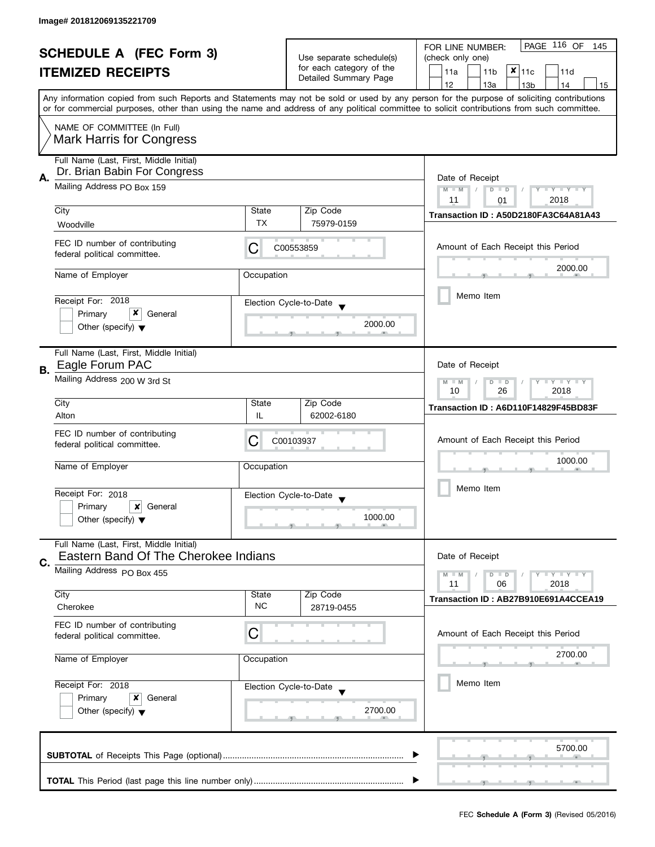| <b>SCHEDULE A (FEC Form 3)</b><br><b>ITEMIZED RECEIPTS</b> |                                                                |                                                           | PAGE 116 OF<br>FOR LINE NUMBER:<br>145 |                                                                                                                                                                                                                                                                                         |
|------------------------------------------------------------|----------------------------------------------------------------|-----------------------------------------------------------|----------------------------------------|-----------------------------------------------------------------------------------------------------------------------------------------------------------------------------------------------------------------------------------------------------------------------------------------|
|                                                            |                                                                | Use separate schedule(s)                                  | (check only one)                       |                                                                                                                                                                                                                                                                                         |
|                                                            |                                                                |                                                           | for each category of the               | $x _{11c}$<br>11a<br>11 <sub>b</sub><br>11d                                                                                                                                                                                                                                             |
|                                                            |                                                                |                                                           | Detailed Summary Page                  | 12<br>13a<br>13 <sub>b</sub><br>14<br>15                                                                                                                                                                                                                                                |
|                                                            |                                                                |                                                           |                                        | Any information copied from such Reports and Statements may not be sold or used by any person for the purpose of soliciting contributions<br>or for commercial purposes, other than using the name and address of any political committee to solicit contributions from such committee. |
|                                                            |                                                                |                                                           |                                        |                                                                                                                                                                                                                                                                                         |
|                                                            | NAME OF COMMITTEE (In Full)<br><b>Mark Harris for Congress</b> |                                                           |                                        |                                                                                                                                                                                                                                                                                         |
|                                                            | Full Name (Last, First, Middle Initial)                        |                                                           |                                        |                                                                                                                                                                                                                                                                                         |
| Α.                                                         | Dr. Brian Babin For Congress                                   | Date of Receipt                                           |                                        |                                                                                                                                                                                                                                                                                         |
|                                                            | Mailing Address PO Box 159                                     |                                                           |                                        | $M - M$<br>$Y - Y - Y - Y - Y$<br>$\overline{D}$<br>$\Box$                                                                                                                                                                                                                              |
|                                                            |                                                                |                                                           |                                        | 2018<br>11<br>01                                                                                                                                                                                                                                                                        |
|                                                            | City                                                           | State<br>TX                                               | Zip Code                               | Transaction ID: A50D2180FA3C64A81A43                                                                                                                                                                                                                                                    |
|                                                            | Woodville                                                      |                                                           | 75979-0159                             |                                                                                                                                                                                                                                                                                         |
|                                                            | FEC ID number of contributing<br>federal political committee.  | С                                                         | C00553859                              | Amount of Each Receipt this Period                                                                                                                                                                                                                                                      |
|                                                            | Name of Employer                                               | Occupation                                                |                                        | 2000.00                                                                                                                                                                                                                                                                                 |
|                                                            |                                                                |                                                           |                                        |                                                                                                                                                                                                                                                                                         |
|                                                            | Receipt For: 2018                                              |                                                           | Election Cycle-to-Date                 | Memo Item                                                                                                                                                                                                                                                                               |
|                                                            | x<br>Primary<br>General                                        |                                                           |                                        |                                                                                                                                                                                                                                                                                         |
|                                                            | Other (specify) $\blacktriangledown$                           |                                                           | 2000.00                                |                                                                                                                                                                                                                                                                                         |
|                                                            | Full Name (Last, First, Middle Initial)                        |                                                           |                                        |                                                                                                                                                                                                                                                                                         |
| В.                                                         | Eagle Forum PAC                                                |                                                           |                                        | Date of Receipt                                                                                                                                                                                                                                                                         |
|                                                            | Mailing Address 200 W 3rd St                                   | $Y = Y = Y$<br>$M - M$<br>D<br>$\Box$<br>26<br>2018<br>10 |                                        |                                                                                                                                                                                                                                                                                         |
|                                                            | City                                                           | State                                                     | Zip Code                               | Transaction ID: A6D110F14829F45BD83F                                                                                                                                                                                                                                                    |
|                                                            | Alton                                                          | IL                                                        | 62002-6180                             |                                                                                                                                                                                                                                                                                         |
|                                                            | FEC ID number of contributing                                  | С                                                         | C00103937                              | Amount of Each Receipt this Period                                                                                                                                                                                                                                                      |
|                                                            | federal political committee.                                   |                                                           |                                        |                                                                                                                                                                                                                                                                                         |
|                                                            | Name of Employer                                               | Occupation                                                |                                        | 1000.00                                                                                                                                                                                                                                                                                 |
|                                                            |                                                                |                                                           |                                        |                                                                                                                                                                                                                                                                                         |
|                                                            | Receipt For: 2018                                              |                                                           | Election Cycle-to-Date                 | Memo Item                                                                                                                                                                                                                                                                               |
|                                                            | Primary<br>$\boldsymbol{\mathsf{x}}$<br>General                |                                                           |                                        |                                                                                                                                                                                                                                                                                         |
|                                                            | Other (specify) $\blacktriangledown$                           |                                                           | 1000.00                                |                                                                                                                                                                                                                                                                                         |
|                                                            | Full Name (Last, First, Middle Initial)                        |                                                           |                                        |                                                                                                                                                                                                                                                                                         |
| C.                                                         | Eastern Band Of The Cherokee Indians                           |                                                           |                                        | Date of Receipt                                                                                                                                                                                                                                                                         |
|                                                            | Mailing Address PO Box 455                                     |                                                           |                                        | $Y = Y = Y$<br>$M - M$<br>$D$ $D$                                                                                                                                                                                                                                                       |
|                                                            | City                                                           | State                                                     | Zip Code                               | 2018<br>11<br>06                                                                                                                                                                                                                                                                        |
|                                                            | Cherokee                                                       | <b>NC</b>                                                 | 28719-0455                             | Transaction ID: AB27B910E691A4CCEA19                                                                                                                                                                                                                                                    |
|                                                            | FEC ID number of contributing                                  |                                                           |                                        |                                                                                                                                                                                                                                                                                         |
|                                                            | federal political committee.                                   | C                                                         |                                        | Amount of Each Receipt this Period                                                                                                                                                                                                                                                      |
|                                                            |                                                                |                                                           |                                        | 2700.00                                                                                                                                                                                                                                                                                 |
|                                                            | Name of Employer<br>Occupation<br>Receipt For: 2018            |                                                           |                                        |                                                                                                                                                                                                                                                                                         |
|                                                            |                                                                |                                                           | Election Cycle-to-Date                 | Memo Item                                                                                                                                                                                                                                                                               |
| Primary<br>General<br>x                                    |                                                                |                                                           |                                        |                                                                                                                                                                                                                                                                                         |
|                                                            | Other (specify) $\blacktriangledown$                           |                                                           | 2700.00                                |                                                                                                                                                                                                                                                                                         |
|                                                            |                                                                |                                                           |                                        |                                                                                                                                                                                                                                                                                         |
|                                                            |                                                                |                                                           |                                        | 5700.00                                                                                                                                                                                                                                                                                 |
|                                                            |                                                                |                                                           |                                        |                                                                                                                                                                                                                                                                                         |
|                                                            |                                                                |                                                           |                                        |                                                                                                                                                                                                                                                                                         |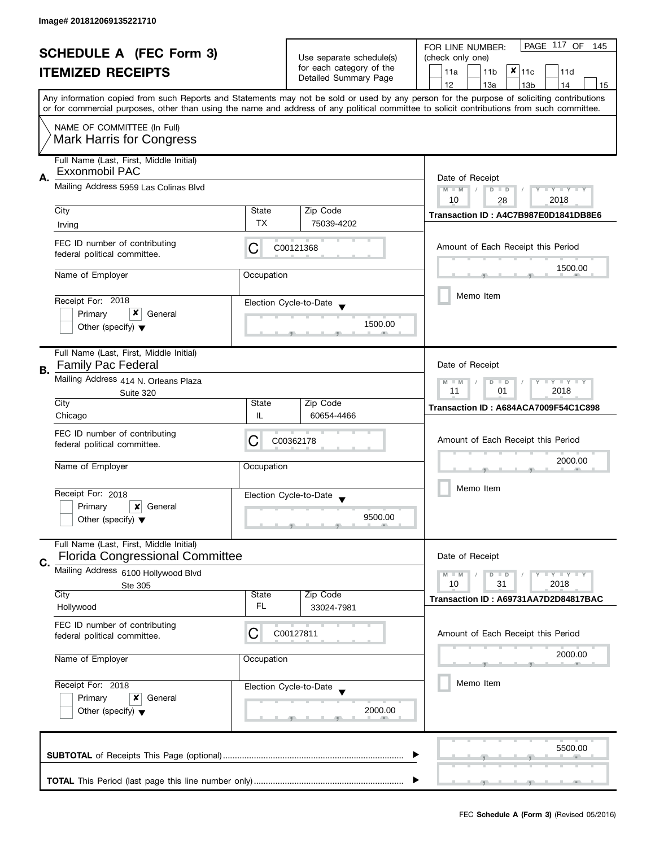| <b>SCHEDULE A (FEC Form 3)</b> |                                                                                                                |                 | PAGE 117 OF<br>FOR LINE NUMBER:<br>- 145           |                                                                                                                                                                                                                                                                                         |
|--------------------------------|----------------------------------------------------------------------------------------------------------------|-----------------|----------------------------------------------------|-----------------------------------------------------------------------------------------------------------------------------------------------------------------------------------------------------------------------------------------------------------------------------------------|
|                                | <b>ITEMIZED RECEIPTS</b>                                                                                       |                 | Use separate schedule(s)                           | (check only one)                                                                                                                                                                                                                                                                        |
|                                |                                                                                                                |                 | for each category of the<br>Detailed Summary Page  | $x _{11c}$<br>11a<br>11 <sub>b</sub><br>11d                                                                                                                                                                                                                                             |
|                                |                                                                                                                |                 |                                                    | 12<br>13a<br>13 <sub>b</sub><br>14<br>15                                                                                                                                                                                                                                                |
|                                |                                                                                                                |                 |                                                    | Any information copied from such Reports and Statements may not be sold or used by any person for the purpose of soliciting contributions<br>or for commercial purposes, other than using the name and address of any political committee to solicit contributions from such committee. |
|                                | NAME OF COMMITTEE (In Full)                                                                                    |                 |                                                    |                                                                                                                                                                                                                                                                                         |
|                                | <b>Mark Harris for Congress</b>                                                                                |                 |                                                    |                                                                                                                                                                                                                                                                                         |
|                                | Full Name (Last, First, Middle Initial)                                                                        |                 |                                                    |                                                                                                                                                                                                                                                                                         |
| Α.                             | Exxonmobil PAC                                                                                                 | Date of Receipt |                                                    |                                                                                                                                                                                                                                                                                         |
|                                | Mailing Address 5959 Las Colinas Blvd                                                                          |                 |                                                    | $M - M$<br>Y I Y I Y I Y<br>$D$ $D$                                                                                                                                                                                                                                                     |
|                                | City                                                                                                           | State           | Zip Code                                           | 10<br>2018<br>28                                                                                                                                                                                                                                                                        |
|                                | Irving                                                                                                         | TX              | 75039-4202                                         | Transaction ID: A4C7B987E0D1841DB8E6                                                                                                                                                                                                                                                    |
|                                |                                                                                                                |                 |                                                    |                                                                                                                                                                                                                                                                                         |
|                                | FEC ID number of contributing<br>federal political committee.                                                  | С               | C00121368                                          | Amount of Each Receipt this Period                                                                                                                                                                                                                                                      |
|                                | Name of Employer                                                                                               | Occupation      |                                                    | 1500.00                                                                                                                                                                                                                                                                                 |
|                                |                                                                                                                |                 |                                                    | Memo Item                                                                                                                                                                                                                                                                               |
|                                | Receipt For: 2018                                                                                              |                 | Election Cycle-to-Date                             |                                                                                                                                                                                                                                                                                         |
|                                | x<br>Primary<br>General<br>Other (specify) $\blacktriangledown$                                                |                 | 1500.00                                            |                                                                                                                                                                                                                                                                                         |
|                                |                                                                                                                |                 |                                                    |                                                                                                                                                                                                                                                                                         |
|                                | Full Name (Last, First, Middle Initial)                                                                        |                 |                                                    |                                                                                                                                                                                                                                                                                         |
| В.                             | <b>Family Pac Federal</b>                                                                                      |                 |                                                    | Date of Receipt                                                                                                                                                                                                                                                                         |
|                                | Mailing Address 414 N. Orleans Plaza<br>Suite 320                                                              |                 |                                                    | T Y T Y T Y<br>$M - M$<br>D<br>$\Box$<br>2018<br>11<br>01                                                                                                                                                                                                                               |
|                                | City                                                                                                           | State           | Zip Code                                           | Transaction ID: A684ACA7009F54C1C898                                                                                                                                                                                                                                                    |
|                                | Chicago                                                                                                        | IL              | 60654-4466                                         |                                                                                                                                                                                                                                                                                         |
|                                | FEC ID number of contributing                                                                                  |                 |                                                    |                                                                                                                                                                                                                                                                                         |
|                                | federal political committee.                                                                                   | C               | C00362178                                          | Amount of Each Receipt this Period                                                                                                                                                                                                                                                      |
|                                | Name of Employer                                                                                               | Occupation      |                                                    | 2000.00                                                                                                                                                                                                                                                                                 |
|                                |                                                                                                                |                 |                                                    |                                                                                                                                                                                                                                                                                         |
|                                | Receipt For: 2018                                                                                              |                 | Election Cycle-to-Date<br>$\overline{\phantom{a}}$ | Memo Item                                                                                                                                                                                                                                                                               |
|                                | Primary<br>x<br>General                                                                                        |                 |                                                    |                                                                                                                                                                                                                                                                                         |
|                                | Other (specify) $\blacktriangledown$                                                                           |                 | 9500.00                                            |                                                                                                                                                                                                                                                                                         |
|                                | Full Name (Last, First, Middle Initial)                                                                        |                 |                                                    |                                                                                                                                                                                                                                                                                         |
| C.                             | <b>Florida Congressional Committee</b>                                                                         |                 |                                                    | Date of Receipt                                                                                                                                                                                                                                                                         |
|                                | Mailing Address 6100 Hollywood Blvd                                                                            |                 |                                                    | $- Y - Y - Y$<br>$M - M$<br>$D$ $D$                                                                                                                                                                                                                                                     |
|                                | Ste 305                                                                                                        |                 |                                                    | 10<br>31<br>2018                                                                                                                                                                                                                                                                        |
|                                | City<br>Hollywood                                                                                              | State<br>FL     | Zip Code<br>33024-7981                             | Transaction ID: A69731AA7D2D84817BAC                                                                                                                                                                                                                                                    |
|                                |                                                                                                                |                 |                                                    |                                                                                                                                                                                                                                                                                         |
|                                | FEC ID number of contributing<br>federal political committee.                                                  | C               | C00127811                                          | Amount of Each Receipt this Period                                                                                                                                                                                                                                                      |
|                                |                                                                                                                |                 |                                                    |                                                                                                                                                                                                                                                                                         |
|                                | Name of Employer                                                                                               | Occupation      |                                                    | 2000.00                                                                                                                                                                                                                                                                                 |
|                                | Receipt For: 2018<br>Election Cycle-to-Date<br>General<br>Primary<br>x<br>Other (specify) $\blacktriangledown$ |                 |                                                    | Memo Item                                                                                                                                                                                                                                                                               |
|                                |                                                                                                                |                 |                                                    |                                                                                                                                                                                                                                                                                         |
|                                |                                                                                                                |                 | 2000.00                                            |                                                                                                                                                                                                                                                                                         |
|                                |                                                                                                                |                 |                                                    |                                                                                                                                                                                                                                                                                         |
|                                |                                                                                                                |                 |                                                    | 5500.00                                                                                                                                                                                                                                                                                 |
|                                |                                                                                                                |                 |                                                    |                                                                                                                                                                                                                                                                                         |
|                                |                                                                                                                |                 |                                                    |                                                                                                                                                                                                                                                                                         |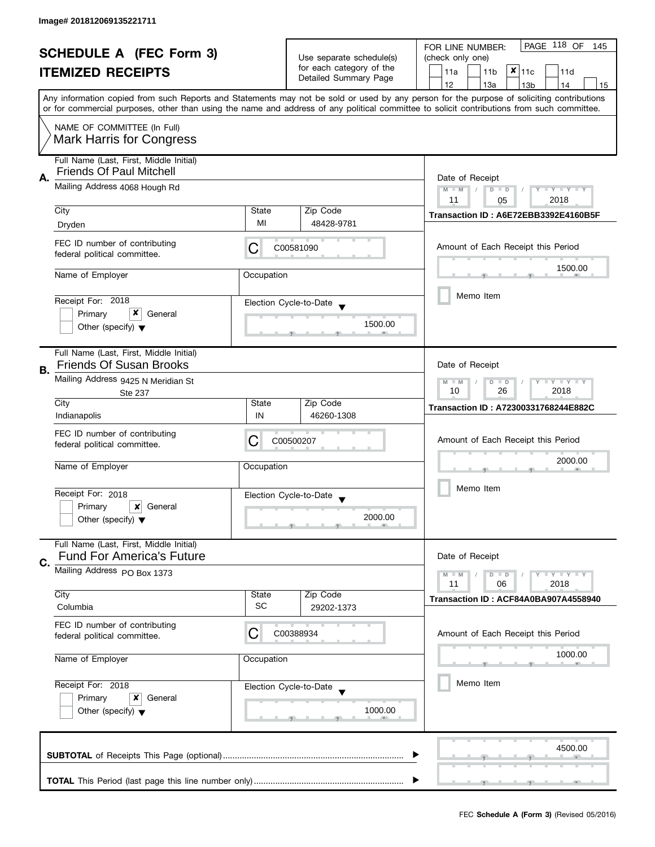|    | <b>SCHEDULE A (FEC Form 3)</b><br><b>ITEMIZED RECEIPTS</b>                                                         |                       | Use separate schedule(s)<br>for each category of the<br>Detailed Summary Page | PAGE 118 OF<br>FOR LINE NUMBER:<br>145<br>(check only one)<br>x<br>11 <sub>b</sub><br>11a<br>11c<br>11d<br>12<br>13a<br>14<br>13 <sub>b</sub><br>15                                                                                                                                     |
|----|--------------------------------------------------------------------------------------------------------------------|-----------------------|-------------------------------------------------------------------------------|-----------------------------------------------------------------------------------------------------------------------------------------------------------------------------------------------------------------------------------------------------------------------------------------|
|    | NAME OF COMMITTEE (In Full)<br><b>Mark Harris for Congress</b>                                                     |                       |                                                                               | Any information copied from such Reports and Statements may not be sold or used by any person for the purpose of soliciting contributions<br>or for commercial purposes, other than using the name and address of any political committee to solicit contributions from such committee. |
| А. | Full Name (Last, First, Middle Initial)<br><b>Friends Of Paul Mitchell</b><br>Mailing Address 4068 Hough Rd        |                       |                                                                               | Date of Receipt<br>Y TY TY TY<br>$M - M$<br>$D$ $D$<br>2018<br>11<br>05                                                                                                                                                                                                                 |
|    | City                                                                                                               | State                 | Zip Code                                                                      | Transaction ID: A6E72EBB3392E4160B5F                                                                                                                                                                                                                                                    |
|    | Dryden<br>FEC ID number of contributing<br>federal political committee.                                            | MI<br>C               | 48428-9781<br>C00581090                                                       | Amount of Each Receipt this Period                                                                                                                                                                                                                                                      |
|    | Name of Employer<br>Receipt For: 2018                                                                              | Occupation            | Election Cycle-to-Date                                                        | 1500.00<br>Memo Item                                                                                                                                                                                                                                                                    |
|    | x<br>Primary<br>General<br>Other (specify) $\blacktriangledown$                                                    |                       | 1500.00                                                                       |                                                                                                                                                                                                                                                                                         |
| В. | Full Name (Last, First, Middle Initial)<br><b>Friends Of Susan Brooks</b><br>Mailing Address 9425 N Meridian St    |                       |                                                                               | Date of Receipt<br>$T + Y = Y + Y$<br>$M - M$<br>$D$ $D$<br>10<br>26<br>2018                                                                                                                                                                                                            |
|    | <b>Ste 237</b><br>City                                                                                             | State                 | Zip Code                                                                      | Transaction ID: A72300331768244E882C                                                                                                                                                                                                                                                    |
|    | Indianapolis<br>FEC ID number of contributing<br>federal political committee.<br>Name of Employer                  | IN<br>С<br>Occupation | 46260-1308<br>C00500207                                                       | Amount of Each Receipt this Period<br>2000.00                                                                                                                                                                                                                                           |
|    | Receipt For: 2018<br>Primary<br>General<br>$\boldsymbol{\mathsf{x}}$<br>Other (specify) $\blacktriangledown$       |                       | Election Cycle-to-Date<br>$\overline{\phantom{a}}$<br>2000.00                 | Memo Item                                                                                                                                                                                                                                                                               |
| C. | Full Name (Last, First, Middle Initial)<br><b>Fund For America's Future</b><br>Mailing Address PO Box 1373<br>City | State                 | Zip Code                                                                      | Date of Receipt<br>Y FY FY FY<br>$M - M$<br>$D$ $D$<br>11<br>2018<br>06<br>Transaction ID: ACF84A0BA907A4558940                                                                                                                                                                         |
|    | Columbia<br>FEC ID number of contributing<br>federal political committee.                                          | SC<br>С               | 29202-1373<br>C00388934                                                       | Amount of Each Receipt this Period                                                                                                                                                                                                                                                      |
|    | Name of Employer                                                                                                   | Occupation            |                                                                               | 1000.00                                                                                                                                                                                                                                                                                 |
|    | Receipt For: 2018<br>Primary<br>x<br>General<br>Other (specify) $\blacktriangledown$                               |                       | Election Cycle-to-Date<br>1000.00                                             | Memo Item                                                                                                                                                                                                                                                                               |
|    |                                                                                                                    |                       |                                                                               | 4500.00                                                                                                                                                                                                                                                                                 |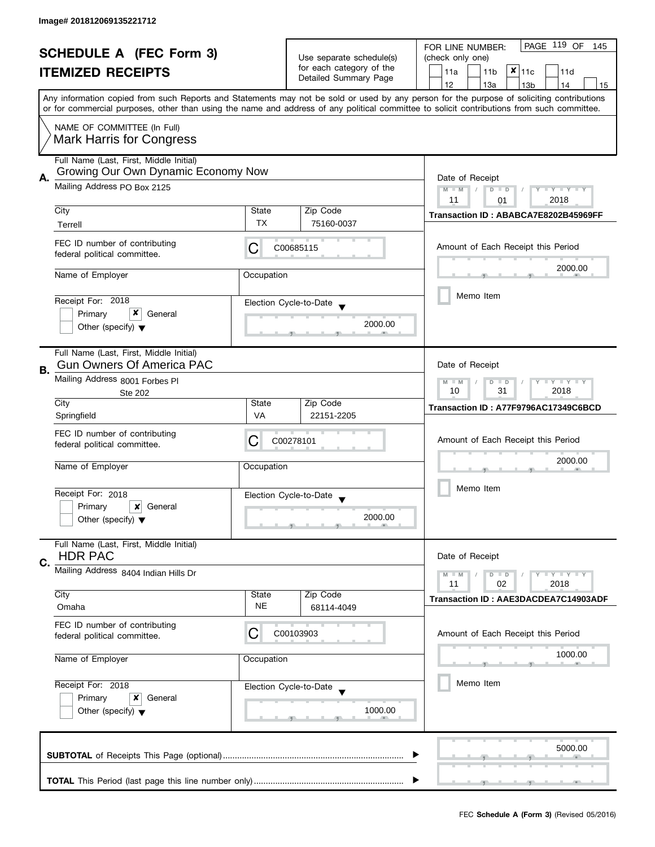| <b>SCHEDULE A (FEC Form 3)</b> |                                                                                | Use separate schedule(s)                              | PAGE 119 OF<br>FOR LINE NUMBER:<br>145<br>(check only one) |                                                                                                                                                                                       |  |
|--------------------------------|--------------------------------------------------------------------------------|-------------------------------------------------------|------------------------------------------------------------|---------------------------------------------------------------------------------------------------------------------------------------------------------------------------------------|--|
|                                | <b>ITEMIZED RECEIPTS</b>                                                       |                                                       | for each category of the<br>Detailed Summary Page          | $x _{11c}$<br>11a<br>11 <sub>b</sub><br>11d                                                                                                                                           |  |
|                                |                                                                                |                                                       |                                                            | 12<br>13a<br>14<br>13 <sub>b</sub><br>15<br>Any information copied from such Reports and Statements may not be sold or used by any person for the purpose of soliciting contributions |  |
|                                |                                                                                |                                                       |                                                            | or for commercial purposes, other than using the name and address of any political committee to solicit contributions from such committee.                                            |  |
|                                | NAME OF COMMITTEE (In Full)<br><b>Mark Harris for Congress</b>                 |                                                       |                                                            |                                                                                                                                                                                       |  |
| Α.                             | Full Name (Last, First, Middle Initial)<br>Growing Our Own Dynamic Economy Now |                                                       |                                                            | Date of Receipt                                                                                                                                                                       |  |
|                                | Mailing Address PO Box 2125                                                    | $M - M$<br>Y TY TY TY<br>$D$ $D$<br>2018<br>11<br>01  |                                                            |                                                                                                                                                                                       |  |
|                                | City<br>Terrell                                                                | State<br><b>TX</b>                                    | Zip Code<br>75160-0037                                     | Transaction ID: ABABCA7E8202B45969FF                                                                                                                                                  |  |
|                                | FEC ID number of contributing<br>federal political committee.                  | С                                                     | C00685115                                                  | Amount of Each Receipt this Period                                                                                                                                                    |  |
|                                | Name of Employer                                                               | Occupation                                            |                                                            | 2000.00                                                                                                                                                                               |  |
|                                | Receipt For: 2018                                                              |                                                       | Election Cycle-to-Date                                     | Memo Item                                                                                                                                                                             |  |
|                                | x<br>Primary<br>General<br>Other (specify) $\blacktriangledown$                |                                                       | 2000.00                                                    |                                                                                                                                                                                       |  |
|                                | Full Name (Last, First, Middle Initial)<br><b>Gun Owners Of America PAC</b>    |                                                       |                                                            | Date of Receipt                                                                                                                                                                       |  |
| В.                             | Mailing Address 8001 Forbes PI<br><b>Ste 202</b>                               | Y LY LY<br>$M - M$<br>D<br>$\Box$<br>31<br>2018<br>10 |                                                            |                                                                                                                                                                                       |  |
|                                | City<br>Springfield                                                            | State<br>VA                                           | Zip Code<br>22151-2205                                     | Transaction ID: A77F9796AC17349C6BCD                                                                                                                                                  |  |
|                                | FEC ID number of contributing<br>federal political committee.                  | C                                                     | C00278101                                                  | Amount of Each Receipt this Period                                                                                                                                                    |  |
|                                | Name of Employer                                                               | Occupation                                            |                                                            | 2000.00                                                                                                                                                                               |  |
|                                | Receipt For: 2018                                                              |                                                       | Election Cycle-to-Date                                     | Memo Item                                                                                                                                                                             |  |
|                                | Primary<br>General<br>x<br>Other (specify) $\blacktriangledown$                |                                                       | 2000.00                                                    |                                                                                                                                                                                       |  |
|                                | Full Name (Last, First, Middle Initial)<br><b>HDR PAC</b>                      |                                                       |                                                            | Date of Receipt                                                                                                                                                                       |  |
| C.                             | Mailing Address 8404 Indian Hills Dr                                           |                                                       |                                                            | $T - Y = T - Y$<br>$M - M$<br>$D$ $D$<br>11<br>02<br>2018                                                                                                                             |  |
|                                | City<br>Omaha                                                                  | State<br>NE                                           | Zip Code<br>68114-4049                                     | Transaction ID: AAE3DACDEA7C14903ADF                                                                                                                                                  |  |
|                                | FEC ID number of contributing<br>federal political committee.                  | С                                                     | C00103903                                                  | Amount of Each Receipt this Period                                                                                                                                                    |  |
|                                | Name of Employer                                                               | Occupation                                            |                                                            | 1000.00                                                                                                                                                                               |  |
|                                | Receipt For: 2018<br>Election Cycle-to-Date                                    |                                                       |                                                            | Memo Item                                                                                                                                                                             |  |
|                                | Primary<br>x<br>General<br>Other (specify) $\blacktriangledown$                |                                                       | 1000.00                                                    |                                                                                                                                                                                       |  |
|                                |                                                                                |                                                       |                                                            | 5000.00                                                                                                                                                                               |  |
|                                |                                                                                |                                                       |                                                            |                                                                                                                                                                                       |  |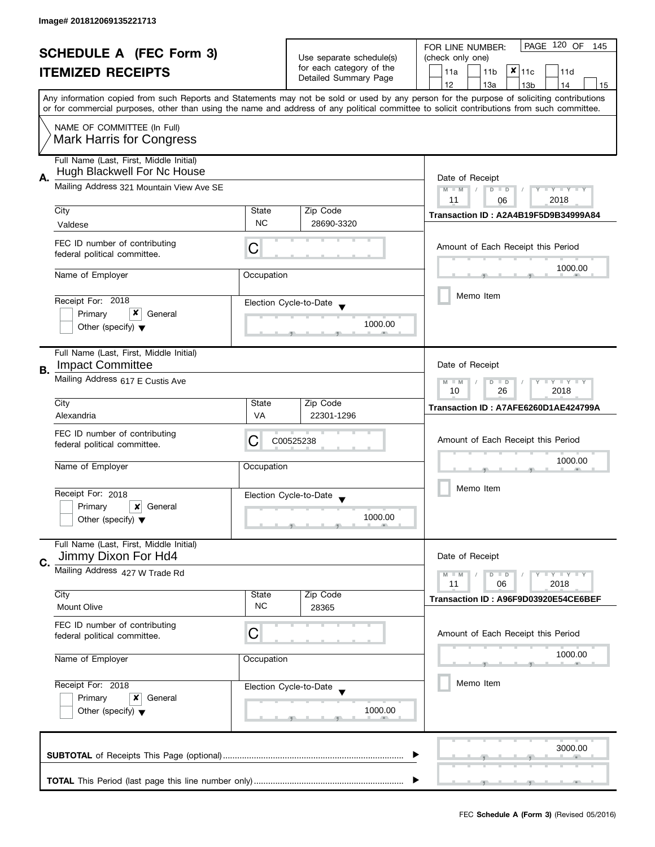| <b>SCHEDULE A (FEC Form 3)</b> |                                                                        | Use separate schedule(s)                             | PAGE 120 OF<br>FOR LINE NUMBER:<br>145<br>(check only one) |                                                                                                                                                                                       |  |
|--------------------------------|------------------------------------------------------------------------|------------------------------------------------------|------------------------------------------------------------|---------------------------------------------------------------------------------------------------------------------------------------------------------------------------------------|--|
|                                | <b>ITEMIZED RECEIPTS</b>                                               |                                                      | for each category of the<br>Detailed Summary Page          | $x _{11c}$<br>11a<br>11 <sub>b</sub><br>11d                                                                                                                                           |  |
|                                |                                                                        |                                                      |                                                            | 12<br>13a<br>14<br>13 <sub>b</sub><br>15<br>Any information copied from such Reports and Statements may not be sold or used by any person for the purpose of soliciting contributions |  |
|                                |                                                                        |                                                      |                                                            | or for commercial purposes, other than using the name and address of any political committee to solicit contributions from such committee.                                            |  |
|                                | NAME OF COMMITTEE (In Full)<br><b>Mark Harris for Congress</b>         |                                                      |                                                            |                                                                                                                                                                                       |  |
| А.                             | Full Name (Last, First, Middle Initial)<br>Hugh Blackwell For Nc House |                                                      |                                                            | Date of Receipt                                                                                                                                                                       |  |
|                                | Mailing Address 321 Mountain View Ave SE                               | $M - M$<br>Y TY TY TY<br>$D$ $D$<br>2018<br>11<br>06 |                                                            |                                                                                                                                                                                       |  |
|                                | City                                                                   | State                                                | Zip Code                                                   | Transaction ID: A2A4B19F5D9B34999A84                                                                                                                                                  |  |
|                                | Valdese                                                                | <b>NC</b>                                            | 28690-3320                                                 |                                                                                                                                                                                       |  |
|                                | FEC ID number of contributing<br>federal political committee.          | С                                                    |                                                            | Amount of Each Receipt this Period                                                                                                                                                    |  |
|                                | Name of Employer                                                       | Occupation                                           |                                                            | 1000.00                                                                                                                                                                               |  |
|                                | Receipt For: 2018                                                      |                                                      | Election Cycle-to-Date                                     | Memo Item                                                                                                                                                                             |  |
|                                | x<br>Primary<br>General                                                |                                                      |                                                            |                                                                                                                                                                                       |  |
|                                | Other (specify) $\blacktriangledown$                                   |                                                      | 1000.00                                                    |                                                                                                                                                                                       |  |
|                                | Full Name (Last, First, Middle Initial)<br><b>Impact Committee</b>     |                                                      |                                                            | Date of Receipt                                                                                                                                                                       |  |
| В.                             | Mailing Address 617 E Custis Ave                                       |                                                      |                                                            | Y LY LY<br>$M - M$<br>T<br>D<br>$\Box$<br>26<br>2018<br>10                                                                                                                            |  |
|                                | City                                                                   | State                                                | Zip Code                                                   | Transaction ID: A7AFE6260D1AE424799A                                                                                                                                                  |  |
|                                | Alexandria                                                             | VA                                                   | 22301-1296                                                 |                                                                                                                                                                                       |  |
|                                | FEC ID number of contributing<br>federal political committee.          | C                                                    | C00525238                                                  | Amount of Each Receipt this Period                                                                                                                                                    |  |
|                                | Name of Employer                                                       | Occupation                                           |                                                            | 1000.00                                                                                                                                                                               |  |
|                                | Receipt For: 2018                                                      |                                                      | Election Cycle-to-Date                                     | Memo Item                                                                                                                                                                             |  |
|                                | Primary<br>General<br>x                                                |                                                      | 1000.00                                                    |                                                                                                                                                                                       |  |
|                                | Other (specify) $\blacktriangledown$                                   |                                                      |                                                            |                                                                                                                                                                                       |  |
|                                | Full Name (Last, First, Middle Initial)<br>Jimmy Dixon For Hd4         |                                                      |                                                            | Date of Receipt                                                                                                                                                                       |  |
| C.                             | Mailing Address 427 W Trade Rd                                         |                                                      |                                                            | $Y = Y + Y$<br>$M - M$<br>$D$ $D$                                                                                                                                                     |  |
|                                | City                                                                   | State                                                | Zip Code                                                   | 11<br>06<br>2018<br>Transaction ID: A96F9D03920E54CE6BEF                                                                                                                              |  |
|                                | <b>Mount Olive</b>                                                     | <b>NC</b>                                            | 28365                                                      |                                                                                                                                                                                       |  |
|                                | FEC ID number of contributing<br>federal political committee.          | С                                                    |                                                            | Amount of Each Receipt this Period                                                                                                                                                    |  |
|                                | Name of Employer                                                       | Occupation                                           |                                                            | 1000.00                                                                                                                                                                               |  |
|                                | Receipt For: 2018                                                      |                                                      | Election Cycle-to-Date                                     | Memo Item                                                                                                                                                                             |  |
|                                | Primary<br>x<br>General<br>Other (specify) $\blacktriangledown$        |                                                      | 1000.00                                                    |                                                                                                                                                                                       |  |
|                                |                                                                        |                                                      |                                                            |                                                                                                                                                                                       |  |
|                                |                                                                        |                                                      |                                                            | 3000.00                                                                                                                                                                               |  |
|                                |                                                                        |                                                      |                                                            |                                                                                                                                                                                       |  |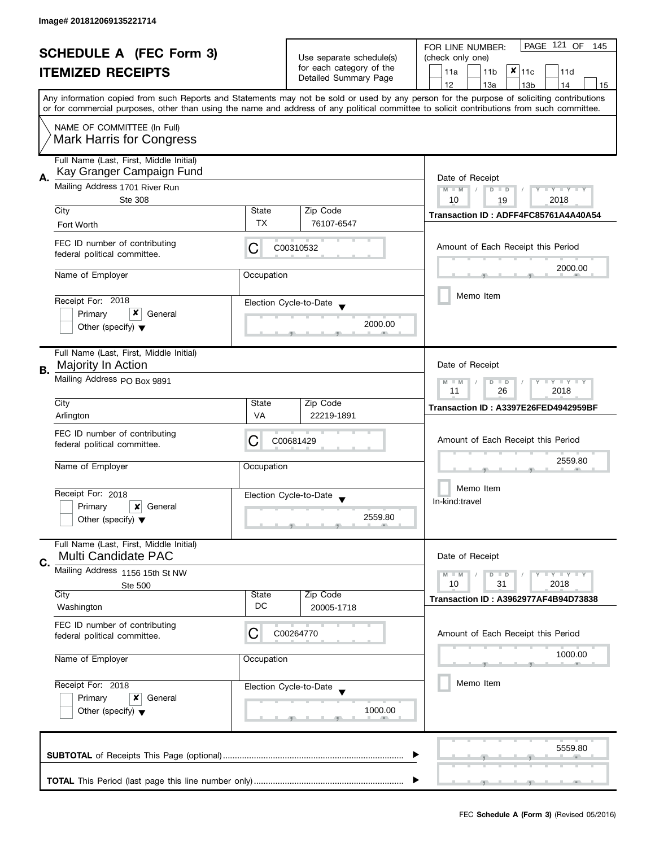| <b>SCHEDULE A (FEC Form 3)</b><br><b>ITEMIZED RECEIPTS</b> |                                                                      | Use separate schedule(s)                                | PAGE 121 OF<br>FOR LINE NUMBER:<br>145<br>(check only one) |                                                                                                                                                                                       |  |  |
|------------------------------------------------------------|----------------------------------------------------------------------|---------------------------------------------------------|------------------------------------------------------------|---------------------------------------------------------------------------------------------------------------------------------------------------------------------------------------|--|--|
|                                                            |                                                                      | for each category of the<br>Detailed Summary Page       | $x _{11c}$<br>11a<br>11 <sub>b</sub><br>11d                |                                                                                                                                                                                       |  |  |
|                                                            |                                                                      |                                                         |                                                            | 12<br>13a<br>13 <sub>b</sub><br>14<br>15<br>Any information copied from such Reports and Statements may not be sold or used by any person for the purpose of soliciting contributions |  |  |
|                                                            |                                                                      |                                                         |                                                            | or for commercial purposes, other than using the name and address of any political committee to solicit contributions from such committee.                                            |  |  |
|                                                            | NAME OF COMMITTEE (In Full)<br><b>Mark Harris for Congress</b>       |                                                         |                                                            |                                                                                                                                                                                       |  |  |
| А.                                                         | Full Name (Last, First, Middle Initial)<br>Kay Granger Campaign Fund |                                                         |                                                            | Date of Receipt                                                                                                                                                                       |  |  |
|                                                            | Mailing Address 1701 River Run<br><b>Ste 308</b>                     | $M - M$<br>$D$ $D$<br>Y I Y I Y I Y<br>10<br>2018<br>19 |                                                            |                                                                                                                                                                                       |  |  |
|                                                            | City<br>Fort Worth                                                   | State<br><b>TX</b>                                      | Zip Code<br>76107-6547                                     | Transaction ID: ADFF4FC85761A4A40A54                                                                                                                                                  |  |  |
|                                                            | FEC ID number of contributing<br>federal political committee.        | C                                                       | C00310532                                                  | Amount of Each Receipt this Period                                                                                                                                                    |  |  |
|                                                            | Name of Employer                                                     | Occupation                                              |                                                            | 2000.00                                                                                                                                                                               |  |  |
|                                                            | Receipt For: 2018                                                    |                                                         | Election Cycle-to-Date                                     | Memo Item                                                                                                                                                                             |  |  |
|                                                            | x<br>Primary<br>General                                              |                                                         | 2000.00                                                    |                                                                                                                                                                                       |  |  |
|                                                            | Other (specify) $\blacktriangledown$                                 |                                                         |                                                            |                                                                                                                                                                                       |  |  |
|                                                            | Full Name (Last, First, Middle Initial)<br>Majority In Action        |                                                         |                                                            | Date of Receipt                                                                                                                                                                       |  |  |
| В.                                                         | Mailing Address PO Box 9891                                          |                                                         |                                                            | Y LY LY<br>$M - M$<br>D<br>$\Box$<br>11<br>26<br>2018                                                                                                                                 |  |  |
|                                                            | City                                                                 | State                                                   | Zip Code                                                   | Transaction ID: A3397E26FED4942959BF                                                                                                                                                  |  |  |
|                                                            | Arlington                                                            | VA                                                      | 22219-1891                                                 |                                                                                                                                                                                       |  |  |
|                                                            | FEC ID number of contributing<br>federal political committee.        | C00681429                                               | Amount of Each Receipt this Period                         |                                                                                                                                                                                       |  |  |
|                                                            | Name of Employer                                                     | Occupation                                              |                                                            | 2559.80                                                                                                                                                                               |  |  |
|                                                            | Receipt For: 2018                                                    |                                                         | Election Cycle-to-Date                                     | Memo Item                                                                                                                                                                             |  |  |
|                                                            | Primary<br>General<br>x                                              |                                                         | 2559.80                                                    | In-kind:travel                                                                                                                                                                        |  |  |
|                                                            | Other (specify) $\blacktriangledown$                                 |                                                         |                                                            |                                                                                                                                                                                       |  |  |
|                                                            | Full Name (Last, First, Middle Initial)<br>Multi Candidate PAC       |                                                         |                                                            | Date of Receipt                                                                                                                                                                       |  |  |
| C.                                                         | Mailing Address 1156 15th St NW                                      |                                                         |                                                            | $Y = Y + Y$<br>$M - M$<br>$D$ $D$                                                                                                                                                     |  |  |
|                                                            | <b>Ste 500</b><br>City                                               | State                                                   | Zip Code                                                   | 10<br>31<br>2018<br><b>Transaction ID: A3962977AF4B94D73838</b>                                                                                                                       |  |  |
|                                                            | Washington                                                           | DC                                                      | 20005-1718                                                 |                                                                                                                                                                                       |  |  |
|                                                            | FEC ID number of contributing<br>federal political committee.        | C                                                       | C00264770                                                  | Amount of Each Receipt this Period                                                                                                                                                    |  |  |
|                                                            | Name of Employer<br>Occupation<br>Receipt For: 2018                  |                                                         |                                                            | 1000.00                                                                                                                                                                               |  |  |
|                                                            |                                                                      |                                                         | Election Cycle-to-Date                                     | Memo Item                                                                                                                                                                             |  |  |
|                                                            | Primary<br>x<br>General<br>Other (specify) $\blacktriangledown$      |                                                         | 1000.00                                                    |                                                                                                                                                                                       |  |  |
|                                                            |                                                                      |                                                         |                                                            | 5559.80                                                                                                                                                                               |  |  |
|                                                            |                                                                      |                                                         |                                                            |                                                                                                                                                                                       |  |  |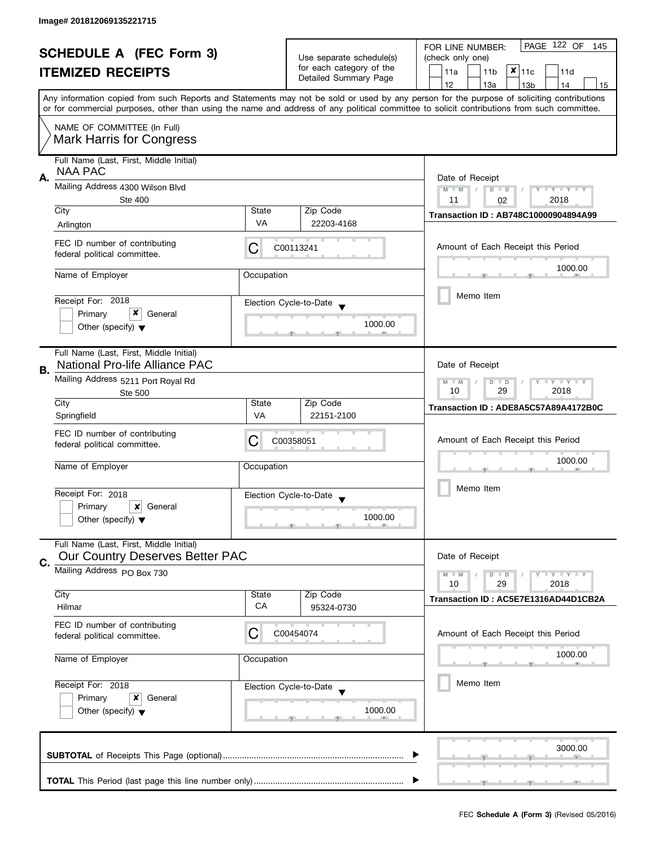| <b>SCHEDULE A (FEC Form 3)</b><br><b>ITEMIZED RECEIPTS</b> |                                                                                   |             | PAGE 122 OF<br>FOR LINE NUMBER:<br>145               |                                                                                                                                                                                                                                                                                         |  |  |  |
|------------------------------------------------------------|-----------------------------------------------------------------------------------|-------------|------------------------------------------------------|-----------------------------------------------------------------------------------------------------------------------------------------------------------------------------------------------------------------------------------------------------------------------------------------|--|--|--|
|                                                            |                                                                                   |             | Use separate schedule(s)<br>for each category of the | (check only one)                                                                                                                                                                                                                                                                        |  |  |  |
|                                                            |                                                                                   |             | Detailed Summary Page                                | $x _{11c}$<br>11a<br>11 <sub>b</sub><br>11d                                                                                                                                                                                                                                             |  |  |  |
|                                                            |                                                                                   |             |                                                      | 12<br>13a<br>13 <sub>b</sub><br>14<br>15                                                                                                                                                                                                                                                |  |  |  |
|                                                            |                                                                                   |             |                                                      | Any information copied from such Reports and Statements may not be sold or used by any person for the purpose of soliciting contributions<br>or for commercial purposes, other than using the name and address of any political committee to solicit contributions from such committee. |  |  |  |
|                                                            | NAME OF COMMITTEE (In Full)                                                       |             |                                                      |                                                                                                                                                                                                                                                                                         |  |  |  |
|                                                            | <b>Mark Harris for Congress</b>                                                   |             |                                                      |                                                                                                                                                                                                                                                                                         |  |  |  |
| А.                                                         | Full Name (Last, First, Middle Initial)<br><b>NAA PAC</b>                         |             |                                                      | Date of Receipt                                                                                                                                                                                                                                                                         |  |  |  |
|                                                            | Mailing Address 4300 Wilson Blvd<br><b>Ste 400</b>                                |             |                                                      |                                                                                                                                                                                                                                                                                         |  |  |  |
|                                                            | City                                                                              | State       | Zip Code                                             | 11<br>2018<br>02<br><b>Transaction ID: AB748C10000904894A99</b>                                                                                                                                                                                                                         |  |  |  |
|                                                            | Arlington                                                                         | <b>VA</b>   | 22203-4168                                           |                                                                                                                                                                                                                                                                                         |  |  |  |
|                                                            | FEC ID number of contributing<br>federal political committee.                     | С           | C00113241                                            | Amount of Each Receipt this Period                                                                                                                                                                                                                                                      |  |  |  |
|                                                            | Name of Employer                                                                  | Occupation  |                                                      | 1000.00                                                                                                                                                                                                                                                                                 |  |  |  |
|                                                            |                                                                                   |             |                                                      | Memo Item                                                                                                                                                                                                                                                                               |  |  |  |
|                                                            | Receipt For: 2018<br>x<br>Primary<br>General                                      |             | Election Cycle-to-Date                               |                                                                                                                                                                                                                                                                                         |  |  |  |
|                                                            | Other (specify) $\blacktriangledown$                                              |             | 1000.00                                              |                                                                                                                                                                                                                                                                                         |  |  |  |
| В.                                                         | Full Name (Last, First, Middle Initial)<br>National Pro-life Alliance PAC         |             |                                                      | Date of Receipt                                                                                                                                                                                                                                                                         |  |  |  |
|                                                            | Mailing Address 5211 Port Royal Rd<br><b>Ste 500</b>                              |             |                                                      | $Y = Y = Y$<br>$M - M$<br>D<br>$\Box$<br>29<br>2018<br>10                                                                                                                                                                                                                               |  |  |  |
|                                                            | City                                                                              | State       | Zip Code                                             | Transaction ID: ADE8A5C57A89A4172B0C                                                                                                                                                                                                                                                    |  |  |  |
|                                                            | Springfield                                                                       | VA          | 22151-2100                                           |                                                                                                                                                                                                                                                                                         |  |  |  |
|                                                            | FEC ID number of contributing<br>federal political committee.                     | С           | C00358051                                            | Amount of Each Receipt this Period                                                                                                                                                                                                                                                      |  |  |  |
|                                                            | Name of Employer                                                                  | Occupation  |                                                      | 1000.00                                                                                                                                                                                                                                                                                 |  |  |  |
|                                                            | Receipt For: 2018                                                                 |             | Election Cycle-to-Date                               | Memo Item                                                                                                                                                                                                                                                                               |  |  |  |
|                                                            | Primary<br>x<br>General                                                           |             |                                                      |                                                                                                                                                                                                                                                                                         |  |  |  |
|                                                            | Other (specify) $\blacktriangledown$                                              |             | 1000.00                                              |                                                                                                                                                                                                                                                                                         |  |  |  |
|                                                            | Full Name (Last, First, Middle Initial)<br><b>Our Country Deserves Better PAC</b> |             |                                                      | Date of Receipt                                                                                                                                                                                                                                                                         |  |  |  |
| C.                                                         | Mailing Address PO Box 730                                                        |             |                                                      | $Y = Y = Y$<br>$M - M$<br>$D$ $D$                                                                                                                                                                                                                                                       |  |  |  |
|                                                            |                                                                                   |             |                                                      | 10<br>2018<br>29                                                                                                                                                                                                                                                                        |  |  |  |
|                                                            | City<br>Hilmar                                                                    | State<br>CA | Zip Code<br>95324-0730                               | Transaction ID: AC5E7E1316AD44D1CB2A                                                                                                                                                                                                                                                    |  |  |  |
|                                                            | FEC ID number of contributing<br>federal political committee.                     | С           | C00454074                                            | Amount of Each Receipt this Period                                                                                                                                                                                                                                                      |  |  |  |
|                                                            | Name of Employer<br>Occupation<br>Receipt For: 2018<br>Primary<br>General<br>x    |             |                                                      | 1000.00                                                                                                                                                                                                                                                                                 |  |  |  |
|                                                            |                                                                                   |             | Election Cycle-to-Date                               | Memo Item                                                                                                                                                                                                                                                                               |  |  |  |
|                                                            |                                                                                   |             |                                                      |                                                                                                                                                                                                                                                                                         |  |  |  |
| Other (specify) $\blacktriangledown$                       |                                                                                   |             | 1000.00                                              |                                                                                                                                                                                                                                                                                         |  |  |  |
|                                                            |                                                                                   |             |                                                      | 3000.00                                                                                                                                                                                                                                                                                 |  |  |  |
|                                                            |                                                                                   |             |                                                      |                                                                                                                                                                                                                                                                                         |  |  |  |
|                                                            |                                                                                   |             |                                                      |                                                                                                                                                                                                                                                                                         |  |  |  |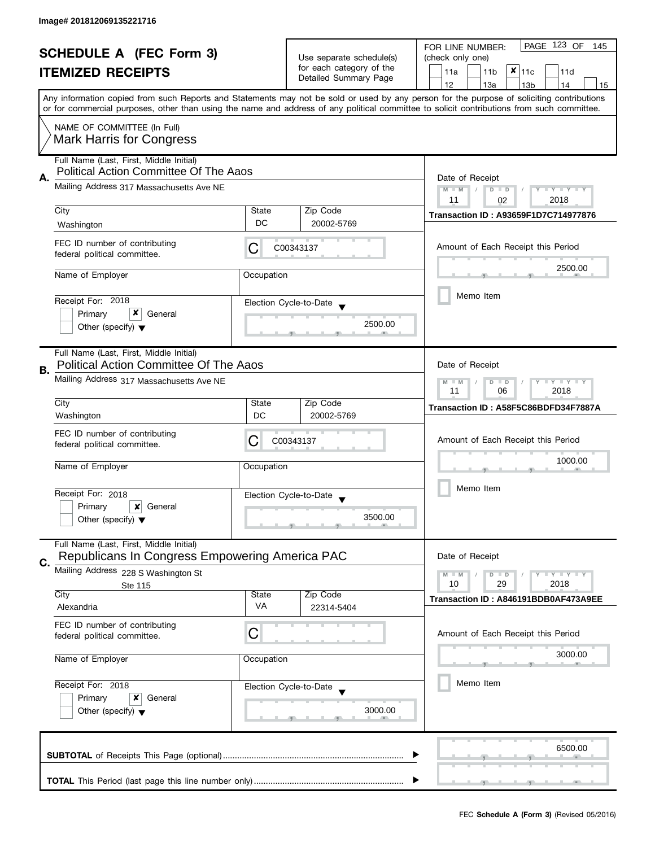| <b>SCHEDULE A (FEC Form 3)</b><br><b>ITEMIZED RECEIPTS</b> |                                                                                           | Use separate schedule(s)<br>for each category of the<br>Detailed Summary Page | PAGE 123 OF<br>FOR LINE NUMBER:<br>145<br>(check only one)<br>$x _{11c}$<br>11a<br>11 <sub>b</sub><br>11d |                                                                                                                                                                                                                                                                                                                                     |  |
|------------------------------------------------------------|-------------------------------------------------------------------------------------------|-------------------------------------------------------------------------------|-----------------------------------------------------------------------------------------------------------|-------------------------------------------------------------------------------------------------------------------------------------------------------------------------------------------------------------------------------------------------------------------------------------------------------------------------------------|--|
|                                                            |                                                                                           |                                                                               |                                                                                                           | 12<br>13a<br>13 <sub>b</sub><br>14<br>15<br>Any information copied from such Reports and Statements may not be sold or used by any person for the purpose of soliciting contributions<br>or for commercial purposes, other than using the name and address of any political committee to solicit contributions from such committee. |  |
|                                                            | NAME OF COMMITTEE (In Full)<br>Mark Harris for Congress                                   |                                                                               |                                                                                                           |                                                                                                                                                                                                                                                                                                                                     |  |
| А.                                                         | Full Name (Last, First, Middle Initial)<br>Political Action Committee Of The Aaos         | Date of Receipt                                                               |                                                                                                           |                                                                                                                                                                                                                                                                                                                                     |  |
|                                                            | Mailing Address 317 Massachusetts Ave NE                                                  | $M - M$<br>$D$ $D$<br>Y I Y I Y I Y<br>$\sqrt{2}$<br>2018<br>11<br>02         |                                                                                                           |                                                                                                                                                                                                                                                                                                                                     |  |
|                                                            | City<br>Washington                                                                        | State<br>DC                                                                   | Zip Code<br>20002-5769                                                                                    | <b>Transaction ID: A93659F1D7C714977876</b>                                                                                                                                                                                                                                                                                         |  |
|                                                            | FEC ID number of contributing<br>federal political committee.                             | C                                                                             | C00343137                                                                                                 | Amount of Each Receipt this Period                                                                                                                                                                                                                                                                                                  |  |
|                                                            | Name of Employer                                                                          | Occupation                                                                    |                                                                                                           | 2500.00                                                                                                                                                                                                                                                                                                                             |  |
|                                                            | Receipt For: 2018                                                                         |                                                                               | Election Cycle-to-Date                                                                                    | Memo Item                                                                                                                                                                                                                                                                                                                           |  |
|                                                            | x<br>Primary<br>General<br>Other (specify) $\blacktriangledown$                           |                                                                               | 2500.00                                                                                                   |                                                                                                                                                                                                                                                                                                                                     |  |
| В.                                                         | Full Name (Last, First, Middle Initial)<br><b>Political Action Committee Of The Aaos</b>  |                                                                               |                                                                                                           | Date of Receipt                                                                                                                                                                                                                                                                                                                     |  |
|                                                            | Mailing Address 317 Massachusetts Ave NE                                                  |                                                                               | $\bot$ Y $\bot$ Y $\bot$ Y<br>$M - M$<br>$D$ $D$<br>11<br>06<br>2018                                      |                                                                                                                                                                                                                                                                                                                                     |  |
|                                                            | City<br>Washington                                                                        | State<br>DC                                                                   | Zip Code<br>20002-5769                                                                                    | Transaction ID: A58F5C86BDFD34F7887A                                                                                                                                                                                                                                                                                                |  |
|                                                            | FEC ID number of contributing<br>federal political committee.                             | C                                                                             | C00343137                                                                                                 | Amount of Each Receipt this Period                                                                                                                                                                                                                                                                                                  |  |
|                                                            | Name of Employer                                                                          | Occupation                                                                    |                                                                                                           | 1000.00                                                                                                                                                                                                                                                                                                                             |  |
|                                                            | Receipt For: 2018<br>Primary<br>×<br>General                                              |                                                                               | Election Cycle-to-Date<br>3500.00                                                                         | Memo Item                                                                                                                                                                                                                                                                                                                           |  |
|                                                            | Other (specify) $\blacktriangledown$                                                      |                                                                               |                                                                                                           |                                                                                                                                                                                                                                                                                                                                     |  |
| C.                                                         | Full Name (Last, First, Middle Initial)<br>Republicans In Congress Empowering America PAC |                                                                               |                                                                                                           | Date of Receipt                                                                                                                                                                                                                                                                                                                     |  |
|                                                            | Mailing Address 228 S Washington St                                                       |                                                                               |                                                                                                           | $M - M$<br>$Y - Y - Y$<br>$D$ $D$<br>10<br>29<br>2018                                                                                                                                                                                                                                                                               |  |
|                                                            | Ste 115<br>City<br>Alexandria                                                             | State<br>VA                                                                   | Zip Code                                                                                                  | Transaction ID: A846191BDB0AF473A9EE                                                                                                                                                                                                                                                                                                |  |
|                                                            | FEC ID number of contributing                                                             |                                                                               | 22314-5404                                                                                                |                                                                                                                                                                                                                                                                                                                                     |  |
|                                                            | federal political committee.                                                              | C                                                                             |                                                                                                           | Amount of Each Receipt this Period                                                                                                                                                                                                                                                                                                  |  |
|                                                            | Name of Employer                                                                          | Occupation                                                                    |                                                                                                           | 3000.00                                                                                                                                                                                                                                                                                                                             |  |
|                                                            | Receipt For: 2018                                                                         |                                                                               | Election Cycle-to-Date                                                                                    | Memo Item                                                                                                                                                                                                                                                                                                                           |  |
|                                                            | Primary<br>x<br>General<br>Other (specify) $\blacktriangledown$                           |                                                                               | 3000.00                                                                                                   |                                                                                                                                                                                                                                                                                                                                     |  |
|                                                            |                                                                                           |                                                                               |                                                                                                           | 6500.00                                                                                                                                                                                                                                                                                                                             |  |
|                                                            |                                                                                           |                                                                               |                                                                                                           |                                                                                                                                                                                                                                                                                                                                     |  |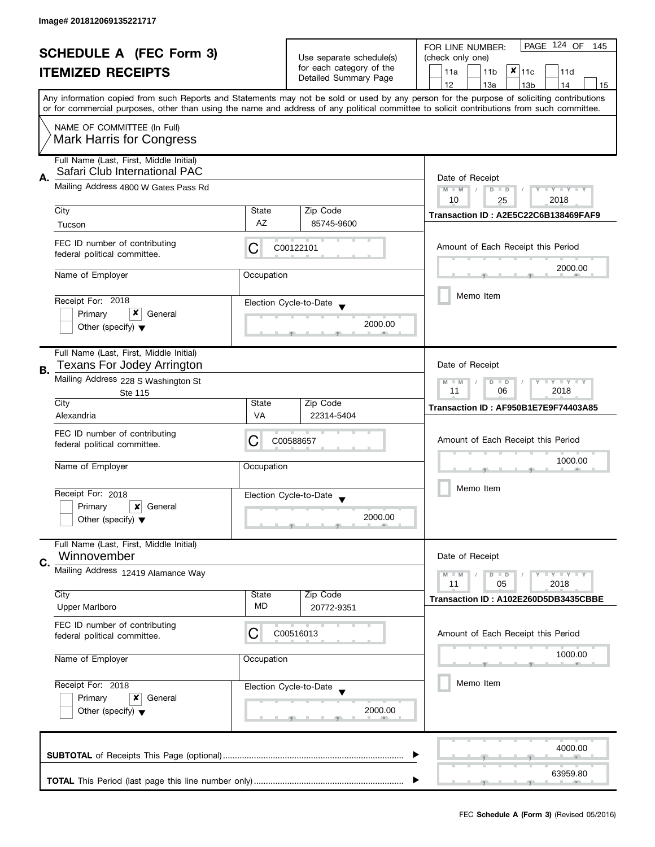| <b>SCHEDULE A (FEC Form 3)</b><br><b>ITEMIZED RECEIPTS</b> |                                                                          |                                                      | Use separate schedule(s)<br>for each category of the<br>Detailed Summary Page                 | PAGE 124 OF<br>FOR LINE NUMBER:<br>145<br>(check only one)<br>$x _{11c}$<br>11a<br>11 <sub>b</sub><br>11d                                                                                                                                                                                                                           |  |  |  |
|------------------------------------------------------------|--------------------------------------------------------------------------|------------------------------------------------------|-----------------------------------------------------------------------------------------------|-------------------------------------------------------------------------------------------------------------------------------------------------------------------------------------------------------------------------------------------------------------------------------------------------------------------------------------|--|--|--|
|                                                            |                                                                          |                                                      |                                                                                               | 12<br>13a<br>13 <sub>b</sub><br>14<br>15<br>Any information copied from such Reports and Statements may not be sold or used by any person for the purpose of soliciting contributions<br>or for commercial purposes, other than using the name and address of any political committee to solicit contributions from such committee. |  |  |  |
|                                                            | NAME OF COMMITTEE (In Full)<br><b>Mark Harris for Congress</b>           |                                                      |                                                                                               |                                                                                                                                                                                                                                                                                                                                     |  |  |  |
| А.                                                         | Full Name (Last, First, Middle Initial)<br>Safari Club International PAC | Date of Receipt                                      |                                                                                               |                                                                                                                                                                                                                                                                                                                                     |  |  |  |
|                                                            | Mailing Address 4800 W Gates Pass Rd                                     | $M - M$<br>Y TY TY TY<br>$D$ $D$<br>2018<br>10<br>25 |                                                                                               |                                                                                                                                                                                                                                                                                                                                     |  |  |  |
|                                                            | City                                                                     | State                                                | Zip Code                                                                                      | Transaction ID: A2E5C22C6B138469FAF9                                                                                                                                                                                                                                                                                                |  |  |  |
|                                                            | Tucson                                                                   | AZ                                                   | 85745-9600                                                                                    |                                                                                                                                                                                                                                                                                                                                     |  |  |  |
|                                                            | FEC ID number of contributing<br>federal political committee.            | C                                                    | C00122101                                                                                     | Amount of Each Receipt this Period                                                                                                                                                                                                                                                                                                  |  |  |  |
|                                                            | Name of Employer                                                         | Occupation                                           |                                                                                               | 2000.00                                                                                                                                                                                                                                                                                                                             |  |  |  |
|                                                            | Receipt For: 2018                                                        |                                                      | Election Cycle-to-Date                                                                        | Memo Item                                                                                                                                                                                                                                                                                                                           |  |  |  |
|                                                            | Primary<br>General                                                       |                                                      |                                                                                               |                                                                                                                                                                                                                                                                                                                                     |  |  |  |
|                                                            | Other (specify) $\blacktriangledown$                                     |                                                      | 2000.00                                                                                       |                                                                                                                                                                                                                                                                                                                                     |  |  |  |
| В.                                                         | Full Name (Last, First, Middle Initial)<br>Texans For Jodey Arrington    |                                                      |                                                                                               | Date of Receipt                                                                                                                                                                                                                                                                                                                     |  |  |  |
|                                                            | Mailing Address 228 S Washington St<br>Ste 115                           |                                                      | $\bot$ $\gamma$ $\bot$ $\gamma$ $\bot$ $\gamma$<br>$M - M$<br>D<br>$\Box$<br>11<br>06<br>2018 |                                                                                                                                                                                                                                                                                                                                     |  |  |  |
|                                                            | City<br>Alexandria                                                       | State<br><b>VA</b>                                   | Zip Code<br>22314-5404                                                                        | Transaction ID: AF950B1E7E9F74403A85                                                                                                                                                                                                                                                                                                |  |  |  |
|                                                            | FEC ID number of contributing                                            |                                                      |                                                                                               |                                                                                                                                                                                                                                                                                                                                     |  |  |  |
|                                                            | federal political committee.                                             | C                                                    | C00588657                                                                                     | Amount of Each Receipt this Period                                                                                                                                                                                                                                                                                                  |  |  |  |
|                                                            | Name of Employer                                                         | Occupation                                           |                                                                                               | 1000.00                                                                                                                                                                                                                                                                                                                             |  |  |  |
|                                                            | Receipt For: 2018                                                        |                                                      | Election Cycle-to-Date<br>$\blacktriangledown$                                                | Memo Item                                                                                                                                                                                                                                                                                                                           |  |  |  |
|                                                            | Primary<br>x<br>General<br>Other (specify) $\blacktriangledown$          |                                                      | 2000.00                                                                                       |                                                                                                                                                                                                                                                                                                                                     |  |  |  |
|                                                            | Full Name (Last, First, Middle Initial)<br>Winnovember                   |                                                      |                                                                                               | Date of Receipt                                                                                                                                                                                                                                                                                                                     |  |  |  |
| C.                                                         | Mailing Address 12419 Alamance Way                                       |                                                      |                                                                                               | $T - Y = T - Y$<br>$M - M$<br>$D$ $D$                                                                                                                                                                                                                                                                                               |  |  |  |
|                                                            | City                                                                     | State                                                | Zip Code                                                                                      | 11<br>05<br>2018                                                                                                                                                                                                                                                                                                                    |  |  |  |
|                                                            | <b>Upper Marlboro</b>                                                    | MD                                                   | 20772-9351                                                                                    | Transaction ID: A102E260D5DB3435CBBE                                                                                                                                                                                                                                                                                                |  |  |  |
|                                                            | FEC ID number of contributing<br>federal political committee.            | С                                                    | C00516013                                                                                     | Amount of Each Receipt this Period                                                                                                                                                                                                                                                                                                  |  |  |  |
|                                                            | Name of Employer                                                         | Occupation                                           |                                                                                               | 1000.00                                                                                                                                                                                                                                                                                                                             |  |  |  |
|                                                            | Receipt For: 2018                                                        |                                                      | Election Cycle-to-Date                                                                        | Memo Item                                                                                                                                                                                                                                                                                                                           |  |  |  |
|                                                            | Primary<br>x<br>General<br>Other (specify) $\blacktriangledown$          |                                                      | 2000.00                                                                                       |                                                                                                                                                                                                                                                                                                                                     |  |  |  |
|                                                            |                                                                          |                                                      |                                                                                               | 4000.00                                                                                                                                                                                                                                                                                                                             |  |  |  |
|                                                            |                                                                          |                                                      |                                                                                               |                                                                                                                                                                                                                                                                                                                                     |  |  |  |
|                                                            |                                                                          |                                                      |                                                                                               | 63959.80                                                                                                                                                                                                                                                                                                                            |  |  |  |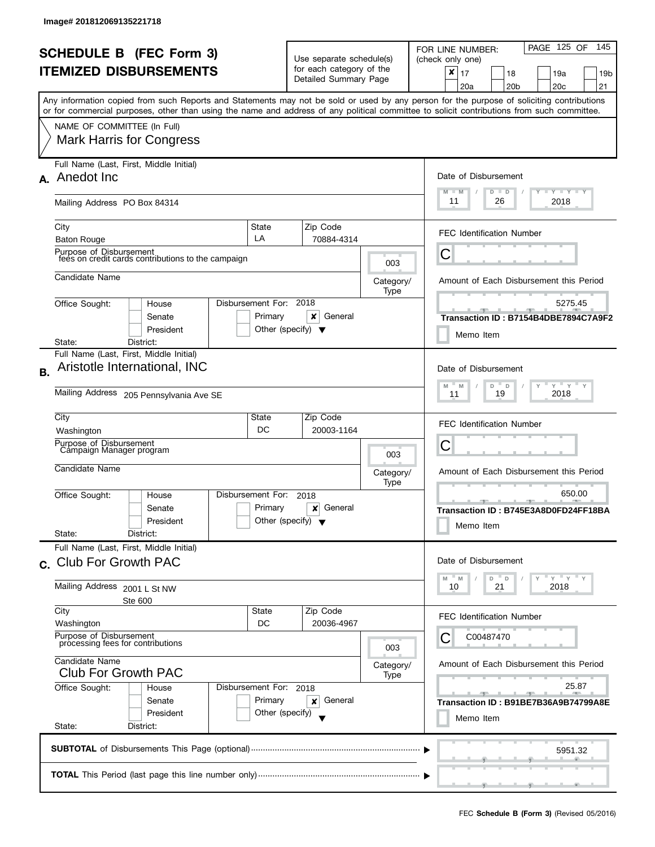| <b>SCHEDULE B</b> (FEC Form 3)<br><b>ITEMIZED DISBURSEMENTS</b> |                                                                                                                                                                                                                                                                                                                                                           |                                                      | Use separate schedule(s)<br>for each category of the<br>Detailed Summary Page |                          | PAGE 125 OF<br>145<br>FOR LINE NUMBER:<br>(check only one)<br>x<br>17<br>18<br>19a<br>19b<br>20 <sub>c</sub><br>21<br>20a<br>20 <sub>b</sub> |
|-----------------------------------------------------------------|-----------------------------------------------------------------------------------------------------------------------------------------------------------------------------------------------------------------------------------------------------------------------------------------------------------------------------------------------------------|------------------------------------------------------|-------------------------------------------------------------------------------|--------------------------|----------------------------------------------------------------------------------------------------------------------------------------------|
|                                                                 | Any information copied from such Reports and Statements may not be sold or used by any person for the purpose of soliciting contributions<br>or for commercial purposes, other than using the name and address of any political committee to solicit contributions from such committee.<br>NAME OF COMMITTEE (In Full)<br><b>Mark Harris for Congress</b> |                                                      |                                                                               |                          |                                                                                                                                              |
|                                                                 | Full Name (Last, First, Middle Initial)<br>A. Anedot Inc.<br>Mailing Address PO Box 84314                                                                                                                                                                                                                                                                 |                                                      |                                                                               |                          | Date of Disbursement<br>$T - Y = T - Y$<br>M<br>$-M$<br>$D$ $D$<br>11<br>2018<br>26                                                          |
|                                                                 | City<br><b>Baton Rouge</b><br>Purpose of Disbursement                                                                                                                                                                                                                                                                                                     | State<br>LA                                          | Zip Code<br>70884-4314                                                        |                          | <b>FEC Identification Number</b><br>С                                                                                                        |
|                                                                 | fees on credit cards contributions to the campaign<br>Candidate Name                                                                                                                                                                                                                                                                                      |                                                      |                                                                               | 003<br>Category/<br>Type | Amount of Each Disbursement this Period                                                                                                      |
|                                                                 | Office Sought:<br>House<br>Senate<br>President<br>District:<br>State:                                                                                                                                                                                                                                                                                     | Disbursement For: 2018<br>Primary                    | x<br>General<br>Other (specify) $\blacktriangledown$                          |                          | 5275.45<br>Transaction ID: B7154B4DBE7894C7A9F2<br>Memo Item                                                                                 |
| В.                                                              | Full Name (Last, First, Middle Initial)<br>Aristotle International, INC<br>Mailing Address 205 Pennsylvania Ave SE                                                                                                                                                                                                                                        |                                                      |                                                                               |                          | Date of Disbursement<br>$Y'$ $Y'$ $Y$<br>D<br>Y<br>M<br>M<br>D<br>2018<br>19<br>11                                                           |
|                                                                 | City<br>State<br>DC<br>Washington<br>Purpose of Disbursement<br>Campaign Manager program<br>Candidate Name                                                                                                                                                                                                                                                |                                                      | Zip Code<br>20003-1164<br>003<br>Category/                                    |                          | <b>FEC Identification Number</b><br>Ĉ<br>Amount of Each Disbursement this Period                                                             |
|                                                                 | Office Sought:<br>House<br>Senate<br>President<br>State:<br>District:                                                                                                                                                                                                                                                                                     | Disbursement For:<br>Primary                         | 2018<br>General<br>×<br>Other (specify) $\blacktriangledown$                  | Type                     | 650.00<br>$-1$<br>Transaction ID: B745E3A8D0FD24FF18BA<br>Memo Item                                                                          |
|                                                                 | Full Name (Last, First, Middle Initial)<br>c. Club For Growth PAC<br>Mailing Address 2001 L St NW                                                                                                                                                                                                                                                         |                                                      |                                                                               |                          | Date of Disbursement<br>$Y = Y = Y$<br>D<br>$\Box$<br>M<br>M<br>21<br>2018<br>10                                                             |
|                                                                 | <b>Ste 600</b><br>City<br>Washington<br>Purpose of Disbursement<br>processing fees for contributions                                                                                                                                                                                                                                                      | State<br>DC                                          | Zip Code<br>20036-4967                                                        | 003                      | <b>FEC Identification Number</b><br>C00487470<br>Ĉ                                                                                           |
|                                                                 | Candidate Name<br><b>Club For Growth PAC</b><br>Office Sought:<br>House<br>Senate<br>President<br>State:<br>District:                                                                                                                                                                                                                                     | Disbursement For: 2018<br>Primary<br>Other (specify) | General<br>×                                                                  | Category/<br>Type        | Amount of Each Disbursement this Period<br>25.87<br>Transaction ID: B91BE7B36A9B74799A8E<br>Memo Item                                        |
|                                                                 |                                                                                                                                                                                                                                                                                                                                                           |                                                      |                                                                               |                          | 5951.32                                                                                                                                      |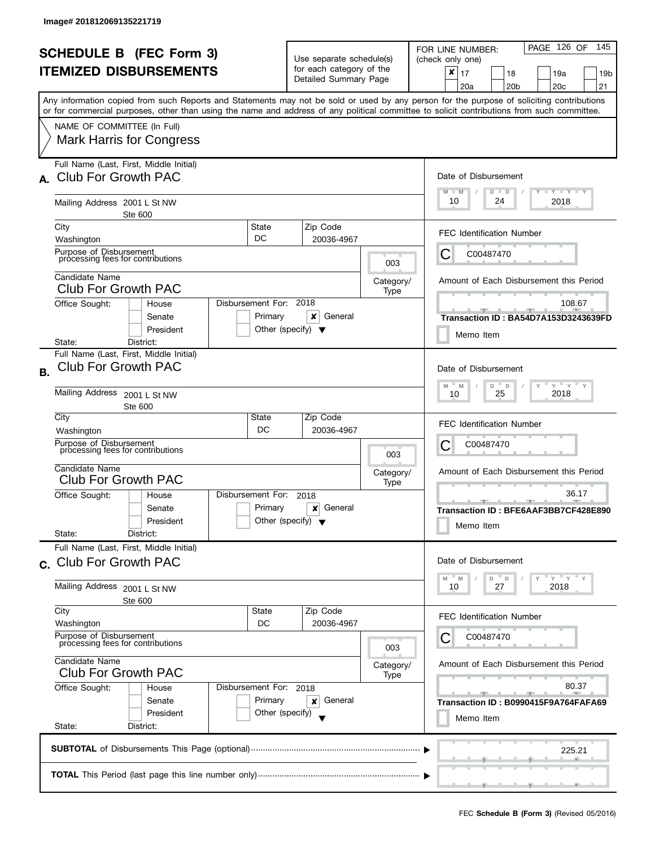|                                                                                                                                                                               | <b>SCHEDULE B (FEC Form 3)</b><br><b>ITEMIZED DISBURSEMENTS</b>                                                                                                                                              |                                                                         | Use separate schedule(s)<br>for each category of the<br>Detailed Summary Page |                                                                                                       | PAGE 126 OF<br>145<br>FOR LINE NUMBER:<br>(check only one)<br>×<br>17<br>18<br>19a<br>19 <sub>b</sub><br>20c<br>21<br>20a<br>20 <sub>b</sub><br>Any information copied from such Reports and Statements may not be sold or used by any person for the purpose of soliciting contributions |  |  |  |
|-------------------------------------------------------------------------------------------------------------------------------------------------------------------------------|--------------------------------------------------------------------------------------------------------------------------------------------------------------------------------------------------------------|-------------------------------------------------------------------------|-------------------------------------------------------------------------------|-------------------------------------------------------------------------------------------------------|-------------------------------------------------------------------------------------------------------------------------------------------------------------------------------------------------------------------------------------------------------------------------------------------|--|--|--|
|                                                                                                                                                                               | or for commercial purposes, other than using the name and address of any political committee to solicit contributions from such committee.<br>NAME OF COMMITTEE (In Full)<br><b>Mark Harris for Congress</b> |                                                                         |                                                                               |                                                                                                       |                                                                                                                                                                                                                                                                                           |  |  |  |
|                                                                                                                                                                               | Full Name (Last, First, Middle Initial)<br><b>Club For Growth PAC</b><br>Mailing Address 2001 L St NW                                                                                                        |                                                                         |                                                                               |                                                                                                       | Date of Disbursement<br>Y FYLY FY<br>$M - M$<br>$D$ $D$<br>10<br>24<br>2018                                                                                                                                                                                                               |  |  |  |
|                                                                                                                                                                               | Ste 600<br>City<br>Washington<br>Purpose of Disbursement                                                                                                                                                     | State<br>DC                                                             | Zip Code<br>20036-4967                                                        |                                                                                                       | <b>FEC Identification Number</b><br>С<br>C00487470                                                                                                                                                                                                                                        |  |  |  |
|                                                                                                                                                                               | processing fees for contributions<br>Candidate Name<br><b>Club For Growth PAC</b><br>Office Sought:<br>House                                                                                                 | Disbursement For: 2018                                                  |                                                                               | 003<br>Category/<br>Type                                                                              | Amount of Each Disbursement this Period<br>108.67                                                                                                                                                                                                                                         |  |  |  |
|                                                                                                                                                                               | Senate<br>President<br>District:<br>State:                                                                                                                                                                   | Primary                                                                 | x<br>General<br>Other (specify) $\blacktriangledown$                          |                                                                                                       | Transaction ID: BA54D7A153D3243639FD<br>Memo Item                                                                                                                                                                                                                                         |  |  |  |
| <b>B.</b>                                                                                                                                                                     | Full Name (Last, First, Middle Initial)<br><b>Club For Growth PAC</b><br>Mailing Address 2001 L St NW                                                                                                        |                                                                         |                                                                               |                                                                                                       | Date of Disbursement<br>$Y$ $Y$ $Y$<br>Y<br>D<br>M<br>$\mathsf D$<br>M<br>2018<br>25<br>10                                                                                                                                                                                                |  |  |  |
|                                                                                                                                                                               | Ste 600<br>City<br>Washington<br>Purpose of Disbursement<br>processing fees for contributions                                                                                                                | State<br>DC                                                             | Zip Code<br>20036-4967                                                        | 003                                                                                                   | <b>FEC Identification Number</b><br>C00487470<br>Ċ                                                                                                                                                                                                                                        |  |  |  |
|                                                                                                                                                                               | Candidate Name<br><b>Club For Growth PAC</b><br>Disbursement For:<br>Office Sought:<br>House<br>Senate<br>President                                                                                          | 2018<br>Primary<br>General<br>×<br>Other (specify) $\blacktriangledown$ | Category/<br>Type                                                             | Amount of Each Disbursement this Period<br>36.17<br>Transaction ID: BFE6AAF3BB7CF428E890<br>Memo Item |                                                                                                                                                                                                                                                                                           |  |  |  |
|                                                                                                                                                                               | State:<br>District:<br>Full Name (Last, First, Middle Initial)<br>c. Club For Growth PAC<br>Mailing Address 2001 L St NW<br>Ste 600                                                                          |                                                                         |                                                                               |                                                                                                       | Date of Disbursement<br>" γ " γ " γ<br>D<br>D<br>M<br>M<br>27<br>2018<br>10                                                                                                                                                                                                               |  |  |  |
|                                                                                                                                                                               | City<br>Washington<br>Purpose of Disbursement<br>processing fees for contributions                                                                                                                           | Zip Code<br>20036-4967                                                  | 003                                                                           | <b>FEC Identification Number</b><br>C00487470<br>Ĉ                                                    |                                                                                                                                                                                                                                                                                           |  |  |  |
| Candidate Name<br><b>Club For Growth PAC</b><br>Office Sought:<br>Disbursement For: 2018<br>House<br>Primary<br>Senate<br>President<br>Other (specify)<br>State:<br>District: |                                                                                                                                                                                                              |                                                                         | General<br>×                                                                  | Category/<br>Type                                                                                     | Amount of Each Disbursement this Period<br>80.37<br>Transaction ID: B0990415F9A764FAFA69<br>Memo Item                                                                                                                                                                                     |  |  |  |
|                                                                                                                                                                               | 225.21                                                                                                                                                                                                       |                                                                         |                                                                               |                                                                                                       |                                                                                                                                                                                                                                                                                           |  |  |  |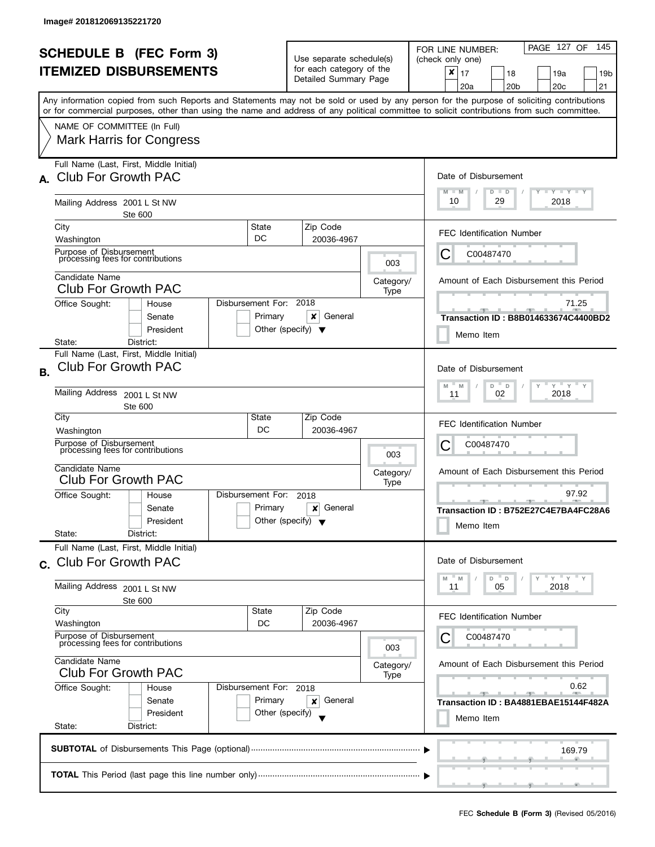|                                                                                                                                                                               | <b>SCHEDULE B (FEC Form 3)</b><br><b>ITEMIZED DISBURSEMENTS</b><br>Any information copied from such Reports and Statements may not be sold or used by any person for the purpose of soliciting contributions |                              | Use separate schedule(s)<br>for each category of the<br>Detailed Summary Page |                                                    | PAGE 127 OF<br>145<br>FOR LINE NUMBER:<br>(check only one)<br>×<br>17<br>18<br>19a<br>19 <sub>b</sub><br>20c<br>21<br>20a<br>20 <sub>b</sub> |  |  |  |
|-------------------------------------------------------------------------------------------------------------------------------------------------------------------------------|--------------------------------------------------------------------------------------------------------------------------------------------------------------------------------------------------------------|------------------------------|-------------------------------------------------------------------------------|----------------------------------------------------|----------------------------------------------------------------------------------------------------------------------------------------------|--|--|--|
|                                                                                                                                                                               | or for commercial purposes, other than using the name and address of any political committee to solicit contributions from such committee.<br>NAME OF COMMITTEE (In Full)<br><b>Mark Harris for Congress</b> |                              |                                                                               |                                                    |                                                                                                                                              |  |  |  |
|                                                                                                                                                                               | Full Name (Last, First, Middle Initial)<br><b>Club For Growth PAC</b><br>Mailing Address 2001 L St NW                                                                                                        |                              |                                                                               |                                                    | Date of Disbursement<br>Y FYLY FY<br>$M - M$<br>$D$ $D$<br>10<br>29<br>2018                                                                  |  |  |  |
|                                                                                                                                                                               | Ste 600<br>City<br>Washington<br>Purpose of Disbursement                                                                                                                                                     | State<br>DC                  | Zip Code<br>20036-4967                                                        |                                                    | <b>FEC Identification Number</b><br>С<br>C00487470                                                                                           |  |  |  |
|                                                                                                                                                                               | processing fees for contributions<br>Candidate Name<br><b>Club For Growth PAC</b><br>Office Sought:<br>House                                                                                                 | Disbursement For: 2018       |                                                                               | 003<br>Category/<br>Type                           | Amount of Each Disbursement this Period<br>71.25                                                                                             |  |  |  |
|                                                                                                                                                                               | Senate<br>President<br>District:<br>State:                                                                                                                                                                   | Primary                      | x<br>General<br>Other (specify) $\blacktriangledown$                          |                                                    | Transaction ID: B8B014633674C4400BD2<br>Memo Item                                                                                            |  |  |  |
| <b>B.</b>                                                                                                                                                                     | Full Name (Last, First, Middle Initial)<br><b>Club For Growth PAC</b><br>Mailing Address 2001 L St NW<br>Ste 600                                                                                             |                              |                                                                               |                                                    | Date of Disbursement<br>$Y$ $Y$ $Y$<br>Y<br>D<br>M<br>M<br>$\mathsf D$<br>2018<br>02<br>11                                                   |  |  |  |
|                                                                                                                                                                               | City<br>Washington<br>Purpose of Disbursement<br>processing fees for contributions                                                                                                                           | State<br>DC                  | Zip Code<br>20036-4967                                                        | 003                                                | <b>FEC Identification Number</b><br>C00487470<br>Ċ                                                                                           |  |  |  |
|                                                                                                                                                                               | Candidate Name<br><b>Club For Growth PAC</b><br>Office Sought:<br>House<br>Senate<br>President<br>State:<br>District:                                                                                        | Disbursement For:<br>Primary | 2018<br>General<br>×<br>Other (specify) $\blacktriangledown$                  | Category/<br>Type                                  | Amount of Each Disbursement this Period<br>97.92<br>Transaction ID: B752E27C4E7BA4FC28A6<br>Memo Item                                        |  |  |  |
|                                                                                                                                                                               | Full Name (Last, First, Middle Initial)<br>c. Club For Growth PAC<br>Mailing Address 2001 L St NW<br>Ste 600                                                                                                 |                              |                                                                               |                                                    | Date of Disbursement<br>" γ " γ " γ<br>D<br>D<br>M<br>M<br>2018<br>11<br>05                                                                  |  |  |  |
|                                                                                                                                                                               | City<br>Washington<br>Purpose of Disbursement<br>processing fees for contributions                                                                                                                           | Zip Code<br>20036-4967       | 003                                                                           | <b>FEC Identification Number</b><br>C00487470<br>Ĉ |                                                                                                                                              |  |  |  |
| Candidate Name<br><b>Club For Growth PAC</b><br>Office Sought:<br>Disbursement For: 2018<br>House<br>Primary<br>Senate<br>President<br>Other (specify)<br>State:<br>District: |                                                                                                                                                                                                              |                              | General<br>×                                                                  | Category/<br>Type                                  | Amount of Each Disbursement this Period<br>0.62<br>Transaction ID: BA4881EBAE15144F482A<br>Memo Item                                         |  |  |  |
|                                                                                                                                                                               | 169.79                                                                                                                                                                                                       |                              |                                                                               |                                                    |                                                                                                                                              |  |  |  |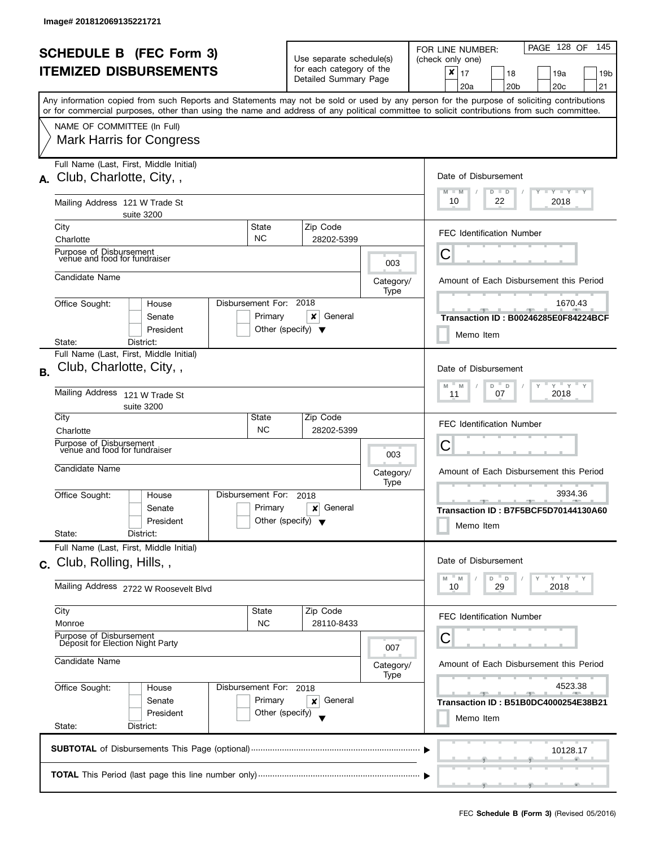| <b>SCHEDULE B (FEC Form 3)</b> |                                                                                                                                            |                        | Use separate schedule(s)             |                   | PAGE 128 OF<br>145<br>FOR LINE NUMBER:<br>(check only one)                                                                                |  |
|--------------------------------|--------------------------------------------------------------------------------------------------------------------------------------------|------------------------|--------------------------------------|-------------------|-------------------------------------------------------------------------------------------------------------------------------------------|--|
| <b>ITEMIZED DISBURSEMENTS</b>  |                                                                                                                                            |                        | for each category of the             |                   | $\pmb{\times}$<br>17<br>18<br>19a<br>19b                                                                                                  |  |
|                                |                                                                                                                                            |                        | Detailed Summary Page                |                   | 20 <sub>c</sub><br>20a<br>20 <sub>b</sub><br>21                                                                                           |  |
|                                |                                                                                                                                            |                        |                                      |                   | Any information copied from such Reports and Statements may not be sold or used by any person for the purpose of soliciting contributions |  |
|                                | or for commercial purposes, other than using the name and address of any political committee to solicit contributions from such committee. |                        |                                      |                   |                                                                                                                                           |  |
|                                | NAME OF COMMITTEE (In Full)                                                                                                                |                        |                                      |                   |                                                                                                                                           |  |
|                                | <b>Mark Harris for Congress</b>                                                                                                            |                        |                                      |                   |                                                                                                                                           |  |
|                                |                                                                                                                                            |                        |                                      |                   |                                                                                                                                           |  |
|                                | Full Name (Last, First, Middle Initial)                                                                                                    |                        |                                      |                   |                                                                                                                                           |  |
| А.                             | Club, Charlotte, City,,                                                                                                                    |                        |                                      |                   | Date of Disbursement                                                                                                                      |  |
|                                |                                                                                                                                            |                        |                                      |                   | $T - Y = T - Y$<br>M<br>$D$ $D$<br>$-M$                                                                                                   |  |
|                                | Mailing Address 121 W Trade St                                                                                                             |                        |                                      |                   | 10<br>22<br>2018                                                                                                                          |  |
|                                | suite 3200                                                                                                                                 |                        |                                      |                   |                                                                                                                                           |  |
|                                | City                                                                                                                                       | State                  | Zip Code                             |                   | <b>FEC Identification Number</b>                                                                                                          |  |
|                                | Charlotte                                                                                                                                  | <b>NC</b>              | 28202-5399                           |                   |                                                                                                                                           |  |
|                                | Purpose of Disbursement<br>venue and food for fundraiser                                                                                   |                        |                                      | 003               | C                                                                                                                                         |  |
|                                | Candidate Name                                                                                                                             |                        |                                      |                   |                                                                                                                                           |  |
|                                |                                                                                                                                            |                        |                                      | Category/<br>Type | Amount of Each Disbursement this Period                                                                                                   |  |
|                                | Office Sought:<br>House                                                                                                                    | Disbursement For: 2018 |                                      |                   | 1670.43                                                                                                                                   |  |
|                                | Senate                                                                                                                                     | Primary                | x<br>General                         |                   | Transaction ID: B00246285E0F84224BCF                                                                                                      |  |
|                                | President                                                                                                                                  |                        | Other (specify) $\blacktriangledown$ |                   |                                                                                                                                           |  |
|                                | State:<br>District:                                                                                                                        |                        |                                      |                   | Memo Item                                                                                                                                 |  |
|                                | Full Name (Last, First, Middle Initial)                                                                                                    |                        |                                      |                   |                                                                                                                                           |  |
| <b>B.</b>                      | Club, Charlotte, City,,                                                                                                                    |                        |                                      |                   | Date of Disbursement                                                                                                                      |  |
|                                |                                                                                                                                            |                        |                                      |                   | $Y$ $Y$ $Y$ $Y$<br>M<br>D<br>D<br>M                                                                                                       |  |
|                                | Mailing Address<br>121 W Trade St                                                                                                          |                        |                                      |                   | 2018<br>07<br>11                                                                                                                          |  |
|                                | suite 3200                                                                                                                                 |                        |                                      |                   |                                                                                                                                           |  |
|                                | City                                                                                                                                       | State<br><b>NC</b>     | Zip Code                             |                   | <b>FEC Identification Number</b>                                                                                                          |  |
|                                | Charlotte<br>Purpose of Disbursement                                                                                                       |                        | 28202-5399                           |                   |                                                                                                                                           |  |
|                                | venue and food for fundraiser                                                                                                              |                        |                                      | 003               | Ü                                                                                                                                         |  |
|                                | Candidate Name                                                                                                                             |                        |                                      |                   | Amount of Each Disbursement this Period                                                                                                   |  |
|                                |                                                                                                                                            |                        |                                      | Category/<br>Type |                                                                                                                                           |  |
|                                | Office Sought:<br>House                                                                                                                    | Disbursement For:      | 2018                                 |                   | 3934.36                                                                                                                                   |  |
|                                | Senate                                                                                                                                     | Primary                | General<br>×                         |                   | $-9-$<br>Transaction ID: B7F5BCF5D70144130A60                                                                                             |  |
|                                | President                                                                                                                                  |                        | Other (specify) $\blacktriangledown$ |                   | Memo Item                                                                                                                                 |  |
|                                | State:<br>District:                                                                                                                        |                        |                                      |                   |                                                                                                                                           |  |
|                                | Full Name (Last, First, Middle Initial)                                                                                                    |                        |                                      |                   |                                                                                                                                           |  |
|                                | c. Club, Rolling, Hills, ,                                                                                                                 |                        |                                      |                   | Date of Disbursement                                                                                                                      |  |
|                                |                                                                                                                                            |                        |                                      |                   | $Y = Y$<br>D<br>D<br>M<br>M                                                                                                               |  |
|                                | Mailing Address 2722 W Roosevelt Blvd                                                                                                      |                        |                                      |                   | 29<br>2018<br>10                                                                                                                          |  |
|                                | City                                                                                                                                       | State                  | Zip Code                             |                   |                                                                                                                                           |  |
|                                | Monroe                                                                                                                                     | <b>NC</b>              | 28110-8433                           |                   | <b>FEC Identification Number</b>                                                                                                          |  |
|                                | Purpose of Disbursement                                                                                                                    |                        |                                      |                   |                                                                                                                                           |  |
|                                | Deposit for Election Night Party                                                                                                           |                        |                                      | 007               | U                                                                                                                                         |  |
|                                | Candidate Name                                                                                                                             |                        |                                      | Category/         | Amount of Each Disbursement this Period                                                                                                   |  |
|                                |                                                                                                                                            |                        | Type                                 |                   |                                                                                                                                           |  |
|                                | Disbursement For: 2018<br>Office Sought:<br>House                                                                                          |                        |                                      | 4523.38           |                                                                                                                                           |  |
| Primary<br>Senate              |                                                                                                                                            |                        | General<br>×                         |                   | Transaction ID: B51B0DC4000254E38B21                                                                                                      |  |
|                                | President                                                                                                                                  | Other (specify)        |                                      |                   | Memo Item                                                                                                                                 |  |
|                                | State:<br>District:                                                                                                                        |                        |                                      |                   |                                                                                                                                           |  |
|                                |                                                                                                                                            |                        |                                      |                   |                                                                                                                                           |  |
|                                |                                                                                                                                            |                        |                                      |                   | 10128.17                                                                                                                                  |  |
|                                |                                                                                                                                            |                        |                                      |                   |                                                                                                                                           |  |
|                                |                                                                                                                                            |                        |                                      |                   |                                                                                                                                           |  |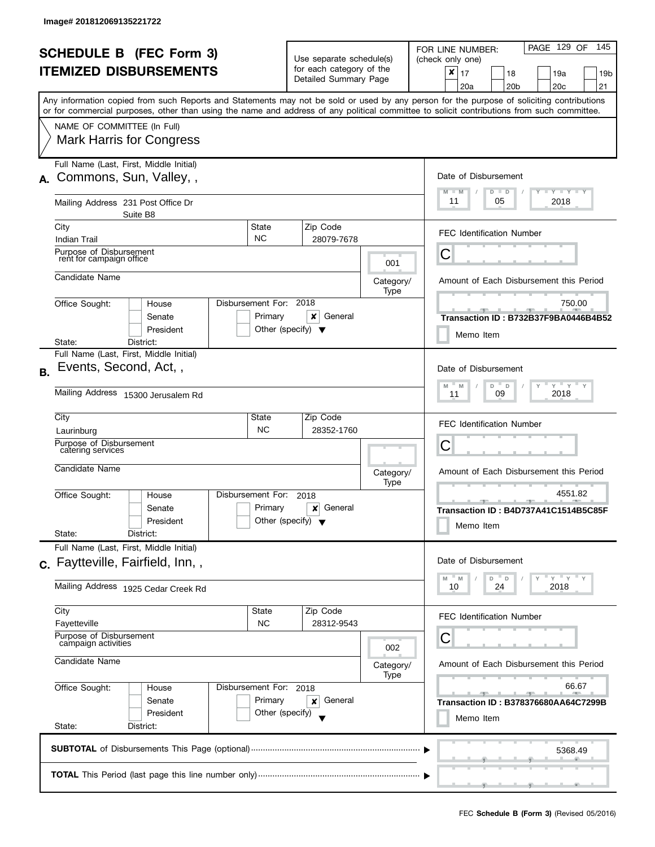|           | <b>SCHEDULE B (FEC Form 3)</b><br><b>ITEMIZED DISBURSEMENTS</b>                                                                                                                                                                                                                                                                                           |                                                 | Use separate schedule(s)<br>for each category of the<br>Detailed Summary Page         |                          | PAGE 129 OF<br>145<br>FOR LINE NUMBER:<br>(check only one)<br>$\boldsymbol{x}$<br>17<br>18<br>19a<br>19 <sub>b</sub><br>20a<br>20 <sub>b</sub><br>20 <sub>c</sub><br>21 |
|-----------|-----------------------------------------------------------------------------------------------------------------------------------------------------------------------------------------------------------------------------------------------------------------------------------------------------------------------------------------------------------|-------------------------------------------------|---------------------------------------------------------------------------------------|--------------------------|-------------------------------------------------------------------------------------------------------------------------------------------------------------------------|
|           | Any information copied from such Reports and Statements may not be sold or used by any person for the purpose of soliciting contributions<br>or for commercial purposes, other than using the name and address of any political committee to solicit contributions from such committee.<br>NAME OF COMMITTEE (In Full)<br><b>Mark Harris for Congress</b> |                                                 |                                                                                       |                          |                                                                                                                                                                         |
| А.        | Full Name (Last, First, Middle Initial)<br>Commons, Sun, Valley,,<br>Mailing Address 231 Post Office Dr                                                                                                                                                                                                                                                   |                                                 |                                                                                       |                          | Date of Disbursement<br><b>LY LY LY</b><br>$M - M$<br>$D$ $D$<br>11<br>05<br>2018                                                                                       |
|           | Suite B8<br>City<br><b>NC</b><br><b>Indian Trail</b><br>Purpose of Disbursement                                                                                                                                                                                                                                                                           | State                                           | Zip Code<br>28079-7678                                                                |                          | <b>FEC Identification Number</b><br>Ĉ                                                                                                                                   |
|           | rent for campaign office<br>Candidate Name                                                                                                                                                                                                                                                                                                                |                                                 |                                                                                       | 001<br>Category/<br>Type | Amount of Each Disbursement this Period                                                                                                                                 |
|           | Disbursement For: 2018<br>Office Sought:<br>House<br>Senate<br>President<br>District:<br>State:                                                                                                                                                                                                                                                           | Primary<br>Other (specify) $\blacktriangledown$ | ×<br>General                                                                          |                          | 750.00<br>Transaction ID: B732B37F9BA0446B4B52<br>Memo Item                                                                                                             |
| <b>B.</b> | Full Name (Last, First, Middle Initial)<br>Events, Second, Act,,<br>Mailing Address 15300 Jerusalem Rd                                                                                                                                                                                                                                                    |                                                 | Date of Disbursement<br>$Y$ $Y$ $Y$<br>D<br>M<br>M<br>$\mathsf D$<br>2018<br>09<br>11 |                          |                                                                                                                                                                         |
|           | City<br>Laurinburg<br>Purpose of Disbursement<br>catering services                                                                                                                                                                                                                                                                                        | State<br><b>NC</b>                              | Zip Code<br>28352-1760                                                                |                          | <b>FEC Identification Number</b><br>C                                                                                                                                   |
|           | Candidate Name<br>Disbursement For:<br>Office Sought:<br>House<br>Senate<br>President<br>State:<br>District:                                                                                                                                                                                                                                              | Primary<br>Other (specify) $\blacktriangledown$ | 2018<br>General<br>×                                                                  | Category/<br>Type        | Amount of Each Disbursement this Period<br>4551.82<br>Transaction ID: B4D737A41C1514B5C85F<br>Memo Item                                                                 |
|           | Full Name (Last, First, Middle Initial)<br>c. Faytteville, Fairfield, Inn,,<br>Mailing Address 1925 Cedar Creek Rd                                                                                                                                                                                                                                        |                                                 |                                                                                       |                          | Date of Disbursement<br>$Y = Y = Y$<br>D<br>M<br>M<br>D<br>24<br>10<br>2018                                                                                             |
|           | City<br>Fayetteville<br>Purpose of Disbursement<br>campaign activities<br>Candidate Name                                                                                                                                                                                                                                                                  | State<br><b>NC</b>                              | Zip Code<br>28312-9543                                                                | 002<br>Category/<br>Type | <b>FEC Identification Number</b><br>С<br>Amount of Each Disbursement this Period                                                                                        |
|           | Office Sought:<br>Disbursement For: 2018<br>House<br>Senate<br>President<br>State:<br>District:                                                                                                                                                                                                                                                           | Primary<br>Other (specify)                      | General<br>x                                                                          |                          | 66.67<br>$-1$<br>Transaction ID: B378376680AA64C7299B<br>Memo Item                                                                                                      |
|           |                                                                                                                                                                                                                                                                                                                                                           |                                                 |                                                                                       |                          | 5368.49                                                                                                                                                                 |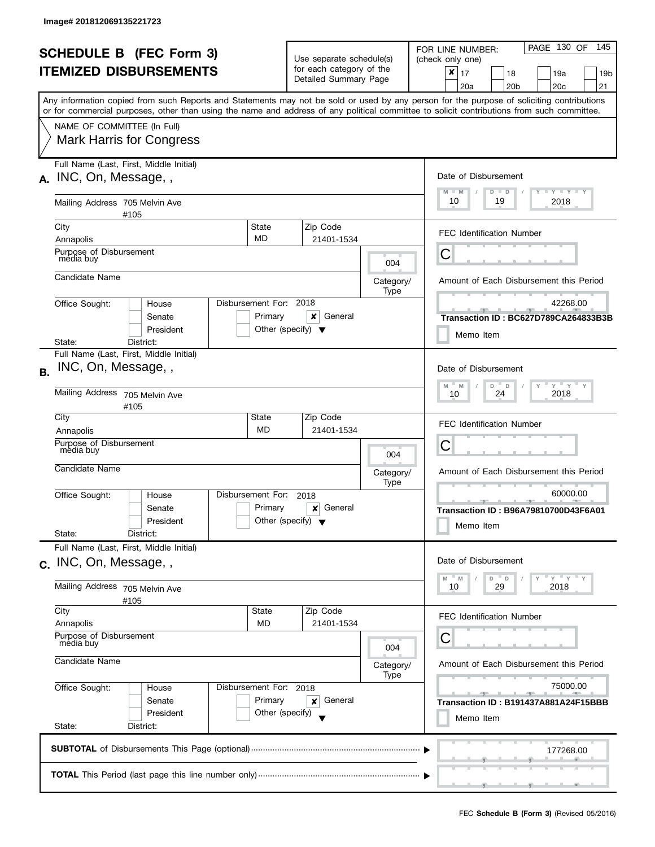|           | <b>SCHEDULE B</b> (FEC Form 3)                                                                                                                                   |                                                 |                                                                                          | Use separate schedule(s) |                   | PAGE 130 OF<br>145<br>FOR LINE NUMBER:<br>(check only one)                                                                                |
|-----------|------------------------------------------------------------------------------------------------------------------------------------------------------------------|-------------------------------------------------|------------------------------------------------------------------------------------------|--------------------------|-------------------|-------------------------------------------------------------------------------------------------------------------------------------------|
|           | <b>ITEMIZED DISBURSEMENTS</b>                                                                                                                                    |                                                 | for each category of the<br>Detailed Summary Page                                        |                          |                   | $x \mid 17$<br>18<br>19a<br>19 <sub>b</sub><br>20 <sub>b</sub><br>20c<br>21<br>20a                                                        |
|           | or for commercial purposes, other than using the name and address of any political committee to solicit contributions from such committee.                       |                                                 |                                                                                          |                          |                   | Any information copied from such Reports and Statements may not be sold or used by any person for the purpose of soliciting contributions |
|           | NAME OF COMMITTEE (In Full)                                                                                                                                      |                                                 |                                                                                          |                          |                   |                                                                                                                                           |
|           | <b>Mark Harris for Congress</b>                                                                                                                                  |                                                 |                                                                                          |                          |                   |                                                                                                                                           |
|           | Full Name (Last, First, Middle Initial)<br>A. INC, On, Message,                                                                                                  |                                                 |                                                                                          |                          |                   | Date of Disbursement                                                                                                                      |
|           | Mailing Address 705 Melvin Ave<br>#105                                                                                                                           |                                                 |                                                                                          |                          |                   | Y TY TY TY<br>$M - M$<br>$D$ $D$<br>10<br>19<br>2018                                                                                      |
|           | City                                                                                                                                                             | State                                           |                                                                                          | Zip Code                 |                   | <b>FEC Identification Number</b>                                                                                                          |
|           | Annapolis<br>Purpose of Disbursement                                                                                                                             | <b>MD</b>                                       |                                                                                          | 21401-1534               |                   |                                                                                                                                           |
|           | mėdia buy                                                                                                                                                        |                                                 |                                                                                          |                          | 004               | С                                                                                                                                         |
|           | Candidate Name                                                                                                                                                   |                                                 |                                                                                          |                          | Category/<br>Type | Amount of Each Disbursement this Period                                                                                                   |
|           | Office Sought:<br>House                                                                                                                                          | Disbursement For: 2018                          |                                                                                          |                          |                   | 42268.00                                                                                                                                  |
|           | Senate<br>President                                                                                                                                              | Primary<br>Other (specify) $\blacktriangledown$ |                                                                                          | ×<br>General             |                   | Transaction ID: BC627D789CA264833B3B<br>Memo Item                                                                                         |
|           | State:<br>District:                                                                                                                                              |                                                 |                                                                                          |                          |                   |                                                                                                                                           |
| <b>B.</b> | Full Name (Last, First, Middle Initial)<br>INC, On, Message, ,                                                                                                   |                                                 |                                                                                          |                          |                   | Date of Disbursement                                                                                                                      |
|           | Mailing Address 705 Melvin Ave<br>#105                                                                                                                           |                                                 |                                                                                          |                          |                   | $Y$ $Y$ $Y$ $Y$<br>M<br>D<br>$\mathbb D$<br>Y<br>M<br>2018<br>24<br>10                                                                    |
|           | City                                                                                                                                                             | State                                           |                                                                                          | Zip Code                 |                   | <b>FEC Identification Number</b>                                                                                                          |
|           | Annapolis<br>Purpose of Disbursement                                                                                                                             | <b>MD</b>                                       |                                                                                          | 21401-1534               |                   | С                                                                                                                                         |
|           | media buy                                                                                                                                                        |                                                 | 004<br>Category/<br>Type<br>2018<br>Primary<br>General<br>x<br>Other (specify) $\sqrt{}$ |                          |                   |                                                                                                                                           |
|           | Candidate Name                                                                                                                                                   |                                                 |                                                                                          |                          |                   | Amount of Each Disbursement this Period                                                                                                   |
|           | Office Sought:<br>House                                                                                                                                          | Disbursement For:                               |                                                                                          |                          |                   | 60000.00                                                                                                                                  |
|           | Senate<br>President                                                                                                                                              |                                                 |                                                                                          |                          |                   | Transaction ID: B96A79810700D43F6A01                                                                                                      |
|           | State:<br>District:                                                                                                                                              |                                                 |                                                                                          |                          |                   | Memo Item                                                                                                                                 |
|           | Full Name (Last, First, Middle Initial)<br>c. INC, On, Message, ,                                                                                                |                                                 |                                                                                          |                          |                   | Date of Disbursement                                                                                                                      |
|           | Mailing Address 705 Melvin Ave                                                                                                                                   |                                                 |                                                                                          |                          |                   | $Y = Y = Y$<br>D<br>M<br>M<br>D<br>10<br>2018<br>29                                                                                       |
|           | #105<br>City                                                                                                                                                     | State                                           |                                                                                          | Zip Code                 |                   |                                                                                                                                           |
|           | Annapolis                                                                                                                                                        | MD                                              |                                                                                          | 21401-1534               |                   | <b>FEC Identification Number</b>                                                                                                          |
|           | Purpose of Disbursement<br>mėdia buy<br>Candidate Name<br>Office Sought:<br>Disbursement For: 2018<br>House<br>Primary<br>Senate<br>President<br>Other (specify) |                                                 |                                                                                          |                          | 004               | С                                                                                                                                         |
|           |                                                                                                                                                                  |                                                 |                                                                                          |                          | Category/<br>Type | Amount of Each Disbursement this Period                                                                                                   |
|           |                                                                                                                                                                  |                                                 |                                                                                          |                          |                   | 75000.00                                                                                                                                  |
|           |                                                                                                                                                                  |                                                 |                                                                                          | General<br>x             |                   | Transaction ID: B191437A881A24F15BBB                                                                                                      |
|           | State:<br>District:                                                                                                                                              |                                                 |                                                                                          |                          |                   | Memo Item                                                                                                                                 |
|           |                                                                                                                                                                  |                                                 |                                                                                          |                          |                   | 177268.00                                                                                                                                 |
|           |                                                                                                                                                                  |                                                 |                                                                                          |                          |                   |                                                                                                                                           |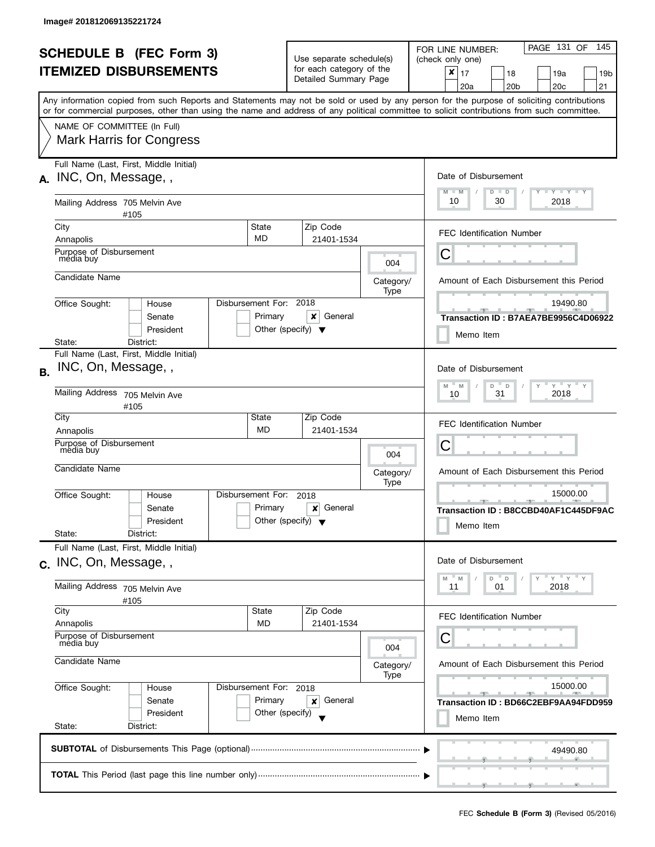| <b>SCHEDULE B (FEC Form 3)</b><br><b>ITEMIZED DISBURSEMENTS</b> |                                                                                                                                            |                                                          | Use separate schedule(s)<br>for each category of the<br>Detailed Summary Page |                   | PAGE 131 OF<br>145<br>FOR LINE NUMBER:<br>(check only one)<br>$x \mid 17$<br>18<br>19a<br>19b<br>21<br>20a<br>20 <sub>b</sub><br>20 <sub>c</sub> |
|-----------------------------------------------------------------|--------------------------------------------------------------------------------------------------------------------------------------------|----------------------------------------------------------|-------------------------------------------------------------------------------|-------------------|--------------------------------------------------------------------------------------------------------------------------------------------------|
|                                                                 | or for commercial purposes, other than using the name and address of any political committee to solicit contributions from such committee. |                                                          |                                                                               |                   | Any information copied from such Reports and Statements may not be sold or used by any person for the purpose of soliciting contributions        |
|                                                                 | NAME OF COMMITTEE (In Full)<br><b>Mark Harris for Congress</b>                                                                             |                                                          |                                                                               |                   |                                                                                                                                                  |
|                                                                 | Full Name (Last, First, Middle Initial)<br>A. INC, On, Message,                                                                            |                                                          |                                                                               |                   | Date of Disbursement<br>Y TY TY TY<br>$M - M$<br>$D$ $D$                                                                                         |
|                                                                 | Mailing Address 705 Melvin Ave<br>#105                                                                                                     |                                                          |                                                                               |                   | 10<br>2018<br>30                                                                                                                                 |
|                                                                 | City                                                                                                                                       | State<br><b>MD</b>                                       | Zip Code                                                                      |                   | <b>FEC Identification Number</b>                                                                                                                 |
|                                                                 | Annapolis<br>Purpose of Disbursement<br>mėdia buy                                                                                          |                                                          | 21401-1534                                                                    | 004               | С                                                                                                                                                |
|                                                                 | Candidate Name                                                                                                                             |                                                          |                                                                               | Category/<br>Type | Amount of Each Disbursement this Period                                                                                                          |
|                                                                 | Office Sought:<br>House<br>Senate<br>President                                                                                             | Disbursement For: 2018<br>Primary                        | x<br>General<br>Other (specify) $\blacktriangledown$                          |                   | 19490.80<br>---<br>Transaction ID: B7AEA7BE9956C4D06922<br>Memo Item                                                                             |
|                                                                 | District:<br>State:<br>Full Name (Last, First, Middle Initial)<br>INC, On, Message, ,                                                      |                                                          |                                                                               |                   | Date of Disbursement                                                                                                                             |
| <b>B.</b>                                                       | Mailing Address 705 Melvin Ave<br>#105                                                                                                     | $Y$ $Y$ $Y$<br>M<br>M<br>D<br>$\Box$<br>2018<br>31<br>10 |                                                                               |                   |                                                                                                                                                  |
|                                                                 | City<br>Annapolis                                                                                                                          | State<br><b>MD</b>                                       | Zip Code<br>21401-1534                                                        |                   | <b>FEC Identification Number</b>                                                                                                                 |
|                                                                 | Purpose of Disbursement<br>media buy                                                                                                       |                                                          |                                                                               | 004               | С                                                                                                                                                |
|                                                                 | Candidate Name                                                                                                                             |                                                          |                                                                               | Category/<br>Type | Amount of Each Disbursement this Period                                                                                                          |
|                                                                 | Office Sought:<br>House<br>Senate<br>President                                                                                             | Disbursement For:<br>Primary                             | 2018<br>General<br>x<br>Other (specify) $\blacktriangledown$                  |                   | 15000.00<br>Transaction ID: B8CCBD40AF1C445DF9AC<br>Memo Item                                                                                    |
|                                                                 | State:<br>District:<br>Full Name (Last, First, Middle Initial)<br>c. INC, On, Message, ,                                                   |                                                          |                                                                               |                   | Date of Disbursement                                                                                                                             |
|                                                                 | Mailing Address 705 Melvin Ave<br>#105                                                                                                     |                                                          |                                                                               |                   | $-\gamma + \gamma - \gamma$<br>$- M$<br>D<br>$\mathsf D$<br>M<br>2018<br>11<br>01                                                                |
|                                                                 | City<br>Annapolis                                                                                                                          | State<br>MD                                              | Zip Code<br>21401-1534                                                        |                   | FEC Identification Number                                                                                                                        |
|                                                                 | Purpose of Disbursement<br>mėdia buy<br>Candidate Name                                                                                     |                                                          |                                                                               | 004               | С                                                                                                                                                |
|                                                                 |                                                                                                                                            |                                                          |                                                                               | Category/<br>Type | Amount of Each Disbursement this Period                                                                                                          |
|                                                                 | Office Sought:<br>House<br>Senate<br>President                                                                                             | Disbursement For: 2018<br>Primary<br>Other (specify)     | General<br>×                                                                  |                   | 15000.00<br>Transaction ID: BD66C2EBF9AA94FDD959<br>Memo Item                                                                                    |
|                                                                 | State:<br>District:                                                                                                                        |                                                          |                                                                               |                   |                                                                                                                                                  |
|                                                                 |                                                                                                                                            |                                                          |                                                                               |                   | 49490.80                                                                                                                                         |
|                                                                 |                                                                                                                                            |                                                          |                                                                               |                   |                                                                                                                                                  |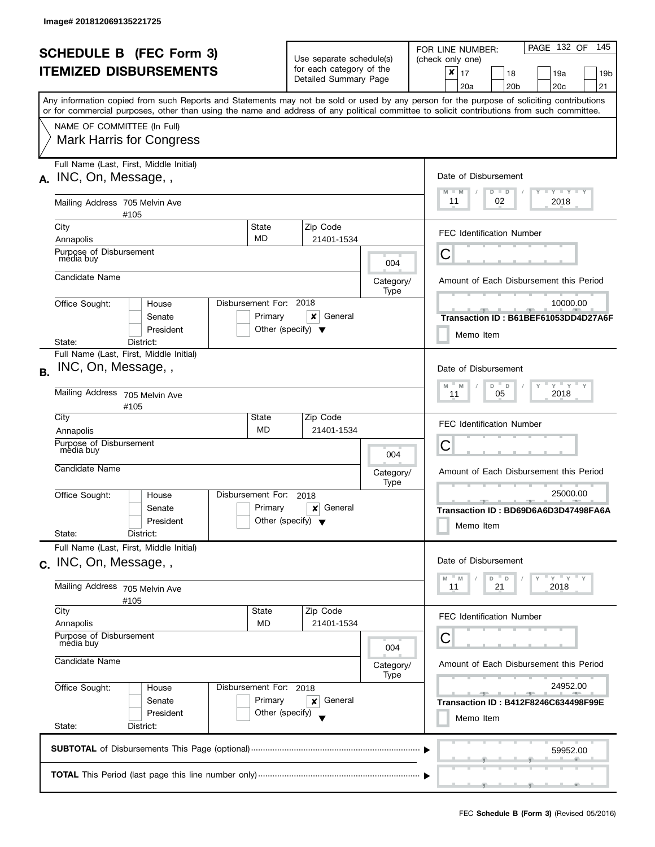| <b>SCHEDULE B</b> (FEC Form 3) |                                                                                                                                            |                        | Use separate schedule(s)                                                      |         |                   | PAGE 132 OF<br>145<br>FOR LINE NUMBER:<br>(check only one)                                                                                |  |  |
|--------------------------------|--------------------------------------------------------------------------------------------------------------------------------------------|------------------------|-------------------------------------------------------------------------------|---------|-------------------|-------------------------------------------------------------------------------------------------------------------------------------------|--|--|
|                                | <b>ITEMIZED DISBURSEMENTS</b>                                                                                                              |                        | for each category of the<br>Detailed Summary Page                             |         |                   | $x \mid 17$<br>18<br>19a<br>19 <sub>b</sub><br>20a<br>20 <sub>b</sub><br>20c<br>21                                                        |  |  |
|                                | or for commercial purposes, other than using the name and address of any political committee to solicit contributions from such committee. |                        |                                                                               |         |                   | Any information copied from such Reports and Statements may not be sold or used by any person for the purpose of soliciting contributions |  |  |
|                                | NAME OF COMMITTEE (In Full)                                                                                                                |                        |                                                                               |         |                   |                                                                                                                                           |  |  |
|                                | <b>Mark Harris for Congress</b>                                                                                                            |                        |                                                                               |         |                   |                                                                                                                                           |  |  |
|                                | Full Name (Last, First, Middle Initial)<br>A. INC, On, Message,                                                                            |                        |                                                                               |         |                   | Date of Disbursement                                                                                                                      |  |  |
|                                | Mailing Address 705 Melvin Ave<br>#105                                                                                                     |                        |                                                                               |         |                   | Y TY TY TY<br>$M - M$<br>$D$ $D$<br>11<br>02<br>2018                                                                                      |  |  |
|                                | City                                                                                                                                       | State                  | Zip Code                                                                      |         |                   | <b>FEC Identification Number</b>                                                                                                          |  |  |
|                                | Annapolis                                                                                                                                  | <b>MD</b>              | 21401-1534                                                                    |         |                   |                                                                                                                                           |  |  |
|                                | Purpose of Disbursement<br>mėdia buy                                                                                                       |                        |                                                                               |         | 004               | С                                                                                                                                         |  |  |
|                                | Candidate Name                                                                                                                             |                        |                                                                               |         | Category/<br>Type | Amount of Each Disbursement this Period                                                                                                   |  |  |
|                                | Office Sought:<br>House                                                                                                                    | Disbursement For: 2018 |                                                                               |         |                   | 10000.00                                                                                                                                  |  |  |
|                                | Senate<br>President                                                                                                                        | Primary                | ×<br>Other (specify) $\blacktriangledown$                                     | General |                   | Transaction ID: B61BEF61053DD4D27A6F                                                                                                      |  |  |
|                                | State:<br>District:                                                                                                                        |                        |                                                                               |         |                   | Memo Item                                                                                                                                 |  |  |
| <b>B.</b>                      | Full Name (Last, First, Middle Initial)<br>INC, On, Message, ,                                                                             |                        |                                                                               |         |                   | Date of Disbursement                                                                                                                      |  |  |
|                                | Mailing Address 705 Melvin Ave<br>#105                                                                                                     |                        |                                                                               |         |                   | $Y$ $Y$ $Y$ $Y$<br>$\overline{a}$<br>D<br>Y<br>M<br>M<br>2018<br>05<br>11                                                                 |  |  |
|                                | City                                                                                                                                       | State                  | Zip Code                                                                      |         |                   | <b>FEC Identification Number</b>                                                                                                          |  |  |
|                                | Annapolis<br>Purpose of Disbursement                                                                                                       | <b>MD</b>              | 21401-1534                                                                    |         |                   | С                                                                                                                                         |  |  |
|                                | media buy                                                                                                                                  |                        | 004<br>Category/<br>Type<br>2018<br>General<br>x<br>Other (specify) $\sqrt{}$ |         |                   |                                                                                                                                           |  |  |
|                                | Candidate Name                                                                                                                             |                        |                                                                               |         |                   | Amount of Each Disbursement this Period                                                                                                   |  |  |
|                                | Office Sought:<br>House                                                                                                                    | Disbursement For:      |                                                                               |         |                   | 25000.00                                                                                                                                  |  |  |
|                                | Senate<br>President                                                                                                                        | Primary                |                                                                               |         |                   | Transaction ID: BD69D6A6D3D47498FA6A                                                                                                      |  |  |
|                                | State:<br>District:                                                                                                                        |                        |                                                                               |         |                   | Memo Item                                                                                                                                 |  |  |
|                                | Full Name (Last, First, Middle Initial)                                                                                                    |                        |                                                                               |         |                   |                                                                                                                                           |  |  |
|                                | c. INC, On, Message, ,                                                                                                                     |                        |                                                                               |         |                   | Date of Disbursement                                                                                                                      |  |  |
|                                | Mailing Address 705 Melvin Ave<br>#105                                                                                                     |                        |                                                                               |         |                   | $Y = Y = Y$<br>D<br>M<br>M<br>D<br>21<br>2018<br>11                                                                                       |  |  |
|                                | City                                                                                                                                       | State                  | Zip Code                                                                      |         |                   | <b>FEC Identification Number</b>                                                                                                          |  |  |
|                                | Annapolis<br>Purpose of Disbursement                                                                                                       | MD                     | 21401-1534                                                                    |         |                   | С                                                                                                                                         |  |  |
|                                | mėdia buy<br>Candidate Name                                                                                                                |                        |                                                                               |         | 004<br>Category/  | Amount of Each Disbursement this Period                                                                                                   |  |  |
|                                | Disbursement For: 2018                                                                                                                     |                        |                                                                               |         | Type              |                                                                                                                                           |  |  |
|                                | Office Sought:<br>House<br>Senate                                                                                                          | Primary                | x                                                                             | General |                   | 24952.00                                                                                                                                  |  |  |
|                                | President                                                                                                                                  | Other (specify)        |                                                                               |         |                   | Transaction ID: B412F8246C634498F99E<br>Memo Item                                                                                         |  |  |
|                                | State:<br>District:                                                                                                                        |                        |                                                                               |         |                   |                                                                                                                                           |  |  |
|                                |                                                                                                                                            |                        |                                                                               |         |                   | 59952.00                                                                                                                                  |  |  |
|                                |                                                                                                                                            |                        |                                                                               |         |                   |                                                                                                                                           |  |  |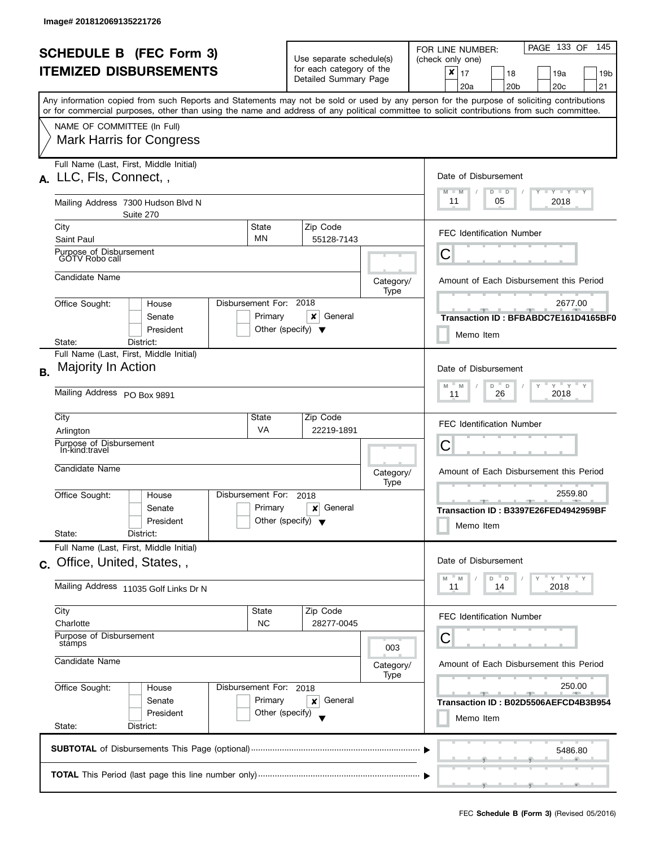|           | <b>SCHEDULE B (FEC Form 3)</b>                                                                                                             |                                                     | Use separate schedule(s)                             |                                                   | PAGE 133 OF<br>145<br>FOR LINE NUMBER:<br>(check only one)                                                                                |  |  |
|-----------|--------------------------------------------------------------------------------------------------------------------------------------------|-----------------------------------------------------|------------------------------------------------------|---------------------------------------------------|-------------------------------------------------------------------------------------------------------------------------------------------|--|--|
|           | <b>ITEMIZED DISBURSEMENTS</b>                                                                                                              |                                                     | for each category of the<br>Detailed Summary Page    |                                                   | $\boldsymbol{x}$<br>17<br>18<br>19a<br>19 <sub>b</sub><br>20 <sub>c</sub><br>20 <sub>b</sub><br>21<br>20a                                 |  |  |
|           | or for commercial purposes, other than using the name and address of any political committee to solicit contributions from such committee. |                                                     |                                                      |                                                   | Any information copied from such Reports and Statements may not be sold or used by any person for the purpose of soliciting contributions |  |  |
|           | NAME OF COMMITTEE (In Full)                                                                                                                |                                                     |                                                      |                                                   |                                                                                                                                           |  |  |
|           | <b>Mark Harris for Congress</b>                                                                                                            |                                                     |                                                      |                                                   |                                                                                                                                           |  |  |
|           | Full Name (Last, First, Middle Initial)<br>A. LLC, Fls, Connect,,                                                                          |                                                     |                                                      |                                                   | Date of Disbursement                                                                                                                      |  |  |
|           | Mailing Address 7300 Hudson Blvd N<br>Suite 270                                                                                            |                                                     |                                                      |                                                   | $\Box$ $\gamma$ $\Box$ $\gamma$ $\Box$ $\gamma$<br>$M - M$<br>$D$ $D$<br>11<br>05<br>2018                                                 |  |  |
|           | City<br>Saint Paul                                                                                                                         | State<br>MN                                         | Zip Code<br>55128-7143                               |                                                   | <b>FEC Identification Number</b>                                                                                                          |  |  |
|           | Purpose of Disbursement<br>GOTV Robo call                                                                                                  |                                                     |                                                      |                                                   | С                                                                                                                                         |  |  |
|           | Candidate Name                                                                                                                             |                                                     |                                                      | Category/<br>Type                                 | Amount of Each Disbursement this Period                                                                                                   |  |  |
|           | Office Sought:<br>House<br>Senate                                                                                                          | Disbursement For:<br>Primary                        | 2018<br>×<br>General                                 |                                                   | 2677.00<br>Transaction ID: BFBABDC7E161D4165BF0                                                                                           |  |  |
|           | President<br>State:<br>District:                                                                                                           |                                                     | Other (specify) $\blacktriangledown$                 |                                                   | Memo Item                                                                                                                                 |  |  |
| <b>B.</b> | Full Name (Last, First, Middle Initial)<br>Majority In Action                                                                              |                                                     |                                                      |                                                   | Date of Disbursement                                                                                                                      |  |  |
|           | Mailing Address PO Box 9891                                                                                                                | $Y$ $Y$ $Y$<br>D<br>M<br>D<br>M<br>2018<br>26<br>11 |                                                      |                                                   |                                                                                                                                           |  |  |
|           | City                                                                                                                                       | State<br><b>VA</b>                                  | Zip Code                                             |                                                   | <b>FEC Identification Number</b>                                                                                                          |  |  |
|           | Arlington<br>Purpose of Disbursement<br>In-kind:travel                                                                                     |                                                     | 22219-1891                                           |                                                   | С                                                                                                                                         |  |  |
|           | Candidate Name                                                                                                                             |                                                     |                                                      | Category/<br>Type                                 | Amount of Each Disbursement this Period                                                                                                   |  |  |
|           | Office Sought:<br>House                                                                                                                    | Disbursement For:                                   | 2018                                                 |                                                   | 2559.80<br>$-1$ $-1$ $-2$ $-$                                                                                                             |  |  |
|           | Senate<br>President<br>State:<br>District:                                                                                                 | Primary                                             | General<br>×<br>Other (specify) $\blacktriangledown$ |                                                   | Transaction ID: B3397E26FED4942959BF<br>Memo Item                                                                                         |  |  |
|           | Full Name (Last, First, Middle Initial)                                                                                                    |                                                     |                                                      |                                                   | Date of Disbursement                                                                                                                      |  |  |
|           | c. Office, United, States,,                                                                                                                |                                                     |                                                      |                                                   | $Y = Y$<br>M<br>D<br>$\mathsf D$<br>M                                                                                                     |  |  |
|           | Mailing Address 11035 Golf Links Dr N                                                                                                      |                                                     |                                                      |                                                   | 2018<br>11<br>14                                                                                                                          |  |  |
|           | City<br>Charlotte                                                                                                                          | State<br><b>NC</b>                                  | Zip Code<br>28277-0045                               |                                                   | <b>FEC Identification Number</b>                                                                                                          |  |  |
|           | Purpose of Disbursement<br>stamps                                                                                                          |                                                     |                                                      | 003                                               | С                                                                                                                                         |  |  |
|           | Candidate Name                                                                                                                             |                                                     | Category/<br>Type                                    | Amount of Each Disbursement this Period           |                                                                                                                                           |  |  |
|           | Office Sought:<br>House                                                                                                                    | Disbursement For: 2018<br>Primary                   |                                                      |                                                   | 250.00<br><u>and the state</u>                                                                                                            |  |  |
|           | Senate<br>President<br>State:<br>District:                                                                                                 | General<br>×<br>Other (specify)                     |                                                      | Transaction ID: B02D5506AEFCD4B3B954<br>Memo Item |                                                                                                                                           |  |  |
|           |                                                                                                                                            |                                                     |                                                      |                                                   |                                                                                                                                           |  |  |
|           |                                                                                                                                            |                                                     |                                                      |                                                   | 5486.80                                                                                                                                   |  |  |
|           |                                                                                                                                            |                                                     |                                                      |                                                   |                                                                                                                                           |  |  |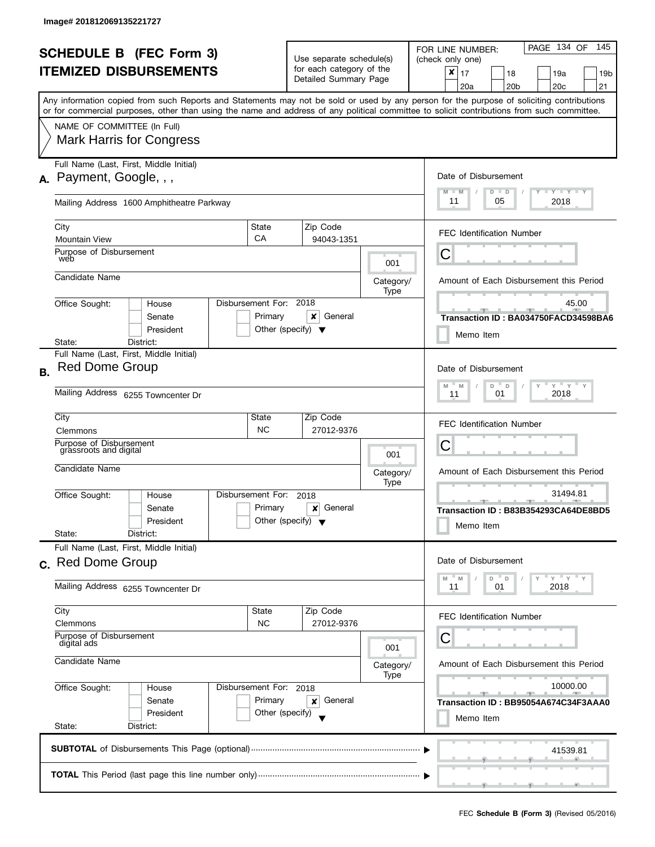|           | <b>SCHEDULE B</b> (FEC Form 3)<br><b>ITEMIZED DISBURSEMENTS</b>                                                        |                                                      | Use separate schedule(s)<br>for each category of the<br>Detailed Summary Page |                   | PAGE 134 OF<br>145<br>FOR LINE NUMBER:<br>(check only one)<br>$\pmb{\times}$<br>17<br>18<br>19a<br>19 <sub>b</sub><br>20 <sub>b</sub><br>20c<br>21<br>20a                                                                                                                               |
|-----------|------------------------------------------------------------------------------------------------------------------------|------------------------------------------------------|-------------------------------------------------------------------------------|-------------------|-----------------------------------------------------------------------------------------------------------------------------------------------------------------------------------------------------------------------------------------------------------------------------------------|
|           | NAME OF COMMITTEE (In Full)<br><b>Mark Harris for Congress</b>                                                         |                                                      |                                                                               |                   | Any information copied from such Reports and Statements may not be sold or used by any person for the purpose of soliciting contributions<br>or for commercial purposes, other than using the name and address of any political committee to solicit contributions from such committee. |
|           | Full Name (Last, First, Middle Initial)<br>A. Payment, Google, , ,                                                     |                                                      |                                                                               |                   | Date of Disbursement<br>$T$ $Y$ $T$ $Y$ $T$ $Y$<br>$D$ $D$<br>$M - M$                                                                                                                                                                                                                   |
|           | Mailing Address 1600 Amphitheatre Parkway<br>City                                                                      | State                                                | Zip Code                                                                      |                   | 11<br>2018<br>05<br><b>FEC Identification Number</b>                                                                                                                                                                                                                                    |
|           | <b>Mountain View</b><br>Purpose of Disbursement<br>web                                                                 | CA                                                   | 94043-1351                                                                    | 001               | С                                                                                                                                                                                                                                                                                       |
|           | Candidate Name<br>Office Sought:<br>House<br>Senate<br>President                                                       | Disbursement For: 2018<br>Primary                    | x<br>General<br>Other (specify) $\blacktriangledown$                          | Category/<br>Type | Amount of Each Disbursement this Period<br>45.00<br>Transaction ID: BA034750FACD34598BA6<br>Memo Item                                                                                                                                                                                   |
| <b>B.</b> | District:<br>State:<br>Full Name (Last, First, Middle Initial)<br>Red Dome Group<br>Mailing Address 6255 Towncenter Dr |                                                      |                                                                               |                   | Date of Disbursement<br>$Y$ $Y$ $Y$ $Y$<br>D<br>$\mathsf D$<br>M<br>M<br>2018<br>01<br>11                                                                                                                                                                                               |
|           | City<br>Clemmons<br>Purpose of Disbursement<br>grassroots and digital<br>Candidate Name                                | State<br><b>NC</b>                                   | Zip Code<br>27012-9376                                                        | 001               | <b>FEC Identification Number</b><br>С                                                                                                                                                                                                                                                   |
|           | Office Sought:<br>House<br>Senate<br>President<br>State:<br>District:                                                  | Disbursement For:<br>Primary                         | 2018<br>General<br>×<br>Other (specify) $\blacktriangledown$                  | Category/<br>Type | Amount of Each Disbursement this Period<br>31494.81<br>$-1$<br>Transaction ID: B83B354293CA64DE8BD5<br>Memo Item                                                                                                                                                                        |
|           | Full Name (Last, First, Middle Initial)<br>c. Red Dome Group<br>Mailing Address 6255 Towncenter Dr                     |                                                      |                                                                               |                   | Date of Disbursement<br>Y''Y''<br>M<br>D<br>D<br>M<br>2018<br>11<br>01                                                                                                                                                                                                                  |
|           | City<br>Clemmons<br>Purpose of Disbursement<br>digital ads                                                             | State<br><b>NC</b>                                   | Zip Code<br>27012-9376                                                        | 001               | <b>FEC Identification Number</b><br>С                                                                                                                                                                                                                                                   |
|           | Candidate Name<br>Office Sought:<br>House<br>Senate<br>President<br>State:<br>District:                                | Disbursement For: 2018<br>Primary<br>Other (specify) | General<br>×                                                                  | Category/<br>Type | Amount of Each Disbursement this Period<br>10000.00<br>Transaction ID: BB95054A674C34F3AAA0<br>Memo Item                                                                                                                                                                                |
|           |                                                                                                                        |                                                      |                                                                               |                   | 41539.81                                                                                                                                                                                                                                                                                |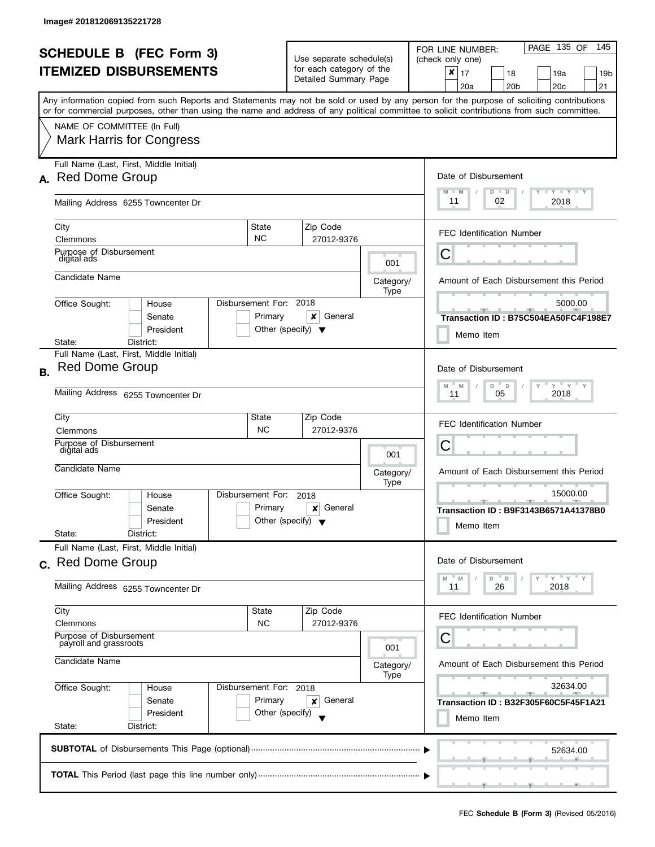|           | <b>SCHEDULE B</b> (FEC Form 3)<br><b>ITEMIZED DISBURSEMENTS</b><br>Any information copied from such Reports and Statements may not be sold or used by any person for the purpose of soliciting contributions |                                                      | Use separate schedule(s)<br>for each category of the<br>Detailed Summary Page |                                                                                   | PAGE 135 OF<br>145<br>FOR LINE NUMBER:<br>(check only one)<br>$\pmb{\times}$<br>17<br>18<br>19a<br>19b<br>20 <sub>c</sub><br>21<br>20a<br>20 <sub>b</sub> |  |
|-----------|--------------------------------------------------------------------------------------------------------------------------------------------------------------------------------------------------------------|------------------------------------------------------|-------------------------------------------------------------------------------|-----------------------------------------------------------------------------------|-----------------------------------------------------------------------------------------------------------------------------------------------------------|--|
|           | or for commercial purposes, other than using the name and address of any political committee to solicit contributions from such committee.<br>NAME OF COMMITTEE (In Full)<br><b>Mark Harris for Congress</b> |                                                      |                                                                               |                                                                                   |                                                                                                                                                           |  |
|           | Full Name (Last, First, Middle Initial)<br>A. Red Dome Group<br>Mailing Address 6255 Towncenter Dr                                                                                                           |                                                      |                                                                               | Date of Disbursement<br>$T - Y = T - Y$<br>$M - M$<br>$D$ $D$<br>11<br>02<br>2018 |                                                                                                                                                           |  |
|           | City<br>Clemmons<br>Purpose of Disbursement<br>digital ads                                                                                                                                                   | State<br><b>NC</b>                                   | Zip Code<br>27012-9376                                                        | 001                                                                               | <b>FEC Identification Number</b><br>Ĉ                                                                                                                     |  |
|           | Candidate Name<br>Disbursement For:<br>Office Sought:<br>House<br>Senate<br>President<br>District:<br>State:                                                                                                 | Primary<br>Other (specify) $\blacktriangledown$      | 2018<br>x<br>General                                                          | Category/<br>Type                                                                 | Amount of Each Disbursement this Period<br>5000.00<br>Transaction ID: B75C504EA50FC4F198E7<br>Memo Item                                                   |  |
| <b>B.</b> | Full Name (Last, First, Middle Initial)<br><b>Red Dome Group</b><br>Mailing Address 6255 Towncenter Dr                                                                                                       |                                                      |                                                                               |                                                                                   | Date of Disbursement<br>$Y$ $Y$ $Y$<br>D<br>M<br>M<br>$\mathsf D$<br>2018<br>05<br>11                                                                     |  |
|           | City<br>Clemmons<br>Purpose of Disbursement<br>digital ads<br>Candidate Name                                                                                                                                 | State<br><b>NC</b>                                   | Zip Code<br>27012-9376                                                        | 001                                                                               | <b>FEC Identification Number</b><br>С                                                                                                                     |  |
|           | Disbursement For:<br>Office Sought:<br>House<br>Senate<br>President<br>State:<br>District:                                                                                                                   | Primary<br>Other (specify) $\blacktriangledown$      | 2018<br>General<br>×                                                          | Category/<br>Type                                                                 | Amount of Each Disbursement this Period<br>15000.00<br><u>_____</u><br>Transaction ID: B9F3143B6571A41378B0<br>Memo Item                                  |  |
|           | Full Name (Last, First, Middle Initial)<br>c. Red Dome Group<br>Mailing Address 6255 Towncenter Dr                                                                                                           |                                                      |                                                                               |                                                                                   | Date of Disbursement<br>$Y$ $Y$ $Y$<br>M<br>D<br>D<br>M<br>2018<br>11<br>26                                                                               |  |
|           | City<br>Clemmons<br>Purpose of Disbursement<br>payroll and grassroots                                                                                                                                        | <b>State</b><br><b>NC</b>                            | Zip Code<br>27012-9376                                                        | 001                                                                               | <b>FEC Identification Number</b><br>С                                                                                                                     |  |
|           | Candidate Name<br>Office Sought:<br>House<br>Senate<br>President<br>State:<br>District:                                                                                                                      | Disbursement For: 2018<br>Primary<br>Other (specify) | General<br>×                                                                  | Category/<br>Type                                                                 | Amount of Each Disbursement this Period<br>32634.00<br>$-$<br><u>______</u><br>Transaction ID: B32F305F60C5F45F1A21<br>Memo Item                          |  |
|           |                                                                                                                                                                                                              |                                                      |                                                                               |                                                                                   | 52634.00<br>$\overline{1}$ and $\overline{1}$ and $\overline{1}$ and $\overline{1}$                                                                       |  |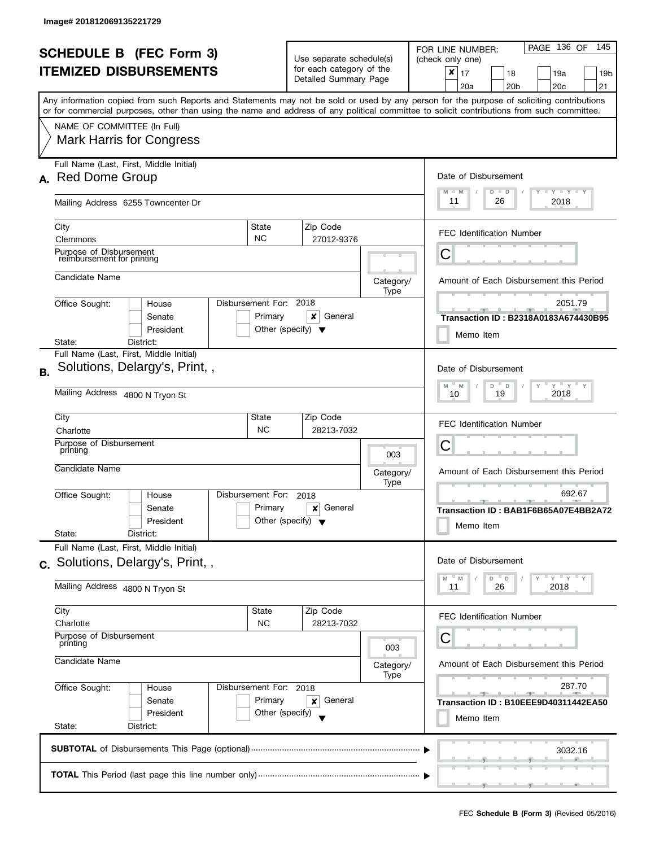J

|           | <b>SCHEDULE B (FEC Form 3)</b><br><b>ITEMIZED DISBURSEMENTS</b>                                                                                                                                              |                                                      | Use separate schedule(s)<br>for each category of the<br>Detailed Summary Page |                   | PAGE 136 OF<br>145<br>FOR LINE NUMBER:<br>(check only one)<br>$\pmb{\times}$<br>  17<br>18<br>19a<br>19 <sub>b</sub><br>20 <sub>b</sub><br>20 <sub>c</sub><br>21<br>20a |
|-----------|--------------------------------------------------------------------------------------------------------------------------------------------------------------------------------------------------------------|------------------------------------------------------|-------------------------------------------------------------------------------|-------------------|-------------------------------------------------------------------------------------------------------------------------------------------------------------------------|
|           | or for commercial purposes, other than using the name and address of any political committee to solicit contributions from such committee.<br>NAME OF COMMITTEE (In Full)<br><b>Mark Harris for Congress</b> |                                                      |                                                                               |                   | Any information copied from such Reports and Statements may not be sold or used by any person for the purpose of soliciting contributions                               |
|           | Full Name (Last, First, Middle Initial)<br>A. Red Dome Group<br>Mailing Address 6255 Towncenter Dr                                                                                                           |                                                      |                                                                               |                   | Date of Disbursement<br>$T$ $Y$ $T$ $Y$ $T$ $Y$<br>$D$ $D$<br>$M - M$<br>11<br>2018<br>26                                                                               |
|           | City<br>Clemmons<br>Purpose of Disbursement                                                                                                                                                                  | State<br><b>NC</b>                                   | Zip Code<br>27012-9376                                                        |                   | <b>FEC Identification Number</b><br>С                                                                                                                                   |
|           | reimbursement for printing<br>Candidate Name                                                                                                                                                                 |                                                      |                                                                               | Category/<br>Type | Amount of Each Disbursement this Period                                                                                                                                 |
|           | Office Sought:<br>House<br>Senate<br>President<br>District:<br>State:                                                                                                                                        | Disbursement For: 2018<br>Primary                    | x<br>General<br>Other (specify) $\blacktriangledown$                          |                   | 2051.79<br>Transaction ID: B2318A0183A674430B95<br>Memo Item                                                                                                            |
| <b>B.</b> | Full Name (Last, First, Middle Initial)<br>Solutions, Delargy's, Print,,<br>Mailing Address 4800 N Tryon St                                                                                                  |                                                      |                                                                               |                   | Date of Disbursement<br>$Y$ $Y$ $Y$ $Y$<br>D<br>M<br>D<br>M<br>2018<br>19<br>10                                                                                         |
|           | City<br>Charlotte<br>Purpose of Disbursement<br>printing<br>Candidate Name                                                                                                                                   | State<br><b>NC</b>                                   | Zip Code<br>28213-7032                                                        | 003<br>Category/  | <b>FEC Identification Number</b><br>С<br>Amount of Each Disbursement this Period                                                                                        |
|           | Office Sought:<br>House<br>Senate<br>President<br>State:<br>District:                                                                                                                                        | Disbursement For:<br>Primary                         | 2018<br>General<br>×<br>Other (specify) $\blacktriangledown$                  | Type              | 692.67<br>$-1$<br>Transaction ID: BAB1F6B65A07E4BB2A72<br>Memo Item                                                                                                     |
|           | Full Name (Last, First, Middle Initial)<br>c. Solutions, Delargy's, Print,,<br>Mailing Address 4800 N Tryon St                                                                                               |                                                      |                                                                               |                   | Date of Disbursement<br>Y''Y''<br>M<br>D<br>D<br>M<br>26<br>2018<br>11                                                                                                  |
|           | City<br>Charlotte<br>Purpose of Disbursement<br>printing<br>Candidate Name                                                                                                                                   | State<br><b>NC</b>                                   | Zip Code<br>28213-7032                                                        | 003               | <b>FEC Identification Number</b><br>С<br>Amount of Each Disbursement this Period                                                                                        |
|           | Office Sought:<br>House<br>Senate<br>President<br>State:<br>District:                                                                                                                                        | Disbursement For: 2018<br>Primary<br>Other (specify) | General<br>×                                                                  | Category/<br>Type | 287.70<br>Transaction ID: B10EEE9D40311442EA50<br>Memo Item                                                                                                             |
|           |                                                                                                                                                                                                              |                                                      |                                                                               |                   | 3032.16                                                                                                                                                                 |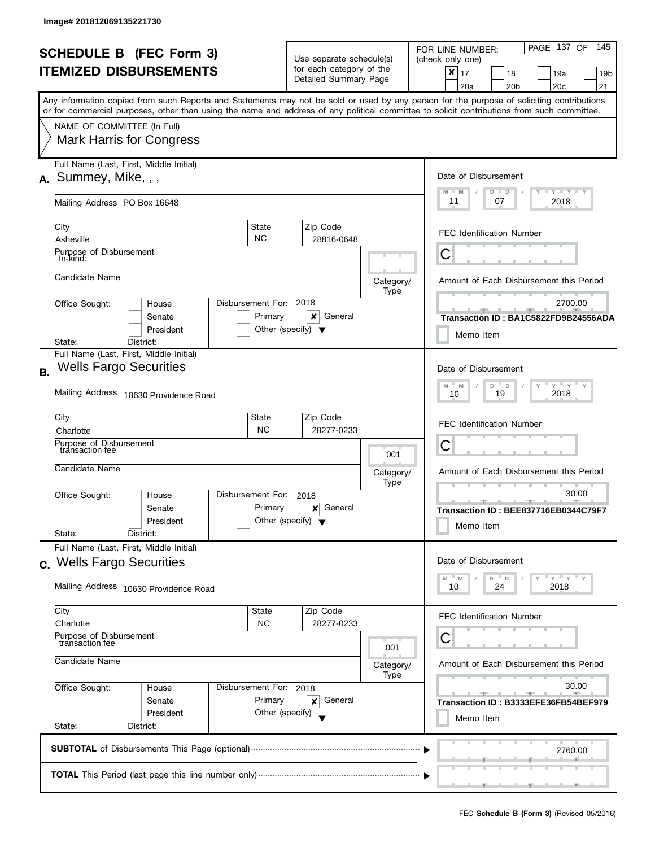|           | <b>SCHEDULE B</b> (FEC Form 3)<br><b>ITEMIZED DISBURSEMENTS</b>                                                                            |                                                      | Use separate schedule(s)<br>for each category of the<br>Detailed Summary Page |                   | PAGE 137 OF<br>145<br>FOR LINE NUMBER:<br>(check only one)<br>$\pmb{\times}$<br>17<br>18<br>19a<br>19 <sub>b</sub><br>20 <sub>b</sub><br>20 <sub>c</sub><br>21<br>20a |
|-----------|--------------------------------------------------------------------------------------------------------------------------------------------|------------------------------------------------------|-------------------------------------------------------------------------------|-------------------|-----------------------------------------------------------------------------------------------------------------------------------------------------------------------|
|           | or for commercial purposes, other than using the name and address of any political committee to solicit contributions from such committee. |                                                      |                                                                               |                   | Any information copied from such Reports and Statements may not be sold or used by any person for the purpose of soliciting contributions                             |
|           | NAME OF COMMITTEE (In Full)<br><b>Mark Harris for Congress</b>                                                                             |                                                      |                                                                               |                   |                                                                                                                                                                       |
|           | Full Name (Last, First, Middle Initial)<br>$A.$ Summey, Mike, $,$                                                                          |                                                      |                                                                               |                   | Date of Disbursement<br>$T - Y = T - Y$<br>$M - M$<br>$D$ $D$                                                                                                         |
|           | Mailing Address PO Box 16648                                                                                                               |                                                      |                                                                               |                   | 11<br>2018<br>07                                                                                                                                                      |
|           | City<br>Asheville                                                                                                                          | State<br><b>NC</b>                                   | Zip Code<br>28816-0648                                                        |                   | <b>FEC Identification Number</b>                                                                                                                                      |
|           | Purpose of Disbursement<br>In-kind:                                                                                                        |                                                      |                                                                               |                   | С                                                                                                                                                                     |
|           | Candidate Name                                                                                                                             |                                                      |                                                                               | Category/<br>Type | Amount of Each Disbursement this Period                                                                                                                               |
|           | Office Sought:<br>House<br>Senate<br>President                                                                                             | Disbursement For: 2018<br>Primary                    | ×<br>General<br>Other (specify) $\blacktriangledown$                          |                   | 2700.00<br>Transaction ID: BA1C5822FD9B24556ADA<br>Memo Item                                                                                                          |
| <b>B.</b> | District:<br>State:<br>Full Name (Last, First, Middle Initial)<br><b>Wells Fargo Securities</b><br>Mailing Address 10630 Providence Road   |                                                      |                                                                               |                   | Date of Disbursement<br>$Y$ $Y$<br>M<br>D<br>M<br>$\Box$<br>2018<br>19<br>10                                                                                          |
|           | City<br>Charlotte                                                                                                                          | State<br><b>NC</b>                                   | Zip Code<br>28277-0233                                                        |                   | <b>FEC Identification Number</b>                                                                                                                                      |
|           | Purpose of Disbursement<br>transaction fee<br>Candidate Name                                                                               |                                                      |                                                                               | 001               | C                                                                                                                                                                     |
|           |                                                                                                                                            |                                                      |                                                                               | Category/<br>Type | Amount of Each Disbursement this Period<br>30.00                                                                                                                      |
|           | Office Sought:<br>House<br>Senate<br>President<br>State:<br>District:                                                                      | Disbursement For:<br>Primary                         | 2018<br>General<br>×<br>Other (specify) $\blacktriangledown$                  |                   | <u>—</u><br>Transaction ID: BEE837716EB0344C79F7<br>Memo Item                                                                                                         |
|           | Full Name (Last, First, Middle Initial)<br>c. Wells Fargo Securities                                                                       |                                                      |                                                                               |                   | Date of Disbursement                                                                                                                                                  |
|           | Mailing Address 10630 Providence Road                                                                                                      |                                                      |                                                                               |                   | $Y = Y$<br>M<br>D<br>M<br>$\mathsf D$<br>24<br>2018<br>10                                                                                                             |
|           | City<br>Charlotte                                                                                                                          | State<br><b>NC</b>                                   | Zip Code<br>28277-0233                                                        |                   | <b>FEC Identification Number</b>                                                                                                                                      |
|           | Purpose of Disbursement<br>transaction fee<br>Candidate Name                                                                               |                                                      |                                                                               | 001<br>Category/  | Amount of Each Disbursement this Period                                                                                                                               |
|           | Office Sought:<br>House<br>Senate<br>President<br>State:<br>District:                                                                      | Disbursement For: 2018<br>Primary<br>Other (specify) | General<br>×                                                                  | Type              | 30.00<br>$-1$<br>Transaction ID: B3333EFE36FB54BEF979<br>Memo Item                                                                                                    |
|           |                                                                                                                                            |                                                      |                                                                               |                   | 2760.00                                                                                                                                                               |
|           |                                                                                                                                            |                                                      |                                                                               |                   |                                                                                                                                                                       |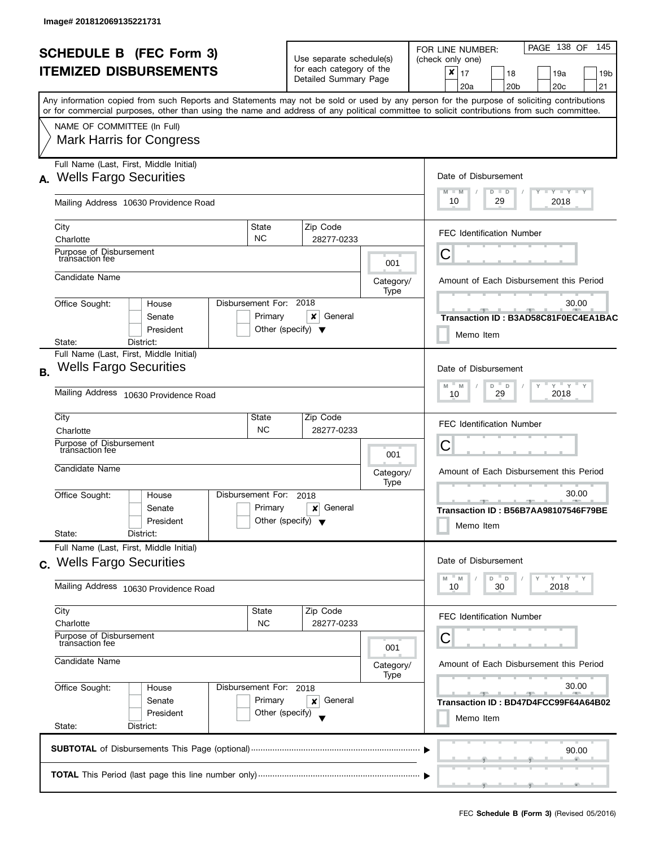|                                |                                                                          |                        |  |                          |                                                   |         |                                                                   | PAGE 138 OF<br>- 145<br>FOR LINE NUMBER:                                                                                                                                                                                                                                                |  |
|--------------------------------|--------------------------------------------------------------------------|------------------------|--|--------------------------|---------------------------------------------------|---------|-------------------------------------------------------------------|-----------------------------------------------------------------------------------------------------------------------------------------------------------------------------------------------------------------------------------------------------------------------------------------|--|
| <b>SCHEDULE B (FEC Form 3)</b> |                                                                          |                        |  | Use separate schedule(s) |                                                   |         | (check only one)                                                  |                                                                                                                                                                                                                                                                                         |  |
|                                | <b>ITEMIZED DISBURSEMENTS</b>                                            |                        |  |                          | for each category of the<br>Detailed Summary Page |         |                                                                   | $\pmb{\times}$<br>17<br>18<br>19a<br>19 <sub>b</sub><br>20a<br>20 <sub>b</sub><br>20 <sub>c</sub><br>21                                                                                                                                                                                 |  |
|                                |                                                                          |                        |  |                          |                                                   |         |                                                                   | Any information copied from such Reports and Statements may not be sold or used by any person for the purpose of soliciting contributions<br>or for commercial purposes, other than using the name and address of any political committee to solicit contributions from such committee. |  |
|                                | NAME OF COMMITTEE (In Full)                                              |                        |  |                          |                                                   |         |                                                                   |                                                                                                                                                                                                                                                                                         |  |
|                                | <b>Mark Harris for Congress</b>                                          |                        |  |                          |                                                   |         |                                                                   |                                                                                                                                                                                                                                                                                         |  |
| А.                             | Full Name (Last, First, Middle Initial)<br><b>Wells Fargo Securities</b> |                        |  |                          |                                                   |         |                                                                   | Date of Disbursement                                                                                                                                                                                                                                                                    |  |
|                                | Mailing Address 10630 Providence Road                                    |                        |  |                          |                                                   |         |                                                                   | $T - Y = T - Y$<br>$M - M$<br>$D$ $D$<br>10<br>2018<br>29                                                                                                                                                                                                                               |  |
|                                | City                                                                     |                        |  | State                    | Zip Code                                          |         |                                                                   |                                                                                                                                                                                                                                                                                         |  |
|                                | Charlotte                                                                |                        |  | <b>NC</b>                | 28277-0233                                        |         |                                                                   | <b>FEC Identification Number</b>                                                                                                                                                                                                                                                        |  |
|                                | Purpose of Disbursement<br>transaction fee                               |                        |  |                          |                                                   |         | 001                                                               | C                                                                                                                                                                                                                                                                                       |  |
|                                | Candidate Name                                                           |                        |  |                          |                                                   |         | Category/<br>Type                                                 | Amount of Each Disbursement this Period                                                                                                                                                                                                                                                 |  |
|                                | Office Sought:                                                           | House                  |  | Disbursement For: 2018   |                                                   |         |                                                                   | 30.00                                                                                                                                                                                                                                                                                   |  |
|                                |                                                                          | Senate                 |  | Primary                  | x                                                 | General |                                                                   | Transaction ID: B3AD58C81F0EC4EA1BAC                                                                                                                                                                                                                                                    |  |
|                                |                                                                          | President              |  |                          | Other (specify) $\blacktriangledown$              |         |                                                                   | Memo Item                                                                                                                                                                                                                                                                               |  |
|                                | State:                                                                   | District:              |  |                          |                                                   |         |                                                                   |                                                                                                                                                                                                                                                                                         |  |
| <b>B.</b>                      | Full Name (Last, First, Middle Initial)<br><b>Wells Fargo Securities</b> |                        |  |                          |                                                   |         |                                                                   | Date of Disbursement                                                                                                                                                                                                                                                                    |  |
|                                | Mailing Address 10630 Providence Road                                    |                        |  |                          |                                                   |         | $Y$ $Y$ $Y$ $Y$<br>M<br>M<br>D<br>$\mathsf D$<br>2018<br>29<br>10 |                                                                                                                                                                                                                                                                                         |  |
|                                | City                                                                     |                        |  | State                    | Zip Code                                          |         |                                                                   | <b>FEC Identification Number</b>                                                                                                                                                                                                                                                        |  |
|                                | Charlotte                                                                |                        |  | <b>NC</b>                | 28277-0233                                        |         |                                                                   |                                                                                                                                                                                                                                                                                         |  |
|                                | Purpose of Disbursement<br>transaction fee                               |                        |  |                          |                                                   |         | 001                                                               | С                                                                                                                                                                                                                                                                                       |  |
|                                | Candidate Name                                                           |                        |  |                          |                                                   |         | Category/<br>Type                                                 | Amount of Each Disbursement this Period                                                                                                                                                                                                                                                 |  |
|                                | Office Sought:                                                           | House                  |  | Disbursement For:        | 2018                                              |         |                                                                   | 30.00<br>$-1$                                                                                                                                                                                                                                                                           |  |
|                                |                                                                          | Senate                 |  | Primary                  | ×                                                 | General |                                                                   | Transaction ID: B56B7AA98107546F79BE                                                                                                                                                                                                                                                    |  |
|                                | State:                                                                   | President<br>District: |  |                          | Other (specify) $\sqrt{}$                         |         |                                                                   | Memo Item                                                                                                                                                                                                                                                                               |  |
|                                | Full Name (Last, First, Middle Initial)                                  |                        |  |                          |                                                   |         |                                                                   | Date of Disbursement                                                                                                                                                                                                                                                                    |  |
|                                | c. Wells Fargo Securities                                                |                        |  |                          |                                                   |         |                                                                   |                                                                                                                                                                                                                                                                                         |  |
|                                | Mailing Address 10630 Providence Road                                    |                        |  |                          |                                                   |         |                                                                   | $Y = Y = Y$<br>D<br>D<br>M<br>M<br>2018<br>10<br>30                                                                                                                                                                                                                                     |  |
|                                | City<br>Charlotte                                                        |                        |  | State<br><b>NC</b>       | Zip Code<br>28277-0233                            |         |                                                                   | <b>FEC Identification Number</b>                                                                                                                                                                                                                                                        |  |
|                                | Purpose of Disbursement<br>transaction fee                               |                        |  |                          |                                                   |         | 001                                                               | U                                                                                                                                                                                                                                                                                       |  |
|                                | Candidate Name                                                           |                        |  |                          |                                                   |         | Category/<br>Type                                                 | Amount of Each Disbursement this Period                                                                                                                                                                                                                                                 |  |
|                                | Office Sought:                                                           | House                  |  | Disbursement For: 2018   |                                                   |         |                                                                   | 30.00                                                                                                                                                                                                                                                                                   |  |
|                                |                                                                          | Senate                 |  | Primary                  | ×                                                 | General |                                                                   | Transaction ID: BD47D4FCC99F64A64B02                                                                                                                                                                                                                                                    |  |
|                                |                                                                          | President              |  | Other (specify)          |                                                   |         |                                                                   | Memo Item                                                                                                                                                                                                                                                                               |  |
|                                | State:                                                                   | District:              |  |                          |                                                   |         |                                                                   |                                                                                                                                                                                                                                                                                         |  |
|                                |                                                                          |                        |  |                          |                                                   |         |                                                                   | 90.00                                                                                                                                                                                                                                                                                   |  |
|                                |                                                                          |                        |  |                          |                                                   |         |                                                                   |                                                                                                                                                                                                                                                                                         |  |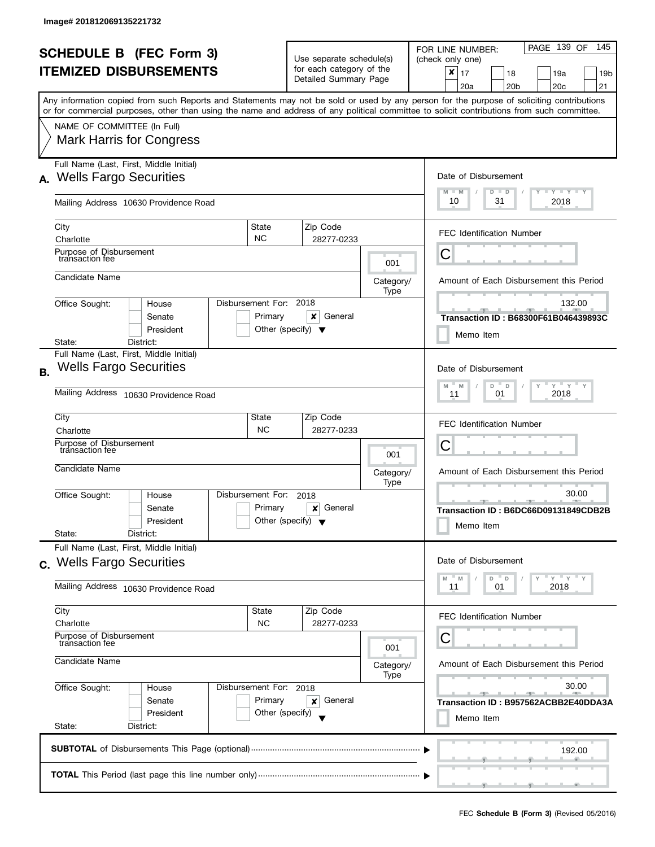|           |                                                                                                                                            |                                                 |                                                   |                        |                          | PAGE 139 OF<br>- 145                                                                                                                      |  |  |
|-----------|--------------------------------------------------------------------------------------------------------------------------------------------|-------------------------------------------------|---------------------------------------------------|------------------------|--------------------------|-------------------------------------------------------------------------------------------------------------------------------------------|--|--|
|           | <b>SCHEDULE B (FEC Form 3)</b>                                                                                                             |                                                 | Use separate schedule(s)                          |                        |                          | FOR LINE NUMBER:<br>(check only one)                                                                                                      |  |  |
|           | <b>ITEMIZED DISBURSEMENTS</b>                                                                                                              |                                                 | for each category of the<br>Detailed Summary Page |                        |                          | ×<br>17<br>18<br>19a<br>19 <sub>b</sub><br>20 <sub>c</sub><br>20a<br>20 <sub>b</sub><br>21                                                |  |  |
|           | or for commercial purposes, other than using the name and address of any political committee to solicit contributions from such committee. |                                                 |                                                   |                        |                          | Any information copied from such Reports and Statements may not be sold or used by any person for the purpose of soliciting contributions |  |  |
|           | NAME OF COMMITTEE (In Full)                                                                                                                |                                                 |                                                   |                        |                          |                                                                                                                                           |  |  |
|           | <b>Mark Harris for Congress</b>                                                                                                            |                                                 |                                                   |                        |                          |                                                                                                                                           |  |  |
|           | Full Name (Last, First, Middle Initial)<br><b>Wells Fargo Securities</b>                                                                   |                                                 |                                                   |                        |                          | Date of Disbursement                                                                                                                      |  |  |
| А.        |                                                                                                                                            |                                                 |                                                   |                        |                          | $T - Y = T - Y$<br>$M - M$<br>$D$ $D$                                                                                                     |  |  |
|           | Mailing Address 10630 Providence Road                                                                                                      |                                                 |                                                   |                        |                          | 10<br>31<br>2018                                                                                                                          |  |  |
|           | City<br>Charlotte                                                                                                                          | State<br><b>NC</b>                              |                                                   | Zip Code               |                          | <b>FEC Identification Number</b>                                                                                                          |  |  |
|           | Purpose of Disbursement<br>transaction fee                                                                                                 |                                                 |                                                   | 28277-0233             |                          | С                                                                                                                                         |  |  |
|           | Candidate Name                                                                                                                             |                                                 |                                                   |                        | 001                      |                                                                                                                                           |  |  |
|           |                                                                                                                                            |                                                 |                                                   |                        | Category/<br>Type        | Amount of Each Disbursement this Period                                                                                                   |  |  |
|           | Office Sought:<br>House<br>Senate                                                                                                          | Disbursement For: 2018<br>Primary               |                                                   | x<br>General           |                          | 132.00<br>Transaction ID: B68300F61B046439893C                                                                                            |  |  |
|           | President                                                                                                                                  | Other (specify) $\blacktriangledown$            |                                                   |                        |                          | Memo Item                                                                                                                                 |  |  |
|           | State:<br>District:                                                                                                                        |                                                 |                                                   |                        |                          |                                                                                                                                           |  |  |
| <b>B.</b> | Full Name (Last, First, Middle Initial)<br><b>Wells Fargo Securities</b>                                                                   |                                                 |                                                   |                        |                          | Date of Disbursement<br>$Y = Y$<br>M<br>D<br>D<br>M                                                                                       |  |  |
|           | Mailing Address 10630 Providence Road                                                                                                      |                                                 |                                                   |                        |                          | 2018<br>01<br>11                                                                                                                          |  |  |
|           | City                                                                                                                                       | State                                           |                                                   | Zip Code               |                          | <b>FEC Identification Number</b>                                                                                                          |  |  |
|           | Charlotte<br>Purpose of Disbursement                                                                                                       | <b>NC</b>                                       |                                                   | 28277-0233             |                          |                                                                                                                                           |  |  |
|           | transaction fee                                                                                                                            |                                                 |                                                   |                        | 001                      | С                                                                                                                                         |  |  |
|           | Candidate Name                                                                                                                             |                                                 |                                                   |                        | Category/<br>Type        | Amount of Each Disbursement this Period                                                                                                   |  |  |
|           | Office Sought:<br>House                                                                                                                    | Disbursement For:                               |                                                   | 2018                   |                          | 30.00<br>$-1$                                                                                                                             |  |  |
|           | Senate<br>President                                                                                                                        | Primary<br>Other (specify) $\blacktriangledown$ |                                                   | General<br>×           |                          | Transaction ID: B6DC66D09131849CDB2B                                                                                                      |  |  |
|           | State:<br>District:                                                                                                                        |                                                 |                                                   |                        |                          | Memo Item                                                                                                                                 |  |  |
|           | Full Name (Last, First, Middle Initial)<br>c. Wells Fargo Securities                                                                       |                                                 |                                                   |                        |                          | Date of Disbursement                                                                                                                      |  |  |
|           |                                                                                                                                            |                                                 |                                                   |                        |                          | $Y = Y = Y$<br>D<br>D<br>M<br>M                                                                                                           |  |  |
|           | Mailing Address 10630 Providence Road                                                                                                      |                                                 |                                                   |                        |                          | 2018<br>11<br>01                                                                                                                          |  |  |
|           | City<br>Charlotte                                                                                                                          | State<br><b>NC</b>                              |                                                   | Zip Code<br>28277-0233 |                          | <b>FEC Identification Number</b>                                                                                                          |  |  |
|           | Purpose of Disbursement<br>transaction fee                                                                                                 |                                                 |                                                   |                        |                          | С                                                                                                                                         |  |  |
|           | Candidate Name                                                                                                                             |                                                 |                                                   |                        | 001<br>Category/<br>Type | Amount of Each Disbursement this Period                                                                                                   |  |  |
|           | Office Sought:<br>House                                                                                                                    | Disbursement For: 2018                          |                                                   |                        |                          | 30.00                                                                                                                                     |  |  |
|           | Senate<br>President                                                                                                                        | Primary<br>Other (specify)                      |                                                   | General<br>×           |                          | Transaction ID: B957562ACBB2E40DDA3A                                                                                                      |  |  |
|           | State:<br>District:                                                                                                                        |                                                 |                                                   |                        |                          | Memo Item                                                                                                                                 |  |  |
|           |                                                                                                                                            |                                                 |                                                   |                        |                          | 192.00                                                                                                                                    |  |  |
|           |                                                                                                                                            |                                                 |                                                   |                        |                          |                                                                                                                                           |  |  |
|           |                                                                                                                                            |                                                 |                                                   |                        |                          |                                                                                                                                           |  |  |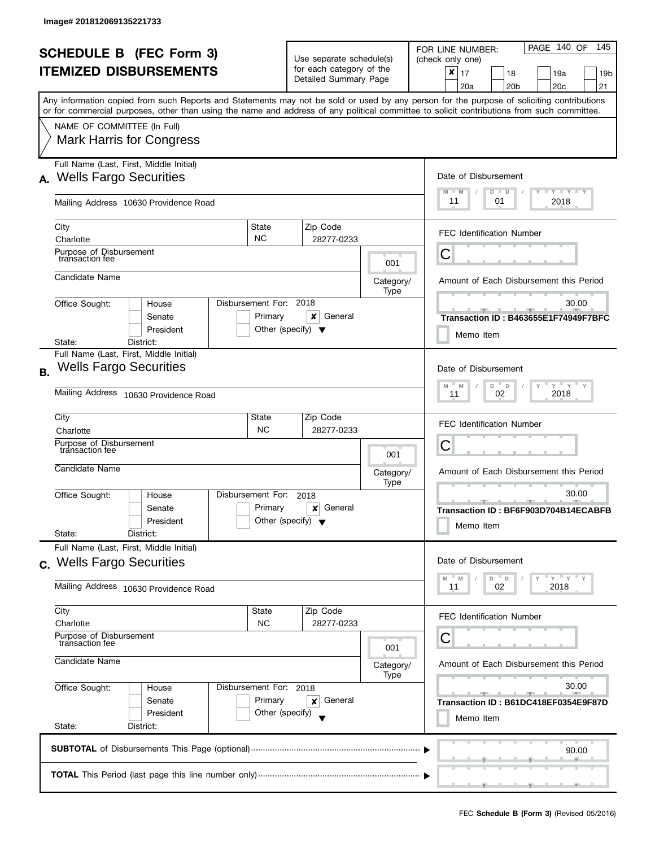|           |                                                                                                                                            |                                      |                                                   |                        |                      | PAGE 140 OF<br>- 145                                                                                                                      |  |  |
|-----------|--------------------------------------------------------------------------------------------------------------------------------------------|--------------------------------------|---------------------------------------------------|------------------------|----------------------|-------------------------------------------------------------------------------------------------------------------------------------------|--|--|
|           | <b>SCHEDULE B (FEC Form 3)</b>                                                                                                             |                                      | Use separate schedule(s)                          |                        |                      | FOR LINE NUMBER:<br>(check only one)                                                                                                      |  |  |
|           | <b>ITEMIZED DISBURSEMENTS</b>                                                                                                              |                                      | for each category of the<br>Detailed Summary Page |                        |                      | ×<br>17<br>18<br>19a<br>19 <sub>b</sub><br>20 <sub>c</sub><br>20a<br>20 <sub>b</sub><br>21                                                |  |  |
|           | or for commercial purposes, other than using the name and address of any political committee to solicit contributions from such committee. |                                      |                                                   |                        |                      | Any information copied from such Reports and Statements may not be sold or used by any person for the purpose of soliciting contributions |  |  |
|           | NAME OF COMMITTEE (In Full)                                                                                                                |                                      |                                                   |                        |                      |                                                                                                                                           |  |  |
|           | <b>Mark Harris for Congress</b>                                                                                                            |                                      |                                                   |                        |                      |                                                                                                                                           |  |  |
|           | Full Name (Last, First, Middle Initial)<br><b>Wells Fargo Securities</b>                                                                   |                                      |                                                   |                        | Date of Disbursement |                                                                                                                                           |  |  |
| А.        |                                                                                                                                            |                                      |                                                   |                        |                      | $T - Y = T - Y$<br>$M - M$<br>$D$ $D$                                                                                                     |  |  |
|           | Mailing Address 10630 Providence Road                                                                                                      |                                      |                                                   |                        |                      | 11<br>2018<br>01                                                                                                                          |  |  |
|           | City<br>Charlotte                                                                                                                          | State<br><b>NC</b>                   |                                                   | Zip Code<br>28277-0233 |                      | <b>FEC Identification Number</b>                                                                                                          |  |  |
|           | Purpose of Disbursement<br>transaction fee                                                                                                 |                                      |                                                   |                        |                      | С                                                                                                                                         |  |  |
|           | Candidate Name                                                                                                                             |                                      |                                                   |                        | 001<br>Category/     | Amount of Each Disbursement this Period                                                                                                   |  |  |
|           |                                                                                                                                            | Disbursement For: 2018               |                                                   |                        | Type                 |                                                                                                                                           |  |  |
|           | Office Sought:<br>House<br>Senate                                                                                                          | Primary                              |                                                   | x<br>General           |                      | 30.00<br>Transaction ID: B463655E1F74949F7BFC                                                                                             |  |  |
|           | President<br>State:<br>District:                                                                                                           | Other (specify) $\blacktriangledown$ |                                                   |                        |                      | Memo Item                                                                                                                                 |  |  |
|           | Full Name (Last, First, Middle Initial)                                                                                                    |                                      |                                                   |                        |                      |                                                                                                                                           |  |  |
| <b>B.</b> | <b>Wells Fargo Securities</b>                                                                                                              |                                      |                                                   |                        |                      | Date of Disbursement<br>$Y = Y$<br>M<br>D<br>$\mathsf D$<br>M                                                                             |  |  |
|           | Mailing Address 10630 Providence Road                                                                                                      |                                      |                                                   |                        |                      | 2018<br>02<br>11                                                                                                                          |  |  |
|           | City                                                                                                                                       | State<br><b>NC</b>                   |                                                   | Zip Code               |                      | <b>FEC Identification Number</b>                                                                                                          |  |  |
|           | Charlotte<br>Purpose of Disbursement<br>transaction fee                                                                                    |                                      |                                                   | 28277-0233             |                      | С                                                                                                                                         |  |  |
|           | Candidate Name                                                                                                                             |                                      |                                                   |                        | 001                  |                                                                                                                                           |  |  |
|           |                                                                                                                                            |                                      |                                                   |                        | Category/<br>Type    | Amount of Each Disbursement this Period                                                                                                   |  |  |
|           | Office Sought:<br>House<br>Senate                                                                                                          | Disbursement For:<br>Primary         |                                                   | 2018<br>General<br>×   |                      | 30.00<br>- 92<br>Transaction ID: BF6F903D704B14ECABFB                                                                                     |  |  |
|           | President                                                                                                                                  | Other (specify) $\blacktriangledown$ |                                                   |                        |                      | Memo Item                                                                                                                                 |  |  |
|           | State:<br>District:<br>Full Name (Last, First, Middle Initial)                                                                             |                                      |                                                   |                        |                      |                                                                                                                                           |  |  |
|           | c. Wells Fargo Securities                                                                                                                  |                                      |                                                   |                        |                      | Date of Disbursement                                                                                                                      |  |  |
|           | Mailing Address 10630 Providence Road                                                                                                      |                                      |                                                   |                        |                      | $Y = Y = Y$<br>D<br>$\mathsf D$<br>M<br>M<br>2018<br>11<br>02                                                                             |  |  |
|           | City<br>Charlotte                                                                                                                          | State<br><b>NC</b>                   |                                                   | Zip Code<br>28277-0233 |                      | <b>FEC Identification Number</b>                                                                                                          |  |  |
|           | Purpose of Disbursement<br>transaction fee                                                                                                 |                                      |                                                   |                        |                      | С                                                                                                                                         |  |  |
|           | Candidate Name                                                                                                                             |                                      |                                                   |                        | 001<br>Category/     | Amount of Each Disbursement this Period                                                                                                   |  |  |
|           | Office Sought:<br>House                                                                                                                    | Disbursement For: 2018               |                                                   |                        | Type                 | 30.00                                                                                                                                     |  |  |
|           | Senate                                                                                                                                     | Primary                              |                                                   | General<br>×           |                      | Transaction ID: B61DC418EF0354E9F87D                                                                                                      |  |  |
|           | President<br>State:<br>District:                                                                                                           | Other (specify)                      |                                                   |                        |                      | Memo Item                                                                                                                                 |  |  |
|           |                                                                                                                                            |                                      |                                                   |                        |                      | 90.00                                                                                                                                     |  |  |
|           |                                                                                                                                            |                                      |                                                   |                        |                      |                                                                                                                                           |  |  |
|           |                                                                                                                                            |                                      |                                                   |                        |                      |                                                                                                                                           |  |  |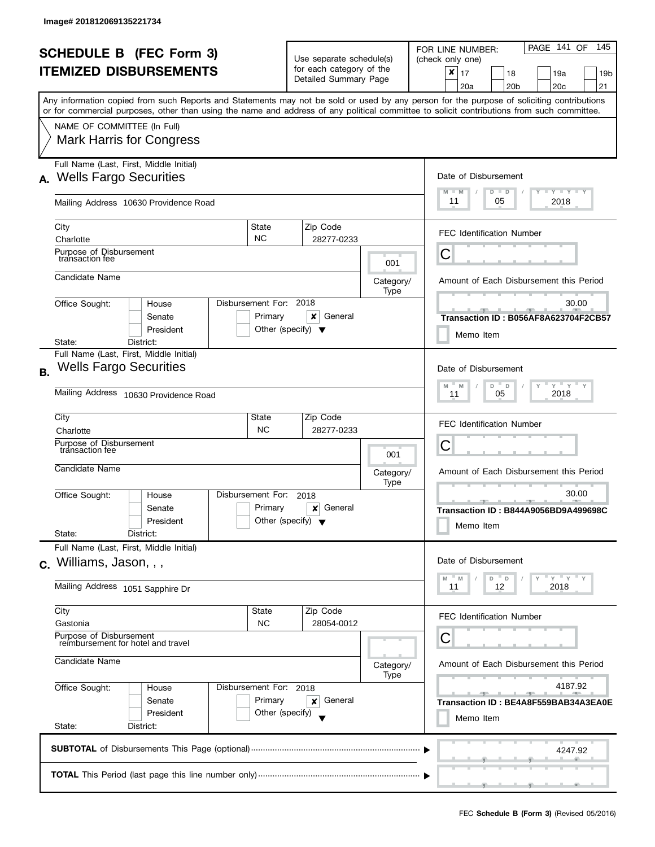|           | <b>SCHEDULE B (FEC Form 3)</b>                                                                                                             |                                   |                                                      |                                         | PAGE 141 OF<br>145<br>FOR LINE NUMBER:                                             |  |  |
|-----------|--------------------------------------------------------------------------------------------------------------------------------------------|-----------------------------------|------------------------------------------------------|-----------------------------------------|------------------------------------------------------------------------------------|--|--|
|           | <b>ITEMIZED DISBURSEMENTS</b>                                                                                                              |                                   | Use separate schedule(s)<br>for each category of the |                                         | (check only one)                                                                   |  |  |
|           |                                                                                                                                            |                                   | Detailed Summary Page                                |                                         | x<br>17<br>18<br>19a<br>19b<br>20 <sub>c</sub><br>21<br>20a<br>20 <sub>b</sub>     |  |  |
|           | Any information copied from such Reports and Statements may not be sold or used by any person for the purpose of soliciting contributions  |                                   |                                                      |                                         |                                                                                    |  |  |
|           | or for commercial purposes, other than using the name and address of any political committee to solicit contributions from such committee. |                                   |                                                      |                                         |                                                                                    |  |  |
|           | NAME OF COMMITTEE (In Full)                                                                                                                |                                   |                                                      |                                         |                                                                                    |  |  |
|           | <b>Mark Harris for Congress</b>                                                                                                            |                                   |                                                      |                                         |                                                                                    |  |  |
|           | Full Name (Last, First, Middle Initial)                                                                                                    |                                   |                                                      |                                         |                                                                                    |  |  |
| А.        | <b>Wells Fargo Securities</b>                                                                                                              |                                   |                                                      |                                         | Date of Disbursement<br>$T - Y$ $T - Y$<br>M<br>$-M$<br>$D$ $D$                    |  |  |
|           | Mailing Address 10630 Providence Road                                                                                                      |                                   |                                                      |                                         | 11<br>2018<br>05                                                                   |  |  |
|           | City                                                                                                                                       | State                             | Zip Code                                             |                                         | <b>FEC Identification Number</b>                                                   |  |  |
|           | Charlotte                                                                                                                                  | <b>NC</b>                         | 28277-0233                                           |                                         |                                                                                    |  |  |
|           | Purpose of Disbursement<br>transaction fee                                                                                                 |                                   |                                                      | 001                                     | С                                                                                  |  |  |
|           | Candidate Name                                                                                                                             |                                   |                                                      | Category/                               | Amount of Each Disbursement this Period                                            |  |  |
|           |                                                                                                                                            |                                   |                                                      | Type                                    |                                                                                    |  |  |
|           | Office Sought:<br>House<br>Senate                                                                                                          | Disbursement For: 2018<br>Primary | x<br>General                                         |                                         | 30.00<br>Transaction ID: B056AF8A623704F2CB57                                      |  |  |
|           | President                                                                                                                                  |                                   | Other (specify) $\blacktriangledown$                 |                                         |                                                                                    |  |  |
|           | District:<br>State:                                                                                                                        |                                   |                                                      |                                         | Memo Item                                                                          |  |  |
|           | Full Name (Last, First, Middle Initial)                                                                                                    |                                   |                                                      |                                         |                                                                                    |  |  |
| <b>B.</b> | <b>Wells Fargo Securities</b>                                                                                                              |                                   |                                                      |                                         | Date of Disbursement                                                               |  |  |
|           | Mailing Address<br>10630 Providence Road                                                                                                   |                                   |                                                      |                                         | $-\gamma + \gamma + \gamma$<br>D<br>$\mathbb D$<br>Y<br>M<br>M<br>2018<br>05<br>11 |  |  |
|           | City                                                                                                                                       | State                             | Zip Code                                             |                                         | <b>FEC Identification Number</b>                                                   |  |  |
|           | Charlotte<br>Purpose of Disbursement                                                                                                       | <b>NC</b>                         | 28277-0233                                           |                                         |                                                                                    |  |  |
|           | transaction fee                                                                                                                            |                                   |                                                      | 001                                     | Ĉ                                                                                  |  |  |
|           | Candidate Name                                                                                                                             |                                   |                                                      | Category/                               | Amount of Each Disbursement this Period                                            |  |  |
|           |                                                                                                                                            | Disbursement For:                 |                                                      | Type                                    | 30.00                                                                              |  |  |
|           | Office Sought:<br>House<br>Senate                                                                                                          | Primary                           | 2018<br>General<br>×                                 |                                         | $-1$<br>Transaction ID: B844A9056BD9A499698C                                       |  |  |
|           | President                                                                                                                                  |                                   | Other (specify) $\blacktriangledown$                 |                                         | Memo Item                                                                          |  |  |
|           | State:<br>District:                                                                                                                        |                                   |                                                      |                                         |                                                                                    |  |  |
|           | Full Name (Last, First, Middle Initial)                                                                                                    |                                   |                                                      |                                         | Date of Disbursement                                                               |  |  |
|           | c. Williams, Jason, , ,                                                                                                                    |                                   |                                                      |                                         |                                                                                    |  |  |
|           | Mailing Address 1051 Sapphire Dr                                                                                                           |                                   |                                                      |                                         | $Y = Y + Y$<br>M<br>D<br>$\mathsf D$<br>M<br>12<br>2018<br>11                      |  |  |
|           | City                                                                                                                                       | State                             | Zip Code                                             |                                         | <b>FEC Identification Number</b>                                                   |  |  |
|           | Gastonia<br>Purpose of Disbursement                                                                                                        | <b>NC</b>                         | 28054-0012                                           |                                         |                                                                                    |  |  |
|           | reimbursement for hotel and travel                                                                                                         |                                   |                                                      |                                         | С                                                                                  |  |  |
|           | Candidate Name                                                                                                                             |                                   | Category/                                            | Amount of Each Disbursement this Period |                                                                                    |  |  |
|           | Office Sought:<br>Disbursement For: 2018<br>House                                                                                          |                                   | Type                                                 | 4187.92                                 |                                                                                    |  |  |
|           | Senate                                                                                                                                     | Primary                           | General<br>×                                         |                                         | Transaction ID: BE4A8F559BAB34A3EA0E                                               |  |  |
|           | President                                                                                                                                  | Other (specify)                   |                                                      |                                         | Memo Item                                                                          |  |  |
|           | State:<br>District:                                                                                                                        |                                   |                                                      |                                         |                                                                                    |  |  |
|           |                                                                                                                                            |                                   |                                                      |                                         | 4247.92                                                                            |  |  |
|           |                                                                                                                                            |                                   |                                                      |                                         |                                                                                    |  |  |
|           |                                                                                                                                            |                                   |                                                      |                                         | والمستقر فستلمص والمستقصد والمستقص                                                 |  |  |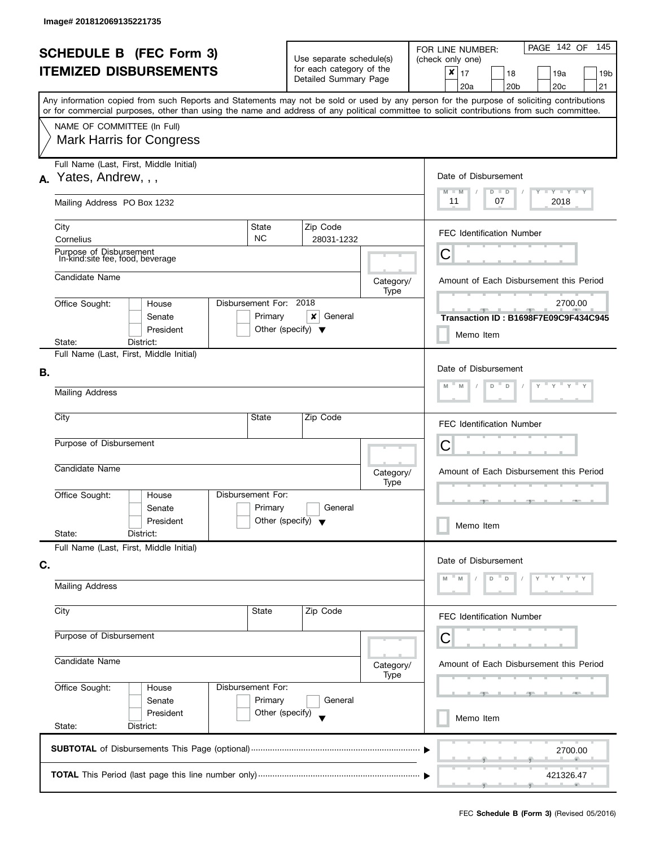|    | <b>SCHEDULE B (FEC Form 3)</b>                                                                                                             |                                   | Use separate schedule(s)<br>for each category of the |                   | PAGE 142 OF<br>145<br>FOR LINE NUMBER:<br>(check only one)                                                                                |
|----|--------------------------------------------------------------------------------------------------------------------------------------------|-----------------------------------|------------------------------------------------------|-------------------|-------------------------------------------------------------------------------------------------------------------------------------------|
|    | <b>ITEMIZED DISBURSEMENTS</b>                                                                                                              |                                   | Detailed Summary Page                                |                   | $\pmb{\times}$<br>17<br>18<br>19a<br>19 <sub>b</sub><br>20a<br>20 <sub>b</sub><br>20 <sub>c</sub><br>21                                   |
|    | or for commercial purposes, other than using the name and address of any political committee to solicit contributions from such committee. |                                   |                                                      |                   | Any information copied from such Reports and Statements may not be sold or used by any person for the purpose of soliciting contributions |
|    | NAME OF COMMITTEE (In Full)<br><b>Mark Harris for Congress</b>                                                                             |                                   |                                                      |                   |                                                                                                                                           |
| А. | Full Name (Last, First, Middle Initial)<br>Yates, Andrew, , ,                                                                              |                                   |                                                      |                   | Date of Disbursement<br>$M - M$<br>$T$ $Y$ $T$ $Y$ $T$ $Y$<br>$D$ $D$                                                                     |
|    | Mailing Address PO Box 1232                                                                                                                |                                   |                                                      |                   | 11<br>07<br>2018                                                                                                                          |
|    | City<br>Cornelius                                                                                                                          | State<br><b>NC</b>                | Zip Code<br>28031-1232                               |                   | <b>FEC Identification Number</b>                                                                                                          |
|    | Purpose of Disbursement<br>In-kind site fee, food, beverage                                                                                |                                   |                                                      |                   | C                                                                                                                                         |
|    | Candidate Name                                                                                                                             |                                   |                                                      | Category/<br>Type | Amount of Each Disbursement this Period                                                                                                   |
|    | Office Sought:<br>House<br>Senate<br>President                                                                                             | Disbursement For: 2018<br>Primary | ×<br>General<br>Other (specify) $\blacktriangledown$ |                   | 2700.00<br>Transaction ID: B1698F7E09C9F434C945<br>Memo Item                                                                              |
|    | District:<br>State:<br>Full Name (Last, First, Middle Initial)                                                                             |                                   |                                                      |                   |                                                                                                                                           |
| В. | <b>Mailing Address</b>                                                                                                                     |                                   |                                                      |                   | Date of Disbursement<br>$Y = Y$<br>Y<br>D<br>$\mathsf D$                                                                                  |
|    | City                                                                                                                                       | State                             | Zip Code                                             |                   | <b>FEC Identification Number</b>                                                                                                          |
|    | Purpose of Disbursement                                                                                                                    |                                   |                                                      |                   | C                                                                                                                                         |
|    | Candidate Name                                                                                                                             |                                   |                                                      | Category/<br>Type | Amount of Each Disbursement this Period                                                                                                   |
|    | Office Sought:<br>House<br>Senate<br>President                                                                                             | Disbursement For:<br>Primary      | General<br>Other (specify) $\blacktriangledown$      |                   | Memo Item                                                                                                                                 |
|    | State:<br>District:<br>Full Name (Last, First, Middle Initial)                                                                             |                                   |                                                      |                   |                                                                                                                                           |
| C. |                                                                                                                                            |                                   |                                                      |                   | Date of Disbursement                                                                                                                      |
|    | <b>Mailing Address</b>                                                                                                                     |                                   |                                                      |                   | D<br>D                                                                                                                                    |
|    | City                                                                                                                                       | State                             | Zip Code                                             |                   | FEC Identification Number                                                                                                                 |
|    | Purpose of Disbursement                                                                                                                    |                                   |                                                      |                   | С                                                                                                                                         |
|    | Candidate Name                                                                                                                             |                                   |                                                      | Category/<br>Type | Amount of Each Disbursement this Period                                                                                                   |
|    | Office Sought:<br>House<br>Senate                                                                                                          | Disbursement For:<br>Primary      | General                                              |                   |                                                                                                                                           |
|    | President<br>State:<br>District:                                                                                                           | Other (specify)                   |                                                      |                   | Memo Item                                                                                                                                 |
|    |                                                                                                                                            |                                   |                                                      |                   | 2700.00                                                                                                                                   |
|    |                                                                                                                                            |                                   |                                                      |                   | 421326.47<br>m.                                                                                                                           |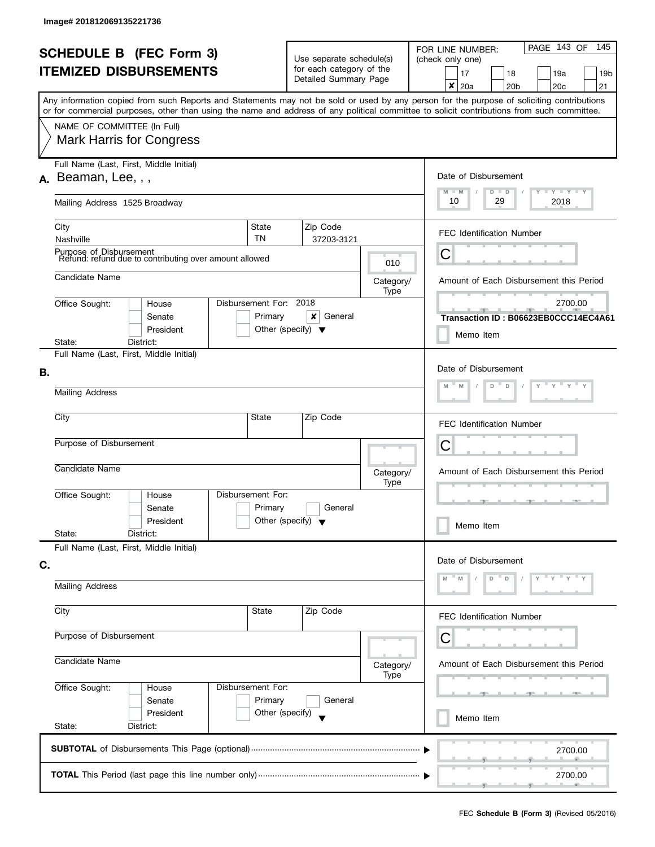|    | <b>SCHEDULE B (FEC Form 3)</b><br><b>ITEMIZED DISBURSEMENTS</b>                   |                                   | Use separate schedule(s)<br>for each category of the |                                                               | PAGE 143 OF<br>145<br>FOR LINE NUMBER:<br>(check only one)<br>17<br>18<br>19a<br>19 <sub>b</sub>                                                                                                  |  |
|----|-----------------------------------------------------------------------------------|-----------------------------------|------------------------------------------------------|---------------------------------------------------------------|---------------------------------------------------------------------------------------------------------------------------------------------------------------------------------------------------|--|
|    |                                                                                   |                                   | Detailed Summary Page                                |                                                               | ×<br>20a<br>20 <sub>b</sub><br>20 <sub>c</sub><br>21<br>Any information copied from such Reports and Statements may not be sold or used by any person for the purpose of soliciting contributions |  |
|    |                                                                                   |                                   |                                                      |                                                               | or for commercial purposes, other than using the name and address of any political committee to solicit contributions from such committee.                                                        |  |
|    | NAME OF COMMITTEE (In Full)<br><b>Mark Harris for Congress</b>                    |                                   |                                                      |                                                               |                                                                                                                                                                                                   |  |
|    | Full Name (Last, First, Middle Initial)<br>$A.$ Beaman, Lee, , ,                  |                                   |                                                      | Date of Disbursement<br>$M - M$<br>$T - Y = T - Y$<br>$D$ $D$ |                                                                                                                                                                                                   |  |
|    | Mailing Address 1525 Broadway                                                     |                                   |                                                      |                                                               | 10<br>29<br>2018                                                                                                                                                                                  |  |
|    | City<br>Nashville                                                                 | State<br><b>TN</b>                | Zip Code<br>37203-3121                               |                                                               | <b>FEC Identification Number</b>                                                                                                                                                                  |  |
|    | Purpose of Disbursement<br>Refund: refund due to contributing over amount allowed |                                   |                                                      | 010                                                           | Ĉ                                                                                                                                                                                                 |  |
|    | Candidate Name                                                                    |                                   |                                                      | Category/<br>Type                                             | Amount of Each Disbursement this Period                                                                                                                                                           |  |
|    | Office Sought:<br>House<br>Senate<br>President                                    | Disbursement For: 2018<br>Primary | x<br>General<br>Other (specify) $\blacktriangledown$ |                                                               | 2700.00<br>Transaction ID: B06623EB0CCC14EC4A61                                                                                                                                                   |  |
|    | District:<br>State:                                                               |                                   |                                                      |                                                               | Memo Item                                                                                                                                                                                         |  |
| В. | Full Name (Last, First, Middle Initial)<br><b>Mailing Address</b>                 |                                   |                                                      |                                                               | Date of Disbursement<br>$\gamma$ $\gamma$ $\gamma$ $\gamma$ $\gamma$ $\sim$<br>D<br>$\Box$                                                                                                        |  |
|    |                                                                                   |                                   |                                                      |                                                               |                                                                                                                                                                                                   |  |
|    | City                                                                              | State                             | Zip Code                                             |                                                               | <b>FEC Identification Number</b>                                                                                                                                                                  |  |
|    | Purpose of Disbursement                                                           |                                   |                                                      |                                                               | C                                                                                                                                                                                                 |  |
|    | Candidate Name                                                                    |                                   |                                                      | Category/<br>Type                                             | Amount of Each Disbursement this Period                                                                                                                                                           |  |
|    | Office Sought:<br>House<br>Senate<br>President                                    | Disbursement For:<br>Primary      | General<br>Other (specify) $\blacktriangledown$      |                                                               | Memo Item                                                                                                                                                                                         |  |
|    | State:<br>District:<br>Full Name (Last, First, Middle Initial)                    |                                   |                                                      |                                                               |                                                                                                                                                                                                   |  |
| C. |                                                                                   |                                   |                                                      |                                                               | Date of Disbursement<br>D<br>D                                                                                                                                                                    |  |
|    | <b>Mailing Address</b>                                                            |                                   |                                                      |                                                               |                                                                                                                                                                                                   |  |
|    | City                                                                              | State                             | Zip Code                                             |                                                               | FEC Identification Number                                                                                                                                                                         |  |
|    | Purpose of Disbursement                                                           |                                   |                                                      |                                                               | С                                                                                                                                                                                                 |  |
|    | Candidate Name                                                                    |                                   |                                                      | Category/<br>Type                                             | Amount of Each Disbursement this Period                                                                                                                                                           |  |
|    | Office Sought:<br>House<br>Senate                                                 | Disbursement For:<br>Primary      | General                                              |                                                               |                                                                                                                                                                                                   |  |
|    | President<br>State:<br>District:                                                  | Other (specify)                   |                                                      |                                                               | Memo Item                                                                                                                                                                                         |  |
|    |                                                                                   |                                   |                                                      |                                                               | 2700.00                                                                                                                                                                                           |  |
|    |                                                                                   |                                   |                                                      |                                                               | 2700.00                                                                                                                                                                                           |  |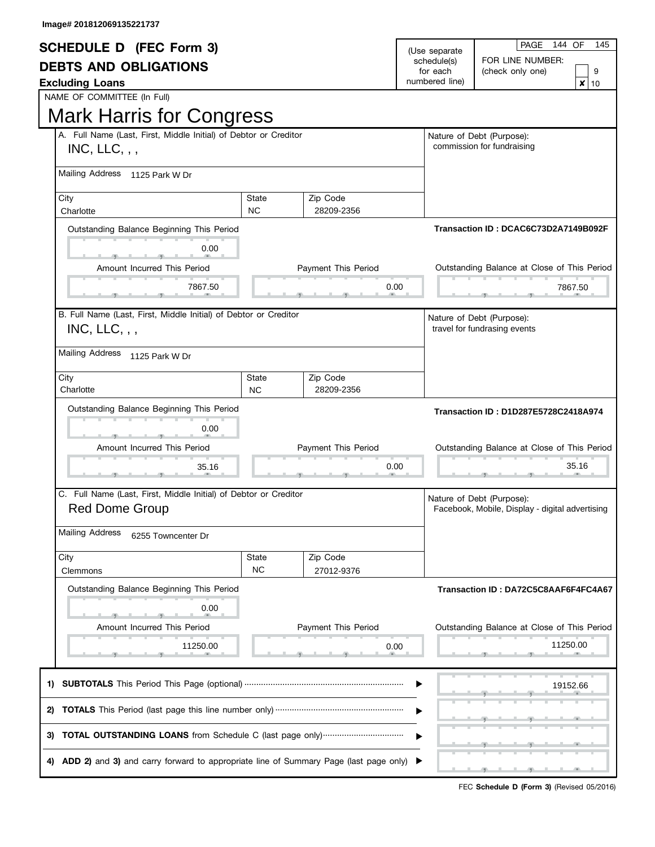| <b>SCHEDULE D (FEC Form 3)</b>                                                            |           |                     | (Use separate)             | PAGE<br>144 OF<br>145                                                        |  |
|-------------------------------------------------------------------------------------------|-----------|---------------------|----------------------------|------------------------------------------------------------------------------|--|
| <b>DEBTS AND OBLIGATIONS</b>                                                              |           |                     | schedule(s)                | FOR LINE NUMBER:                                                             |  |
| <b>Excluding Loans</b>                                                                    |           |                     | for each<br>numbered line) | 9<br>(check only one)<br>x                                                   |  |
| NAME OF COMMITTEE (In Full)                                                               |           |                     |                            | 10                                                                           |  |
| <b>Mark Harris for Congress</b>                                                           |           |                     |                            |                                                                              |  |
| A. Full Name (Last, First, Middle Initial) of Debtor or Creditor                          |           |                     |                            | Nature of Debt (Purpose):                                                    |  |
| $INC, LLC,$ ,                                                                             |           |                     |                            | commission for fundraising                                                   |  |
| Mailing Address<br>1125 Park W Dr                                                         |           |                     |                            |                                                                              |  |
| City                                                                                      | State     | Zip Code            |                            |                                                                              |  |
| Charlotte                                                                                 | <b>NC</b> | 28209-2356          |                            |                                                                              |  |
| Outstanding Balance Beginning This Period                                                 |           |                     |                            | Transaction ID: DCAC6C73D2A7149B092F                                         |  |
| 0.00                                                                                      |           |                     |                            |                                                                              |  |
| Amount Incurred This Period                                                               |           | Payment This Period |                            | Outstanding Balance at Close of This Period                                  |  |
|                                                                                           |           |                     |                            |                                                                              |  |
| 7867.50                                                                                   |           | 0.00                |                            | 7867.50                                                                      |  |
| B. Full Name (Last, First, Middle Initial) of Debtor or Creditor                          |           |                     |                            | Nature of Debt (Purpose):                                                    |  |
| $INC, LLC,$ ,                                                                             |           |                     |                            | travel for fundrasing events                                                 |  |
| <b>Mailing Address</b><br>1125 Park W Dr                                                  |           |                     |                            |                                                                              |  |
| City                                                                                      | State     | Zip Code            |                            |                                                                              |  |
| Charlotte                                                                                 | <b>NC</b> | 28209-2356          |                            |                                                                              |  |
| Outstanding Balance Beginning This Period                                                 |           |                     |                            | Transaction ID: D1D287E5728C2418A974                                         |  |
| 0.00                                                                                      |           |                     |                            |                                                                              |  |
| Amount Incurred This Period                                                               |           | Payment This Period |                            | Outstanding Balance at Close of This Period                                  |  |
|                                                                                           |           |                     |                            |                                                                              |  |
| 35.16                                                                                     |           |                     | 0.00                       | 35.16                                                                        |  |
|                                                                                           |           |                     |                            |                                                                              |  |
| C. Full Name (Last, First, Middle Initial) of Debtor or Creditor<br><b>Red Dome Group</b> |           |                     |                            | Nature of Debt (Purpose):<br>Facebook, Mobile, Display - digital advertising |  |
| Mailing Address                                                                           |           |                     |                            |                                                                              |  |
| 6255 Towncenter Dr                                                                        |           |                     |                            |                                                                              |  |
| City                                                                                      | State     | Zip Code            |                            |                                                                              |  |
| Clemmons                                                                                  | <b>NC</b> | 27012-9376          |                            |                                                                              |  |
| Outstanding Balance Beginning This Period                                                 |           |                     |                            | Transaction ID: DA72C5C8AAF6F4FC4A67                                         |  |
| 0.00                                                                                      |           |                     |                            |                                                                              |  |
| Amount Incurred This Period                                                               |           | Payment This Period |                            | Outstanding Balance at Close of This Period                                  |  |
|                                                                                           |           |                     |                            |                                                                              |  |
| 11250.00                                                                                  |           | 0.00                |                            | 11250.00                                                                     |  |
| 1)                                                                                        |           |                     |                            | 19152.66                                                                     |  |
| 2)                                                                                        |           |                     |                            |                                                                              |  |
| 3)                                                                                        |           |                     |                            |                                                                              |  |
| ADD 2) and 3) and carry forward to appropriate line of Summary Page (last page only)      |           |                     |                            |                                                                              |  |
|                                                                                           |           |                     |                            |                                                                              |  |

FEC **Schedule D (Form 3)** (Revised 05/2016)